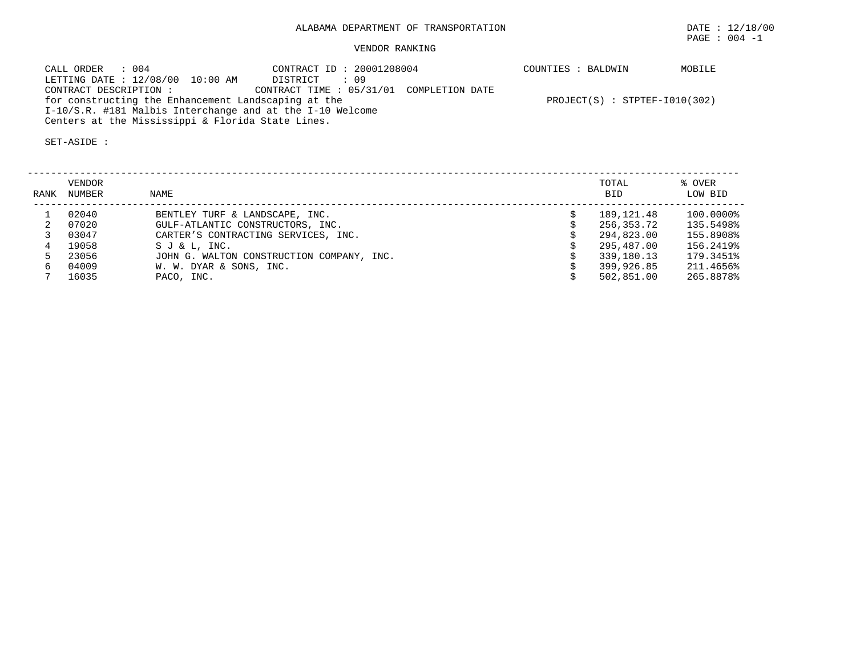## VENDOR RANKING

| CALL ORDER : 004                                          | CONTRACT ID: 20001208004                | COUNTIES : BALDWIN              | MOBILE |
|-----------------------------------------------------------|-----------------------------------------|---------------------------------|--------|
| LETTING DATE : 12/08/00 10:00 AM                          | DISTRICT : 09                           |                                 |        |
| CONTRACT DESCRIPTION :                                    | CONTRACT TIME: 05/31/01 COMPLETION DATE |                                 |        |
| for constructing the Enhancement Landscaping at the       |                                         | $PROJECT(S) : STPTEF-I010(302)$ |        |
| I-10/S.R. #181 Malbis Interchange and at the I-10 Welcome |                                         |                                 |        |
| Centers at the Mississippi & Florida State Lines.         |                                         |                                 |        |

| RANK | VENDOR<br>NUMBER | NAME                                      | TOTAL<br><b>BID</b> | % OVER<br>LOW BID |
|------|------------------|-------------------------------------------|---------------------|-------------------|
|      | 02040            | BENTLEY TURF & LANDSCAPE, INC.            | 189,121.48          | 100.0000%         |
|      | 07020            | GULF-ATLANTIC CONSTRUCTORS, INC.          | 256,353.72          | 135.5498%         |
|      | 03047            | CARTER'S CONTRACTING SERVICES, INC.       | 294,823.00          | 155.8908%         |
|      | 19058            | S J & L, INC.                             | 295,487.00          | 156.2419%         |
|      | 23056            | JOHN G. WALTON CONSTRUCTION COMPANY, INC. | 339,180.13          | 179.3451%         |
|      | 04009            | W. W. DYAR & SONS, INC.                   | 399,926.85          | 211.4656%         |
|      | 16035            | PACO, INC.                                | 502,851.00          | 265.8878%         |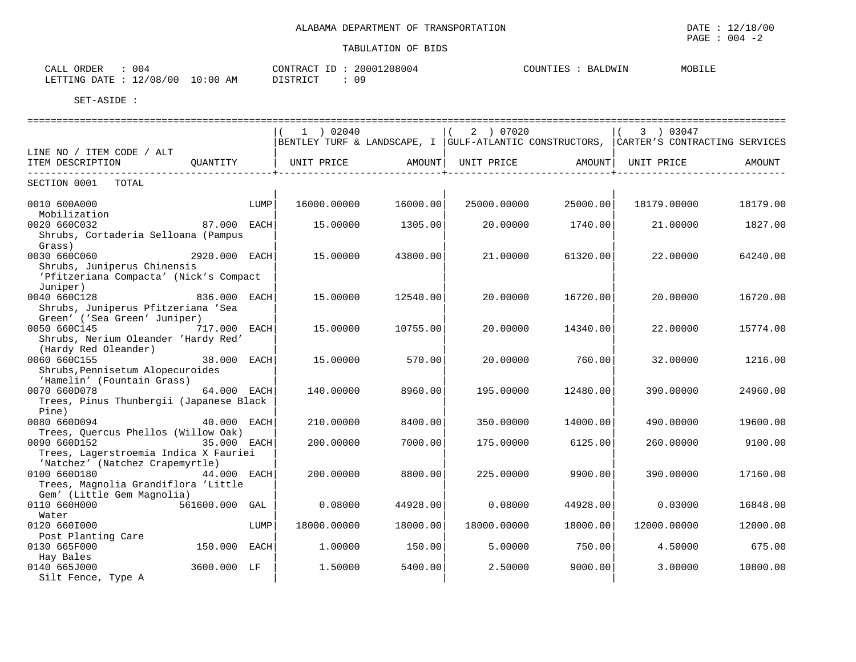| $\cap$<br>004<br>$\sim$ $ -$<br>CALL<br>UKDER                | 208004<br>$\cap$ ת סידי<br>20001 | COUNTIES<br>LDWIN<br>RД | MOBILE |
|--------------------------------------------------------------|----------------------------------|-------------------------|--------|
| 12/08<br>/00<br>10:00<br>ΑM<br>LETTING<br>DATE<br>— <i>—</i> | ΩQ<br>חת פידי את ה<br>U :        |                         |        |

|                                         |                |      | $1$ ) 02040 |          | (2) 07020                  |          | 3 ) 03047                                                                               |          |
|-----------------------------------------|----------------|------|-------------|----------|----------------------------|----------|-----------------------------------------------------------------------------------------|----------|
|                                         |                |      |             |          |                            |          | BENTLEY TURF & LANDSCAPE, I  GULF-ATLANTIC CONSTRUCTORS,  CARTER'S CONTRACTING SERVICES |          |
| LINE NO / ITEM CODE / ALT               |                |      |             |          |                            |          |                                                                                         |          |
| ITEM DESCRIPTION                        | QUANTITY       |      | UNIT PRICE  |          | AMOUNT   UNIT PRICE AMOUNT |          | UNIT PRICE                                                                              | AMOUNT   |
|                                         |                |      |             |          |                            |          |                                                                                         |          |
| SECTION 0001 TOTAL                      |                |      |             |          |                            |          |                                                                                         |          |
|                                         |                |      |             |          |                            |          |                                                                                         |          |
| 0010 600A000                            |                | LUMP | 16000.00000 | 16000.00 | 25000.00000                | 25000.00 | 18179.00000                                                                             | 18179.00 |
| Mobilization                            |                |      |             |          |                            |          |                                                                                         |          |
| 0020 660C032                            | 87.000 EACH    |      | 15.00000    | 1305.00  | 20.00000                   | 1740.00  | 21,00000                                                                                | 1827.00  |
| Shrubs, Cortaderia Selloana (Pampus     |                |      |             |          |                            |          |                                                                                         |          |
|                                         |                |      |             |          |                            |          |                                                                                         |          |
| Grass)                                  |                |      |             |          |                            |          |                                                                                         |          |
| 0030 660C060                            | 2920.000 EACH  |      | 15,00000    | 43800.00 | 21,00000                   | 61320.00 | 22.00000                                                                                | 64240.00 |
| Shrubs, Juniperus Chinensis             |                |      |             |          |                            |          |                                                                                         |          |
| 'Pfitzeriana Compacta' (Nick's Compact  |                |      |             |          |                            |          |                                                                                         |          |
| Juniper)                                |                |      |             |          |                            |          |                                                                                         |          |
| 0040 660C128                            | 836.000 EACH   |      | 15.00000    | 12540.00 | 20.00000                   | 16720.00 | 20.00000                                                                                | 16720.00 |
| Shrubs, Juniperus Pfitzeriana 'Sea      |                |      |             |          |                            |          |                                                                                         |          |
| Green' ('Sea Green' Juniper)            |                |      |             |          |                            |          |                                                                                         |          |
| 0050 660C145<br>717.000 EACH            |                |      | 15.00000    | 10755.00 | 20.00000                   | 14340.00 | 22.00000                                                                                | 15774.00 |
| Shrubs, Nerium Oleander 'Hardy Red'     |                |      |             |          |                            |          |                                                                                         |          |
| (Hardy Red Oleander)                    |                |      |             |          |                            |          |                                                                                         |          |
| 0060 660C155                            | 38.000 EACH    |      | 15,00000    | 570.00   | 20.00000                   | 760.00   | 32,00000                                                                                | 1216.00  |
| Shrubs, Pennisetum Alopecuroides        |                |      |             |          |                            |          |                                                                                         |          |
| 'Hamelin' (Fountain Grass)              |                |      |             |          |                            |          |                                                                                         |          |
| 0070 660D078                            | 64.000 EACH    |      | 140.00000   | 8960.00  | 195.00000                  | 12480.00 | 390.00000                                                                               | 24960.00 |
| Trees, Pinus Thunbergii (Japanese Black |                |      |             |          |                            |          |                                                                                         |          |
| Pine)                                   |                |      |             |          |                            |          |                                                                                         |          |
|                                         |                |      |             |          |                            |          |                                                                                         |          |
| 0080 660D094                            | 40.000 EACH    |      | 210.00000   | 8400.00  | 350.00000                  | 14000.00 | 490.00000                                                                               | 19600.00 |
| Trees, Quercus Phellos (Willow Oak)     |                |      |             |          |                            |          |                                                                                         |          |
| 0090 660D152                            | 35.000 EACH    |      | 200.00000   | 7000.00  | 175.00000                  | 6125.00  | 260.00000                                                                               | 9100.00  |
| Trees, Lagerstroemia Indica X Fauriei   |                |      |             |          |                            |          |                                                                                         |          |
| 'Natchez' (Natchez Crapemyrtle)         |                |      |             |          |                            |          |                                                                                         |          |
| 0100 660D180                            | 44.000 EACH    |      | 200.00000   | 8800.00  | 225.00000                  | 9900.00  | 390.00000                                                                               | 17160.00 |
| Trees, Magnolia Grandiflora 'Little     |                |      |             |          |                            |          |                                                                                         |          |
| Gem' (Little Gem Magnolia)              |                |      |             |          |                            |          |                                                                                         |          |
| 0110 660H000                            | 561600.000 GAL |      | 0.08000     | 44928.00 | 0.08000                    | 44928.00 | 0.03000                                                                                 | 16848.00 |
| Water                                   |                |      |             |          |                            |          |                                                                                         |          |
| 0120 6601000                            |                | LUMP | 18000.00000 | 18000.00 | 18000.00000                | 18000.00 | 12000.00000                                                                             | 12000.00 |
| Post Planting Care                      |                |      |             |          |                            |          |                                                                                         |          |
| 0130 665F000                            | 150.000 EACH   |      | 1,00000     | 150.00   | 5.00000                    | 750.00   | 4.50000                                                                                 | 675.00   |
| Hay Bales                               |                |      |             |          |                            |          |                                                                                         |          |
| 0140 665J000                            | 3600.000 LF    |      | 1.50000     | 5400.00  | 2.50000                    | 9000.00  | 3.00000                                                                                 | 10800.00 |
| Silt Fence, Type A                      |                |      |             |          |                            |          |                                                                                         |          |
|                                         |                |      |             |          |                            |          |                                                                                         |          |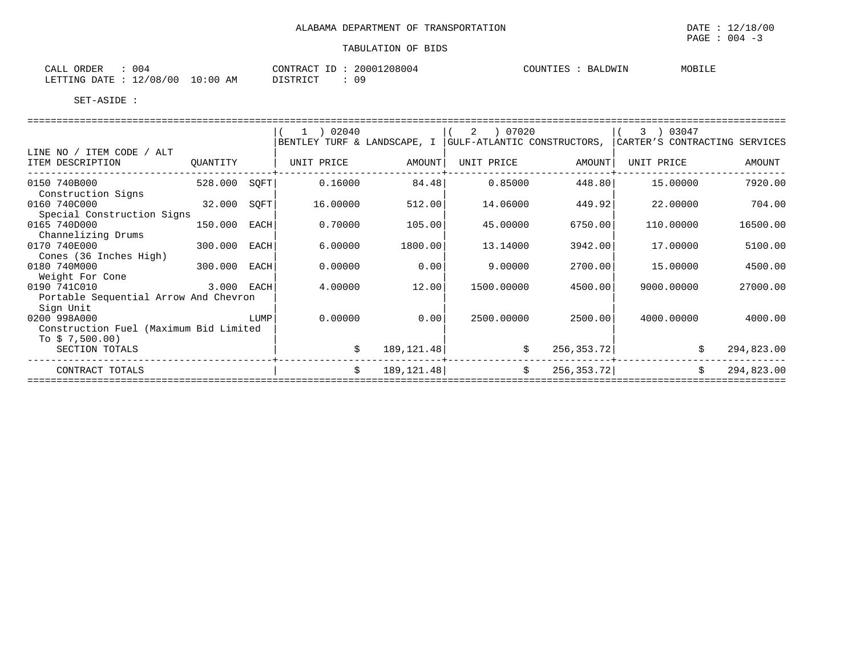| 004<br>CALL ORDER                     | CONTRACT ID: 20001208004 | COUNTIES : BALDWIN | MOBILE |
|---------------------------------------|--------------------------|--------------------|--------|
| $10:00$ AM<br>LETTING DATE : 12/08/00 | 09<br>DISTRICT           |                    |        |

|                                        |              |      | $1$ ) 02040                 |              |                             |             | 3 ) 03047                     |            |
|----------------------------------------|--------------|------|-----------------------------|--------------|-----------------------------|-------------|-------------------------------|------------|
| LINE NO / ITEM CODE / ALT              |              |      | BENTLEY TURF & LANDSCAPE, I |              | GULF-ATLANTIC CONSTRUCTORS, |             | CARTER'S CONTRACTING SERVICES |            |
| ITEM DESCRIPTION                       | OUANTITY     |      | UNIT PRICE                  | AMOUNT       | UNIT PRICE                  | AMOUNT      | UNIT PRICE                    | AMOUNT     |
| 0150 740B000                           | 528.000      | SOFT | 0.16000                     | 84.48        | 0.85000                     | 448.80      | 15,00000                      | 7920.00    |
| Construction Signs<br>0160 740C000     | 32.000       | SOFT | 16.00000                    | 512.00       | 14.06000                    | 449.92      | 22,00000                      | 704.00     |
| Special Construction Signs             |              |      |                             |              |                             |             |                               |            |
| 0165 740D000                           | 150.000      | EACH | 0.70000                     | 105.00       | 45.00000                    | 6750.00     | 110,00000                     | 16500.00   |
| Channelizing Drums                     |              |      |                             |              |                             |             |                               |            |
| 0170 740E000                           | 300.000      | EACH | 6.00000                     | 1800.00      | 13.14000                    | 3942.00     | 17.00000                      | 5100.00    |
| Cones (36 Inches High)                 |              |      |                             |              |                             |             |                               |            |
| 0180 740M000<br>Weight For Cone        | 300.000 EACH |      | 0.00000                     | 0.00         | 9.00000                     | 2700.00     | 15.00000                      | 4500.00    |
| 0190 741C010                           | 3.000 EACH   |      | 4.00000                     | 12.00        | 1500.00000                  | 4500.00     | 9000.00000                    | 27000.00   |
| Portable Sequential Arrow And Chevron  |              |      |                             |              |                             |             |                               |            |
| Sign Unit                              |              |      |                             |              |                             |             |                               |            |
| 0200 998A000                           |              | LUMP | 0.00000                     | 0.00         | 2500.00000                  | 2500.00     | 4000.00000                    | 4000.00    |
| Construction Fuel (Maximum Bid Limited |              |      |                             |              |                             |             |                               |            |
| To $$7,500.00)$                        |              |      |                             |              |                             |             |                               |            |
| SECTION TOTALS                         |              |      | \$                          | 189, 121. 48 | \$                          | 256, 353.72 | \$                            | 294,823.00 |
| CONTRACT TOTALS                        |              |      | Ŝ.                          | 189, 121. 48 | \$                          | 256, 353.72 | Ŝ.                            | 294,823.00 |
|                                        |              |      |                             |              |                             |             |                               |            |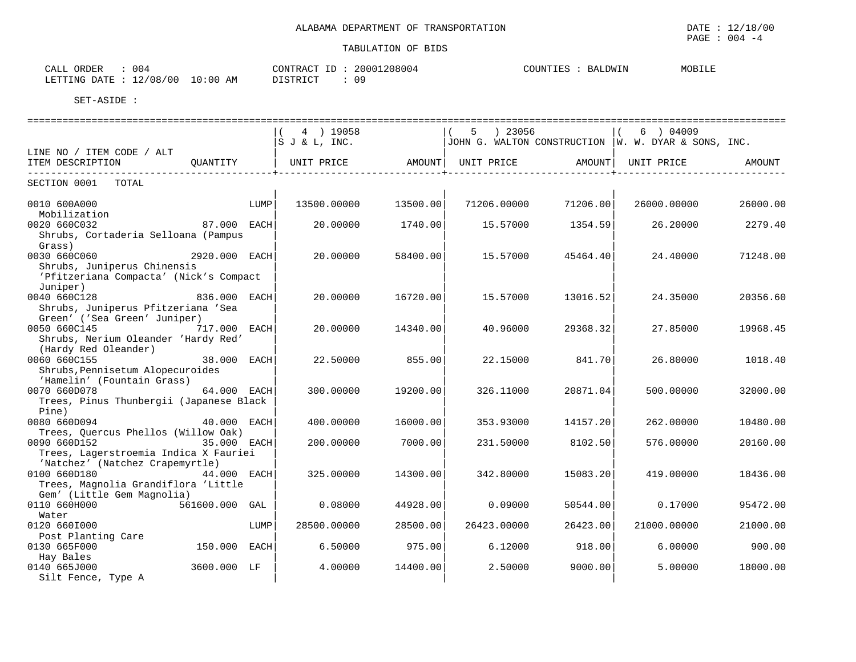| . .<br>ORDER<br>$\neg$ $\Delta$ .<br>004<br>ட⊶ப⊥              | CONTR.<br>2000<br>$\sim$<br>ו גו שי<br>$+1$ | COUNT<br><b>44</b><br>上凸石 | MOBILE |
|---------------------------------------------------------------|---------------------------------------------|---------------------------|--------|
| LETTING<br>00 /<br>$\cdot$ :00<br>ΆM<br>08 '<br>١Δ<br>$+$ $-$ | DISTRICT<br>Ω9                              |                           |        |

|                                                                   |                |      | 4 ) 19058                          |          | 5 ) 23056   |          | $6$ ) 04009                                           |          |
|-------------------------------------------------------------------|----------------|------|------------------------------------|----------|-------------|----------|-------------------------------------------------------|----------|
|                                                                   |                |      | $ S \text{ J} \& \text{ L}$ , INC. |          |             |          | JOHN G. WALTON CONSTRUCTION   W. W. DYAR & SONS, INC. |          |
| LINE NO / ITEM CODE / ALT                                         |                |      |                                    |          |             |          |                                                       |          |
| ITEM DESCRIPTION                                                  | QUANTITY       |      | UNIT PRICE AMOUNT  UNIT PRICE      |          |             |          | AMOUNT   UNIT PRICE                                   | AMOUNT   |
| SECTION 0001 TOTAL                                                |                |      |                                    |          |             |          |                                                       |          |
|                                                                   |                |      |                                    |          |             |          |                                                       |          |
| 0010 600A000                                                      |                | LUMP | 13500.00000                        | 13500.00 | 71206.00000 | 71206.00 | 26000.00000                                           | 26000.00 |
| Mobilization                                                      |                |      |                                    |          |             |          |                                                       |          |
| 0020 660C032                                                      | 87.000 EACH    |      | 20.00000                           | 1740.00  | 15.57000    | 1354.59  | 26.20000                                              | 2279.40  |
| Shrubs, Cortaderia Selloana (Pampus                               |                |      |                                    |          |             |          |                                                       |          |
| Grass)                                                            |                |      |                                    |          |             |          |                                                       |          |
| 0030 660C060                                                      | 2920.000 EACH  |      | 20,00000                           | 58400.00 | 15.57000    | 45464.40 | 24.40000                                              | 71248.00 |
| Shrubs, Juniperus Chinensis                                       |                |      |                                    |          |             |          |                                                       |          |
| 'Pfitzeriana Compacta' (Nick's Compact                            |                |      |                                    |          |             |          |                                                       |          |
| Juniper)                                                          |                |      |                                    |          |             |          |                                                       |          |
| 0040 660C128                                                      | 836.000 EACH   |      | 20.00000                           | 16720.00 | 15.57000    | 13016.52 | 24.35000                                              | 20356.60 |
| Shrubs, Juniperus Pfitzeriana 'Sea                                |                |      |                                    |          |             |          |                                                       |          |
| Green' ('Sea Green' Juniper)                                      |                |      |                                    |          |             |          |                                                       |          |
| 0050 660C145<br>717.000 EACH                                      |                |      | 20.00000                           | 14340.00 | 40.96000    | 29368.32 | 27.85000                                              | 19968.45 |
| Shrubs, Nerium Oleander 'Hardy Red'                               |                |      |                                    |          |             |          |                                                       |          |
| (Hardy Red Oleander)                                              |                |      |                                    |          |             |          |                                                       |          |
| 0060 660C155                                                      | 38.000 EACH    |      | 22.50000                           | 855.00   | 22.15000    | 841.70   | 26.80000                                              | 1018.40  |
| Shrubs, Pennisetum Alopecuroides                                  |                |      |                                    |          |             |          |                                                       |          |
| 'Hamelin' (Fountain Grass)                                        |                |      |                                    |          |             |          |                                                       |          |
| 0070 660D078                                                      | 64.000 EACH    |      | 300.00000                          | 19200.00 | 326.11000   | 20871.04 | 500.00000                                             | 32000.00 |
| Trees, Pinus Thunbergii (Japanese Black                           |                |      |                                    |          |             |          |                                                       |          |
| Pine)                                                             |                |      |                                    |          |             |          |                                                       |          |
| 0080 660D094                                                      | 40.000 EACH    |      | 400.00000                          | 16000.00 | 353.93000   | 14157.20 | 262.00000                                             | 10480.00 |
| Trees, Quercus Phellos (Willow Oak)                               |                |      |                                    |          |             |          |                                                       |          |
| 0090 660D152                                                      | 35.000 EACH    |      | 200.00000                          | 7000.00  | 231.50000   | 8102.50  | 576.00000                                             | 20160.00 |
| Trees, Lagerstroemia Indica X Fauriei                             |                |      |                                    |          |             |          |                                                       |          |
| 'Natchez' (Natchez Crapemyrtle)<br>0100 660D180                   |                |      |                                    | 14300.00 |             |          |                                                       |          |
|                                                                   | 44.000 EACH    |      | 325.00000                          |          | 342.80000   | 15083.20 | 419,00000                                             | 18436.00 |
| Trees, Magnolia Grandiflora 'Little<br>Gem' (Little Gem Magnolia) |                |      |                                    |          |             |          |                                                       |          |
| 0110 660H000                                                      | 561600.000 GAL |      | 0.08000                            | 44928.00 | 0.09000     | 50544.00 | 0.17000                                               | 95472.00 |
|                                                                   |                |      |                                    |          |             |          |                                                       |          |
| Water<br>0120 6601000                                             |                | LUMP | 28500.00000                        | 28500.00 | 26423.00000 | 26423.00 | 21000.00000                                           | 21000.00 |
| Post Planting Care                                                |                |      |                                    |          |             |          |                                                       |          |
| 0130 665F000                                                      | 150.000 EACH   |      | 6.50000                            | 975.00   | 6.12000     | 918.00   | 6.00000                                               | 900.00   |
| Hay Bales                                                         |                |      |                                    |          |             |          |                                                       |          |
| 0140 665J000                                                      | 3600.000 LF    |      | 4.00000                            | 14400.00 | 2.50000     | 9000.00  | 5.00000                                               | 18000.00 |
| Silt Fence, Type A                                                |                |      |                                    |          |             |          |                                                       |          |
|                                                                   |                |      |                                    |          |             |          |                                                       |          |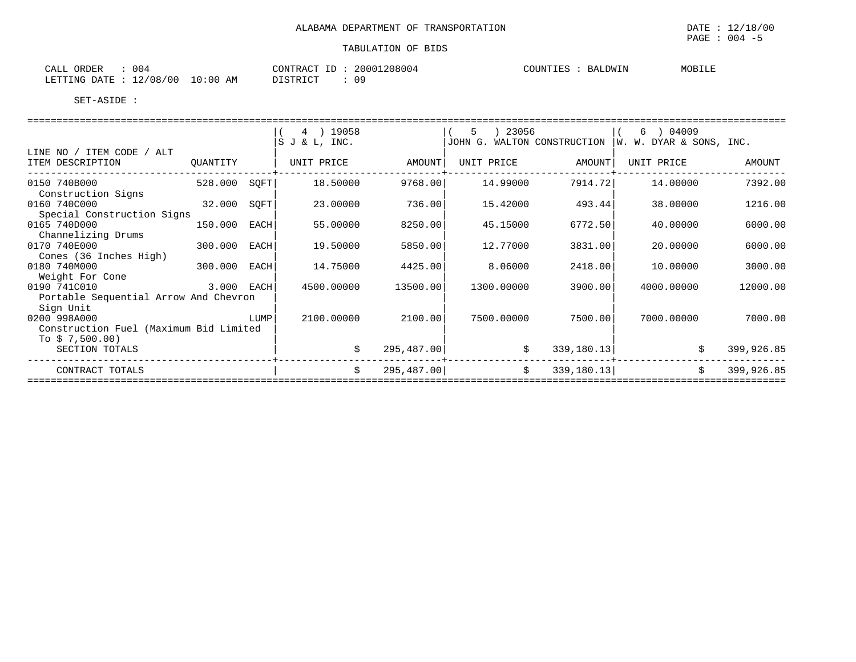| CALL ORDER<br>004                |          | CONTRACT ID: 20001208004 | COUNTIES<br>BALDWIN | MOBILE |
|----------------------------------|----------|--------------------------|---------------------|--------|
| LETTING DATE : 12/08/00 10:00 AM | DISTRICT | 09                       |                     |        |

|                                        |            |      | 4 ) 19058     |             | ) 23056<br>5                |             | $(6)$ 04009             |            |
|----------------------------------------|------------|------|---------------|-------------|-----------------------------|-------------|-------------------------|------------|
|                                        |            |      | S J & L, INC. |             | JOHN G. WALTON CONSTRUCTION |             | W. W. DYAR & SONS, INC. |            |
| LINE NO / ITEM CODE / ALT              |            |      |               |             |                             |             |                         |            |
| ITEM DESCRIPTION                       | OUANTITY   |      | UNIT PRICE    | AMOUNT      | UNIT PRICE                  | AMOUNT      | UNIT PRICE              | AMOUNT     |
| 0150 740B000<br>Construction Signs     | 528.000    | SOFT | 18.50000      | 9768.00     | 14.99000                    | 7914.72     | 14,00000                | 7392.00    |
| 0160 740C000                           | 32.000     | SOFT | 23.00000      | 736.00      | 15.42000                    | 493.44      | 38.00000                | 1216.00    |
| Special Construction Signs             |            |      |               |             |                             |             |                         |            |
| 0165 740D000                           | 150.000    | EACH | 55.00000      | 8250.00     | 45.15000                    | 6772.50     | 40.00000                | 6000.00    |
| Channelizing Drums                     |            |      |               |             |                             |             |                         |            |
| 0170 740E000                           | 300.000    | EACH | 19.50000      | 5850.00     | 12.77000                    | 3831.00     | 20.00000                | 6000.00    |
| Cones (36 Inches High)                 |            |      |               |             |                             |             |                         |            |
| 0180 740M000                           | 300.000    | EACH | 14.75000      | 4425.00     | 8.06000                     | 2418.00     | 10,00000                | 3000.00    |
| Weight For Cone                        |            |      |               |             |                             |             |                         |            |
| 0190 741C010                           | 3.000 EACH |      | 4500.00000    | 13500.00    | 1300.00000                  | 3900.00     | 4000.00000              | 12000.00   |
| Portable Sequential Arrow And Chevron  |            |      |               |             |                             |             |                         |            |
| Sign Unit                              |            |      |               |             |                             |             |                         |            |
| 0200 998A000                           |            | LUMP | 2100.00000    | 2100.00     | 7500.00000                  | 7500.00     | 7000.00000              | 7000.00    |
| Construction Fuel (Maximum Bid Limited |            |      |               |             |                             |             |                         |            |
| To $$7,500.00)$                        |            |      |               |             |                             |             |                         |            |
| SECTION TOTALS                         |            |      |               | 295, 487.00 | \$                          | 339, 180.13 | \$                      | 399,926.85 |
| CONTRACT TOTALS                        |            |      | Ŝ.            | 295, 487.00 | \$                          | 339, 180.13 | \$                      | 399,926.85 |
|                                        |            |      |               |             |                             |             |                         |            |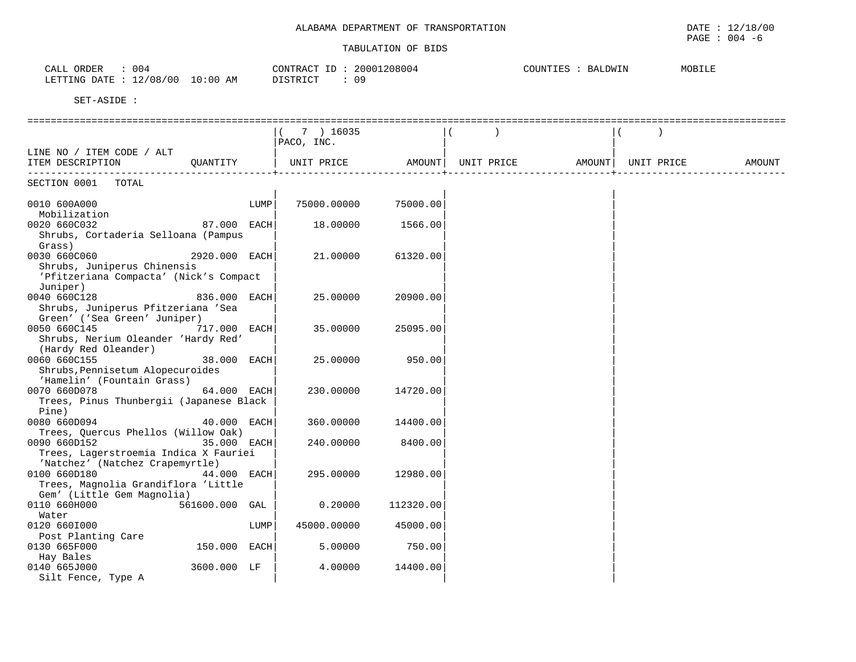| CALL ORDER<br>LETTING DATE : 12/08/00 10:00 AM | : 004 | CONTRACT ID: 20001208004<br>DISTRICT<br>: 09 | COUNTIES | BALDWIN | MOBILE |
|------------------------------------------------|-------|----------------------------------------------|----------|---------|--------|
| SET-ASIDE                                      |       |                                              |          |         |        |

|                                         | 7 ) 16035   |           |            |        |            |        |
|-----------------------------------------|-------------|-----------|------------|--------|------------|--------|
|                                         | PACO, INC.  |           |            |        |            |        |
| LINE NO / ITEM CODE / ALT               |             |           |            |        |            |        |
| ITEM DESCRIPTION<br>OUANTITY            | UNIT PRICE  | AMOUNT    | UNIT PRICE | AMOUNT | UNIT PRICE | AMOUNT |
| -------------                           |             |           |            |        |            |        |
| SECTION 0001<br>TOTAL                   |             |           |            |        |            |        |
| 0010 600A000<br>LUMP                    | 75000.00000 | 75000.00  |            |        |            |        |
| Mobilization                            |             |           |            |        |            |        |
| 0020 660C032<br>87.000 EACH             | 18.00000    | 1566.00   |            |        |            |        |
| Shrubs, Cortaderia Selloana (Pampus     |             |           |            |        |            |        |
| Grass)                                  |             |           |            |        |            |        |
| 0030 660C060<br>2920.000 EACH           | 21.00000    | 61320.00  |            |        |            |        |
| Shrubs, Juniperus Chinensis             |             |           |            |        |            |        |
| 'Pfitzeriana Compacta' (Nick's Compact  |             |           |            |        |            |        |
| Juniper)                                |             |           |            |        |            |        |
| 0040 660C128<br>836.000 EACH            | 25.00000    | 20900.00  |            |        |            |        |
| Shrubs, Juniperus Pfitzeriana 'Sea      |             |           |            |        |            |        |
| Green' ('Sea Green' Juniper)            |             |           |            |        |            |        |
| 0050 660C145<br>717.000<br>EACH         | 35.00000    | 25095.00  |            |        |            |        |
| Shrubs, Nerium Oleander 'Hardy Red'     |             |           |            |        |            |        |
| (Hardy Red Oleander)                    |             |           |            |        |            |        |
| 0060 660C155<br>38.000 EACH             | 25,00000    | 950.00    |            |        |            |        |
| Shrubs, Pennisetum Alopecuroides        |             |           |            |        |            |        |
| 'Hamelin' (Fountain Grass)              |             |           |            |        |            |        |
| 0070 660D078<br>64.000 EACH             | 230.00000   | 14720.00  |            |        |            |        |
| Trees, Pinus Thunbergii (Japanese Black |             |           |            |        |            |        |
| Pine)                                   |             |           |            |        |            |        |
| 0080 660D094<br>40.000 EACH             | 360.00000   | 14400.00  |            |        |            |        |
| Trees, Quercus Phellos (Willow Oak)     |             |           |            |        |            |        |
| 35.000 EACH<br>0090 660D152             | 240.00000   | 8400.00   |            |        |            |        |
| Trees, Lagerstroemia Indica X Fauriei   |             |           |            |        |            |        |
| 'Natchez' (Natchez Crapemyrtle)         |             |           |            |        |            |        |
| 0100 660D180<br>44.000 EACH             | 295.00000   | 12980.00  |            |        |            |        |
| Trees, Magnolia Grandiflora 'Little     |             |           |            |        |            |        |
| Gem' (Little Gem Magnolia)              |             |           |            |        |            |        |
| 0110 660H000<br>561600.000 GAL          | 0.20000     | 112320.00 |            |        |            |        |
| Water                                   |             |           |            |        |            |        |
| 0120 6601000<br>LUMP                    | 45000.00000 | 45000.00  |            |        |            |        |
| Post Planting Care                      |             |           |            |        |            |        |
| 0130 665F000<br>150.000 EACH            | 5.00000     | 750.00    |            |        |            |        |
| Hay Bales                               |             |           |            |        |            |        |
| 0140 665J000<br>3600.000 LF             | 4.00000     | 14400.00  |            |        |            |        |
| Silt Fence, Type A                      |             |           |            |        |            |        |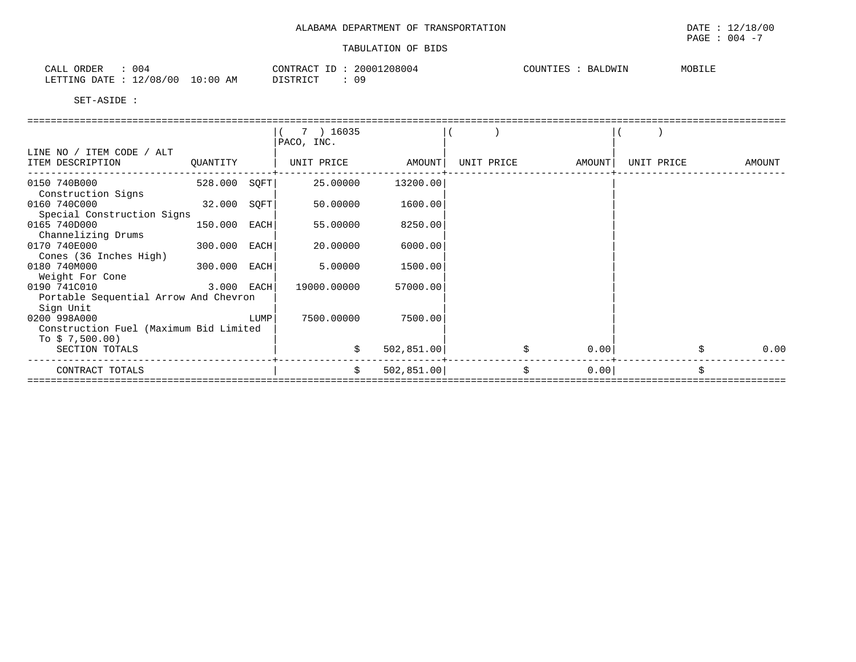| ORDER<br>CALL<br>004                      | $\bigcap \Lambda$ $\bigcap \Pi$ $\bigcap \Lambda$ $\bigcap \Pi$<br>'R 7 (<br>.<br>$\overline{\mathbf{r}}$ | .208004<br>2000 | $C$ $C$ $T$ $N$ $T$ $T$ $T$ $C$<br>LDWIN<br>$\cup$<br>CUUN I LES<br>ĦА. | MOBILE |
|-------------------------------------------|-----------------------------------------------------------------------------------------------------------|-----------------|-------------------------------------------------------------------------|--------|
| 00 /<br>∕∩ R<br>LETTING<br>고고<br>.<br>UU. | 0:00<br>ΔM<br>T STR T OT<br><b>AP</b><br>∸∸∽∸                                                             | 09              |                                                                         |        |

|                                        |              |      | 7 ) 16035         |             |            |        |            |        |
|----------------------------------------|--------------|------|-------------------|-------------|------------|--------|------------|--------|
|                                        |              |      | PACO, INC.        |             |            |        |            |        |
| LINE NO / ITEM CODE / ALT              |              |      |                   |             |            |        |            |        |
| ITEM DESCRIPTION                       | QUANTITY     |      | UNIT PRICE AMOUNT |             | UNIT PRICE | AMOUNT | UNIT PRICE | AMOUNT |
| 0150 740B000                           | 528.000 SQFT |      | 25.00000          | 13200.00    |            |        |            |        |
| Construction Signs                     |              |      |                   |             |            |        |            |        |
| 0160 740C000                           | 32.000 SQFT  |      | 50.00000          | 1600.00     |            |        |            |        |
| Special Construction Signs             |              |      |                   |             |            |        |            |        |
| 0165 740D000                           | 150.000 EACH |      | 55.00000          | 8250.00     |            |        |            |        |
| Channelizing Drums                     |              |      |                   |             |            |        |            |        |
| 0170 740E000                           | 300.000 EACH |      | 20.00000          | 6000.00     |            |        |            |        |
| Cones (36 Inches High)                 |              |      |                   |             |            |        |            |        |
| 0180 740M000                           | 300.000 EACH |      | 5.00000           | 1500.00     |            |        |            |        |
| Weight For Cone                        |              |      |                   |             |            |        |            |        |
| $3.000$ EACH<br>0190 741C010           |              |      | 19000.00000       | 57000.00    |            |        |            |        |
| Portable Sequential Arrow And Chevron  |              |      |                   |             |            |        |            |        |
| Sign Unit                              |              |      |                   |             |            |        |            |        |
| 0200 998A000                           |              | LUMP | 7500.00000        | 7500.00     |            |        |            |        |
| Construction Fuel (Maximum Bid Limited |              |      |                   |             |            |        |            |        |
| To $$7,500.00)$                        |              |      |                   |             |            |        |            |        |
| SECTION TOTALS                         |              |      |                   | 502, 851.00 | \$         | 0.00   |            | 0.00   |
| CONTRACT TOTALS                        |              |      | Ŝ.                | 502, 851.00 | \$         | 0.00   |            | Ś      |
|                                        |              |      |                   |             |            |        |            |        |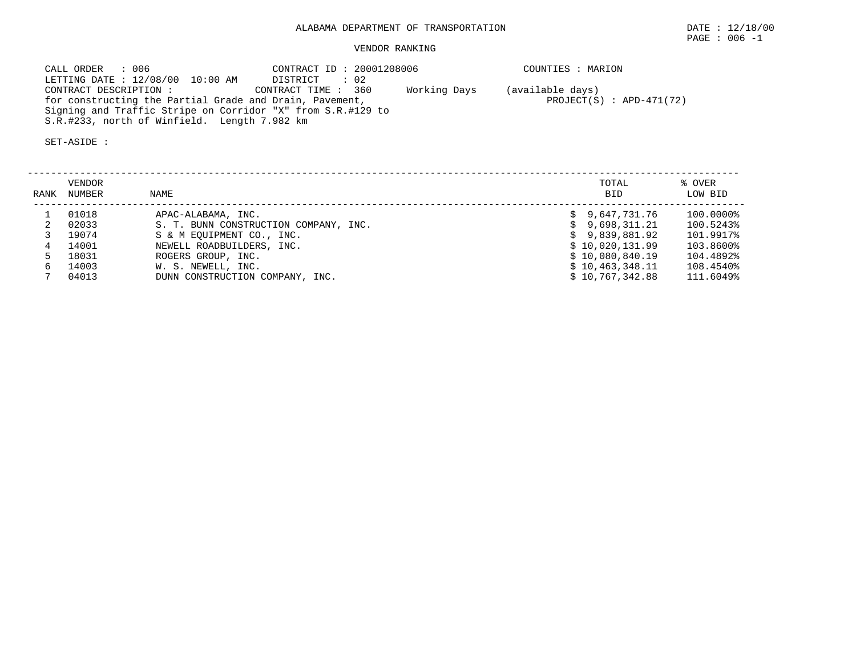# VENDOR RANKING

 CALL ORDER : 006 CONTRACT ID : 20001208006 COUNTIES : MARIONLETTING DATE : 12/08/00 10:00 AM DISTRICT : 02<br>CONTRACT DESCRIPTION : CONTRACT TIME : 360 CONTRACT TIME : 360 Working Days (available days) for constructing the Partial Grade and Drain, Pavement, The PROJECT(S) : APD-471(72) Signing and Traffic Stripe on Corridor "X" from S.R.#129 to S.R.#233, north of Winfield. Length 7.982 km

| RANK | VENDOR<br>NUMBER | NAME                                  | TOTAL<br><b>BID</b> | % OVER<br>LOW BID |
|------|------------------|---------------------------------------|---------------------|-------------------|
|      | 01018            | APAC-ALABAMA, INC.                    | \$9.647.731.76      | 100.0000%         |
|      | 02033            | S. T. BUNN CONSTRUCTION COMPANY, INC. | 9,698,311.21        | 100.5243%         |
|      | 19074            | S & M EOUIPMENT CO., INC.             | \$9,839,881.92      | 101.9917%         |
|      | 14001            | NEWELL ROADBUILDERS, INC.             | \$10.020.131.99     | 103.8600%         |
|      | 18031            | ROGERS GROUP, INC.                    | \$10,080,840.19     | 104.4892%         |
|      | 14003            | W. S. NEWELL, INC.                    | \$10,463,348.11     | 108.4540%         |
|      | 04013            | DUNN CONSTRUCTION COMPANY, INC.       | \$10,767,342.88     | 111.6049%         |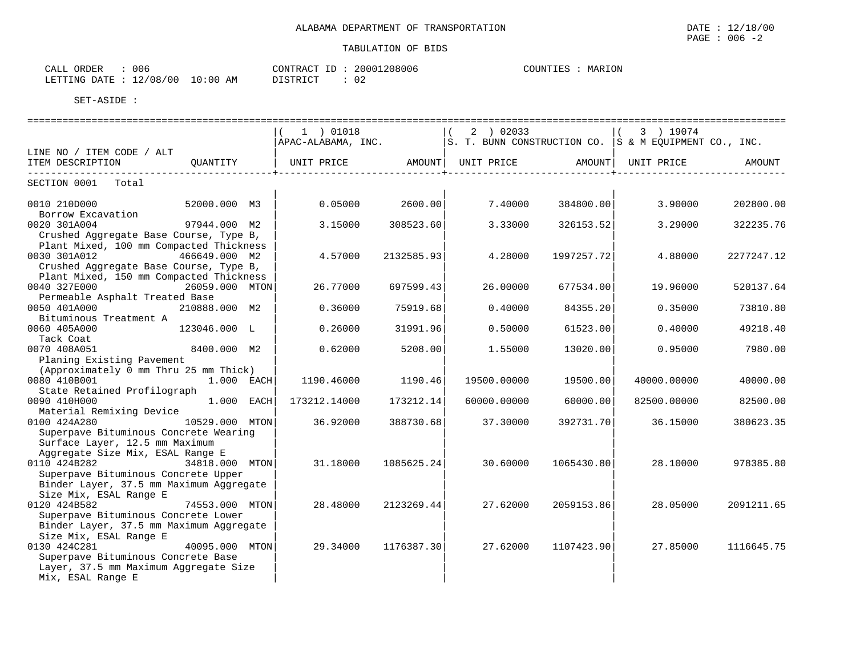| 006<br>CALL ORDER               | CONTRACT ID | 20001208006 | MARION<br>COUNTIES |
|---------------------------------|-------------|-------------|--------------------|
| LETTING DATE: 12/08/00 10:00 AM | DISTRICT    | 02          |                    |

|                                          |                | 1 ) 01018                                        |            | 2 ) 02033<br>$\vert$ (    |            | 3 ) 19074                                                                           |            |
|------------------------------------------|----------------|--------------------------------------------------|------------|---------------------------|------------|-------------------------------------------------------------------------------------|------------|
|                                          |                |                                                  |            |                           |            | $ $ APAC-ALABAMA, INC. $ S. T. BUNN$ CONSTRUCTION CO. $ S \& M EQUIPMENT$ CO., INC. |            |
| LINE NO / ITEM CODE / ALT                |                |                                                  |            |                           |            |                                                                                     |            |
| ITEM DESCRIPTION                         | OUANTITY       | UNIT PRICE AMOUNT  UNIT PRICE AMOUNT  UNIT PRICE |            |                           |            |                                                                                     | AMOUNT     |
| SECTION 0001 Total                       |                |                                                  |            | _________________________ |            |                                                                                     |            |
|                                          |                |                                                  |            |                           |            |                                                                                     |            |
| 0010 210D000<br>Borrow Excavation        | 52000.000 M3   | 0.05000                                          | 2600.00    | 7.40000                   | 384800.00  | 3.90000                                                                             | 202800.00  |
| 0020 301A004                             | 97944.000 M2   | 3.15000                                          | 308523.60  | 3.33000                   | 326153.52  | 3.29000                                                                             | 322235.76  |
| Crushed Aggregate Base Course, Type B,   |                |                                                  |            |                           |            |                                                                                     |            |
| Plant Mixed, 100 mm Compacted Thickness  |                |                                                  |            |                           |            |                                                                                     |            |
| 0030 301A012                             | 466649.000 M2  | 4.57000                                          | 2132585.93 | 4.28000                   | 1997257.72 | 4.88000                                                                             | 2277247.12 |
| Crushed Aggregate Base Course, Type B,   |                |                                                  |            |                           |            |                                                                                     |            |
| Plant Mixed, 150 mm Compacted Thickness  |                |                                                  |            |                           |            |                                                                                     |            |
| 0040 327E000                             | 26059.000 MTON | 26.77000                                         | 697599.43  | 26.00000                  | 677534.00  | 19.96000                                                                            | 520137.64  |
| Permeable Asphalt Treated Base           |                |                                                  |            |                           |            |                                                                                     |            |
| 0050 401A000                             | 210888.000 M2  | 0.36000                                          | 75919.68   | 0.40000                   | 84355.20   | 0.35000                                                                             | 73810.80   |
| Bituminous Treatment A                   |                |                                                  |            |                           |            |                                                                                     |            |
| 0060 405A000                             | 123046.000 L   | 0.26000                                          | 31991.96   | 0.50000                   | 61523.00   | 0.40000                                                                             | 49218.40   |
| Tack Coat                                |                |                                                  |            |                           |            |                                                                                     |            |
| 0070 408A051                             | 8400.000 M2    | 0.62000                                          | 5208.00    | 1.55000                   | 13020.00   | 0.95000                                                                             | 7980.00    |
| Planing Existing Pavement                |                |                                                  |            |                           |            |                                                                                     |            |
| (Approximately 0 mm Thru 25 mm Thick)    |                |                                                  |            |                           |            |                                                                                     |            |
| 0080 410B001                             | $1.000$ EACH   | 1190.46000                                       | 1190.46    | 19500.00000               | 19500.00   | 40000.00000                                                                         | 40000.00   |
| State Retained Profilograph              |                |                                                  |            |                           |            |                                                                                     |            |
| 0090 410H000                             | $1.000$ EACH   | 173212.14000                                     | 173212.14  | 60000.00000               | 60000.00   | 82500.00000                                                                         | 82500.00   |
| Material Remixing Device<br>0100 424A280 | 10529.000 MTON | 36.92000                                         | 388730.68  | 37.30000                  | 392731.70  | 36.15000                                                                            | 380623.35  |
| Superpave Bituminous Concrete Wearing    |                |                                                  |            |                           |            |                                                                                     |            |
| Surface Layer, 12.5 mm Maximum           |                |                                                  |            |                           |            |                                                                                     |            |
| Aggregate Size Mix, ESAL Range E         |                |                                                  |            |                           |            |                                                                                     |            |
| 0110 424B282                             | 34818.000 MTON | 31.18000                                         | 1085625.24 | 30.60000                  | 1065430.80 | 28.10000                                                                            | 978385.80  |
| Superpave Bituminous Concrete Upper      |                |                                                  |            |                           |            |                                                                                     |            |
| Binder Layer, 37.5 mm Maximum Aggregate  |                |                                                  |            |                           |            |                                                                                     |            |
| Size Mix, ESAL Range E                   |                |                                                  |            |                           |            |                                                                                     |            |
| 0120 424B582                             | 74553.000 MTON | 28.48000                                         | 2123269.44 | 27.62000                  | 2059153.86 | 28.05000                                                                            | 2091211.65 |
| Superpave Bituminous Concrete Lower      |                |                                                  |            |                           |            |                                                                                     |            |
| Binder Layer, 37.5 mm Maximum Aggregate  |                |                                                  |            |                           |            |                                                                                     |            |
| Size Mix, ESAL Range E                   |                |                                                  |            |                           |            |                                                                                     |            |
| 0130 424C281                             | 40095.000 MTON | 29.34000                                         | 1176387.30 | 27.62000                  | 1107423.90 | 27.85000                                                                            | 1116645.75 |
| Superpave Bituminous Concrete Base       |                |                                                  |            |                           |            |                                                                                     |            |
| Layer, 37.5 mm Maximum Aggregate Size    |                |                                                  |            |                           |            |                                                                                     |            |
| Mix, ESAL Range E                        |                |                                                  |            |                           |            |                                                                                     |            |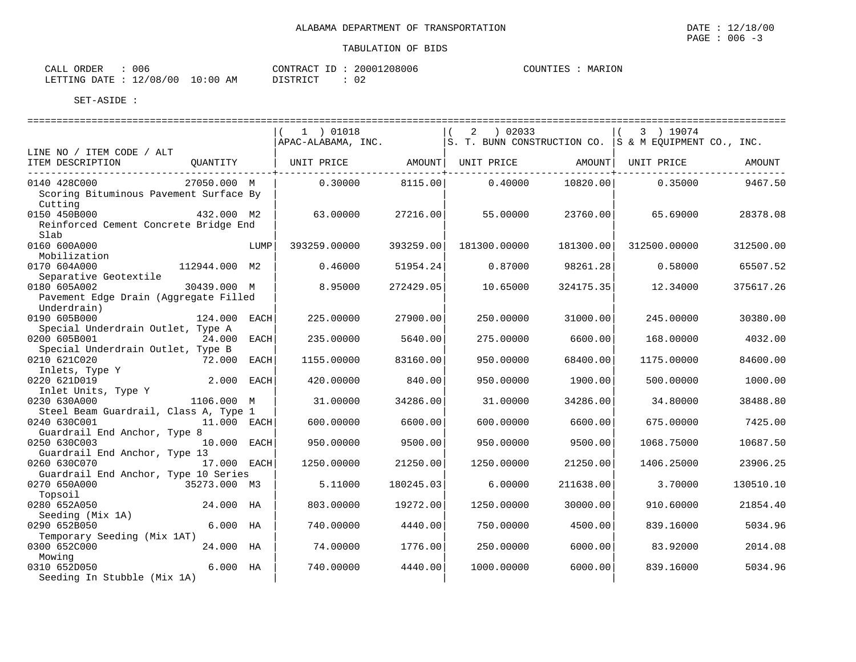| : 006<br>CALL ORDER              |          | CONTRACT ID: 20001208006 | COUNTIES : MARION |
|----------------------------------|----------|--------------------------|-------------------|
| LETTING DATE : 12/08/00 10:00 AM | DISTRICT | : 02                     |                   |

|                                                                          |               |      | 1 ) 01018<br>APAC-ALABAMA, INC. |           | 02033<br>2<br>$ S. T. BUNN CONSTRUCTION CO.  S & M EOUTAMENT CO. JINC.$ |           | 3 ) 19074    |           |
|--------------------------------------------------------------------------|---------------|------|---------------------------------|-----------|-------------------------------------------------------------------------|-----------|--------------|-----------|
| LINE NO / ITEM CODE / ALT                                                |               |      |                                 |           |                                                                         |           |              |           |
| ITEM DESCRIPTION                                                         | OUANTITY      |      |                                 |           |                                                                         |           | UNIT PRICE   | AMOUNT    |
| 0140 428C000<br>Scoring Bituminous Pavement Surface By                   | 27050.000 M   |      | 0.30000                         | 8115.00   | 0.40000                                                                 | 10820.00  | 0.35000      | 9467.50   |
| Cutting<br>0150 450B000<br>Reinforced Cement Concrete Bridge End<br>Slab | 432.000 M2    |      | 63.00000                        | 27216.00  | 55.00000                                                                | 23760.00  | 65.69000     | 28378.08  |
| 0160 600A000<br>Mobilization                                             |               | LUMP | 393259.00000                    | 393259.00 | 181300.00000                                                            | 181300.00 | 312500.00000 | 312500.00 |
| 0170 604A000<br>Separative Geotextile                                    | 112944.000 M2 |      | 0.46000                         | 51954.24  | 0.87000                                                                 | 98261.28  | 0.58000      | 65507.52  |
| 0180 605A002<br>Pavement Edge Drain (Aggregate Filled<br>Underdrain)     | 30439.000 M   |      | 8.95000                         | 272429.05 | 10.65000                                                                | 324175.35 | 12.34000     | 375617.26 |
| 0190 605B000<br>Special Underdrain Outlet, Type A                        | 124.000 EACH  |      | 225,00000                       | 27900.00  | 250.00000                                                               | 31000.00  | 245.00000    | 30380.00  |
| 0200 605B001<br>Special Underdrain Outlet, Type B                        | 24.000 EACH   |      | 235.00000                       | 5640.00   | 275.00000                                                               | 6600.00   | 168.00000    | 4032.00   |
| 0210 621C020<br>Inlets, Type Y                                           | 72.000        | EACH | 1155.00000                      | 83160.00  | 950.00000                                                               | 68400.00  | 1175.00000   | 84600.00  |
| 0220 621D019<br>Inlet Units, Type Y                                      | 2.000 EACH    |      | 420.00000                       | 840.00    | 950.00000                                                               | 1900.00   | 500,00000    | 1000.00   |
| 0230 630A000<br>Steel Beam Guardrail, Class A, Type 1                    | 1106.000 M    |      | 31.00000                        | 34286.00  | 31.00000                                                                | 34286.00  | 34.80000     | 38488.80  |
| 0240 630C001<br>Guardrail End Anchor, Type 8                             | 11.000 EACH   |      | 600,00000                       | 6600.00   | 600,00000                                                               | 6600.00   | 675,00000    | 7425.00   |
| 0250 630C003<br>Guardrail End Anchor, Type 13                            | 10.000 EACH   |      | 950.00000                       | 9500.00   | 950.00000                                                               | 9500.00   | 1068.75000   | 10687.50  |
| 0260 630C070<br>Guardrail End Anchor, Type 10 Series                     | 17.000 EACH   |      | 1250.00000                      | 21250.00  | 1250.00000                                                              | 21250.00  | 1406.25000   | 23906.25  |
| 0270 650A000<br>Topsoil                                                  | 35273.000 M3  |      | 5.11000                         | 180245.03 | 6.00000                                                                 | 211638.00 | 3.70000      | 130510.10 |
| 0280 652A050<br>Seeding (Mix 1A)                                         | 24.000 HA     |      | 803.00000                       | 19272.00  | 1250.00000                                                              | 30000.00  | 910.60000    | 21854.40  |
| 0290 652B050<br>Temporary Seeding (Mix 1AT)                              | $6.000$ HA    |      | 740.00000                       | 4440.00   | 750.00000                                                               | 4500.00   | 839.16000    | 5034.96   |
| 0300 652C000<br>Mowing                                                   | 24.000 HA     |      | 74.00000                        | 1776.00   | 250.00000                                                               | 6000.00   | 83.92000     | 2014.08   |
| 0310 652D050<br>Seeding In Stubble (Mix 1A)                              | $6.000$ HA    |      | 740.00000                       | 4440.00   | 1000.00000                                                              | 6000.00   | 839.16000    | 5034.96   |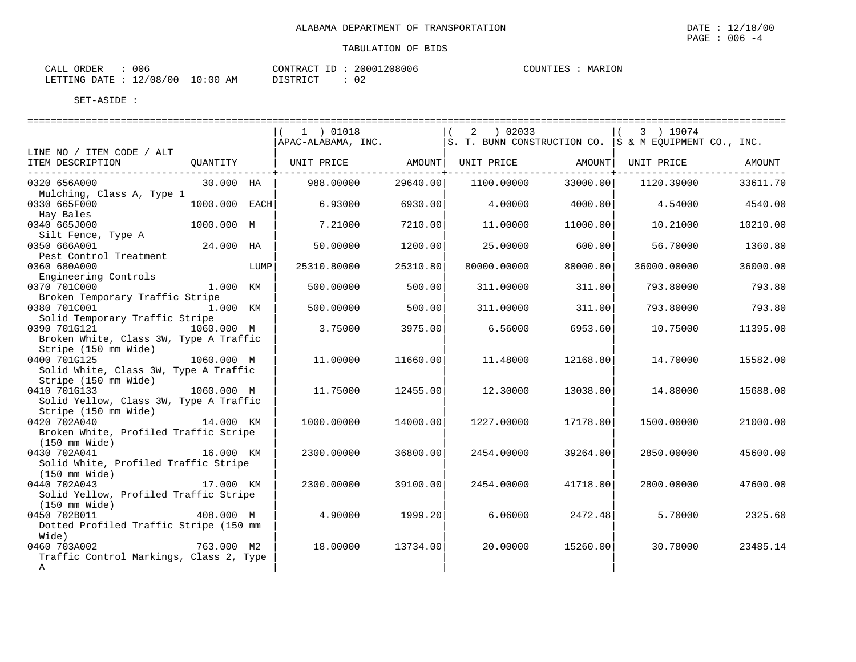CALL ORDER : 006 CONTRACT ID : 20001208006 COUNTIES : MARION LETTING DATE : 12/08/00 10:00 AM DISTRICT : 02

|                                                                |                      |      | ==========================<br>1 ) 01018<br>$\overrightarrow{APAC}$ -ALABAMA, INC. $\overrightarrow{S}$ . T. BUNN CONSTRUCTION CO. $\overrightarrow{S}$ & M EQUIPMENT CO., INC. |                                     | $(2)$ 02033 |                   | $(3)$ 19074 |          |
|----------------------------------------------------------------|----------------------|------|--------------------------------------------------------------------------------------------------------------------------------------------------------------------------------|-------------------------------------|-------------|-------------------|-------------|----------|
| LINE NO / ITEM CODE / ALT                                      |                      |      |                                                                                                                                                                                |                                     |             |                   |             |          |
| ITEM DESCRIPTION                                               |                      |      | QUANTITY   UNIT PRICE         AMOUNT  UNIT PRICE         AMOUNT  UNIT PRICE                                                                                                    | . _ _ _ _ _ _ _ _ _ _ _ _ _ _ _ _ _ |             | ---------------+- |             | AMOUNT   |
| 0320 656A000                                                   | 30.000 HA            |      | 988.00000                                                                                                                                                                      | 29640.00                            | 1100.00000  | 33000.00          | 1120.39000  | 33611.70 |
| Mulching, Class A, Type 1<br>0330 665F000                      | $1000.000$ EACH      |      | 6.93000                                                                                                                                                                        | 6930.00                             | 4.00000     | 4000.001          | 4.54000     | 4540.00  |
| Hay Bales<br>0340 665J000                                      | 1000.000 M           |      | 7.21000                                                                                                                                                                        | 7210.00                             | 11.00000    | 11000.00          | 10.21000    | 10210.00 |
| Silt Fence, Type A<br>0350 666A001                             | 24.000 HA            |      | 50.00000                                                                                                                                                                       | 1200.00                             | 25.00000    | 600.001           | 56.70000    | 1360.80  |
| Pest Control Treatment<br>0360 680A000                         |                      | LUMP | 25310.80000                                                                                                                                                                    | 25310.80                            | 80000.00000 | 80000.00          | 36000.00000 | 36000.00 |
| Engineering Controls<br>0370 701C000                           | 1.000 KM             |      | 500.00000                                                                                                                                                                      | 500.00                              | 311.00000   | 311.00            | 793.80000   | 793.80   |
| Broken Temporary Traffic Stripe<br>0380 701C001                | 1.000 KM             |      | 500.00000                                                                                                                                                                      | 500.00                              | 311.00000   | 311.00            | 793.80000   | 793.80   |
| Solid Temporary Traffic Stripe<br>0390 701G121                 | 1060.000 M           |      | 3.75000                                                                                                                                                                        | 3975.00                             | 6.56000     | 6953.60           | 10.75000    | 11395.00 |
| Broken White, Class 3W, Type A Traffic<br>Stripe (150 mm Wide) |                      |      |                                                                                                                                                                                |                                     |             |                   |             |          |
| 0400 701G125<br>Solid White, Class 3W, Type A Traffic          | 1060.000 M           |      | 11,00000                                                                                                                                                                       | 11660.00                            | 11.48000    | 12168.80          | 14.70000    | 15582.00 |
| Stripe (150 mm Wide)<br>0410 701G133                           | $1060.000 \text{ M}$ |      | 11.75000                                                                                                                                                                       | 12455.00                            | 12.30000    | 13038.00          | 14.80000    | 15688.00 |
| Solid Yellow, Class 3W, Type A Traffic                         |                      |      |                                                                                                                                                                                |                                     |             |                   |             |          |
| Stripe (150 mm Wide)<br>0420 702A040                           | 14.000 KM            |      | 1000.00000                                                                                                                                                                     | 14000.00                            | 1227.00000  | 17178.00          | 1500.00000  | 21000.00 |
| Broken White, Profiled Traffic Stripe<br>(150 mm Wide)         |                      |      |                                                                                                                                                                                |                                     |             |                   |             |          |
| 0430 702A041<br>Solid White, Profiled Traffic Stripe           | 16.000 KM            |      | 2300.00000                                                                                                                                                                     | 36800.00                            | 2454.00000  | 39264.00          | 2850.00000  | 45600.00 |
| $(150 \text{ mm Wide})$<br>0440 702A043                        | 17.000 KM            |      | 2300.00000                                                                                                                                                                     | 39100.00                            | 2454.00000  | 41718.00          | 2800,00000  | 47600.00 |
| Solid Yellow, Profiled Traffic Stripe<br>(150 mm Wide)         |                      |      |                                                                                                                                                                                |                                     |             |                   |             |          |
| 0450 702B011<br>Dotted Profiled Traffic Stripe (150 mm         | 408.000 M            |      | 4.90000                                                                                                                                                                        | 1999.20                             | 6.06000     | 2472.48           | 5.70000     | 2325.60  |
| Wide)<br>0460 703A002                                          | 763.000 M2           |      | 18.00000                                                                                                                                                                       | 13734.00                            | 20.00000    | 15260.00          | 30.78000    | 23485.14 |
| Traffic Control Markings, Class 2, Type<br>$\mathbb A$         |                      |      |                                                                                                                                                                                |                                     |             |                   |             |          |
|                                                                |                      |      |                                                                                                                                                                                |                                     |             |                   |             |          |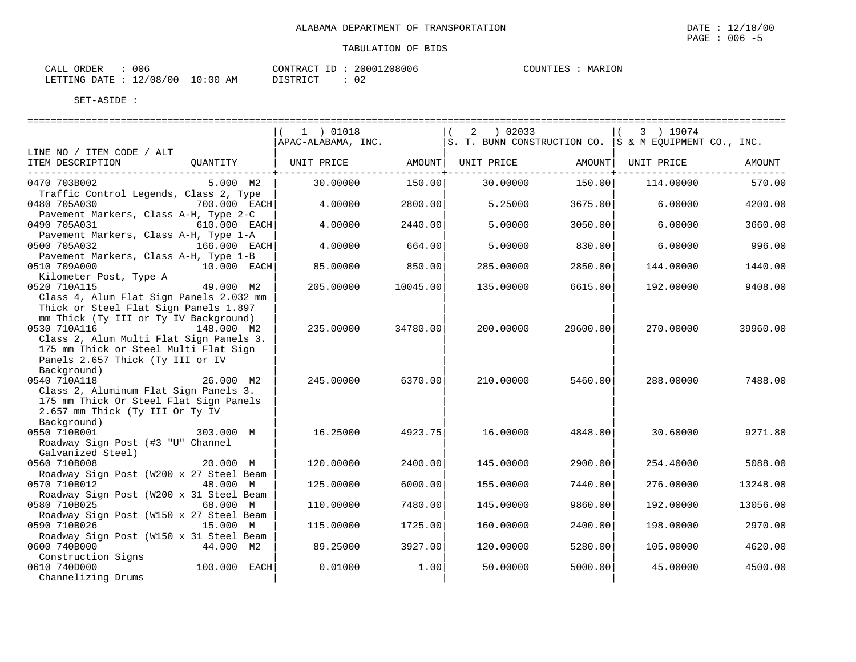| T <sub>D</sub><br>TONTRACT<br>- 11 | 20001208006 | COUNTIES | MARION |  |
|------------------------------------|-------------|----------|--------|--|

CALL ORDER : 006 LETTING DATE : 12/08/00 10:00 AM DISTRICT : 02

|                                                                                                                                                   |                | 1 ) 01018          |            | 02033<br>2                                               |                        | 3 ) 19074  |          |
|---------------------------------------------------------------------------------------------------------------------------------------------------|----------------|--------------------|------------|----------------------------------------------------------|------------------------|------------|----------|
|                                                                                                                                                   |                | APAC-ALABAMA, INC. |            | $ S. T. BUNN CONSTRUCTION CO. S & M EQUIPMENT CO., INC.$ |                        |            |          |
| LINE NO / ITEM CODE / ALT<br>ITEM DESCRIPTION                                                                                                     | OUANTITY       | UNIT PRICE         | ---------+ | AMOUNT   UNIT PRICE                                      | AMOUNT  <br>---------+ | UNIT PRICE | AMOUNT   |
| 0470 703B002<br>Traffic Control Legends, Class 2, Type                                                                                            | 5.000 M2       | 30,00000           | 150.00     | 30,00000                                                 | 150.00                 | 114.00000  | 570.00   |
| 0480 705A030<br>Pavement Markers, Class A-H, Type 2-C                                                                                             | 700.000 EACH   | 4.00000            | 2800.00    | 5.25000                                                  | 3675.00                | 6,00000    | 4200.00  |
| 0490 705A031<br>Pavement Markers, Class A-H, Type 1-A                                                                                             | 610.000 EACH   | 4.00000            | 2440.00    | 5.00000                                                  | 3050.00                | 6,00000    | 3660.00  |
| 0500 705A032<br>Pavement Markers, Class A-H, Type 1-B                                                                                             | 166.000 EACH   | 4.00000            | 664.00     | 5.00000                                                  | 830.00                 | 6.00000    | 996.00   |
| 0510 709A000<br>Kilometer Post, Type A                                                                                                            | 10.000 EACH    | 85.00000           | 850.00     | 285.00000                                                | 2850.00                | 144.00000  | 1440.00  |
| 0520 710A115                                                                                                                                      | 49.000 M2      | 205.00000          | 10045.00   | 135.00000                                                | 6615.00                | 192.00000  | 9408.00  |
| Class 4, Alum Flat Sign Panels 2.032 mm<br>Thick or Steel Flat Sign Panels 1.897<br>mm Thick (Ty III or Ty IV Background)<br>0530 710A116         | 148.000 M2     | 235.00000          | 34780.00   | 200.00000                                                | 29600.00               | 270.00000  | 39960.00 |
| Class 2, Alum Multi Flat Sign Panels 3.<br>175 mm Thick or Steel Multi Flat Sign<br>Panels 2.657 Thick (Ty III or IV<br>Background)               |                |                    |            |                                                          |                        |            |          |
| 0540 710A118<br>Class 2, Aluminum Flat Sign Panels 3.<br>175 mm Thick Or Steel Flat Sign Panels<br>2.657 mm Thick (Ty III Or Ty IV<br>Background) | 26.000 M2      | 245.00000          | 6370.00    | 210.00000                                                | 5460.00                | 288.00000  | 7488.00  |
| 0550 710B001<br>Roadway Sign Post (#3 "U" Channel<br>Galvanized Steel)                                                                            | 303.000 M      | 16.25000           | 4923.75    | 16.00000                                                 | 4848.00                | 30.60000   | 9271.80  |
| 0560 710B008<br>Roadway Sign Post (W200 x 27 Steel Beam                                                                                           | 20.000 M       | 120.00000          | 2400.00    | 145.00000                                                | 2900.00                | 254.40000  | 5088.00  |
| 0570 710B012<br>Roadway Sign Post (W200 x 31 Steel Beam                                                                                           | 48.000 M       | 125.00000          | 6000.00    | 155.00000                                                | 7440.00                | 276.00000  | 13248.00 |
| 0580 710B025<br>Roadway Sign Post (W150 x 27 Steel Beam                                                                                           | 68.000 M       | 110.00000          | 7480.00    | 145.00000                                                | 9860.00                | 192.00000  | 13056.00 |
| 0590 710B026                                                                                                                                      | 15.000 M       | 115.00000          | 1725.00    | 160.00000                                                | 2400.00                | 198.00000  | 2970.00  |
| Roadway Sign Post (W150 x 31 Steel Beam<br>0600 740B000                                                                                           | 44.000 M2      | 89.25000           | 3927.00    | 120.00000                                                | 5280.00                | 105.00000  | 4620.00  |
| Construction Signs<br>0610 740D000<br>Channelizing Drums                                                                                          | $100.000$ EACH | 0.01000            | 1.00       | 50.00000                                                 | 5000.00                | 45.00000   | 4500.00  |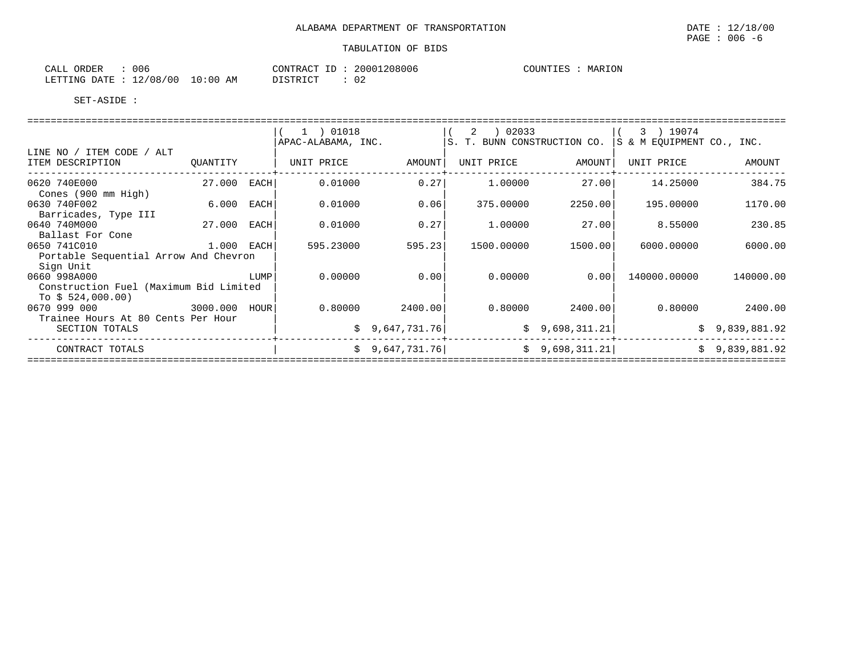| 006<br>PAGE<br>$-b$<br>╰ |
|--------------------------|
| TARIILATION OF RIDS      |

| 006<br>ORDER<br>CALI                    |             | CONTRACT<br>$\tau$ $\tau$ | 20001208006 | <b>\RION</b><br>COUNTIES<br>MAR |
|-----------------------------------------|-------------|---------------------------|-------------|---------------------------------|
| 12/08/<br>100<br><b>DATE</b><br>LETTING | 10:00<br>AM | DIAMPIAM<br>ノエレエルエレエ      | 02          |                                 |

|                                                                         |               |      | 1 ) 01018<br>APAC-ALABAMA, INC. |                 | 2   02033<br>S. T. BUNN CONSTRUCTION CO. |                | 3 ) 19074<br>S & M EQUIPMENT CO., INC. |                |
|-------------------------------------------------------------------------|---------------|------|---------------------------------|-----------------|------------------------------------------|----------------|----------------------------------------|----------------|
| LINE NO / ITEM CODE / ALT<br>ITEM DESCRIPTION                           | OUANTITY      |      | UNIT PRICE                      | AMOUNT          | UNIT PRICE                               | AMOUNT         | UNIT PRICE                             | AMOUNT         |
| 0620 740E000<br>Cones (900 mm High)                                     | 27.000 EACH   |      | 0.01000                         | 0.27            | 1,00000                                  | 27.00          | 14.25000                               | 384.75         |
| 0630 740F002<br>Barricades, Type III                                    | 6.000         | EACH | 0.01000                         | 0.06            | 375.00000                                | 2250.00        | 195.00000                              | 1170.00        |
| 0640 740M000<br>Ballast For Cone                                        | 27.000        | EACH | 0.01000                         | 0.27            | 1,00000                                  | 27.00          | 8.55000                                | 230.85         |
| 0650 741C010<br>Portable Sequential Arrow And Chevron                   | $1.000$ EACH  |      | 595.23000                       | 595.23          | 1500.00000                               | 1500.00        | 6000.00000                             | 6000.00        |
| Sign Unit<br>0660 998A000<br>Construction Fuel (Maximum Bid Limited     |               | LUMP | 0.00000                         | 0.00            | 0.00000                                  | 0.00           | 140000.00000                           | 140000.00      |
| To $$524,000.00)$<br>0670 999 000<br>Trainee Hours At 80 Cents Per Hour | 3000.000 HOUR |      | 0.80000                         | 2400.00         | 0.80000                                  | 2400.001       | 0.80000                                | 2400.00        |
| SECTION TOTALS                                                          |               |      |                                 | \$9,647,731.76] |                                          | \$9,698,311.21 |                                        | \$9,839,881.92 |
| CONTRACT TOTALS                                                         |               |      |                                 | \$9,647,731.76] |                                          | \$9,698,311.21 |                                        | \$9,839,881.92 |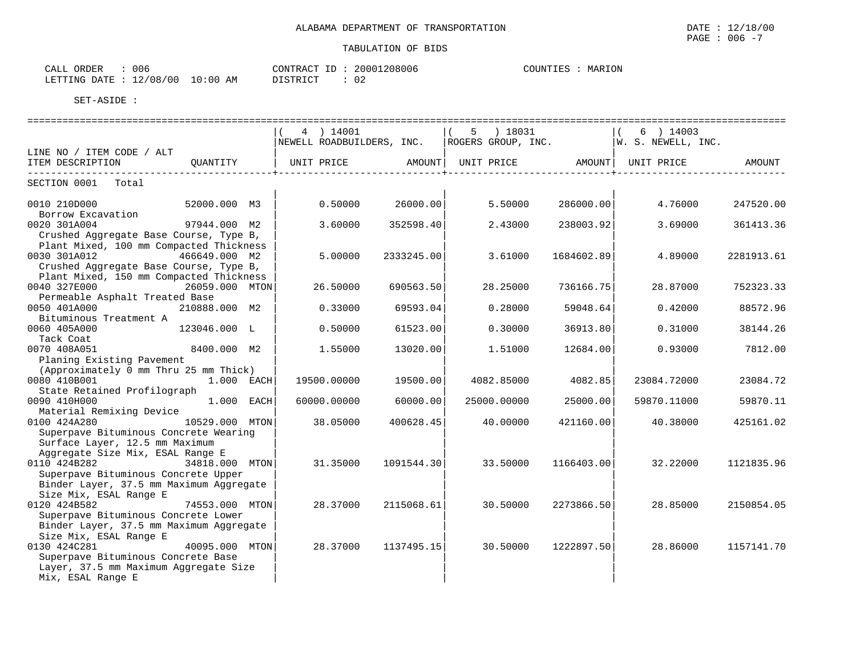CALL ORDER : 006 CONTRACT ID : 20001208006 COUNTIES : MARION LETTING DATE : 12/08/00 10:00 AM DISTRICT : 02

|                                         |                | 4 ) 14001   |                                           |             | 5 ) 18031  |            | $6$ ) 14003<br>$\vert$ (                |            |
|-----------------------------------------|----------------|-------------|-------------------------------------------|-------------|------------|------------|-----------------------------------------|------------|
|                                         |                |             | NEWELL ROADBUILDERS, INC.                 |             |            |            | ROGERS GROUP, INC.   W. S. NEWELL, INC. |            |
| LINE NO / ITEM CODE / ALT               |                |             |                                           |             |            |            |                                         |            |
| ITEM DESCRIPTION                        | OUANTITY       | UNIT PRICE  | AMOUNT   UNIT PRICE   AMOUNT   UNIT PRICE |             |            |            |                                         | AMOUNT     |
| -------------                           |                |             |                                           |             |            |            |                                         |            |
| SECTION 0001 Total                      |                |             |                                           |             |            |            |                                         |            |
| 0010 210D000                            | 52000.000 M3   | 0.50000     | 26000.00                                  |             | 5.50000    | 286000.00  | 4.76000                                 | 247520.00  |
| Borrow Excavation                       |                |             |                                           |             |            |            |                                         |            |
| 0020 301A004                            | 97944.000 M2   | 3.60000     | 352598.40                                 |             | 2.43000    | 238003.92  | 3.69000                                 | 361413.36  |
| Crushed Aggregate Base Course, Type B,  |                |             |                                           |             |            |            |                                         |            |
| Plant Mixed, 100 mm Compacted Thickness |                |             |                                           |             |            |            |                                         |            |
| 0030 301A012                            | 466649.000 M2  | 5.00000     | 2333245.00                                |             | 3.61000    | 1684602.89 | 4.89000                                 | 2281913.61 |
| Crushed Aggregate Base Course, Type B,  |                |             |                                           |             |            |            |                                         |            |
| Plant Mixed, 150 mm Compacted Thickness |                |             |                                           |             |            |            |                                         |            |
| 0040 327E000                            | 26059.000 MTON | 26.50000    | 690563.50                                 |             | 28.25000   | 736166.75  | 28.87000                                | 752323.33  |
| Permeable Asphalt Treated Base          |                |             |                                           |             |            |            |                                         |            |
| 0050 401A000                            | 210888.000 M2  | 0.33000     | 69593.04                                  |             | 0.28000    | 59048.64   | 0.42000                                 | 88572.96   |
| Bituminous Treatment A                  |                |             |                                           |             |            |            |                                         |            |
| 0060 405A000                            | 123046.000 L   | 0.50000     | 61523.00                                  |             | 0.30000    | 36913.80   | 0.31000                                 | 38144.26   |
| Tack Coat                               |                |             |                                           |             |            |            |                                         |            |
| 0070 408A051                            | 8400.000 M2    | 1.55000     | 13020.00                                  |             | 1,51000    | 12684.00   | 0.93000                                 | 7812.00    |
| Planing Existing Pavement               |                |             |                                           |             |            |            |                                         |            |
| (Approximately 0 mm Thru 25 mm Thick)   |                |             |                                           |             |            |            |                                         |            |
| 0080 410B001                            | 1.000 EACH     | 19500.00000 | 19500.00                                  |             | 4082.85000 | 4082.85    | 23084.72000                             | 23084.72   |
| State Retained Profilograph             |                |             |                                           |             |            |            |                                         |            |
| 0090 410H000                            | 1.000 EACH     | 60000.00000 | 60000.00                                  | 25000.00000 |            | 25000.00   | 59870.11000                             | 59870.11   |
| Material Remixing Device                |                |             |                                           |             |            |            |                                         |            |
| 0100 424A280                            | 10529.000 MTON | 38.05000    | 400628.45                                 |             | 40.00000   | 421160.00  | 40.38000                                | 425161.02  |
| Superpave Bituminous Concrete Wearing   |                |             |                                           |             |            |            |                                         |            |
| Surface Layer, 12.5 mm Maximum          |                |             |                                           |             |            |            |                                         |            |
| Aggregate Size Mix, ESAL Range E        |                |             |                                           |             |            |            |                                         |            |
| 0110 424B282                            | 34818.000 MTON | 31.35000    | 1091544.30                                |             | 33.50000   | 1166403.00 | 32.22000                                | 1121835.96 |
| Superpave Bituminous Concrete Upper     |                |             |                                           |             |            |            |                                         |            |
| Binder Layer, 37.5 mm Maximum Aggregate |                |             |                                           |             |            |            |                                         |            |
| Size Mix, ESAL Range E                  |                |             |                                           |             |            |            |                                         |            |
| 0120 424B582                            | 74553.000 MTON | 28.37000    | 2115068.61                                |             | 30.50000   | 2273866.50 | 28.85000                                | 2150854.05 |
| Superpave Bituminous Concrete Lower     |                |             |                                           |             |            |            |                                         |            |
| Binder Layer, 37.5 mm Maximum Aggregate |                |             |                                           |             |            |            |                                         |            |
| Size Mix, ESAL Range E                  |                |             |                                           |             |            |            |                                         |            |
| 0130 424C281                            | 40095.000 MTON | 28.37000    | 1137495.15                                |             | 30.50000   | 1222897.50 | 28.86000                                | 1157141.70 |
| Superpave Bituminous Concrete Base      |                |             |                                           |             |            |            |                                         |            |
| Layer, 37.5 mm Maximum Aggregate Size   |                |             |                                           |             |            |            |                                         |            |
| Mix, ESAL Range E                       |                |             |                                           |             |            |            |                                         |            |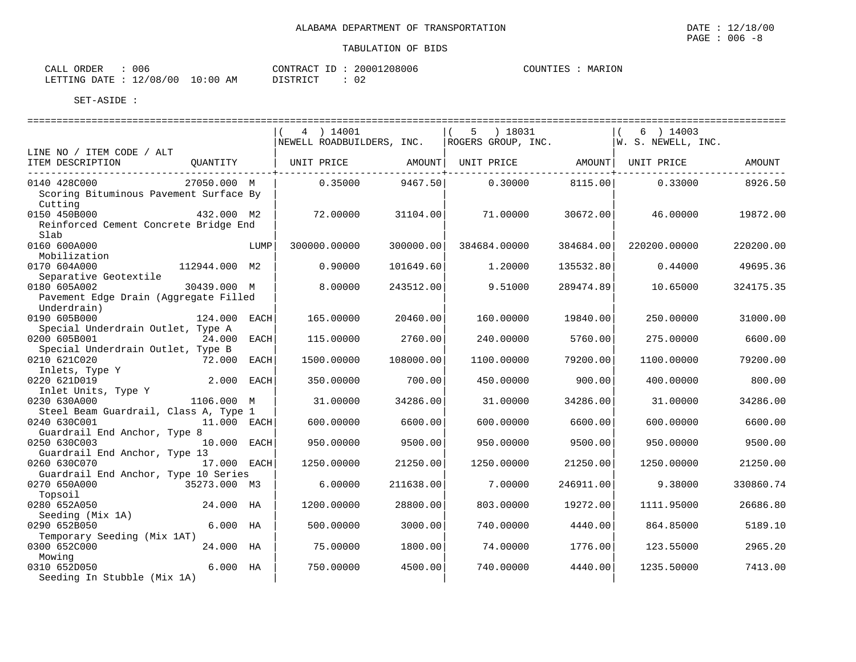| : 006<br>CALL ORDER              |          | CONTRACT ID: 20001208006 | COUNTIES : MARION |
|----------------------------------|----------|--------------------------|-------------------|
| LETTING DATE : 12/08/00 10:00 AM | DISTRICT |                          |                   |

|                                                                      |               |      | 4 ) 14001<br>NEWELL ROADBUILDERS, INC. |           | 5 ) 18031<br>ROGERS GROUP, INC. |           | 6 ) 14003<br> W. S. NEWELL, INC. |           |
|----------------------------------------------------------------------|---------------|------|----------------------------------------|-----------|---------------------------------|-----------|----------------------------------|-----------|
| LINE NO / ITEM CODE / ALT                                            |               |      |                                        |           |                                 |           |                                  |           |
| ITEM DESCRIPTION                                                     | OUANTITY      |      | UNIT PRICE AMOUNT                      |           | UNIT PRICE AMOUNT               |           | UNIT PRICE                       | AMOUNT    |
| 0140 428C000<br>Scoring Bituminous Pavement Surface By<br>Cutting    | 27050.000 M   |      | 0.35000                                | 9467.50   | 0.30000                         | 8115.00   | 0.33000                          | 8926.50   |
| 0150 450B000<br>Reinforced Cement Concrete Bridge End<br>Slab        | 432.000 M2    |      | 72.00000                               | 31104.00  | 71.00000                        | 30672.00  | 46.00000                         | 19872.00  |
| 0160 600A000<br>Mobilization                                         |               | LUMP | 300000.00000                           | 300000.00 | 384684.00000                    | 384684.00 | 220200.00000                     | 220200.00 |
| 0170 604A000<br>Separative Geotextile                                | 112944.000 M2 |      | 0.90000                                | 101649.60 | 1,20000                         | 135532.80 | 0.44000                          | 49695.36  |
| 0180 605A002<br>Pavement Edge Drain (Aggregate Filled<br>Underdrain) | 30439.000 M   |      | 8.00000                                | 243512.00 | 9.51000                         | 289474.89 | 10.65000                         | 324175.35 |
| 0190 605B000<br>Special Underdrain Outlet, Type A                    | 124.000 EACH  |      | 165.00000                              | 20460.00  | 160,00000                       | 19840.00  | 250.00000                        | 31000.00  |
| 0200 605B001<br>Special Underdrain Outlet, Type B                    | 24.000 EACH   |      | 115.00000                              | 2760.00   | 240.00000                       | 5760.00   | 275.00000                        | 6600.00   |
| 0210 621C020<br>Inlets, Type Y                                       | 72.000        | EACH | 1500.00000                             | 108000.00 | 1100.00000                      | 79200.00  | 1100.00000                       | 79200.00  |
| 0220 621D019<br>Inlet Units, Type Y                                  | 2.000 EACH    |      | 350.00000                              | 700.00    | 450.00000                       | 900.00    | 400.00000                        | 800.00    |
| 0230 630A000<br>Steel Beam Guardrail, Class A, Type 1                | 1106.000 M    |      | 31.00000                               | 34286.00  | 31.00000                        | 34286.00  | 31.00000                         | 34286.00  |
| 0240 630C001<br>Guardrail End Anchor, Type 8                         | 11.000 EACH   |      | 600.00000                              | 6600.00   | 600.00000                       | 6600.00   | 600.00000                        | 6600.00   |
| 0250 630C003<br>Guardrail End Anchor, Type 13                        | 10.000 EACH   |      | 950.00000                              | 9500.00   | 950.00000                       | 9500.00   | 950.00000                        | 9500.00   |
| 0260 630C070<br>Guardrail End Anchor, Type 10 Series                 | 17.000 EACH   |      | 1250.00000                             | 21250.00  | 1250.00000                      | 21250.00  | 1250.00000                       | 21250.00  |
| 0270 650A000<br>Topsoil                                              | 35273.000 M3  |      | 6.00000                                | 211638.00 | 7.00000                         | 246911.00 | 9.38000                          | 330860.74 |
| 0280 652A050<br>Seeding (Mix 1A)                                     | 24.000 HA     |      | 1200.00000                             | 28800.00  | 803.00000                       | 19272.00  | 1111.95000                       | 26686.80  |
| 0290 652B050<br>Temporary Seeding (Mix 1AT)                          | $6.000$ HA    |      | 500.00000                              | 3000.00   | 740.00000                       | 4440.00   | 864.85000                        | 5189.10   |
| 0300 652C000<br>Mowing                                               | 24.000 HA     |      | 75.00000                               | 1800.00   | 74.00000                        | 1776.00   | 123.55000                        | 2965.20   |
| 0310 652D050<br>Seeding In Stubble (Mix 1A)                          | $6.000$ HA    |      | 750.00000                              | 4500.00   | 740.00000                       | 4440.00   | 1235.50000                       | 7413.00   |

 $\texttt{PAGE}$  : 006 -8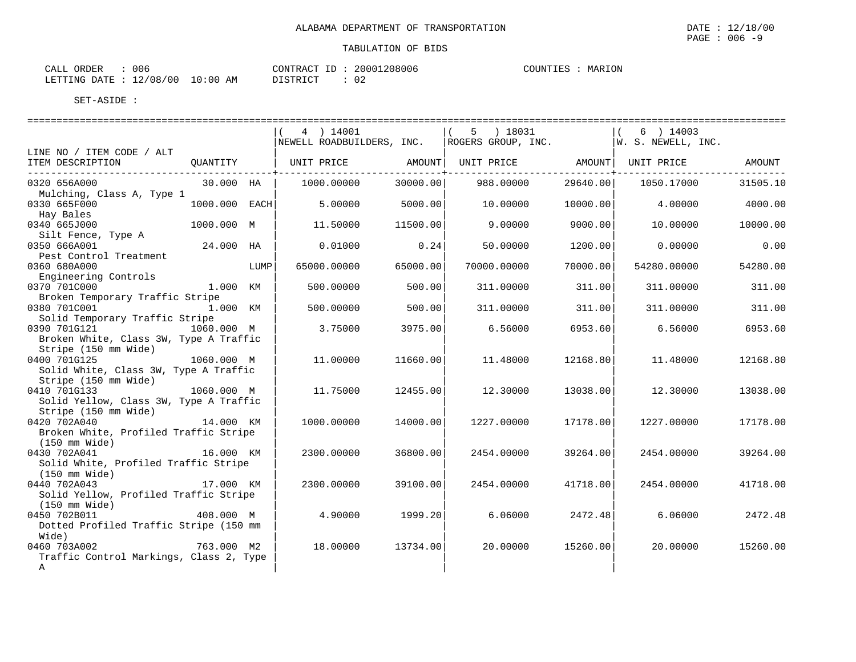| CALL ORDER                       | 006 |          |  | CONTRACT ID: 20001208006 | COUNTIES | MARION |
|----------------------------------|-----|----------|--|--------------------------|----------|--------|
| LETTING DATE : 12/08/00 10:00 AM |     | DISTRICT |  | ∩ ∩<br>∪∠                |          |        |

|                                                       |               |      | 4 ) 14001                     |          | 5 ) 18031                                             |          | 6 ) 14003<br>$\vert$ ( |          |
|-------------------------------------------------------|---------------|------|-------------------------------|----------|-------------------------------------------------------|----------|------------------------|----------|
|                                                       |               |      | NEWELL ROADBUILDERS, INC.     |          | $\vert$ ROGERS GROUP, INC. $\vert$ W. S. NEWELL, INC. |          |                        |          |
| LINE NO / ITEM CODE / ALT                             |               |      |                               |          |                                                       |          |                        |          |
| ITEM DESCRIPTION<br>_________________________________ | QUANTITY      |      | UNIT PRICE AMOUNT  UNIT PRICE |          |                                                       |          | AMOUNT   UNIT PRICE    | AMOUNT   |
| 0320 656A000                                          | 30.000 HA     |      | 1000.00000                    | 30000.00 | 988.00000                                             | 29640.00 | 1050.17000             | 31505.10 |
| Mulching, Class A, Type 1                             |               |      |                               |          |                                                       |          |                        |          |
| 0330 665F000                                          | 1000.000 EACH |      | 5.00000                       | 5000.00  | 10.00000                                              | 10000.00 | 4,00000                | 4000.00  |
| Hay Bales                                             |               |      |                               |          |                                                       |          |                        |          |
| 0340 665J000                                          | 1000.000 M    |      | 11.50000                      | 11500.00 | 9,00000                                               | 9000.00  | 10.00000               | 10000.00 |
| Silt Fence, Type A                                    |               |      |                               |          |                                                       |          |                        |          |
| 0350 666A001                                          | 24.000 HA     |      | 0.01000                       | 0.24     | 50.00000                                              | 1200.00  | 0.00000                | 0.00     |
| Pest Control Treatment                                |               |      |                               |          |                                                       |          |                        |          |
| 0360 680A000                                          |               | LUMP | 65000.00000                   | 65000.00 | 70000.00000                                           | 70000.00 | 54280.00000            | 54280.00 |
| Engineering Controls                                  |               |      |                               |          |                                                       |          |                        |          |
| 0370 701C000                                          | 1.000 KM      |      | 500.00000                     | 500.00   | 311.00000                                             | 311.00   | 311.00000              | 311.00   |
| Broken Temporary Traffic Stripe                       |               |      |                               |          |                                                       |          |                        |          |
| 0380 701C001                                          | 1.000 KM      |      | 500.00000                     | 500.00   | 311.00000                                             | 311.00   | 311,00000              | 311.00   |
| Solid Temporary Traffic Stripe                        |               |      |                               |          |                                                       |          |                        |          |
| 0390 701G121                                          | 1060.000 M    |      | 3.75000                       | 3975.00  | 6.56000                                               | 6953.60  | 6.56000                | 6953.60  |
| Broken White, Class 3W, Type A Traffic                |               |      |                               |          |                                                       |          |                        |          |
| Stripe (150 mm Wide)                                  |               |      |                               |          |                                                       |          |                        |          |
| 0400 701G125                                          | 1060.000 M    |      | 11,00000                      | 11660.00 | 11.48000                                              | 12168.80 | 11.48000               | 12168.80 |
| Solid White, Class 3W, Type A Traffic                 |               |      |                               |          |                                                       |          |                        |          |
| Stripe (150 mm Wide)                                  |               |      |                               |          |                                                       |          |                        |          |
| 0410 701G133                                          | 1060.000 M    |      | 11.75000                      | 12455.00 | 12.30000                                              | 13038.00 | 12.30000               | 13038.00 |
| Solid Yellow, Class 3W, Type A Traffic                |               |      |                               |          |                                                       |          |                        |          |
| Stripe (150 mm Wide)                                  |               |      |                               |          |                                                       |          |                        |          |
| 0420 702A040 14.000 KM                                |               |      | 1000.00000                    | 14000.00 | 1227.00000                                            | 17178.00 | 1227.00000             | 17178.00 |
| Broken White, Profiled Traffic Stripe                 |               |      |                               |          |                                                       |          |                        |          |
| (150 mm Wide)                                         |               |      |                               |          |                                                       |          |                        |          |
| 0430 702A041                                          | 16.000 KM     |      | 2300.00000                    | 36800.00 | 2454.00000                                            | 39264.00 | 2454.00000             | 39264.00 |
| Solid White, Profiled Traffic Stripe                  |               |      |                               |          |                                                       |          |                        |          |
| $(150 \text{ mm Wide})$                               |               |      |                               |          |                                                       |          |                        |          |
| 0440 702A043                                          | 17.000 KM     |      | 2300.00000                    | 39100.00 | 2454.00000                                            | 41718.00 | 2454.00000             | 41718.00 |
| Solid Yellow, Profiled Traffic Stripe                 |               |      |                               |          |                                                       |          |                        |          |
| $(150 \,$ mm $\,$ Wide $)$                            |               |      |                               |          |                                                       |          |                        |          |
| 0450 702B011                                          | 408.000 M     |      | 4.90000                       | 1999.20  | 6.06000                                               | 2472.48  | 6.06000                | 2472.48  |
| Dotted Profiled Traffic Stripe (150 mm                |               |      |                               |          |                                                       |          |                        |          |
| Wide)                                                 | 763.000 M2    |      | 18,00000                      |          |                                                       |          |                        |          |
| 0460 703A002                                          |               |      |                               | 13734.00 | 20.00000                                              | 15260.00 | 20,00000               | 15260.00 |
| Traffic Control Markings, Class 2, Type               |               |      |                               |          |                                                       |          |                        |          |
| Α                                                     |               |      |                               |          |                                                       |          |                        |          |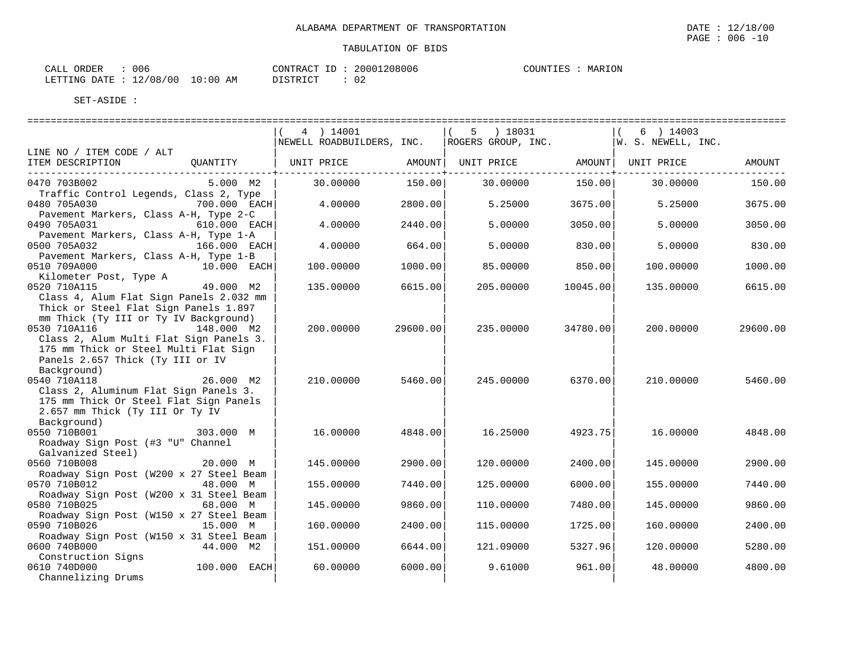| 006<br>ORDER<br>CALI     |                   | 20001208006<br>CONTRACT<br>$-$        | MARION<br>COUNTIES |
|--------------------------|-------------------|---------------------------------------|--------------------|
| 12/08/00<br>LETTING DATE | 10:00<br>AΜ<br>__ | $\sim$<br>T STR TOT<br>∪∠<br>-------- |                    |

|                                                                                                                                                     |                | 4 ) 14001<br>NEWELL ROADBUILDERS, INC. |               | 5<br>) 18031<br>ROGERS GROUP, INC. |                           | 6 ) 14003<br> W. S. NEWELL, INC. |          |
|-----------------------------------------------------------------------------------------------------------------------------------------------------|----------------|----------------------------------------|---------------|------------------------------------|---------------------------|----------------------------------|----------|
| LINE NO / ITEM CODE / ALT                                                                                                                           |                |                                        |               |                                    |                           |                                  |          |
| ITEM DESCRIPTION                                                                                                                                    | OUANTITY       | UNIT PRICE AMOUNT UNIT PRICE           | ------------+ |                                    | AMOUNT  <br>------------+ | UNIT PRICE                       | AMOUNT   |
| 0470 703B002<br>Traffic Control Legends, Class 2, Type                                                                                              | $5.000$ M2     | 30.00000                               | 150.00        | 30.00000                           | 150.00                    | 30.00000                         | 150.00   |
| 0480 705A030<br>Pavement Markers, Class A-H, Type 2-C                                                                                               | $700.000$ EACH | 4.00000                                | 2800.00       | 5.25000                            | 3675.00                   | 5.25000                          | 3675.00  |
| 0490 705A031<br>Pavement Markers, Class A-H, Type 1-A                                                                                               | 610.000 EACH   | 4.00000                                | 2440.00       | 5.00000                            | 3050.00                   | 5.00000                          | 3050.00  |
| 0500 705A032<br>Pavement Markers, Class A-H, Type 1-B                                                                                               | $166.000$ EACH | 4.00000                                | 664.00        | 5.00000                            | 830.00                    | 5.00000                          | 830.00   |
| 0510 709A000<br>Kilometer Post, Type A                                                                                                              | 10.000 EACH    | 100.00000                              | 1000.00       | 85.00000                           | 850.00                    | 100.00000                        | 1000.00  |
| 0520 710A115<br>Class 4, Alum Flat Sign Panels 2.032 mm<br>Thick or Steel Flat Sign Panels 1.897<br>mm Thick (Ty III or Ty IV Background)           | 49.000 M2      | 135.00000                              | 6615.00       | 205,00000                          | 10045.00                  | 135.00000                        | 6615.00  |
| 0530 710A116<br>Class 2, Alum Multi Flat Sign Panels 3.<br>175 mm Thick or Steel Multi Flat Sign<br>Panels 2.657 Thick (Ty III or IV<br>Background) | 148.000 M2     | 200.00000                              | 29600.00      | 235.00000                          | 34780.00                  | 200.00000                        | 29600.00 |
| 0540 710A118<br>Class 2, Aluminum Flat Sign Panels 3.<br>175 mm Thick Or Steel Flat Sign Panels<br>2.657 mm Thick (Ty III Or Ty IV<br>Background)   | 26.000 M2      | 210.00000                              | 5460.00       | 245.00000                          | 6370.00                   | 210.00000                        | 5460.00  |
| 0550 710B001<br>Roadway Sign Post (#3 "U" Channel<br>Galvanized Steel)                                                                              | 303.000 M      | 16.00000                               | 4848.00       | 16.25000                           | 4923.75                   | 16.00000                         | 4848.00  |
| 0560 710B008<br>Roadway Sign Post (W200 x 27 Steel Beam                                                                                             | 20.000 M       | 145.00000                              | 2900.00       | 120.00000                          | 2400.00                   | 145.00000                        | 2900.00  |
| 0570 710B012<br>Roadway Sign Post (W200 x 31 Steel Beam                                                                                             | 48.000 M       | 155.00000                              | 7440.00       | 125.00000                          | 6000.00                   | 155.00000                        | 7440.00  |
| 0580 710B025<br>Roadway Sign Post (W150 x 27 Steel Beam                                                                                             | 68.000 M       | 145.00000                              | 9860.00       | 110.00000                          | 7480.00                   | 145.00000                        | 9860.00  |
| 0590 710B026<br>Roadway Sign Post (W150 x 31 Steel Beam                                                                                             | 15.000 M       | 160.00000                              | 2400.00       | 115.00000                          | 1725.00                   | 160.00000                        | 2400.00  |
| 0600 740B000                                                                                                                                        | 44.000 M2      | 151.00000                              | 6644.00       | 121.09000                          | 5327.96                   | 120.00000                        | 5280.00  |
| Construction Signs<br>0610 740D000<br>Channelizing Drums                                                                                            | $100.000$ EACH | 60.00000                               | 6000.00       | 9.61000                            | 961.00                    | 48.00000                         | 4800.00  |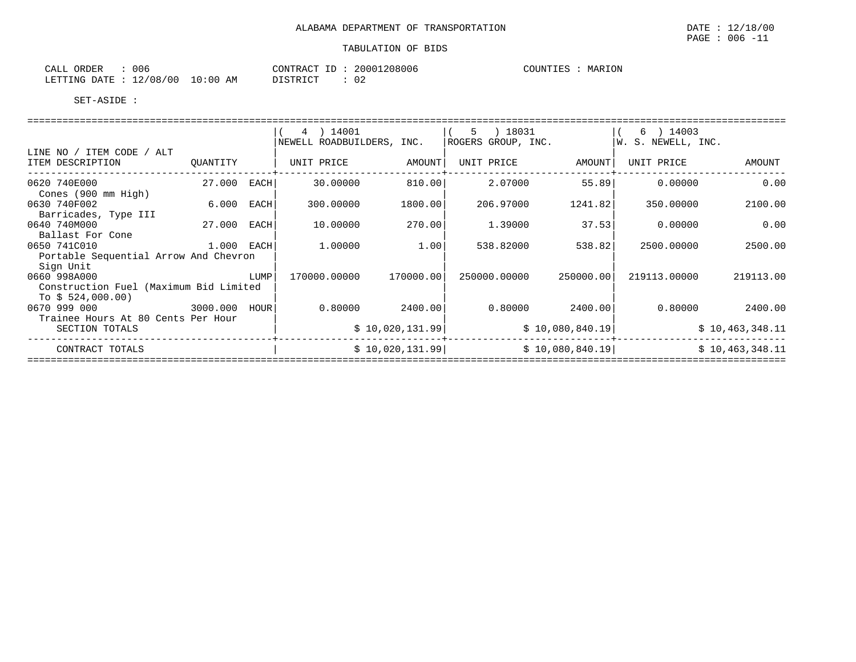| 006<br>ORDER<br>CALL        |            | CONTRACT ID | 20001208006 | MARION<br>COUNTIES |
|-----------------------------|------------|-------------|-------------|--------------------|
| 12/08/00<br>LETTING DATE: ' | $10:00$ AM | DISTRICT    | 02          |                    |

|                                                        |             |      | 4 ) 14001<br>NEWELL ROADBUILDERS, INC. |                 | ) 18031<br>5<br>ROGERS GROUP, INC. |                 | 6 ) 14003<br> W. S. NEWELL, INC. |                 |
|--------------------------------------------------------|-------------|------|----------------------------------------|-----------------|------------------------------------|-----------------|----------------------------------|-----------------|
| LINE NO / ITEM CODE / ALT<br>ITEM DESCRIPTION          | QUANTITY    |      | UNIT PRICE                             | AMOUNT          | UNIT PRICE                         | AMOUNT          | UNIT PRICE                       | AMOUNT          |
| 0620 740E000<br>Cones (900 mm High)                    | 27.000 EACH |      | 30.00000                               | 810.00          | 2.07000                            | 55.89           | 0.00000                          | 0.00            |
| 0630 740F002<br>Barricades, Type III                   | 6.000 EACH  |      | 300.00000                              | 1800.00         | 206.97000                          | 1241.82         | 350.00000                        | 2100.00         |
| 0640 740M000<br>Ballast For Cone                       | 27.000      | EACH | 10.00000                               | 270.00          | 1,39000                            | 37.53           | 0.00000                          | 0.00            |
| 0650 741C010                                           | 1.000 EACH  |      | 1.00000                                | 1.00            | 538.82000                          | 538.82          | 2500.00000                       | 2500.00         |
| Portable Sequential Arrow And Chevron<br>Sign Unit     |             |      |                                        |                 |                                    |                 |                                  |                 |
| 0660 998A000<br>Construction Fuel (Maximum Bid Limited |             | LUMP | 170000.00000                           | 170000.00       | 250000.00000                       | 250000.001      | 219113.00000                     | 219113.00       |
| To $$524,000.00)$<br>3000.000 HOUR<br>0670 999 000     |             |      | 0.80000                                | 2400.00         | 0.80000                            | 2400.00         | 0.80000                          | 2400.00         |
| Trainee Hours At 80 Cents Per Hour<br>SECTION TOTALS   |             |      |                                        | \$10,020,131.99 |                                    | \$10,080,840.19 |                                  | \$10,463,348.11 |
| CONTRACT TOTALS                                        |             |      |                                        | \$10,020,131.99 |                                    | \$10,080,840.19 |                                  | \$10,463,348.11 |
|                                                        |             |      |                                        |                 |                                    |                 |                                  |                 |

PAGE : 006 -11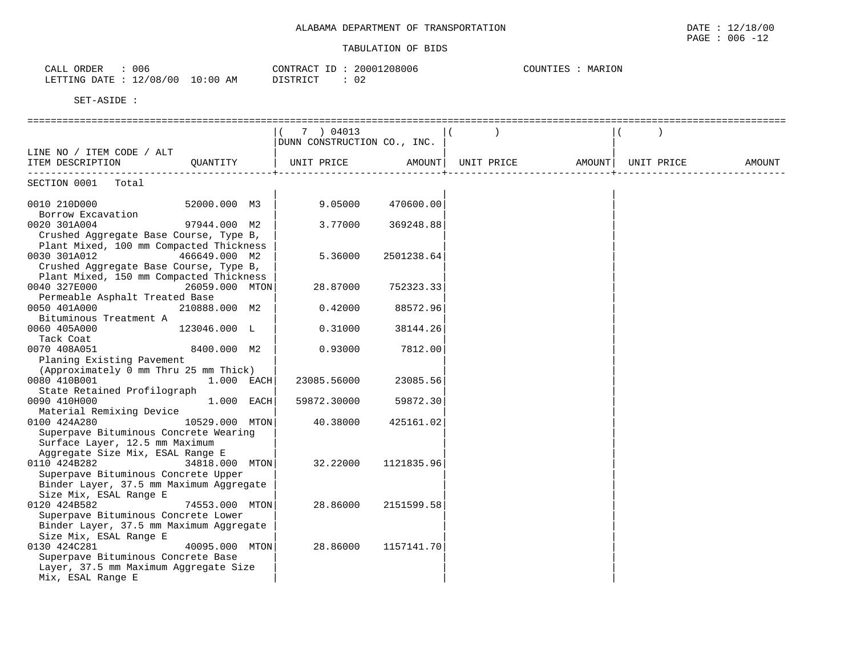| 006<br>ORDER<br>CALL         | CONTRACT ID            | 20001208006 | MARION<br>COUNTIES |
|------------------------------|------------------------|-------------|--------------------|
| 12/08/00<br>LETTING DATE : 7 | $10:00$ AM<br>DISTRICT | ◡▵          |                    |

|                                         | 7 ) 04013                   |            |                            |            |        |
|-----------------------------------------|-----------------------------|------------|----------------------------|------------|--------|
|                                         | DUNN CONSTRUCTION CO., INC. |            |                            |            |        |
| LINE NO / ITEM CODE / ALT               |                             |            |                            |            |        |
| ITEM DESCRIPTION<br>OUANTITY            | UNIT PRICE                  |            | AMOUNT   UNIT PRICE AMOUNT | UNIT PRICE | AMOUNT |
|                                         |                             |            |                            |            |        |
| SECTION 0001 Total                      |                             |            |                            |            |        |
|                                         |                             |            |                            |            |        |
| 0010 210D000<br>52000.000 M3            | 9.05000                     | 470600.00  |                            |            |        |
| Borrow Excavation                       |                             |            |                            |            |        |
| 0020 301A004<br>97944.000 M2            | 3.77000                     | 369248.88  |                            |            |        |
| Crushed Aggregate Base Course, Type B,  |                             |            |                            |            |        |
| Plant Mixed, 100 mm Compacted Thickness |                             |            |                            |            |        |
| 0030 301A012<br>466649.000 M2           | 5.36000                     | 2501238.64 |                            |            |        |
| Crushed Aggregate Base Course, Type B,  |                             |            |                            |            |        |
| Plant Mixed, 150 mm Compacted Thickness |                             |            |                            |            |        |
| 0040 327E000<br>26059.000 MTON          | 28.87000                    | 752323.33  |                            |            |        |
| Permeable Asphalt Treated Base          |                             |            |                            |            |        |
| 0050 401A000<br>210888.000 M2           | 0.42000                     | 88572.96   |                            |            |        |
| Bituminous Treatment A                  |                             |            |                            |            |        |
| 0060 405A000<br>123046.000 L            | 0.31000                     | 38144.26   |                            |            |        |
| Tack Coat                               |                             |            |                            |            |        |
| 0070 408A051<br>8400.000 M2             | 0.93000                     |            |                            |            |        |
|                                         |                             | 7812.00    |                            |            |        |
| Planing Existing Pavement               |                             |            |                            |            |        |
| (Approximately 0 mm Thru 25 mm Thick)   |                             |            |                            |            |        |
| 0080 410B001<br>$1.000$ EACH            | 23085.56000                 | 23085.56   |                            |            |        |
| State Retained Profilograph             |                             |            |                            |            |        |
| 1.000 EACH<br>0090 410H000              | 59872.30000                 | 59872.30   |                            |            |        |
| Material Remixing Device                |                             |            |                            |            |        |
| 0100 424A280<br>10529.000 MTON          | 40.38000                    | 425161.02  |                            |            |        |
| Superpave Bituminous Concrete Wearing   |                             |            |                            |            |        |
| Surface Layer, 12.5 mm Maximum          |                             |            |                            |            |        |
| Aggregate Size Mix, ESAL Range E        |                             |            |                            |            |        |
| 0110 424B282<br>34818.000 MTON          | 32.22000                    | 1121835.96 |                            |            |        |
| Superpave Bituminous Concrete Upper     |                             |            |                            |            |        |
| Binder Layer, 37.5 mm Maximum Aggregate |                             |            |                            |            |        |
| Size Mix, ESAL Range E                  |                             |            |                            |            |        |
| 0120 424B582<br>74553.000 MTON          | 28.86000                    | 2151599.58 |                            |            |        |
| Superpave Bituminous Concrete Lower     |                             |            |                            |            |        |
| Binder Layer, 37.5 mm Maximum Aggregate |                             |            |                            |            |        |
| Size Mix, ESAL Range E                  |                             |            |                            |            |        |
| 0130 424C281<br>40095.000 MTON          | 28.86000                    | 1157141.70 |                            |            |        |
| Superpave Bituminous Concrete Base      |                             |            |                            |            |        |
| Layer, 37.5 mm Maximum Aggregate Size   |                             |            |                            |            |        |
| Mix, ESAL Range E                       |                             |            |                            |            |        |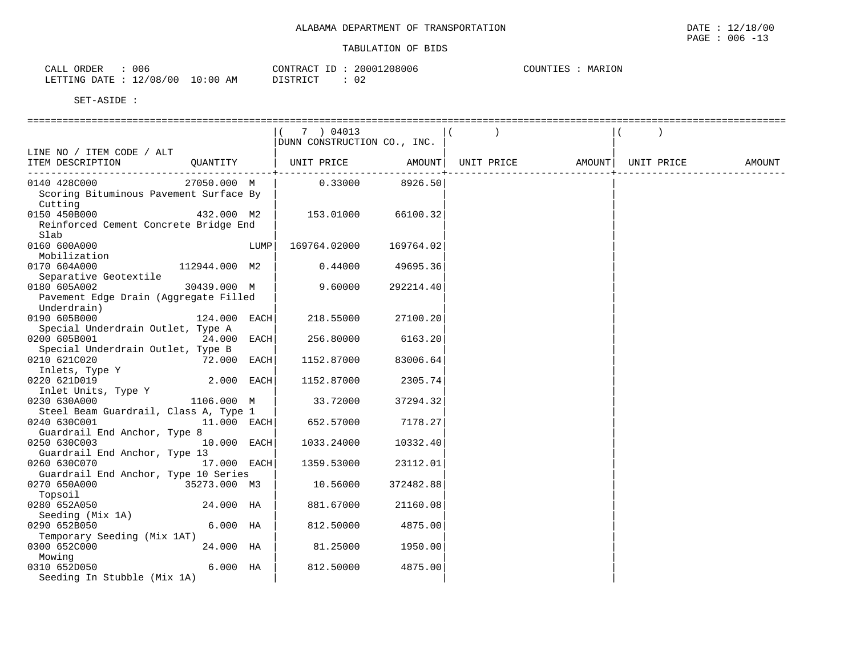| ORDER<br>CALL | 006                 |             | CONTRACT<br>$-1$<br>ᅩ | 20001208006  | MARION<br>COUNTIES |
|---------------|---------------------|-------------|-----------------------|--------------|--------------------|
| LETTING DATE  | 12/08.<br>'00<br>⊥∠ | 10:00<br>ΑM | <u>המחסדר</u>         | $\sim$<br>◡▵ |                    |

|                                        |               |      | 7 ) 04013                   |           |            |        |            |        |
|----------------------------------------|---------------|------|-----------------------------|-----------|------------|--------|------------|--------|
|                                        |               |      | DUNN CONSTRUCTION CO., INC. |           |            |        |            |        |
| LINE NO / ITEM CODE / ALT              |               |      |                             |           |            |        |            |        |
| ITEM DESCRIPTION                       | QUANTITY      |      | UNIT PRICE                  | AMOUNT    | UNIT PRICE | AMOUNT | UNIT PRICE | AMOUNT |
|                                        |               |      |                             |           |            |        |            |        |
| 0140 428C000                           | 27050.000 M   |      | 0.33000                     | 8926.50   |            |        |            |        |
| Scoring Bituminous Pavement Surface By |               |      |                             |           |            |        |            |        |
| Cutting                                |               |      |                             |           |            |        |            |        |
| 0150 450B000                           | 432.000 M2    |      | 153.01000                   | 66100.32  |            |        |            |        |
| Reinforced Cement Concrete Bridge End  |               |      |                             |           |            |        |            |        |
| Slab                                   |               |      |                             |           |            |        |            |        |
| 0160 600A000                           |               | LUMP | 169764.02000                | 169764.02 |            |        |            |        |
| Mobilization                           |               |      |                             |           |            |        |            |        |
| 0170 604A000                           | 112944.000 M2 |      | 0.44000                     | 49695.36  |            |        |            |        |
| Separative Geotextile                  |               |      |                             |           |            |        |            |        |
| 0180 605A002                           | 30439.000 M   |      | 9.60000                     | 292214.40 |            |        |            |        |
| Pavement Edge Drain (Aggregate Filled  |               |      |                             |           |            |        |            |        |
| Underdrain)                            |               |      |                             |           |            |        |            |        |
| 0190 605B000                           | 124.000 EACH  |      | 218.55000                   | 27100.20  |            |        |            |        |
| Special Underdrain Outlet, Type A      |               |      |                             |           |            |        |            |        |
| 0200 605B001                           | 24.000 EACH   |      | 256.80000                   | 6163.20   |            |        |            |        |
| Special Underdrain Outlet, Type B      |               |      |                             |           |            |        |            |        |
| 0210 621C020                           | 72.000 EACH   |      | 1152.87000                  | 83006.64  |            |        |            |        |
| Inlets, Type Y                         |               |      |                             |           |            |        |            |        |
| 0220 621D019                           | 2.000 EACH    |      | 1152.87000                  | 2305.74   |            |        |            |        |
| Inlet Units, Type Y                    |               |      |                             |           |            |        |            |        |
| 0230 630A000                           | 1106.000 M    |      | 33.72000                    | 37294.32  |            |        |            |        |
| Steel Beam Guardrail, Class A, Type 1  |               |      |                             |           |            |        |            |        |
| 0240 630C001                           | 11.000 EACH   |      | 652.57000                   | 7178.27   |            |        |            |        |
| Guardrail End Anchor, Type 8           |               |      |                             |           |            |        |            |        |
| 0250 630C003                           | 10.000 EACH   |      | 1033.24000                  | 10332.40  |            |        |            |        |
| Guardrail End Anchor, Type 13          |               |      |                             |           |            |        |            |        |
| 0260 630C070                           | 17.000 EACH   |      | 1359.53000                  | 23112.01  |            |        |            |        |
| Guardrail End Anchor, Type 10 Series   |               |      |                             |           |            |        |            |        |
| 0270 650A000                           | 35273.000 M3  |      | 10.56000                    | 372482.88 |            |        |            |        |
| Topsoil                                |               |      |                             |           |            |        |            |        |
| 0280 652A050                           | 24.000 HA     |      | 881.67000                   | 21160.08  |            |        |            |        |
| Seeding (Mix 1A)                       |               |      |                             |           |            |        |            |        |
| 0290 652B050                           | $6.000$ HA    |      | 812.50000                   | 4875.00   |            |        |            |        |
| Temporary Seeding (Mix 1AT)            |               |      |                             |           |            |        |            |        |
| 0300 652C000                           | 24.000 HA     |      | 81.25000                    | 1950.00   |            |        |            |        |
| Mowing                                 |               |      |                             |           |            |        |            |        |
| 0310 652D050                           | $6.000$ HA    |      | 812.50000                   | 4875.00   |            |        |            |        |
| Seeding In Stubble (Mix 1A)            |               |      |                             |           |            |        |            |        |
|                                        |               |      |                             |           |            |        |            |        |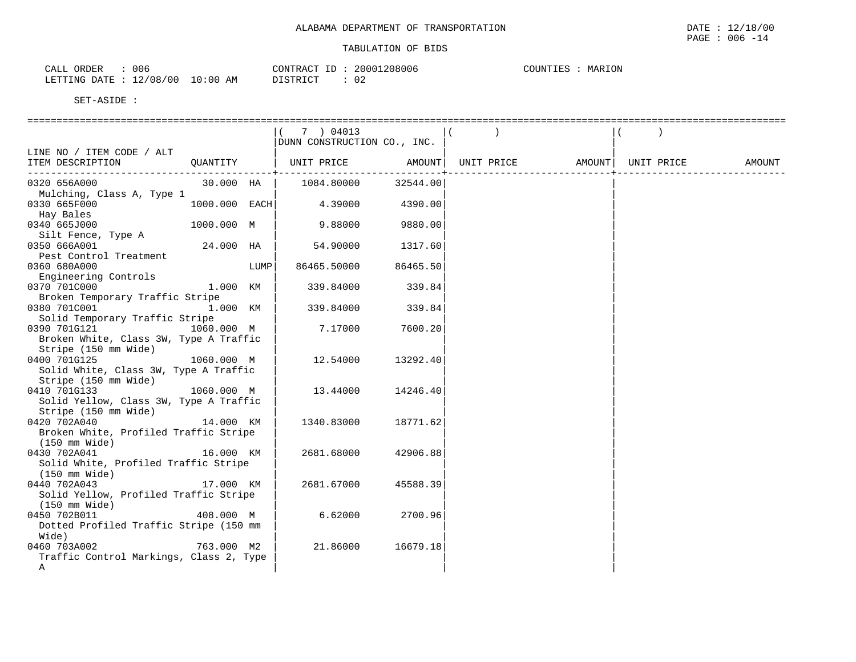| 006<br>ORDER<br>$\sim$ $\sim$ $\sim$<br>ΤΛ.<br>سسما         |             | CONTRACT<br>$ -$         | 208006<br>2000 | MARION<br>1 B G |
|-------------------------------------------------------------|-------------|--------------------------|----------------|-----------------|
| 108<br><b>RTTING</b><br>חימת<br>00 '<br><b>מעדודה</b><br>∸∸ | ⊥0:00<br>AΜ | DIOTODICO<br>.<br>ノエエンエー | $\cap$<br>◡▵   |                 |

|                                                               |               |      | 7 ) 04013<br>DUNN CONSTRUCTION CO., INC. |          |            |        |            |        |
|---------------------------------------------------------------|---------------|------|------------------------------------------|----------|------------|--------|------------|--------|
| LINE NO / ITEM CODE / ALT                                     |               |      |                                          |          |            |        |            |        |
| ITEM DESCRIPTION                                              | OUANTITY      |      | UNIT PRICE                               | AMOUNT   | UNIT PRICE | AMOUNT | UNIT PRICE | AMOUNT |
| 0320 656A000                                                  | 30.000 HA     |      | 1084.80000                               | 32544.00 |            |        |            |        |
| Mulching, Class A, Type 1<br>0330 665F000<br>Hay Bales        | 1000.000 EACH |      | 4.39000                                  | 4390.00  |            |        |            |        |
| 0340 665J000<br>Silt Fence, Type A                            | 1000.000 M    |      | 9.88000                                  | 9880.00  |            |        |            |        |
| 0350 666A001                                                  | 24.000 HA     |      | 54.90000                                 | 1317.60  |            |        |            |        |
| Pest Control Treatment<br>0360 680A000                        |               | LUMP | 86465.50000                              | 86465.50 |            |        |            |        |
| Engineering Controls<br>0370 701C000                          | 1.000 KM      |      | 339.84000                                | 339.84   |            |        |            |        |
| Broken Temporary Traffic Stripe<br>0380 701C001               | 1.000 KM      |      | 339.84000                                | 339.84   |            |        |            |        |
| Solid Temporary Traffic Stripe                                |               |      |                                          |          |            |        |            |        |
| 0390 701G121<br>Broken White, Class 3W, Type A Traffic        | 1060.000 M    |      | 7.17000                                  | 7600.20  |            |        |            |        |
| Stripe (150 mm Wide)                                          |               |      |                                          |          |            |        |            |        |
| 0400 701G125                                                  | 1060.000 M    |      | 12.54000                                 | 13292.40 |            |        |            |        |
| Solid White, Class 3W, Type A Traffic<br>Stripe (150 mm Wide) |               |      |                                          |          |            |        |            |        |
| 0410 701G133                                                  | 1060.000 M    |      | 13.44000                                 | 14246.40 |            |        |            |        |
| Solid Yellow, Class 3W, Type A Traffic                        |               |      |                                          |          |            |        |            |        |
| Stripe (150 mm Wide)                                          |               |      |                                          |          |            |        |            |        |
| 0420 702A040                                                  | 14.000 KM     |      | 1340.83000                               | 18771.62 |            |        |            |        |
| Broken White, Profiled Traffic Stripe                         |               |      |                                          |          |            |        |            |        |
| (150 mm Wide)                                                 |               |      |                                          |          |            |        |            |        |
| 0430 702A041                                                  | 16.000 KM     |      | 2681.68000                               | 42906.88 |            |        |            |        |
| Solid White, Profiled Traffic Stripe                          |               |      |                                          |          |            |        |            |        |
| $(150 \text{ mm Wide})$                                       |               |      |                                          |          |            |        |            |        |
| 0440 702A043                                                  | 17.000 KM     |      | 2681.67000                               | 45588.39 |            |        |            |        |
| Solid Yellow, Profiled Traffic Stripe<br>(150 mm Wide)        |               |      |                                          |          |            |        |            |        |
| 0450 702B011                                                  | 408.000 M     |      | 6.62000                                  | 2700.96  |            |        |            |        |
| Dotted Profiled Traffic Stripe (150 mm                        |               |      |                                          |          |            |        |            |        |
| Wide)                                                         |               |      |                                          |          |            |        |            |        |
| 0460 703A002                                                  | 763.000 M2    |      | 21.86000                                 | 16679.18 |            |        |            |        |
| Traffic Control Markings, Class 2, Type                       |               |      |                                          |          |            |        |            |        |
| Α                                                             |               |      |                                          |          |            |        |            |        |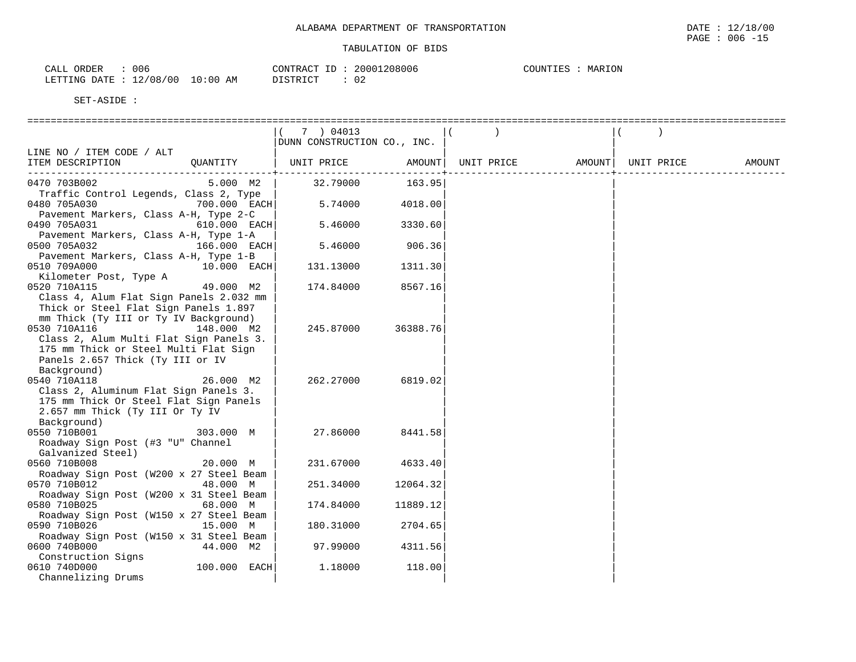| <b>ORDER</b><br>CALL | 006        |            | CONTRACT ID: | 20001208006 | MARION<br>COUNTIES |  |
|----------------------|------------|------------|--------------|-------------|--------------------|--|
| LETTING DATE         | : 12/08/00 | $10:00$ AM | DISTRICT     | $\cap$      |                    |  |

|                                         |              | 7 ) 04013                   |          |            |        |            |        |
|-----------------------------------------|--------------|-----------------------------|----------|------------|--------|------------|--------|
|                                         |              | DUNN CONSTRUCTION CO., INC. |          |            |        |            |        |
| LINE NO / ITEM CODE / ALT               |              |                             |          |            |        |            |        |
| ITEM DESCRIPTION                        | OUANTITY     | UNIT PRICE                  | AMOUNT   | UNIT PRICE | AMOUNT | UNIT PRICE | AMOUNT |
|                                         |              |                             |          |            |        |            |        |
| 0470 703B002                            | 5.000 M2     | 32.79000                    | 163.95   |            |        |            |        |
| Traffic Control Legends, Class 2, Type  |              |                             |          |            |        |            |        |
| 0480 705A030                            | 700.000 EACH | 5.74000                     | 4018.00  |            |        |            |        |
| Pavement Markers, Class A-H, Type 2-C   |              |                             |          |            |        |            |        |
| 0490 705A031                            | 610.000 EACH | 5.46000                     | 3330.60  |            |        |            |        |
| Pavement Markers, Class A-H, Type 1-A   |              |                             |          |            |        |            |        |
| 0500 705A032                            | 166.000 EACH | 5.46000                     | 906.36   |            |        |            |        |
| Pavement Markers, Class A-H, Type 1-B   |              |                             |          |            |        |            |        |
| 0510 709A000                            | 10.000 EACH  | 131.13000                   | 1311.30  |            |        |            |        |
| Kilometer Post, Type A                  |              |                             |          |            |        |            |        |
| 0520 710A115                            | 49.000 M2    | 174.84000                   | 8567.16  |            |        |            |        |
| Class 4, Alum Flat Sign Panels 2.032 mm |              |                             |          |            |        |            |        |
| Thick or Steel Flat Sign Panels 1.897   |              |                             |          |            |        |            |        |
| mm Thick (Ty III or Ty IV Background)   |              |                             |          |            |        |            |        |
| 0530 710A116                            | 148.000 M2   | 245.87000                   | 36388.76 |            |        |            |        |
| Class 2, Alum Multi Flat Sign Panels 3. |              |                             |          |            |        |            |        |
| 175 mm Thick or Steel Multi Flat Sign   |              |                             |          |            |        |            |        |
| Panels 2.657 Thick (Ty III or IV        |              |                             |          |            |        |            |        |
| Background)                             |              |                             |          |            |        |            |        |
| 0540 710A118                            | 26.000 M2    | 262.27000                   | 6819.02  |            |        |            |        |
| Class 2, Aluminum Flat Sign Panels 3.   |              |                             |          |            |        |            |        |
| 175 mm Thick Or Steel Flat Sign Panels  |              |                             |          |            |        |            |        |
| 2.657 mm Thick (Ty III Or Ty IV         |              |                             |          |            |        |            |        |
| Background)                             |              |                             |          |            |        |            |        |
| 0550 710B001                            | 303.000 M    | 27.86000                    | 8441.58  |            |        |            |        |
| Roadway Sign Post (#3 "U" Channel       |              |                             |          |            |        |            |        |
| Galvanized Steel)                       |              |                             |          |            |        |            |        |
| 0560 710B008                            | 20.000 M     | 231.67000                   | 4633.40  |            |        |            |        |
| Roadway Sign Post (W200 x 27 Steel Beam |              |                             |          |            |        |            |        |
| 0570 710B012                            | 48.000 M     | 251.34000                   | 12064.32 |            |        |            |        |
| Roadway Sign Post (W200 x 31 Steel Beam |              |                             |          |            |        |            |        |
| 0580 710B025                            | 68.000 M     | 174.84000                   | 11889.12 |            |        |            |        |
| Roadway Sign Post (W150 x 27 Steel Beam |              |                             |          |            |        |            |        |
| 0590 710B026                            | 15.000 M     | 180.31000                   | 2704.65  |            |        |            |        |
| Roadway Sign Post (W150 x 31 Steel Beam |              |                             |          |            |        |            |        |
| 0600 740B000                            | 44.000 M2    | 97.99000                    | 4311.56  |            |        |            |        |
| Construction Signs                      |              |                             |          |            |        |            |        |
| 0610 740D000                            | 100.000 EACH | 1.18000                     | 118.00   |            |        |            |        |
| Channelizing Drums                      |              |                             |          |            |        |            |        |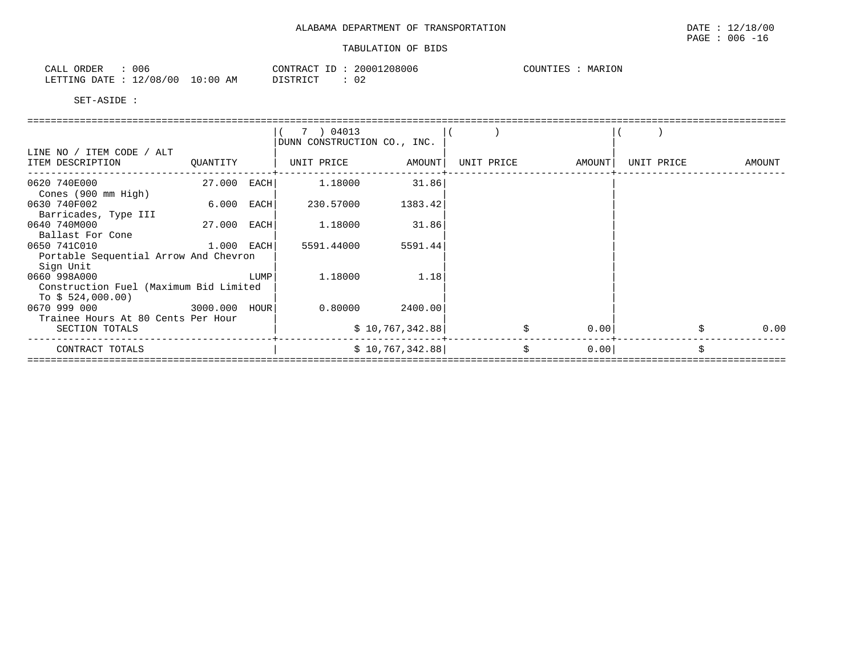| 006<br>ORDER<br>CALL         |            | CONTRACT<br>T <sub>D</sub> | 20001208006 | MARION<br>COUNTIES |
|------------------------------|------------|----------------------------|-------------|--------------------|
| 12/08/00<br>LETTING DATE : ' | $10:00$ AM | DISTRICT                   | ັບ          |                    |

|                                                                             |               |      | 7 ) 04013<br>DUNN CONSTRUCTION CO., INC. |                            |  |            |        |            |  |        |  |
|-----------------------------------------------------------------------------|---------------|------|------------------------------------------|----------------------------|--|------------|--------|------------|--|--------|--|
| LINE NO / ITEM CODE / ALT<br>ITEM DESCRIPTION                               | QUANTITY      |      | UNIT PRICE                               | AMOUNT                     |  | UNIT PRICE | AMOUNT | UNIT PRICE |  | AMOUNT |  |
| 0620 740E000<br>Cones (900 mm High)                                         | 27.000        | EACH | 1,18000                                  | 31.86                      |  |            |        |            |  |        |  |
| 0630 740F002<br>Barricades, Type III                                        | 6.000         | EACH | 230.57000                                | 1383.42                    |  |            |        |            |  |        |  |
| 0640 740M000<br>Ballast For Cone                                            | 27.000        | EACH | 1.18000                                  | 31.86                      |  |            |        |            |  |        |  |
| 0650 741C010<br>Portable Sequential Arrow And Chevron<br>Sign Unit          | $1.000$ EACH  |      | 5591.44000                               | 5591.44                    |  |            |        |            |  |        |  |
| 0660 998A000<br>Construction Fuel (Maximum Bid Limited<br>To $$524,000.00)$ |               | LUMP | 1.18000                                  | 1.18                       |  |            |        |            |  |        |  |
| 0670 999 000<br>Trainee Hours At 80 Cents Per Hour<br>SECTION TOTALS        | 3000.000 HOUR |      | 0.80000                                  | 2400.00<br>\$10,767,342.88 |  |            | 0.00   |            |  | 0.00   |  |
| CONTRACT TOTALS                                                             |               |      |                                          | \$10,767,342.88]           |  | \$         | 0.00   |            |  |        |  |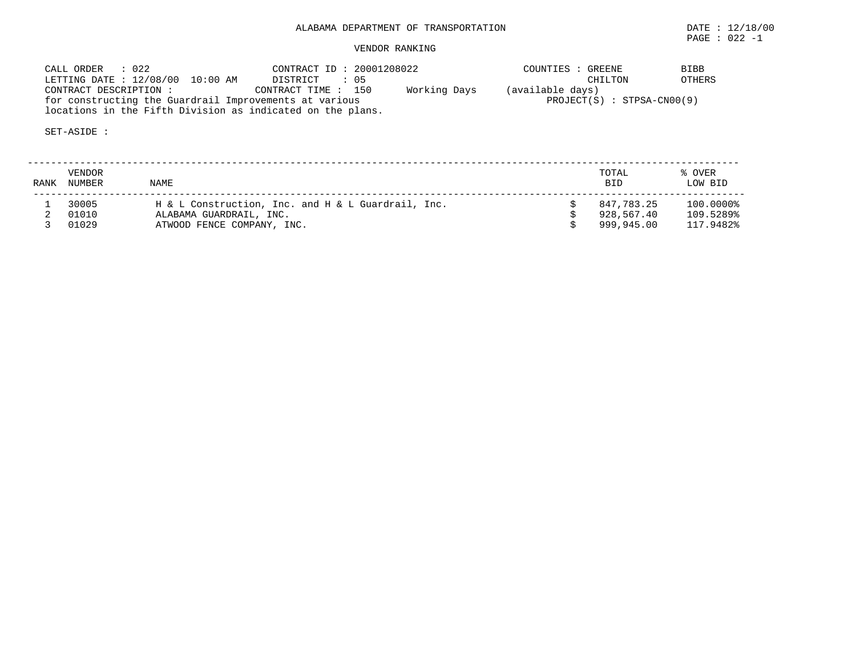# VENDOR RANKING

| CALL ORDER : 022                                           | CONTRACT ID: 20001208022           | COUNTIES : GREENE            | <b>BIBB</b> |
|------------------------------------------------------------|------------------------------------|------------------------------|-------------|
| LETTING DATE: 12/08/00 10:00 AM                            | DISTRICT : 05                      | CHILTON                      | OTHERS      |
| CONTRACT DESCRIPTION :                                     | Working Days<br>CONTRACT TIME: 150 | (available days)             |             |
| for constructing the Guardrail Improvements at various     |                                    | $PROJECT(S) : STPSA-CN00(9)$ |             |
| locations in the Fifth Division as indicated on the plans. |                                    |                              |             |

| RANK | VENDOR<br>NUMBER | <b>NAME</b>                                                                   | TOTAL<br><b>BID</b>      | % OVER<br>LOW BID      |
|------|------------------|-------------------------------------------------------------------------------|--------------------------|------------------------|
|      | 30005<br>01010   | H & L Construction, Inc. and H & L Guardrail, Inc.<br>ALABAMA GUARDRAIL, INC. | 847.783.25<br>928,567.40 | 100.0000%<br>109.5289% |
|      | 01029            | ATWOOD FENCE COMPANY, INC.                                                    | 999,945.00               | 117.9482%              |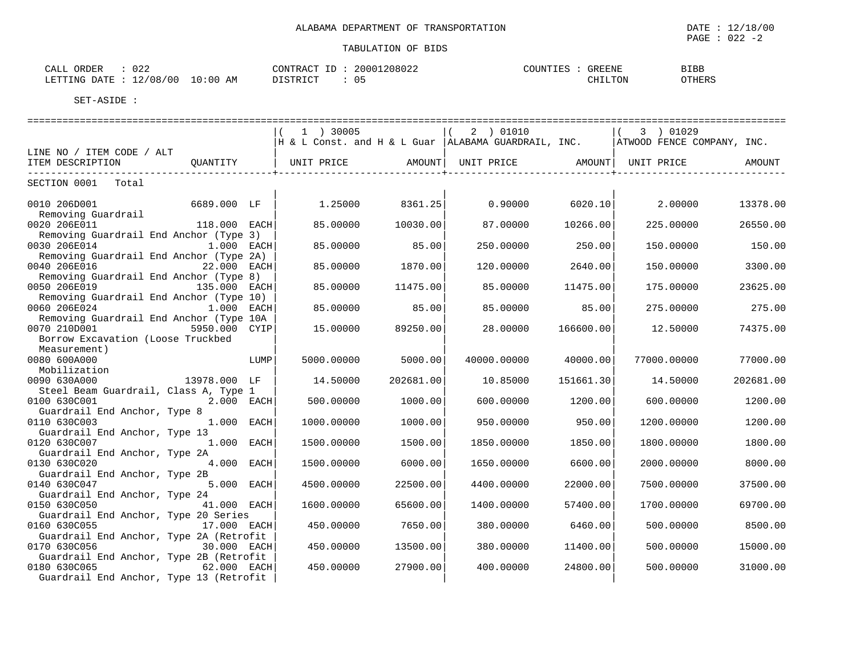| $\cap$ $\cap$<br>ORDER<br>CALL<br>∪∠∠ |          | CONTRACT<br>T<br>⊥ப | 20001208022 | COUNTIES | GREENE  | <b>BIBB</b> |
|---------------------------------------|----------|---------------------|-------------|----------|---------|-------------|
| 12/08/00<br>LETTING DATE              | 10:00 AM | PISTRICT            | 05          |          | CHILTON | OTHERS      |

|                                                             | 1 ) 30005                                            | 2 ) 01010         |           | 3 ) 01029                  |           |
|-------------------------------------------------------------|------------------------------------------------------|-------------------|-----------|----------------------------|-----------|
|                                                             | H & L Const. and H & L Guar  ALABAMA GUARDRAIL, INC. |                   |           | ATWOOD FENCE COMPANY, INC. |           |
| LINE NO / ITEM CODE / ALT                                   |                                                      |                   |           |                            |           |
| ITEM DESCRIPTION<br>OUANTITY                                | UNIT PRICE<br>AMOUNT                                 | UNIT PRICE AMOUNT |           | UNIT PRICE                 | AMOUNT    |
|                                                             |                                                      |                   |           |                            |           |
| SECTION 0001<br>Total                                       |                                                      |                   |           |                            |           |
|                                                             |                                                      |                   |           |                            |           |
| 0010 206D001<br>6689.000 LF                                 | 1.25000<br>8361.25                                   | 0.90000           | 6020.10   | 2.00000                    | 13378.00  |
| Removing Guardrail                                          |                                                      |                   |           |                            |           |
| 0020 206E011<br>118.000 EACH                                | 85.00000<br>10030.00                                 | 87.00000          | 10266.00  | 225,00000                  | 26550.00  |
| Removing Guardrail End Anchor (Type 3)                      |                                                      |                   |           |                            |           |
| 0030 206E014<br>1.000 EACH                                  | 85.00000<br>85.00                                    | 250.00000         | 250.00    | 150.00000                  | 150.00    |
| Removing Guardrail End Anchor (Type 2A)                     |                                                      |                   |           |                            |           |
| 0040 206E016<br>22.000 EACH                                 | 1870.00<br>85.00000                                  | 120.00000         | 2640.00   | 150.00000                  | 3300.00   |
| Removing Guardrail End Anchor (Type 8)                      |                                                      |                   |           |                            |           |
| 0050 206E019<br>135.000 EACH                                | 85.00000<br>11475.00                                 | 85.00000          | 11475.00  | 175,00000                  | 23625.00  |
| Removing Guardrail End Anchor (Type 10)                     |                                                      |                   |           |                            |           |
| 0060 206E024<br>1.000 EACH                                  | 85.00<br>85.00000                                    | 85,00000          | 85.00     | 275,00000                  | 275.00    |
| Removing Guardrail End Anchor (Type 10A                     |                                                      |                   |           |                            |           |
| 0070 210D001<br>5950.000 CYIP                               | 15.00000<br>89250.00                                 | 28.00000          | 166600.00 | 12.50000                   | 74375.00  |
| Borrow Excavation (Loose Truckbed                           |                                                      |                   |           |                            |           |
| Measurement)                                                |                                                      |                   |           |                            |           |
| 0080 600A000<br>LUMP                                        | 5000.00<br>5000.00000                                | 40000.00000       | 40000.00  | 77000.00000                | 77000.00  |
| Mobilization                                                |                                                      |                   |           |                            |           |
| 0090 630A000<br>13978.000 LF                                | 14.50000<br>202681.00                                | 10.85000          | 151661.30 | 14.50000                   | 202681.00 |
| Steel Beam Guardrail, Class A, Type 1                       |                                                      |                   |           |                            |           |
| 0100 630C001<br>2.000 EACH                                  | 500.00000<br>1000.00                                 | 600.00000         | 1200.00   | 600.00000                  | 1200.00   |
| Guardrail End Anchor, Type 8                                |                                                      |                   |           |                            |           |
| 0110 630C003<br>1.000 EACH                                  | 1000.00000<br>1000.00                                | 950.00000         | 950.00    | 1200.00000                 | 1200.00   |
| Guardrail End Anchor, Type 13<br>1.000 EACH<br>0120 630C007 | 1500.00000<br>1500.00                                | 1850.00000        | 1850.00   | 1800.00000                 | 1800.00   |
| Guardrail End Anchor, Type 2A                               |                                                      |                   |           |                            |           |
| 0130 630C020<br>4.000 EACH                                  | 1500.00000<br>6000.00                                | 1650.00000        | 6600.00   | 2000.00000                 | 8000.00   |
| Guardrail End Anchor, Type 2B                               |                                                      |                   |           |                            |           |
| 0140 630C047<br>5.000 EACH                                  | 4500.00000<br>22500.00                               | 4400.00000        | 22000.00  | 7500.00000                 | 37500.00  |
| Guardrail End Anchor, Type 24                               |                                                      |                   |           |                            |           |
| 0150 630C050<br>41.000 EACH                                 | 1600.00000<br>65600.00                               | 1400.00000        | 57400.00  | 1700.00000                 | 69700.00  |
| Guardrail End Anchor, Type 20 Series                        |                                                      |                   |           |                            |           |
| 0160 630C055<br>17.000 EACH                                 | 450.00000<br>7650.00                                 | 380,00000         | 6460.00   | 500.00000                  | 8500.00   |
| Guardrail End Anchor, Type 2A (Retrofit                     |                                                      |                   |           |                            |           |
| 30.000 EACH<br>0170 630C056                                 | 450.00000<br>13500.00                                | 380,00000         | 11400.00  | 500.00000                  | 15000.00  |
| Guardrail End Anchor, Type 2B (Retrofit                     |                                                      |                   |           |                            |           |
| 0180 630C065<br>62.000 EACH                                 | 450.00000<br>27900.00                                | 400.00000         | 24800.00  | 500.00000                  | 31000.00  |
| Guardrail End Anchor, Type 13 (Retrofit                     |                                                      |                   |           |                            |           |
|                                                             |                                                      |                   |           |                            |           |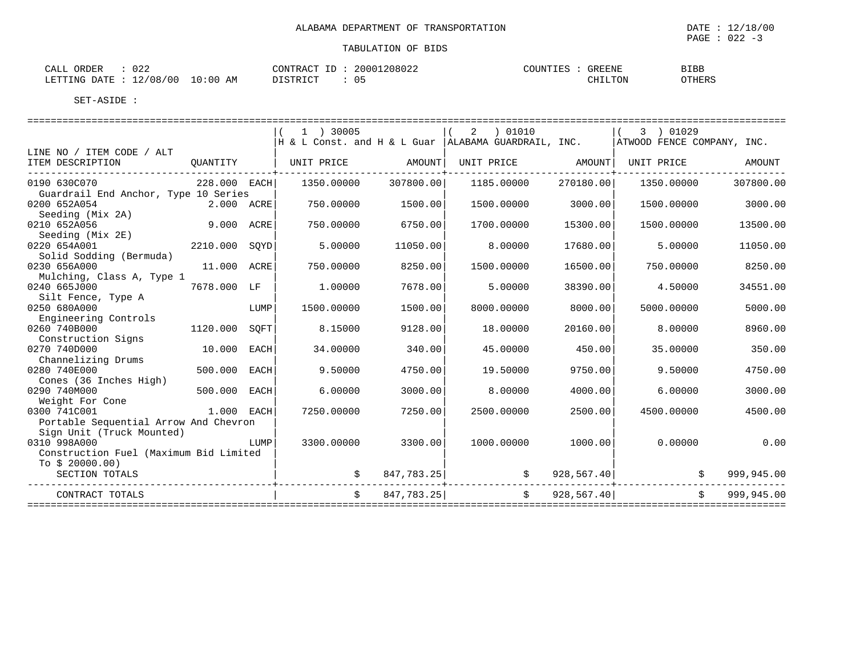| ----<br>$\cdots$<br>'DET<br>للطاب | $\cap$ $\cap$ $\cap$<br>◡∠∠                |              | $\sqrt{2}$<br>™MOr<br>۵ι (  | -- | 208022<br>2001 | $\bigcap$<br>TOUIN.<br>---- | GREENE  | <b>BIBB</b> |
|-----------------------------------|--------------------------------------------|--------------|-----------------------------|----|----------------|-----------------------------|---------|-------------|
| DATE<br>LETTING                   | 00 ′<br>$^{\prime}$ $\Omega$<br>— <i>—</i> | 10:00<br>A M | $T \cap T$<br>סידים דר<br>. |    |                |                             | CHILTON | OTHERS      |

|                                        |                      |      | 1 ) 30005    |               | 2 ) 01010                                                               |            | 3 ) 01029<br>$\vert$ (     |            |
|----------------------------------------|----------------------|------|--------------|---------------|-------------------------------------------------------------------------|------------|----------------------------|------------|
|                                        |                      |      |              |               | $\rm \vert H$ & L Const. and H & L Guar $\vert$ ALABAMA GUARDRAIL, INC. |            | ATWOOD FENCE COMPANY, INC. |            |
| LINE NO / ITEM CODE / ALT              |                      |      |              |               |                                                                         |            |                            |            |
| ITEM DESCRIPTION                       | OUANTITY             |      | UNIT PRICE   | <b>AMOUNT</b> | UNIT PRICE                                                              | AMOUNT     | UNIT PRICE                 | AMOUNT     |
| ----------------------------           |                      |      |              |               |                                                                         |            |                            |            |
| 0190 630C070                           | $228.000$ EACH       |      | 1350.00000   | 307800.00     | 1185.00000                                                              | 270180.00  | 1350.00000                 | 307800.00  |
| Guardrail End Anchor, Type 10 Series   |                      |      |              |               |                                                                         |            |                            |            |
| 0200 652A054                           | 2.000 ACRE           |      | 750.00000    | 1500.00       | 1500.00000                                                              | 3000.00    | 1500.00000                 | 3000.00    |
| Seeding (Mix 2A)                       |                      |      |              |               |                                                                         |            |                            |            |
| <b>9.000 ACRE</b><br>0210 652A056      |                      |      | 750.00000    | 6750.00       | 1700.00000                                                              | 15300.00   | 1500.00000                 | 13500.00   |
| Seeding (Mix 2E)                       |                      |      |              |               |                                                                         |            |                            |            |
| 0220 654A001<br>2210.000 SOYD          |                      |      | 5.00000      | 11050.00      | 8.00000                                                                 | 17680.00   | 5.00000                    | 11050.00   |
| Solid Sodding (Bermuda)                |                      |      |              |               |                                                                         |            |                            |            |
| 0230 656A000                           | 11.000 ACRE          |      | 750.00000    | 8250.00       | 1500.00000                                                              | 16500.00   | 750.00000                  | 8250.00    |
| Mulching, Class A, Type 1              |                      |      |              |               |                                                                         |            |                            |            |
| 0240 665J000                           | 7678.000 LF          |      | 1,00000      | 7678.00       | 5.00000                                                                 | 38390.00   | 4.50000                    | 34551.00   |
| Silt Fence, Type A                     |                      |      |              |               |                                                                         |            |                            |            |
| 0250 680A000                           |                      | LUMP | 1500.00000   | 1500.00       | 8000.00000                                                              | 8000.00    | 5000.00000                 | 5000.00    |
| Engineering Controls                   |                      |      |              |               |                                                                         |            |                            |            |
| 0260 740B000                           | 1120.000             | SQFT | 8.15000      | 9128.00       | 18.00000                                                                | 20160.00   | 8.00000                    | 8960.00    |
| Construction Signs<br>0270 740D000     |                      |      |              |               |                                                                         |            |                            |            |
|                                        | 10.000 EACH          |      | 34.00000     | 340.00        | 45.00000                                                                | 450.00     | 35.00000                   | 350.00     |
| Channelizing Drums<br>0280 740E000     | 500.000 EACH         |      | 9.50000      |               |                                                                         | 9750.00    | 9.50000                    | 4750.00    |
|                                        |                      |      |              | 4750.00       | 19.50000                                                                |            |                            |            |
| Cones (36 Inches High)<br>0290 740M000 | 500.000              | EACH | 6.00000      | 3000.00       | 8,00000                                                                 | 4000.00    | 6,00000                    | 3000.00    |
| Weight For Cone                        |                      |      |              |               |                                                                         |            |                            |            |
| 0300 741C001                           | 1.000 EACH           |      | 7250.00000   | 7250.00       | 2500.00000                                                              | 2500.00    | 4500.00000                 | 4500.00    |
| Portable Sequential Arrow And Chevron  |                      |      |              |               |                                                                         |            |                            |            |
| Sign Unit (Truck Mounted)              |                      |      |              |               |                                                                         |            |                            |            |
| 0310 998A000                           |                      | LUMP | 3300.00000   | 3300.00       | 1000.00000                                                              | 1000.00    | 0.00000                    | 0.00       |
| Construction Fuel (Maximum Bid Limited |                      |      |              |               |                                                                         |            |                            |            |
| To $$20000.00)$                        |                      |      |              |               |                                                                         |            |                            |            |
| SECTION TOTALS                         |                      |      |              | 847,783.25    | \$                                                                      | 928,567.40 | \$                         | 999,945.00 |
|                                        | -------------------- |      |              |               |                                                                         |            |                            |            |
| CONTRACT TOTALS                        |                      |      | $\mathsf{S}$ | 847,783.25    | \$                                                                      | 928,567.40 | $\mathsf{S}$               | 999,945.00 |
|                                        |                      |      |              |               |                                                                         |            |                            |            |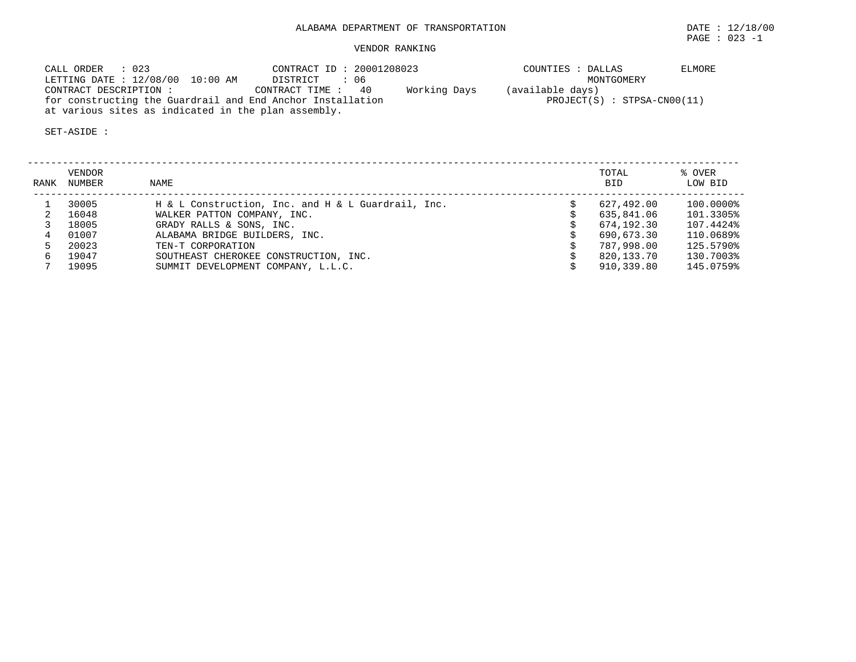### VENDOR RANKING

| CALL ORDER : 023                                           | CONTRACT ID: 20001208023          | COUNTIES : DALLAS             | ELMORE |
|------------------------------------------------------------|-----------------------------------|-------------------------------|--------|
| LETTING DATE: 12/08/00 10:00 AM                            | DISTRICT : 06                     | MONTGOMERY                    |        |
| CONTRACT DESCRIPTION :                                     | Working Days<br>CONTRACT TIME: 40 | (available days)              |        |
| for constructing the Guardrail and End Anchor Installation |                                   | $PROJECT(S) : STPSA-CN00(11)$ |        |
| at various sites as indicated in the plan assembly.        |                                   |                               |        |

| RANK | VENDOR<br>NUMBER | NAME                                               | TOTAL<br><b>BID</b> | % OVER<br>LOW BID |
|------|------------------|----------------------------------------------------|---------------------|-------------------|
|      | 30005            | H & L Construction, Inc. and H & L Guardrail, Inc. | 627,492.00          | 100.0000%         |
|      | 16048            | WALKER PATTON COMPANY, INC.                        | 635,841.06          | 101.3305%         |
|      | 18005            | GRADY RALLS & SONS, INC.                           | 674,192.30          | 107.4424%         |
|      | 01007            | ALABAMA BRIDGE BUILDERS, INC.                      | 690,673.30          | 110.0689%         |
|      | 20023            | TEN-T CORPORATION                                  | 787,998.00          | 125.5790%         |
|      | 19047            | SOUTHEAST CHEROKEE CONSTRUCTION, INC.              | 820,133.70          | 130.7003%         |
|      | 19095            | SUMMIT DEVELOPMENT COMPANY, L.L.C.                 | 910,339.80          | 145.0759%         |
|      |                  |                                                    |                     |                   |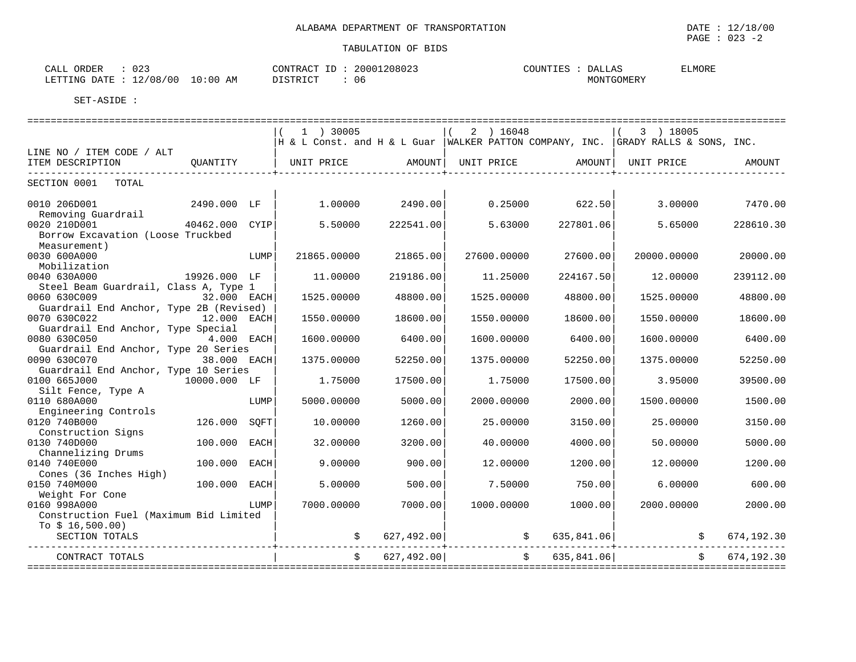| $\sim$ $\sim$ $\sim$<br>ORDER<br>CALL<br>U 4 - | CONTRACT                                 | ID | 20001208023 | COUNTIES | DALLAS     | ELMORE |
|------------------------------------------------|------------------------------------------|----|-------------|----------|------------|--------|
| 12/08/00<br>LETTING DATE :                     | 10:00 AM<br>די היה דופידי את<br>ມ⊥ມ⊥⊥⊾ພ⊥ |    | 06          |          | MONTGOMERY |        |

|                                                       |              | $1$ ) 30005                                      |                 | $(2)$ 16048    |                  | 3 ) 18005                                                                                                                                                                                                                                                 |              |
|-------------------------------------------------------|--------------|--------------------------------------------------|-----------------|----------------|------------------|-----------------------------------------------------------------------------------------------------------------------------------------------------------------------------------------------------------------------------------------------------------|--------------|
|                                                       |              |                                                  |                 |                |                  | H & L Const. and H & L Guar   WALKER PATTON COMPANY, INC.   GRADY RALLS & SONS, INC.                                                                                                                                                                      |              |
| LINE NO / ITEM CODE / ALT                             |              |                                                  |                 |                |                  |                                                                                                                                                                                                                                                           |              |
| ITEM DESCRIPTION                                      | OUANTITY     | UNIT PRICE AMOUNT  UNIT PRICE AMOUNT  UNIT PRICE |                 |                |                  |                                                                                                                                                                                                                                                           | AMOUNT       |
| SECTION 0001 TOTAL                                    |              |                                                  |                 |                |                  |                                                                                                                                                                                                                                                           |              |
|                                                       |              |                                                  |                 |                |                  |                                                                                                                                                                                                                                                           |              |
| 0010 206D001<br>2490.000 LF                           |              |                                                  | 1.00000 2490.00 |                | $0.25000$ 622.50 | 3.00000                                                                                                                                                                                                                                                   | 7470.00      |
| Removing Guardrail                                    |              |                                                  |                 |                |                  |                                                                                                                                                                                                                                                           |              |
| 0020 210D001<br>40462.000 CYIP                        |              | 5.50000                                          | 222541.00       | 5.63000        | 227801.06        | 5.65000                                                                                                                                                                                                                                                   | 228610.30    |
| Borrow Excavation (Loose Truckbed                     |              |                                                  |                 |                |                  |                                                                                                                                                                                                                                                           |              |
| Measurement)                                          |              |                                                  |                 |                |                  |                                                                                                                                                                                                                                                           |              |
| 0030 600A000                                          | LUMP         | 21865.00000                                      | 21865.00        | 27600.00000    | 27600.00         | 20000.00000                                                                                                                                                                                                                                               | 20000.00     |
| Mobilization<br>19926.000 LF                          |              |                                                  |                 |                |                  |                                                                                                                                                                                                                                                           |              |
| 0040 630A000<br>Steel Beam Guardrail, Class A, Type 1 |              | 11,00000                                         | 219186.00       | 11.25000       | 224167.50        | 12,00000                                                                                                                                                                                                                                                  | 239112.00    |
| 0060 630C009<br>32.000 EACH                           |              | 1525.00000                                       | 48800.00        | 1525.00000     | 48800.00         | 1525.00000                                                                                                                                                                                                                                                | 48800.00     |
| Guardrail End Anchor, Type 2B (Revised)               |              |                                                  |                 |                |                  |                                                                                                                                                                                                                                                           |              |
| 0070 630C022                                          | 12.000 EACH  | 1550.00000                                       | 18600.00        | 1550.00000     | 18600.00         | 1550.00000                                                                                                                                                                                                                                                | 18600.00     |
| Guardrail End Anchor, Type Special                    |              |                                                  |                 |                |                  |                                                                                                                                                                                                                                                           |              |
| 0080 630C050<br>4.000 EACH                            |              | 1600.00000                                       | 6400.00         | 1600.00000     | 6400.00          | 1600.00000                                                                                                                                                                                                                                                | 6400.00      |
| Guardrail End Anchor, Type 20 Series                  |              |                                                  |                 |                |                  |                                                                                                                                                                                                                                                           |              |
| 38.000 EACH<br>0090 630C070                           |              | 1375.00000                                       | 52250.00        | 1375.00000     | 52250.00         | 1375.00000                                                                                                                                                                                                                                                | 52250.00     |
| Guardrail End Anchor, Type 10 Series                  |              |                                                  |                 |                |                  |                                                                                                                                                                                                                                                           |              |
| 0100 665J000<br>10000.000 LF                          |              | 1.75000                                          | 17500.00        | 1.75000        | 17500.00         | 3.95000                                                                                                                                                                                                                                                   | 39500.00     |
| Silt Fence, Type A                                    |              |                                                  |                 |                |                  |                                                                                                                                                                                                                                                           |              |
| 0110 680A000                                          | LUMP         | 5000.00000                                       | 5000.00         | 2000.00000     | 2000.00          | 1500.00000                                                                                                                                                                                                                                                | 1500.00      |
| Engineering Controls                                  |              |                                                  |                 |                |                  |                                                                                                                                                                                                                                                           |              |
| 0120 740B000                                          | 126.000 SQFT | 10.00000                                         | 1260.00         | 25.00000       | 3150.00          | 25.00000                                                                                                                                                                                                                                                  | 3150.00      |
| Construction Signs                                    |              |                                                  |                 |                |                  |                                                                                                                                                                                                                                                           |              |
| 0130 740D000                                          | 100.000 EACH | 32.00000                                         | 3200.00         | 40.00000       | 4000.00          | 50.00000                                                                                                                                                                                                                                                  | 5000.00      |
| Channelizing Drums                                    |              |                                                  |                 |                |                  |                                                                                                                                                                                                                                                           |              |
| 0140 740E000                                          | 100.000 EACH | 9.00000                                          | 900.00          | 12,00000       | 1200.00          | 12.00000                                                                                                                                                                                                                                                  | 1200.00      |
| Cones (36 Inches High)                                |              |                                                  |                 |                |                  |                                                                                                                                                                                                                                                           |              |
| 0150 740M000                                          | 100.000 EACH | 5,00000                                          | 500.00          | 7.50000        | 750.00           | 6.00000                                                                                                                                                                                                                                                   | 600.00       |
| Weight For Cone                                       |              |                                                  |                 |                |                  |                                                                                                                                                                                                                                                           |              |
| 0160 998A000                                          | LUMP         | 7000.00000                                       | 7000.00         | 1000.00000     | 1000.00          | 2000.00000                                                                                                                                                                                                                                                | 2000.00      |
| Construction Fuel (Maximum Bid Limited                |              |                                                  |                 |                |                  |                                                                                                                                                                                                                                                           |              |
| To $$16,500.00)$                                      |              |                                                  |                 |                |                  |                                                                                                                                                                                                                                                           |              |
| SECTION TOTALS                                        |              |                                                  |                 |                |                  | $\begin{array}{ccccccc} \xi \quad & 627 \, , 492 \, . \, 00 \, \end{array} \hspace{3cm} \begin{array}{ccccccc} \xi \quad & 635 \, , 841 \, . \, 06 \, \end{array} \hspace{3cm} \begin{array}{ccccccc} \xi \quad & 674 \, , 192 \, . \, 30 \, \end{array}$ |              |
|                                                       |              |                                                  | \$627,492.00]   | -------------- | \$635,841.06]    | <u>-------------</u>                                                                                                                                                                                                                                      | \$674.192.30 |
| CONTRACT TOTALS                                       |              |                                                  |                 |                |                  |                                                                                                                                                                                                                                                           |              |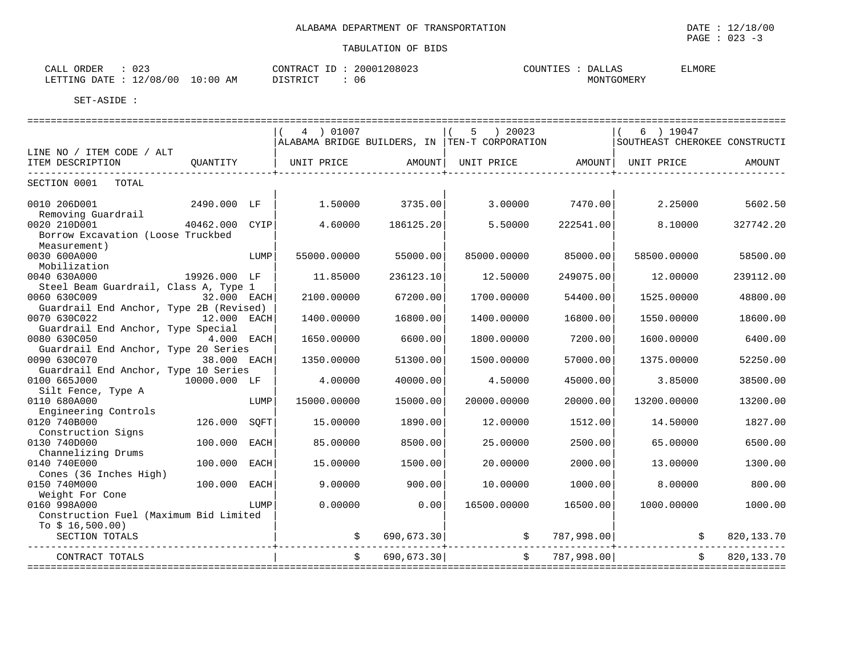| ົ່<br>ΞΔ.<br>ORDEI.<br>ぃムこ                              |                          | $\sim$<br>ാവി<br>$\sim$ 11 $\sim$ 1<br>. .<br>. | <b>JUN</b><br>$\Delta$<br>ᅭ | ELMORI |
|---------------------------------------------------------|--------------------------|-------------------------------------------------|-----------------------------|--------|
| ING<br>五面<br>ז ב<br>$\overline{\phantom{a}}$<br>.<br>-- | $: \Omega$<br>Alv<br>. . | 06                                              |                             |        |

|                                         |                |      | 4 ) 01007                         |                   | $5 \t) 20023$                                 |                 | $6$ ) 19047                                                                                                                                                                                                                                                                           |              |
|-----------------------------------------|----------------|------|-----------------------------------|-------------------|-----------------------------------------------|-----------------|---------------------------------------------------------------------------------------------------------------------------------------------------------------------------------------------------------------------------------------------------------------------------------------|--------------|
|                                         |                |      |                                   |                   | ALABAMA BRIDGE BUILDERS, IN TEN-T CORPORATION |                 | SOUTHEAST CHEROKEE CONSTRUCTI                                                                                                                                                                                                                                                         |              |
| LINE NO / ITEM CODE / ALT               |                |      |                                   |                   |                                               |                 |                                                                                                                                                                                                                                                                                       |              |
| ITEM DESCRIPTION                        |                |      | QUANTITY   UNIT PRICE AMOUNT      |                   | UNIT PRICE AMOUNT   UNIT PRICE                |                 |                                                                                                                                                                                                                                                                                       | AMOUNT       |
| SECTION 0001 TOTAL                      |                |      |                                   |                   |                                               |                 |                                                                                                                                                                                                                                                                                       |              |
|                                         |                |      |                                   |                   |                                               |                 |                                                                                                                                                                                                                                                                                       |              |
| 0010 206D001                            | 2490.000 LF    |      |                                   | $1.50000$ 3735.00 |                                               | 3.00000 7470.00 | 2.25000                                                                                                                                                                                                                                                                               | 5602.50      |
| Removing Guardrail                      |                |      |                                   |                   |                                               |                 |                                                                                                                                                                                                                                                                                       |              |
| 0020 210D001                            | 40462.000 CYIP |      | 4.60000                           | 186125.20         | 5.50000                                       | 222541.00       | 8.10000                                                                                                                                                                                                                                                                               | 327742.20    |
| Borrow Excavation (Loose Truckbed       |                |      |                                   |                   |                                               |                 |                                                                                                                                                                                                                                                                                       |              |
| Measurement)                            |                |      |                                   |                   |                                               |                 |                                                                                                                                                                                                                                                                                       |              |
| 0030 600A000                            |                | LUMP | 55000.00000                       | 55000.00          | 85000.00000                                   | 85000.00        | 58500.00000                                                                                                                                                                                                                                                                           | 58500.00     |
| Mobilization<br>0040 630A000            | 19926.000 LF   |      |                                   |                   |                                               |                 |                                                                                                                                                                                                                                                                                       | 239112.00    |
| Steel Beam Guardrail, Class A, Type 1   |                |      | 11.85000                          | 236123.10         | 12.50000                                      | 249075.00       | 12.00000                                                                                                                                                                                                                                                                              |              |
| 0060 630C009                            | 32.000 EACH    |      | 2100.00000                        | 67200.00          | 1700.00000                                    | 54400.00        | 1525.00000                                                                                                                                                                                                                                                                            | 48800.00     |
| Guardrail End Anchor, Type 2B (Revised) |                |      |                                   |                   |                                               |                 |                                                                                                                                                                                                                                                                                       |              |
| 0070 630C022                            | 12.000 EACH    |      | 1400.00000                        | 16800.00          | 1400.00000                                    | 16800.00        | 1550.00000                                                                                                                                                                                                                                                                            | 18600.00     |
| Guardrail End Anchor, Type Special      |                |      |                                   |                   |                                               |                 |                                                                                                                                                                                                                                                                                       |              |
| 0080 630C050                            | 4.000 EACH     |      | 1650.00000                        | 6600.00           | 1800.00000                                    | 7200.00         | 1600.00000                                                                                                                                                                                                                                                                            | 6400.00      |
| Guardrail End Anchor, Type 20 Series    |                |      |                                   |                   |                                               |                 |                                                                                                                                                                                                                                                                                       |              |
| 0090 630C070                            | 38.000 EACH    |      | 1350.00000                        | 51300.00          | 1500.00000                                    | 57000.00        | 1375.00000                                                                                                                                                                                                                                                                            | 52250.00     |
| Guardrail End Anchor, Type 10 Series    |                |      |                                   |                   |                                               |                 |                                                                                                                                                                                                                                                                                       |              |
| 0100 665J000                            | 10000.000 LF   |      | 4.00000                           | 40000.00          | 4.50000                                       | 45000.00        | 3.85000                                                                                                                                                                                                                                                                               | 38500.00     |
| Silt Fence, Type A                      |                |      |                                   |                   |                                               |                 |                                                                                                                                                                                                                                                                                       |              |
| 0110 680A000                            |                | LUMP | 15000.00000                       | 15000.00          | 20000.00000                                   | 20000.00        | 13200.00000                                                                                                                                                                                                                                                                           | 13200.00     |
| Engineering Controls                    |                |      |                                   |                   |                                               |                 |                                                                                                                                                                                                                                                                                       |              |
| 0120 740B000                            | 126.000 SQFT   |      | 15.00000                          | 1890.00           | 12.00000                                      | 1512.00         | 14.50000                                                                                                                                                                                                                                                                              | 1827.00      |
| Construction Signs                      |                |      |                                   |                   |                                               |                 |                                                                                                                                                                                                                                                                                       |              |
| 0130 740D000                            | 100.000 EACH   |      | 85.00000                          | 8500.00           | 25.00000                                      | 2500.00         | 65.00000                                                                                                                                                                                                                                                                              | 6500.00      |
| Channelizing Drums                      |                |      |                                   |                   |                                               |                 |                                                                                                                                                                                                                                                                                       |              |
| 0140 740E000<br>Cones (36 Inches High)  | 100.000 EACH   |      | 15.00000                          | 1500.00           | 20.00000                                      | 2000.00         | 13.00000                                                                                                                                                                                                                                                                              | 1300.00      |
| 0150 740M000                            | 100.000 EACH   |      | 9,00000                           | 900.00            | 10.00000                                      | 1000.00         | 8,00000                                                                                                                                                                                                                                                                               | 800.00       |
| Weight For Cone                         |                |      |                                   |                   |                                               |                 |                                                                                                                                                                                                                                                                                       |              |
| 0160 998A000                            |                | LUMP | 0.00000                           | 0.00              | 16500.00000                                   | 16500.00        | 1000.00000                                                                                                                                                                                                                                                                            | 1000.00      |
| Construction Fuel (Maximum Bid Limited  |                |      |                                   |                   |                                               |                 |                                                                                                                                                                                                                                                                                       |              |
| To $$16,500.00)$                        |                |      |                                   |                   |                                               |                 |                                                                                                                                                                                                                                                                                       |              |
| SECTION TOTALS                          |                |      |                                   |                   |                                               |                 | $\left  \begin{array}{ccc} \xi \quad & \mathbf{690,673.30} \end{array} \right  \quad\qquad\qquad \left  \begin{array}{ccc} \xi \quad & \mathbf{787,998.00} \end{array} \right  \quad\qquad\qquad\qquad \left  \begin{array}{ccc} \xi \quad & \mathbf{820,133.70} \end{array} \right $ |              |
|                                         |                |      | -----------------+--------------- |                   |                                               |                 | _________________                                                                                                                                                                                                                                                                     |              |
| CONTRACT TOTALS                         |                |      |                                   | \$690,673.30]     | \$787,998.00]                                 |                 |                                                                                                                                                                                                                                                                                       | \$820,133.70 |
|                                         |                |      |                                   |                   |                                               |                 |                                                                                                                                                                                                                                                                                       |              |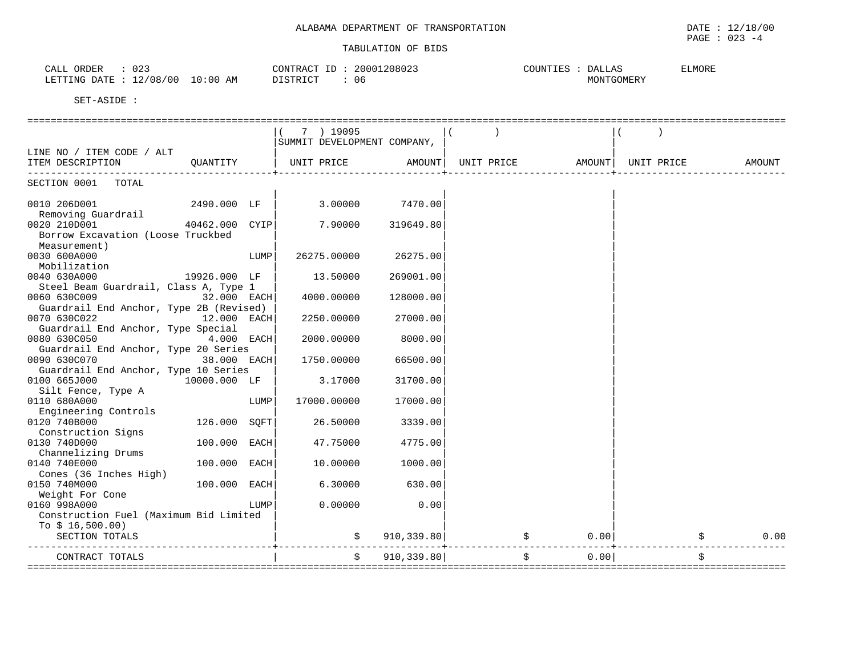| $\sim$ $\sim$<br>ORDER<br>CALL<br>یے ں      | 20001208023<br>$\tau$<br>CONTRACT<br>⊥ | <b>ELMORE</b><br><b>DALLAS</b><br>COUNTIES |
|---------------------------------------------|----------------------------------------|--------------------------------------------|
| 12/08/00<br>10:00<br>AΜ<br>חת מח<br>LETTING | ገ ደጥ ፓ ר ר ר<br>06                     | MONTGOMERY                                 |

|                                                    |                |      | 7 ) 19095                   |             |            |        |            |            |
|----------------------------------------------------|----------------|------|-----------------------------|-------------|------------|--------|------------|------------|
|                                                    |                |      | SUMMIT DEVELOPMENT COMPANY, |             |            |        |            |            |
| LINE NO / ITEM CODE / ALT<br>ITEM DESCRIPTION      | OUANTITY       |      | UNIT PRICE                  | AMOUNT      | UNIT PRICE | AMOUNT | UNIT PRICE | AMOUNT     |
|                                                    |                |      |                             |             |            |        |            |            |
| SECTION 0001 TOTAL                                 |                |      |                             |             |            |        |            |            |
|                                                    |                |      |                             |             |            |        |            |            |
| 0010 206D001                                       | 2490.000 LF    |      | 3.00000                     | 7470.00     |            |        |            |            |
| Removing Guardrail<br>0020 210D001                 | 40462.000 CYIP |      | 7.90000                     | 319649.80   |            |        |            |            |
| Borrow Excavation (Loose Truckbed                  |                |      |                             |             |            |        |            |            |
| Measurement)                                       |                |      |                             |             |            |        |            |            |
| 0030 600A000                                       |                | LUMP | 26275.00000                 | 26275.00    |            |        |            |            |
| Mobilization                                       |                |      |                             |             |            |        |            |            |
| 0040 630A000                                       | 19926.000 LF   |      | 13.50000                    | 269001.00   |            |        |            |            |
| Steel Beam Guardrail, Class A, Type 1              |                |      |                             |             |            |        |            |            |
| 0060 630C009                                       | 32.000 EACH    |      | 4000.00000                  | 128000.00   |            |        |            |            |
| Guardrail End Anchor, Type 2B (Revised)            |                |      |                             |             |            |        |            |            |
| 0070 630C022<br>Guardrail End Anchor, Type Special | 12.000 EACH    |      | 2250.00000                  | 27000.00    |            |        |            |            |
| 0080 630C050                                       | $4.000$ EACH   |      | 2000.00000                  | 8000.00     |            |        |            |            |
| Guardrail End Anchor, Type 20 Series               |                |      |                             |             |            |        |            |            |
| 0090 630C070                                       | 38.000 EACH    |      | 1750.00000                  | 66500.00    |            |        |            |            |
| Guardrail End Anchor, Type 10 Series               |                |      |                             |             |            |        |            |            |
| 0100 665J000                                       | 10000.000 LF   |      | 3.17000                     | 31700.00    |            |        |            |            |
| Silt Fence, Type A                                 |                |      |                             |             |            |        |            |            |
| 0110 680A000                                       |                | LUMP | 17000.00000                 | 17000.00    |            |        |            |            |
| Engineering Controls                               |                |      |                             |             |            |        |            |            |
| 0120 740B000<br>Construction Signs                 | 126.000 SOFT   |      | 26.50000                    | 3339.00     |            |        |            |            |
| 0130 740D000                                       | 100.000 EACH   |      | 47.75000                    | 4775.00     |            |        |            |            |
| Channelizing Drums                                 |                |      |                             |             |            |        |            |            |
| 0140 740E000                                       | 100.000 EACH   |      | 10.00000                    | 1000.00     |            |        |            |            |
| Cones (36 Inches High)                             |                |      |                             |             |            |        |            |            |
| 0150 740M000                                       | 100.000 EACH   |      | 6.30000                     | 630.00      |            |        |            |            |
| Weight For Cone                                    |                |      |                             |             |            |        |            |            |
| 0160 998A000                                       |                | LUMP | 0.00000                     | 0.00        |            |        |            |            |
| Construction Fuel (Maximum Bid Limited             |                |      |                             |             |            |        |            |            |
| To $$16,500.00)$                                   |                |      |                             |             |            |        |            |            |
| SECTION TOTALS                                     |                |      |                             | 910, 339.80 | \$         | 0.00   |            | 0.00<br>\$ |
| CONTRACT TOTALS                                    |                |      | Ŝ.                          | 910, 339.80 | \$         | 0.00   |            |            |
|                                                    |                |      |                             |             |            |        |            |            |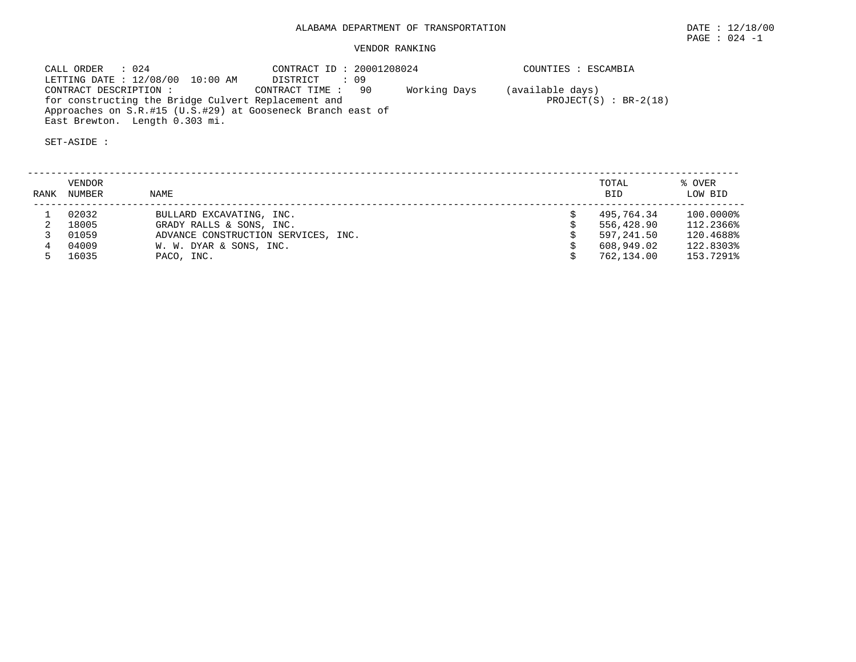# VENDOR RANKING

| CALL ORDER : 024                                            | CONTRACT ID: 20001208024 |              | COUNTIES : ESCAMBIA      |
|-------------------------------------------------------------|--------------------------|--------------|--------------------------|
| LETTING DATE : 12/08/00 10:00 AM                            | DISTRICT : 09            |              |                          |
| CONTRACT DESCRIPTION :                                      | CONTRACT TIME: 90        | Working Days | (available days)         |
| for constructing the Bridge Culvert Replacement and         |                          |              | PROJECT $(S)$ : BR-2(18) |
| Approaches on S.R.#15 (U.S.#29) at Gooseneck Branch east of |                          |              |                          |
| East Brewton. Length 0.303 mi.                              |                          |              |                          |

| RANK | <b>VENDOR</b><br>NUMBER | NAME                                | TOTAL<br><b>BID</b> | % OVER<br>LOW BID |
|------|-------------------------|-------------------------------------|---------------------|-------------------|
|      | 02032                   | BULLARD EXCAVATING, INC.            | 495,764.34          | 100.0000%         |
|      | 18005                   | GRADY RALLS & SONS, INC.            | 556,428.90          | 112.2366%         |
|      | 01059                   | ADVANCE CONSTRUCTION SERVICES, INC. | 597,241.50          | 120.4688%         |
|      | 04009                   | W. W. DYAR & SONS, INC.             | 608,949.02          | 122.8303%         |
|      | 16035                   | PACO, INC.                          | 762,134.00          | 153.7291%         |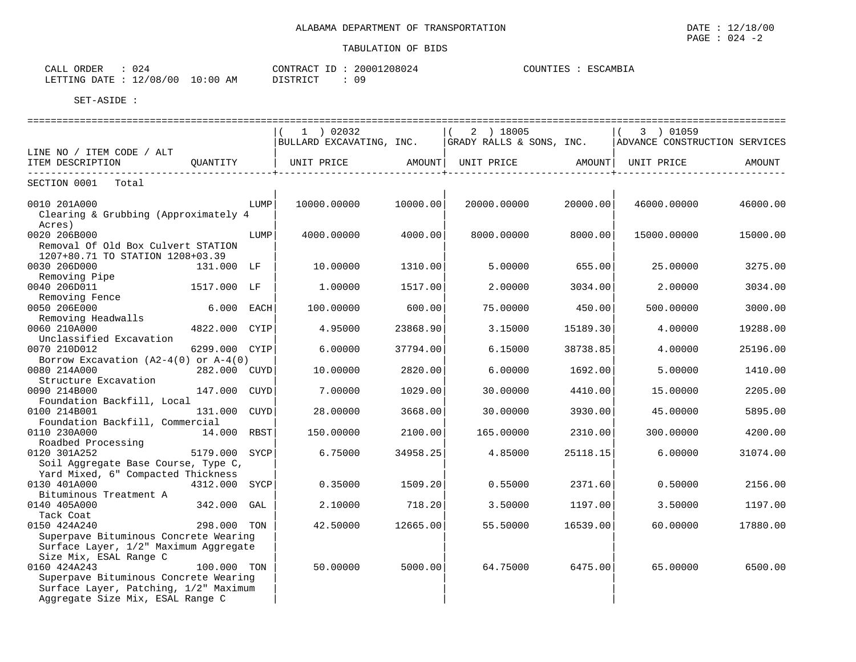| 024<br>ORDER<br>CALL   |            | CONTRACT ID     | 20001208024 | COUNTIES | ESCAMBIA |
|------------------------|------------|-----------------|-------------|----------|----------|
| LETTING DATE: 12/08/00 | $10:00$ AM | <b>DISTRICT</b> | 09          |          |          |

|                                                                                                                                                              |                  | $1$ ) 02032<br>BULLARD EXCAVATING, INC. |                  | 2 ) 18005<br>GRADY RALLS & SONS, INC.   ADVANCE CONSTRUCTION SERVICES |                   | ( 3 ) 01059 | ========================= |
|--------------------------------------------------------------------------------------------------------------------------------------------------------------|------------------|-----------------------------------------|------------------|-----------------------------------------------------------------------|-------------------|-------------|---------------------------|
| LINE NO / ITEM CODE / ALT                                                                                                                                    |                  |                                         |                  |                                                                       |                   |             |                           |
| ITEM DESCRIPTION                                                                                                                                             | QUANTITY         | UNIT PRICE AMOUNT                       | ---------------+ | UNIT PRICE AMOUNT                                                     | ----------------+ | UNIT PRICE  | AMOUNT                    |
| SECTION 0001 Total                                                                                                                                           |                  |                                         |                  |                                                                       |                   |             |                           |
| 0010 201A000<br>Clearing & Grubbing (Approximately 4<br>Acres)                                                                                               | LUMP             | 10000.00000                             | 10000.00         | 20000.00000                                                           | 20000.00          | 46000.00000 | 46000.00                  |
| 0020 206B000<br>Removal Of Old Box Culvert STATION<br>1207+80.71 TO STATION 1208+03.39                                                                       | LUMP             | 4000.00000                              | 4000.00          | 8000.00000                                                            | 8000.00           | 15000.00000 | 15000.00                  |
| 0030 206D000                                                                                                                                                 | 131.000 LF       | 10.00000                                | 1310.00          | 5.00000                                                               | 655.00            | 25,00000    | 3275.00                   |
| Removing Pipe<br>0040 206D011<br>Removing Fence                                                                                                              | 1517.000 LF      | 1.00000                                 | 1517.00          | 2,00000                                                               | 3034.00           | 2,00000     | 3034.00                   |
| 0050 206E000<br>Removing Headwalls                                                                                                                           | $6.000$ EACH     | 100.00000                               | 600.00           | 75.00000                                                              | 450.00            | 500.00000   | 3000.00                   |
| 0060 210A000<br>Unclassified Excavation                                                                                                                      | 4822.000 CYIP    | 4.95000                                 | 23868.90         | 3.15000                                                               | 15189.30          | 4.00000     | 19288.00                  |
| 0070 210D012                                                                                                                                                 | 6299.000 CYIP    | 6.00000                                 | 37794.00         | 6.15000                                                               | 38738.85          | 4.00000     | 25196.00                  |
| Borrow Excavation $(A2-4(0))$ or $A-4(0)$<br>0080 214A000<br>Structure Excavation                                                                            | 282.000 CUYD     | 10,00000                                | 2820.00          | 6,00000                                                               | 1692.00           | 5.00000     | 1410.00                   |
| 0090 214B000<br>Foundation Backfill, Local                                                                                                                   | 147.000 CUYD     | 7.00000                                 | 1029.00          | 30.00000                                                              | 4410.00           | 15.00000    | 2205.00                   |
| 0100 214B001<br>Foundation Backfill, Commercial                                                                                                              | 131.000 CUYD     | 28.00000                                | 3668.00          | 30.00000                                                              | 3930.00           | 45.00000    | 5895.00                   |
| 0110 230A000<br>Roadbed Processing                                                                                                                           | 14.000 RBST      | 150.00000                               | 2100.00          | 165.00000                                                             | 2310.00           | 300.00000   | 4200.00                   |
| 0120 301A252<br>Soil Aggregate Base Course, Type C,<br>Yard Mixed, 6" Compacted Thickness                                                                    | 5179.000<br>SYCP | 6.75000                                 | 34958.25         | 4.85000                                                               | 25118.15          | 6.00000     | 31074.00                  |
| 0130 401A000<br>Bituminous Treatment A                                                                                                                       | 4312.000<br>SYCP | 0.35000                                 | 1509.20          | 0.55000                                                               | 2371.60           | 0.50000     | 2156.00                   |
| 0140 405A000<br>Tack Coat                                                                                                                                    | 342.000<br>GAL   | 2.10000                                 | 718.20           | 3.50000                                                               | 1197.00           | 3.50000     | 1197.00                   |
| 0150 424A240<br>Superpave Bituminous Concrete Wearing<br>Surface Layer, 1/2" Maximum Aggregate                                                               | 298.000 TON      | 42.50000                                | 12665.00         | 55.50000                                                              | 16539.00          | 60,00000    | 17880.00                  |
| Size Mix, ESAL Range C<br>0160 424A243<br>Superpave Bituminous Concrete Wearing<br>Surface Layer, Patching, 1/2" Maximum<br>Aggregate Size Mix, ESAL Range C | 100.000 TON      | 50.00000                                | 5000.00          | 64.75000                                                              | 6475.00           | 65.00000    | 6500.00                   |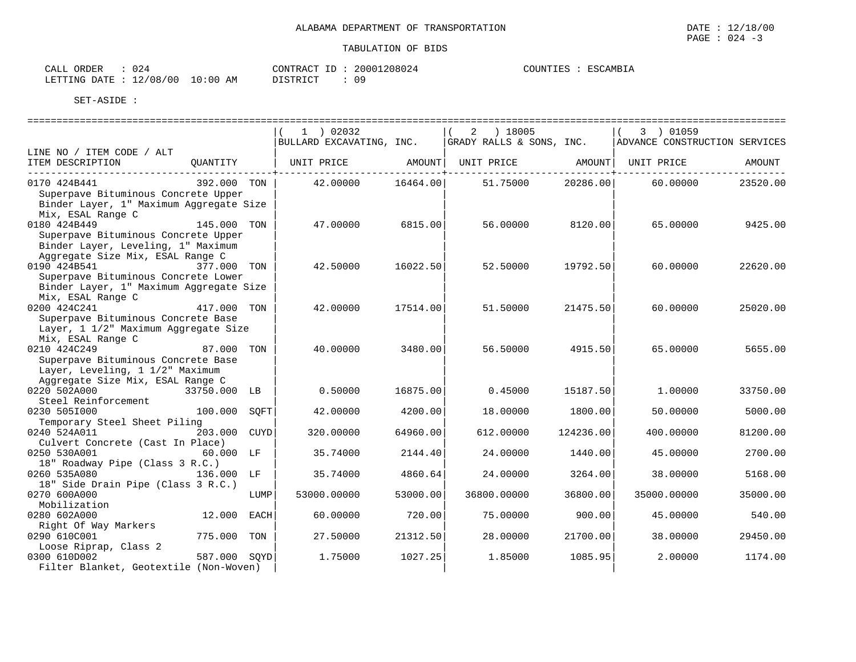CALL ORDER :  $024$  CONTRACT ID :  $20001208024$ COUNTIES : ESCAMBIA LETTING DATE : 12/08/00 10:00 AM DISTRICT : 09

|                                                                                                                               |              |      | 1 ) 02032                |          | ) 18005<br>$\overline{2}$ |           | 3 ) 01059                     |                           |
|-------------------------------------------------------------------------------------------------------------------------------|--------------|------|--------------------------|----------|---------------------------|-----------|-------------------------------|---------------------------|
| LINE NO / ITEM CODE / ALT                                                                                                     |              |      | BULLARD EXCAVATING, INC. |          | GRADY RALLS & SONS, INC.  |           | ADVANCE CONSTRUCTION SERVICES |                           |
| ITEM DESCRIPTION<br>____________________________________                                                                      | QUANTITY     |      | UNIT PRICE               | AMOUNT   | UNIT PRICE                | AMOUNT    | UNIT PRICE                    | AMOUNT<br>. _ _ _ _ _ _ _ |
| 0170 424B441<br>Superpave Bituminous Concrete Upper<br>Binder Layer, 1" Maximum Aggregate Size<br>Mix, ESAL Range C           | 392.000 TON  |      | 42.00000                 | 16464.00 | 51.75000                  | 20286.00  | 60.00000                      | 23520.00                  |
| 0180 424B449<br>Superpave Bituminous Concrete Upper<br>Binder Layer, Leveling, 1" Maximum<br>Aggregate Size Mix, ESAL Range C | 145.000      | TON  | 47.00000                 | 6815.00  | 56.00000                  | 8120.00   | 65.00000                      | 9425.00                   |
| 0190 424B541<br>Superpave Bituminous Concrete Lower<br>Binder Layer, 1" Maximum Aggregate Size<br>Mix, ESAL Range C           | 377.000 TON  |      | 42.50000                 | 16022.50 | 52.50000                  | 19792.50  | 60,00000                      | 22620.00                  |
| 0200 424C241<br>Superpave Bituminous Concrete Base<br>Layer, 1 1/2" Maximum Aggregate Size<br>Mix, ESAL Range C               | 417.000 TON  |      | 42.00000                 | 17514.00 | 51.50000                  | 21475.50  | 60.00000                      | 25020.00                  |
| 0210 424C249<br>Superpave Bituminous Concrete Base<br>Layer, Leveling, 1 1/2" Maximum<br>Aggregate Size Mix, ESAL Range C     | 87.000 TON   |      | 40.00000                 | 3480.00  | 56.50000                  | 4915.50   | 65,00000                      | 5655.00                   |
| 0220 502A000<br>Steel Reinforcement                                                                                           | 33750.000 LB |      | 0.50000                  | 16875.00 | 0.45000                   | 15187.50  | 1,00000                       | 33750.00                  |
| 0230 5051000<br>Temporary Steel Sheet Piling                                                                                  | 100.000      | SOFT | 42.00000                 | 4200.00  | 18.00000                  | 1800.00   | 50.00000                      | 5000.00                   |
| 0240 524A011<br>Culvert Concrete (Cast In Place)                                                                              | 203.000      | CUYD | 320.00000                | 64960.00 | 612,00000                 | 124236.00 | 400.00000                     | 81200.00                  |
| 0250 530A001<br>18" Roadway Pipe (Class 3 R.C.)                                                                               | 60.000 LF    |      | 35.74000                 | 2144.40  | 24.00000                  | 1440.00   | 45.00000                      | 2700.00                   |
| 0260 535A080<br>18" Side Drain Pipe (Class 3 R.C.)                                                                            | 136.000 LF   |      | 35.74000                 | 4860.64  | 24.00000                  | 3264.00   | 38,00000                      | 5168.00                   |
| 0270 600A000<br>Mobilization                                                                                                  |              | LUMP | 53000.00000              | 53000.00 | 36800.00000               | 36800.00  | 35000.00000                   | 35000.00                  |
| 0280 602A000<br>Right Of Way Markers                                                                                          | 12.000 EACH  |      | 60.00000                 | 720.00   | 75.00000                  | 900.00    | 45.00000                      | 540.00                    |
| 0290 610C001<br>Loose Riprap, Class 2                                                                                         | 775.000      | TON  | 27.50000                 | 21312.50 | 28.00000                  | 21700.00  | 38,00000                      | 29450.00                  |
| 0300 610D002<br>Filter Blanket, Geotextile (Non-Woven)                                                                        | 587.000 SOYD |      | 1.75000                  | 1027.25  | 1.85000                   | 1085.95   | 2.00000                       | 1174.00                   |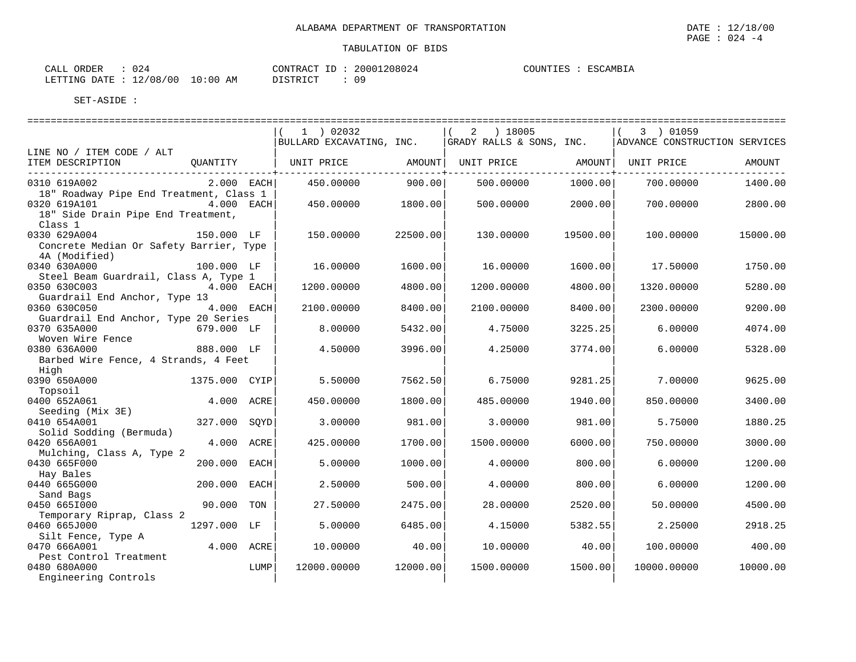==================================================================================================================================

| CALL ORDER                       | 024 |          | CONTRACT ID: 20001208024 |  |
|----------------------------------|-----|----------|--------------------------|--|
| LETTING DATE : 12/08/00 10:00 AM |     | DISTRICT | 09                       |  |

OUNTIES : ESCAMBIA

SET-ASIDE :

|                                                      |               |      | 1 ) 02032<br>$\left($<br>BULLARD EXCAVATING, INC. |          | 2 ) 18005<br>GRADY RALLS & SONS, INC. |          | 3 ) 01059<br>ADVANCE CONSTRUCTION SERVICES |          |
|------------------------------------------------------|---------------|------|---------------------------------------------------|----------|---------------------------------------|----------|--------------------------------------------|----------|
| LINE NO / ITEM CODE / ALT                            |               |      |                                                   |          |                                       |          |                                            |          |
| ITEM DESCRIPTION                                     | OUANTITY      |      | UNIT PRICE                                        | AMOUNT   | UNIT PRICE                            | AMOUNT   | UNIT PRICE                                 | AMOUNT   |
| 0310 619A002                                         | $2.000$ EACH  |      | 450.00000                                         | 900.00   | 500.00000                             | 1000.00  | 700.00000                                  | 1400.00  |
| 18" Roadway Pipe End Treatment, Class 1              |               |      |                                                   |          |                                       |          |                                            |          |
| 0320 619A101<br>18" Side Drain Pipe End Treatment,   | 4.000 EACH    |      | 450.00000                                         | 1800.001 | 500.00000                             | 2000.00  | 700,00000                                  | 2800.00  |
| Class 1                                              |               |      |                                                   |          |                                       |          |                                            |          |
| 0330 629A004                                         | 150.000 LF    |      | 150.00000                                         | 22500.00 | 130.00000                             | 19500.00 | 100.00000                                  | 15000.00 |
| Concrete Median Or Safety Barrier, Type              |               |      |                                                   |          |                                       |          |                                            |          |
| 4A (Modified)                                        |               |      |                                                   |          |                                       |          |                                            |          |
| 0340 630A000                                         | 100.000 LF    |      | 16.00000                                          | 1600.00  | 16.00000                              | 1600.00  | 17.50000                                   | 1750.00  |
| Steel Beam Guardrail, Class A, Type 1                |               |      |                                                   |          |                                       |          |                                            |          |
| 0350 630C003                                         | 4.000 EACH    |      | 1200.00000                                        | 4800.00  | 1200.00000                            | 4800.00  | 1320.00000                                 | 5280.00  |
| Guardrail End Anchor, Type 13                        |               |      |                                                   |          |                                       |          |                                            |          |
| 0360 630C050                                         | 4.000 EACH    |      | 2100.00000                                        | 8400.00  | 2100.00000                            | 8400.00  | 2300.00000                                 | 9200.00  |
| Guardrail End Anchor, Type 20 Series<br>0370 635A000 | 679.000 LF    |      | 8.00000                                           | 5432.00  | 4.75000                               | 3225.25  | 6.00000                                    | 4074.00  |
| Woven Wire Fence                                     |               |      |                                                   |          |                                       |          |                                            |          |
| 0380 636A000                                         | 888.000 LF    |      | 4.50000                                           | 3996.00  | 4.25000                               | 3774.00  | 6,00000                                    | 5328.00  |
| Barbed Wire Fence, 4 Strands, 4 Feet                 |               |      |                                                   |          |                                       |          |                                            |          |
| High                                                 |               |      |                                                   |          |                                       |          |                                            |          |
| 0390 650A000                                         | 1375.000 CYIP |      | 5.50000                                           | 7562.50  | 6.75000                               | 9281.25  | 7.00000                                    | 9625.00  |
| Topsoil                                              |               |      |                                                   |          |                                       |          |                                            |          |
| 0400 652A061                                         | 4.000 ACRE    |      | 450.00000                                         | 1800.00  | 485,00000                             | 1940.00  | 850.00000                                  | 3400.00  |
| Seeding (Mix 3E)                                     |               |      |                                                   |          |                                       |          |                                            |          |
| 0410 654A001                                         | 327.000       | SOYD | 3.00000                                           | 981.00   | 3.00000                               | 981.00   | 5.75000                                    | 1880.25  |
| Solid Sodding (Bermuda)                              |               |      |                                                   |          |                                       |          |                                            |          |
| 0420 656A001                                         | 4.000 ACRE    |      | 425.00000                                         | 1700.00  | 1500.00000                            | 6000.00  | 750.00000                                  | 3000.00  |
| Mulching, Class A, Type 2                            |               |      |                                                   |          |                                       |          |                                            |          |
| 0430 665F000                                         | 200.000       | EACH | 5.00000                                           | 1000.00  | 4.00000                               | 800.00   | 6.00000                                    | 1200.00  |
| Hay Bales                                            |               |      |                                                   |          |                                       |          |                                            |          |
| 0440 665G000                                         | 200.000       | EACH | 2.50000                                           | 500.00   | 4.00000                               | 800.00   | 6.00000                                    | 1200.00  |
| Sand Bags                                            |               |      |                                                   |          |                                       |          |                                            |          |
| 0450 665I000                                         | 90.000        | TON  | 27.50000                                          | 2475.00  | 28,00000                              | 2520.00  | 50.00000                                   | 4500.00  |
| Temporary Riprap, Class 2<br>0460 665J000            | 1297.000 LF   |      | 5.00000                                           | 6485.00  | 4.15000                               | 5382.55  | 2.25000                                    | 2918.25  |
| Silt Fence, Type A                                   |               |      |                                                   |          |                                       |          |                                            |          |
| 0470 666A001                                         | 4.000 ACRE    |      | 10.00000                                          | 40.00    | 10.00000                              | 40.00    | 100.00000                                  | 400.00   |
| Pest Control Treatment                               |               |      |                                                   |          |                                       |          |                                            |          |
| 0480 680A000                                         |               | LUMP | 12000.00000                                       | 12000.00 | 1500.00000                            | 1500.00  | 10000.00000                                | 10000.00 |
| Engineering Controls                                 |               |      |                                                   |          |                                       |          |                                            |          |

PAGE : 024 -4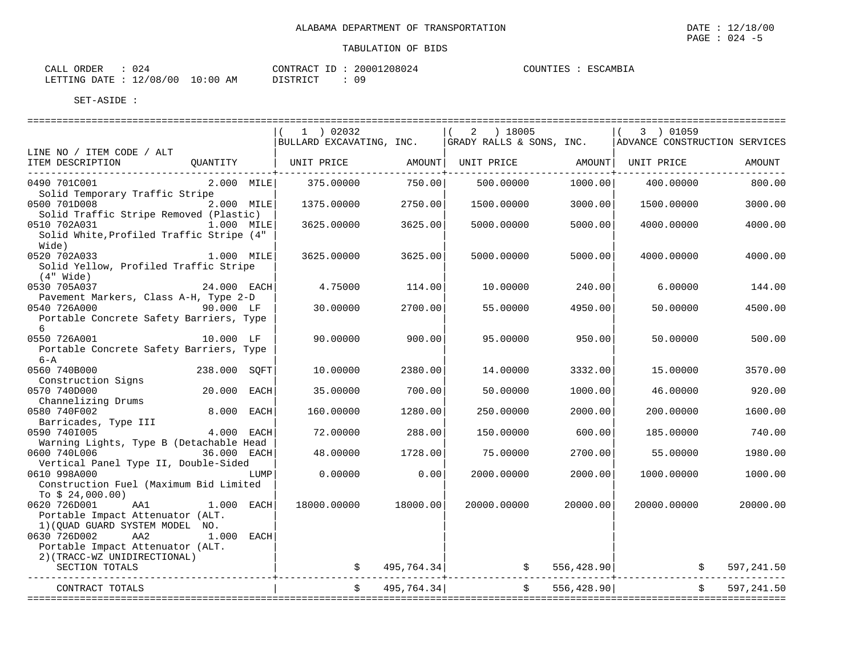| ORDER<br>CALI |          |             | CONTRACT        | $ -$ | 20001208024 | COUNTIES | <b>TSCAMBIA</b> |
|---------------|----------|-------------|-----------------|------|-------------|----------|-----------------|
| LETTING DATE  | 12/08/00 | 10:00<br>AΜ | <b>DISTRICT</b> |      | 09          |          |                 |

|                                                                           |                              | ========================                                            |                  | ==========================                                                          |                         |                                              |              |
|---------------------------------------------------------------------------|------------------------------|---------------------------------------------------------------------|------------------|-------------------------------------------------------------------------------------|-------------------------|----------------------------------------------|--------------|
|                                                                           |                              | $1$ ) 02032                                                         |                  | $(2)$ 18005                                                                         |                         | $(3)$ 01059                                  |              |
|                                                                           |                              |                                                                     |                  | BULLARD EXCAVATING, INC.   GRADY RALLS & SONS, INC.   ADVANCE CONSTRUCTION SERVICES |                         |                                              |              |
| LINE NO / ITEM CODE / ALT<br>ITEM DESCRIPTION                             |                              | QUANTITY   UNIT PRICE     AMOUNT  UNIT PRICE     AMOUNT  UNIT PRICE |                  |                                                                                     |                         |                                              | AMOUNT       |
|                                                                           |                              |                                                                     | --------------+- |                                                                                     | $- - - - - - - - - + -$ |                                              |              |
| 0490 701C001                                                              | $2.000$ MILE                 | 375.00000                                                           | 750.00           | 500.00000                                                                           | 1000.00                 | 400.00000                                    | 800.00       |
| Solid Temporary Traffic Stripe<br>0500 701D008                            | 2.000 MILE                   | 1375.00000                                                          | 2750.00          | 1500.00000                                                                          | 3000.00                 | 1500.00000                                   | 3000.00      |
| Solid Traffic Stripe Removed (Plastic)                                    |                              |                                                                     |                  |                                                                                     |                         |                                              |              |
| 0510 702A031                                                              | 1.000 MILE                   | 3625,00000                                                          | 3625.00          | 5000.00000                                                                          | 5000.00                 | 4000,00000                                   | 4000.00      |
| Solid White, Profiled Traffic Stripe (4"                                  |                              |                                                                     |                  |                                                                                     |                         |                                              |              |
| Wide)<br>0520 702A033                                                     | $1.000$ MILE                 | 3625.00000                                                          | 3625.00          | 5000.00000                                                                          | 5000.00                 | 4000.00000                                   | 4000.00      |
| Solid Yellow, Profiled Traffic Stripe                                     |                              |                                                                     |                  |                                                                                     |                         |                                              |              |
| (4" Wide)                                                                 |                              |                                                                     |                  |                                                                                     |                         |                                              |              |
| 0530 705A037                                                              | 24.000 EACH                  | 4.75000                                                             | 114.00           | 10.00000                                                                            | 240.00                  | 6,00000                                      | 144.00       |
| Pavement Markers, Class A-H, Type 2-D<br>0540 726A000                     | 90.000 LF                    | 30.00000                                                            | 2700.00          | 55.00000                                                                            | 4950.00                 | 50.00000                                     | 4500.00      |
| Portable Concrete Safety Barriers, Type                                   |                              |                                                                     |                  |                                                                                     |                         |                                              |              |
| 6                                                                         |                              |                                                                     |                  |                                                                                     |                         |                                              |              |
| 0550 726A001                                                              | 10.000 LF                    | 90.00000                                                            | 900.00           | 95.00000                                                                            | 950.00                  | 50.00000                                     | 500.00       |
| Portable Concrete Safety Barriers, Type<br>$6 - A$                        |                              |                                                                     |                  |                                                                                     |                         |                                              |              |
| 0560 740B000                                                              | 238.000 SOFT                 | 10.00000                                                            | 2380.00          | 14.00000                                                                            | 3332.00                 | 15.00000                                     | 3570.00      |
| Construction Signs                                                        |                              |                                                                     |                  |                                                                                     |                         |                                              |              |
| 0570 740D000                                                              | 20.000 EACH                  | 35.00000                                                            | 700.00           | 50.00000                                                                            | 1000.00                 | 46.00000                                     | 920.00       |
| Channelizing Drums                                                        |                              |                                                                     |                  |                                                                                     |                         |                                              |              |
| 0580 740F002                                                              | 8.000 EACH                   | 160.00000                                                           | 1280.00          | 250.00000                                                                           | 2000.00                 | 200.00000                                    | 1600.00      |
| Barricades, Type III<br>- Barricades, Type III 4.000 EACH<br>0590 7401005 |                              | 72.00000                                                            | 288.00           | 150.00000                                                                           | 600.00                  | 185,00000                                    | 740.00       |
| Warning Lights, Type B (Detachable Head                                   |                              |                                                                     |                  |                                                                                     |                         |                                              |              |
| 0600 740L006 36.000 EACH                                                  |                              | 48.00000                                                            | 1728.00          | 75.00000                                                                            | 2700.00                 | 55.00000                                     | 1980.00      |
| Vertical Panel Type II, Double-Sided<br>0610 998A000                      | LUMP                         | 0.00000                                                             | 0.00             | 2000.00000                                                                          | 2000.00                 | 1000.00000                                   | 1000.00      |
| Construction Fuel (Maximum Bid Limited                                    |                              |                                                                     |                  |                                                                                     |                         |                                              |              |
| To $$24,000.00)$                                                          |                              |                                                                     |                  |                                                                                     |                         |                                              |              |
| 0620 726D001 AA1 1.000 EACH                                               |                              | 18000.00000                                                         | 18000.00         | 20000.00000                                                                         | 20000.00                | 20000.00000                                  | 20000.00     |
| Portable Impact Attenuator (ALT.                                          |                              |                                                                     |                  |                                                                                     |                         |                                              |              |
| 1) (QUAD GUARD SYSTEM MODEL NO.<br>0630 726D002<br>AA2                    | 1.000 EACH                   |                                                                     |                  |                                                                                     |                         |                                              |              |
| Portable Impact Attenuator (ALT.                                          |                              |                                                                     |                  |                                                                                     |                         |                                              |              |
| 2) (TRACC-WZ UNIDIRECTIONAL)                                              |                              |                                                                     |                  |                                                                                     |                         |                                              |              |
| SECTION TOTALS                                                            |                              |                                                                     | \$ 495,764.34]   |                                                                                     |                         | $\approx 556, 428.90$<br>$\ddot{\mathsf{S}}$ | 597,241.50   |
| CONTRACT TOTALS                                                           | -----------------------+---- |                                                                     | \$ 495,764.34]   |                                                                                     | \$556,428.90]           |                                              | \$597,241.50 |
|                                                                           |                              |                                                                     |                  |                                                                                     |                         |                                              |              |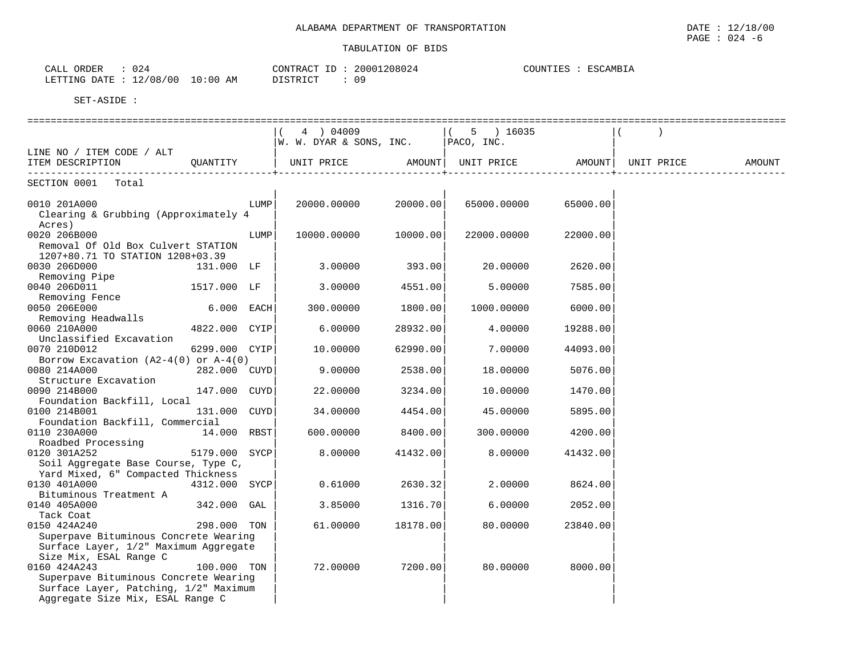CALL ORDER : 024 CONTRACT ID : 20001208024 COUNTIES : ESCAMBIA

 LETTING DATE : 12/08/00 10:00 AM DISTRICT : 09 SET-ASIDE : ================================================================================================================================== $($  ( 4 ) 04009  $($  ( 5 ) 16035  $($  )  $\vert W. W. DYAR \&$  SONS, INC.  $\vert$  PACO, INC. LINE NO / ITEM CODE / ALT ITEM DESCRIPTION  $\bigcirc$  QUANTITY  $\bigcirc$  UNIT PRICE AMOUNT AMOUNT UNIT PRICE AMOUNT AMOUNT AMOUNT ------------------------------------------+----------------------------+----------------------------+----------------------------- SECTION 0001 Total | | | 0010 201A000 LUMP| 20000.00000 20000.00| 65000.00000 65000.00| Clearing & Grubbing (Approximately 4 Acres) | | |  $0.020$  206B000  $10000$   $10000$   $0.00000$   $10000$   $0.00000$   $10000$   $0.00000$   $22000$   $0.0000$ Removal Of Old Box Culvert STATION 1207+80.71 TO STATION 1208+03.39 | | | 0030 206D000 131.000 LF | 3.00000 393.00| 20.00000 2620.00 Removing Pipe<br>0040 206D011 0040 206D011 1517.000 LF | 3.00000 4551.00| 5.00000 7585.00| Removing Fence | | | 0050 206E000 6.000 EACH| 300.00000 1800.00| 1000.00000 6000.00| Removing Headwalls | | |  $6.00000$   $28932.00$   $4.00000$   $19288.00$ Unclassified Excavation  $0070$  210D012  $6299.000$  CYIP 0070 210D012 6299.000 CYIP| 10.00000 62990.00| 7.00000 44093.00| Borrow Excavation (A2-4(0) or A-4(0) |<br> $282.000$  CUYD | 9.00000 2538.00 0080 214A000 282.000 CUYD 9.00000 2538.00 18.00000 5076.00 Structure Excavation  $0090$  214B000  $147.000$  CUYD 0090 214B000 147.000 CUYD| 22.00000 3234.00| 10.00000 1470.00| Foundation Backfill, Local | | | 0100 214B001 131.000 CUYD| 34.00000 4454.00| 45.00000 5895.00| Foundation Backfill, Commercial | | |  $0110 230A000 14.000 RBST$  Roadbed Processing | | | 0120 301A252 5179.000 SYCP| 8.00000 41432.00| 8.00000 41432.00| Soil Aggregate Base Course, Type C, Yard Mixed, 6" Compacted Thickness |<br>0130 401A000 4312.000 SYCP 0.61000  $2630.32$ | 2.00000 8624.00 Bituminous Treatment A  $_{0140}$  405A000  $_{342.000}$  GAL  $3.85000$   $1316.70$  6.00000 2052.00 Tack Coat | | | 0150 424A240 298.000 TON | 61.00000 18178.00| 80.00000 23840.00|

Surface Layer, 1/2" Maximum Aggregate Size Mix, ESAL Range C | | |  $100.000$  TON  $|$  72.00000 7200.00 $|$  80.00000 8000.00 Superpave Bituminous Concrete Wearing

Surface Layer, Patching, 1/2" Maximum Aggregate Size Mix, ESAL Range C

Superpave Bituminous Concrete Wearing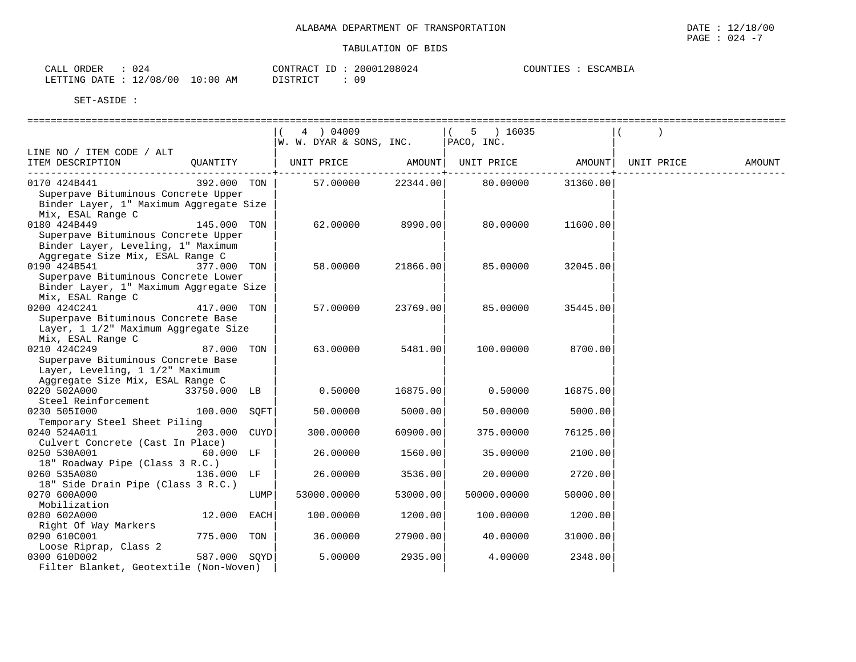| ORDER<br>CALL | UZ4      |            | CONTRACT ID | 20001208024 | COUNTIES | ESCAMBIA |
|---------------|----------|------------|-------------|-------------|----------|----------|
| LETTING DATE  | 12/08/00 | $10:00$ AM | DISTRICT    | 09          |          |          |

|                                                                                                                     |              |      | 4 ) 04009                                             |          | $(5)$ 16035 |          |               |
|---------------------------------------------------------------------------------------------------------------------|--------------|------|-------------------------------------------------------|----------|-------------|----------|---------------|
|                                                                                                                     |              |      | W. W. DYAR & SONS, INC.   PACO, INC.                  |          |             |          |               |
| LINE NO / ITEM CODE / ALT                                                                                           |              |      |                                                       |          |             |          |               |
| ITEM DESCRIPTION COUNTITY   UNIT PRICE AMOUNT UNIT PRICE AMOUNT UNIT PRICE                                          |              |      |                                                       |          |             |          | <b>AMOUNT</b> |
|                                                                                                                     |              |      |                                                       |          |             |          |               |
| 0170 424B441<br>Superpave Bituminous Concrete Upper<br>Binder Layer, 1" Maximum Aggregate Size<br>Mix, ESAL Range C |              |      | $392.000$ TON   57.00000 22344.00   80.00000 31360.00 |          |             |          |               |
| 0180 424B449                                                                                                        | 145.000 TON  |      | 62.00000                                              | 8990.00  | 80.00000    | 11600.00 |               |
| Superpave Bituminous Concrete Upper<br>Binder Layer, Leveling, 1" Maximum<br>Aggregate Size Mix, ESAL Range C       |              |      |                                                       |          |             |          |               |
| 0190 424B541                                                                                                        | 377.000 TON  |      | 58.00000                                              | 21866.00 | 85.00000    | 32045.00 |               |
| Superpave Bituminous Concrete Lower<br>Binder Layer, 1" Maximum Aggregate Size<br>Mix, ESAL Range C                 |              |      |                                                       |          |             |          |               |
| 0200 424C241                                                                                                        | 417.000 TON  |      | 57.00000                                              | 23769.00 | 85.00000    | 35445.00 |               |
| Superpave Bituminous Concrete Base<br>Layer, 1 1/2" Maximum Aggregate Size<br>Mix, ESAL Range C                     |              |      |                                                       |          |             |          |               |
| 0210 424C249                                                                                                        | 87.000 TON   |      | 63.00000                                              | 5481.00  | 100.00000   | 8700.00  |               |
| Superpave Bituminous Concrete Base<br>Layer, Leveling, 1 1/2" Maximum<br>Aggregate Size Mix, ESAL Range C           |              |      |                                                       |          |             |          |               |
| 0220 502A000<br>33750.000 LB                                                                                        |              |      | 0.50000                                               | 16875.00 | 0.50000     | 16875.00 |               |
| Steel Reinforcement                                                                                                 |              |      |                                                       |          |             |          |               |
| 100.000 SQFT<br>0230 5051000<br>Temporary Steel Sheet Piling                                                        |              |      | 50.00000                                              | 5000.00  | 50.00000    | 5000.00  |               |
| 0240 524A011                                                                                                        | 203.000 CUYD |      | 300.00000                                             | 60900.00 | 375.00000   | 76125.00 |               |
| Culvert Concrete (Cast In Place)<br>0250 530A001                                                                    | 60.000 LF    |      | 26.00000                                              | 1560.00  | 35.00000    | 2100.00  |               |
| 18" Roadway Pipe (Class 3 R.C.)                                                                                     |              |      |                                                       |          |             |          |               |
| 0260 535A080<br>136.000 LF                                                                                          |              |      | 26.00000                                              | 3536.00  | 20.00000    | 2720.00  |               |
| 18" Side Drain Pipe (Class 3 R.C.)                                                                                  |              |      |                                                       |          |             |          |               |
| 0270 600A000<br>Mobilization                                                                                        |              | LUMP | 53000.00000                                           | 53000.00 | 50000.00000 | 50000.00 |               |
| 0280 602A000                                                                                                        | 12.000 EACH  |      | 100.00000                                             | 1200.00  | 100.00000   | 1200.00  |               |
| Right Of Way Markers                                                                                                |              |      |                                                       |          |             |          |               |
| 0290 610C001                                                                                                        | 775.000 TON  |      | 36.00000                                              | 27900.00 | 40.00000    | 31000.00 |               |
| Loose Riprap, Class 2                                                                                               |              |      |                                                       |          |             |          |               |
| 0300 610D002                                                                                                        | 587.000 SOYD |      | 5.00000                                               | 2935.00  | 4.00000     | 2348.00  |               |
| Filter Blanket, Geotextile (Non-Woven)                                                                              |              |      |                                                       |          |             |          |               |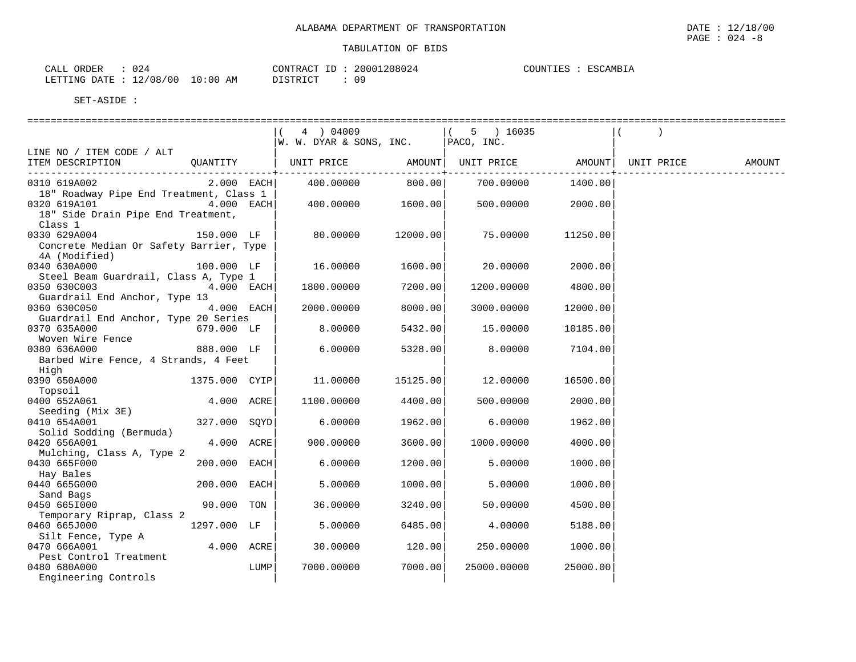| CALI<br>ORDER   | U 4 4          |             | CONTRACT                    | --- | 20001208024 | COUNTIES | <b>TSCAMBIA</b> |
|-----------------|----------------|-------------|-----------------------------|-----|-------------|----------|-----------------|
| DATE<br>LETTING | L2/08/00<br>ᅩᄼ | 10:00<br>AM | <b>DISTRICT</b><br>ມ⊥ມ⊥ນ⊥∪⊥ |     | 09          |          |                 |

|                                                                                                                 |              |      | 4 ) 04009                   |          | $5 \t) 16035$              |          |            |        |
|-----------------------------------------------------------------------------------------------------------------|--------------|------|-----------------------------|----------|----------------------------|----------|------------|--------|
|                                                                                                                 |              |      | $ W. W. DYAR \&$ SONS, INC. |          | $ $ PACO, INC.             |          |            |        |
| LINE NO / ITEM CODE / ALT                                                                                       |              |      |                             |          |                            |          |            |        |
| ITEM DESCRIPTION                                                                                                | QUANTITY     |      | UNIT PRICE                  |          | AMOUNT   UNIT PRICE AMOUNT |          | UNIT PRICE | AMOUNT |
|                                                                                                                 |              |      |                             |          |                            |          |            |        |
| 0310 619A002                                                                                                    | $2.000$ EACH |      | 400.00000                   | 800.00   | 700.00000                  | 1400.00  |            |        |
| 18" Roadway Pipe End Treatment, Class 1                                                                         |              |      |                             |          |                            |          |            |        |
| 0320 619A101 and the state of the state of the state of the state of the state of the state of the state of the | 4.000 EACH   |      | 400.00000                   | 1600.00  | 500.00000                  | 2000.00  |            |        |
| 18" Side Drain Pipe End Treatment,                                                                              |              |      |                             |          |                            |          |            |        |
| Class 1                                                                                                         |              |      |                             |          |                            |          |            |        |
| 0330 629A004                                                                                                    | 150.000 LF   |      | 80.00000                    | 12000.00 | 75.00000                   | 11250.00 |            |        |
|                                                                                                                 |              |      |                             |          |                            |          |            |        |
| Concrete Median Or Safety Barrier, Type                                                                         |              |      |                             |          |                            |          |            |        |
| 4A (Modified)                                                                                                   |              |      |                             |          |                            |          |            |        |
| 0340 630A000                                                                                                    | 100.000 LF   |      | 16.00000                    | 1600.00  | 20.00000                   | 2000.00  |            |        |
| Steel Beam Guardrail, Class A, Type 1                                                                           |              |      |                             |          |                            |          |            |        |
| 0350 630C003                                                                                                    | 4.000 EACH   |      | 1800.00000                  | 7200.00  | 1200.00000                 | 4800.00  |            |        |
| Guardrail End Anchor, Type 13                                                                                   |              |      |                             |          |                            |          |            |        |
| 0360 630C050                                                                                                    | 4.000 EACH   |      | 2000.00000                  | 8000.00  | 3000.00000                 | 12000.00 |            |        |
| Guardrail End Anchor, Type 20 Series                                                                            |              |      |                             |          |                            |          |            |        |
| 0370 635A000<br>$679.000$ LF                                                                                    |              |      | 8.00000                     | 5432.00  | 15.00000                   | 10185.00 |            |        |
| Woven Wire Fence                                                                                                |              |      |                             |          |                            |          |            |        |
| 0380 636A000                                                                                                    | 888.000 LF   |      | 6.00000                     | 5328.00  | 8,00000                    | 7104.00  |            |        |
| Barbed Wire Fence, 4 Strands, 4 Feet                                                                            |              |      |                             |          |                            |          |            |        |
| High                                                                                                            |              |      |                             |          |                            |          |            |        |
| 0390 650A000 1375.000 CYIP                                                                                      |              |      | 11.00000                    | 15125.00 | 12.00000                   | 16500.00 |            |        |
| Topsoil                                                                                                         |              |      |                             |          |                            |          |            |        |
| 0400 652A061                                                                                                    | 4.000 ACRE   |      | 1100.00000                  | 4400.00  | 500.00000                  | 2000.00  |            |        |
| Seeding (Mix 3E)                                                                                                |              |      |                             |          |                            |          |            |        |
| 0410 654A001                                                                                                    | 327.000 SOYD |      | 6.00000                     | 1962.00  | 6.00000                    | 1962.00  |            |        |
| Solid Sodding (Bermuda)                                                                                         |              |      |                             |          |                            |          |            |        |
| 0420 656A001                                                                                                    | 4.000 ACRE   |      | 900.00000                   | 3600.00  | 1000.00000                 | 4000.00  |            |        |
| Mulching, Class A, Type 2                                                                                       |              |      |                             |          |                            |          |            |        |
| 0430 665F000                                                                                                    | 200.000 EACH |      | 6.00000                     | 1200.00  | 5.00000                    | 1000.00  |            |        |
| Hay Bales                                                                                                       |              |      |                             |          |                            |          |            |        |
| 0440 665G000                                                                                                    | 200.000 EACH |      | 5.00000                     | 1000.00  | 5.00000                    | 1000.00  |            |        |
| Sand Bags                                                                                                       |              |      |                             |          |                            |          |            |        |
| 0450 6651000                                                                                                    | 90.000 TON   |      | 36.00000                    | 3240.00  | 50.00000                   | 4500.00  |            |        |
| Temporary Riprap, Class 2                                                                                       |              |      |                             |          |                            |          |            |        |
| 0460 665J000                                                                                                    | 1297.000 LF  |      | 5.00000                     | 6485.00  | 4.00000                    | 5188.00  |            |        |
| Silt Fence, Type A                                                                                              |              |      |                             |          |                            |          |            |        |
| 0470 666A001                                                                                                    | 4.000 ACRE   |      | 30.00000                    | 120.00   | 250.00000                  | 1000.00  |            |        |
| Pest Control Treatment                                                                                          |              |      |                             |          |                            |          |            |        |
| 0480 680A000                                                                                                    |              | LUMP | 7000.00000                  | 7000.00  | 25000.00000                | 25000.00 |            |        |
| Engineering Controls                                                                                            |              |      |                             |          |                            |          |            |        |

PAGE : 024 -8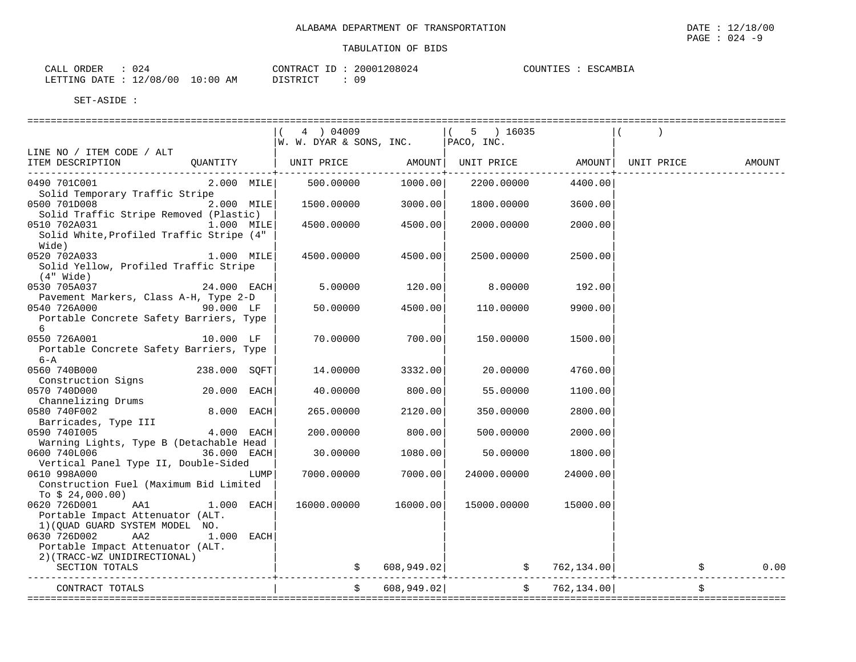| CALL ORDER                       | 024 |          | CONTRACT ID: 20001208024 | COUNTIES : | ESCAMBIA |
|----------------------------------|-----|----------|--------------------------|------------|----------|
| LETTING DATE : 12/08/00 10:00 AM |     | DISTRICT | 09                       |            |          |

|                                                         |               | 4 ) 04009                                                                                                                                             |               | $(5)$ 16035 |               |               |      |
|---------------------------------------------------------|---------------|-------------------------------------------------------------------------------------------------------------------------------------------------------|---------------|-------------|---------------|---------------|------|
|                                                         |               | $\begin{bmatrix} 1 & 1 & 0 & 0 & 0 & 0 \\ \end{bmatrix}$ W. W. DYAR & SONS, INC. $\begin{bmatrix} 1 & 0 & 0 & 0 \\ PACO, & \text{INC.} \end{bmatrix}$ |               |             |               |               |      |
| LINE NO / ITEM CODE / ALT                               |               |                                                                                                                                                       |               |             |               |               |      |
| ITEM DESCRIPTION                                        |               | QUANTITY   UNIT PRICE     AMOUNT  UNIT PRICE     AMOUNT  UNIT PRICE     AMOUNT                                                                        |               |             |               |               |      |
| 0490 701C001                                            |               | 2.000 MILE 500.00000                                                                                                                                  | 1000.00       | 2200.00000  | 4400.00       |               |      |
| Solid Temporary Traffic Stripe                          |               |                                                                                                                                                       |               |             |               |               |      |
| 0500 701D008<br>Solid Traffic Stripe Removed (Plastic)  | 2.000 MILE    | 1500.00000                                                                                                                                            | 3000.00       | 1800.00000  | 3600.00       |               |      |
| 0510 702A031                                            | 1.000 MILE    | 4500.00000                                                                                                                                            | 4500.00       | 2000.00000  | 2000.00       |               |      |
| Solid White, Profiled Traffic Stripe (4"<br>Wide)       |               |                                                                                                                                                       |               |             |               |               |      |
| 0520 702A033                                            | $1.000$ MILE  | 4500.00000                                                                                                                                            | 4500.00       | 2500.00000  | 2500.00       |               |      |
| Solid Yellow, Profiled Traffic Stripe<br>(4" Wide)      |               |                                                                                                                                                       |               |             |               |               |      |
| 0530 705A037                                            | $24.000$ EACH | 5.00000                                                                                                                                               | 120.00        | 8.00000     | 192.00        |               |      |
| Pavement Markers, Class A-H, Type 2-D                   |               |                                                                                                                                                       |               |             |               |               |      |
| 0540 726A000                                            | 90.000 LF     | 50.00000                                                                                                                                              | 4500.00       | 110.00000   | 9900.00       |               |      |
| Portable Concrete Safety Barriers, Type<br>6            |               |                                                                                                                                                       |               |             |               |               |      |
| 0550 726A001 10.000 LF                                  |               | 70.00000                                                                                                                                              | 700.00        | 150.00000   | 1500.00       |               |      |
| Portable Concrete Safety Barriers, Type                 |               |                                                                                                                                                       |               |             |               |               |      |
| $6 - A$                                                 |               |                                                                                                                                                       |               |             |               |               |      |
| 0560 740B000                                            | 238.000 SOFT  | 14.00000                                                                                                                                              | 3332.00       | 20.00000    | 4760.00       |               |      |
| Construction Signs                                      |               |                                                                                                                                                       |               |             |               |               |      |
| 0570 740D000                                            | 20.000 EACH   | 40.00000                                                                                                                                              | 800.00        | 55.00000    | 1100.00       |               |      |
| Channelizing Drums<br>0580 740F002                      | 8.000 EACH    | 265.00000                                                                                                                                             | 2120.00       | 350.00000   | 2800.00       |               |      |
| Barricades, Type III<br>san zinting de la de 1.000 EACH |               |                                                                                                                                                       |               |             |               |               |      |
| 0590 740I005                                            |               | 200.00000                                                                                                                                             | 800.00        | 500.00000   | 2000.00       |               |      |
| Warning Lights, Type B (Detachable Head                 |               |                                                                                                                                                       |               |             |               |               |      |
| 0600 740L006                                            | 36.000 EACH   | 30.00000                                                                                                                                              | 1080.00       | 50.00000    | 1800.00       |               |      |
| Vertical Panel Type II, Double-Sided                    |               |                                                                                                                                                       |               |             |               |               |      |
| 0610 998A000<br>Construction Fuel (Maximum Bid Limited  | LUMP          | 7000.00000                                                                                                                                            | 7000.00       | 24000.00000 | 24000.00      |               |      |
| To $$24,000.00)$                                        |               |                                                                                                                                                       |               |             |               |               |      |
| 0620 726D001 AA1                                        | $1.000$ EACH  | 16000.00000                                                                                                                                           | 16000.00      | 15000.00000 | 15000.00      |               |      |
| Portable Impact Attenuator (ALT.                        |               |                                                                                                                                                       |               |             |               |               |      |
| 1) (QUAD GUARD SYSTEM MODEL NO.                         |               |                                                                                                                                                       |               |             |               |               |      |
| 0630 726D002<br>AA2                                     | 1.000 EACH    |                                                                                                                                                       |               |             |               |               |      |
| Portable Impact Attenuator (ALT.                        |               |                                                                                                                                                       |               |             |               |               |      |
| 2) (TRACC-WZ UNIDIRECTIONAL)                            |               |                                                                                                                                                       |               |             |               |               |      |
| SECTION TOTALS                                          |               |                                                                                                                                                       | \$608,949.02] |             |               | \$762,134.00] | 0.00 |
| CONTRACT TOTALS                                         |               |                                                                                                                                                       | 608,949.02    |             | \$762,134.00] |               |      |
| ================                                        |               |                                                                                                                                                       |               |             |               |               |      |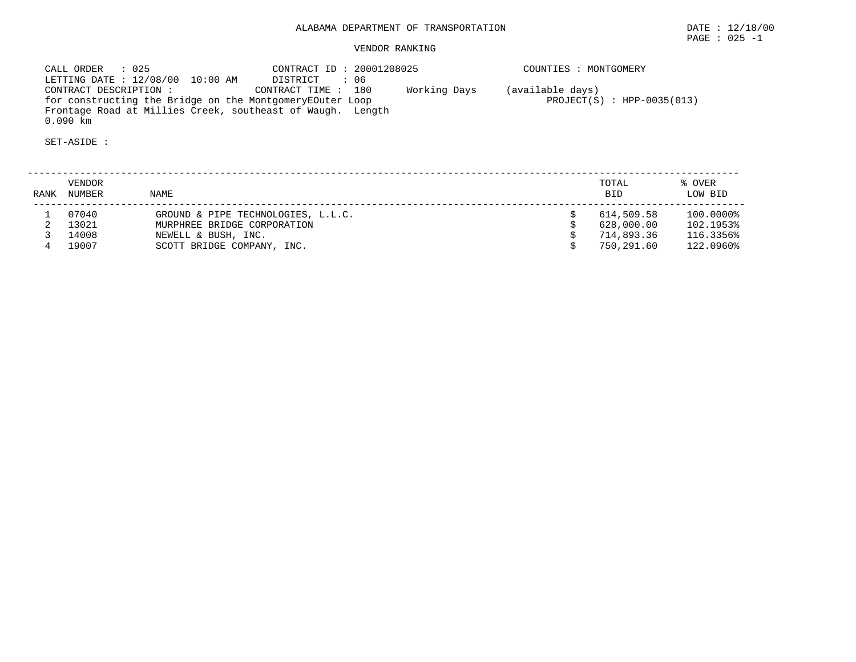# VENDOR RANKING

| CALL ORDER : 025                                           | CONTRACT ID: 20001208025           | COUNTIES : MONTGOMERY        |
|------------------------------------------------------------|------------------------------------|------------------------------|
| LETTING DATE : 12/08/00 10:00 AM                           | : 06<br>DISTRICT                   |                              |
| CONTRACT DESCRIPTION :                                     | CONTRACT TIME: 180<br>Working Days | (available days)             |
| for constructing the Bridge on the MontgomeryEOuter Loop   |                                    | $PROJECT(S) : HPP-0035(013)$ |
| Frontage Road at Millies Creek, southeast of Waugh. Length |                                    |                              |
| $0.090$ km                                                 |                                    |                              |

| RANK | VENDOR<br><b>NUMBER</b> | NAME                               | TOTAL<br><b>BID</b> | % OVER<br>LOW BID |
|------|-------------------------|------------------------------------|---------------------|-------------------|
|      | 07040                   | GROUND & PIPE TECHNOLOGIES, L.L.C. | 614,509.58          | 100.0000%         |
|      | 13021                   | MURPHREE BRIDGE CORPORATION        | 628,000.00          | 102.1953%         |
|      | 14008                   | NEWELL & BUSH, INC.                | 714,893.36          | 116.3356%         |
|      | 19007                   | SCOTT BRIDGE COMPANY, INC.         | 750,291.60          | 122.0960%         |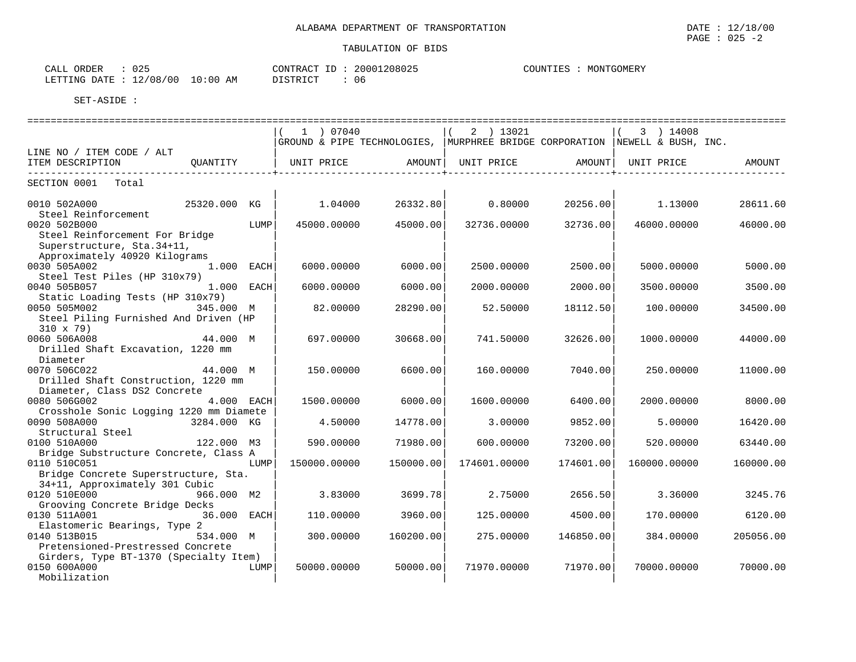| ົ່<br>ORDER<br>CALL<br><u>v 4</u> . |             | 1208025<br>20001<br>CONTRACT ID | MONTGOMERY<br>COUNTIES |
|-------------------------------------|-------------|---------------------------------|------------------------|
| 12/08/00<br>DATE<br>LETTING         | 10:00<br>AM | PISTRICT<br>0 c                 |                        |

|                                                       |             |      | 1 ) 07040    |           | 2 ) 13021    |                                                                                 | 3 ) 14008    |           |
|-------------------------------------------------------|-------------|------|--------------|-----------|--------------|---------------------------------------------------------------------------------|--------------|-----------|
|                                                       |             |      |              |           |              | GROUND & PIPE TECHNOLOGIES,   MURPHREE BRIDGE CORPORATION   NEWELL & BUSH, INC. |              |           |
| LINE NO / ITEM CODE / ALT                             |             |      |              |           |              |                                                                                 |              |           |
| ITEM DESCRIPTION                                      | OUANTITY    |      |              |           |              | UNIT PRICE       AMOUNT  UNIT PRICE       AMOUNT                                | UNIT PRICE   | AMOUNT    |
|                                                       |             |      |              |           |              | ________________________                                                        |              |           |
| SECTION 0001 Total                                    |             |      |              |           |              |                                                                                 |              |           |
| 0010 502A000<br>25320.000 KG                          |             |      | 1.04000      | 26332.80  | 0.80000      | 20256.00                                                                        | 1.13000      | 28611.60  |
| Steel Reinforcement                                   |             |      |              |           |              |                                                                                 |              |           |
| 0020 502B000                                          |             | LUMP | 45000.00000  | 45000.00  | 32736.00000  | 32736.00                                                                        | 46000.00000  | 46000.00  |
| Steel Reinforcement For Bridge                        |             |      |              |           |              |                                                                                 |              |           |
| Superstructure, Sta. 34+11,                           |             |      |              |           |              |                                                                                 |              |           |
| Approximately 40920 Kilograms                         |             |      |              |           |              |                                                                                 |              |           |
| 0030 505A002                                          | 1.000 EACH  |      | 6000.00000   | 6000.00   | 2500.00000   | 2500.00                                                                         | 5000.00000   | 5000.00   |
| Steel Test Piles (HP 310x79)                          |             |      |              |           |              |                                                                                 |              |           |
| 0040 505B057                                          | 1.000 EACH  |      | 6000.00000   | 6000.00   | 2000.00000   | 2000.00                                                                         | 3500.00000   | 3500.00   |
| Static Loading Tests (HP 310x79)                      |             |      |              |           |              |                                                                                 |              |           |
| 0050 505M002                                          | 345.000 M   |      | 82.00000     | 28290.00  | 52.50000     | 18112.50                                                                        | 100.00000    | 34500.00  |
| Steel Piling Furnished And Driven (HP                 |             |      |              |           |              |                                                                                 |              |           |
| $310 \times 79$                                       |             |      |              |           |              |                                                                                 |              |           |
| 0060 506A008                                          | 44.000 M    |      | 697.00000    | 30668.00  | 741.50000    | 32626.00                                                                        | 1000.00000   | 44000.00  |
| Drilled Shaft Excavation, 1220 mm                     |             |      |              |           |              |                                                                                 |              |           |
| Diameter                                              |             |      |              |           |              |                                                                                 |              |           |
| 0070 506C022                                          | 44.000 M    |      | 150.00000    | 6600.00   | 160.00000    | 7040.00                                                                         | 250.00000    | 11000.00  |
| Drilled Shaft Construction, 1220 mm                   |             |      |              |           |              |                                                                                 |              |           |
| Diameter, Class DS2 Concrete                          |             |      |              |           |              |                                                                                 |              |           |
| 0080 506G002                                          | 4.000 EACH  |      | 1500.00000   | 6000.00   | 1600.00000   | 6400.00                                                                         | 2000.00000   | 8000.00   |
| Crosshole Sonic Logging 1220 mm Diamete               |             |      |              |           |              |                                                                                 |              |           |
| 0090 508A000                                          | 3284.000 KG |      | 4.50000      | 14778.00  | 3.00000      | 9852.00                                                                         | 5.00000      | 16420.00  |
| Structural Steel                                      | 122.000 M3  |      |              |           |              |                                                                                 |              |           |
| 0100 510A000<br>Bridge Substructure Concrete, Class A |             |      | 590.00000    | 71980.00  | 600,00000    | 73200.00                                                                        | 520.00000    | 63440.00  |
| 0110 510C051                                          |             | LUMP | 150000.00000 | 150000.00 | 174601.00000 | 174601.00                                                                       | 160000.00000 | 160000.00 |
| Bridge Concrete Superstructure, Sta.                  |             |      |              |           |              |                                                                                 |              |           |
| 34+11, Approximately 301 Cubic                        |             |      |              |           |              |                                                                                 |              |           |
| 0120 510E000                                          | 966.000 M2  |      | 3.83000      | 3699.78   | 2.75000      | 2656.50                                                                         | 3.36000      | 3245.76   |
| Grooving Concrete Bridge Decks                        |             |      |              |           |              |                                                                                 |              |           |
| 0130 511A001                                          | 36.000 EACH |      | 110.00000    | 3960.00   | 125.00000    | 4500.00                                                                         | 170.00000    | 6120.00   |
| Elastomeric Bearings, Type 2                          |             |      |              |           |              |                                                                                 |              |           |
| 0140 513B015                                          | 534.000 M   |      | 300.00000    | 160200.00 | 275.00000    | 146850.00                                                                       | 384.00000    | 205056.00 |
| Pretensioned-Prestressed Concrete                     |             |      |              |           |              |                                                                                 |              |           |
| Girders, Type BT-1370 (Specialty Item)                |             |      |              |           |              |                                                                                 |              |           |
| 0150 600A000                                          |             | LUMP | 50000.00000  | 50000.00  | 71970.00000  | 71970.00                                                                        | 70000.00000  | 70000.00  |
| Mobilization                                          |             |      |              |           |              |                                                                                 |              |           |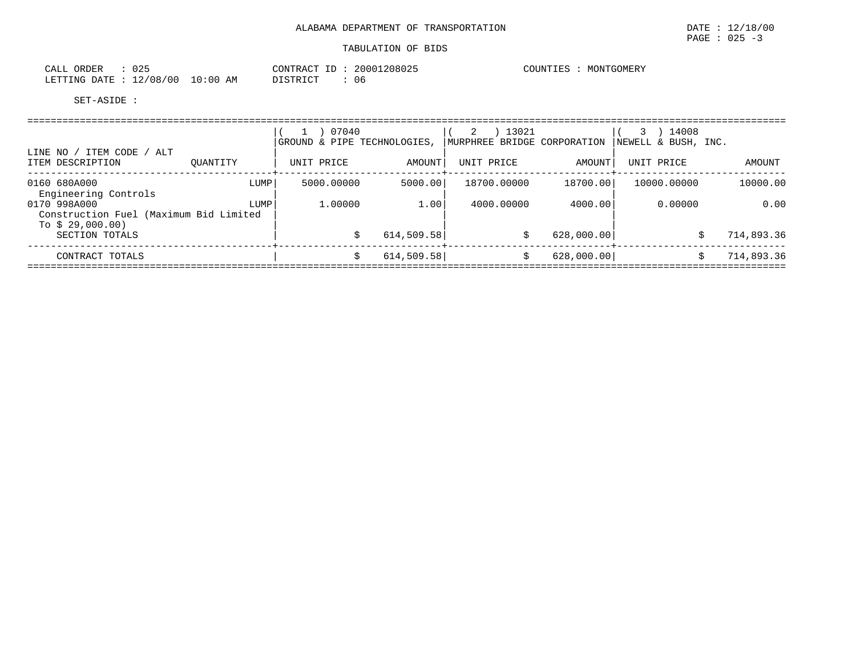| CALL<br>ORDER                   | 025 | CONTRACT ID: 20001208025 | COUNTIES : MONTGOMERY |
|---------------------------------|-----|--------------------------|-----------------------|
| LETTING DATE: 12/08/00 10:00 AM |     | DISTRICT<br>06           |                       |

|                                                                            |          | 07040<br>GROUND & PIPE TECHNOLOGIES. |            | 13021<br>2<br>MURPHREE BRIDGE CORPORATION |            | 14008<br>NEWELL & BUSH, INC. |            |
|----------------------------------------------------------------------------|----------|--------------------------------------|------------|-------------------------------------------|------------|------------------------------|------------|
| ITEM CODE / ALT<br>LINE NO /<br>ITEM DESCRIPTION                           | OUANTITY | UNIT PRICE                           | AMOUNT     | UNIT PRICE                                | AMOUNT     | UNIT PRICE                   | AMOUNT     |
| 0160 680A000<br>Engineering Controls                                       | LUMP     | 5000.00000                           | 5000.00    | 18700.00000                               | 18700.00   | 10000.00000                  | 10000.00   |
| 0170 998A000<br>Construction Fuel (Maximum Bid Limited<br>To $$29,000.00)$ | LUMP     | 1,00000                              | 1.00       | 4000,00000                                | 4000.00    | 0.00000                      | 0.00       |
| SECTION TOTALS                                                             |          |                                      | 614,509.58 | S                                         | 628,000.00 | \$                           | 714,893.36 |
| CONTRACT TOTALS                                                            |          |                                      | 614,509.58 | Ŝ.                                        | 628,000.00 | \$                           | 714,893.36 |
|                                                                            |          |                                      |            |                                           |            |                              |            |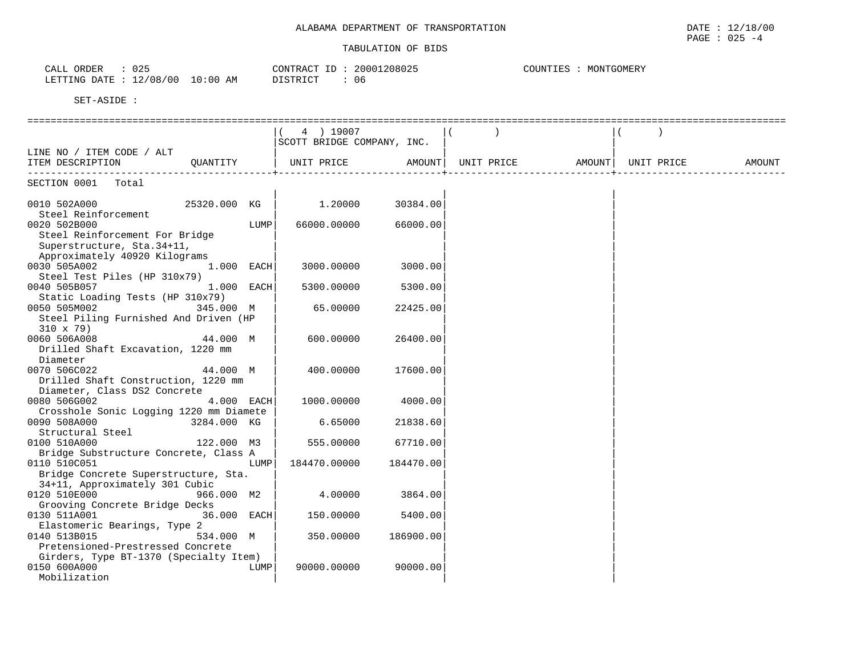| 025<br>ORDER<br>CALL            | CONTRACT               | 20001208025<br>ID | COUNTIES<br>MONTGOMERY |
|---------------------------------|------------------------|-------------------|------------------------|
| LETTING DATE : 12/08/00<br>____ | $10:00$ AM<br>DISTRICT | () 6              |                        |

| 4 ) 19007<br>SCOTT BRIDGE COMPANY, INC.<br>LINE NO / ITEM CODE / ALT<br>UNIT PRICE<br>AMOUNT  UNIT PRICE<br>ITEM DESCRIPTION<br>OUANTITY<br>AMOUNT I<br>UNIT PRICE<br>AMOUNT<br>SECTION 0001 Total<br>0010 502A000<br>25320.000 KG<br>1.20000<br>30384.00<br>Steel Reinforcement<br>0020 502B000<br>LUMP<br>66000.00000<br>66000.00<br>Steel Reinforcement For Bridge<br>Superstructure, Sta. 34+11,<br>Approximately 40920 Kilograms |
|---------------------------------------------------------------------------------------------------------------------------------------------------------------------------------------------------------------------------------------------------------------------------------------------------------------------------------------------------------------------------------------------------------------------------------------|
|                                                                                                                                                                                                                                                                                                                                                                                                                                       |
|                                                                                                                                                                                                                                                                                                                                                                                                                                       |
|                                                                                                                                                                                                                                                                                                                                                                                                                                       |
|                                                                                                                                                                                                                                                                                                                                                                                                                                       |
|                                                                                                                                                                                                                                                                                                                                                                                                                                       |
|                                                                                                                                                                                                                                                                                                                                                                                                                                       |
|                                                                                                                                                                                                                                                                                                                                                                                                                                       |
|                                                                                                                                                                                                                                                                                                                                                                                                                                       |
|                                                                                                                                                                                                                                                                                                                                                                                                                                       |
|                                                                                                                                                                                                                                                                                                                                                                                                                                       |
|                                                                                                                                                                                                                                                                                                                                                                                                                                       |
|                                                                                                                                                                                                                                                                                                                                                                                                                                       |
|                                                                                                                                                                                                                                                                                                                                                                                                                                       |
| 0030 505A002<br>1.000 EACH<br>3000.00000<br>3000.00                                                                                                                                                                                                                                                                                                                                                                                   |
| Steel Test Piles (HP 310x79)                                                                                                                                                                                                                                                                                                                                                                                                          |
| 1.000 EACH<br>0040 505B057<br>5300.00000<br>5300.00                                                                                                                                                                                                                                                                                                                                                                                   |
| Static Loading Tests (HP 310x79)                                                                                                                                                                                                                                                                                                                                                                                                      |
| 0050 505M002<br>345.000 M<br>65.00000<br>22425.00                                                                                                                                                                                                                                                                                                                                                                                     |
| Steel Piling Furnished And Driven (HP                                                                                                                                                                                                                                                                                                                                                                                                 |
| $310 \times 79$                                                                                                                                                                                                                                                                                                                                                                                                                       |
| 0060 506A008<br>44.000 M<br>600.00000<br>26400.00                                                                                                                                                                                                                                                                                                                                                                                     |
| Drilled Shaft Excavation, 1220 mm                                                                                                                                                                                                                                                                                                                                                                                                     |
| Diameter                                                                                                                                                                                                                                                                                                                                                                                                                              |
| 44.000 M<br>400.00000<br>0070 506C022<br>17600.00                                                                                                                                                                                                                                                                                                                                                                                     |
| Drilled Shaft Construction, 1220 mm                                                                                                                                                                                                                                                                                                                                                                                                   |
| Diameter, Class DS2 Concrete                                                                                                                                                                                                                                                                                                                                                                                                          |
| 4.000 EACH<br>0080 506G002<br>1000.00000<br>4000.00                                                                                                                                                                                                                                                                                                                                                                                   |
| Crosshole Sonic Logging 1220 mm Diamete                                                                                                                                                                                                                                                                                                                                                                                               |
| 0090 508A000<br>3284.000 KG<br>6.65000<br>21838.60                                                                                                                                                                                                                                                                                                                                                                                    |
| Structural Steel                                                                                                                                                                                                                                                                                                                                                                                                                      |
| 122.000 M3<br>555.00000<br>67710.00<br>0100 510A000                                                                                                                                                                                                                                                                                                                                                                                   |
| Bridge Substructure Concrete, Class A                                                                                                                                                                                                                                                                                                                                                                                                 |
| 0110 510C051<br>LUMP<br>184470.00000<br>184470.00                                                                                                                                                                                                                                                                                                                                                                                     |
| Bridge Concrete Superstructure, Sta.                                                                                                                                                                                                                                                                                                                                                                                                  |
| 34+11, Approximately 301 Cubic                                                                                                                                                                                                                                                                                                                                                                                                        |
| 0120 510E000<br>4.00000<br>966.000 M2<br>3864.00                                                                                                                                                                                                                                                                                                                                                                                      |
| Grooving Concrete Bridge Decks                                                                                                                                                                                                                                                                                                                                                                                                        |
| 36.000 EACH<br>0130 511A001<br>150.00000<br>5400.00                                                                                                                                                                                                                                                                                                                                                                                   |
| Elastomeric Bearings, Type 2                                                                                                                                                                                                                                                                                                                                                                                                          |
| 0140 513B015<br>534.000 M<br>350.00000<br>186900.00                                                                                                                                                                                                                                                                                                                                                                                   |
| Pretensioned-Prestressed Concrete                                                                                                                                                                                                                                                                                                                                                                                                     |
| Girders, Type BT-1370 (Specialty Item)                                                                                                                                                                                                                                                                                                                                                                                                |
| 0150 600A000<br>LUMP<br>90000.00000<br>90000.00                                                                                                                                                                                                                                                                                                                                                                                       |
| Mobilization                                                                                                                                                                                                                                                                                                                                                                                                                          |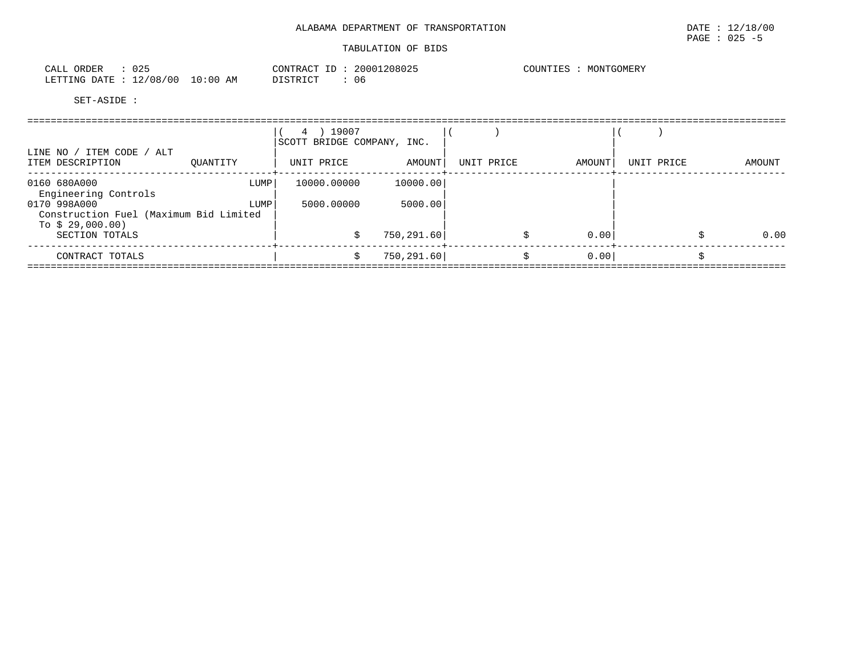| ORDER<br>CALL    | 025      |            | 20001208025<br>CONTRACT ID | COUNTIES<br>MONTGOMERY |
|------------------|----------|------------|----------------------------|------------------------|
| LETTING DATE : 1 | 12/08/00 | $10:00$ AM | 06<br>DISTRICT             |                        |

|                                               |                                        |      | ) 19007<br>4<br>SCOTT BRIDGE COMPANY, INC. |             |            |  |        |            |  |        |
|-----------------------------------------------|----------------------------------------|------|--------------------------------------------|-------------|------------|--|--------|------------|--|--------|
| LINE NO / ITEM CODE / ALT<br>ITEM DESCRIPTION | OUANTITY                               |      | UNIT PRICE                                 | AMOUNT      | UNIT PRICE |  | AMOUNT | UNIT PRICE |  | AMOUNT |
| 0160 680A000<br>Engineering Controls          |                                        | LUMP | 10000.00000                                | 10000.00    |            |  |        |            |  |        |
| 0170 998A000                                  | Construction Fuel (Maximum Bid Limited | LUMP | 5000.00000                                 | 5000.00     |            |  |        |            |  |        |
| To $$29,000.00)$<br>SECTION TOTALS            |                                        |      |                                            | 750, 291.60 |            |  | 0.00   |            |  | 0.00   |
| CONTRACT TOTALS                               |                                        |      |                                            | 750, 291.60 |            |  | 0.00   |            |  |        |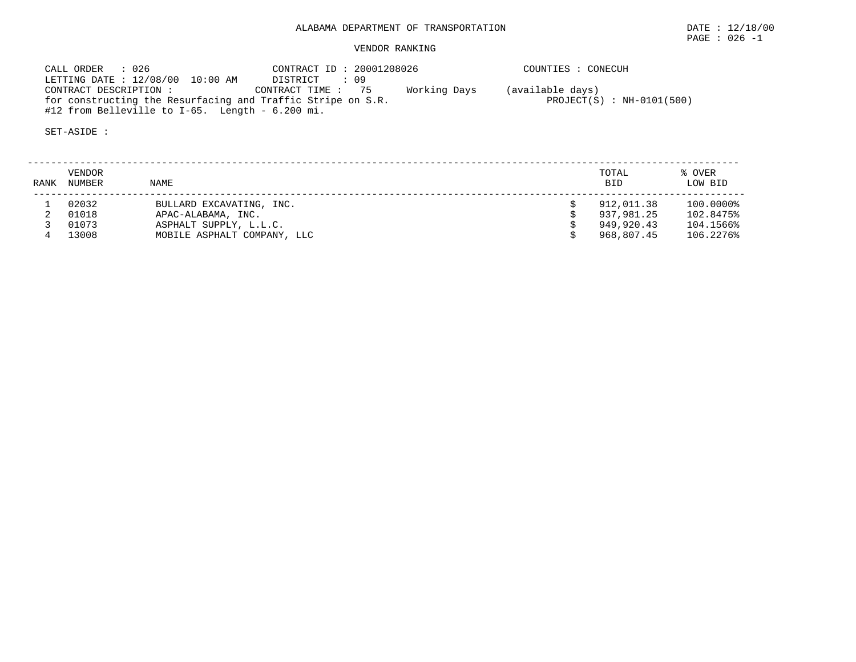# ALABAMA DEPARTMENT OF TRANSPORTATION DATE : 12/18/00

# VENDOR RANKING

 CALL ORDER : 026 CONTRACT ID : 20001208026 COUNTIES : CONECUH LETTING DATE : 12/08/00 10:00 AM DISTRICT : 09 CONTRACT DESCRIPTION : CONTRACT TIME : 75 Working Days (available days) for constructing the Resurfacing and Traffic Stripe on S.R. PROJECT(S) : NH-0101(500) #12 from Belleville to I-65. Length - 6.200 mi.

| <b>RANK</b> | VENDOR<br>NUMBER | <b>NAME</b>                 | TOTAL<br><b>BID</b> | % OVER<br>LOW BID |
|-------------|------------------|-----------------------------|---------------------|-------------------|
|             | 02032            | BULLARD EXCAVATING, INC.    | 912,011.38          | 100.0000%         |
|             | 01018            | APAC-ALABAMA, INC.          | 937,981,25          | 102.8475%         |
|             | 01073            | ASPHALT SUPPLY, L.L.C.      | 949,920.43          | 104.1566%         |
|             | 13008            | MOBILE ASPHALT COMPANY, LLC | 968,807.45          | 106.2276%         |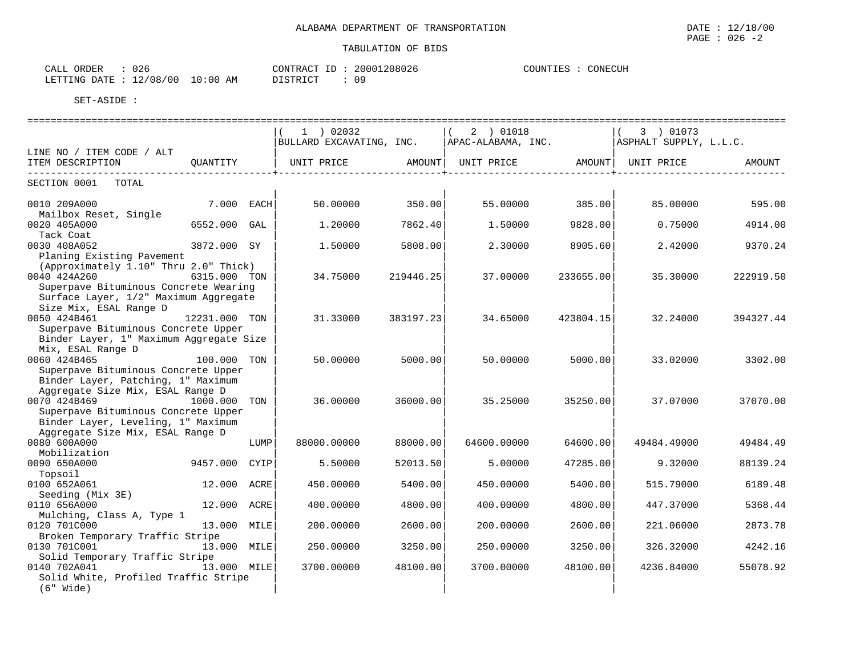| ORDER<br>CALL | $\sim$ $\sim$ $\sim$<br>U 26 |             | CONTRACT<br>ID | 20001208026 | COUNTIES | CONECUH |
|---------------|------------------------------|-------------|----------------|-------------|----------|---------|
| LETTING DATE  | 12/08/00                     | 10:00<br>ΆM | DISTRICT       | ΩO          |          |         |

|                                                                                                               |               |      | $1$ ) 02032              |                    | 2 ) 01018           |           | 3 ) 01073              |           |
|---------------------------------------------------------------------------------------------------------------|---------------|------|--------------------------|--------------------|---------------------|-----------|------------------------|-----------|
|                                                                                                               |               |      | BULLARD EXCAVATING, INC. |                    | APAC-ALABAMA, INC.  |           | ASPHALT SUPPLY, L.L.C. |           |
| LINE NO / ITEM CODE / ALT                                                                                     |               |      |                          |                    |                     |           |                        |           |
| ITEM DESCRIPTION<br>-----------------                                                                         | OUANTITY      |      | UNIT PRICE               | ------------+----- | AMOUNT   UNIT PRICE | AMOUNT    | UNIT PRICE             | AMOUNT    |
| SECTION 0001<br>TOTAL                                                                                         |               |      |                          |                    |                     |           |                        |           |
| 0010 209A000<br>Mailbox Reset, Single                                                                         | 7.000 EACH    |      | 50.00000                 | 350.00             | 55.00000            | 385.00    | 85.00000               | 595.00    |
| 0020 405A000<br>Tack Coat                                                                                     | 6552.000 GAL  |      | 1,20000                  | 7862.40            | 1.50000             | 9828.00   | 0.75000                | 4914.00   |
| 0030 408A052<br>Planing Existing Pavement                                                                     | 3872.000 SY   |      | 1.50000                  | 5808.00            | 2.30000             | 8905.60   | 2.42000                | 9370.24   |
| (Approximately 1.10" Thru 2.0" Thick)<br>0040 424A260                                                         | 6315.000 TON  |      | 34.75000                 | 219446.25          | 37.00000            | 233655.00 | 35.30000               | 222919.50 |
| Superpave Bituminous Concrete Wearing<br>Surface Layer, 1/2" Maximum Aggregate                                |               |      |                          |                    |                     |           |                        |           |
| Size Mix, ESAL Range D<br>0050 424B461                                                                        | 12231.000 TON |      | 31.33000                 | 383197.23          | 34.65000            | 423804.15 | 32.24000               | 394327.44 |
| Superpave Bituminous Concrete Upper<br>Binder Layer, 1" Maximum Aggregate Size                                |               |      |                          |                    |                     |           |                        |           |
| Mix, ESAL Range D<br>0060 424B465                                                                             | 100.000 TON   |      | 50.00000                 | 5000.00            | 50.00000            | 5000.00   | 33.02000               | 3302.00   |
| Superpave Bituminous Concrete Upper<br>Binder Layer, Patching, 1" Maximum<br>Aggregate Size Mix, ESAL Range D |               |      |                          |                    |                     |           |                        |           |
| 0070 424B469<br>Superpave Bituminous Concrete Upper                                                           | 1000.000 TON  |      | 36.00000                 | 36000.00           | 35.25000            | 35250.00  | 37.07000               | 37070.00  |
| Binder Layer, Leveling, 1" Maximum<br>Aggregate Size Mix, ESAL Range D                                        |               |      |                          |                    |                     |           |                        |           |
| 0080 600A000<br>Mobilization                                                                                  |               | LUMP | 88000.00000              | 88000.00           | 64600.00000         | 64600.00  | 49484.49000            | 49484.49  |
| 0090 650A000<br>Topsoil                                                                                       | 9457.000      | CYIP | 5.50000                  | 52013.50           | 5.00000             | 47285.00  | 9.32000                | 88139.24  |
| 0100 652A061<br>Seeding (Mix 3E)                                                                              | 12.000 ACRE   |      | 450.00000                | 5400.00            | 450.00000           | 5400.00   | 515.79000              | 6189.48   |
| 0110 656A000<br>Mulching, Class A, Type 1                                                                     | 12.000 ACRE   |      | 400.00000                | 4800.00            | 400.00000           | 4800.00   | 447.37000              | 5368.44   |
| 0120 701C000<br>Broken Temporary Traffic Stripe                                                               | 13.000 MILE   |      | 200.00000                | 2600.00            | 200.00000           | 2600.00   | 221.06000              | 2873.78   |
| 0130 701C001<br>Solid Temporary Traffic Stripe                                                                | 13.000 MILE   |      | 250.00000                | 3250.00            | 250.00000           | 3250.00   | 326.32000              | 4242.16   |
| 0140 702A041<br>Solid White, Profiled Traffic Stripe<br>(6" Wide)                                             | 13.000 MILE   |      | 3700.00000               | 48100.00           | 3700.00000          | 48100.00  | 4236.84000             | 55078.92  |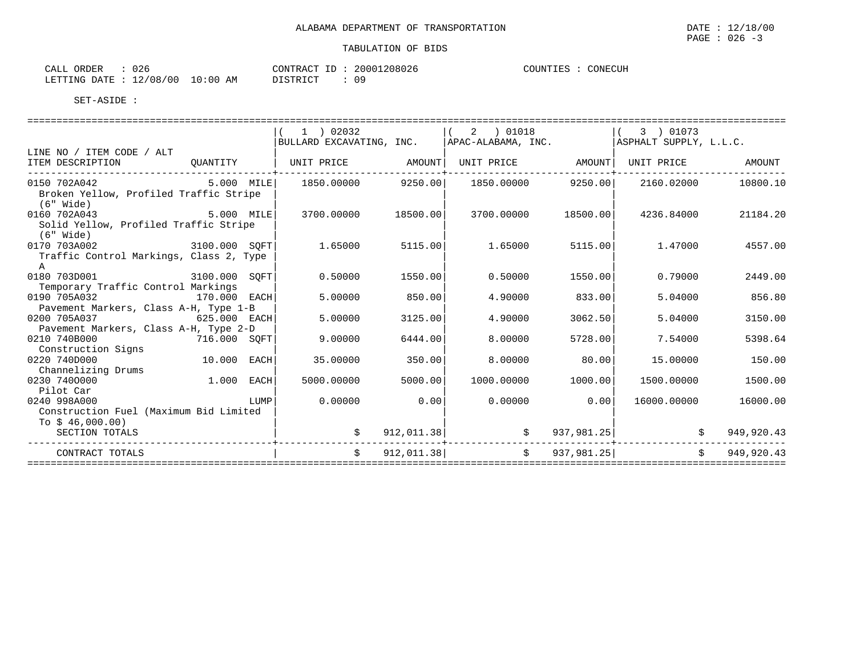| CALL ORDER | 026                              |          | CONTRACT ID: 20001208026 | CONECUH<br>COUNTIES |
|------------|----------------------------------|----------|--------------------------|---------------------|
|            | LETTING DATE : 12/08/00 10:00 AM | DISTRICT | 09                       |                     |

|                                                        |              |      | $1$ ) 02032                                   |            | 2 ) 01018           |            | 3 ) 01073              |            |
|--------------------------------------------------------|--------------|------|-----------------------------------------------|------------|---------------------|------------|------------------------|------------|
|                                                        |              |      | BULLARD EXCAVATING, INC.   APAC-ALABAMA, INC. |            |                     |            | ASPHALT SUPPLY, L.L.C. |            |
| LINE NO / ITEM CODE / ALT                              |              |      |                                               |            |                     |            |                        |            |
| ITEM DESCRIPTION                                       | QUANTITY     |      | UNIT PRICE AMOUNT                             |            | UNIT PRICE AMOUNT   |            | UNIT PRICE             | AMOUNT     |
| ------------------------<br>5.000 MILE<br>0150 702A042 |              |      | 1850.00000 9250.00                            |            | 1850.00000          | 9250.00    | 2160.02000             | 10800.10   |
| Broken Yellow, Profiled Traffic Stripe                 |              |      |                                               |            |                     |            |                        |            |
| $(6"$ Wide)                                            |              |      |                                               |            |                     |            |                        |            |
| 0160 702A043                                           | 5.000 MILE   |      | 3700.00000                                    | 18500.00   | 3700.00000          | 18500.00   | 4236.84000             | 21184.20   |
| Solid Yellow, Profiled Traffic Stripe                  |              |      |                                               |            |                     |            |                        |            |
| (6" Wide)                                              |              |      |                                               |            |                     |            |                        |            |
| 3100.000 SQFT<br>0170 703A002                          |              |      | 1.65000                                       | 5115.00    | 1.65000             | 5115.00    | 1.47000                | 4557.00    |
| Traffic Control Markings, Class 2, Type                |              |      |                                               |            |                     |            |                        |            |
| $\mathbb{A}$                                           |              |      |                                               |            |                     |            |                        |            |
| 0180 703D001<br>3100.000 SOFT                          |              |      | 0.50000                                       | 1550.00    | 0.50000             | 1550.00    | 0.79000                | 2449.00    |
| Temporary Traffic Control Markings                     |              |      |                                               |            |                     |            |                        |            |
| 0190 705A032<br>170.000 EACH                           |              |      | 5.00000                                       | 850.00     | 4.90000             | 833.00     | 5.04000                | 856.80     |
| Pavement Markers, Class A-H, Type 1-B                  |              |      |                                               |            |                     |            |                        |            |
| 0200 705A037                                           | 625.000 EACH |      | 5.00000                                       | 3125.00    | 4.90000             | 3062.50    | 5.04000                | 3150.00    |
| Pavement Markers, Class A-H, Type 2-D                  |              |      |                                               |            |                     |            |                        |            |
| 0210 740B000<br>716.000 SQFT                           |              |      | 9.00000                                       | 6444.00    | 8,00000             | 5728.00    | 7.54000                | 5398.64    |
| Construction Signs                                     |              |      |                                               |            |                     |            |                        |            |
| 0220 740D000                                           | 10.000 EACH  |      | 35.00000                                      | 350.00     | 8,00000             | 80.00      | 15,00000               | 150.00     |
| Channelizing Drums                                     |              |      |                                               |            |                     |            |                        |            |
| 1.000 EACH<br>0230 7400000                             |              |      | 5000.00000                                    | 5000.00    | 1000.00000          | 1000.00    | 1500.00000             | 1500.00    |
| Pilot Car                                              |              |      |                                               |            |                     |            |                        |            |
| 0240 998A000                                           |              | LUMP | 0.00000                                       | 0.00       | 0.00000             | 0.00       | 16000.00000            | 16000.00   |
| Construction Fuel (Maximum Bid Limited                 |              |      |                                               |            |                     |            |                        |            |
| To $$46,000.00)$                                       |              |      |                                               |            |                     |            |                        |            |
| SECTION TOTALS                                         |              |      |                                               | 912,011.38 | $\ddot{\mathbf{S}}$ | 937,981.25 |                        | 949,920.43 |
| CONTRACT TOTALS                                        |              |      | Ŝ.                                            | 912,011.38 | $\mathcal{S}$       | 937,981.25 | $\mathsf{S}$           | 949,920.43 |
|                                                        |              |      |                                               |            |                     |            |                        |            |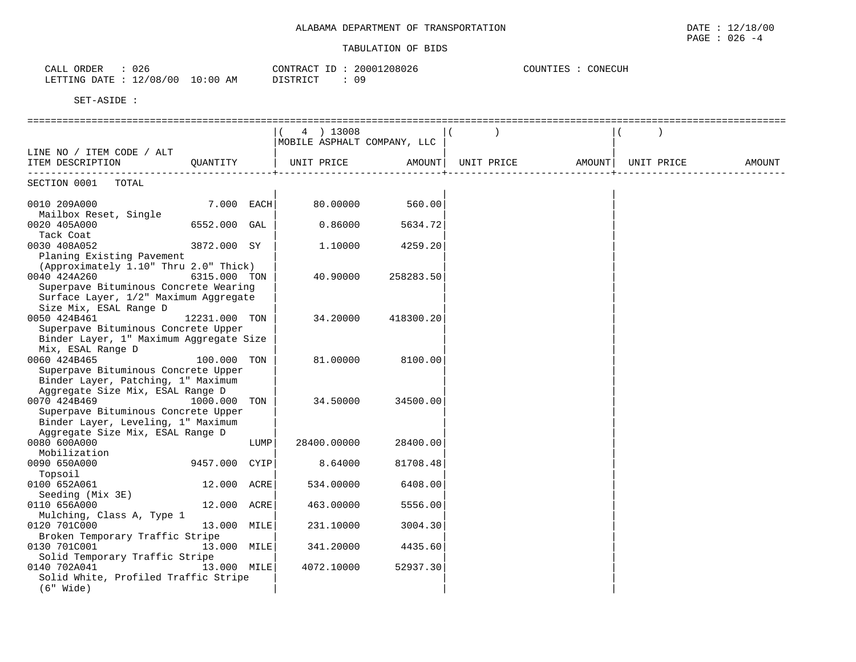| 026<br>ORDER<br>CALL     |             | CONTRACT<br>ID | 20001208026 | CONECUH<br>COUNTIES |
|--------------------------|-------------|----------------|-------------|---------------------|
| 12/08/00<br>LETTING DATE | 10:00<br>AM | DISTRICT       | 09          |                     |

|                                         |                 |      | 4 ) 13008   |                             |            |        |            |        |
|-----------------------------------------|-----------------|------|-------------|-----------------------------|------------|--------|------------|--------|
|                                         |                 |      |             | MOBILE ASPHALT COMPANY, LLC |            |        |            |        |
| LINE NO / ITEM CODE / ALT               |                 |      |             |                             |            |        |            |        |
| ITEM DESCRIPTION                        | OUANTITY        |      | UNIT PRICE  | AMOUNT                      | UNIT PRICE | AMOUNT | UNIT PRICE | AMOUNT |
|                                         |                 |      |             |                             |            |        |            |        |
| SECTION 0001<br>TOTAL                   |                 |      |             |                             |            |        |            |        |
| 0010 209A000                            | 7.000 EACH      |      | 80,00000    | 560.00                      |            |        |            |        |
| Mailbox Reset, Single                   |                 |      |             |                             |            |        |            |        |
| 0020 405A000                            | 6552.000 GAL    |      | 0.86000     | 5634.72                     |            |        |            |        |
| Tack Coat                               |                 |      |             |                             |            |        |            |        |
| 0030 408A052                            | 3872.000 SY     |      | 1.10000     | 4259.20                     |            |        |            |        |
| Planing Existing Pavement               |                 |      |             |                             |            |        |            |        |
| (Approximately 1.10" Thru 2.0" Thick)   |                 |      |             |                             |            |        |            |        |
| 0040 424A260                            | 6315.000 TON    |      | 40.90000    | 258283.50                   |            |        |            |        |
| Superpave Bituminous Concrete Wearing   |                 |      |             |                             |            |        |            |        |
| Surface Layer, 1/2" Maximum Aggregate   |                 |      |             |                             |            |        |            |        |
| Size Mix, ESAL Range D                  |                 |      |             |                             |            |        |            |        |
| 0050 424B461                            | 12231.000 TON   |      | 34.20000    | 418300.20                   |            |        |            |        |
| Superpave Bituminous Concrete Upper     |                 |      |             |                             |            |        |            |        |
| Binder Layer, 1" Maximum Aggregate Size |                 |      |             |                             |            |        |            |        |
| Mix, ESAL Range D                       |                 |      |             |                             |            |        |            |        |
| 0060 424B465                            | 100.000 TON     |      | 81.00000    | 8100.00                     |            |        |            |        |
| Superpave Bituminous Concrete Upper     |                 |      |             |                             |            |        |            |        |
| Binder Layer, Patching, 1" Maximum      |                 |      |             |                             |            |        |            |        |
| Aggregate Size Mix, ESAL Range D        |                 |      |             |                             |            |        |            |        |
| 0070 424B469                            | 1000.000<br>TON |      | 34.50000    | 34500.00                    |            |        |            |        |
| Superpave Bituminous Concrete Upper     |                 |      |             |                             |            |        |            |        |
| Binder Layer, Leveling, 1" Maximum      |                 |      |             |                             |            |        |            |        |
| Aggregate Size Mix, ESAL Range D        |                 |      |             |                             |            |        |            |        |
| 0080 600A000                            |                 | LUMP | 28400.00000 | 28400.00                    |            |        |            |        |
| Mobilization                            |                 |      |             |                             |            |        |            |        |
| 0090 650A000                            | 9457.000        | CYIP | 8.64000     | 81708.48                    |            |        |            |        |
| Topsoil                                 |                 |      |             |                             |            |        |            |        |
| 0100 652A061                            | 12.000 ACRE     |      | 534.00000   | 6408.00                     |            |        |            |        |
| Seeding (Mix 3E)                        |                 |      |             |                             |            |        |            |        |
| 0110 656A000                            | 12.000 ACRE     |      | 463.00000   | 5556.00                     |            |        |            |        |
| Mulching, Class A, Type 1               |                 |      |             |                             |            |        |            |        |
| 0120 701C000                            | 13.000 MILE     |      | 231.10000   | 3004.30                     |            |        |            |        |
| Broken Temporary Traffic Stripe         |                 |      |             |                             |            |        |            |        |
| 0130 701C001                            | 13.000 MILE     |      | 341.20000   | 4435.60                     |            |        |            |        |
| Solid Temporary Traffic Stripe          |                 |      |             |                             |            |        |            |        |
| 0140 702A041                            | 13.000 MILE     |      | 4072.10000  | 52937.30                    |            |        |            |        |
| Solid White, Profiled Traffic Stripe    |                 |      |             |                             |            |        |            |        |
| $(6"$ Wide)                             |                 |      |             |                             |            |        |            |        |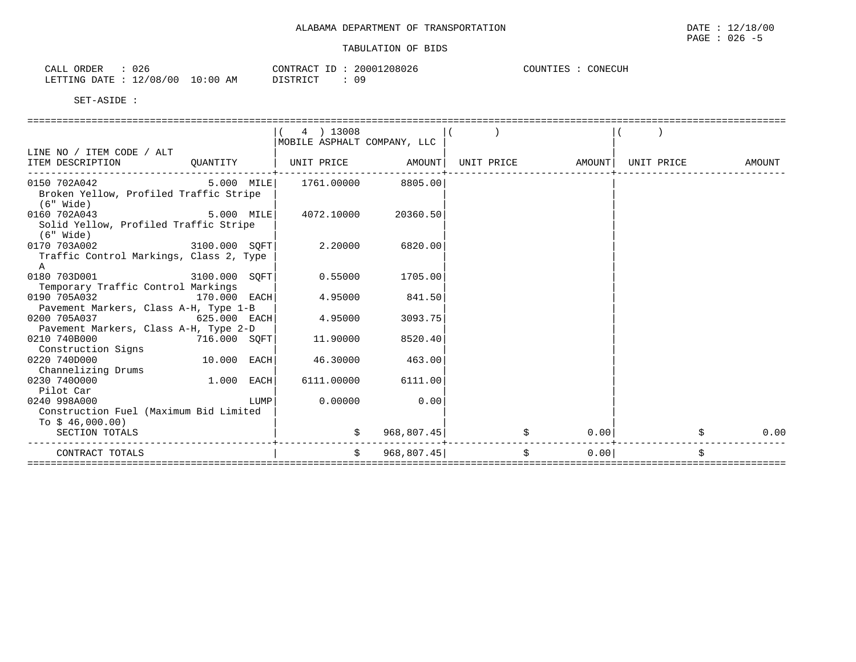| ORDER<br>CALL  | 026                       | 20001208026<br>CONTRACT ID | CONECUH<br>COUNTIES |
|----------------|---------------------------|----------------------------|---------------------|
| LETTING DATE : | : 12/08/00<br>10:00<br>ΆM | nα<br>DISTRICT             |                     |

|                                         |                | 4 ) 13008                     |                     |    |        |            |        |
|-----------------------------------------|----------------|-------------------------------|---------------------|----|--------|------------|--------|
|                                         |                | MOBILE ASPHALT COMPANY, LLC   |                     |    |        |            |        |
| LINE NO / ITEM CODE / ALT               |                |                               |                     |    |        |            |        |
| ITEM DESCRIPTION                        | QUANTITY       | UNIT PRICE AMOUNT  UNIT PRICE |                     |    | AMOUNT | UNIT PRICE | AMOUNT |
| 0150 702A042                            | 5.000 MILE     |                               | 1761.00000 8805.00  |    |        |            |        |
| Broken Yellow, Profiled Traffic Stripe  |                |                               |                     |    |        |            |        |
| $(6"$ Wide)                             |                |                               |                     |    |        |            |        |
| 0160 702A043                            | $5.000$ MILE   |                               | 4072.10000 20360.50 |    |        |            |        |
| Solid Yellow, Profiled Traffic Stripe   |                |                               |                     |    |        |            |        |
| (6" Wide)                               |                |                               |                     |    |        |            |        |
| 0170 703A002 3100.000 SQFT              |                | 2.20000 6820.00               |                     |    |        |            |        |
| Traffic Control Markings, Class 2, Type |                |                               |                     |    |        |            |        |
| $\mathbb A$                             |                |                               |                     |    |        |            |        |
| 0180 703D001 3100.000 SQFT              |                |                               | 0.55000 1705.00     |    |        |            |        |
| Temporary Traffic Control Markings      |                |                               |                     |    |        |            |        |
| 0190 705A032                            | $170.000$ EACH |                               | 4.95000 841.50      |    |        |            |        |
| Pavement Markers, Class A-H, Type 1-B   |                |                               |                     |    |        |            |        |
| 0200 705A037                            | 625.000 EACH   | 4.95000                       | 3093.75             |    |        |            |        |
| Pavement Markers, Class A-H, Type 2-D   |                |                               |                     |    |        |            |        |
| 0210 740B000 716.000 SQFT               |                | 11.90000                      | 8520.40             |    |        |            |        |
| Construction Signs                      |                |                               |                     |    |        |            |        |
| 0220 740D000                            | $10.000$ EACH  | 46.30000                      | 463.00              |    |        |            |        |
| Channelizing Drums                      |                |                               |                     |    |        |            |        |
| 0230 7400000                            | 1.000 EACH     |                               | 6111.00000 6111.00  |    |        |            |        |
| Pilot Car                               |                |                               |                     |    |        |            |        |
| 0240 998A000                            | <b>LUMP</b>    | 0.00000                       | 0.00                |    |        |            |        |
| Construction Fuel (Maximum Bid Limited  |                |                               |                     |    |        |            |        |
| To $$46,000.00)$                        |                |                               |                     |    |        |            |        |
| SECTION TOTALS                          |                | \$                            | 968,807.45          | \$ | 0.00   |            | 0.00   |
| CONTRACT TOTALS                         |                | Ŝ.                            | 968,807.45          | Ś  | 0.00   |            | Ŝ.     |
|                                         |                |                               |                     |    |        |            |        |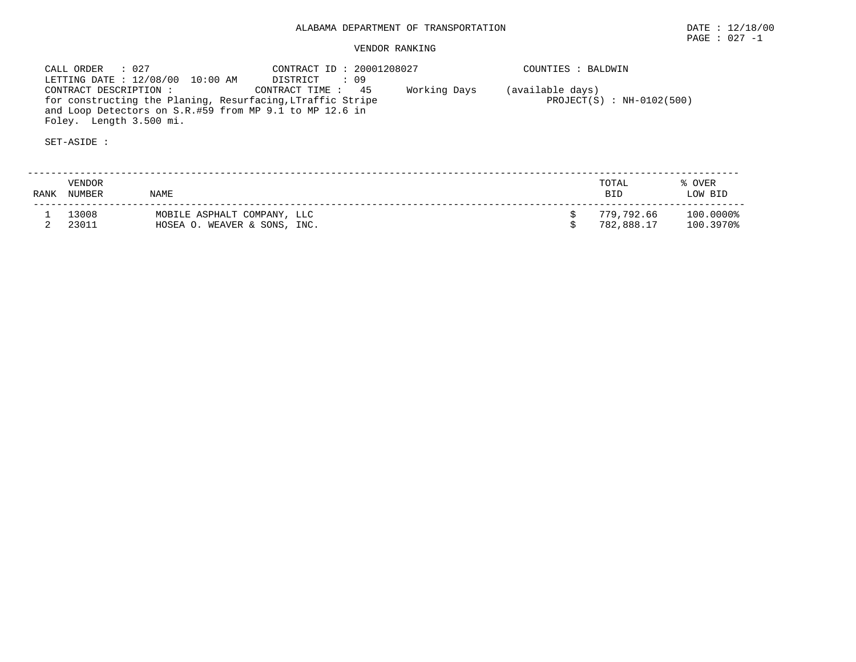# VENDOR RANKING

 CALL ORDER : 027 CONTRACT ID : 20001208027 COUNTIES : BALDWIN LETTING DATE : 12/08/00 10:00 AM DISTRICT : 09 CONTRACT DESCRIPTION : CONTRACT TIME : 45 Working Days (available days) for constructing the Planing, Resurfacing,LTraffic Stripe  $PROJECT(S)$ : NH-0102(500) and Loop Detectors on S.R.#59 from MP 9.1 to MP 12.6 in Foley. Length 3.500 mi.

SET-ASIDE :

 -------------------------------------------------------------------------------------------------------------------------- VENDOR TOTAL % OVERRANK NUMBER NAME RANK RANK BID LOW BID -------------------------------------------------------------------------------------------------------------------------- $$779,792.66$   $100.0000$ <sup>2</sup><br> $$782,888.17$   $100.3970$ <sup>2</sup> 1 13008 MOBILE ASPHALT COMPANY, LLC \$ 779,792.66 100.0000% 2 23011 HOSEA O. WEAVER & SONS, INC. \$ 782,888.17 100.3970%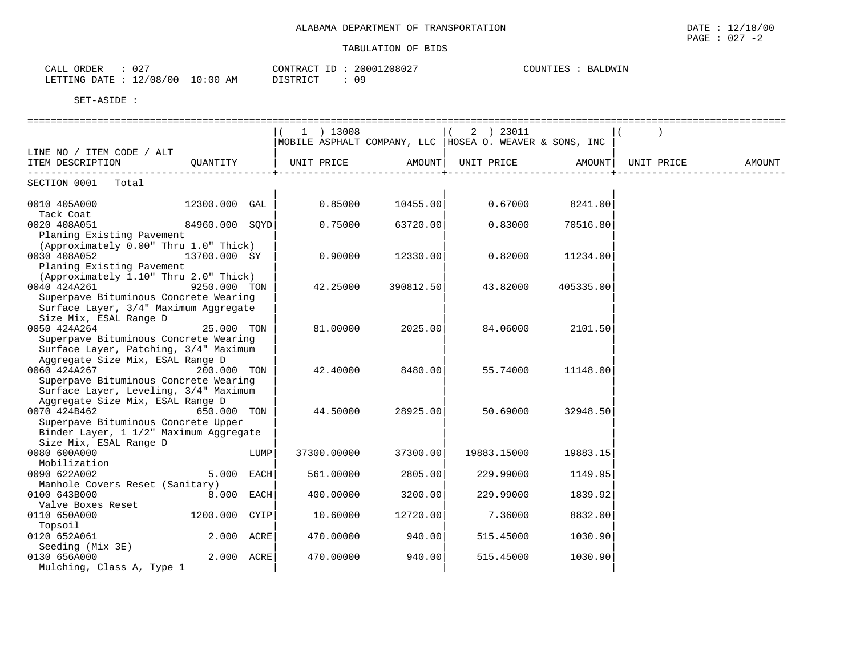| $\cap$ $\cap$<br>ORDER<br>CALL<br>∪∠ |             | CONTRACT<br>ID.    | 20001208027 | BALDWIN<br>COUNTIES |
|--------------------------------------|-------------|--------------------|-------------|---------------------|
| 12/08/00<br>LETTING DATE             | 10:00<br>AM | DI STRICT<br>----- |             |                     |

|                                        |                |      | 1 ) 13008   |           | 2 ) 23011                                                |           |            |        |
|----------------------------------------|----------------|------|-------------|-----------|----------------------------------------------------------|-----------|------------|--------|
|                                        |                |      |             |           | MOBILE ASPHALT COMPANY, LLC  HOSEA O. WEAVER & SONS, INC |           |            |        |
| LINE NO / ITEM CODE / ALT              |                |      |             |           |                                                          |           |            |        |
| ITEM DESCRIPTION                       | OUANTITY       |      |             |           | UNIT PRICE AMOUNT  UNIT PRICE AMOUNT                     |           | UNIT PRICE | AMOUNT |
|                                        |                |      |             |           |                                                          |           |            |        |
| SECTION 0001 Total                     |                |      |             |           |                                                          |           |            |        |
|                                        |                |      |             |           |                                                          |           |            |        |
| 0010 405A000                           | 12300.000 GAL  |      | 0.85000     | 10455.00  | 0.67000                                                  | 8241.00   |            |        |
| Tack Coat                              |                |      |             |           |                                                          |           |            |        |
| 0020 408A051                           | 84960.000 SOYD |      | 0.75000     | 63720.00  | 0.83000                                                  | 70516.80  |            |        |
| Planing Existing Pavement              |                |      |             |           |                                                          |           |            |        |
| (Approximately 0.00" Thru 1.0" Thick)  |                |      |             |           |                                                          |           |            |        |
| 0030 408A052                           | 13700.000 SY   |      | 0.90000     | 12330.00  | 0.82000                                                  | 11234.00  |            |        |
| Planing Existing Pavement              |                |      |             |           |                                                          |           |            |        |
| (Approximately 1.10" Thru 2.0" Thick)  |                |      |             |           |                                                          |           |            |        |
| 0040 424A261                           | 9250.000 TON   |      | 42.25000    | 390812.50 | 43.82000                                                 | 405335.00 |            |        |
| Superpave Bituminous Concrete Wearing  |                |      |             |           |                                                          |           |            |        |
| Surface Layer, 3/4" Maximum Aggregate  |                |      |             |           |                                                          |           |            |        |
| Size Mix, ESAL Range D                 |                |      |             |           |                                                          |           |            |        |
| 0050 424A264                           | 25.000 TON     |      | 81,00000    | 2025.00   | 84.06000                                                 | 2101.50   |            |        |
| Superpave Bituminous Concrete Wearing  |                |      |             |           |                                                          |           |            |        |
| Surface Layer, Patching, 3/4" Maximum  |                |      |             |           |                                                          |           |            |        |
| Aggregate Size Mix, ESAL Range D       |                |      |             |           |                                                          |           |            |        |
| 0060 424A267                           | 200.000 TON    |      | 42.40000    | 8480.00   | 55.74000                                                 | 11148.00  |            |        |
| Superpave Bituminous Concrete Wearing  |                |      |             |           |                                                          |           |            |        |
| Surface Layer, Leveling, 3/4" Maximum  |                |      |             |           |                                                          |           |            |        |
| Aggregate Size Mix, ESAL Range D       |                |      |             |           |                                                          |           |            |        |
| 0070 424B462                           | 650.000 TON    |      | 44.50000    | 28925.00  | 50.69000                                                 | 32948.50  |            |        |
| Superpave Bituminous Concrete Upper    |                |      |             |           |                                                          |           |            |        |
| Binder Layer, 1 1/2" Maximum Aggregate |                |      |             |           |                                                          |           |            |        |
| Size Mix, ESAL Range D                 |                |      |             |           |                                                          |           |            |        |
| 0080 600A000                           |                | LUMP | 37300.00000 | 37300.00  | 19883.15000                                              | 19883.15  |            |        |
| Mobilization                           |                |      |             |           |                                                          |           |            |        |
| 0090 622A002                           | 5.000 EACH     |      | 561.00000   | 2805.00   | 229.99000                                                | 1149.95   |            |        |
| Manhole Covers Reset (Sanitary)        |                |      |             |           |                                                          |           |            |        |
| 0100 643B000                           | 8.000 EACH     |      | 400.00000   | 3200.00   | 229.99000                                                | 1839.92   |            |        |
| Valve Boxes Reset                      |                |      |             |           |                                                          |           |            |        |
| 0110 650A000                           | 1200.000 CYIP  |      | 10.60000    | 12720.00  | 7.36000                                                  | 8832.00   |            |        |
| Topsoil                                |                |      |             |           |                                                          |           |            |        |
| 0120 652A061                           | 2.000 ACRE     |      | 470.00000   | 940.00    | 515.45000                                                | 1030.90   |            |        |
| Seeding (Mix 3E)                       |                |      |             |           |                                                          |           |            |        |
| 0130 656A000                           | 2.000 ACRE     |      | 470.00000   | 940.00    | 515.45000                                                | 1030.90   |            |        |
| Mulching, Class A, Type 1              |                |      |             |           |                                                          |           |            |        |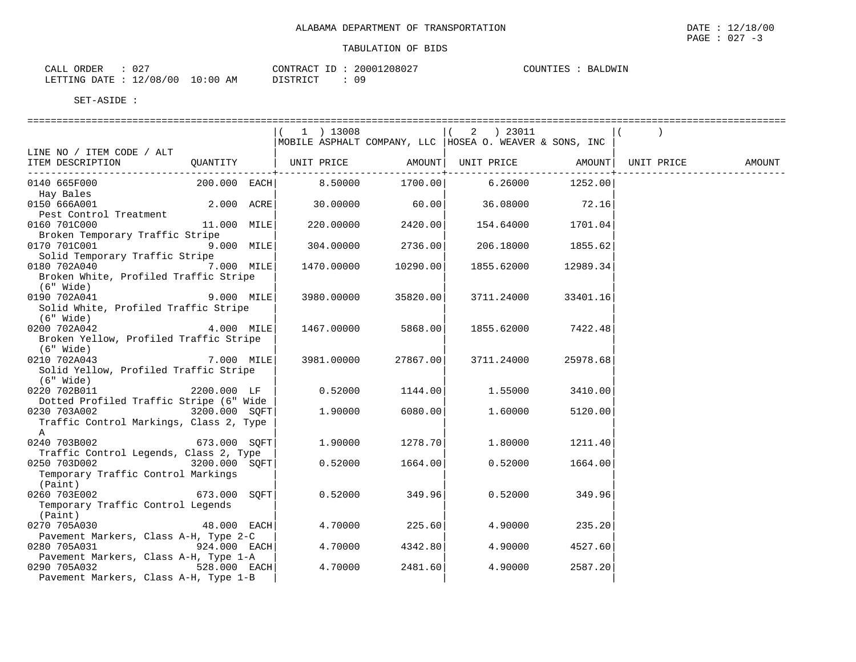| -027<br>ORDER<br>CALL    |             | CONTRACT ID | 20001208027 | COUNTIES<br>BALDWIN |
|--------------------------|-------------|-------------|-------------|---------------------|
| 12/08/00<br>LETTING DATE | 10:00<br>ΆM | DISTRICT    | n o         |                     |

|                                                 |               | 1 ) 13008  |                          | $(2)$ 23011                                                                    |          |  |  |
|-------------------------------------------------|---------------|------------|--------------------------|--------------------------------------------------------------------------------|----------|--|--|
|                                                 |               |            |                          | MOBILE ASPHALT COMPANY, LLC   HOSEA O. WEAVER & SONS, INC                      |          |  |  |
| LINE NO / ITEM CODE / ALT<br>ITEM DESCRIPTION   |               |            |                          | QUANTITY   UNIT PRICE     AMOUNT  UNIT PRICE     AMOUNT  UNIT PRICE     AMOUNT |          |  |  |
|                                                 |               |            | ------------+----------- |                                                                                |          |  |  |
| 0140 665F000                                    |               |            |                          | $200.000$ $EACH$ $8.50000$ $1700.00$ $6.26000$ $1252.00$                       |          |  |  |
| Hay Bales                                       |               |            |                          |                                                                                |          |  |  |
| 0150 666A001                                    | $2.000$ ACRE  |            | $30.00000$ 60.00         | 36.08000                                                                       | 72.16    |  |  |
| Pest Control Treatment                          |               |            |                          |                                                                                |          |  |  |
| 0160 701C000<br>Broken Temporary Traffic Stripe | 11.000 MILE   |            | 220.00000 2420.00        | 154.64000 1701.04                                                              |          |  |  |
| 0170 701C001                                    | $9.000$ MILE  | 304.00000  | 2736.00                  | 206.18000                                                                      | 1855.62  |  |  |
| Solid Temporary Traffic Stripe                  |               |            |                          |                                                                                |          |  |  |
| 0180 702A040 7.000 MILE                         |               |            | 1470.00000 10290.00      | 1855.62000                                                                     | 12989.34 |  |  |
| Broken White, Profiled Traffic Stripe           |               |            |                          |                                                                                |          |  |  |
| $(6"$ Wide)                                     |               |            |                          |                                                                                |          |  |  |
| $9.000$ MILE<br>0190 702A041                    |               |            | 3980.00000 35820.00      | 3711.24000                                                                     | 33401.16 |  |  |
| Solid White, Profiled Traffic Stripe            |               |            |                          |                                                                                |          |  |  |
| (6" Wide)                                       |               |            |                          |                                                                                |          |  |  |
| 4.000 MILE<br>0200 702A042                      |               |            | 1467.00000 5868.00       | 1855.62000                                                                     | 7422.48  |  |  |
| Broken Yellow, Profiled Traffic Stripe          |               |            |                          |                                                                                |          |  |  |
| $(6"$ Wide)<br>$7.000$ MILE<br>0210 702A043     |               |            |                          |                                                                                |          |  |  |
| Solid Yellow, Profiled Traffic Stripe           |               | 3981.00000 | 27867.00                 | 3711.24000                                                                     | 25978.68 |  |  |
| $(6"$ Wide)                                     |               |            |                          |                                                                                |          |  |  |
| 0220 702B011                                    | 2200.000 LF   |            | $0.52000$ 1144.00        | 1.55000                                                                        | 3410.00  |  |  |
| Dotted Profiled Traffic Stripe (6" Wide         |               |            |                          |                                                                                |          |  |  |
| 0230 703A002                                    | 3200.000 SOFT | 1.90000    | 6080.00                  | 1.60000                                                                        | 5120.00  |  |  |
| Traffic Control Markings, Class 2, Type         |               |            |                          |                                                                                |          |  |  |
| $\mathbb{A}$                                    |               |            |                          |                                                                                |          |  |  |
| 0240 703B002 673.000 SQFT                       |               | 1.90000    | 1278.70                  | 1.80000                                                                        | 1211.40  |  |  |
| Traffic Control Legends, Class 2, Type          |               |            |                          |                                                                                |          |  |  |
| 0250 703D002 3200.000 SQFT                      |               | 0.52000    | 1664.00                  | 0.52000                                                                        | 1664.00  |  |  |
| Temporary Traffic Control Markings              |               |            |                          |                                                                                |          |  |  |
| (Paint)<br>673.000 SQFT<br>0260 703E002         |               | 0.52000    | 349.96                   | 0.52000                                                                        | 349.96   |  |  |
| Temporary Traffic Control Legends               |               |            |                          |                                                                                |          |  |  |
| (Paint)                                         |               |            |                          |                                                                                |          |  |  |
| 0270 705A030                                    | 48.000 EACH   |            | $4.70000$ 225.60         | 4.90000                                                                        | 235.20   |  |  |
| Pavement Markers, Class A-H, Type 2-C           |               |            |                          |                                                                                |          |  |  |
| 0280 705A031                                    | 924.000 EACH  | 4.70000    | 4342.80                  | 4.90000                                                                        | 4527.60  |  |  |
| Pavement Markers, Class A-H, Type 1-A           |               |            |                          |                                                                                |          |  |  |
| 0290 705A032<br>$528.000$ EACH                  |               | 4.70000    | 2481.60                  | 4.90000                                                                        | 2587.20  |  |  |
| Pavement Markers, Class A-H, Type 1-B           |               |            |                          |                                                                                |          |  |  |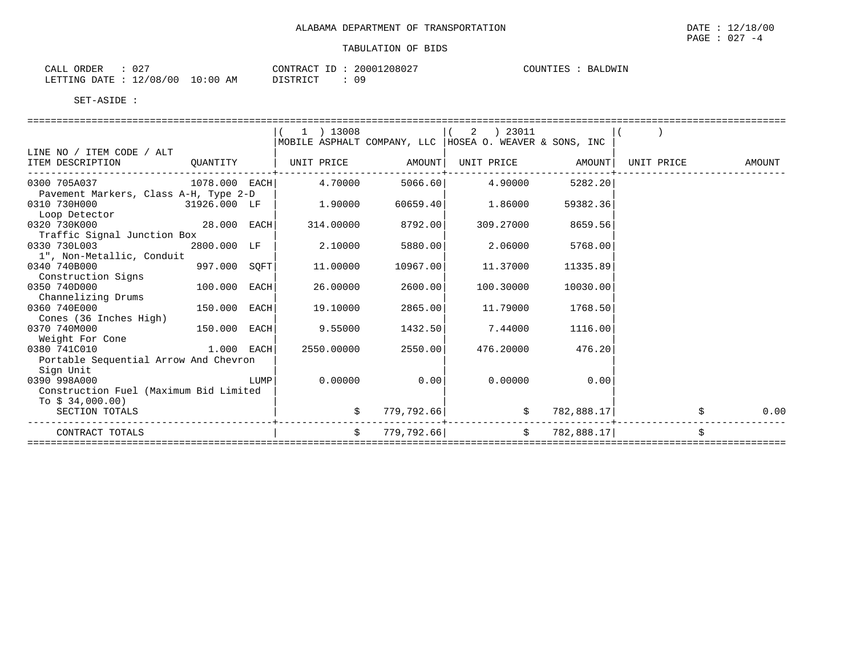| $02^-$<br>ORDER<br>CALL  |             | $ -$<br>CONTRACT | 20001208027 | COUNTIES<br>BALDWIN |
|--------------------------|-------------|------------------|-------------|---------------------|
| 12/08/00<br>LETTING DATE | 10:00<br>AM | DISTRICT         | nα          |                     |

|                                        |                | ) 13008           |                    | ) 23011<br>2                                             |            |            |        |
|----------------------------------------|----------------|-------------------|--------------------|----------------------------------------------------------|------------|------------|--------|
|                                        |                |                   |                    | MOBILE ASPHALT COMPANY, LLC  HOSEA O. WEAVER & SONS, INC |            |            |        |
| LINE NO / ITEM CODE / ALT              |                |                   |                    |                                                          |            |            |        |
| ITEM DESCRIPTION QUANTITY              |                | UNIT PRICE AMOUNT |                    | UNIT PRICE AMOUNT                                        |            | UNIT PRICE | AMOUNT |
|                                        |                |                   |                    |                                                          |            |            |        |
| 0300 705A037 1078.000 EACH             |                |                   |                    | $4.70000$ 5066.60 $4.90000$                              | 5282.20    |            |        |
| Pavement Markers, Class A-H, Type 2-D  | 31926.000 LF   | 1.90000           |                    |                                                          |            |            |        |
| 0310 730H000<br>Loop Detector          |                |                   | 60659.40           | 1.86000                                                  | 59382.36   |            |        |
| 0320 730K000                           | 28.000 EACH    |                   | 314.00000 8792.00  | 309.27000                                                | 8659.56    |            |        |
| Traffic Signal Junction Box            |                |                   |                    |                                                          |            |            |        |
| 0330 730L003                           | 2800.000 LF    | 2.10000           | 5880.00            | 2.06000                                                  | 5768.00    |            |        |
| 1", Non-Metallic, Conduit              |                |                   |                    |                                                          |            |            |        |
| 0340 740B000                           | $997.000$ SQFT | 11.00000          | 10967.00           | 11.37000                                                 | 11335.89   |            |        |
| Construction Signs                     |                |                   |                    |                                                          |            |            |        |
| 0350 740D000                           | 100.000 EACH   | 26.00000          | 2600.00            | 100.30000                                                | 10030.00   |            |        |
| Channelizing Drums                     |                |                   |                    |                                                          |            |            |        |
| 0360 740E000                           | 150.000 EACH   | 19.10000          | 2865.00            | 11.79000                                                 | 1768.50    |            |        |
| Cones (36 Inches High)                 |                |                   |                    |                                                          |            |            |        |
| 0370 740M000                           | 150.000 EACH   | 9.55000           | 1432.50            | 7.44000                                                  | 1116.00    |            |        |
| Weight For Cone                        |                |                   |                    |                                                          |            |            |        |
| 0380 741C010                           | $1.000$ EACH   |                   | 2550.00000 2550.00 | 476.20000                                                | 476.20     |            |        |
| Portable Sequential Arrow And Chevron  |                |                   |                    |                                                          |            |            |        |
| Sign Unit                              |                |                   |                    |                                                          |            |            |        |
| 0390 998A000                           |                |                   | $0.00000$ 0.00     | 0.00000                                                  | 0.00       |            |        |
| Construction Fuel (Maximum Bid Limited |                |                   |                    |                                                          |            |            |        |
| To $$34,000.00)$                       |                |                   |                    |                                                          |            |            |        |
| SECTION TOTALS                         |                |                   | 779,792.66         | \$                                                       | 782,888.17 |            | 0.00   |
| CONTRACT TOTALS                        |                | $\ddot{s}$        | 779,792.66         | $\ddot{\mathbf{S}}$                                      | 782,888.17 |            |        |
|                                        |                |                   |                    |                                                          |            |            |        |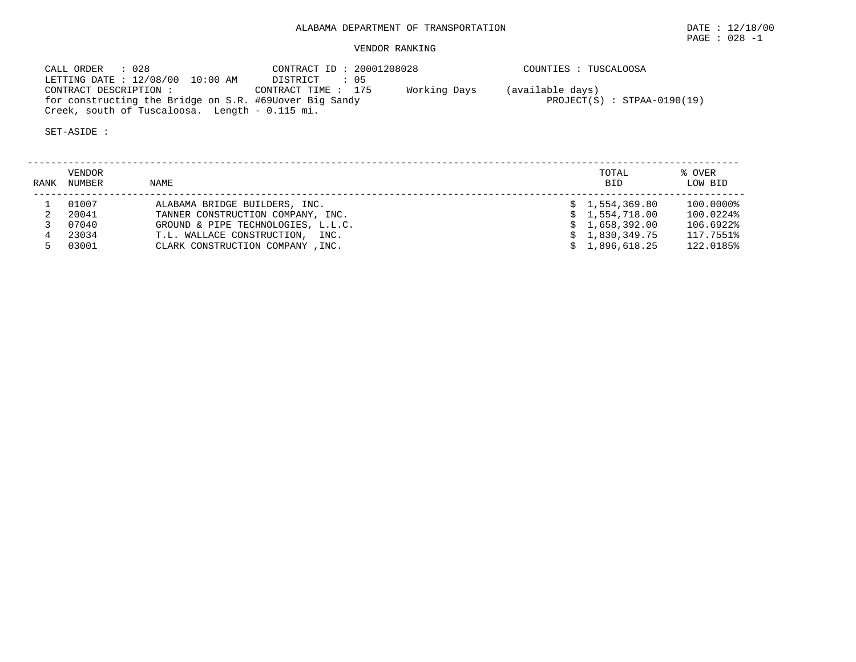# ALABAMA DEPARTMENT OF TRANSPORTATION DATE : 12/18/00

PAGE : 028 -1

# VENDOR RANKING

 CALL ORDER : 028 CONTRACT ID : 20001208028 COUNTIES : TUSCALOOSA LETTING DATE : 12/08/00 10:00 AM DISTRICT : 05 CONTRACT DESCRIPTION : CONTRACT TIME : 175 Working Days (available days) for constructing the Bridge on S.R. #69Uover Big Sandy PROJECT(S) : STPAA-0190(19) Creek, south of Tuscaloosa. Length - 0.115 mi.

SET-ASIDE :

 -------------------------------------------------------------------------------------------------------------------------- VENDOR TOTAL % OVER RANK NUMBER NAME BID LOW BID -------------------------------------------------------------------------------------------------------------------------- 1 01007 ALABAMA BRIDGE BUILDERS, INC. \$ 1,554,369.80 100.0000% 2 20041 TANNER CONSTRUCTION COMPANY, INC. \$ 1,554,718.00 100.0224% 3 07040 GROUND & PIPE TECHNOLOGIES, L.L.C. \$ 1,658,392.00 106.6922% 4 23034 T.L. WALLACE CONSTRUCTION, INC. \$ 1,830,349.75 117.7551% 5 03001 CLARK CONSTRUCTION COMPANY ,INC. \$ 1,896,618.25 122.0185%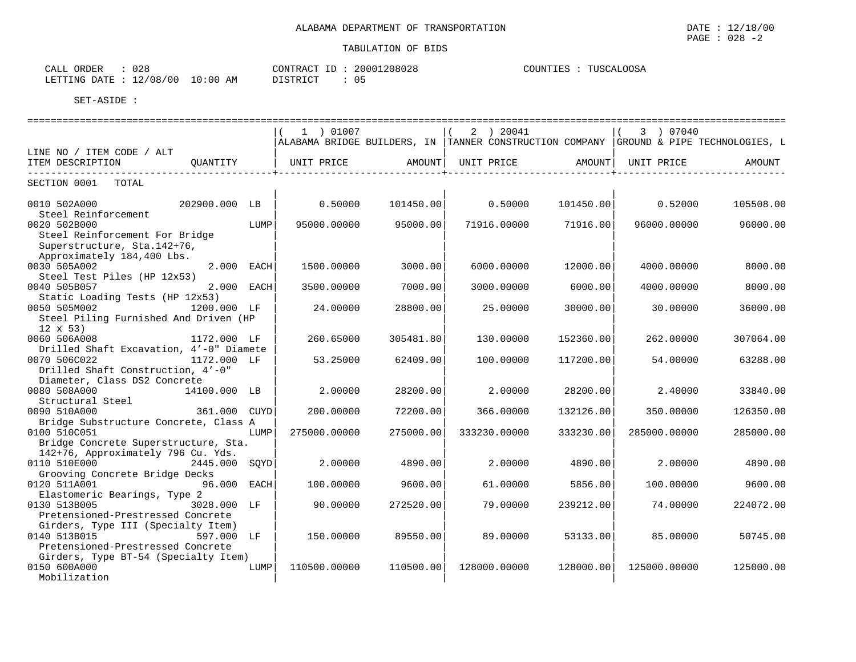| ∩ ∩ ∩<br>ORDER<br>$\sim$ $\sim$ $\sim$<br>ـنىم<br>∪∠ö |             | CONTRACT<br>$-1$ | 20001208028 | <b>OOSA</b><br>COUNTIES<br><b>TITSCAT</b> |
|-------------------------------------------------------|-------------|------------------|-------------|-------------------------------------------|
| 2/08/<br>LETTING DATE<br>700<br>$\pm$ 4.              | LO:00<br>AM | DI STRICT<br>.   | ັບມ         |                                           |

|                                                                                                              |               |      | 1 ) 01007    |                    | 2 ) 20041                                                                             |           | 3 ) 07040           |           |
|--------------------------------------------------------------------------------------------------------------|---------------|------|--------------|--------------------|---------------------------------------------------------------------------------------|-----------|---------------------|-----------|
|                                                                                                              |               |      |              |                    | ALABAMA BRIDGE BUILDERS, IN TANNER CONSTRUCTION COMPANY GROUND & PIPE TECHNOLOGIES, L |           |                     |           |
| LINE NO / ITEM CODE / ALT                                                                                    |               |      |              |                    |                                                                                       |           |                     |           |
| ITEM DESCRIPTION<br>--------------------------------                                                         | QUANTITY      |      | UNIT PRICE   | AMOUNT  UNIT PRICE |                                                                                       |           | AMOUNT   UNIT PRICE | AMOUNT    |
| SECTION 0001 TOTAL                                                                                           |               |      |              |                    |                                                                                       |           |                     |           |
| 0010 502A000<br>Steel Reinforcement                                                                          | 202900.000 LB |      | 0.50000      | 101450.00          | 0.50000                                                                               | 101450.00 | 0.52000             | 105508.00 |
| 0020 502B000<br>Steel Reinforcement For Bridge<br>Superstructure, Sta. 142+76,<br>Approximately 184,400 Lbs. |               | LUMP | 95000.00000  | 95000.00           | 71916.00000                                                                           | 71916.00  | 96000.00000         | 96000.00  |
| 0030 505A002                                                                                                 | 2.000 EACH    |      | 1500.00000   | 3000.00            | 6000.00000                                                                            | 12000.00  | 4000.00000          | 8000.00   |
| Steel Test Piles (HP 12x53)<br>0040 505B057                                                                  | 2.000 EACH    |      | 3500.00000   | 7000.00            | 3000.00000                                                                            | 6000.00   | 4000.00000          | 8000.00   |
| Static Loading Tests (HP 12x53)<br>0050 505M002<br>Steel Piling Furnished And Driven (HP                     | 1200.000 LF   |      | 24.00000     | 28800.00           | 25.00000                                                                              | 30000.00  | 30.00000            | 36000.00  |
| $12 \times 53$<br>0060 506A008<br>Drilled Shaft Excavation, 4'-0" Diamete                                    | 1172.000 LF   |      | 260.65000    | 305481.80          | 130.00000                                                                             | 152360.00 | 262.00000           | 307064.00 |
| 0070 506C022<br>Drilled Shaft Construction, 4'-0"                                                            | 1172.000 LF   |      | 53.25000     | 62409.00           | 100.00000                                                                             | 117200.00 | 54.00000            | 63288.00  |
| Diameter, Class DS2 Concrete<br>0080 508A000<br>Structural Steel                                             | 14100.000 LB  |      | 2.00000      | 28200.00           | 2.00000                                                                               | 28200.00  | 2.40000             | 33840.00  |
| 0090 510A000<br>Bridge Substructure Concrete, Class A                                                        | 361.000 CUYD  |      | 200.00000    | 72200.00           | 366.00000                                                                             | 132126.00 | 350.00000           | 126350.00 |
| 0100 510C051<br>Bridge Concrete Superstructure, Sta.                                                         |               | LUMP | 275000.00000 | 275000.00          | 333230.00000                                                                          | 333230.00 | 285000.00000        | 285000.00 |
| 142+76, Approximately 796 Cu. Yds.<br>0110 510E000                                                           | 2445.000 SQYD |      | 2.00000      | 4890.00            | 2.00000                                                                               | 4890.00   | 2.00000             | 4890.00   |
| Grooving Concrete Bridge Decks                                                                               |               |      |              |                    |                                                                                       |           |                     |           |
| 0120 511A001<br>Elastomeric Bearings, Type 2                                                                 | 96.000 EACH   |      | 100.00000    | 9600.00            | 61.00000                                                                              | 5856.00   | 100.00000           | 9600.00   |
| 0130 513B005<br>Pretensioned-Prestressed Concrete                                                            | 3028.000 LF   |      | 90.00000     | 272520.00          | 79.00000                                                                              | 239212.00 | 74.00000            | 224072.00 |
| Girders, Type III (Specialty Item)<br>0140 513B015<br>Pretensioned-Prestressed Concrete                      | 597.000 LF    |      | 150.00000    | 89550.00           | 89.00000                                                                              | 53133.00  | 85,00000            | 50745.00  |
| Girders, Type BT-54 (Specialty Item)<br>0150 600A000<br>Mobilization                                         |               | LUMP | 110500.00000 | 110500.00          | 128000.00000                                                                          | 128000.00 | 125000.00000        | 125000.00 |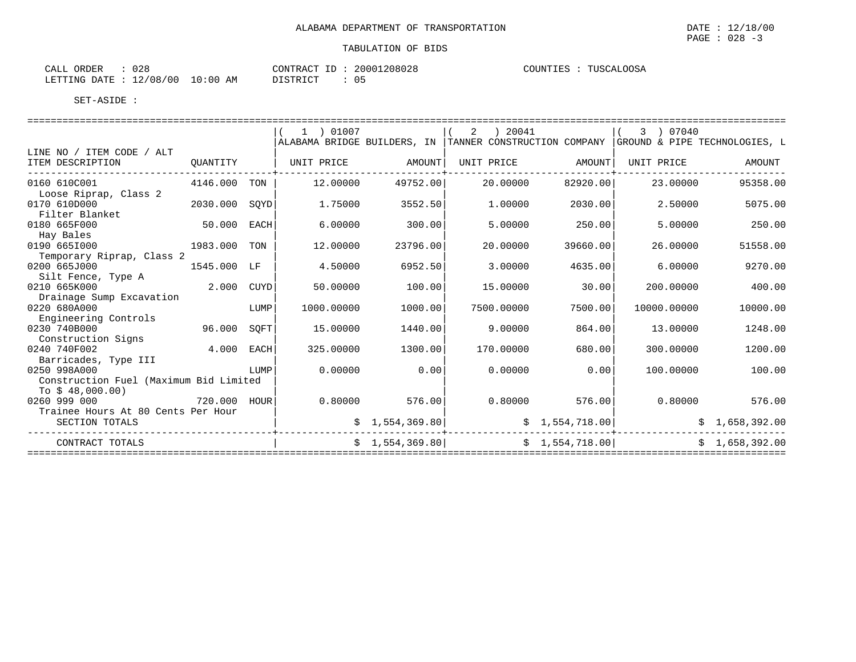| ORDER<br>CALL<br>0 2 0 |                         | 20001208028<br>CONTRACT | COUNTIES<br>PTISC Z<br>$\cdot$ $\sim$ |
|------------------------|-------------------------|-------------------------|---------------------------------------|
| LETTING DATE           | 10:00<br>12/08/00<br>AΜ | דימ ד סידפ<br>- U 1.    |                                       |

|                                                                            |               |      | 1 ) 01007<br>ALABAMA BRIDGE BUILDERS, IN |                   | ) 20041<br>2<br>TANNER CONSTRUCTION COMPANY GROUND & PIPE TECHNOLOGIES, L |                 | 3 ) 07040   |                |
|----------------------------------------------------------------------------|---------------|------|------------------------------------------|-------------------|---------------------------------------------------------------------------|-----------------|-------------|----------------|
| LINE NO / ITEM CODE / ALT                                                  |               |      |                                          |                   |                                                                           |                 |             |                |
| ITEM DESCRIPTION                                                           | QUANTITY      |      |                                          | UNIT PRICE AMOUNT | UNIT PRICE                                                                | AMOUNT          | UNIT PRICE  | AMOUNT         |
| 0160 610C001<br>Loose Riprap, Class 2                                      | 4146.000      | TON  | 12.00000                                 | 49752.00          | 20,00000                                                                  | 82920.00        | 23,00000    | 95358.00       |
| 0170 610D000<br>Filter Blanket                                             | 2030.000 SQYD |      | 1.75000                                  | 3552.50           | 1,00000                                                                   | 2030.00         | 2.50000     | 5075.00        |
| 0180 665F000<br>Hay Bales                                                  | 50.000 EACH   |      | 6.00000                                  | 300.00            | 5.00000                                                                   | 250.00          | 5.00000     | 250.00         |
| 0190 6651000<br>Temporary Riprap, Class 2                                  | 1983.000 TON  |      | 12.00000                                 | 23796.00          | 20.00000                                                                  | 39660.00        | 26.00000    | 51558.00       |
| 0200 665J000<br>Silt Fence, Type A                                         | 1545.000 LF   |      | 4.50000                                  | 6952.50           | 3.00000                                                                   | 4635.00         | 6.00000     | 9270.00        |
| 0210 665K000<br>Drainage Sump Excavation                                   | 2.000 CUYD    |      | 50.00000                                 | 100.00            | 15.00000                                                                  | 30.00           | 200.00000   | 400.00         |
| 0220 680A000<br>Engineering Controls                                       |               | LUMP | 1000.00000                               | 1000.00           | 7500.00000                                                                | 7500.00         | 10000.00000 | 10000.00       |
| 0230 740B000<br>Construction Signs                                         | 96.000        | SOFT | 15.00000                                 | 1440.00           | 9.00000                                                                   | 864.00          | 13,00000    | 1248.00        |
| 0240 740F002<br>Barricades, Type III                                       | 4.000 EACH    |      | 325.00000                                | 1300.00           | 170.00000                                                                 | 680.00          | 300.00000   | 1200.00        |
| 0250 998A000<br>Construction Fuel (Maximum Bid Limited<br>To $$48,000.00)$ |               | LUMP | 0.00000                                  | 0.00              | 0.00000                                                                   | 0.00            | 100.00000   | 100.00         |
| 0260 999 000<br>Trainee Hours At 80 Cents Per Hour                         | 720.000 HOUR  |      | 0.80000                                  | 576.00            | 0.80000                                                                   | 576.00          | 0.80000     | 576.00         |
| SECTION TOTALS                                                             |               |      |                                          | \$1,554,369.80    |                                                                           | \$1,554,718.00  |             | \$1,658,392.00 |
| CONTRACT TOTALS                                                            |               |      |                                          | \$1,554,369.80    |                                                                           | \$1,554,718.00] |             | \$1,658,392.00 |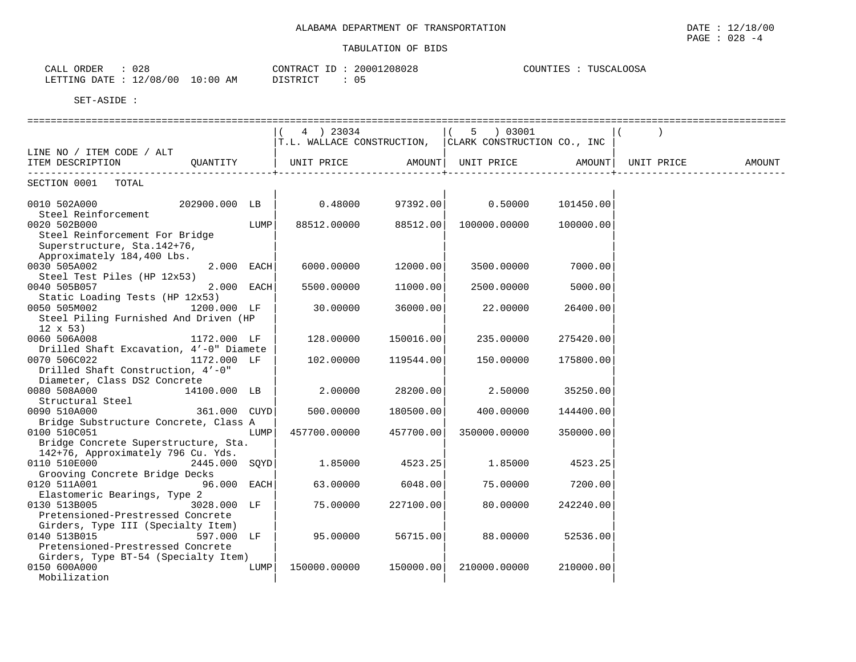| 028<br>ORDER<br>CALL    |            | CONTRACT<br>ID: | 20001208028 | TUSCALOOSA<br>COUNTIES |
|-------------------------|------------|-----------------|-------------|------------------------|
| LETTING DATE : 12/08/00 | $10:00$ AM | DISTRICT        |             |                        |

|                                         | 4 ) 23034                  |           | 5 ) 03001                   |           |            |        |
|-----------------------------------------|----------------------------|-----------|-----------------------------|-----------|------------|--------|
|                                         | T.L. WALLACE CONSTRUCTION, |           | CLARK CONSTRUCTION CO., INC |           |            |        |
| LINE NO / ITEM CODE / ALT               |                            |           |                             |           |            |        |
| ITEM DESCRIPTION<br>OUANTITY            | UNIT PRICE                 |           | AMOUNT   UNIT PRICE AMOUNT  |           | UNIT PRICE | AMOUNT |
|                                         |                            |           |                             |           |            |        |
| SECTION 0001 TOTAL                      |                            |           |                             |           |            |        |
|                                         |                            |           |                             |           |            |        |
| 0010 502A000<br>202900.000 LB           | 0.48000                    | 97392.00  | 0.50000                     | 101450.00 |            |        |
| Steel Reinforcement                     |                            |           |                             |           |            |        |
| 0020 502B000<br>LUMP                    | 88512.00000                | 88512.00  | 100000.00000                | 100000.00 |            |        |
| Steel Reinforcement For Bridge          |                            |           |                             |           |            |        |
| Superstructure, Sta.142+76,             |                            |           |                             |           |            |        |
| Approximately 184,400 Lbs.              |                            |           |                             |           |            |        |
| 0030 505A002<br>$2.000$ EACH            | 6000.00000                 | 12000.00  | 3500.00000                  | 7000.00   |            |        |
| Steel Test Piles (HP 12x53)             |                            |           |                             |           |            |        |
| 2.000 EACH<br>0040 505B057              | 5500.00000                 | 11000.00  | 2500.00000                  | 5000.00   |            |        |
| Static Loading Tests (HP 12x53)         |                            |           |                             |           |            |        |
| 1200.000 LF<br>0050 505M002             | 30.00000                   | 36000.00  | 22.00000                    | 26400.00  |            |        |
| Steel Piling Furnished And Driven (HP   |                            |           |                             |           |            |        |
| $12 \times 53$                          |                            |           |                             |           |            |        |
| 0060 506A008<br>1172.000 LF             | 128.00000                  | 150016.00 | 235.00000                   | 275420.00 |            |        |
| Drilled Shaft Excavation, 4'-0" Diamete |                            |           |                             |           |            |        |
| 0070 506C022<br>1172.000 LF             | 102.00000                  | 119544.00 | 150.00000                   | 175800.00 |            |        |
| Drilled Shaft Construction, 4'-0"       |                            |           |                             |           |            |        |
| Diameter, Class DS2 Concrete            |                            |           |                             |           |            |        |
| 0080 508A000<br>14100.000 LB            | 2,00000                    | 28200.00  | 2.50000                     | 35250.00  |            |        |
| Structural Steel                        |                            |           |                             |           |            |        |
| 0090 510A000<br>361.000 CUYD            | 500.00000                  | 180500.00 | 400.00000                   | 144400.00 |            |        |
| Bridge Substructure Concrete, Class A   |                            |           |                             |           |            |        |
| 0100 510C051<br>LUMP                    | 457700.00000               | 457700.00 | 350000.00000                | 350000.00 |            |        |
| Bridge Concrete Superstructure, Sta.    |                            |           |                             |           |            |        |
| 142+76, Approximately 796 Cu. Yds.      |                            |           |                             |           |            |        |
| 0110 510E000<br>2445.000 SOYD           | 1.85000                    | 4523.25   | 1.85000                     | 4523.25   |            |        |
| Grooving Concrete Bridge Decks          |                            |           |                             |           |            |        |
| 0120 511A001<br>96.000 EACH             | 63.00000                   | 6048.00   | 75,00000                    | 7200.00   |            |        |
| Elastomeric Bearings, Type 2            |                            |           |                             |           |            |        |
| 0130 513B005<br>3028.000 LF             | 75.00000                   | 227100.00 | 80,00000                    | 242240.00 |            |        |
| Pretensioned-Prestressed Concrete       |                            |           |                             |           |            |        |
| Girders, Type III (Specialty Item)      |                            |           |                             |           |            |        |
| 0140 513B015<br>597.000 LF              | 95.00000                   | 56715.00  | 88.00000                    | 52536.00  |            |        |
| Pretensioned-Prestressed Concrete       |                            |           |                             |           |            |        |
| Girders, Type BT-54 (Specialty Item)    |                            |           |                             |           |            |        |
| 0150 600A000<br>LUMP                    | 150000.00000               | 150000.00 | 210000.00000                | 210000.00 |            |        |
| Mobilization                            |                            |           |                             |           |            |        |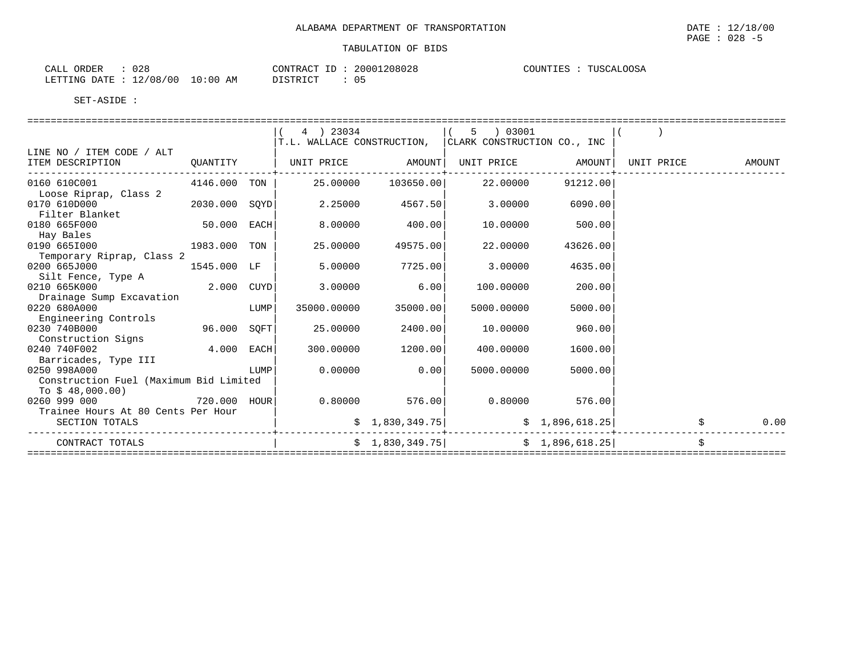| : 028<br>CALL ORDER             |          | CONTRACT ID: 20001208028 | COUNTIES : TUSCALOOSA |
|---------------------------------|----------|--------------------------|-----------------------|
| LETTING DATE: 12/08/00 10:00 AM | DISTRICT | : 05                     |                       |

|                                        |               |      | 4 ) 23034                  |                 | 5 03001                     |                   |            |        |
|----------------------------------------|---------------|------|----------------------------|-----------------|-----------------------------|-------------------|------------|--------|
|                                        |               |      | T.L. WALLACE CONSTRUCTION, |                 | CLARK CONSTRUCTION CO., INC |                   |            |        |
| LINE NO / ITEM CODE / ALT              |               |      |                            |                 |                             |                   |            |        |
| ITEM DESCRIPTION                       | QUANTITY      |      | UNIT PRICE AMOUNT          |                 |                             | UNIT PRICE AMOUNT | UNIT PRICE | AMOUNT |
| ----------------                       |               |      |                            |                 |                             |                   |            |        |
| 0160 610C001<br>4146.000 TON           |               |      | 25.00000                   | 103650.00       | 22.00000                    | 91212.00          |            |        |
| Loose Riprap, Class 2                  |               |      |                            |                 |                             |                   |            |        |
| 0170 610D000                           | 2030.000 SOYD |      | 2.25000                    | 4567.50         | 3.00000                     | 6090.00           |            |        |
| Filter Blanket                         |               |      |                            |                 |                             |                   |            |        |
| 0180 665F000                           | 50.000 EACH   |      | 8.00000                    | 400.00          | 10.00000                    | 500.00            |            |        |
| Hay Bales                              |               |      |                            |                 |                             |                   |            |        |
| 0190 6651000<br>1983.000 TON           |               |      | 25.00000                   | 49575.00        | 22.00000                    | 43626.00          |            |        |
| Temporary Riprap, Class 2              |               |      |                            |                 |                             |                   |            |        |
| 0200 665J000                           | 1545.000 LF   |      | 5.00000                    | 7725.00         | 3.00000                     | 4635.00           |            |        |
| Silt Fence, Type A                     |               |      |                            |                 |                             |                   |            |        |
| 0210 665K000                           | 2.000 CUYD    |      | 3.00000                    | 6.00            | 100.00000                   | 200.00            |            |        |
| Drainage Sump Excavation               |               |      |                            |                 |                             |                   |            |        |
| 0220 680A000                           |               | LUMP | 35000.00000                | 35000.00        | 5000.00000                  | 5000.00           |            |        |
| Engineering Controls                   |               |      |                            |                 |                             |                   |            |        |
| 0230 740B000                           | 96.000 SOFT   |      | 25.00000                   | 2400.00         | 10.00000                    | 960.00            |            |        |
| Construction Signs                     |               |      |                            |                 |                             |                   |            |        |
| 0240 740F002                           | $4.000$ EACH  |      | 300.00000                  | 1200.00         | 400.00000                   | 1600.00           |            |        |
| Barricades, Type III                   |               |      |                            |                 |                             |                   |            |        |
| 0250 998A000                           |               | LUMP | 0.00000                    | 0.00            | 5000.00000                  | 5000.00           |            |        |
| Construction Fuel (Maximum Bid Limited |               |      |                            |                 |                             |                   |            |        |
| To $$48,000.00)$                       |               |      |                            |                 |                             |                   |            |        |
| 0260 999 000                           | 720.000 HOUR  |      | 0.80000                    | 576.00          | 0.80000                     | 576.00            |            |        |
| Trainee Hours At 80 Cents Per Hour     |               |      |                            |                 |                             |                   |            |        |
| SECTION TOTALS                         |               |      |                            | \$1,830,349.75] |                             | \$1,896,618.25]   |            | 0.00   |
| CONTRACT TOTALS                        |               |      |                            | \$1,830,349.75] |                             | \$1,896,618.25    |            |        |
|                                        |               |      |                            |                 |                             |                   |            |        |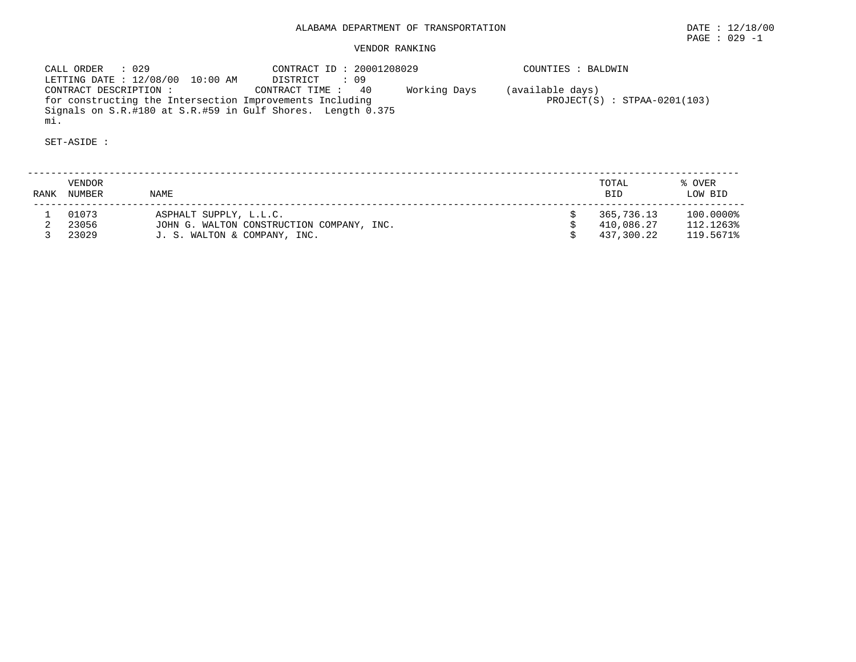# ALABAMA DEPARTMENT OF TRANSPORTATION DATE : 12/18/00

PAGE : 029 -1

# VENDOR RANKING

 CALL ORDER : 029 CONTRACT ID : 20001208029 COUNTIES : BALDWIN LETTING DATE : 12/08/00 10:00 AM DISTRICT : 09 CONTRACT DESCRIPTION : CONTRACT TIME : 40 Working Days (available days) for constructing the Intersection Improvements Including PROJECT(S) : STPAA-0201(103) Signals on S.R.#180 at S.R.#59 in Gulf Shores. Length 0.375 mi.

SET-ASIDE :

 -------------------------------------------------------------------------------------------------------------------------- VENDOR TOTAL % OVER RANK NUMBER NAME BID LOW BID -------------------------------------------------------------------------------------------------------------------------- $$365,736.13$   $100.0000\$ <br> $$410,086.27$   $112.1263\$  1 01073 ASPHALT SUPPLY, L.L.C. \$ 365,736.13 100.0000% 2 23056 JOHN G. WALTON CONSTRUCTION COMPANY, INC. \$ 410,086.27 112.1263% 3 23029 J. S. WALTON & COMPANY, INC. \$ 437,300.22 119.5671%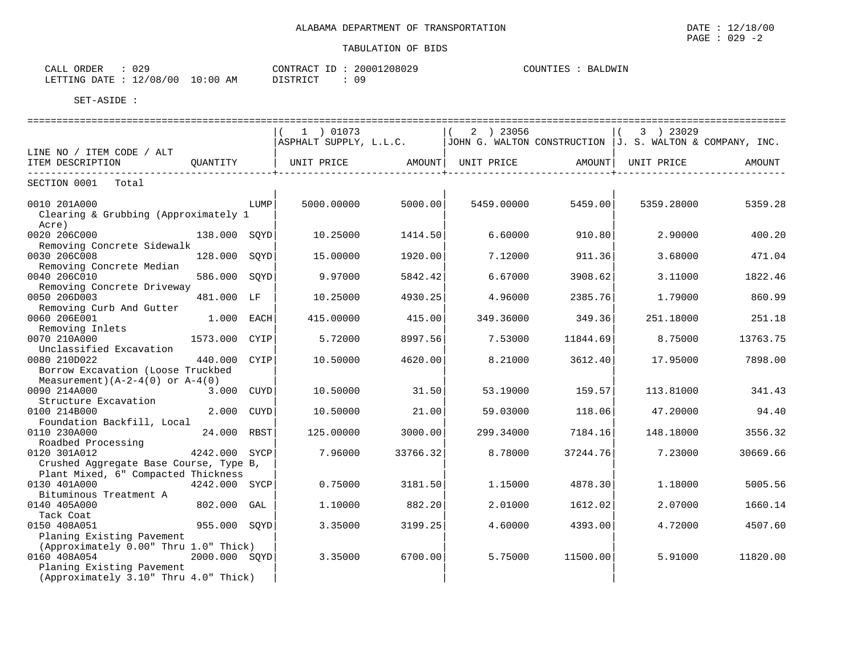| CALL ORDER                       | 029 |  | CONTRACT ID: | : 20001208029 | COUNTIES : BALDWIN |  |
|----------------------------------|-----|--|--------------|---------------|--------------------|--|
| LETTING DATE : 12/08/00 10:00 AM |     |  | DISTRICT     | 09            |                    |  |

|                                                                    |               |      | 1 ) 01073              |          | 2 ) 23056                                                   |          | 3 ) 23029          |          |
|--------------------------------------------------------------------|---------------|------|------------------------|----------|-------------------------------------------------------------|----------|--------------------|----------|
|                                                                    |               |      | ASPHALT SUPPLY, L.L.C. |          | JOHN G. WALTON CONSTRUCTION $J$ . S. WALTON & COMPANY, INC. |          |                    |          |
| LINE NO / ITEM CODE / ALT<br>ITEM DESCRIPTION                      | OUANTITY      |      | UNIT PRICE             |          | AMOUNT   UNIT PRICE                                         |          | AMOUNT  UNIT PRICE | AMOUNT   |
|                                                                    |               |      |                        |          |                                                             |          |                    |          |
| SECTION 0001 Total                                                 |               |      |                        |          |                                                             |          |                    |          |
| 0010 201A000<br>Clearing & Grubbing (Approximately 1               |               | LUMP | 5000.00000             | 5000.00  | 5459.00000                                                  | 5459.00  | 5359.28000         | 5359.28  |
| Acre)<br>0020 206C000                                              | 138.000 SOYD  |      | 10.25000               | 1414.50  | 6.60000                                                     | 910.80   | 2.90000            | 400.20   |
| Removing Concrete Sidewalk                                         |               |      |                        |          |                                                             |          |                    |          |
| 0030 206C008<br>Removing Concrete Median                           | 128.000 SOYD  |      | 15,00000               | 1920.00  | 7.12000                                                     | 911.36   | 3.68000            | 471.04   |
| 0040 206C010<br>Removing Concrete Driveway                         | 586.000 SOYD  |      | 9.97000                | 5842.42  | 6.67000                                                     | 3908.62  | 3.11000            | 1822.46  |
| 0050 206D003                                                       | 481.000 LF    |      | 10.25000               | 4930.25  | 4.96000                                                     | 2385.76  | 1.79000            | 860.99   |
| Removing Curb And Gutter<br>0060 206E001                           | 1.000 EACH    |      | 415.00000              | 415.00   | 349.36000                                                   | 349.36   | 251.18000          | 251.18   |
| Removing Inlets<br>0070 210A000                                    | 1573.000 CYIP |      | 5.72000                | 8997.56  | 7.53000                                                     | 11844.69 | 8.75000            | 13763.75 |
| Unclassified Excavation                                            |               |      |                        |          |                                                             |          |                    |          |
| 0080 210D022<br>Borrow Excavation (Loose Truckbed                  | 440.000 CYIP  |      | 10.50000               | 4620.00  | 8.21000                                                     | 3612.40  | 17.95000           | 7898.00  |
| Measurement) $(A-2-4(0)$ or $A-4(0)$                               |               |      |                        |          |                                                             |          |                    |          |
| 0090 214A000                                                       | 3.000 CUYD    |      | 10.50000               | 31.50    | 53.19000                                                    | 159.57   | 113.81000          | 341.43   |
| Structure Excavation                                               |               |      |                        |          |                                                             |          |                    |          |
| 0100 214B000<br>Foundation Backfill, Local                         | 2.000 CUYD    |      | 10.50000               | 21.00    | 59.03000                                                    | 118.06   | 47.20000           | 94.40    |
| 0110 230A000                                                       | 24.000 RBST   |      | 125,00000              | 3000.00  | 299.34000                                                   | 7184.16  | 148.18000          | 3556.32  |
| Roadbed Processing                                                 |               |      |                        |          |                                                             |          |                    |          |
| 0120 301A012<br>4242.000 SYCP                                      |               |      | 7.96000                | 33766.32 | 8.78000                                                     | 37244.76 | 7.23000            | 30669.66 |
| Crushed Aggregate Base Course, Type B,                             |               |      |                        |          |                                                             |          |                    |          |
| Plant Mixed, 6" Compacted Thickness                                |               |      |                        |          |                                                             |          |                    |          |
| 0130 401A000                                                       | 4242.000 SYCP |      | 0.75000                | 3181.50  | 1.15000                                                     | 4878.30  | 1.18000            | 5005.56  |
| Bituminous Treatment A                                             |               |      |                        |          |                                                             |          |                    |          |
| 0140 405A000                                                       | 802.000 GAL   |      | 1.10000                | 882.20   | 2.01000                                                     | 1612.02  | 2.07000            | 1660.14  |
| Tack Coat                                                          |               |      |                        |          |                                                             |          |                    |          |
| 0150 408A051                                                       | 955.000 SOYD  |      | 3.35000                | 3199.25  | 4.60000                                                     | 4393.00  | 4.72000            | 4507.60  |
| Planing Existing Pavement                                          |               |      |                        |          |                                                             |          |                    |          |
| (Approximately 0.00" Thru 1.0" Thick)<br>0160 408A054              | 2000.000 SQYD |      |                        |          | 5.75000                                                     | 11500.00 | 5.91000            | 11820.00 |
|                                                                    |               |      | 3.35000                | 6700.00  |                                                             |          |                    |          |
| Planing Existing Pavement<br>(Approximately 3.10" Thru 4.0" Thick) |               |      |                        |          |                                                             |          |                    |          |
|                                                                    |               |      |                        |          |                                                             |          |                    |          |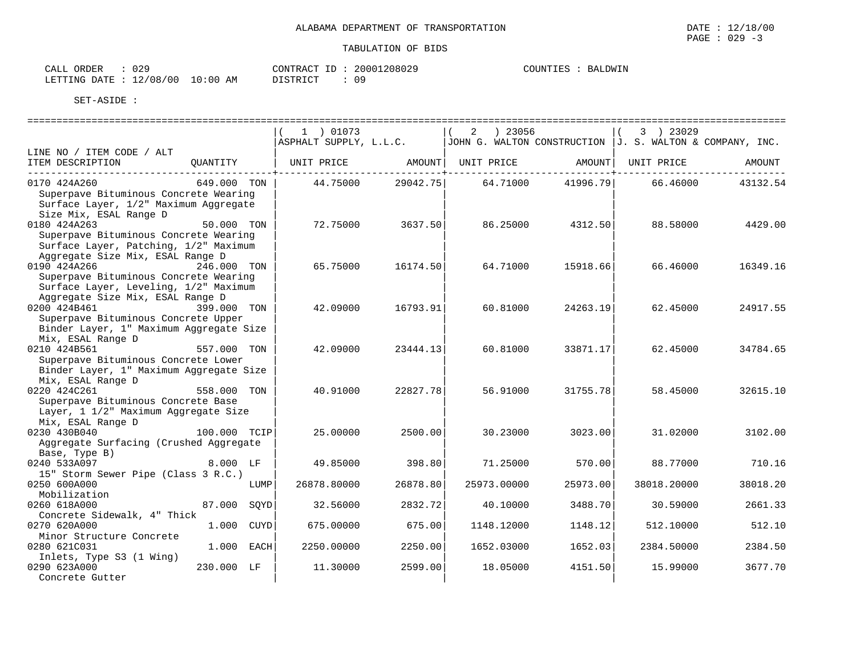| CALL ORDER                       | 029 |          |  | CONTRACT ID: 20001208029 |  | COUNTIES : BALDWIN |
|----------------------------------|-----|----------|--|--------------------------|--|--------------------|
| LETTING DATE : 12/08/00 10:00 AM |     | DISTRICT |  | : 09                     |  |                    |

|                                                                                                                                      |              | 1 ) 01073              |          | $2 \t) 23056$                                               |          | 3 ) 23029   |          |
|--------------------------------------------------------------------------------------------------------------------------------------|--------------|------------------------|----------|-------------------------------------------------------------|----------|-------------|----------|
|                                                                                                                                      |              | ASPHALT SUPPLY, L.L.C. |          | JOHN G. WALTON CONSTRUCTION $J$ . S. WALTON & COMPANY, INC. |          |             |          |
| LINE NO / ITEM CODE / ALT<br>ITEM DESCRIPTION                                                                                        | QUANTITY     | UNIT PRICE             |          | AMOUNT   UNIT PRICE                                         | AMOUNT   | UNIT PRICE  | AMOUNT   |
|                                                                                                                                      |              |                        |          |                                                             |          |             |          |
| 0170 424A260<br>Superpave Bituminous Concrete Wearing<br>Surface Layer, 1/2" Maximum Aggregate<br>Size Mix, ESAL Range D             | 649.000 TON  | 44.75000               | 29042.75 | 64.71000                                                    | 41996.79 | 66.46000    | 43132.54 |
| 0180 424A263<br>Superpave Bituminous Concrete Wearing<br>Surface Layer, Patching, 1/2" Maximum<br>Aggregate Size Mix, ESAL Range D   | 50.000 TON   | 72.75000               | 3637.50  | 86.25000                                                    | 4312.50  | 88.58000    | 4429.00  |
| 0190 424A266<br>Superpave Bituminous Concrete Wearing<br>Surface Layer, Leveling, 1/2" Maximum                                       | 246.000 TON  | 65.75000               | 16174.50 | 64.71000                                                    | 15918.66 | 66.46000    | 16349.16 |
| Aggregate Size Mix, ESAL Range D<br>0200 424B461<br>Superpave Bituminous Concrete Upper<br>Binder Layer, 1" Maximum Aggregate Size   | 399.000 TON  | 42.09000               | 16793.91 | 60.81000                                                    | 24263.19 | 62.45000    | 24917.55 |
| Mix, ESAL Range D<br>0210 424B561<br>Superpave Bituminous Concrete Lower<br>Binder Layer, 1" Maximum Aggregate Size                  | 557.000 TON  | 42.09000               | 23444.13 | 60.81000                                                    | 33871.17 | 62.45000    | 34784.65 |
| Mix, ESAL Range D<br>0220 424C261<br>Superpave Bituminous Concrete Base<br>Layer, 1 1/2" Maximum Aggregate Size<br>Mix, ESAL Range D | 558.000 TON  | 40.91000               | 22827.78 | 56.91000                                                    | 31755.78 | 58.45000    | 32615.10 |
| 0230 430B040<br>Aggregate Surfacing (Crushed Aggregate<br>Base, Type B)                                                              | 100.000 TCIP | 25,00000               | 2500.00  | 30.23000                                                    | 3023.00  | 31.02000    | 3102.00  |
| 0240 533A097                                                                                                                         | 8.000 LF     | 49.85000               | 398.80   | 71.25000                                                    | 570.00   | 88.77000    | 710.16   |
| 15" Storm Sewer Pipe (Class 3 R.C.)<br>0250 600A000<br>Mobilization                                                                  | LUMP         | 26878.80000            | 26878.80 | 25973.00000                                                 | 25973.00 | 38018.20000 | 38018.20 |
| 0260 618A000<br>Concrete Sidewalk, 4" Thick                                                                                          | 87.000 SOYD  | 32.56000               | 2832.72  | 40.10000                                                    | 3488.70  | 30.59000    | 2661.33  |
| 0270 620A000                                                                                                                         | 1.000 CUYD   | 675.00000              | 675.00   | 1148.12000                                                  | 1148.12  | 512.10000   | 512.10   |
| Minor Structure Concrete<br>0280 621C031                                                                                             | 1.000 EACH   | 2250.00000             | 2250.00  | 1652.03000                                                  | 1652.03  | 2384.50000  | 2384.50  |
| Inlets, Type S3 (1 Wing)<br>0290 623A000<br>Concrete Gutter                                                                          | 230.000 LF   | 11,30000               | 2599.00  | 18.05000                                                    | 4151.50  | 15,99000    | 3677.70  |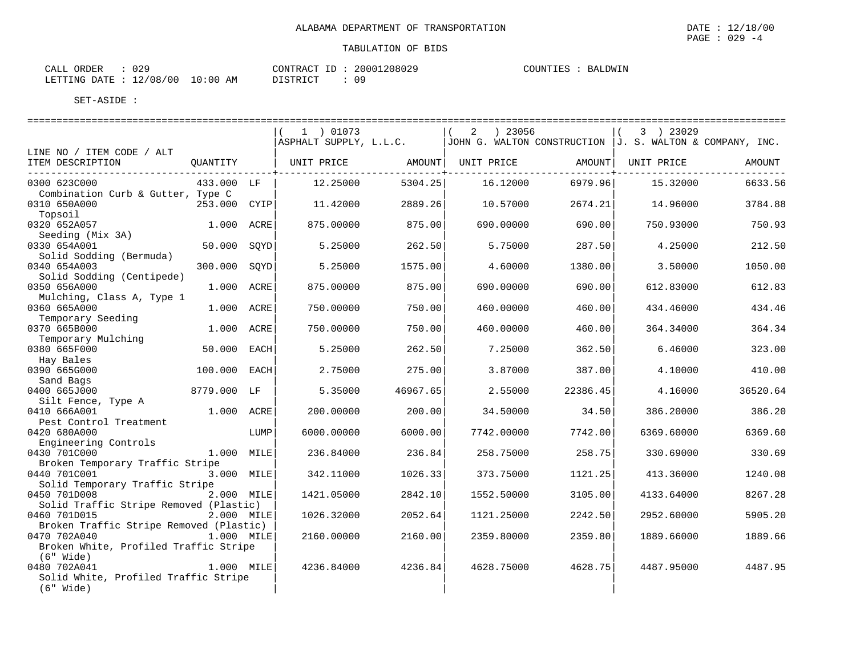| CALL ORDER                       | : 029 |          |  | CONTRACT ID: 20001208029 | COUNTIES : BALDWIN |  |
|----------------------------------|-------|----------|--|--------------------------|--------------------|--|
| LETTING DATE : 12/08/00 10:00 AM |       | DISTRICT |  | : 09                     |                    |  |

| JJOHN G. WALTON CONSTRUCTION  J. S. WALTON & COMPANY, INC.<br>AMOUNT |
|----------------------------------------------------------------------|
| 6633.56<br>3784.88<br>750.93                                         |
|                                                                      |
|                                                                      |
|                                                                      |
|                                                                      |
| 212.50                                                               |
| 1050.00                                                              |
| 612.83                                                               |
| 434.46                                                               |
| 364.34                                                               |
| 323.00                                                               |
| 410.00                                                               |
| 36520.64                                                             |
| 386.20                                                               |
| 6369.60                                                              |
| 330.69                                                               |
| 1240.08                                                              |
| 8267.28                                                              |
| 5905.20                                                              |
| 1889.66                                                              |
| 4487.95                                                              |
|                                                                      |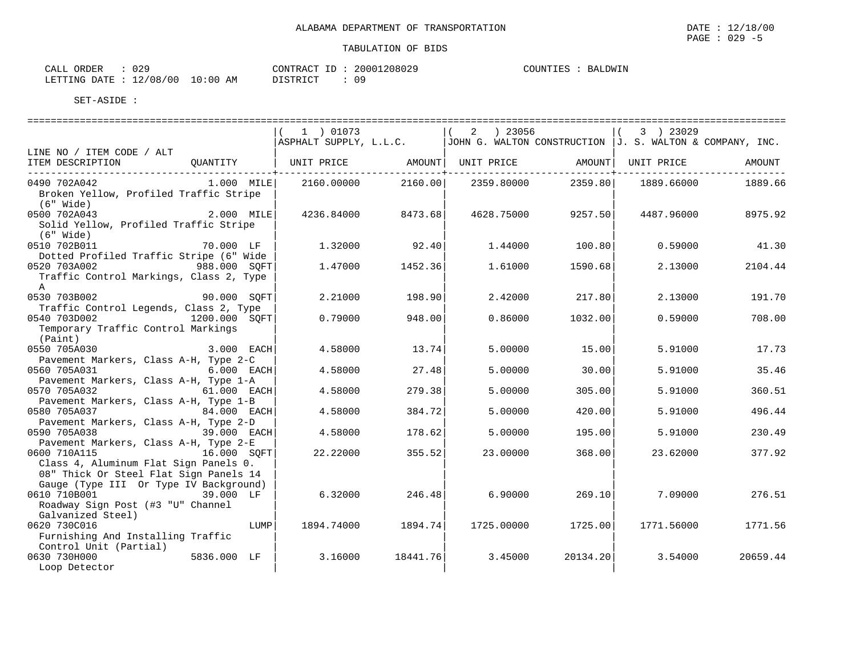|                                                                                                                                          |                    | 1 ) 01073                                                                                  |          | 2   23056          |          | 3 ) 23029           |          |
|------------------------------------------------------------------------------------------------------------------------------------------|--------------------|--------------------------------------------------------------------------------------------|----------|--------------------|----------|---------------------|----------|
|                                                                                                                                          |                    | $ $ ASPHALT SUPPLY, L.L.C. $ $ JOHN G. WALTON CONSTRUCTION $ J.$ S. WALTON & COMPANY, INC. |          |                    |          |                     |          |
| LINE NO / ITEM CODE / ALT                                                                                                                |                    |                                                                                            |          |                    |          |                     |          |
| ITEM DESCRIPTION<br>__________________________________                                                                                   |                    | QUANTITY   UNIT PRICE AMOUNT  UNIT PRICE                                                   |          |                    |          | AMOUNT   UNIT PRICE | AMOUNT   |
| 0490 702A042<br>Broken Yellow, Profiled Traffic Stripe<br>(6" Wide)                                                                      |                    | 1.000 MILE 2160.00000                                                                      |          | 2160.00 2359.80000 | 2359.80  | 1889.66000          | 1889.66  |
| 0500 702A043<br>Solid Yellow, Profiled Traffic Stripe<br>(6" Wide)                                                                       | 2.000 MILE         | 4236.84000                                                                                 | 8473.68  | 4628.75000         | 9257.50  | 4487.96000          | 8975.92  |
| 0510 702B011<br>Dotted Profiled Traffic Stripe (6" Wide                                                                                  | 70.000 LF          | 1.32000                                                                                    | 92.40    | 1.44000            | 100.80   | 0.59000             | 41.30    |
| 0520 703A002<br>Traffic Control Markings, Class 2, Type<br>A                                                                             | 988.000 SOFT       | 1.47000                                                                                    | 1452.36  | 1.61000            | 1590.68  | 2.13000             | 2104.44  |
| 0530 703B002                                                                                                                             | 90.000 SQFT        | 2.21000                                                                                    | 198.90   | 2.42000            | 217.80   | 2.13000             | 191.70   |
| Traffic Control Legends, Class 2, Type<br>0540 703D002<br>Temporary Traffic Control Markings<br>(Paint)                                  | 1200.000 SQFT      | 0.79000                                                                                    | 948.00   | 0.86000            | 1032.00  | 0.59000             | 708.00   |
| 0550 705A030<br>Pavement Markers, Class A-H, Type 2-C                                                                                    | 3.000 EACH         | 4.58000                                                                                    | 13.74    | 5.00000            | 15.00    | 5.91000             | 17.73    |
| 0560 705A031                                                                                                                             | 6.000 EACH         | 4.58000                                                                                    | 27.48    | 5.00000            | 30.00    | 5.91000             | 35.46    |
| Pavement Markers, Class A-H, Type 1-A<br>0570 705A032<br>Pavement Markers, Class A-H, Type 1-B                                           | 61.000 EACH        | 4.58000                                                                                    | 279.38   | 5.00000            | 305.00   | 5.91000             | 360.51   |
| 0580 705A037<br>Pavement Markers, Class A-H, Type 2-D                                                                                    | 84.000 EACH        | 4.58000                                                                                    | 384.72   | 5.00000            | 420.00   | 5.91000             | 496.44   |
| 0590 705A038                                                                                                                             | <b>39.000 EACH</b> | 4.58000                                                                                    | 178.62   | 5,00000            | 195.00   | 5.91000             | 230.49   |
| Pavement Markers, Class A-H, Type 2-E<br>0600 710A115<br>Class 4, Aluminum Flat Sign Panels 0.<br>08" Thick Or Steel Flat Sign Panels 14 | 16.000 SQFT        | 22.22000                                                                                   | 355.52   | 23.00000           | 368.00   | 23.62000            | 377.92   |
| Gauge (Type III Or Type IV Background)<br>0610 710B001 39.000 LF<br>Roadway Sign Post (#3 "U" Channel                                    |                    | 6.32000                                                                                    | 246.48   | 6.90000            | 269.10   | 7.09000             | 276.51   |
| Galvanized Steel)<br>0620 730C016<br>Furnishing And Installing Traffic<br>Control Unit (Partial)                                         | LUMP               | 1894.74000                                                                                 | 1894.74  | 1725.00000         | 1725.00  | 1771.56000          | 1771.56  |
| 0630 730H000<br>Loop Detector                                                                                                            | 5836.000 LF        | 3.16000                                                                                    | 18441.76 | 3.45000            | 20134.20 | 3.54000             | 20659.44 |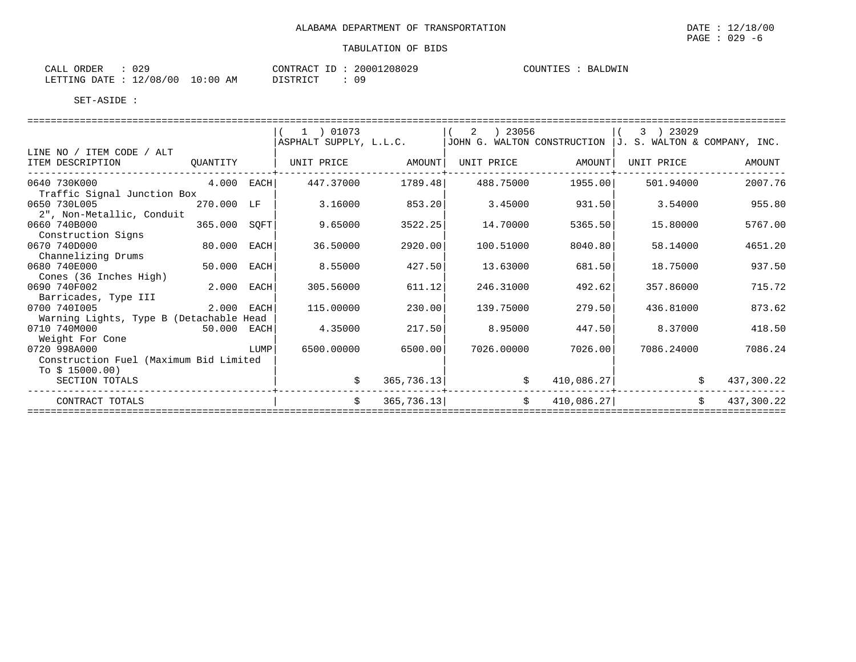| CALL ORDER                       | 029 |          |  | CONTRACT ID: 20001208029 |  | COUNTIES : BALDWIN |
|----------------------------------|-----|----------|--|--------------------------|--|--------------------|
| LETTING DATE : 12/08/00 10:00 AM |     | DISTRICT |  | : 09                     |  |                    |

|                                         |              |      | 1 ) 01073              |             | 2<br>) 23056                                               |                   | 3 ) 23029  |                  |
|-----------------------------------------|--------------|------|------------------------|-------------|------------------------------------------------------------|-------------------|------------|------------------|
|                                         |              |      | ASPHALT SUPPLY, L.L.C. |             | JOHN G. WALTON CONSTRUCTION $J. S. WALTON & COMPANY, INC.$ |                   |            |                  |
| LINE NO / ITEM CODE / ALT               |              |      |                        |             |                                                            |                   |            |                  |
| ITEM DESCRIPTION                        | QUANTITY     |      | UNIT PRICE AMOUNT      |             |                                                            | UNIT PRICE AMOUNT | UNIT PRICE | AMOUNT           |
| $4.000$ EACH<br>0640 730K000            |              |      | 447.37000              | 1789.48     | 488.75000                                                  | 1955.00           | 501.94000  | 2007.76          |
| Traffic Signal Junction Box             |              |      |                        |             |                                                            |                   |            |                  |
| 0650 730L005                            | 270.000 LF   |      | 3.16000                | 853.20      | 3.45000                                                    | 931.50            | 3.54000    | 955.80           |
| 2", Non-Metallic, Conduit               |              |      |                        |             |                                                            |                   |            |                  |
| 0660 740B000                            | 365.000 SOFT |      | 9.65000                | 3522.25     | 14.70000                                                   | 5365.50           | 15,80000   | 5767.00          |
| Construction Signs                      |              |      |                        |             |                                                            |                   |            |                  |
| 0670 740D000                            | 80.000 EACH  |      | 36.50000               | 2920.00     | 100.51000                                                  | 8040.80           | 58.14000   | 4651.20          |
| Channelizing Drums                      |              |      |                        |             |                                                            |                   |            |                  |
| 0680 740E000                            | 50.000 EACH  |      | 8.55000                | 427.50      | 13.63000                                                   | 681.50            | 18.75000   | 937.50           |
| Cones (36 Inches High)                  |              |      |                        |             |                                                            |                   |            |                  |
| 0690 740F002                            | 2.000 EACH   |      | 305.56000              | 611.12      | 246.31000                                                  | 492.62            | 357.86000  | 715.72           |
| Barricades, Type III                    |              |      |                        |             |                                                            |                   |            |                  |
| 0700 7401005                            | 2.000 EACH   |      | 115.00000              | 230.00      | 139.75000                                                  | 279.50            | 436.81000  | 873.62           |
| Warning Lights, Type B (Detachable Head |              |      |                        |             |                                                            |                   |            |                  |
| 0710 740M000                            | 50.000 EACH  |      | 4.35000                | 217.50      | 8.95000                                                    | 447.50            | 8.37000    | 418.50           |
| Weight For Cone                         |              |      |                        |             |                                                            |                   |            |                  |
| 0720 998A000                            |              | LUMP | 6500.00000             | 6500.00     | 7026.00000                                                 | 7026.00           | 7086.24000 | 7086.24          |
| Construction Fuel (Maximum Bid Limited  |              |      |                        |             |                                                            |                   |            |                  |
| To $$15000.00)$                         |              |      |                        |             |                                                            |                   |            |                  |
| SECTION TOTALS                          |              |      | \$                     | 365, 736.13 | \$                                                         | 410,086.27        |            | \$<br>437,300.22 |
| CONTRACT TOTALS                         |              |      | \$                     | 365, 736.13 | \$                                                         | 410,086.27        |            | \$<br>437,300.22 |
|                                         |              |      |                        |             |                                                            |                   |            |                  |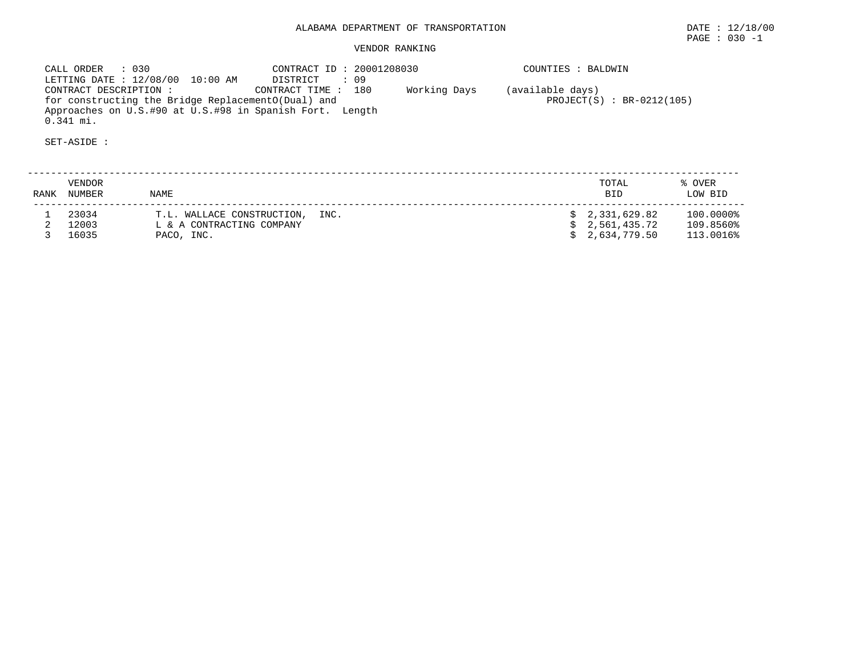# ALABAMA DEPARTMENT OF TRANSPORTATION DATE : 12/18/00

PAGE : 030 -1

### VENDOR RANKING

 CALL ORDER : 030 CONTRACT ID : 20001208030 COUNTIES : BALDWIN LETTING DATE : 12/08/00 10:00 AM DISTRICT : 09 CONTRACT DESCRIPTION : CONTRACT TIME : 180 Working Days (available days) for constructing the Bridge ReplacementO(Dual) and PROJECT(S) : BR-0212(105) Approaches on U.S.#90 at U.S.#98 in Spanish Fort. Length 0.341 mi.

SET-ASIDE :

 -------------------------------------------------------------------------------------------------------------------------- VENDOR TOTAL % OVER RANK NUMBER NAME BID LOW BID -------------------------------------------------------------------------------------------------------------------------- 1 23034 T.L. WALLACE CONSTRUCTION, INC. \$ 2,331,629.82 100.0000% 2 12003 L & A CONTRACTING COMPANY \$ 2,561,435.72 109.8560% 3 16035 PACO, INC. \$ 2,634,779.50 113.0016%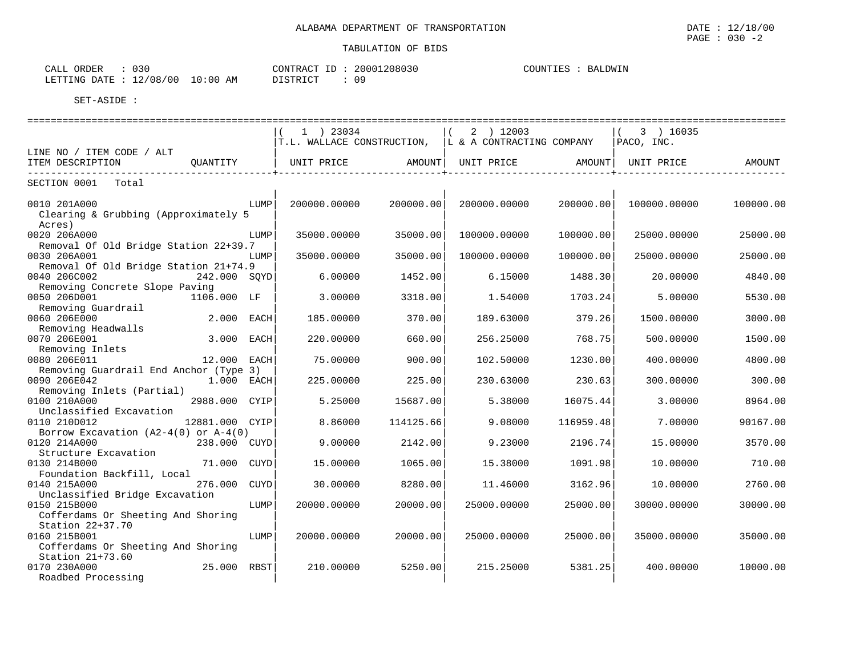| 030<br>ORDER<br>CALL   |            |                 | CONTRACT ID: 20001208030 | COUNTIES :<br>BALDWIN |
|------------------------|------------|-----------------|--------------------------|-----------------------|
| LETTING DATE: 12/08/00 | $10:00$ AM | <b>DISTRICT</b> | 09                       |                       |

|                                                                        |                |      | 1 ) 23034                     |           | 2 ) 12003<br>$T.L.$ WALLACE CONSTRUCTION, $\ L\ $ & A CONTRACTING COMPANY |           | $(3)$ 16035<br>PACO, INC. |           |
|------------------------------------------------------------------------|----------------|------|-------------------------------|-----------|---------------------------------------------------------------------------|-----------|---------------------------|-----------|
| LINE NO / ITEM CODE / ALT                                              |                |      |                               |           |                                                                           |           |                           |           |
| ITEM DESCRIPTION                                                       | OUANTITY       |      | UNIT PRICE AMOUNT  UNIT PRICE |           |                                                                           | AMOUNT    | UNIT PRICE                | AMOUNT    |
| SECTION 0001 Total                                                     |                |      |                               |           |                                                                           |           |                           |           |
| 0010 201A000<br>Clearing & Grubbing (Approximately 5                   |                | LUMP | 200000.00000                  | 200000.00 | 200000.00000                                                              | 200000.00 | 100000.00000              | 100000.00 |
| Acres)<br>0020 206A000<br>Removal Of Old Bridge Station 22+39.7        |                | LUMP | 35000.00000                   | 35000.00  | 100000.00000                                                              | 100000.00 | 25000.00000               | 25000.00  |
| 0030 206A001<br>Removal Of Old Bridge Station 21+74.9                  |                | LUMP | 35000.00000                   | 35000.00  | 100000.00000                                                              | 100000.00 | 25000.00000               | 25000.00  |
| 0040 206C002<br>Removing Concrete Slope Paving                         | 242.000 SOYD   |      | 6.00000                       | 1452.00   | 6.15000                                                                   | 1488.30   | 20.00000                  | 4840.00   |
| 0050 206D001<br>Removing Guardrail                                     | 1106.000 LF    |      | 3.00000                       | 3318.00   | 1.54000                                                                   | 1703.24   | 5.00000                   | 5530.00   |
| 0060 206E000<br>Removing Headwalls                                     | 2.000 EACH     |      | 185.00000                     | 370.00    | 189.63000                                                                 | 379.26    | 1500.00000                | 3000.00   |
| 0070 206E001<br>Removing Inlets                                        | 3.000 EACH     |      | 220.00000                     | 660.00    | 256.25000                                                                 | 768.75    | 500.00000                 | 1500.00   |
| 0080 206E011<br>Removing Guardrail End Anchor (Type 3)                 | 12.000 EACH    |      | 75.00000                      | 900.00    | 102.50000                                                                 | 1230.00   | 400.00000                 | 4800.00   |
| 0090 206E042<br>Removing Inlets (Partial)                              | 1.000 EACH     |      | 225.00000                     | 225.00    | 230.63000                                                                 | 230.63    | 300.00000                 | 300.00    |
| 0100 210A000<br>Unclassified Excavation                                | 2988.000 CYIP  |      | 5.25000                       | 15687.00  | 5.38000                                                                   | 16075.44  | 3.00000                   | 8964.00   |
| 0110 210D012<br>Borrow Excavation $(A2-4(0)$ or $A-4(0)$               | 12881.000 CYIP |      | 8.86000                       | 114125.66 | 9.08000                                                                   | 116959.48 | 7.00000                   | 90167.00  |
| 0120 214A000<br>Structure Excavation                                   | 238.000 CUYD   |      | 9.00000                       | 2142.00   | 9.23000                                                                   | 2196.74   | 15,00000                  | 3570.00   |
| 0130 214B000<br>Foundation Backfill, Local                             | 71.000         | CUYD | 15.00000                      | 1065.00   | 15.38000                                                                  | 1091.98   | 10.00000                  | 710.00    |
| 0140 215A000<br>Unclassified Bridge Excavation                         | 276.000        | CUYD | 30.00000                      | 8280.00   | 11.46000                                                                  | 3162.96   | 10,00000                  | 2760.00   |
| 0150 215B000<br>Cofferdams Or Sheeting And Shoring                     |                | LUMP | 20000.00000                   | 20000.00  | 25000.00000                                                               | 25000.00  | 30000.00000               | 30000.00  |
| Station 22+37.70<br>0160 215B001<br>Cofferdams Or Sheeting And Shoring |                | LUMP | 20000.00000                   | 20000.00  | 25000.00000                                                               | 25000.00  | 35000.00000               | 35000.00  |
| Station 21+73.60<br>0170 230A000<br>Roadbed Processing                 | 25.000 RBST    |      | 210.00000                     | 5250.00   | 215.25000                                                                 | 5381.25   | 400.00000                 | 10000.00  |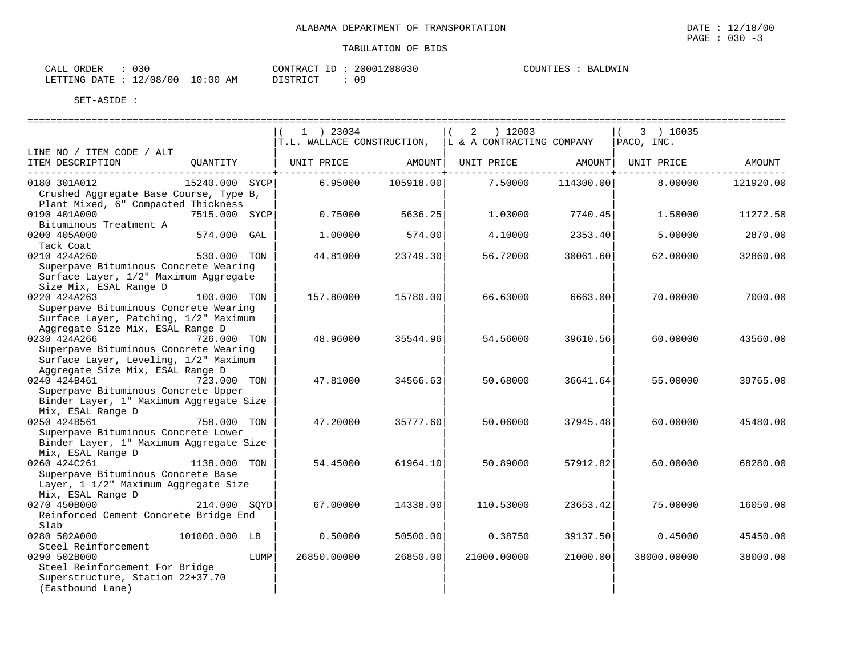| 030<br>ORDER<br>CALL       |             | CONTRACT<br>ID | 20001208030 | COUNTIES<br>BALDWIN |
|----------------------------|-------------|----------------|-------------|---------------------|
| 12/08/00<br>LETTING DATE : | 10:00<br>ΆM | DISTRICT<br>.  |             |                     |

|                                                                                                                                    |                       | 1 ) 23034<br>$T.L.$ WALLACE CONSTRUCTION, $ L \& A$ CONTRACTING COMPANY |           | $2$ ) 12003        |                                           | (3) 16035<br>PACO, INC.    |           |
|------------------------------------------------------------------------------------------------------------------------------------|-----------------------|-------------------------------------------------------------------------|-----------|--------------------|-------------------------------------------|----------------------------|-----------|
| LINE NO / ITEM CODE / ALT                                                                                                          |                       |                                                                         |           |                    |                                           |                            |           |
| ITEM DESCRIPTION                                                                                                                   | QUANTITY   UNIT PRICE |                                                                         |           | AMOUNT  UNIT PRICE | -------------------- <del>-</del> ------- | AMOUNT   UNIT PRICE AMOUNT |           |
| 0180 301A012<br>Crushed Aggregate Base Course, Type B,<br>Plant Mixed, 6" Compacted Thickness                                      | 15240.000 SYCP        | 6.95000                                                                 | 105918.00 | 7.50000            | 114300.00                                 | 8.00000                    | 121920.00 |
| 0190 401A000<br>Bituminous Treatment A                                                                                             | 7515.000 SYCP         | 0.75000                                                                 | 5636.25   | 1.03000            | 7740.45                                   | 1.50000                    | 11272.50  |
| 0200 405A000<br>Tack Coat                                                                                                          | 574.000 GAL           | 1,00000                                                                 | 574.00    | 4.10000            | 2353.40                                   | 5.00000                    | 2870.00   |
| 0210 424A260<br>Superpave Bituminous Concrete Wearing<br>Surface Layer, 1/2" Maximum Aggregate<br>Size Mix, ESAL Range D           | 530.000 TON           | 44.81000                                                                | 23749.30  | 56.72000           | 30061.60                                  | 62.00000                   | 32860.00  |
| 0220 424A263<br>Superpave Bituminous Concrete Wearing<br>Surface Layer, Patching, 1/2" Maximum<br>Aggregate Size Mix, ESAL Range D | $100.000$ TON         | 157.80000                                                               | 15780.00  | 66.63000           | 6663.00                                   | 70,00000                   | 7000.00   |
| 0230 424A266<br>Superpave Bituminous Concrete Wearing<br>Surface Layer, Leveling, 1/2" Maximum<br>Aggregate Size Mix, ESAL Range D | 726.000 TON           | 48.96000                                                                | 35544.96  | 54.56000           | 39610.56                                  | 60.00000                   | 43560.00  |
| 0240 424B461<br>Superpave Bituminous Concrete Upper<br>Binder Layer, 1" Maximum Aggregate Size<br>Mix, ESAL Range D                | 723.000 TON           | 47.81000                                                                | 34566.63  | 50.68000           | 36641.64                                  | 55.00000                   | 39765.00  |
| 0250 424B561<br>Superpave Bituminous Concrete Lower<br>Binder Layer, 1" Maximum Aggregate Size<br>Mix, ESAL Range D                | 758.000 TON           | 47.20000                                                                | 35777.60  | 50.06000           | 37945.48                                  | 60.00000                   | 45480.00  |
| 0260 424C261<br>Superpave Bituminous Concrete Base<br>Layer, 1 1/2" Maximum Aggregate Size<br>Mix, ESAL Range D                    | 1138.000 TON          | 54.45000                                                                | 61964.10  | 50.89000           | 57912.82                                  | 60.00000                   | 68280.00  |
| 0270 450B000<br>Reinforced Cement Concrete Bridge End<br>Slab                                                                      | 214.000 SOYD          | 67.00000                                                                | 14338.00  | 110.53000          | 23653.42                                  | 75.00000                   | 16050.00  |
| 0280 502A000<br>Steel Reinforcement                                                                                                | 101000.000 LB         | 0.50000                                                                 | 50500.00  | 0.38750            | 39137.50                                  | 0.45000                    | 45450.00  |
| 0290 502B000<br>Steel Reinforcement For Bridge<br>Superstructure, Station 22+37.70<br>(Eastbound Lane)                             | LUMP                  | 26850.00000                                                             | 26850.00  | 21000.00000        | 21000.00                                  | 38000.00000                | 38000.00  |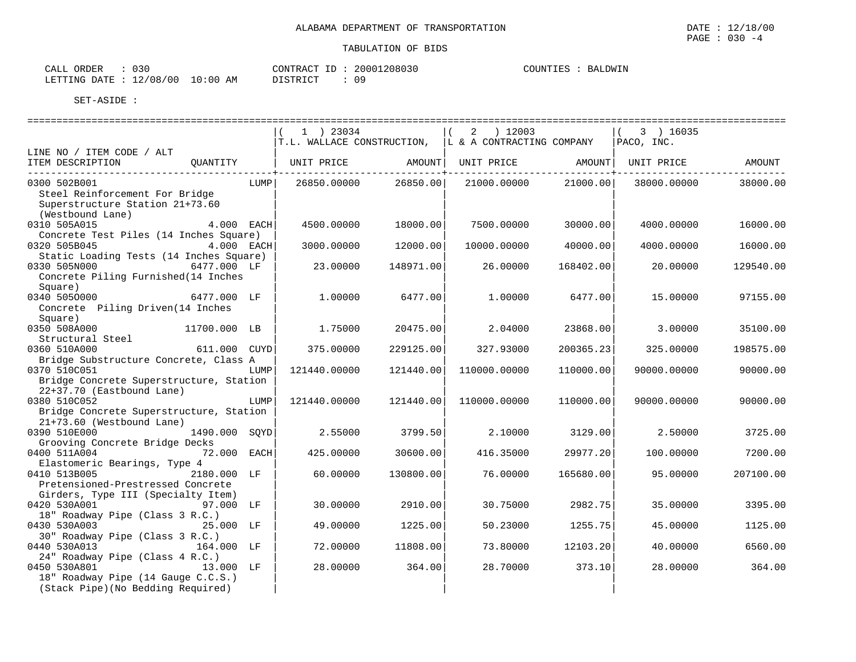| ORDER<br>$\sim$ $\sim$ $\sim$ $\sim$<br>ו ו בי | ה ה ה<br>u s u                             | 20001208030<br>$\bigcap \Pi$ TRA<br>$\sim$ | DWIN<br>COUNTIES<br>BA. |
|------------------------------------------------|--------------------------------------------|--------------------------------------------|-------------------------|
| LETTING<br>DATE                                | 10:00<br>'00<br>/ 08<br>$\sim$<br>AM<br>ᅩᅀ | ΟS<br>דת ליחד את                           |                         |

|                                                                                                                             |               |      | 1 ) 23034<br>$T.L.$ WALLACE CONSTRUCTION, $\vert L \vert$ & A CONTRACTING COMPANY |           | 2 ) 12003    |                      | 3 ) 16035<br>PACO, INC. |           |
|-----------------------------------------------------------------------------------------------------------------------------|---------------|------|-----------------------------------------------------------------------------------|-----------|--------------|----------------------|-------------------------|-----------|
| LINE NO / ITEM CODE / ALT                                                                                                   |               |      |                                                                                   |           |              |                      |                         |           |
| ITEM DESCRIPTION                                                                                                            | QUANTITY      |      | UNIT PRICE                                                                        | AMOUNT    | UNIT PRICE   | AMOUNT               | UNIT PRICE AMOUNT       |           |
| 0300 502B001<br>Steel Reinforcement For Bridge<br>Superstructure Station 21+73.60<br>(Westbound Lane)                       |               | LUMP | 26850.00000 26850.00                                                              |           |              | 21000.00000 21000.00 | 38000.00000             | 38000.00  |
| 0310 505A015<br>Concrete Test Piles (14 Inches Square)                                                                      | $4.000$ EACH  |      | 4500.00000                                                                        | 18000.00  | 7500.00000   | 30000.00             | 4000.00000              | 16000.00  |
| 0320 505B045                                                                                                                | 4.000 EACH    |      | 3000.00000                                                                        | 12000.00  | 10000.00000  | 40000.00             | 4000.00000              | 16000.00  |
| Static Loading Tests (14 Inches Square)<br>0330 505N000<br>Concrete Piling Furnished (14 Inches                             | 6477.000 LF   |      | 23.00000                                                                          | 148971.00 | 26.00000     | 168402.00            | 20.00000                | 129540.00 |
| Square)<br>0340 5050000<br>6477.000 LF<br>Concrete Piling Driven(14 Inches                                                  |               |      | 1,00000                                                                           | 6477.00   | 1,00000      | 6477.00              | 15,00000                | 97155.00  |
| Square)<br>0350 508A000                                                                                                     | 11700.000 LB  |      | 1.75000                                                                           | 20475.00  | 2.04000      | 23868.00             | 3.00000                 | 35100.00  |
| Structural Steel<br>0360 510A000                                                                                            | 611.000 CUYD  |      | 375,00000                                                                         | 229125.00 | 327.93000    | 200365.23            | 325,00000               | 198575.00 |
| Bridge Substructure Concrete, Class A<br>0370 510C051                                                                       |               | LUMP | 121440.00000                                                                      | 121440.00 | 110000.00000 | 110000.00            | 90000.00000             | 90000.00  |
| Bridge Concrete Superstructure, Station<br>22+37.70 (Eastbound Lane)                                                        |               |      |                                                                                   |           |              |                      |                         |           |
| 0380 510C052<br>Bridge Concrete Superstructure, Station<br>21+73.60 (Westbound Lane)                                        |               | LUMP | 121440.00000                                                                      | 121440.00 | 110000.00000 | 110000.00            | 90000.00000             | 90000.00  |
| 0390 510E000<br>Grooving Concrete Bridge Decks                                                                              | 1490.000 SOYD |      | 2.55000                                                                           | 3799.50   | 2,10000      | 3129.00              | 2.50000                 | 3725.00   |
| 0400 511A004                                                                                                                | 72.000 EACH   |      | 425.00000                                                                         | 30600.00  | 416.35000    | 29977.20             | 100.00000               | 7200.00   |
| Elastomeric Bearings, Type 4<br>0410 513B005<br>Pretensioned-Prestressed Concrete                                           | 2180.000 LF   |      | 60.00000                                                                          | 130800.00 | 76.00000     | 165680.00            | 95.00000                | 207100.00 |
| Girders, Type III (Specialty Item)<br>0420 530A001<br>18" Roadway Pipe (Class 3 R.C.)                                       | 97.000 LF     |      | 30,00000                                                                          | 2910.00   | 30.75000     | 2982.75              | 35.00000                | 3395.00   |
| 0430 530A003                                                                                                                | 25.000 LF     |      | 49.00000                                                                          | 1225.00   | 50.23000     | 1255.75              | 45.00000                | 1125.00   |
| 30" Roadway Pipe (Class 3 R.C.)<br>0440 530A013                                                                             | 164.000 LF    |      | 72.00000                                                                          | 11808.00  | 73.80000     | 12103.20             | 40.00000                | 6560.00   |
| 24" Roadway Pipe (Class 4 R.C.)<br>0450 530A801<br>18" Roadway Pipe (14 Gauge C.C.S.)<br>(Stack Pipe) (No Bedding Required) | 13.000 LF     |      | 28,00000                                                                          | 364.00    | 28,70000     | 373.10               | 28.00000                | 364.00    |

PAGE : 030 -4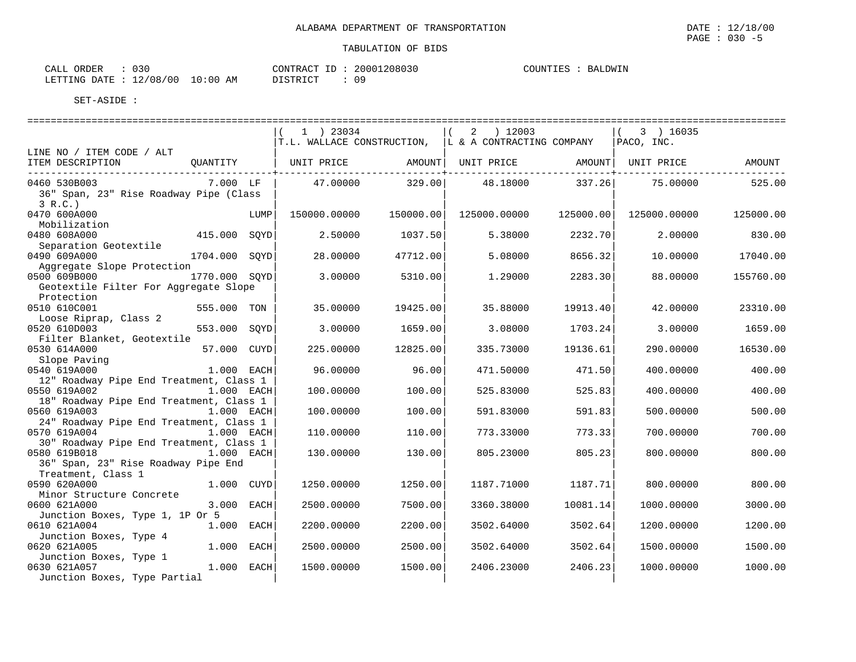| 030<br>CALL ORDER               |          | CONTRACT ID: 20001208030 | COUNTIES :<br>BALDWIN |
|---------------------------------|----------|--------------------------|-----------------------|
| LETTING DATE: 12/08/00 10:00 AM | DISTRICT |                          |                       |

|                                                                         |               |      | 1 ) 23034                                             |           | 2 ) 12003    |           | (3) 16035                    |           |
|-------------------------------------------------------------------------|---------------|------|-------------------------------------------------------|-----------|--------------|-----------|------------------------------|-----------|
|                                                                         |               |      | T.L. WALLACE CONSTRUCTION, IL & A CONTRACTING COMPANY |           |              |           | PACO, INC.                   |           |
| LINE NO / ITEM CODE / ALT                                               |               |      |                                                       |           |              |           |                              |           |
| ITEM DESCRIPTION                                                        |               |      | OUANTITY   UNIT PRICE       AMOUNT  UNIT PRICE        |           |              |           | AMOUNT   UNIT PRICE   AMOUNT |           |
| 0460 530B003                                                            | 7.000 LF      |      | 47.00000                                              | 329.00    | 48.18000     | 337.26    | 75.00000                     | 525.00    |
| 36" Span, 23" Rise Roadway Pipe (Class                                  |               |      |                                                       |           |              |           |                              |           |
| 3 R.C.                                                                  |               |      |                                                       |           |              |           |                              |           |
| 0470 600A000                                                            |               | LUMP | 150000.00000                                          | 150000.00 | 125000.00000 | 125000.00 | 125000.00000                 | 125000.00 |
| Mobilization                                                            |               |      |                                                       |           |              |           |                              |           |
| 0480 608A000                                                            | 415.000 SQYD  |      | 2.50000                                               | 1037.50   | 5.38000      | 2232.70   | 2,00000                      | 830.00    |
| Separation Geotextile                                                   |               |      |                                                       |           |              |           |                              |           |
| 0490 609A000                                                            | 1704.000 SQYD |      | 28,00000                                              | 47712.00  | 5.08000      | 8656.32   | 10.00000                     | 17040.00  |
| Aggregate Slope Protection                                              |               |      |                                                       |           |              |           |                              |           |
| 0500 609B000                                                            | 1770.000 SQYD |      | 3,00000                                               | 5310.00   | 1.29000      | 2283.30   | 88,00000                     | 155760.00 |
| Geotextile Filter For Aggregate Slope                                   |               |      |                                                       |           |              |           |                              |           |
| Protection                                                              |               |      |                                                       |           |              |           |                              |           |
| 0510 610C001                                                            | 555.000 TON   |      | 35,00000                                              | 19425.00  | 35.88000     | 19913.40  | 42.00000                     | 23310.00  |
| Loose Riprap, Class 2                                                   |               |      |                                                       |           |              |           |                              |           |
| 0520 610D003                                                            | 553.000 SOYD  |      | 3.00000                                               | 1659.00   | 3.08000      | 1703.24   | 3.00000                      | 1659.00   |
| Filter Blanket, Geotextile                                              |               |      |                                                       |           |              |           |                              |           |
| 0530 614A000                                                            | 57.000 CUYD   |      | 225.00000                                             | 12825.00  | 335.73000    | 19136.61  | 290.00000                    | 16530.00  |
| Slope Paving<br>0540 619A000                                            | 1.000 EACH    |      | 96.00000                                              |           | 471.50000    |           |                              | 400.00    |
|                                                                         |               |      |                                                       | 96.00     |              | 471.50    | 400.00000                    |           |
| 12" Roadway Pipe End Treatment, Class 1<br>0550 619A002<br>$1.000$ EACH |               |      | 100.00000                                             | 100.00    | 525.83000    | 525.83    | 400.00000                    | 400.00    |
| 18" Roadway Pipe End Treatment, Class 1                                 |               |      |                                                       |           |              |           |                              |           |
| 0560 619A003                                                            | 1.000 EACH    |      | 100.00000                                             | 100.00    | 591.83000    | 591.83    | 500.00000                    | 500.00    |
| 24" Roadway Pipe End Treatment, Class 1                                 |               |      |                                                       |           |              |           |                              |           |
| 0570 619A004                                                            | $1.000$ EACH  |      | 110.00000                                             | 110.00    | 773.33000    | 773.33    | 700.00000                    | 700.00    |
| 30" Roadway Pipe End Treatment, Class 1                                 |               |      |                                                       |           |              |           |                              |           |
| 0580 619B018 1.000 EACH                                                 |               |      | 130.00000                                             | 130.00    | 805.23000    | 805.23    | 800,00000                    | 800.00    |
| 36" Span, 23" Rise Roadway Pipe End                                     |               |      |                                                       |           |              |           |                              |           |
| Treatment, Class 1                                                      |               |      |                                                       |           |              |           |                              |           |
| 0590 620A000                                                            | 1.000 CUYD    |      | 1250.00000                                            | 1250.00   | 1187.71000   | 1187.71   | 800.00000                    | 800.00    |
| Minor Structure Concrete                                                |               |      |                                                       |           |              |           |                              |           |
| 0600 621A000                                                            | 3.000 EACH    |      | 2500.00000                                            | 7500.00   | 3360.38000   | 10081.14  | 1000.00000                   | 3000.00   |
| Junction Boxes, Type 1, 1P Or 5                                         |               |      |                                                       |           |              |           |                              |           |
| 0610 621A004                                                            | $1.000$ EACH  |      | 2200.00000                                            | 2200.00   | 3502.64000   | 3502.64   | 1200.00000                   | 1200.00   |
| Junction Boxes, Type 4                                                  |               |      |                                                       |           |              |           |                              |           |
| 0620 621A005                                                            | 1.000 EACH    |      | 2500.00000                                            | 2500.00   | 3502.64000   | 3502.64   | 1500.00000                   | 1500.00   |
| Junction Boxes, Type 1                                                  |               |      |                                                       |           |              |           |                              |           |
| 0630 621A057                                                            | 1.000 EACH    |      | 1500.00000                                            | 1500.00   | 2406.23000   | 2406.23   | 1000.00000                   | 1000.00   |
| Junction Boxes, Type Partial                                            |               |      |                                                       |           |              |           |                              |           |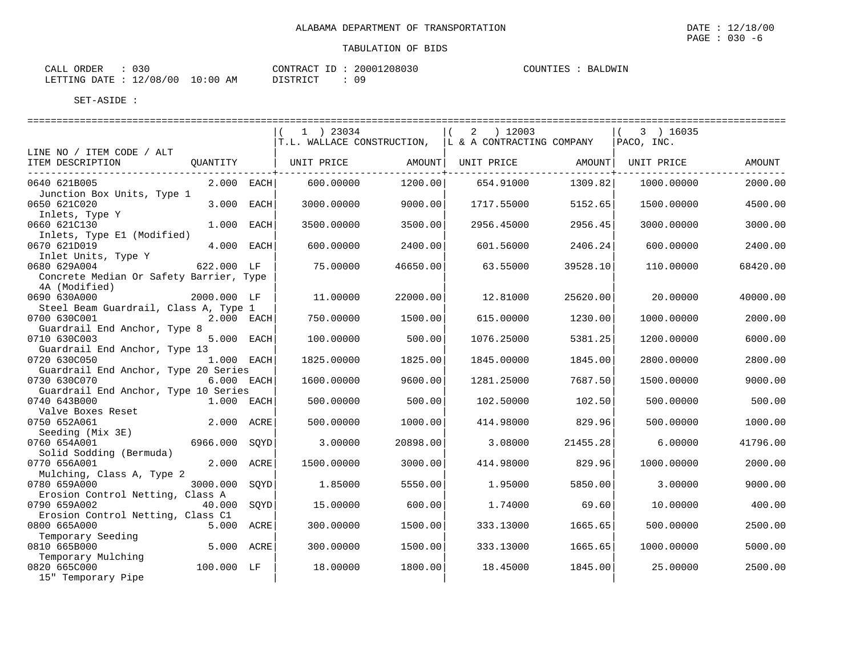| CALL ORDER             | 030 |            |          | CONTRACT ID: 20001208030 | BALDWIN<br>COUNTIES : |
|------------------------|-----|------------|----------|--------------------------|-----------------------|
| LETTING DATE: 12/08/00 |     | $10:00$ AM | DISTRICT | ററ                       |                       |

|                                                                      | $1$ ) 23034 |          | ( 2 ) 12003                                          |          | $(3)$ 16035    |          |
|----------------------------------------------------------------------|-------------|----------|------------------------------------------------------|----------|----------------|----------|
|                                                                      |             |          | T.L. WALLACE CONSTRUCTION, L & A CONTRACTING COMPANY |          | $ $ PACO, INC. |          |
| LINE NO / ITEM CODE / ALT                                            |             |          |                                                      |          |                |          |
| ITEM DESCRIPTION<br>OUANTITY                                         | UNIT PRICE  |          | AMOUNT   UNIT PRICE                                  | AMOUNT   | UNIT PRICE     | AMOUNT   |
| 0640 621B005<br>$2.000$ EACH                                         | 600.00000   | 1200.00  | 654.91000                                            | 1309.82  | 1000.00000     | 2000.00  |
| Junction Box Units, Type 1<br>0650 621C020<br>3.000 EACH             | 3000.00000  | 9000.00  | 1717.55000                                           | 5152.65  | 1500.00000     | 4500.00  |
| Inlets, Type Y<br>0660 621C130<br>1.000 EACH                         | 3500.00000  | 3500.00  | 2956.45000                                           | 2956.45  | 3000.00000     | 3000.00  |
| Inlets, Type E1 (Modified)<br>4.000 EACH<br>0670 621D019             | 600.00000   | 2400.00  | 601.56000                                            | 2406.24  | 600.00000      | 2400.00  |
| Inlet Units, Type Y<br>622.000 LF<br>0680 629A004                    | 75.00000    | 46650.00 | 63.55000                                             | 39528.10 | 110.00000      | 68420.00 |
| Concrete Median Or Safety Barrier, Type<br>4A (Modified)             |             |          |                                                      |          |                |          |
| 0690 630A000<br>2000.000 LF                                          | 11.00000    | 22000.00 | 12.81000                                             | 25620.00 | 20.00000       | 40000.00 |
| Steel Beam Guardrail, Class A, Type 1<br>0700 630C001<br>2.000 EACH  | 750.00000   | 1500.00  | 615.00000                                            | 1230.00  | 1000.00000     | 2000.00  |
| Guardrail End Anchor, Type 8                                         |             |          |                                                      |          |                |          |
| 5.000 EACH<br>0710 630C003<br>Guardrail End Anchor, Type 13          | 100.00000   | 500.00   | 1076.25000                                           | 5381.25  | 1200.00000     | 6000.00  |
| 0720 630C050<br>1.000 EACH                                           | 1825,00000  | 1825.00  | 1845.00000                                           | 1845.00  | 2800.00000     | 2800.00  |
| Guardrail End Anchor, Type 20 Series<br>0730 630C070<br>$6.000$ EACH | 1600.00000  | 9600.00  | 1281.25000                                           | 7687.50  | 1500.00000     | 9000.00  |
| Guardrail End Anchor, Type 10 Series                                 |             |          |                                                      |          |                |          |
| 0740 643B000<br>1.000 EACH                                           | 500.00000   | 500.00   | 102.50000                                            | 102.50   | 500.00000      | 500.00   |
| Valve Boxes Reset<br>2.000 ACRE<br>0750 652A061                      | 500,00000   | 1000.00  | 414.98000                                            | 829.96   | 500,00000      | 1000.00  |
| Seeding (Mix 3E)                                                     |             |          |                                                      |          |                |          |
| 6966.000 SOYD<br>0760 654A001                                        | 3.00000     | 20898.00 | 3.08000                                              | 21455.28 | 6.00000        | 41796.00 |
| Solid Sodding (Bermuda)<br>2.000 ACRE<br>0770 656A001                | 1500.00000  | 3000.00  | 414.98000                                            | 829.96   | 1000.00000     | 2000.00  |
| Mulching, Class A, Type 2                                            |             |          |                                                      |          |                |          |
| 0780 659A000<br>3000.000 SOYD                                        | 1.85000     | 5550.00  | 1.95000                                              | 5850.00  | 3.00000        | 9000.00  |
| Erosion Control Netting, Class A<br>0790 659A002<br>40.000 SOYD      | 15.00000    | 600.00   | 1.74000                                              | 69.60    | 10.00000       | 400.00   |
| Erosion Control Netting, Class C1                                    |             |          |                                                      |          |                |          |
| 0800 665A000<br>5.000 ACRE<br>Temporary Seeding                      | 300.00000   | 1500.00  | 333.13000                                            | 1665.65  | 500.00000      | 2500.00  |
| 5.000 ACRE<br>0810 665B000                                           | 300.00000   | 1500.00  | 333.13000                                            | 1665.65  | 1000.00000     | 5000.00  |
| Temporary Mulching<br>100.000 LF<br>0820 665C000                     | 18.00000    | 1800.00  | 18.45000                                             | 1845.00  | 25.00000       | 2500.00  |
| 15" Temporary Pipe                                                   |             |          |                                                      |          |                |          |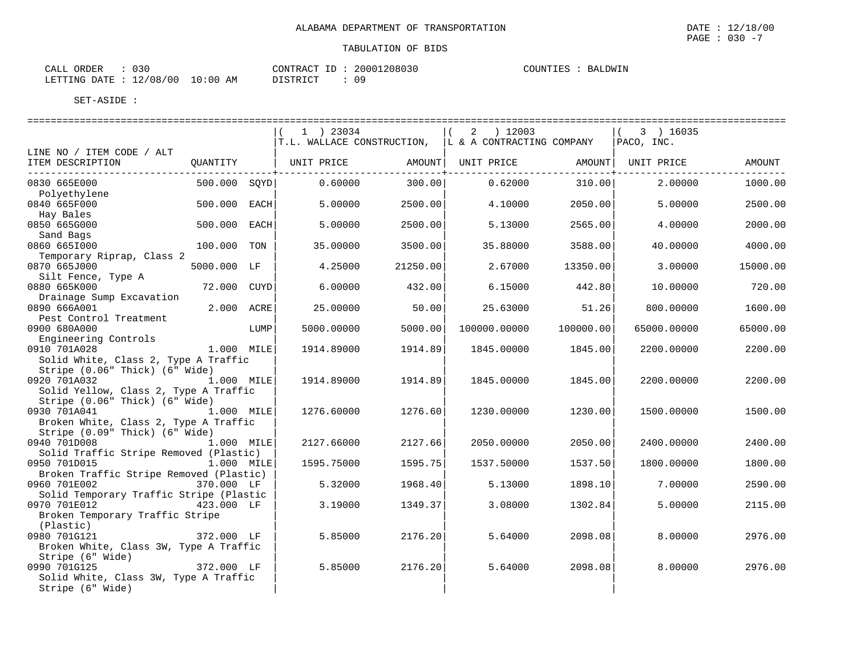| 030          |       | 20001208030 | COUNTIES |
|--------------|-------|-------------|----------|
| ORDER        |       | $-\Gamma$   | BALDWIN  |
| CALL         |       | CONTRACT    |          |
|              |       |             |          |
| 12/08/00     | 10:00 | 09          |          |
| LETTING DATE | ΆM    | DISTRICT    |          |

|                                                                                                       |                |      | 1 ) 23034                                                      |          | 2 ) 12003    |           | $(3)$ 16035 | ============ |
|-------------------------------------------------------------------------------------------------------|----------------|------|----------------------------------------------------------------|----------|--------------|-----------|-------------|--------------|
| LINE NO / ITEM CODE / ALT                                                                             |                |      | $T.L.$ WALLACE CONSTRUCTION, $\bigcup K A$ CONTRACTING COMPANY |          |              |           | PACO, INC.  |              |
| ITEM DESCRIPTION<br>-----------------------------                                                     |                |      |                                                                |          |              |           |             | AMOUNT       |
| 0830 665E000<br>Polyethylene                                                                          |                |      | 500.000 SQYD 0.60000                                           | 300.00   | 0.62000      | 310.00    | 2,00000     | 1000.00      |
| 0840 665F000<br>Hay Bales                                                                             | 500.000 EACH   |      | 5.00000                                                        | 2500.00  | 4.10000      | 2050.00   | 5,00000     | 2500.00      |
| 0850 665G000<br>Sand Bags                                                                             | 500.000 EACH   |      | 5,00000                                                        | 2500.00  | 5.13000      | 2565.00   | 4.00000     | 2000.00      |
| 0860 6651000<br>Temporary Riprap, Class 2                                                             | 100.000 TON    |      | 35.00000                                                       | 3500.00  | 35.88000     | 3588.00   | 40.00000    | 4000.00      |
| 0870 665J000<br>Silt Fence, Type A                                                                    | 5000.000 LF    |      | 4.25000                                                        | 21250.00 | 2.67000      | 13350.00  | 3.00000     | 15000.00     |
| 0880 665K000<br>Drainage Sump Excavation                                                              | 72.000 CUYD    |      | 6.00000                                                        | 432.00   | 6.15000      | 442.80    | 10.00000    | 720.00       |
| 0890 666A001<br>Pest Control Treatment                                                                | 2.000 ACRE     |      | 25.00000                                                       | 50.00    | 25.63000     | 51.26     | 800.00000   | 1600.00      |
| 0900 680A000<br>Engineering Controls                                                                  |                | LUMP | 5000.00000                                                     | 5000.00  | 100000.00000 | 100000.00 | 65000.00000 | 65000.00     |
| 0910 701A028<br>Solid White, Class 2, Type A Traffic<br>Stripe (0.06" Thick) (6" Wide)                | 1.000 MILE     |      | 1914.89000                                                     | 1914.89  | 1845.00000   | 1845.00   | 2200.00000  | 2200.00      |
| 0920 701A032<br>Solid Yellow, Class 2, Type A Traffic<br>Stripe (0.06" Thick) (6" Wide)               | 1.000 MILE     |      | 1914.89000                                                     | 1914.89  | 1845.00000   | 1845.00   | 2200.00000  | 2200.00      |
| 0930 701A041<br>1.000 MILE<br>Broken White, Class 2, Type A Traffic<br>Stripe (0.09" Thick) (6" Wide) |                |      | 1276.60000                                                     | 1276.60  | 1230.00000   | 1230.00   | 1500.00000  | 1500.00      |
| 0940 701D008<br>Solid Traffic Stripe Removed (Plastic)                                                | 1.000 MILE     |      | 2127.66000                                                     | 2127.66  | 2050.00000   | 2050.00   | 2400.00000  | 2400.00      |
| 0950 701D015 1.000 MILE<br>Broken Traffic Stripe Removed (Plastic)                                    |                |      | 1595.75000                                                     | 1595.75  | 1537.50000   | 1537.50   | 1800.00000  | 1800.00      |
| 0960 701E002<br>Solid Temporary Traffic Stripe (Plastic                                               | 370.000 LF     |      | 5.32000                                                        | 1968.40  | 5.13000      | 1898.10   | 7.00000     | 2590.00      |
| 0970 701E012<br>Broken Temporary Traffic Stripe<br>(Plastic)                                          | 423.000 LF     |      | 3.19000                                                        | 1349.37  | 3.08000      | 1302.84   | 5,00000     | 2115.00      |
| 0980 701G121<br>Broken White, Class 3W, Type A Traffic<br>Stripe (6" Wide)                            | 372.000 LF     |      | 5.85000                                                        | 2176.20  | 5.64000      | 2098.08   | 8,00000     | 2976.00      |
| 0990 701G125<br>Solid White, Class 3W, Type A Traffic<br>Stripe (6" Wide)                             | - / 372.000 LF |      | 5.85000                                                        | 2176.20  | 5.64000      | 2098.08   | 8.00000     | 2976.00      |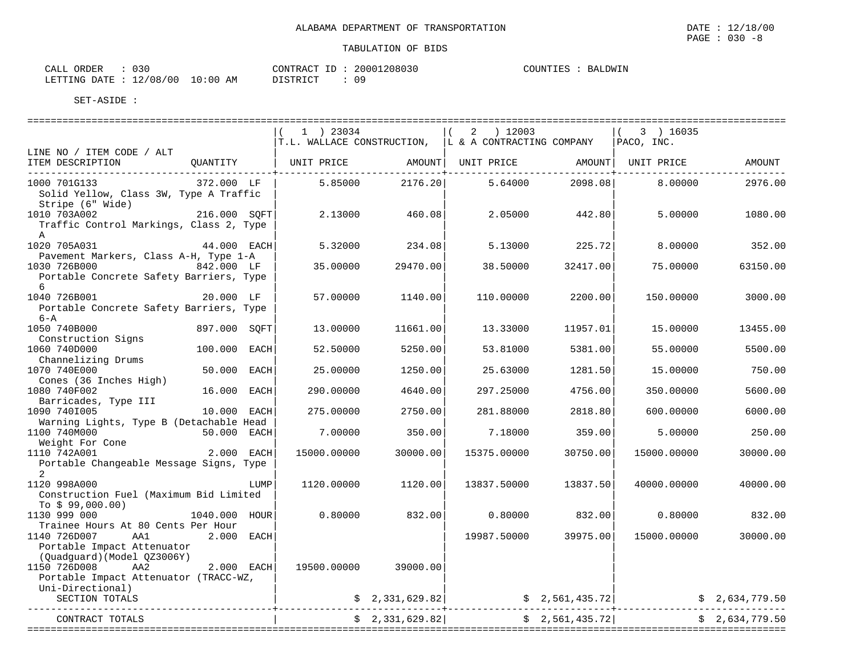| 030<br>ORDER<br>CALL     |             | CONTRACT<br>ID  | 20001208030 | COUNTIES<br>BALDWIN |
|--------------------------|-------------|-----------------|-------------|---------------------|
| 12/08/00<br>LETTING DATE | 10:00<br>AM | <b>DISTRICT</b> |             |                     |

| 1 ) 23034                              |                                                                                                                                                                                                                                                                                                                                                                                                                                                                             |                                                                                                                                   |                                                                                                                                                                                                                                               |                                                                                                                          |                                                                                                                                                                                                                                                                                                                                                                                                                           |
|----------------------------------------|-----------------------------------------------------------------------------------------------------------------------------------------------------------------------------------------------------------------------------------------------------------------------------------------------------------------------------------------------------------------------------------------------------------------------------------------------------------------------------|-----------------------------------------------------------------------------------------------------------------------------------|-----------------------------------------------------------------------------------------------------------------------------------------------------------------------------------------------------------------------------------------------|--------------------------------------------------------------------------------------------------------------------------|---------------------------------------------------------------------------------------------------------------------------------------------------------------------------------------------------------------------------------------------------------------------------------------------------------------------------------------------------------------------------------------------------------------------------|
|                                        |                                                                                                                                                                                                                                                                                                                                                                                                                                                                             |                                                                                                                                   |                                                                                                                                                                                                                                               |                                                                                                                          | AMOUNT                                                                                                                                                                                                                                                                                                                                                                                                                    |
|                                        |                                                                                                                                                                                                                                                                                                                                                                                                                                                                             |                                                                                                                                   |                                                                                                                                                                                                                                               |                                                                                                                          |                                                                                                                                                                                                                                                                                                                                                                                                                           |
|                                        |                                                                                                                                                                                                                                                                                                                                                                                                                                                                             | 5.64000                                                                                                                           |                                                                                                                                                                                                                                               | 8,00000                                                                                                                  | 2976.00                                                                                                                                                                                                                                                                                                                                                                                                                   |
|                                        |                                                                                                                                                                                                                                                                                                                                                                                                                                                                             | 2.05000                                                                                                                           |                                                                                                                                                                                                                                               | 5.00000                                                                                                                  | 1080.00                                                                                                                                                                                                                                                                                                                                                                                                                   |
|                                        |                                                                                                                                                                                                                                                                                                                                                                                                                                                                             |                                                                                                                                   |                                                                                                                                                                                                                                               | 8,00000                                                                                                                  | 352.00                                                                                                                                                                                                                                                                                                                                                                                                                    |
|                                        |                                                                                                                                                                                                                                                                                                                                                                                                                                                                             | 38.50000                                                                                                                          |                                                                                                                                                                                                                                               | 75.00000                                                                                                                 | 63150.00                                                                                                                                                                                                                                                                                                                                                                                                                  |
|                                        |                                                                                                                                                                                                                                                                                                                                                                                                                                                                             | 110,00000                                                                                                                         |                                                                                                                                                                                                                                               | 150.00000                                                                                                                | 3000.00                                                                                                                                                                                                                                                                                                                                                                                                                   |
| 13.00000                               |                                                                                                                                                                                                                                                                                                                                                                                                                                                                             | 13.33000                                                                                                                          |                                                                                                                                                                                                                                               | 15.00000                                                                                                                 | 13455.00                                                                                                                                                                                                                                                                                                                                                                                                                  |
|                                        |                                                                                                                                                                                                                                                                                                                                                                                                                                                                             | 53.81000                                                                                                                          |                                                                                                                                                                                                                                               | 55.00000                                                                                                                 | 5500.00                                                                                                                                                                                                                                                                                                                                                                                                                   |
| 25.00000                               |                                                                                                                                                                                                                                                                                                                                                                                                                                                                             | 25.63000                                                                                                                          |                                                                                                                                                                                                                                               | 15.00000                                                                                                                 | 750.00                                                                                                                                                                                                                                                                                                                                                                                                                    |
| 290.00000                              |                                                                                                                                                                                                                                                                                                                                                                                                                                                                             | 297.25000                                                                                                                         |                                                                                                                                                                                                                                               | 350.00000                                                                                                                | 5600.00                                                                                                                                                                                                                                                                                                                                                                                                                   |
|                                        |                                                                                                                                                                                                                                                                                                                                                                                                                                                                             | 281.88000                                                                                                                         |                                                                                                                                                                                                                                               | 600.00000                                                                                                                | 6000.00                                                                                                                                                                                                                                                                                                                                                                                                                   |
|                                        |                                                                                                                                                                                                                                                                                                                                                                                                                                                                             |                                                                                                                                   |                                                                                                                                                                                                                                               |                                                                                                                          |                                                                                                                                                                                                                                                                                                                                                                                                                           |
|                                        |                                                                                                                                                                                                                                                                                                                                                                                                                                                                             |                                                                                                                                   |                                                                                                                                                                                                                                               |                                                                                                                          | 250.00                                                                                                                                                                                                                                                                                                                                                                                                                    |
|                                        |                                                                                                                                                                                                                                                                                                                                                                                                                                                                             | 15375.00000                                                                                                                       |                                                                                                                                                                                                                                               | 15000.00000                                                                                                              | 30000.00                                                                                                                                                                                                                                                                                                                                                                                                                  |
|                                        |                                                                                                                                                                                                                                                                                                                                                                                                                                                                             |                                                                                                                                   |                                                                                                                                                                                                                                               | 40000.00000                                                                                                              | 40000.00                                                                                                                                                                                                                                                                                                                                                                                                                  |
|                                        |                                                                                                                                                                                                                                                                                                                                                                                                                                                                             |                                                                                                                                   |                                                                                                                                                                                                                                               | 0.80000                                                                                                                  | 832.00                                                                                                                                                                                                                                                                                                                                                                                                                    |
|                                        |                                                                                                                                                                                                                                                                                                                                                                                                                                                                             |                                                                                                                                   |                                                                                                                                                                                                                                               | 15000.00000                                                                                                              | 30000.00                                                                                                                                                                                                                                                                                                                                                                                                                  |
|                                        |                                                                                                                                                                                                                                                                                                                                                                                                                                                                             |                                                                                                                                   |                                                                                                                                                                                                                                               |                                                                                                                          |                                                                                                                                                                                                                                                                                                                                                                                                                           |
|                                        |                                                                                                                                                                                                                                                                                                                                                                                                                                                                             |                                                                                                                                   |                                                                                                                                                                                                                                               |                                                                                                                          |                                                                                                                                                                                                                                                                                                                                                                                                                           |
|                                        |                                                                                                                                                                                                                                                                                                                                                                                                                                                                             |                                                                                                                                   |                                                                                                                                                                                                                                               |                                                                                                                          | \$2,634,779.50                                                                                                                                                                                                                                                                                                                                                                                                            |
| Solid Yellow, Class 3W, Type A Traffic | 372.000 LF  <br>216.000 SOFT<br>Traffic Control Markings, Class 2, Type<br>$44.000$ EACH<br>Portable Concrete Safety Barriers, Type<br>Portable Concrete Safety Barriers, Type<br>897.000 SOFT<br>100.000 EACH<br>50.000 EACH<br>16.000 EACH<br>10.000 EACH<br>Warning Lights, Type B (Detachable Head<br>50.000 EACH<br>Weight For Cone<br>Weight For Cone<br>2.000 EACH<br>Portable Changeable Message Signs, Type<br>LUMP<br>1040.000 hour<br>2.000 EACH<br>$2.000$ EACH | 5.85000<br>2.13000<br>5.32000<br>35.00000<br>57.00000<br>52.50000<br>275.00000<br>7.00000<br>15000.00000<br>1120.00000<br>0.80000 | 2176.20<br>460.08<br>234.08<br>29470.00<br>1140.00<br>11661.00<br>5250.00<br>1250.00<br>4640.00<br>2750.00<br>350.00<br>7.18000<br>30000.00<br>1120.00<br>832.00<br>19500.00000 39000.00<br>$\frac{2}{3}$ , 2, 331, 629.82<br>\$2,331,629.82] | $2$ ) 12003<br>T.L. WALLACE CONSTRUCTION, IL & A CONTRACTING COMPANY<br>5.13000<br>13837.50000<br>0.80000<br>19987.50000 | $(3)$ 16035<br>$ $ PACO, INC.<br>ITEM DESCRIPTION 6 OUANTITY   UNIT PRICE AMOUNT UNIT PRICE AMOUNT UNIT PRICE<br>2098.08<br>442.80<br>225.72<br>32417.00<br>2200.00<br>11957.01<br>5381.00<br>1281.50<br>4756.00<br>2818.80<br>359.00<br>5.00000<br>30750.00<br>13837.50<br>832.00<br>39975.00<br>  2,561,435.72 \$<br>--------------------------------<br>2,634,779.50<br>---------------------------<br>\$2,561,435.72] |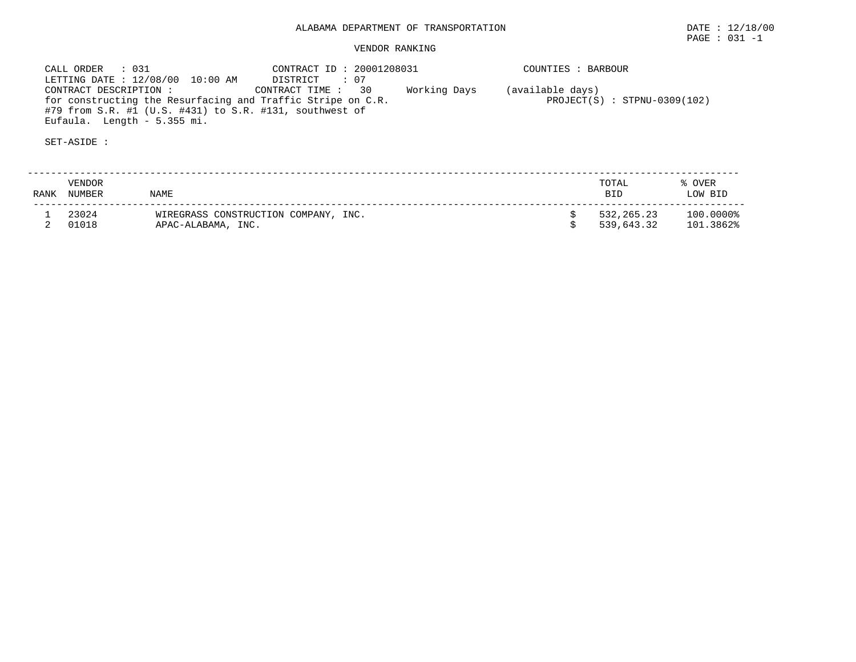## VENDOR RANKING

 CALL ORDER : 031 CONTRACT ID : 20001208031 COUNTIES : BARBOUR LETTING DATE : 12/08/00 10:00 AM DISTRICT : 07 CONTRACT DESCRIPTION : CONTRACT TIME : 30 Working Days (available days) for constructing the Resurfacing and Traffic Stripe on C.R. PROJECT(S) : STPNU-0309(102) #79 from S.R. #1 (U.S. #431) to S.R. #131, southwest of Eufaula. Length - 5.355 mi.

SET-ASIDE :

 -------------------------------------------------------------------------------------------------------------------------- VENDOR TOTAL % OVER RANK NUMBER NAME BID LOW BIDLOW BID -------------------------------------------------------------------------------------------------------------------------- $$532,265.23$   $100.0000$ <sup>2</sup><br> $$539,643.32$   $101.3862$ <sup>2</sup> 1 23024 WIREGRASS CONSTRUCTION COMPANY, INC. \$ 532,265.23 100.0000% 2 01018 APAC-ALABAMA, INC. \$ 539,643.32 101.3862%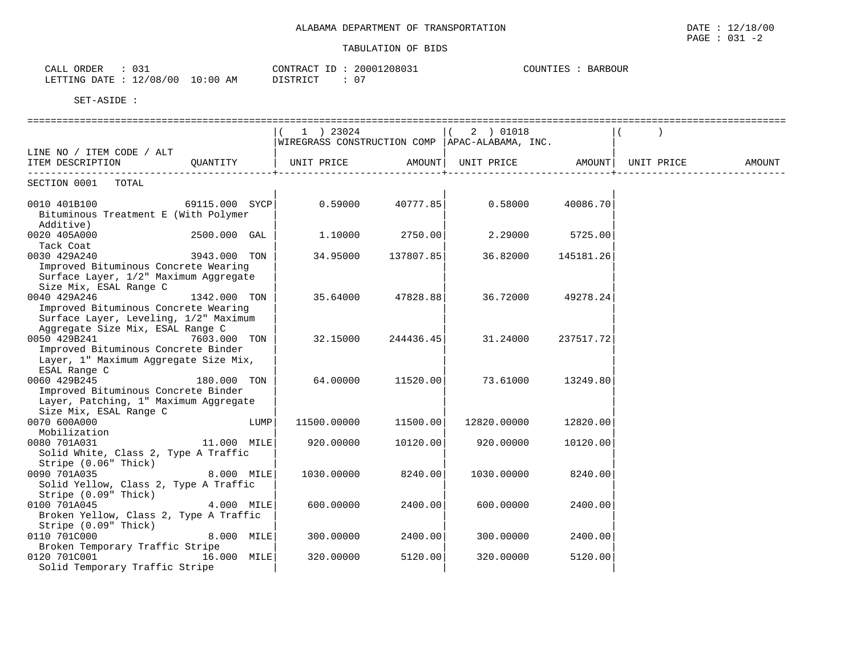| ORDER<br>CALI   | $\sim$ $\sim$<br>ັບປ⊥       |                | CONTRACT<br>$-$                    | 20001208031 | <b>BARBOUF</b><br>COUNTIES |  |
|-----------------|-----------------------------|----------------|------------------------------------|-------------|----------------------------|--|
| LETTING<br>ኮ∆ጥጉ | 108.<br>′00<br>$\sim$<br>ᅩᄼ | :00<br>AM<br>. | DICTOICT<br>$\sim$ $\sim$ $\sim$ . | $\sim$ $-$  |                            |  |

|                                        |                | 1 ) 23024   |                 | 2 ) 01018                                                            |           |        |
|----------------------------------------|----------------|-------------|-----------------|----------------------------------------------------------------------|-----------|--------|
|                                        |                |             |                 | WIREGRASS CONSTRUCTION COMP   APAC-ALABAMA, INC.                     |           |        |
| LINE NO / ITEM CODE / ALT              |                |             |                 |                                                                      |           |        |
| ITEM DESCRIPTION QUANTITY              |                |             |                 | UNIT PRICE           AMOUNT  UNIT PRICE           AMOUNT  UNIT PRICE |           | AMOUNT |
|                                        |                |             |                 |                                                                      |           |        |
| SECTION 0001 TOTAL                     |                |             |                 |                                                                      |           |        |
|                                        |                |             |                 |                                                                      |           |        |
| 0010 401B100                           | 69115.000 SYCP | 0.59000     | 40777.85        | 0.58000                                                              | 40086.70  |        |
| Bituminous Treatment E (With Polymer   |                |             |                 |                                                                      |           |        |
| Additive)                              |                |             |                 |                                                                      |           |        |
| 0020 405A000                           | 2500.000 GAL   |             | 1.10000 2750.00 | 2.29000                                                              | 5725.00   |        |
| Tack Coat                              |                |             |                 |                                                                      |           |        |
| 0030 429A240                           | 3943.000 TON   | 34.95000    | 137807.85       | 36.82000                                                             | 145181.26 |        |
| Improved Bituminous Concrete Wearing   |                |             |                 |                                                                      |           |        |
| Surface Layer, 1/2" Maximum Aggregate  |                |             |                 |                                                                      |           |        |
| Size Mix, ESAL Range C                 |                |             |                 |                                                                      |           |        |
| 0040 429A246                           | 1342.000 TON   | 35.64000    | 47828.88        | 36.72000                                                             | 49278.24  |        |
| Improved Bituminous Concrete Wearing   |                |             |                 |                                                                      |           |        |
| Surface Layer, Leveling, 1/2" Maximum  |                |             |                 |                                                                      |           |        |
| Aggregate Size Mix, ESAL Range C       |                |             |                 |                                                                      |           |        |
| 0050 429B241                           | 7603.000 TON   | 32.15000    | 244436.45       | 31.24000                                                             | 237517.72 |        |
| Improved Bituminous Concrete Binder    |                |             |                 |                                                                      |           |        |
| Layer, 1" Maximum Aggregate Size Mix,  |                |             |                 |                                                                      |           |        |
| ESAL Range C                           |                |             |                 |                                                                      |           |        |
| 0060 429B245                           | 180.000 TON    | 64.00000    | 11520.00        | 73.61000                                                             | 13249.80  |        |
| Improved Bituminous Concrete Binder    |                |             |                 |                                                                      |           |        |
| Layer, Patching, 1" Maximum Aggregate  |                |             |                 |                                                                      |           |        |
| Size Mix, ESAL Range C                 |                |             |                 |                                                                      |           |        |
| 0070 600A000                           | LUMP           | 11500.00000 | 11500.00        | 12820.00000                                                          | 12820.00  |        |
| Mobilization                           |                |             |                 |                                                                      |           |        |
| 0080 701A031                           | 11.000 MILE    | 920.00000   | 10120.00        | 920.00000                                                            | 10120.00  |        |
| Solid White, Class 2, Type A Traffic   |                |             |                 |                                                                      |           |        |
| Stripe (0.06" Thick)                   |                |             |                 |                                                                      |           |        |
| 0090 701A035                           | 8.000 MILE     | 1030.00000  | 8240.00         | 1030.00000                                                           | 8240.00   |        |
| Solid Yellow, Class 2, Type A Traffic  |                |             |                 |                                                                      |           |        |
| Stripe (0.09" Thick)                   |                |             |                 |                                                                      |           |        |
| 0100 701A045                           | 4.000 MILE     | 600.00000   | 2400.00         | 600.00000                                                            | 2400.00   |        |
| Broken Yellow, Class 2, Type A Traffic |                |             |                 |                                                                      |           |        |
| Stripe (0.09" Thick)                   |                |             |                 |                                                                      |           |        |
| 0110 701C000                           | 8.000 MILE     | 300.00000   | 2400.00         | 300.00000                                                            | 2400.00   |        |
| Broken Temporary Traffic Stripe        |                |             |                 |                                                                      |           |        |
| 0120 701C001                           | 16.000 MILE    | 320.00000   | 5120.00         | 320.00000                                                            | 5120.00   |        |
| Solid Temporary Traffic Stripe         |                |             |                 |                                                                      |           |        |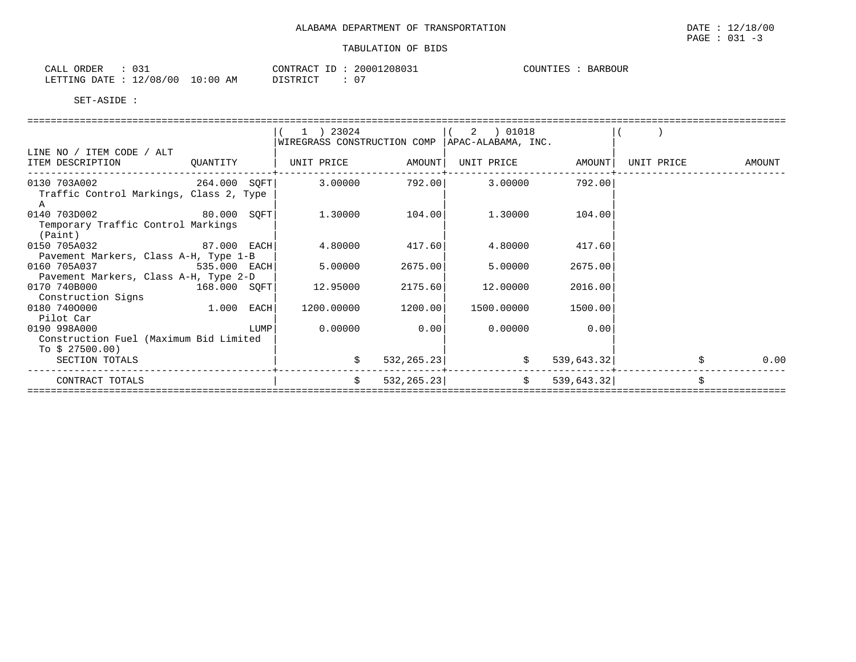| CALL ORDER                       | CONTRACT ID :   | 20001208031 | COUNTIES :<br><b>BARBOUR</b> |
|----------------------------------|-----------------|-------------|------------------------------|
| LETTING DATE : 12/08/00 10:00 AM | <b>DISTRICT</b> | 07          |                              |

|                                              |              | ) 23024                     |                    | 2 ) 01018                    |                |            |        |
|----------------------------------------------|--------------|-----------------------------|--------------------|------------------------------|----------------|------------|--------|
|                                              |              | WIREGRASS CONSTRUCTION COMP |                    | APAC-ALABAMA, INC.           |                |            |        |
| LINE NO / ITEM CODE / ALT                    |              |                             |                    |                              |                |            |        |
| ITEM DESCRIPTION                             | QUANTITY     |                             |                    | UNIT PRICE AMOUNT            |                | UNIT PRICE | AMOUNT |
| 0130 703A002 264.000 SQFT                    |              |                             |                    | $3.00000$ $792.00$ $3.00000$ | 792.00         |            |        |
| Traffic Control Markings, Class 2, Type<br>A |              |                             |                    |                              |                |            |        |
| 0140 703D002 80.000 SOFT                     |              |                             | 1.30000 104.00     |                              | 1.30000 104.00 |            |        |
| Temporary Traffic Control Markings           |              |                             |                    |                              |                |            |        |
| (Paint)                                      |              |                             |                    |                              |                |            |        |
| 0150 705A032 87.000 EACH                     |              | 4.80000                     | 417.60             | 4.80000                      | 417.60         |            |        |
| Pavement Markers, Class A-H, Type 1-B        |              |                             |                    |                              |                |            |        |
| 0160 705A037 535.000 EACH                    |              | 5.00000                     | 2675.00            | 5.00000                      | 2675.00        |            |        |
| Pavement Markers, Class A-H, Type 2-D        |              |                             |                    |                              |                |            |        |
| 0170 740B000 168.000 SQFT                    |              | 12.95000                    | 2175.60            | 12.00000                     | 2016.00        |            |        |
| Construction Signs                           |              |                             |                    |                              |                |            |        |
| 0180 7400000                                 | $1.000$ EACH |                             | 1200.00000 1200.00 | 1500.00000                   | 1500.00        |            |        |
| Pilot Car                                    |              |                             |                    |                              |                |            |        |
| 0190 998A000                                 | LUMP         | 0.00000                     | 0.00               | 0.00000                      | 0.00           |            |        |
| Construction Fuel (Maximum Bid Limited       |              |                             |                    |                              |                |            |        |
| To $$27500.00)$                              |              |                             |                    |                              |                |            |        |
| SECTION TOTALS                               |              |                             | 532, 265.23        | \$                           | 539,643.32     |            | 0.00   |
| CONTRACT TOTALS                              |              | \$                          | 532, 265.23        | $\ddot{s}$                   | 539,643.32     |            |        |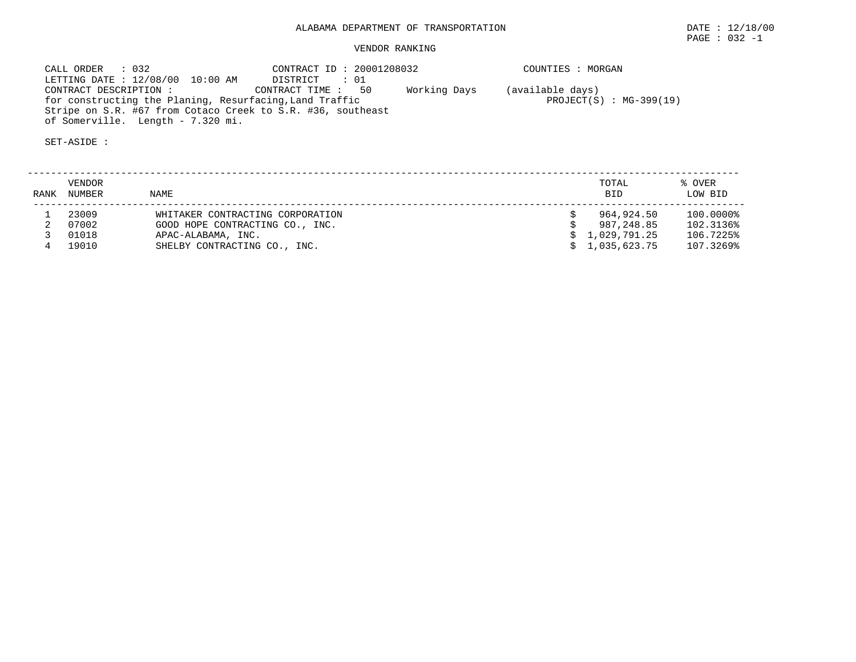# VENDOR RANKING

 CALL ORDER : 032 CONTRACT ID : 20001208032 COUNTIES : MORGAN LETTING DATE : 12/08/00 10:00 AM DISTRICT : 01 CONTRACT DESCRIPTION : CONTRACT TIME : 50 Working Days (available days) for constructing the Planing, Resurfacing, Land Traffic **PROJECT(S)** PROJECT(S) : MG-399(19) Stripe on S.R. #67 from Cotaco Creek to S.R. #36, southeast of Somerville. Length - 7.320 mi.

SET-ASIDE :

 -------------------------------------------------------------------------------------------------------------------------- VENDOR TOTAL % OVER RANK NUMBER NAME BID LOW BID -------------------------------------------------------------------------------------------------------------------------- 1 23009 WHITAKER CONTRACTING CORPORATION \$ 964,924.50 100.0000% 2 07002 GOOD HOPE CONTRACTING CO., INC. \$ 987,248.85 102.3136% 3 01018 APAC-ALABAMA, INC. \$ 1,029,791.25 106.7225% 4 19010 SHELBY CONTRACTING CO., INC. \$ 1,035,623.75 107.3269%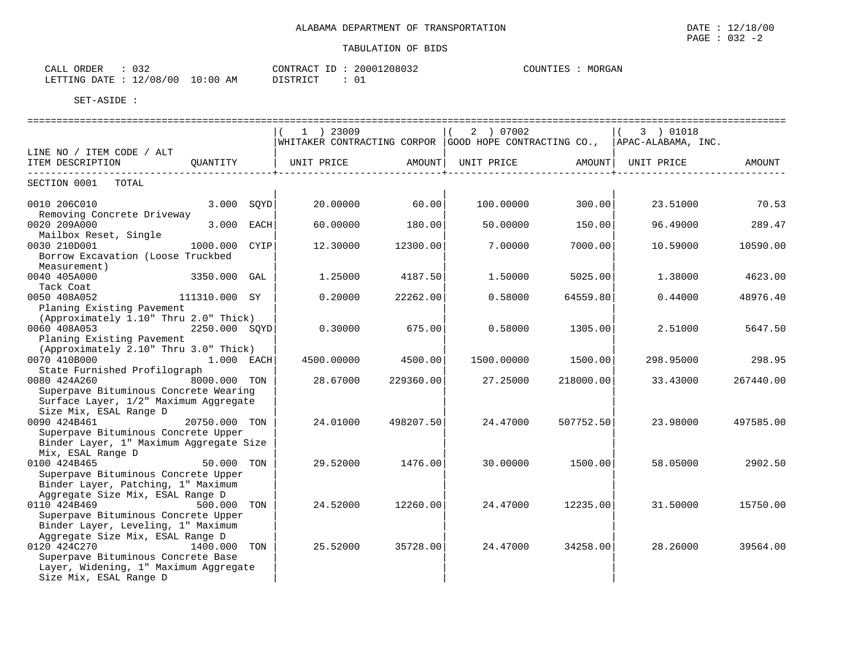| $\sim$ $\sim$ $\sim$<br>ORDER<br>CALL<br>ັບມ |                         | CONTRACT<br>ID | 20001208032 | MORGAN<br>COUNTIES |
|----------------------------------------------|-------------------------|----------------|-------------|--------------------|
| LETTING DATE                                 | 10:00<br>12/08/00<br>AM | DISTRICT       |             |                    |

|                                                                                                                               |                 | $1$ ) 23009      | WHITAKER CONTRACTING CORPOR GOOD HOPE CONTRACTING CO., APAC-ALABAMA, INC. | 2 ) 07002           |           | 3 ) 01018           |           |
|-------------------------------------------------------------------------------------------------------------------------------|-----------------|------------------|---------------------------------------------------------------------------|---------------------|-----------|---------------------|-----------|
| LINE NO / ITEM CODE / ALT<br>ITEM DESCRIPTION                                                                                 | OUANTITY        | UNIT PRICE       |                                                                           | AMOUNT   UNIT PRICE |           | AMOUNT   UNIT PRICE | AMOUNT    |
| -----------------<br>SECTION 0001<br>TOTAL                                                                                    |                 |                  | ------------+-------                                                      |                     |           |                     |           |
| 0010 206C010                                                                                                                  | 3.000           | SOYD<br>20,00000 | 60.00                                                                     | 100,00000           | 300.00    | 23.51000            | 70.53     |
| Removing Concrete Driveway<br>0020 209A000<br>Mailbox Reset, Single                                                           | 3.000 EACH      | 60.00000         | 180.00                                                                    | 50.00000            | 150.00    | 96.49000            | 289.47    |
| 0030 210D001<br>Borrow Excavation (Loose Truckbed<br>Measurement)                                                             | 1000.000        | 12.30000<br>CYIP | 12300.00                                                                  | 7.00000             | 7000.00   | 10.59000            | 10590.00  |
| 0040 405A000<br>Tack Coat                                                                                                     | 3350.000 GAL    | 1.25000          | 4187.50                                                                   | 1,50000             | 5025.00   | 1.38000             | 4623.00   |
| 111310.000 SY<br>0050 408A052<br>Planing Existing Pavement                                                                    |                 | 0.20000          | 22262.00                                                                  | 0.58000             | 64559.80  | 0.44000             | 48976.40  |
| (Approximately 1.10" Thru 2.0" Thick)<br>0060 408A053<br>Planing Existing Pavement                                            | 2250.000 SOYD   | 0.30000          | 675.00                                                                    | 0.58000             | 1305.00   | 2.51000             | 5647.50   |
| (Approximately 2.10" Thru 3.0" Thick)<br>0070 410B000<br>State Furnished Profilograph                                         | 1.000 EACH      | 4500.00000       | 4500.00                                                                   | 1500.00000          | 1500.00   | 298.95000           | 298.95    |
| 0080 424A260<br>Superpave Bituminous Concrete Wearing<br>Surface Layer, 1/2" Maximum Aggregate<br>Size Mix, ESAL Range D      | 8000.000 TON    | 28.67000         | 229360.00                                                                 | 27.25000            | 218000.00 | 33.43000            | 267440.00 |
| 0090 424B461<br>Superpave Bituminous Concrete Upper<br>Binder Layer, 1" Maximum Aggregate Size<br>Mix, ESAL Range D           | 20750.000 TON   | 24.01000         | 498207.50                                                                 | 24.47000            | 507752.50 | 23.98000            | 497585.00 |
| 0100 424B465<br>Superpave Bituminous Concrete Upper<br>Binder Layer, Patching, 1" Maximum<br>Aggregate Size Mix, ESAL Range D | 50.000 TON      | 29.52000         | 1476.00                                                                   | 30.00000            | 1500.00   | 58.05000            | 2902.50   |
| 0110 424B469<br>Superpave Bituminous Concrete Upper<br>Binder Layer, Leveling, 1" Maximum<br>Aggregate Size Mix, ESAL Range D | 500.000 TON     | 24.52000         | 12260.00                                                                  | 24.47000            | 12235.00  | 31.50000            | 15750.00  |
| 0120 424C270<br>Superpave Bituminous Concrete Base<br>Layer, Widening, 1" Maximum Aggregate<br>Size Mix, ESAL Range D         | 1400.000<br>TON | 25.52000         | 35728.00                                                                  | 24.47000            | 34258.00  | 28.26000            | 39564.00  |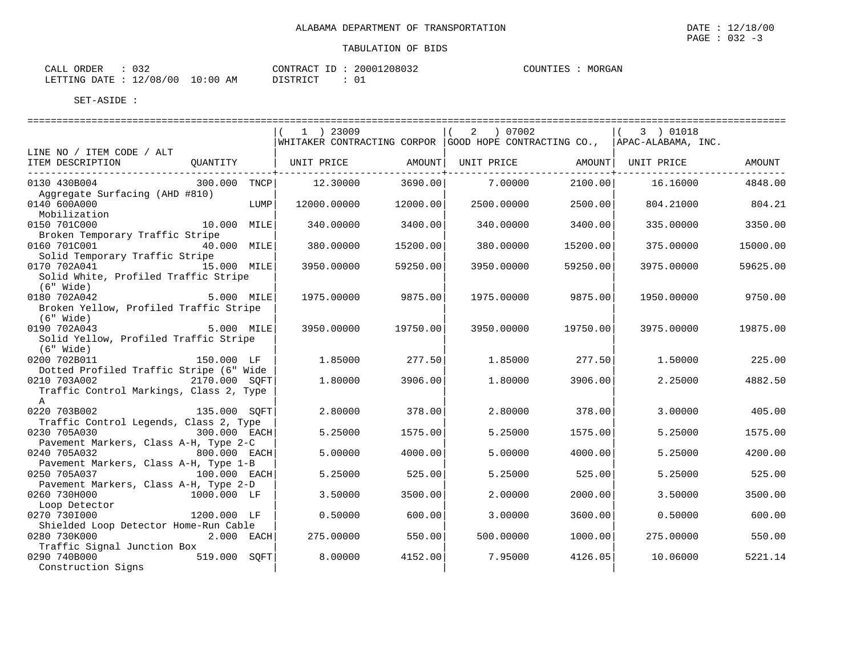| CALL ORDER                      | 032 | CONTRACT ID: 20001208032 |  | COUNTIES : | MORGAN |
|---------------------------------|-----|--------------------------|--|------------|--------|
| LETTING DATE: 12/08/00 10:00 AM |     | DISTRICT                 |  |            |        |

|                                         |               |      | 1 ) 23009   |          | 2 ) 07002           |          | 3 ) 01018                                                                 |          |
|-----------------------------------------|---------------|------|-------------|----------|---------------------|----------|---------------------------------------------------------------------------|----------|
|                                         |               |      |             |          |                     |          | WHITAKER CONTRACTING CORPOR GOOD HOPE CONTRACTING CO., APAC-ALABAMA, INC. |          |
| LINE NO / ITEM CODE / ALT               |               |      |             |          |                     |          |                                                                           |          |
| ITEM DESCRIPTION                        | QUANTITY      |      | UNIT PRICE  |          | AMOUNT   UNIT PRICE |          | AMOUNT   UNIT PRICE                                                       | AMOUNT   |
| _______________________________         |               |      |             |          |                     |          |                                                                           |          |
| 0130 430B004                            | 300.000 TNCP  |      | 12.30000    | 3690.00  | 7.00000             | 2100.00  | 16.16000                                                                  | 4848.00  |
| Aggregate Surfacing (AHD #810)          |               |      |             |          |                     |          |                                                                           |          |
| 0140 600A000                            |               | LUMP | 12000.00000 | 12000.00 | 2500.00000          | 2500.00  | 804.21000                                                                 | 804.21   |
| Mobilization                            |               |      |             |          |                     |          |                                                                           |          |
| 0150 701C000                            | 10.000 MILE   |      | 340.00000   | 3400.00  | 340.00000           | 3400.00  | 335.00000                                                                 | 3350.00  |
| Broken Temporary Traffic Stripe         |               |      |             |          |                     |          |                                                                           |          |
| 0160 701C001                            | 40.000 MILE   |      | 380.00000   | 15200.00 | 380.00000           | 15200.00 | 375.00000                                                                 | 15000.00 |
| Solid Temporary Traffic Stripe          |               |      |             |          |                     |          |                                                                           |          |
| 0170 702A041                            | 15.000 MILE   |      | 3950.00000  | 59250.00 | 3950.00000          | 59250.00 | 3975,00000                                                                | 59625.00 |
| Solid White, Profiled Traffic Stripe    |               |      |             |          |                     |          |                                                                           |          |
| $(6"$ Wide)                             |               |      |             |          |                     |          |                                                                           |          |
| 0180 702A042                            | 5.000 MILE    |      | 1975.00000  | 9875.00  | 1975.00000          | 9875.00  | 1950.00000                                                                | 9750.00  |
| Broken Yellow, Profiled Traffic Stripe  |               |      |             |          |                     |          |                                                                           |          |
| $(6"$ Wide)                             |               |      |             |          |                     |          |                                                                           |          |
| 0190 702A043                            | $5.000$ MILE  |      | 3950.00000  | 19750.00 | 3950.00000          | 19750.00 | 3975,00000                                                                | 19875.00 |
| Solid Yellow, Profiled Traffic Stripe   |               |      |             |          |                     |          |                                                                           |          |
| $(6"$ Wide)                             |               |      |             |          |                     |          |                                                                           |          |
| 0200 702B011                            | 150.000 LF    |      | 1.85000     | 277.50   | 1.85000             | 277.50   | 1,50000                                                                   | 225.00   |
| Dotted Profiled Traffic Stripe (6" Wide |               |      |             |          |                     |          |                                                                           |          |
| 0210 703A002                            | 2170.000 SOFT |      | 1,80000     | 3906.00  | 1,80000             | 3906.00  | 2.25000                                                                   | 4882.50  |
| Traffic Control Markings, Class 2, Type |               |      |             |          |                     |          |                                                                           |          |
| $\mathbb A$                             |               |      |             |          |                     |          |                                                                           |          |
| 0220 703B002                            | 135.000 SOFT  |      | 2.80000     | 378.00   | 2.80000             | 378.00   | 3.00000                                                                   | 405.00   |
| Traffic Control Legends, Class 2, Type  |               |      |             |          |                     |          |                                                                           |          |
| 0230 705A030                            | 300.000 EACH  |      | 5.25000     | 1575.00  | 5.25000             | 1575.00  | 5.25000                                                                   | 1575.00  |
| Pavement Markers, Class A-H, Type 2-C   |               |      |             |          |                     |          |                                                                           |          |
| 0240 705A032                            | 800.000 EACH  |      | 5.00000     | 4000.00  | 5.00000             | 4000.00  | 5.25000                                                                   | 4200.00  |
| Pavement Markers, Class A-H, Type 1-B   |               |      |             |          |                     |          |                                                                           |          |
| 0250 705A037                            | 100.000 EACH  |      | 5.25000     | 525.00   | 5.25000             | 525.00   | 5.25000                                                                   | 525.00   |
| Pavement Markers, Class A-H, Type 2-D   |               |      |             |          |                     |          |                                                                           |          |
| 0260 730H000<br>1000.000 LF             |               |      | 3.50000     | 3500.00  | 2.00000             | 2000.00  | 3.50000                                                                   | 3500.00  |
| Loop Detector                           |               |      |             |          |                     |          |                                                                           |          |
| 0270 7301000                            | 1200.000 LF   |      | 0.50000     | 600.00   | 3.00000             | 3600.00  | 0.50000                                                                   | 600.00   |
| Shielded Loop Detector Home-Run Cable   |               |      |             |          |                     |          |                                                                           |          |
| 0280 730K000                            | $2.000$ EACH  |      | 275.00000   | 550.00   | 500.00000           | 1000.00  | 275.00000                                                                 | 550.00   |
| Traffic Signal Junction Box             |               |      |             |          |                     |          |                                                                           |          |
| 0290 740B000                            | 519.000 SOFT  |      | 8,00000     | 4152.00  | 7.95000             | 4126.05  | 10.06000                                                                  | 5221.14  |
| Construction Signs                      |               |      |             |          |                     |          |                                                                           |          |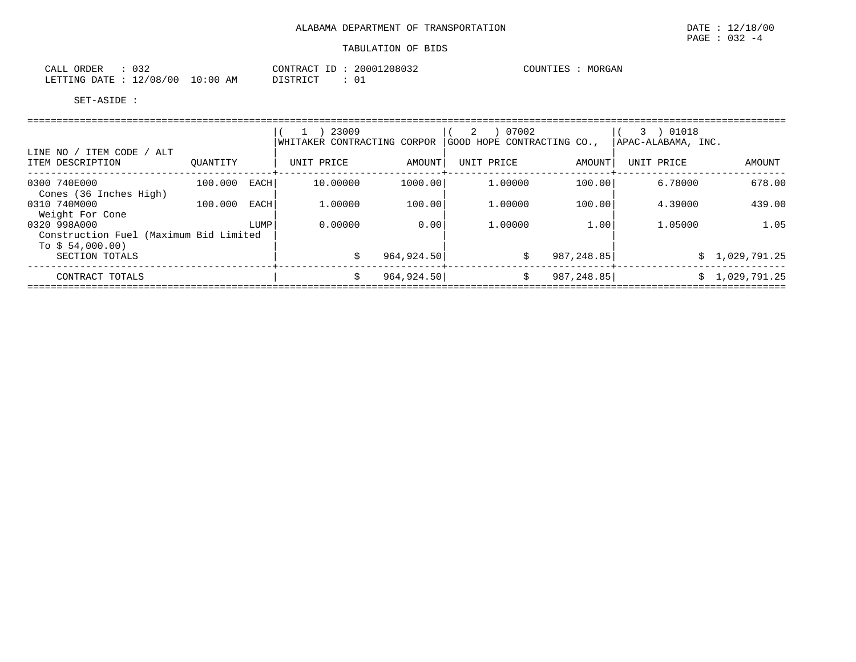| ORDER<br>CALL  | $\cap$ $\cap$<br>ے د ں |            | 20001208032<br>CONTRACT<br>ID | MORGAN<br>COUNTIES |
|----------------|------------------------|------------|-------------------------------|--------------------|
| LETTING DATE : | 12/08/00               | $10:00$ AM | <b>DISTRICT</b><br>ັບ⊥        |                    |

|                                                                            |          |             | 23009<br>WHITAKER CONTRACTING CORPOR |             | 07002<br>2<br>GOOD HOPE CONTRACTING CO., |            | 3 ) 01018<br> APAC-ALABAMA, INC. |                |
|----------------------------------------------------------------------------|----------|-------------|--------------------------------------|-------------|------------------------------------------|------------|----------------------------------|----------------|
| LINE NO / ITEM CODE / ALT<br>ITEM DESCRIPTION                              | OUANTITY |             | UNIT PRICE                           | AMOUNT      | UNIT PRICE                               | AMOUNT     | UNIT PRICE                       | AMOUNT         |
| 0300 740E000<br>Cones (36 Inches High)                                     | 100.000  | <b>EACH</b> | 10.00000                             | 1000.00     | 1,00000                                  | 100.00     | 6.78000                          | 678.00         |
| 0310 740M000<br>Weight For Cone                                            | 100.000  | EACH        | 1,00000                              | 100.00      | 1,00000                                  | 100.00     | 4.39000                          | 439.00         |
| 0320 998A000<br>Construction Fuel (Maximum Bid Limited<br>To $$54,000.00)$ |          | LUMP        | 0.00000                              | 0.00        | 1,00000                                  | 1.00       | 1.05000                          | 1.05           |
| SECTION TOTALS                                                             |          |             |                                      | 964,924.50  | \$                                       | 987,248.85 |                                  | \$1,029,791.25 |
| CONTRACT TOTALS                                                            |          |             |                                      | 964, 924.50 | \$                                       | 987,248.85 |                                  | \$1,029,791.25 |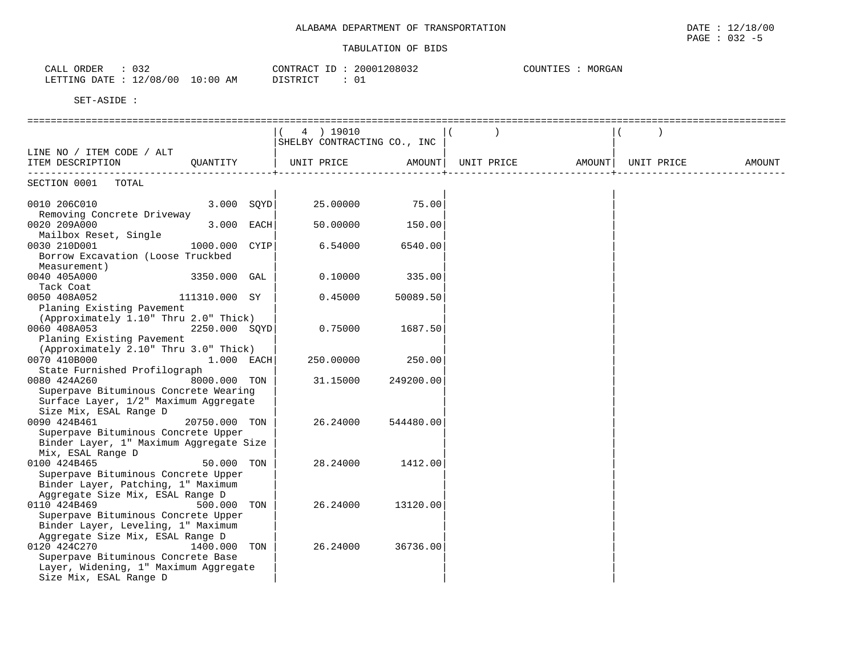| $\cap$ $\cap$ $\cap$<br>ORDER<br>$\sim$ $ -$<br>-'ALL<br>U32 |                       | CONTRACT<br>. | .208032<br>20001 | COUNTIES<br>MORGAN |
|--------------------------------------------------------------|-----------------------|---------------|------------------|--------------------|
| ∕ ∩ R<br>$\sim$<br>LETTING<br>DATE.<br>∩ ∩                   | $\Omega$<br>:00<br>AM | ירת דרי דרי   | ◡∸               |                    |

|                                                                        | 4 ) 19010                   |           |            |        |            |        |
|------------------------------------------------------------------------|-----------------------------|-----------|------------|--------|------------|--------|
|                                                                        | SHELBY CONTRACTING CO., INC |           |            |        |            |        |
| LINE NO / ITEM CODE / ALT                                              |                             |           |            |        |            |        |
| ITEM DESCRIPTION<br>QUANTITY                                           | UNIT PRICE                  | AMOUNT    | UNIT PRICE | AMOUNT | UNIT PRICE | AMOUNT |
| SECTION 0001 TOTAL                                                     |                             |           |            |        |            |        |
|                                                                        |                             |           |            |        |            |        |
| 3.000 SOYD<br>0010 206C010<br>Removing Concrete Driveway               | 25.00000                    | 75.00     |            |        |            |        |
| 0020 209A000<br>3.000 EACH                                             | 50.00000                    | 150.00    |            |        |            |        |
| Mailbox Reset, Single                                                  |                             |           |            |        |            |        |
| 1000.000 CYIP<br>0030 210D001                                          | 6.54000                     | 6540.00   |            |        |            |        |
| Borrow Excavation (Loose Truckbed                                      |                             |           |            |        |            |        |
| Measurement)                                                           |                             |           |            |        |            |        |
| 0040 405A000<br>3350.000 GAL                                           | 0.10000                     | 335.00    |            |        |            |        |
| Tack Coat                                                              |                             |           |            |        |            |        |
| 0050 408A052<br>111310.000 SY                                          | 0.45000                     | 50089.50  |            |        |            |        |
| Planing Existing Pavement                                              |                             |           |            |        |            |        |
| (Approximately 1.10" Thru 2.0" Thick)                                  |                             |           |            |        |            |        |
| 0060 408A053<br>2250.000 SQYD                                          | 0.75000                     | 1687.50   |            |        |            |        |
| Planing Existing Pavement                                              |                             |           |            |        |            |        |
| (Approximately 2.10" Thru 3.0" Thick)                                  |                             |           |            |        |            |        |
| 0070 410B000<br>1.000 EACH<br>State Furnished Profilograph             | 250.00000                   | 250.00    |            |        |            |        |
| 0080 424A260<br>8000.000 TON                                           | 31.15000                    | 249200.00 |            |        |            |        |
| Superpave Bituminous Concrete Wearing                                  |                             |           |            |        |            |        |
| Surface Layer, 1/2" Maximum Aggregate                                  |                             |           |            |        |            |        |
| Size Mix, ESAL Range D                                                 |                             |           |            |        |            |        |
| 0090 424B461<br>20750.000 TON                                          | 26.24000                    | 544480.00 |            |        |            |        |
| Superpave Bituminous Concrete Upper                                    |                             |           |            |        |            |        |
| Binder Layer, 1" Maximum Aggregate Size                                |                             |           |            |        |            |        |
| Mix, ESAL Range D                                                      |                             |           |            |        |            |        |
| 0100 424B465<br>50.000<br>TON                                          | 28.24000                    | 1412.00   |            |        |            |        |
| Superpave Bituminous Concrete Upper                                    |                             |           |            |        |            |        |
| Binder Layer, Patching, 1" Maximum                                     |                             |           |            |        |            |        |
| Aggregate Size Mix, ESAL Range D                                       |                             |           |            |        |            |        |
| 0110 424B469<br>500.000<br>TON                                         | 26.24000                    | 13120.00  |            |        |            |        |
| Superpave Bituminous Concrete Upper                                    |                             |           |            |        |            |        |
| Binder Layer, Leveling, 1" Maximum<br>Aggregate Size Mix, ESAL Range D |                             |           |            |        |            |        |
| 0120 424C270<br>1400.000 TON                                           | 26.24000                    | 36736.00  |            |        |            |        |
| Superpave Bituminous Concrete Base                                     |                             |           |            |        |            |        |
| Layer, Widening, 1" Maximum Aggregate                                  |                             |           |            |        |            |        |
| Size Mix, ESAL Range D                                                 |                             |           |            |        |            |        |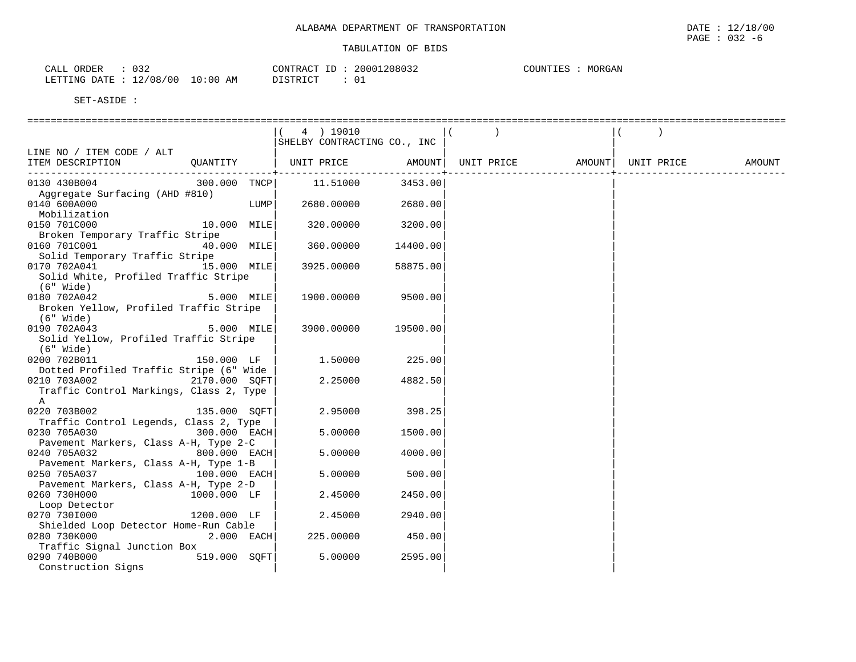| ハマつ<br>ORDER<br>$\cap$ $\pi$ $\tau$<br>ــ ت ∪<br>ىلىلەر | CONTRACT<br>$ -$                           | 20001208032  | MORGAN<br>$\cap$ of the theory<br>.JNIILS |
|---------------------------------------------------------|--------------------------------------------|--------------|-------------------------------------------|
| '08<br>00 '<br>$\sim$<br>LETTING<br>DATE<br>— ⊥ ∠ ′     | 10:00<br>DIOMPION.<br>ΆM<br>ــ<br>ntoivici | $\sim$<br>◡⊥ |                                           |

|                                                  | 4 ) 19010                   |          |                   |            |        |
|--------------------------------------------------|-----------------------------|----------|-------------------|------------|--------|
|                                                  | SHELBY CONTRACTING CO., INC |          |                   |            |        |
| LINE NO / ITEM CODE / ALT                        |                             |          |                   |            |        |
| QUANTITY   UNIT PRICE AMOUNT<br>ITEM DESCRIPTION |                             |          | UNIT PRICE AMOUNT | UNIT PRICE | AMOUNT |
|                                                  |                             |          |                   |            |        |
| 0130 430B004<br>300.000 TNCP                     | 11.51000                    | 3453.00  |                   |            |        |
| Aggregate Surfacing (AHD #810)                   |                             |          |                   |            |        |
| 0140 600A000<br>LUMP                             | 2680.00000                  | 2680.00  |                   |            |        |
| Mobilization                                     |                             |          |                   |            |        |
| 10.000 MILE<br>0150 701C000                      | 320.00000                   | 3200.00  |                   |            |        |
| Broken Temporary Traffic Stripe                  |                             |          |                   |            |        |
| 0160 701C001<br>40.000 MILE                      | 360.00000                   | 14400.00 |                   |            |        |
| Solid Temporary Traffic Stripe                   |                             |          |                   |            |        |
| 0170 702A041 15.000 MILE                         | 3925.00000                  | 58875.00 |                   |            |        |
| Solid White, Profiled Traffic Stripe             |                             |          |                   |            |        |
| (6" Wide)                                        |                             |          |                   |            |        |
| 0180 702A042<br>$5.000$ MILE                     | 1900.00000                  | 9500.00  |                   |            |        |
| Broken Yellow, Profiled Traffic Stripe           |                             |          |                   |            |        |
| $(6"$ Wide)                                      |                             |          |                   |            |        |
| $5.000$ MILE<br>0190 702A043                     | 3900.00000                  | 19500.00 |                   |            |        |
| Solid Yellow, Profiled Traffic Stripe            |                             |          |                   |            |        |
| (6" Wide)                                        |                             |          |                   |            |        |
| 0200 702B011<br>150.000 LF                       | 1.50000                     | 225.00   |                   |            |        |
| Dotted Profiled Traffic Stripe (6" Wide          |                             |          |                   |            |        |
| 0210 703A002<br>2170.000 SOFT                    | 2.25000                     | 4882.50  |                   |            |        |
| Traffic Control Markings, Class 2, Type          |                             |          |                   |            |        |
| $\mathbb{A}$                                     |                             |          |                   |            |        |
| 135.000 SQFT<br>0220 703B002                     | 2.95000                     | 398.25   |                   |            |        |
| Traffic Control Legends, Class 2, Type           |                             |          |                   |            |        |
| 0230 705A030<br>300.000 EACH                     | 5.00000                     | 1500.00  |                   |            |        |
| Pavement Markers, Class A-H, Type 2-C            |                             |          |                   |            |        |
| 0240 705A032<br>800.000 EACH                     | 5.00000                     | 4000.00  |                   |            |        |
| Pavement Markers, Class A-H, Type 1-B            |                             |          |                   |            |        |
| 0250 705A037<br>$100.000$ EACH                   | 5.00000                     | 500.00   |                   |            |        |
| Pavement Markers, Class A-H, Type 2-D            |                             |          |                   |            |        |
| 1000.000 LF<br>0260 730H000                      | 2.45000                     | 2450.00  |                   |            |        |
|                                                  |                             |          |                   |            |        |
| Loop Detector                                    |                             |          |                   |            |        |
| 0270 7301000<br>1200.000 LF                      | 2.45000                     | 2940.00  |                   |            |        |
| Shielded Loop Detector Home-Run Cable            |                             |          |                   |            |        |
| 0280 730K000<br>$2.000$ EACH                     | 225.00000                   | 450.00   |                   |            |        |
| Traffic Signal Junction Box                      |                             |          |                   |            |        |
| 0290 740B000<br>519.000 SQFT                     | 5.00000                     | 2595.00  |                   |            |        |
| Construction Signs                               |                             |          |                   |            |        |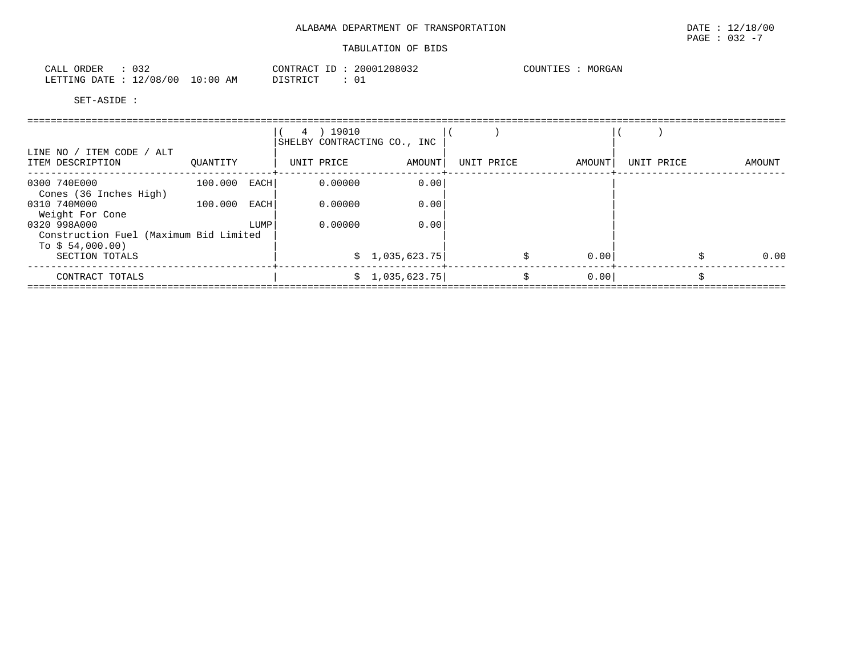| 032<br>CALL ORDER                | CONTRACT ID: 20001208032 | MORGAN<br>COUNTIES : |
|----------------------------------|--------------------------|----------------------|
| LETTING DATE : 12/08/00 10:00 AM | DISTRICT                 |                      |

|                                                        |                |      | 4 ) 19010  | SHELBY CONTRACTING CO., INC |            |    |        |            |        |
|--------------------------------------------------------|----------------|------|------------|-----------------------------|------------|----|--------|------------|--------|
| LINE NO / ITEM CODE / ALT<br>ITEM DESCRIPTION          | OUANTITY       |      | UNIT PRICE | AMOUNT                      | UNIT PRICE |    | AMOUNT | UNIT PRICE | AMOUNT |
| 0300 740E000<br>Cones (36 Inches High)                 | $100.000$ EACH |      | 0.00000    | 0.00                        |            |    |        |            |        |
| 0310 740M000<br>Weight For Cone                        | 100.000 EACH   |      | 0.00000    | 0.00                        |            |    |        |            |        |
| 0320 998A000<br>Construction Fuel (Maximum Bid Limited |                | LUMP | 0.00000    | 0.00                        |            |    |        |            |        |
| To $$54,000.00)$                                       |                |      |            |                             |            |    |        |            |        |
| SECTION TOTALS                                         |                |      |            | \$1,035,623.75              |            |    | 0.00   |            | 0.00   |
| CONTRACT TOTALS                                        |                |      |            | \$1,035,623.75              |            | Ŝ. | 0.00   |            |        |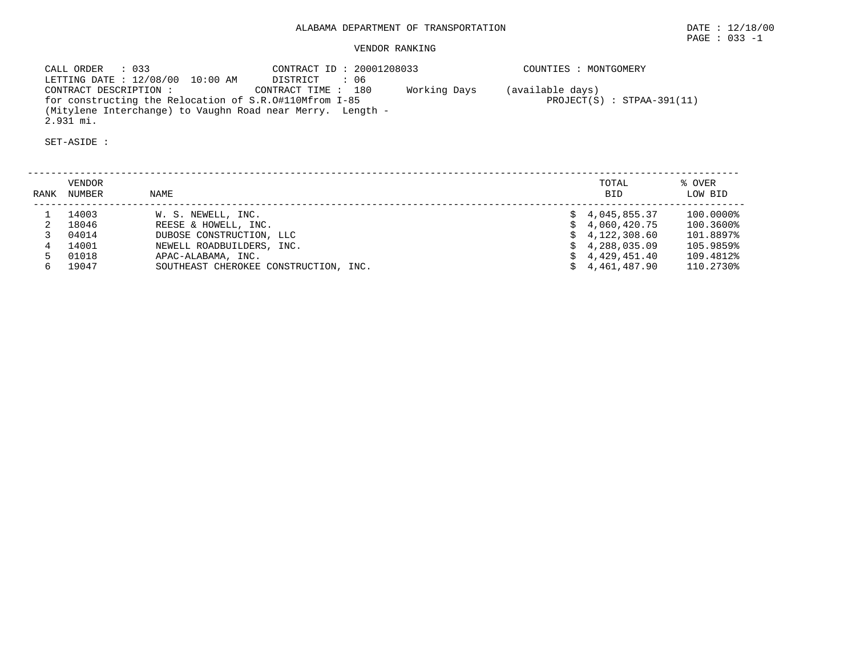## VENDOR RANKING

 CALL ORDER : 033 CONTRACT ID : 20001208033 COUNTIES : MONTGOMERY LETTING DATE : 12/08/00 10:00 AM DISTRICT : 06 CONTRACT DESCRIPTION : CONTRACT TIME : 180 Working Days (available days) for constructing the Relocation of S.R.O#110Mfrom I-85 PROJECT(S) : STPAA-391(11) (Mitylene Interchange) to Vaughn Road near Merry. Length - 2.931 mi.

| RANK | VENDOR<br>NUMBER | NAME                                  |    | TOTAL<br><b>BID</b> | % OVER<br>LOW BID |
|------|------------------|---------------------------------------|----|---------------------|-------------------|
|      | 14003            | W. S. NEWELL, INC.                    |    | $\sin 4.045.855.37$ | 100.0000%         |
|      | 18046            | REESE & HOWELL, INC.                  |    | 4,060,420.75        | 100.3600%         |
|      | 04014            | DUBOSE CONSTRUCTION, LLC              |    | \$4,122,308.60      | 101.8897%         |
|      | 14001            | NEWELL ROADBUILDERS, INC.             | S. | 4,288,035.09        | 105.9859%         |
|      | 01018            | APAC-ALABAMA, INC.                    |    | 4,429,451.40        | 109.4812%         |
|      | 19047            | SOUTHEAST CHEROKEE CONSTRUCTION, INC. |    | 4,461,487.90        | 110.2730%         |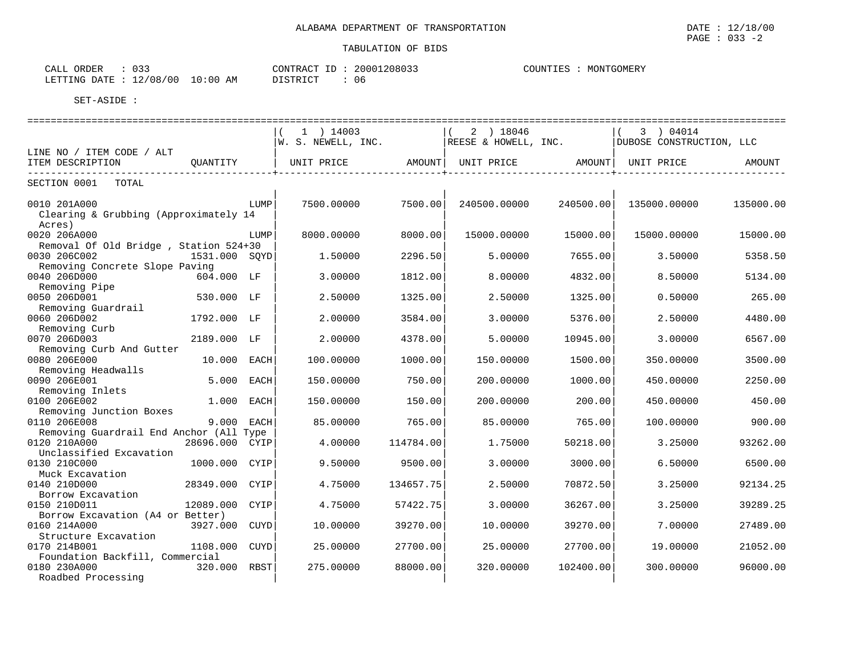| $\cap$ $\cap$<br>ORDER<br>CALL<br>. J J |            | CONTRACT<br>ID | 20001208033 | COUNTIES | MONTGOMERY |
|-----------------------------------------|------------|----------------|-------------|----------|------------|
| 12/08/00<br>LETTING DATE:               | $10:00$ AM | DISTRICT       | 06          |          |            |

|                                         |               |             | $1$ ) 14003                   |           | 2 ) 18046            |           | 3 ) 04014                |           |
|-----------------------------------------|---------------|-------------|-------------------------------|-----------|----------------------|-----------|--------------------------|-----------|
|                                         |               |             | $\mathsf{W.~S.~NEWELL,~INC.}$ |           | REESE & HOWELL, INC. |           | DUBOSE CONSTRUCTION, LLC |           |
| LINE NO / ITEM CODE / ALT               |               |             |                               |           |                      |           |                          |           |
| ITEM DESCRIPTION                        | QUANTITY      |             | UNIT PRICE                    |           | AMOUNT   UNIT PRICE  | AMOUNT    | UNIT PRICE               | AMOUNT    |
| SECTION 0001<br>TOTAL                   |               |             |                               |           |                      |           |                          |           |
|                                         |               |             |                               |           |                      |           |                          |           |
| 0010 201A000                            |               | LUMP        | 7500.00000                    | 7500.00   | 240500.00000         | 240500.00 | 135000.00000             | 135000.00 |
| Clearing & Grubbing (Approximately 14   |               |             |                               |           |                      |           |                          |           |
| Acres)                                  |               |             |                               |           |                      |           |                          |           |
| 0020 206A000                            |               | LUMP        | 8000.00000                    | 8000.00   | 15000.00000          | 15000.00  | 15000.00000              | 15000.00  |
| Removal Of Old Bridge, Station 524+30   |               |             |                               |           |                      |           |                          |           |
| 0030 206C002                            | 1531.000 SOYD |             | 1.50000                       | 2296.50   | 5.00000              | 7655.00   | 3.50000                  | 5358.50   |
| Removing Concrete Slope Paving          |               |             |                               |           |                      |           |                          |           |
| 0040 206D000                            | 604.000 LF    |             | 3.00000                       | 1812.00   | 8.00000              | 4832.00   | 8.50000                  | 5134.00   |
| Removing Pipe                           |               |             |                               |           |                      |           |                          |           |
| 0050 206D001                            | 530.000 LF    |             | 2.50000                       | 1325.00   | 2.50000              | 1325.00   | 0.50000                  | 265.00    |
| Removing Guardrail                      |               |             |                               |           |                      |           |                          |           |
| 0060 206D002                            | 1792.000 LF   |             | 2.00000                       | 3584.00   | 3.00000              | 5376.00   | 2.50000                  | 4480.00   |
| Removing Curb                           |               |             |                               |           |                      |           |                          |           |
| 0070 206D003                            | 2189.000 LF   |             | 2.00000                       | 4378.00   | 5.00000              | 10945.00  | 3.00000                  | 6567.00   |
| Removing Curb And Gutter                |               |             |                               |           |                      |           |                          |           |
| 0080 206E000                            | 10.000 EACH   |             | 100.00000                     | 1000.00   | 150.00000            | 1500.00   | 350.00000                | 3500.00   |
| Removing Headwalls                      |               |             |                               |           |                      |           |                          |           |
| 0090 206E001                            | 5.000         | EACH        | 150.00000                     | 750.00    | 200.00000            | 1000.00   | 450.00000                | 2250.00   |
| Removing Inlets                         |               |             |                               |           |                      |           |                          |           |
| 0100 206E002                            | 1.000 EACH    |             | 150.00000                     | 150.00    | 200.00000            | 200.00    | 450.00000                | 450.00    |
| Removing Junction Boxes<br>0110 206E008 | 9.000         | EACH        | 85.00000                      | 765.00    | 85.00000             | 765.00    | 100.00000                | 900.00    |
| Removing Guardrail End Anchor (All Type |               |             |                               |           |                      |           |                          |           |
| 0120 210A000                            | 28696.000     | CYIP        | 4.00000                       | 114784.00 | 1.75000              | 50218.00  | 3.25000                  | 93262.00  |
| Unclassified Excavation                 |               |             |                               |           |                      |           |                          |           |
| 0130 210C000                            | 1000.000      | CYIP        | 9.50000                       | 9500.00   | 3.00000              | 3000.00   | 6.50000                  | 6500.00   |
| Muck Excavation                         |               |             |                               |           |                      |           |                          |           |
| 0140 210D000                            | 28349.000     | CYIP        | 4.75000                       | 134657.75 | 2.50000              | 70872.50  | 3.25000                  | 92134.25  |
| Borrow Excavation                       |               |             |                               |           |                      |           |                          |           |
| 0150 210D011                            | 12089.000     | CYIP        | 4.75000                       | 57422.75  | 3.00000              | 36267.00  | 3.25000                  | 39289.25  |
| Borrow Excavation (A4 or Better)        |               |             |                               |           |                      |           |                          |           |
| 0160 214A000                            | 3927.000 CUYD |             | 10.00000                      | 39270.00  | 10.00000             | 39270.00  | 7.00000                  | 27489.00  |
| Structure Excavation                    |               |             |                               |           |                      |           |                          |           |
| 0170 214B001                            | 1108.000      | <b>CUYD</b> | 25.00000                      | 27700.00  | 25.00000             | 27700.00  | 19,00000                 | 21052.00  |
| Foundation Backfill, Commercial         |               |             |                               |           |                      |           |                          |           |
| 0180 230A000                            | 320.000       | RBST        | 275.00000                     | 88000.00  | 320.00000            | 102400.00 | 300.00000                | 96000.00  |
| Roadbed Processing                      |               |             |                               |           |                      |           |                          |           |
|                                         |               |             |                               |           |                      |           |                          |           |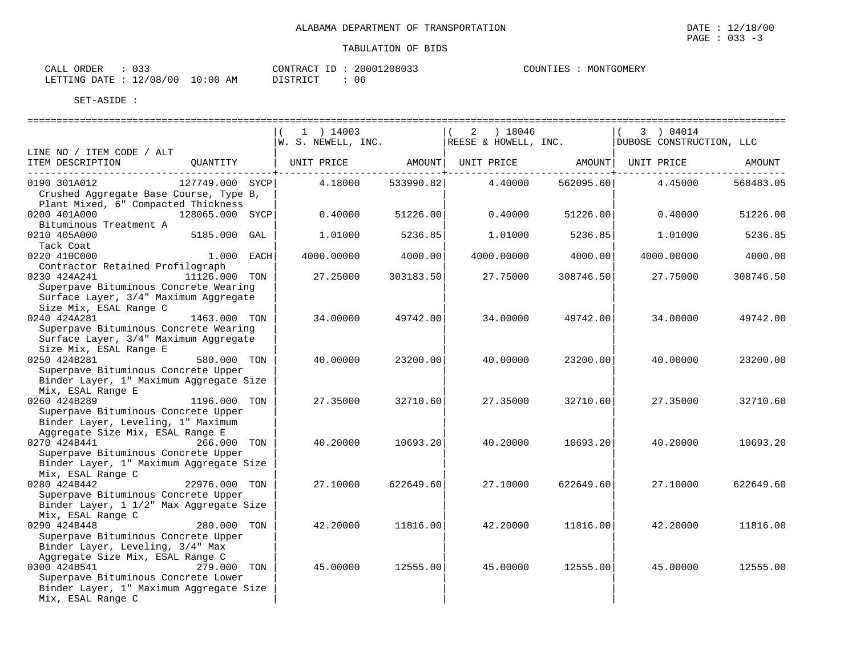| $\sim$ $\sim$ $\sim$<br>ORDER<br>CALL<br>- - - - |            | CONTRACT<br>ID | 20001208033 | COUNTIES | MONTGOMERY |
|--------------------------------------------------|------------|----------------|-------------|----------|------------|
| 12/08/00<br>LETTING DATE :                       | $10:00$ AM | DISTRICT       | 06          |          |            |

|                                                                                                                                                |                 | $1$ ) 14003<br>W. S. NEWELL, INC. |           | ) 18046<br>2<br>REESE & HOWELL, INC. |           | 3 ) 04014<br>DUBOSE CONSTRUCTION, LLC     |           |
|------------------------------------------------------------------------------------------------------------------------------------------------|-----------------|-----------------------------------|-----------|--------------------------------------|-----------|-------------------------------------------|-----------|
| LINE NO / ITEM CODE / ALT                                                                                                                      |                 |                                   |           |                                      |           |                                           |           |
| ITEM DESCRIPTION<br>---------------------------                                                                                                | QUANTITY        | UNIT PRICE                        |           |                                      |           | AMOUNT   UNIT PRICE   AMOUNT   UNIT PRICE | AMOUNT    |
| 0190 301A012<br>Crushed Aggregate Base Course, Type B,<br>Plant Mixed, 6" Compacted Thickness                                                  | 127749.000 SYCP | 4.18000                           | 533990.82 | 4.40000                              | 562095.60 | 4.45000                                   | 568483.05 |
| 0200 401A000<br>Bituminous Treatment A                                                                                                         | 128065.000 SYCP | 0.40000                           | 51226.00  | 0.40000                              | 51226.00  | 0.40000                                   | 51226.00  |
| 0210 405A000<br>Tack Coat                                                                                                                      | 5185.000 GAL    | 1.01000                           | 5236.85   | 1.01000                              | 5236.85   | 1,01000                                   | 5236.85   |
| 0220 410C000<br>Contractor Retained Profilograph                                                                                               | 1.000 EACH      | 4000.00000                        | 4000.00   | 4000.00000                           | 4000.00   | 4000.00000                                | 4000.00   |
| 0230 424A241<br>Superpave Bituminous Concrete Wearing<br>Surface Layer, 3/4" Maximum Aggregate                                                 | 11126.000 TON   | 27.25000                          | 303183.50 | 27.75000                             | 308746.50 | 27.75000                                  | 308746.50 |
| Size Mix, ESAL Range C<br>0240 424A281<br>Superpave Bituminous Concrete Wearing<br>Surface Layer, 3/4" Maximum Aggregate                       | 1463.000 TON    | 34.00000                          | 49742.00  | 34.00000                             | 49742.00  | 34.00000                                  | 49742.00  |
| Size Mix, ESAL Range E<br>0250 424B281<br>Superpave Bituminous Concrete Upper<br>Binder Layer, 1" Maximum Aggregate Size                       | 580.000 TON     | 40.00000                          | 23200.00  | 40.00000                             | 23200.00  | 40.00000                                  | 23200.00  |
| Mix, ESAL Range E<br>0260 424B289<br>Superpave Bituminous Concrete Upper<br>Binder Layer, Leveling, 1" Maximum                                 | 1196.000 TON    | 27.35000                          | 32710.60  | 27.35000                             | 32710.60  | 27.35000                                  | 32710.60  |
| Aggregate Size Mix, ESAL Range E<br>0270 424B441 266.000 TON<br>Superpave Bituminous Concrete Upper<br>Binder Layer, 1" Maximum Aggregate Size |                 | 40.20000                          | 10693.20  | 40.20000                             | 10693.201 | 40.20000                                  | 10693.20  |
| Mix, ESAL Range C<br>0280 424B442<br>Superpave Bituminous Concrete Upper<br>Binder Layer, 1 1/2" Max Aggregate Size                            | 22976.000 TON   | 27.10000                          | 622649.60 | 27.10000                             | 622649.60 | 27.10000                                  | 622649.60 |
| Mix, ESAL Range C<br>0290 424B448<br>Superpave Bituminous Concrete Upper<br>Binder Layer, Leveling, 3/4" Max                                   | 280.000 TON     | 42.20000                          | 11816.00  | 42.20000                             | 11816.00  | 42.20000                                  | 11816.00  |
| Aggregate Size Mix, ESAL Range C<br>0300 424B541<br>Superpave Bituminous Concrete Lower<br>Binder Layer, 1" Maximum Aggregate Size             | 279.000 TON     | 45.00000                          | 12555.00  | 45.00000                             | 12555.00  | 45.00000                                  | 12555.00  |
| Mix, ESAL Range C                                                                                                                              |                 |                                   |           |                                      |           |                                           |           |

 $\texttt{PAGE}$  : 033 -3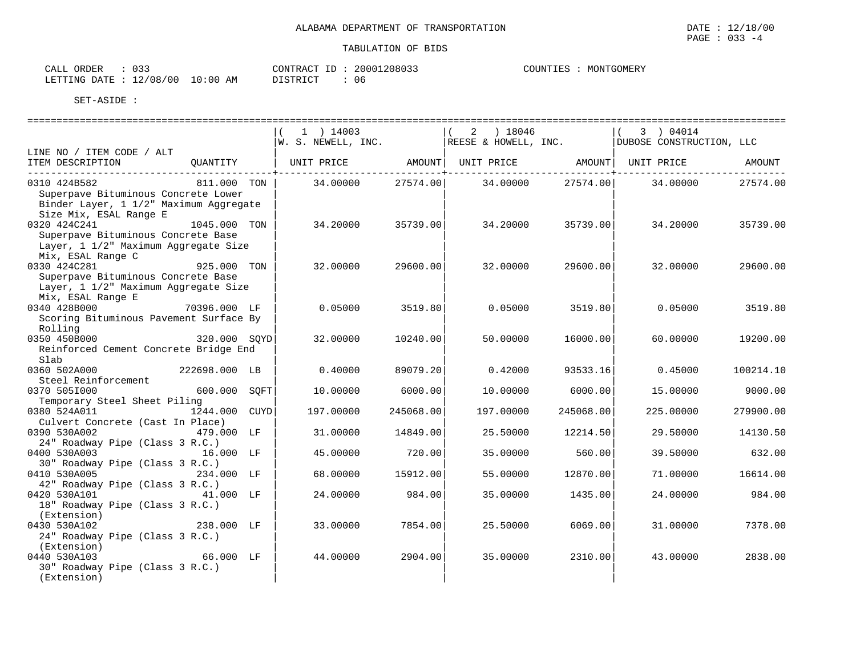| $\sim$ $\sim$ $\sim$<br>ORDER<br>CALL<br>- - - - |            | CONTRACT<br>ID | 20001208033 | COUNTIES | MONTGOMERY |
|--------------------------------------------------|------------|----------------|-------------|----------|------------|
| 12/08/00<br>LETTING DATE :                       | $10:00$ AM | DISTRICT       | 06          |          |            |

|                                                                                                                         |               | $1$ ) 14003<br>W. S. NEWELL, INC.                  |           | ) 18046<br>2<br>REESE & HOWELL, INC. |           | 3 ) 04014<br>DUBOSE CONSTRUCTION, LLC |           |
|-------------------------------------------------------------------------------------------------------------------------|---------------|----------------------------------------------------|-----------|--------------------------------------|-----------|---------------------------------------|-----------|
| LINE NO / ITEM CODE / ALT                                                                                               |               |                                                    |           |                                      |           |                                       |           |
| ITEM DESCRIPTION                                                                                                        | QUANTITY      | UNIT PRICE AMOUNT   UNIT PRICE AMOUNT   UNIT PRICE |           |                                      |           |                                       | AMOUNT    |
| 0310 424B582<br>Superpave Bituminous Concrete Lower<br>Binder Layer, 1 1/2" Maximum Aggregate<br>Size Mix, ESAL Range E | 811.000 TON   | 34.00000 27574.00                                  |           | 34.00000                             | 27574.00  | 34.00000                              | 27574.00  |
| 0320 424C241<br>Superpave Bituminous Concrete Base<br>Layer, 1 1/2" Maximum Aggregate Size<br>Mix, ESAL Range C         | 1045.000 TON  | 34.20000                                           | 35739.00  | 34.20000                             | 35739.00  | 34.20000                              | 35739.00  |
| 0330 424C281<br>Superpave Bituminous Concrete Base<br>Layer, 1 1/2" Maximum Aggregate Size<br>Mix, ESAL Range E         | 925.000 TON   | 32.00000                                           | 29600.00  | 32.00000                             | 29600.00  | 32.00000                              | 29600.00  |
| 0340 428B000<br>Scoring Bituminous Pavement Surface By<br>Rolling                                                       | 70396.000 LF  | 0.05000                                            | 3519.80   | 0.05000                              | 3519.80   | 0.05000                               | 3519.80   |
| 0350 450B000<br>Reinforced Cement Concrete Bridge End<br>Slab                                                           | 320.000 SOYD  | 32,00000                                           | 10240.00  | 50.00000                             | 16000.00  | 60.00000                              | 19200.00  |
| 0360 502A000<br>Steel Reinforcement                                                                                     | 222698.000 LB | 0.40000                                            | 89079.20  | 0.42000                              | 93533.16  | 0.45000                               | 100214.10 |
| 0370 505I000                                                                                                            | 600.000 SQFT  | 10.00000                                           | 6000.00   | 10.00000                             | 6000.00   | 15.00000                              | 9000.00   |
| Temporary Steel Sheet Piling<br>0380 524A011<br>Culvert Concrete (Cast In Place)                                        | 1244.000 CUYD | 197.00000                                          | 245068.00 | 197.00000                            | 245068.00 | 225.00000                             | 279900.00 |
| 0390 530A002<br>24" Roadway Pipe (Class 3 R.C.)                                                                         | 479.000 LF    | 31.00000                                           | 14849.00  | 25.50000                             | 12214.50  | 29.50000                              | 14130.50  |
| 0400 530A003 16.000 LF<br>30" Roadway Pipe (Class 3 R.C.)                                                               |               | 45.00000                                           | 720.00    | 35.00000                             | 560.00    | 39.50000                              | 632.00    |
| 0410 530A005                                                                                                            | 234.000 LF    | 68.00000                                           | 15912.00  | 55.00000                             | 12870.00  | 71.00000                              | 16614.00  |
| 42" Roadway Pipe (Class 3 R.C.)<br>0420 530A101<br>18" Roadway Pipe (Class 3 R.C.)                                      | 41.000 LF     | 24,00000                                           | 984.00    | 35.00000                             | 1435.00   | 24,00000                              | 984.00    |
| (Extension)<br>0430 530A102<br>24" Roadway Pipe (Class 3 R.C.)<br>(Extension)                                           | 238.000 LF    | 33.00000                                           | 7854.00   | 25.50000                             | 6069.00   | 31,00000                              | 7378.00   |
| 0440 530A103<br>30" Roadway Pipe (Class 3 R.C.)<br>(Extension)                                                          | 66.000 LF     | 44.00000                                           | 2904.00   | 35,00000                             | 2310.00   | 43.00000                              | 2838.00   |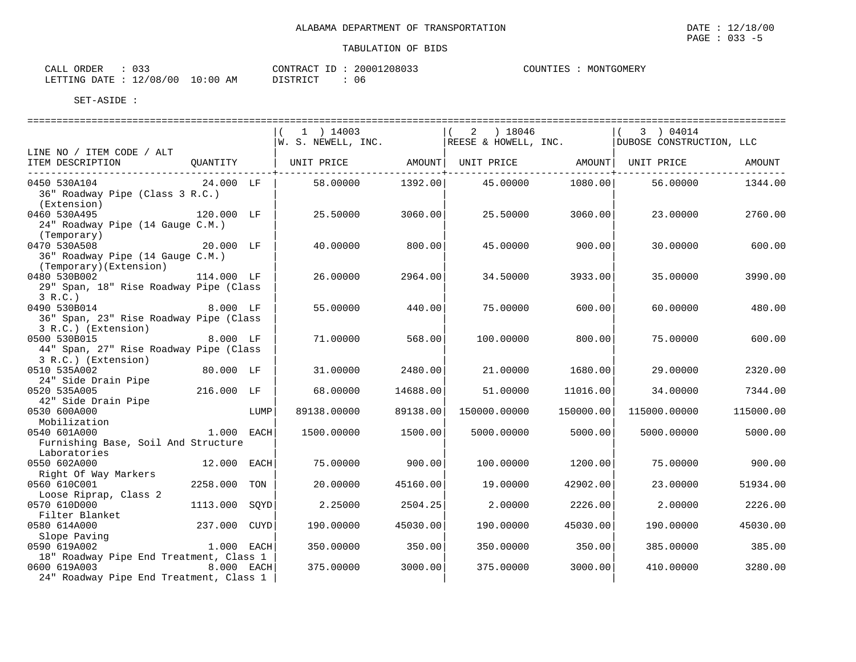| ORDER<br>CALL                    |  | ID :<br>CONTRACT. | 20001208033 | COU |
|----------------------------------|--|-------------------|-------------|-----|
| LETTING DATE : 12/08/00 10:00 AM |  | DISTRICT          | 0 e         |     |

JNTIES : MONTGOMERY

|                                                                                                                    |                            |      | $1$ ) 14003<br>W. S. NEWELL, INC.                |                   | $(2)$ 18046<br>REESE & HOWELL, INC. |                   | 3 ) 04014<br>DUBOSE CONSTRUCTION, LLC |                   |
|--------------------------------------------------------------------------------------------------------------------|----------------------------|------|--------------------------------------------------|-------------------|-------------------------------------|-------------------|---------------------------------------|-------------------|
| LINE NO / ITEM CODE / ALT<br>ITEM DESCRIPTION                                                                      | QUANTITY                   |      | UNIT PRICE AMOUNT  UNIT PRICE AMOUNT  UNIT PRICE |                   |                                     |                   |                                       | AMOUNT            |
| 0450 530A104<br>36" Roadway Pipe (Class 3 R.C.)                                                                    | 24.000 LF                  |      | 58.00000                                         | 1392.00           | 45.00000                            | 1080.00           | 56.00000                              | 1344.00           |
| (Extension)<br>0460 530A495<br>24" Roadway Pipe (14 Gauge C.M.)                                                    | 120.000 LF                 |      | 25.50000                                         | 3060.00           | 25.50000                            | 3060.00           | 23.00000                              | 2760.00           |
| (Temporary)<br>0470 530A508<br>36" Roadway Pipe (14 Gauge C.M.)<br>(Temporary)(Extension)                          | 20.000 LF                  |      | 40.00000                                         | 800.00            | 45.00000                            | 900.00            | 30,00000                              | 600.00            |
| 0480 530B002<br>29" Span, 18" Rise Roadway Pipe (Class<br>3 R.C.                                                   | 114.000 LF                 |      | 26.00000                                         | 2964.00           | 34.50000                            | 3933.00           | 35.00000                              | 3990.00           |
| 8.000 LF<br>0490 530B014<br>36" Span, 23" Rise Roadway Pipe (Class<br>3 R.C.) (Extension)                          |                            |      | 55.00000                                         | 440.00            | 75.00000                            | 600.00            | 60.00000                              | 480.00            |
| 0500 530B015<br>44" Span, 27" Rise Roadway Pipe (Class<br>3 R.C.) (Extension)                                      | 8.000 LF                   |      | 71,00000                                         | 568.00            | 100.00000                           | 800.00            | 75,00000                              | 600.00            |
| 0510 535A002<br>24" Side Drain Pipe                                                                                | 80.000 LF                  |      | 31.00000                                         | 2480.00           | 21.00000                            | 1680.00           | 29.00000                              | 2320.00           |
| 0520 535A005<br>42" Side Drain Pipe                                                                                | 216.000 LF                 |      | 68.00000                                         | 14688.00          | 51.00000                            | 11016.00          | 34.00000                              | 7344.00           |
| 0530 600A000<br>Mobilization                                                                                       |                            | LUMP | 89138.00000                                      | 89138.00          | 150000.00000                        | 150000.00         | 115000.00000                          | 115000.00         |
| 0540 601A000<br>Furnishing Base, Soil And Structure<br>Laboratories                                                | 1.000 EACH                 |      | 1500.00000                                       | 1500.00           | 5000.00000                          | 5000.00           | 5000.00000                            | 5000.00           |
| 0550 602A000<br>Right Of Way Markers                                                                               | 12.000 EACH                |      | 75.00000                                         | 900.00            | 100.00000                           | 1200.00           | 75.00000                              | 900.00            |
| 0560 610C001<br>Loose Riprap, Class 2                                                                              | 2258.000                   | TON  | 20.00000                                         | 45160.00          | 19.00000                            | 42902.00          | 23.00000                              | 51934.00          |
| 0570 610D000<br>Filter Blanket                                                                                     | 1113.000                   | SOYD | 2.25000                                          | 2504.25           | 2.00000                             | 2226.00           | 2.00000                               | 2226.00           |
| 0580 614A000<br>Slope Paving                                                                                       | 237.000 CUYD<br>1.000 EACH |      | 190.00000                                        | 45030.00          | 190.00000                           | 45030.00          | 190.00000                             | 45030.00          |
| 0590 619A002<br>18" Roadway Pipe End Treatment, Class 1<br>0600 619A003<br>24" Roadway Pipe End Treatment, Class 1 | 8.000 EACH                 |      | 350.00000<br>375.00000                           | 350.00<br>3000.00 | 350.00000<br>375.00000              | 350.00<br>3000.00 | 385.00000<br>410.00000                | 385.00<br>3280.00 |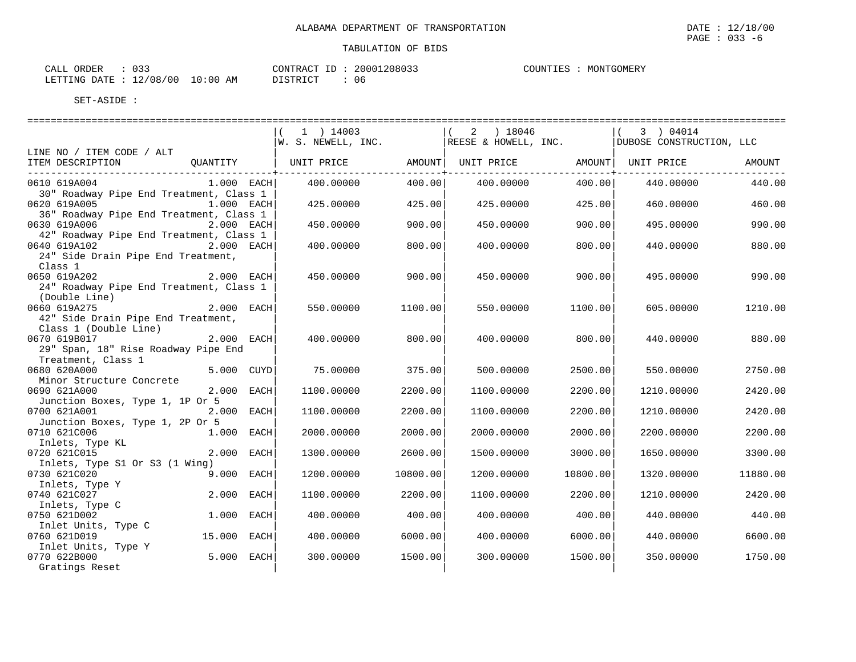| CALL ORDER                       | 033 |          | CONTRACT ID: 20001208033 |
|----------------------------------|-----|----------|--------------------------|
| LETTING DATE : 12/08/00 10:00 AM |     | DISTRICT | 06                       |

|                                                       |             |             | 1 ) 14003                                     |          | 2 ) 18046         |          | 3 ) 04014                |          |
|-------------------------------------------------------|-------------|-------------|-----------------------------------------------|----------|-------------------|----------|--------------------------|----------|
|                                                       |             |             | $ W.$ S. NEWELL, INC. $ REESE$ & HOWELL, INC. |          |                   |          | DUBOSE CONSTRUCTION, LLC |          |
| LINE NO / ITEM CODE / ALT                             |             |             |                                               |          |                   |          |                          |          |
| ITEM DESCRIPTION<br>_________________________________ |             |             | QUANTITY   UNIT PRICE                         |          | AMOUNT UNIT PRICE |          | AMOUNT   UNIT PRICE      | AMOUNT   |
| 0610 619A004                                          | 1.000 EACH  |             | 400.00000                                     | 400.00   | 400.00000         | 400.00   | 440.00000                | 440.00   |
| 30" Roadway Pipe End Treatment, Class 1               |             |             |                                               |          |                   |          |                          |          |
| 0620 619A005                                          | 1.000 EACH  |             | 425.00000                                     | 425.00   | 425.00000         | 425.00   | 460.00000                | 460.00   |
| 36" Roadway Pipe End Treatment, Class 1               |             |             |                                               |          |                   |          |                          |          |
| 0630 619A006                                          | 2.000 EACH  |             | 450.00000                                     | 900.00   | 450.00000         | 900.00   | 495.00000                | 990.00   |
| 42" Roadway Pipe End Treatment, Class 1               |             |             |                                               |          |                   |          |                          |          |
| 0640 619A102                                          | 2.000 EACH  |             | 400.00000                                     | 800.00   | 400.00000         | 800.00   | 440.00000                | 880.00   |
| 24" Side Drain Pipe End Treatment,                    |             |             |                                               |          |                   |          |                          |          |
| Class 1                                               |             |             |                                               |          |                   |          |                          |          |
| 2.000 EACH<br>0650 619A202                            |             |             | 450.00000                                     | 900.00   | 450.00000         | 900.00   | 495.00000                | 990.00   |
| 24" Roadway Pipe End Treatment, Class 1               |             |             |                                               |          |                   |          |                          |          |
| (Double Line)                                         |             |             |                                               |          |                   |          |                          |          |
| 0660 619A275                                          | 2.000 EACH  |             | 550.00000                                     | 1100.00  | 550.00000         | 1100.00  | 605.00000                | 1210.00  |
| 42" Side Drain Pipe End Treatment,                    |             |             |                                               |          |                   |          |                          |          |
| Class 1 (Double Line)                                 |             |             |                                               |          |                   |          |                          |          |
| 0670 619B017<br>2.000 EACH                            |             |             | 400.00000                                     | 800.00   | 400.00000         | 800.00   | 440.00000                | 880.00   |
| 29" Span, 18" Rise Roadway Pipe End                   |             |             |                                               |          |                   |          |                          |          |
| Treatment, Class 1                                    |             |             |                                               |          |                   |          |                          |          |
| 0680 620A000                                          | 5.000 CUYD  |             | 75.00000                                      | 375.00   | 500,00000         | 2500.00  | 550.00000                | 2750.00  |
| Minor Structure Concrete<br>0690 621A000              | 2.000       |             | 1100.00000                                    |          |                   |          |                          | 2420.00  |
| Junction Boxes, Type 1, 1P Or 5                       |             | EACH        |                                               | 2200.00  | 1100.00000        | 2200.00  | 1210.00000               |          |
| 0700 621A001                                          | 2.000       | <b>EACH</b> | 1100.00000                                    | 2200.00  | 1100.00000        | 2200.00  | 1210.00000               | 2420.00  |
| Junction Boxes, Type 1, 2P Or 5                       |             |             |                                               |          |                   |          |                          |          |
| 0710 621C006<br>1.000 EACH                            |             |             | 2000.00000                                    | 2000.00  | 2000.00000        | 2000.00  | 2200.00000               | 2200.00  |
| Inlets, Type KL                                       |             |             |                                               |          |                   |          |                          |          |
| 0720 621C015                                          | 2.000       | EACH        | 1300.00000                                    | 2600.00  | 1500.00000        | 3000.00  | 1650.00000               | 3300.00  |
| Inlets, Type S1 Or S3 (1 Wing)                        |             |             |                                               |          |                   |          |                          |          |
| 0730 621C020                                          | 9.000       | EACH        | 1200.00000                                    | 10800.00 | 1200.00000        | 10800.00 | 1320.00000               | 11880.00 |
| Inlets, Type Y                                        |             |             |                                               |          |                   |          |                          |          |
| 0740 621C027                                          | 2.000       | EACH        | 1100.00000                                    | 2200.00  | 1100.00000        | 2200.00  | 1210.00000               | 2420.00  |
| Inlets, Type C                                        |             |             |                                               |          |                   |          |                          |          |
| 0750 621D002                                          | 1.000 EACH  |             | 400.00000                                     | 400.00   | 400.00000         | 400.00   | 440.00000                | 440.00   |
| Inlet Units, Type C                                   |             |             |                                               |          |                   |          |                          |          |
| 0760 621D019                                          | 15.000 EACH |             | 400.00000                                     | 6000.00  | 400.00000         | 6000.00  | 440.00000                | 6600.00  |
| Inlet Units, Type Y                                   |             |             |                                               |          |                   |          |                          |          |
| 0770 622B000                                          | 5.000 EACH  |             | 300,00000                                     | 1500.00  | 300,00000         | 1500.00  | 350.00000                | 1750.00  |
| Gratings Reset                                        |             |             |                                               |          |                   |          |                          |          |

 $\texttt{PAGE}$  : 033 -6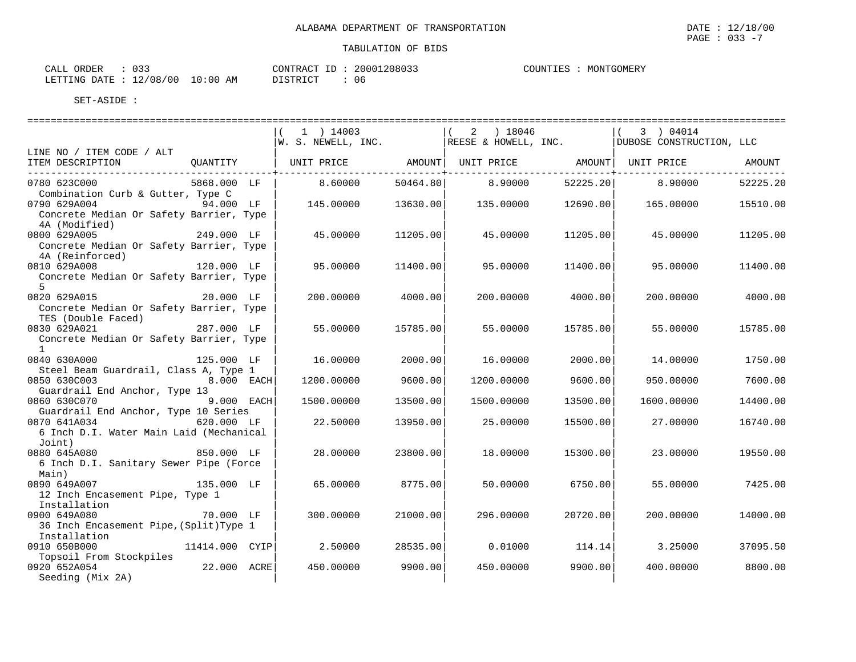| CALL ORDER : 033                 |  |  |          |  | CONTRACT ID: 20001208033 |
|----------------------------------|--|--|----------|--|--------------------------|
| LETTING DATE : 12/08/00 10:00 AM |  |  | DISTRICT |  | 06                       |

COUNTIES : MONTGOMERY

SET-ASIDE :

|                                                         |                | $1$ ) 14003                                                         |          | $(2)$ 18046 |          | 3 ) 04014                |          |
|---------------------------------------------------------|----------------|---------------------------------------------------------------------|----------|-------------|----------|--------------------------|----------|
|                                                         |                | $ W. S. NEWELL, INC.$ REESE & HOWELL, INC.                          |          |             |          | DUBOSE CONSTRUCTION, LLC |          |
| LINE NO / ITEM CODE / ALT                               |                |                                                                     |          |             |          |                          |          |
| ITEM DESCRIPTION                                        |                | OUANTITY   UNIT PRICE     AMOUNT  UNIT PRICE     AMOUNT  UNIT PRICE |          |             |          |                          | AMOUNT   |
| 0780 623C000                                            | 5868.000 LF    | 8.60000                                                             | 50464.80 | 8,90000     | 52225.20 | 8.90000                  | 52225.20 |
| Combination Curb & Gutter, Type C                       |                |                                                                     |          |             |          |                          |          |
| 0790 629A004 94.000 LF                                  |                | 145.00000                                                           | 13630.00 | 135.00000   | 12690.00 | 165,00000                | 15510.00 |
| Concrete Median Or Safety Barrier, Type                 |                |                                                                     |          |             |          |                          |          |
| 4A (Modified)                                           |                |                                                                     |          |             |          |                          |          |
| 249.000 LF<br>0800 629A005                              |                | 45.00000                                                            | 11205.00 | 45.00000    | 11205.00 | 45.00000                 | 11205.00 |
| Concrete Median Or Safety Barrier, Type                 |                |                                                                     |          |             |          |                          |          |
| 4A (Reinforced)                                         |                |                                                                     |          |             |          |                          |          |
| 0810 629A008<br>120.000 LF                              |                | 95,00000                                                            | 11400.00 | 95.00000    | 11400.00 | 95.00000                 | 11400.00 |
| Concrete Median Or Safety Barrier, Type<br>$5^{\circ}$  |                |                                                                     |          |             |          |                          |          |
| 0820 629A015                                            | 20.000 LF      | 200,00000                                                           | 4000.00  | 200,00000   | 4000.00  | 200,00000                | 4000.00  |
| Concrete Median Or Safety Barrier, Type                 |                |                                                                     |          |             |          |                          |          |
| TES (Double Faced)                                      |                |                                                                     |          |             |          |                          |          |
| 0830 629A021<br>287.000 LF                              |                | 55.00000                                                            | 15785.00 | 55.00000    | 15785.00 | 55.00000                 | 15785.00 |
| Concrete Median Or Safety Barrier, Type                 |                |                                                                     |          |             |          |                          |          |
| $\mathbf{1}$                                            |                |                                                                     |          |             |          |                          |          |
| 0840 630A000<br>125.000 LF                              |                | 16.00000                                                            | 2000.00  | 16.00000    | 2000.00  | 14.00000                 | 1750.00  |
| Steel Beam Guardrail, Class A, Type 1                   |                |                                                                     |          |             |          |                          |          |
| 0850 630C003<br><b>8.000 EACH</b>                       |                | 1200.00000                                                          | 9600.00  | 1200.00000  | 9600.00  | 950.00000                | 7600.00  |
| Guardrail End Anchor, Type 13                           |                |                                                                     |          |             |          |                          |          |
| $9.000$ EACH<br>0860 630C070                            |                | 1500.00000                                                          | 13500.00 | 1500.00000  | 13500.00 | 1600.00000               | 14400.00 |
| Guardrail End Anchor, Type 10 Series                    |                |                                                                     |          |             |          |                          |          |
| 0870 641A034<br>6 Inch D.I. Water Main Laid (Mechanical | 620.000 LF     | 22.50000                                                            | 13950.00 | 25,00000    | 15500.00 | 27,00000                 | 16740.00 |
| Joint)                                                  |                |                                                                     |          |             |          |                          |          |
| 0880 645A080<br>850.000 LF                              |                | 28,00000                                                            | 23800.00 | 18,00000    | 15300.00 | 23,00000                 | 19550.00 |
| 6 Inch D.I. Sanitary Sewer Pipe (Force                  |                |                                                                     |          |             |          |                          |          |
| Main)                                                   |                |                                                                     |          |             |          |                          |          |
| 0890 649A007<br>135.000 LF                              |                | 65.00000                                                            | 8775.00  | 50.00000    | 6750.00  | 55.00000                 | 7425.00  |
| 12 Inch Encasement Pipe, Type 1                         |                |                                                                     |          |             |          |                          |          |
| Installation                                            |                |                                                                     |          |             |          |                          |          |
| 0900 649A080<br>70.000 LF                               |                | 300,00000                                                           | 21000.00 | 296.00000   | 20720.00 | 200,00000                | 14000.00 |
| 36 Inch Encasement Pipe, (Split) Type 1                 |                |                                                                     |          |             |          |                          |          |
| Installation                                            |                |                                                                     |          |             |          |                          |          |
| 0910 650B000                                            | 11414.000 CYIP | 2.50000                                                             | 28535.00 | 0.01000     | 114.14   | 3.25000                  | 37095.50 |
| Topsoil From Stockpiles                                 |                |                                                                     |          |             |          |                          |          |
| 0920 652A054                                            | 22.000 ACRE    | 450.00000                                                           | 9900.00  | 450.00000   | 9900.00  | 400.00000                | 8800.00  |
| Seeding (Mix 2A)                                        |                |                                                                     |          |             |          |                          |          |

 $\texttt{PAGE}$  : 033 -7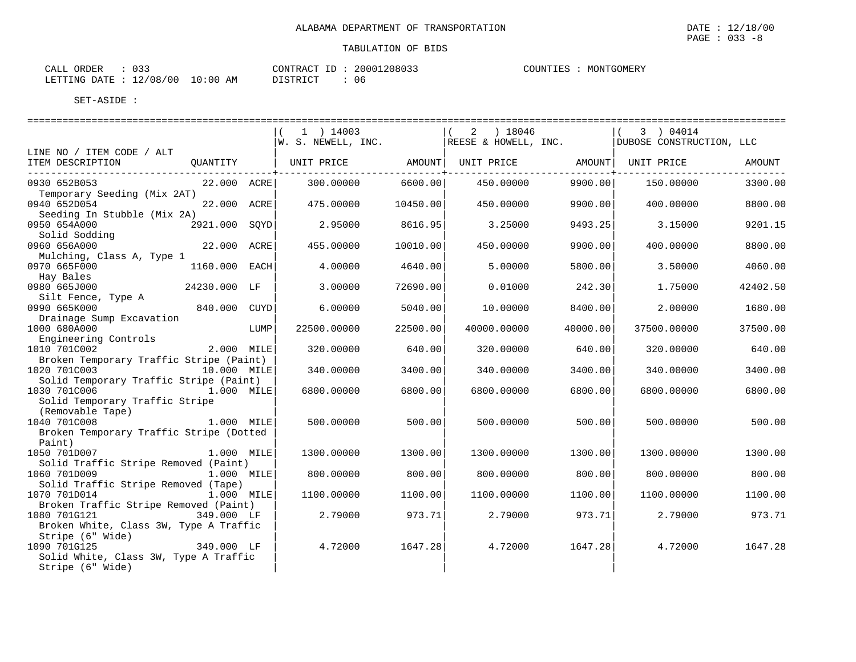| CALL ORDER | $\therefore$ 0.3.3               |          | CONTRACT ID: 20001208033 |
|------------|----------------------------------|----------|--------------------------|
|            | LETTING DATE : 12/08/00 10:00 AM | DISTRICT |                          |

COUNTIES : MONTGOMERY

|                                                                   |                  |      | $1$ ) 14003                                      |          | 2 ) 18046            |          | 3 ) 04014                |          |
|-------------------------------------------------------------------|------------------|------|--------------------------------------------------|----------|----------------------|----------|--------------------------|----------|
|                                                                   |                  |      | $W.$ S. NEWELL, INC.                             |          | REESE & HOWELL, INC. |          | DUBOSE CONSTRUCTION, LLC |          |
| LINE NO / ITEM CODE / ALT                                         |                  |      |                                                  |          |                      |          |                          |          |
| ITEM DESCRIPTION                                                  | QUANTITY         |      | UNIT PRICE                  AMOUNT    UNIT PRICE |          |                      | AMOUNT   | UNIT PRICE               | AMOUNT   |
| 0930 652B053                                                      | 22.000 ACRE      |      | 300.00000                                        | 6600.00  |                      | 9900.00  |                          | 3300.00  |
| Temporary Seeding (Mix 2AT)                                       |                  |      |                                                  |          | 450.00000            |          | 150.00000                |          |
| 0940 652D054                                                      | 22.000 ACRE      |      | 475.00000                                        | 10450.00 | 450.00000            | 9900.00  | 400.00000                | 8800.00  |
| Seeding In Stubble (Mix 2A)                                       |                  |      |                                                  |          |                      |          |                          |          |
| 0950 654A000                                                      | 2921.000 SQYD    |      | 2.95000                                          | 8616.95  | 3.25000              | 9493.25  | 3.15000                  | 9201.15  |
| Solid Sodding                                                     |                  |      |                                                  |          |                      |          |                          |          |
| 0960 656A000                                                      | 22.000 ACRE      |      | 455.00000                                        | 10010.00 | 450.00000            | 9900.00  | 400.00000                | 8800.00  |
| Mulching, Class A, Type 1                                         |                  |      |                                                  |          |                      |          |                          |          |
| 0970 665F000                                                      | 1160.000 EACH    |      | 4.00000                                          | 4640.00  | 5.00000              | 5800.00  | 3.50000                  | 4060.00  |
| Hay Bales                                                         |                  |      |                                                  |          |                      |          |                          |          |
| 0980 665J000                                                      | 24230.000 LF     |      | 3.00000                                          | 72690.00 | 0.01000              | 242.30   | 1.75000                  | 42402.50 |
| Silt Fence, Type A                                                |                  |      |                                                  |          |                      |          |                          |          |
| 0990 665K000                                                      | 840.000 CUYD     |      | 6.00000                                          | 5040.00  | 10.00000             | 8400.00  | 2.00000                  | 1680.00  |
| Drainage Sump Excavation<br>1000 680A000                          |                  | LUMP | 22500.00000                                      | 22500.00 | 40000.00000          |          | 37500.00000              | 37500.00 |
| Engineering Controls                                              |                  |      |                                                  |          |                      | 40000.00 |                          |          |
| 1010 701C002                                                      | 2.000 MILE       |      | 320.00000                                        | 640.00   | 320.00000            | 640.00   | 320.00000                | 640.00   |
| Broken Temporary Traffic Stripe (Paint)                           |                  |      |                                                  |          |                      |          |                          |          |
| 1020 701C003                                                      | 10.000 MILE      |      | 340.00000                                        | 3400.00  | 340.00000            | 3400.00  | 340.00000                | 3400.00  |
| Solid Temporary Traffic Stripe (Paint)                            |                  |      |                                                  |          |                      |          |                          |          |
| 1030 701C006                                                      | 1.000 MILE       |      | 6800.00000                                       | 6800.00  | 6800.00000           | 6800.00  | 6800.00000               | 6800.00  |
| Solid Temporary Traffic Stripe                                    |                  |      |                                                  |          |                      |          |                          |          |
| (Removable Tape)                                                  |                  |      |                                                  |          |                      |          |                          |          |
| 1040 701C008                                                      | 1.000 MILE       |      | 500.00000                                        | 500.00   | 500.00000            | 500.00   | 500.00000                | 500.00   |
| Broken Temporary Traffic Stripe (Dotted                           |                  |      |                                                  |          |                      |          |                          |          |
| Paint)                                                            |                  |      |                                                  |          |                      |          |                          |          |
| 1050 701D007                                                      | 1.000 MILE       |      | 1300.00000                                       | 1300.00  | 1300.00000           | 1300.00  | 1300.00000               | 1300.00  |
| Solid Traffic Stripe Removed (Paint)                              |                  |      |                                                  |          |                      |          |                          |          |
| 1060 701D009                                                      | 1.000 MILE       |      | 800.00000                                        | 800.00   | 800.00000            | 800.00   | 800.00000                | 800.00   |
| Solid Traffic Stripe Removed (Tape)<br>1070 701D014<br>1.000 MILE |                  |      |                                                  |          |                      | 1100.00  | 1100.00000               | 1100.00  |
| Broken Traffic Stripe Removed (Paint)                             |                  |      | 1100.00000                                       | 1100.00  | 1100.00000           |          |                          |          |
| 1080 701G121                                                      | 349.000 LF       |      | 2.79000                                          | 973.71   | 2.79000              | 973.71   | 2.79000                  | 973.71   |
| Broken White, Class 3W, Type A Traffic                            |                  |      |                                                  |          |                      |          |                          |          |
| Stripe (6" Wide)                                                  |                  |      |                                                  |          |                      |          |                          |          |
| 1090 701G125                                                      | .,<br>349.000 LF |      | 4.72000                                          | 1647.28  | 4.72000              | 1647.28  | 4.72000                  | 1647.28  |
| Solid White, Class 3W, Type A Traffic                             |                  |      |                                                  |          |                      |          |                          |          |
| Stripe (6" Wide)                                                  |                  |      |                                                  |          |                      |          |                          |          |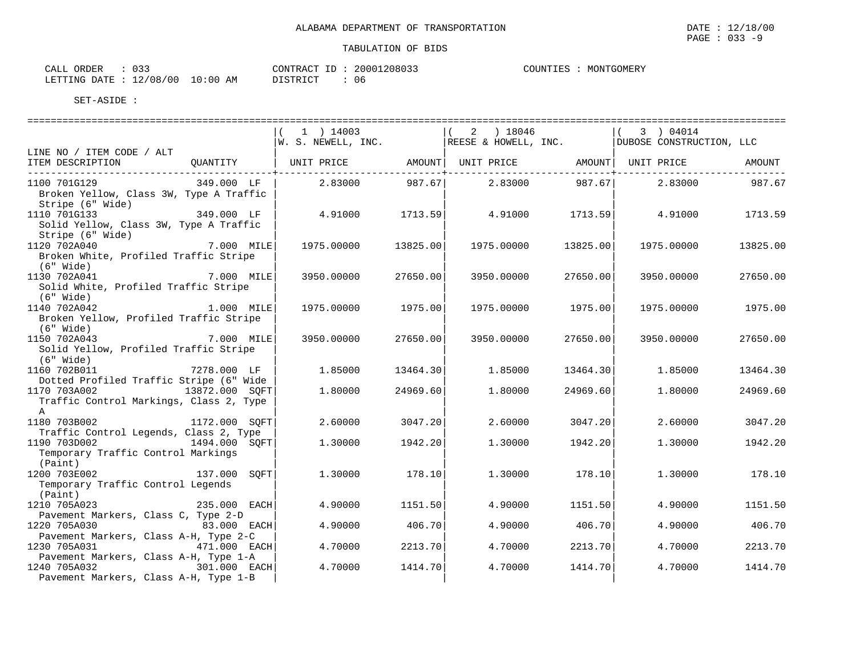| CALL ORDER                      |          | CONTRACT ID: 20001208033 | COUNTIES : MONTGOMERY |
|---------------------------------|----------|--------------------------|-----------------------|
| LETTING DATE: 12/08/00 10:00 AM | DISTRICT |                          |                       |

|                                                                                       |              | 1 ) 14003  |                         | $(2)$ 18046 |             | 3 ) 04014<br>$ W.$ S. NEWELL, INC. $ RESE & HOWELL, INC.$ DUBOSE CONSTRUCTION, LLC |          |
|---------------------------------------------------------------------------------------|--------------|------------|-------------------------|-------------|-------------|------------------------------------------------------------------------------------|----------|
| LINE NO / ITEM CODE / ALT                                                             |              |            |                         |             |             |                                                                                    |          |
| ITEM DESCRIPTION                                                                      |              |            | --------------+-------- |             | ----------- |                                                                                    | AMOUNT   |
| 1100 701G129<br>Broken Yellow, Class 3W, Type A Traffic<br>Stripe (6" Wide)           | 349.000 LF   | 2.83000    | 987.67                  | 2.83000     |             | 987.67 2.83000                                                                     | 987.67   |
| 1110 701G133<br>Solid Yellow, Class 3W, Type A Traffic<br>Stripe (6" Wide)            | 349.000 LF   | 4.91000    | 1713.59                 | 4.91000     | 1713.59     | 4.91000                                                                            | 1713.59  |
| 1120 702A040<br>Broken White, Profiled Traffic Stripe<br>(6" Wide)                    | 7.000 MILE   | 1975.00000 | 13825.00                | 1975.00000  | 13825.00    | 1975.00000                                                                         | 13825.00 |
| 1130 702A041<br>Solid White, Profiled Traffic Stripe<br>$(6"$ Wide)                   | 7.000 MILE   | 3950.00000 | 27650.00                | 3950.00000  | 27650.00    | 3950.00000                                                                         | 27650.00 |
| 1140 702A042<br>Broken Yellow, Profiled Traffic Stripe<br>$(6"$ Wide)                 | 1.000 MILE   | 1975.00000 | 1975.00                 | 1975.00000  | 1975.00     | 1975.00000                                                                         | 1975.00  |
| 1150 702A043<br>Solid Yellow, Profiled Traffic Stripe<br>$(6"$ Wide)                  | 7.000 MILE   | 3950.00000 | 27650.00                | 3950.00000  | 27650.00    | 3950.00000                                                                         | 27650.00 |
| 1160 702B011<br>Dotted Profiled Traffic Stripe (6" Wide                               | 7278.000 LF  | 1.85000    | 13464.30                | 1.85000     | 13464.30    | 1.85000                                                                            | 13464.30 |
| 1170 703A002 13872.000 SQFT<br>Traffic Control Markings, Class 2, Type<br>$\mathbb A$ |              | 1.80000    | 24969.60                | 1,80000     | 24969.60    | 1,80000                                                                            | 24969.60 |
| 1180 703B002 1172.000 SQFT<br>Traffic Control Legends, Class 2, Type                  |              | 2.60000    | 3047.20                 | 2.60000     | 3047.20     | 2.60000                                                                            | 3047.20  |
| 1190 703D002 1494.000 SQFT<br>Temporary Traffic Control Markings<br>(Paint)           |              | 1,30000    | 1942.20                 | 1,30000     | 1942.20     | 1,30000                                                                            | 1942.20  |
| 1200 703E002<br>Temporary Traffic Control Legends<br>(Paint)                          | 137.000 SOFT | 1,30000    | 178.10                  | 1,30000     | 178.10      | 1,30000                                                                            | 178.10   |
| 1210 705A023<br>Pavement Markers, Class C, Type 2-D                                   | 235.000 EACH | 4.90000    | 1151.50                 | 4.90000     | 1151.50     | 4.90000                                                                            | 1151.50  |
| 1220 705A030<br>Pavement Markers, Class A-H, Type 2-C                                 | 83.000 EACH  | 4.90000    | 406.70                  | 4.90000     | 406.70      | 4.90000                                                                            | 406.70   |
| 1230 705A031<br>Pavement Markers, Class A-H, Type 1-A                                 | 471.000 EACH | 4.70000    | 2213.70                 | 4.70000     | 2213.70     | 4.70000                                                                            | 2213.70  |
| 1240 705A032 301.000 EACH<br>Pavement Markers, Class A-H, Type 1-B                    |              | 4.70000    | 1414.70                 | 4.70000     | 1414.70     | 4.70000                                                                            | 1414.70  |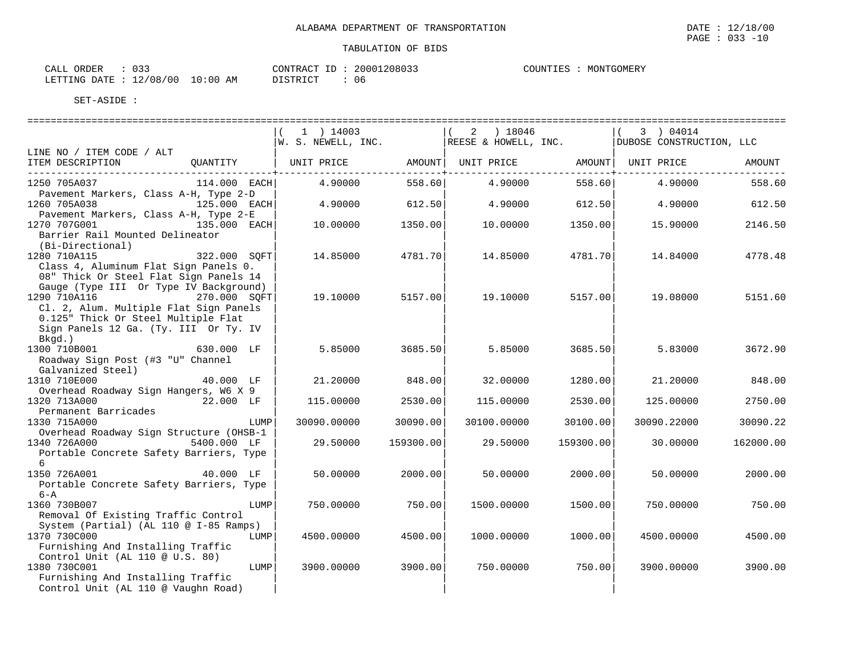|                                                                                                                                                               |                | $1$ ) 14003<br>$ w. s.$ NEWELL, INC. $ RESE \& HOWELL, INC.$            |           | ) 18046<br>2 |           | 3 ) 04014<br>DUBOSE CONSTRUCTION, LLC |           |
|---------------------------------------------------------------------------------------------------------------------------------------------------------------|----------------|-------------------------------------------------------------------------|-----------|--------------|-----------|---------------------------------------|-----------|
| LINE NO / ITEM CODE / ALT                                                                                                                                     |                |                                                                         |           |              |           |                                       |           |
| ITEM DESCRIPTION                                                                                                                                              |                | QUANTITY   UNIT PRICE       AMOUNT  UNIT PRICE       AMOUNT  UNIT PRICE |           |              |           |                                       | AMOUNT    |
| 1250 705A037<br>Pavement Markers, Class A-H, Type 2-D                                                                                                         | $114.000$ EACH | 4.90000                                                                 | 558.60    | 4.90000      | 558.60    | 4.90000                               | 558.60    |
| 1260 705A038<br>Pavement Markers, Class A-H, Type 2-E                                                                                                         | 125.000 EACH   | 4.90000                                                                 | 612.50    | 4.90000      | 612.50    | 4.90000                               | 612.50    |
| 1270 707G001<br>Barrier Rail Mounted Delineator<br>(Bi-Directional)                                                                                           | 135.000 EACH   | 10.00000                                                                | 1350.00   | 10.00000     | 1350.00   | 15.90000                              | 2146.50   |
| 1280 710A115<br>Class 4, Aluminum Flat Sign Panels 0.<br>08" Thick Or Steel Flat Sign Panels 14<br>Gauge (Type III Or Type IV Background)                     | 322.000 SOFT   | 14.85000                                                                | 4781.70   | 14.85000     | 4781.70   | 14.84000                              | 4778.48   |
| 1290 710A116 270.000 SQFT<br>Cl. 2, Alum. Multiple Flat Sign Panels<br>0.125" Thick Or Steel Multiple Flat<br>Sign Panels 12 Ga. (Ty. III Or Ty. IV<br>Bkgd.) |                | 19.10000                                                                | 5157.00   | 19.10000     | 5157.00   | 19.08000                              | 5151.60   |
| 1300 710B001<br>Roadway Sign Post (#3 "U" Channel<br>Galvanized Steel)                                                                                        | 630.000 LF     | 5.85000                                                                 | 3685.50   | 5.85000      | 3685.50   | 5.83000                               | 3672.90   |
| 1310 710E000<br>Overhead Roadway Sign Hangers, W6 X 9                                                                                                         | 40.000 LF      | 21,20000                                                                | 848.00    | 32.00000     | 1280.00   | 21,20000                              | 848.00    |
| 1320 713A000<br>Permanent Barricades                                                                                                                          | 22.000 LF      | 115.00000                                                               | 2530.00   | 115.00000    | 2530.00   | 125.00000                             | 2750.00   |
| 1330 715A000<br>Overhead Roadway Sign Structure (OHSB-1                                                                                                       | LUMP           | 30090.00000                                                             | 30090.00  | 30100.00000  | 30100.00  | 30090.22000                           | 30090.22  |
| 1340 726A000<br>Portable Concrete Safety Barriers, Type<br>6                                                                                                  | 5400.000 LF    | 29.50000                                                                | 159300.00 | 29.50000     | 159300.00 | 30.00000                              | 162000.00 |
| 1350 726A001<br>Portable Concrete Safety Barriers, Type<br>$6 - A$                                                                                            | 40.000 LF      | 50.00000                                                                | 2000.00   | 50.00000     | 2000.00   | 50.00000                              | 2000.00   |
| 1360 730B007<br>Removal Of Existing Traffic Control<br>System (Partial) (AL 110 @ I-85 Ramps)                                                                 | LUMP           | 750.00000                                                               | 750.00    | 1500.00000   | 1500.00   | 750.00000                             | 750.00    |
| 1370 730C000<br>Furnishing And Installing Traffic<br>Control Unit (AL 110 @ U.S. 80)                                                                          | LUMP           | 4500.00000                                                              | 4500.00   | 1000.00000   | 1000.00   | 4500.00000                            | 4500.00   |
| 1380 730C001<br>Furnishing And Installing Traffic<br>Control Unit (AL 110 @ Vaughn Road)                                                                      | LUMP           | 3900.00000                                                              | 3900.00   | 750.00000    | 750.00    | 3900.00000                            | 3900.00   |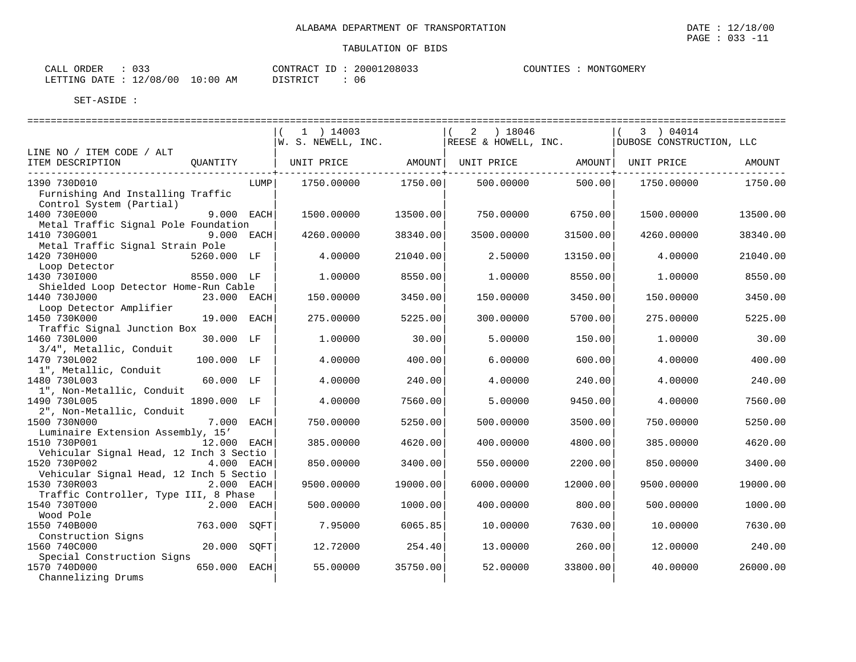| $\cap$ $\cap$<br>ORDER<br>CALL<br>. ت ب |          | CONTRACT ID: 20001208033 | COUNTIES | MONTGOMERY |
|-----------------------------------------|----------|--------------------------|----------|------------|
| LETTING DATE : 12/08/00 10:00 AM        | DISTRICT | 06                       |          |            |

|                                                       |              |      | 1 ) 14003<br>$ W.$ S. NEWELL, INC. |          | 2 ) 18046<br>REESE & HOWELL, INC. |          | 3 ) 04014<br>DUBOSE CONSTRUCTION, LLC |          |
|-------------------------------------------------------|--------------|------|------------------------------------|----------|-----------------------------------|----------|---------------------------------------|----------|
| LINE NO / ITEM CODE / ALT                             |              |      |                                    |          |                                   |          |                                       |          |
| ITEM DESCRIPTION                                      | OUANTITY     |      | UNIT PRICE                         | AMOUNT   | UNIT PRICE                        | AMOUNT   | UNIT PRICE                            | AMOUNT   |
| 1390 730D010                                          |              | LUMP | 1750.00000                         | 1750.00  | 500.00000                         | 500.00   | 1750.00000                            | 1750.00  |
| Furnishing And Installing Traffic                     |              |      |                                    |          |                                   |          |                                       |          |
| Control System (Partial)<br>1400 730E000              | 9.000 EACH   |      | 1500.00000                         | 13500.00 | 750.00000                         | 6750.00  | 1500.00000                            | 13500.00 |
| Metal Traffic Signal Pole Foundation                  |              |      |                                    |          |                                   |          |                                       |          |
| 1410 730G001                                          | 9.000 EACH   |      | 4260.00000                         | 38340.00 | 3500.00000                        | 31500.00 | 4260.00000                            | 38340.00 |
| Metal Traffic Signal Strain Pole                      |              |      |                                    |          |                                   |          |                                       |          |
| 1420 730H000                                          | 5260.000 LF  |      | 4.00000                            | 21040.00 | 2.50000                           | 13150.00 | 4.00000                               | 21040.00 |
| Loop Detector                                         |              |      |                                    |          |                                   |          |                                       |          |
| 1430 730I000                                          | 8550.000 LF  |      | 1,00000                            | 8550.00  | 1,00000                           | 8550.00  | 1,00000                               | 8550.00  |
| Shielded Loop Detector Home-Run Cable                 |              |      |                                    |          |                                   |          |                                       |          |
| 1440 730J000                                          | 23.000 EACH  |      | 150.00000                          | 3450.00  | 150.00000                         | 3450.00  | 150.00000                             | 3450.00  |
| Loop Detector Amplifier                               |              |      |                                    |          |                                   |          |                                       |          |
| 1450 730K000                                          | 19.000 EACH  |      | 275.00000                          | 5225.00  | 300.00000                         | 5700.00  | 275.00000                             | 5225.00  |
| Traffic Signal Junction Box                           |              |      |                                    |          |                                   |          |                                       |          |
| 1460 730L000                                          | 30.000 LF    |      | 1,00000                            | 30.00    | 5.00000                           | 150.00   | 1,00000                               | 30.00    |
| 3/4", Metallic, Conduit                               |              |      |                                    |          |                                   |          |                                       |          |
| 1470 730L002                                          | 100.000 LF   |      | 4.00000                            | 400.00   | 6.00000                           | 600.00   | 4.00000                               | 400.00   |
| 1", Metallic, Conduit                                 |              |      |                                    |          |                                   |          |                                       |          |
| 1480 730L003                                          | 60.000 LF    |      | 4.00000                            | 240.00   | 4.00000                           | 240.00   | 4.00000                               | 240.00   |
| 1", Non-Metallic, Conduit                             |              |      |                                    |          |                                   |          |                                       |          |
| 1490 730L005                                          | 1890.000 LF  |      | 4.00000                            | 7560.00  | 5.00000                           | 9450.00  | 4.00000                               | 7560.00  |
| 2", Non-Metallic, Conduit                             |              |      |                                    |          |                                   |          |                                       |          |
| 1500 730N000                                          | 7.000 EACH   |      | 750.00000                          | 5250.00  | 500.00000                         | 3500.00  | 750.00000                             | 5250.00  |
| Luminaire Extension Assembly, 15'                     |              |      |                                    |          |                                   |          |                                       |          |
| 1510 730P001                                          | 12.000 EACH  |      | 385.00000                          | 4620.00  | 400.00000                         | 4800.00  | 385.00000                             | 4620.00  |
| Vehicular Signal Head, 12 Inch 3 Sectio               |              |      |                                    |          |                                   |          |                                       |          |
| 1520 730P002                                          | 4.000 EACH   |      | 850.00000                          | 3400.00  | 550.00000                         | 2200.00  | 850.00000                             | 3400.00  |
| Vehicular Signal Head, 12 Inch 5 Sectio               |              |      |                                    |          |                                   |          |                                       |          |
| 1530 730R003                                          | 2.000 EACH   |      | 9500.00000                         | 19000.00 | 6000.00000                        | 12000.00 | 9500.00000                            | 19000.00 |
| Traffic Controller, Type III, 8 Phase<br>1540 730T000 | $2.000$ EACH |      | 500.00000                          |          |                                   | 800.00   | 500.00000                             | 1000.00  |
| Wood Pole                                             |              |      |                                    | 1000.00  | 400.00000                         |          |                                       |          |
| 1550 740B000                                          | 763.000 SOFT |      | 7.95000                            | 6065.85  | 10.00000                          | 7630.00  | 10.00000                              | 7630.00  |
| Construction Signs                                    |              |      |                                    |          |                                   |          |                                       |          |
| 1560 740C000                                          | 20.000 SOFT  |      | 12.72000                           | 254.40   | 13.00000                          | 260.00   | 12.00000                              | 240.00   |
| Special Construction Signs                            |              |      |                                    |          |                                   |          |                                       |          |
| 1570 740D000                                          | 650.000 EACH |      | 55.00000                           | 35750.00 | 52.00000                          | 33800.00 | 40.00000                              | 26000.00 |
| Channelizing Drums                                    |              |      |                                    |          |                                   |          |                                       |          |
|                                                       |              |      |                                    |          |                                   |          |                                       |          |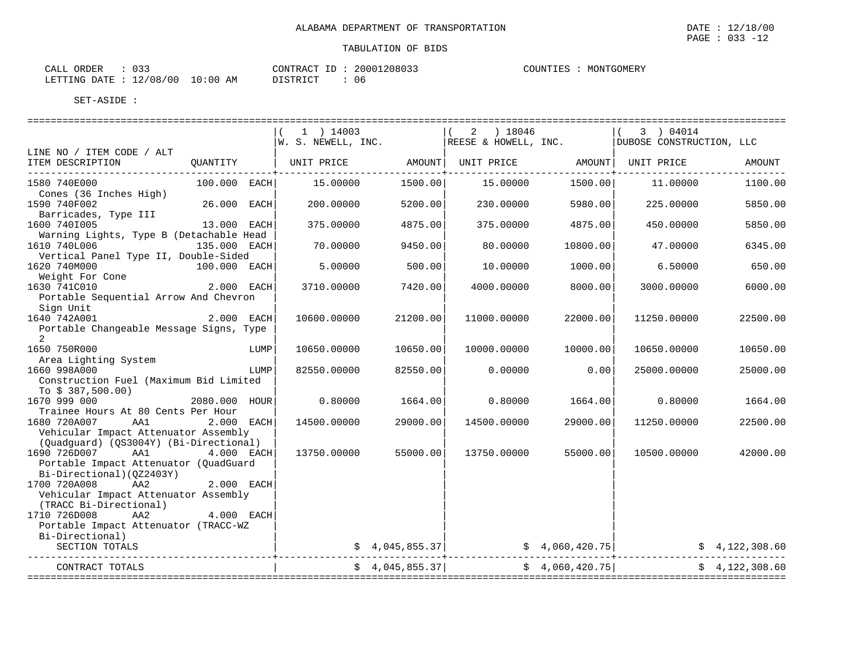| CALL ORDER                       | 033 |          | CONTRACT ID: 20001208033 | COUNTIES : | MONTGOMERY |
|----------------------------------|-----|----------|--------------------------|------------|------------|
| LETTING DATE : 12/08/00 10:00 AM |     | DISTRICT |                          |            |            |

|                                                                                                                                                  | $1$ ) 14003<br> W. S. NEWELL, INC.                          |                 | $(2)$ 18046<br>REESE & HOWELL, INC. |                 | 3 ) 04014<br>DUBOSE CONSTRUCTION, LLC                                                     |                |
|--------------------------------------------------------------------------------------------------------------------------------------------------|-------------------------------------------------------------|-----------------|-------------------------------------|-----------------|-------------------------------------------------------------------------------------------|----------------|
| LINE NO / ITEM CODE / ALT                                                                                                                        |                                                             |                 |                                     |                 |                                                                                           |                |
| ITEM DESCRIPTION                                                                                                                                 | QUANTITY   UNIT PRICE AMOUNT  UNIT PRICE AMOUNT  UNIT PRICE |                 |                                     |                 |                                                                                           | AMOUNT         |
| 1580 740E000<br>100.000 EACH<br>Cones (36 Inches High)                                                                                           | 15,00000                                                    | 1500.00         | 15.00000                            | 1500.00         | 11.00000                                                                                  | 1100.00        |
| 1590 740F002<br>26.000 EACH<br>Barricades, Type III                                                                                              | 200.00000                                                   | 5200.00         | 230.00000                           | 5980.00         | 225.00000                                                                                 | 5850.00        |
| 1600 7401005<br>13.000 EACH<br>Warning Lights, Type B (Detachable Head                                                                           | 375.00000                                                   | 4875.00         | 375,00000                           | 4875.00         | 450.00000                                                                                 | 5850.00        |
| 1610 740L006<br>135.000 EACH<br>Vertical Panel Type II, Double-Sided                                                                             | 70.00000                                                    | 9450.00         | 80.00000                            | 10800.00        | 47.00000                                                                                  | 6345.00        |
| 1620 740M000<br>100.000 EACH<br>Weight For Cone                                                                                                  | 5.00000                                                     | 500.00          | 10.00000                            | 1000.00         | 6.50000                                                                                   | 650.00         |
| 1630 741C010<br>2.000 EACH                                                                                                                       | 3710.00000                                                  | 7420.00         | 4000.00000                          | 8000.00         | 3000.00000                                                                                | 6000.00        |
| Portable Sequential Arrow And Chevron<br>Sign Unit                                                                                               |                                                             |                 |                                     |                 |                                                                                           |                |
| 1640 742A001<br>2.000 EACH<br>Portable Changeable Message Signs, Type                                                                            | 10600.00000                                                 | 21200.00        | 11000.00000                         | 22000.00        | 11250.00000                                                                               | 22500.00       |
| 2<br>1650 750R000<br>LUMP                                                                                                                        | 10650.00000                                                 | 10650.00        | 10000.00000                         | 10000.00        | 10650.00000                                                                               | 10650.00       |
| Area Lighting System<br>1660 998A000<br>LUMP                                                                                                     | 82550.00000                                                 | 82550.00        | 0.00000                             | 0.00            | 25000.00000                                                                               | 25000.00       |
| Construction Fuel (Maximum Bid Limited<br>To $$387,500.00)$                                                                                      |                                                             |                 |                                     |                 |                                                                                           |                |
| 1670 999 000<br>2080.000 HOUR<br>Trainee Hours At 80 Cents Per Hour                                                                              | 0.80000                                                     | 1664.00         | 0.80000                             | 1664.00         | 0.80000                                                                                   | 1664.00        |
| 1680 720A007<br>AA1<br>2.000 EACH<br>Vehicular Impact Attenuator Assembly                                                                        | 14500.00000                                                 | 29000.00        | 14500.00000                         | 29000.00        | 11250.00000                                                                               | 22500.00       |
| (Quadguard) (QS3004Y) (Bi-Directional)<br>1690 726D007<br>AA1<br>4.000 EACH<br>Portable Impact Attenuator (QuadGuard<br>Bi-Directional)(0Z2403Y) | 13750.00000                                                 | 55000.00        | 13750.00000                         | 55000.00        | 10500.00000                                                                               | 42000.00       |
| 1700 720A008<br>AA <sub>2</sub><br>2.000 EACH<br>Vehicular Impact Attenuator Assembly<br>(TRACC Bi-Directional)                                  |                                                             |                 |                                     |                 |                                                                                           |                |
| 1710 726D008<br>AA2<br>4.000 EACH<br>Portable Impact Attenuator (TRACC-WZ                                                                        |                                                             |                 |                                     |                 |                                                                                           |                |
| Bi-Directional)<br>SECTION TOTALS                                                                                                                |                                                             |                 |                                     |                 | $\frac{1}{2}$ \$ 4,045,855.37 $\frac{1}{2}$ \$ 4,060,420.75 $\frac{1}{2}$ \$ 4,122,308.60 |                |
| CONTRACT TOTALS                                                                                                                                  |                                                             | \$4,045,855.37] |                                     | \$4,060,420.75] |                                                                                           | \$4,122,308.60 |

 $\overline{\text{PAGE}}$  : 033 -12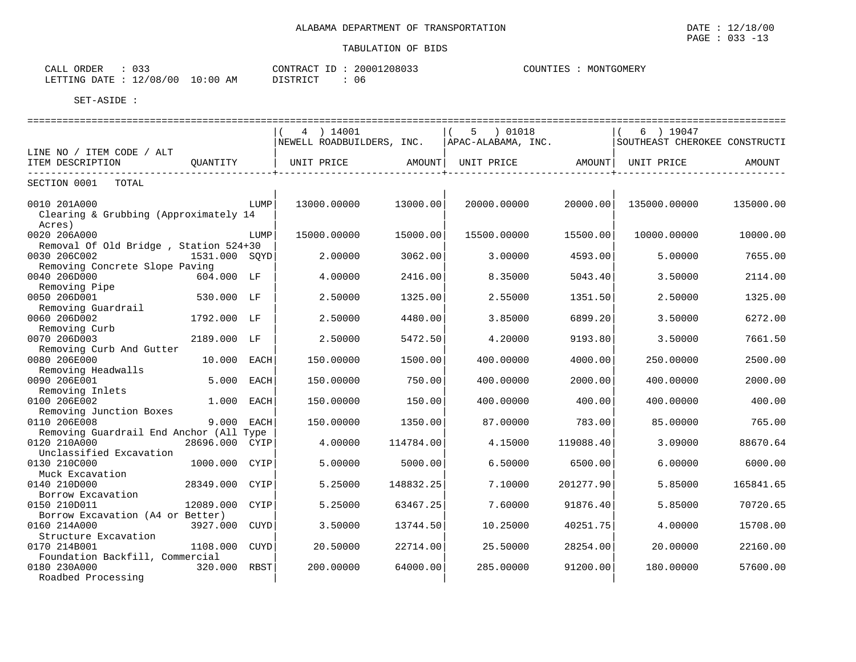| $\sim$ $\sim$ $\sim$<br>ORDER<br>CALL |             | CONTRACT ID: | 20001208033 | COUNTIES<br>MONTGOMERY |
|---------------------------------------|-------------|--------------|-------------|------------------------|
| 12/08/00<br>LETTING DATE              | 10:00<br>AΜ | DISTRICT     | 06          |                        |

|                                                         |               |             | 4 ) 14001                 |           | 5 ) 01018          |           | 6 ) 19047                     |           |
|---------------------------------------------------------|---------------|-------------|---------------------------|-----------|--------------------|-----------|-------------------------------|-----------|
|                                                         |               |             | NEWELL ROADBUILDERS, INC. |           | APAC-ALABAMA, INC. |           | SOUTHEAST CHEROKEE CONSTRUCTI |           |
| LINE NO / ITEM CODE / ALT                               |               |             |                           |           |                    |           |                               |           |
| ITEM DESCRIPTION                                        | QUANTITY      |             | UNIT PRICE                | AMOUNT    | UNIT PRICE         |           | AMOUNT  UNIT PRICE            | AMOUNT    |
|                                                         |               |             |                           |           |                    |           |                               |           |
| SECTION 0001<br>TOTAL                                   |               |             |                           |           |                    |           |                               |           |
| 0010 201A000                                            |               | LUMP        | 13000.00000               | 13000.00  |                    | 20000.00  | 135000.00000                  | 135000.00 |
| Clearing & Grubbing (Approximately 14                   |               |             |                           |           | 20000.00000        |           |                               |           |
| Acres)                                                  |               |             |                           |           |                    |           |                               |           |
| 0020 206A000                                            |               | LUMP        | 15000.00000               | 15000.00  | 15500.00000        | 15500.00  | 10000.00000                   | 10000.00  |
| Removal Of Old Bridge, Station 524+30                   |               |             |                           |           |                    |           |                               |           |
| 0030 206C002                                            | 1531.000 SOYD |             | 2.00000                   | 3062.00   | 3.00000            | 4593.00   | 5.00000                       | 7655.00   |
| Removing Concrete Slope Paving                          |               |             |                           |           |                    |           |                               |           |
| 0040 206D000                                            | 604.000 LF    |             | 4.00000                   | 2416.00   | 8.35000            | 5043.40   | 3.50000                       | 2114.00   |
| Removing Pipe                                           |               |             |                           |           |                    |           |                               |           |
| 0050 206D001                                            | 530.000 LF    |             | 2.50000                   | 1325.00   | 2.55000            | 1351.50   | 2.50000                       | 1325.00   |
| Removing Guardrail                                      |               |             |                           |           |                    |           |                               |           |
| 0060 206D002                                            | 1792.000 LF   |             | 2.50000                   | 4480.00   | 3.85000            | 6899.20   | 3.50000                       | 6272.00   |
| Removing Curb                                           |               |             |                           |           |                    |           |                               |           |
| 0070 206D003                                            | 2189.000 LF   |             | 2.50000                   | 5472.50   | 4.20000            | 9193.80   | 3.50000                       | 7661.50   |
| Removing Curb And Gutter                                |               |             |                           |           |                    |           |                               |           |
| 0080 206E000                                            | 10.000 EACH   |             | 150.00000                 | 1500.00   | 400.00000          | 4000.00   | 250.00000                     | 2500.00   |
| Removing Headwalls                                      |               |             |                           |           |                    |           |                               |           |
| 0090 206E001                                            | 5.000         | EACH        | 150.00000                 | 750.00    | 400.00000          | 2000.00   | 400.00000                     | 2000.00   |
| Removing Inlets                                         |               |             |                           |           |                    |           |                               |           |
| 0100 206E002                                            | 1.000 EACH    |             | 150.00000                 | 150.00    | 400.00000          | 400.00    | 400.00000                     | 400.00    |
| Removing Junction Boxes                                 | 9.000 EACH    |             |                           |           |                    |           |                               |           |
| 0110 206E008                                            |               |             | 150.00000                 | 1350.00   | 87.00000           | 783.00    | 85.00000                      | 765.00    |
| Removing Guardrail End Anchor (All Type<br>0120 210A000 | 28696.000     | CYIP        | 4.00000                   | 114784.00 | 4.15000            | 119088.40 | 3.09000                       | 88670.64  |
| Unclassified Excavation                                 |               |             |                           |           |                    |           |                               |           |
| 0130 210C000                                            | 1000.000 CYIP |             | 5.00000                   | 5000.00   | 6.50000            | 6500.00   | 6.00000                       | 6000.00   |
| Muck Excavation                                         |               |             |                           |           |                    |           |                               |           |
| 0140 210D000                                            | 28349.000     | CYIP        | 5.25000                   | 148832.25 | 7.10000            | 201277.90 | 5.85000                       | 165841.65 |
| Borrow Excavation                                       |               |             |                           |           |                    |           |                               |           |
| 0150 210D011                                            | 12089.000     | CYIP        | 5.25000                   | 63467.25  | 7.60000            | 91876.40  | 5.85000                       | 70720.65  |
| Borrow Excavation (A4 or Better)                        |               |             |                           |           |                    |           |                               |           |
| 0160 214A000                                            | 3927.000 CUYD |             | 3.50000                   | 13744.50  | 10.25000           | 40251.75  | 4.00000                       | 15708.00  |
| Structure Excavation                                    |               |             |                           |           |                    |           |                               |           |
| 0170 214B001                                            | 1108.000      | <b>CUYD</b> | 20.50000                  | 22714.00  | 25.50000           | 28254.00  | 20.00000                      | 22160.00  |
| Foundation Backfill, Commercial                         |               |             |                           |           |                    |           |                               |           |
| 0180 230A000                                            | 320.000       | RBST        | 200.00000                 | 64000.00  | 285,00000          | 91200.00  | 180.00000                     | 57600.00  |
| Roadbed Processing                                      |               |             |                           |           |                    |           |                               |           |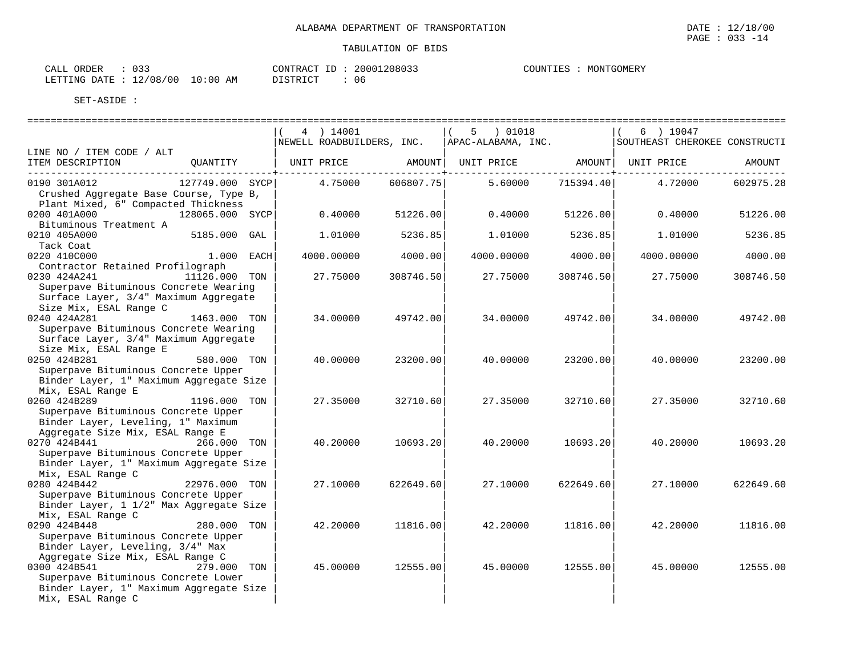| CALL ORDER                       | 033 |          | CONTRACT ID: 20001208033 | COUNTIES : | MONTGOMERY |
|----------------------------------|-----|----------|--------------------------|------------|------------|
| LETTING DATE : 12/08/00 10:00 AM |     | DISTRICT |                          |            |            |

|                                                  |                 |            |           |                                                |                                     | ===============               |           |
|--------------------------------------------------|-----------------|------------|-----------|------------------------------------------------|-------------------------------------|-------------------------------|-----------|
|                                                  |                 | 4 ) 14001  |           | $(5)$ 01018                                    |                                     | $6$ ) 19047                   |           |
|                                                  |                 |            |           | NEWELL ROADBUILDERS, INC.   APAC-ALABAMA, INC. |                                     | SOUTHEAST CHEROKEE CONSTRUCTI |           |
| LINE NO / ITEM CODE / ALT<br>ITEM DESCRIPTION    | OUANTITY        | UNIT PRICE | AMOUNT    | UNIT PRICE                                     |                                     | AMOUNT UNIT PRICE             | AMOUNT    |
|                                                  |                 |            |           |                                                | . - - - - - - - - - + - - - - - - . |                               |           |
| 0190 301A012                                     | 127749.000 SYCP | 4.75000    | 606807.75 | 5.60000                                        | 715394.40                           | 4.72000                       | 602975.28 |
| Crushed Aggregate Base Course, Type B,           |                 |            |           |                                                |                                     |                               |           |
| Plant Mixed, 6" Compacted Thickness              |                 |            |           |                                                |                                     |                               |           |
| 0200 401A000                                     | 128065.000 SYCP | 0.40000    | 51226.00  | 0.40000                                        | 51226.00                            | 0.40000                       | 51226.00  |
| Bituminous Treatment A                           |                 |            |           |                                                |                                     |                               |           |
| 0210 405A000                                     | 5185.000 GAL    | 1.01000    | 5236.85   | 1.01000                                        | 5236.85                             | 1.01000                       | 5236.85   |
| Tack Coat                                        |                 |            |           |                                                |                                     |                               |           |
| 0220 410C000<br>Contractor Retained Profilograph | 1.000 EACH      | 4000.00000 | 4000.00   | 4000.00000                                     | 4000.00                             | 4000.00000                    | 4000.00   |
| 0230 424A241                                     | 11126.000 TON   | 27.75000   | 308746.50 | 27.75000                                       | 308746.50                           | 27.75000                      | 308746.50 |
| Superpave Bituminous Concrete Wearing            |                 |            |           |                                                |                                     |                               |           |
| Surface Layer, 3/4" Maximum Aggregate            |                 |            |           |                                                |                                     |                               |           |
| Size Mix, ESAL Range C                           |                 |            |           |                                                |                                     |                               |           |
| 0240 424A281                                     | 1463.000 TON    | 34.00000   | 49742.00  | 34.00000                                       | 49742.00                            | 34,00000                      | 49742.00  |
| Superpave Bituminous Concrete Wearing            |                 |            |           |                                                |                                     |                               |           |
| Surface Layer, 3/4" Maximum Aggregate            |                 |            |           |                                                |                                     |                               |           |
| Size Mix, ESAL Range E                           |                 |            |           |                                                |                                     |                               |           |
| 0250 424B281                                     | 580.000 TON     | 40.00000   | 23200.00  | 40.00000                                       | 23200.00                            | 40.00000                      | 23200.00  |
| Superpave Bituminous Concrete Upper              |                 |            |           |                                                |                                     |                               |           |
| Binder Layer, 1" Maximum Aggregate Size          |                 |            |           |                                                |                                     |                               |           |
| Mix, ESAL Range E<br>0260 424B289                | 1196.000 TON    | 27.35000   | 32710.60  | 27.35000                                       | 32710.60                            | 27.35000                      | 32710.60  |
| Superpave Bituminous Concrete Upper              |                 |            |           |                                                |                                     |                               |           |
| Binder Layer, Leveling, 1" Maximum               |                 |            |           |                                                |                                     |                               |           |
| Aggregate Size Mix, ESAL Range E                 |                 |            |           |                                                |                                     |                               |           |
| 0270 424B441 266.000 TON                         |                 | 40.20000   | 10693.20  | 40.20000                                       | 10693.20                            | 40.20000                      | 10693.20  |
| Superpave Bituminous Concrete Upper              |                 |            |           |                                                |                                     |                               |           |
| Binder Layer, 1" Maximum Aggregate Size          |                 |            |           |                                                |                                     |                               |           |
| Mix, ESAL Range C                                |                 |            |           |                                                |                                     |                               |           |
| 0280 424B442                                     | 22976.000 TON   | 27.10000   | 622649.60 | 27.10000                                       | 622649.60                           | 27.10000                      | 622649.60 |
| Superpave Bituminous Concrete Upper              |                 |            |           |                                                |                                     |                               |           |
| Binder Layer, 1 1/2" Max Aggregate Size          |                 |            |           |                                                |                                     |                               |           |
| Mix, ESAL Range C<br>0290 424B448                | 280.000 TON     | 42.20000   | 11816.00  | 42.20000                                       |                                     | 42.20000                      | 11816.00  |
| Superpave Bituminous Concrete Upper              |                 |            |           |                                                | 11816.00                            |                               |           |
| Binder Layer, Leveling, 3/4" Max                 |                 |            |           |                                                |                                     |                               |           |
| Aggregate Size Mix, ESAL Range C                 |                 |            |           |                                                |                                     |                               |           |
| 0300 424B541                                     | 279.000 TON     | 45.00000   | 12555.00  | 45.00000                                       | 12555.00                            | 45.00000                      | 12555.00  |
| Superpave Bituminous Concrete Lower              |                 |            |           |                                                |                                     |                               |           |
| Binder Layer, 1" Maximum Aggregate Size          |                 |            |           |                                                |                                     |                               |           |
| Mix, ESAL Range C                                |                 |            |           |                                                |                                     |                               |           |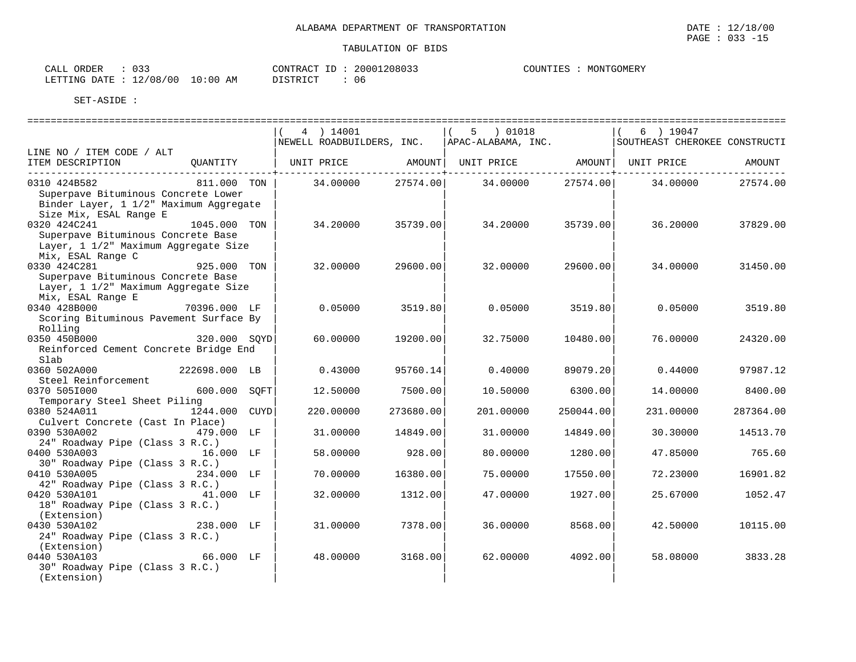|                                                |               | 4 ) 14001                                                                                  |           | 5 ) 01018          |            | 6 ) 19047                     |           |
|------------------------------------------------|---------------|--------------------------------------------------------------------------------------------|-----------|--------------------|------------|-------------------------------|-----------|
|                                                |               | NEWELL ROADBUILDERS, INC.                                                                  |           | APAC-ALABAMA, INC. |            | SOUTHEAST CHEROKEE CONSTRUCTI |           |
| LINE NO / ITEM CODE / ALT<br>ITEM DESCRIPTION  | OUANTITY      |                                                                                            |           |                    |            |                               |           |
|                                                |               | UNIT PRICE                  AMOUNT     UNIT PRICE                    AMOUNT     UNIT PRICE |           |                    | --------+- |                               | AMOUNT    |
| 0310 424B582                                   | 811.000 TON   | 34.00000 27574.00                                                                          |           | 34.00000           | 27574.00   | 34.00000                      | 27574.00  |
| Superpave Bituminous Concrete Lower            |               |                                                                                            |           |                    |            |                               |           |
| Binder Layer, 1 1/2" Maximum Aggregate         |               |                                                                                            |           |                    |            |                               |           |
| Size Mix, ESAL Range E                         |               |                                                                                            |           |                    |            |                               |           |
| 0320 424C241                                   | 1045.000 TON  | 34.20000                                                                                   | 35739.00  | 34.20000           | 35739.00   | 36.20000                      | 37829.00  |
| Superpave Bituminous Concrete Base             |               |                                                                                            |           |                    |            |                               |           |
| Layer, 1 1/2" Maximum Aggregate Size           |               |                                                                                            |           |                    |            |                               |           |
| Mix, ESAL Range C                              |               |                                                                                            |           |                    |            |                               |           |
| 0330 424C281                                   | 925.000 TON   | 32,00000                                                                                   | 29600.00  | 32.00000           | 29600.00   | 34.00000                      | 31450.00  |
| Superpave Bituminous Concrete Base             |               |                                                                                            |           |                    |            |                               |           |
| Layer, 1 1/2" Maximum Aggregate Size           |               |                                                                                            |           |                    |            |                               |           |
| Mix, ESAL Range E                              |               |                                                                                            |           |                    |            |                               |           |
| 0340 428B000                                   | 70396.000 LF  | 0.05000                                                                                    | 3519.80   | 0.05000            | 3519.80    | 0.05000                       | 3519.80   |
| Scoring Bituminous Pavement Surface By         |               |                                                                                            |           |                    |            |                               |           |
| Rolling<br>0350 450B000                        | 320.000 SOYD  | 60,00000                                                                                   | 19200.00  | 32.75000           | 10480.00   | 76.00000                      | 24320.00  |
| Reinforced Cement Concrete Bridge End          |               |                                                                                            |           |                    |            |                               |           |
| Slab                                           |               |                                                                                            |           |                    |            |                               |           |
| 0360 502A000 222698.000 LB                     |               | 0.43000                                                                                    | 95760.14  | 0.40000            | 89079.20   | 0.44000                       | 97987.12  |
| Steel Reinforcement                            |               |                                                                                            |           |                    |            |                               |           |
| 0370 505I000                                   | 600.000 SOFT  | 12.50000                                                                                   | 7500.00   | 10.50000           | 6300.00    | 14.00000                      | 8400.00   |
| Temporary Steel Sheet Piling                   |               |                                                                                            |           |                    |            |                               |           |
| 0380 524A011                                   | 1244.000 CUYD | 220,00000                                                                                  | 273680.00 | 201,00000          | 250044.00  | 231.00000                     | 287364.00 |
| Culvert Concrete (Cast In Place)               |               |                                                                                            |           |                    |            |                               |           |
| 0390 530A002                                   | 479.000 LF    | 31.00000                                                                                   | 14849.00  | 31.00000           | 14849.00   | 30.30000                      | 14513.70  |
| 24" Roadway Pipe (Class 3 R.C.)                |               |                                                                                            |           |                    |            |                               |           |
| 0400 530A003 16.000 LF                         |               | 58.00000                                                                                   | 928.00    | 80.00000           | 1280.00    | 47.85000                      | 765.60    |
| 30" Roadway Pipe (Class 3 R.C.)                |               |                                                                                            |           |                    |            |                               |           |
| 0410 530A005                                   | 234.000 LF    | 70.00000                                                                                   | 16380.00  | 75,00000           | 17550.00   | 72.23000                      | 16901.82  |
| 42" Roadway Pipe (Class 3 R.C.)                |               |                                                                                            |           |                    |            |                               |           |
| 0420 530A101                                   | 41.000 LF     | 32.00000                                                                                   | 1312.00   | 47.00000           | 1927.00    | 25.67000                      | 1052.47   |
| 18" Roadway Pipe (Class 3 R.C.)                |               |                                                                                            |           |                    |            |                               |           |
| (Extension)                                    |               |                                                                                            |           |                    |            |                               |           |
| 0430 530A102                                   | 238.000 LF    | 31.00000                                                                                   | 7378.00   | 36.00000           | 8568.00    | 42.50000                      | 10115.00  |
| 24" Roadway Pipe (Class 3 R.C.)                |               |                                                                                            |           |                    |            |                               |           |
| (Extension)<br>0440 530A103                    | 66.000 LF     |                                                                                            |           |                    |            |                               |           |
|                                                |               | 48.00000                                                                                   | 3168.00   | 62.00000           | 4092.00    | 58.08000                      | 3833.28   |
| 30" Roadway Pipe (Class 3 R.C.)<br>(Extension) |               |                                                                                            |           |                    |            |                               |           |
|                                                |               |                                                                                            |           |                    |            |                               |           |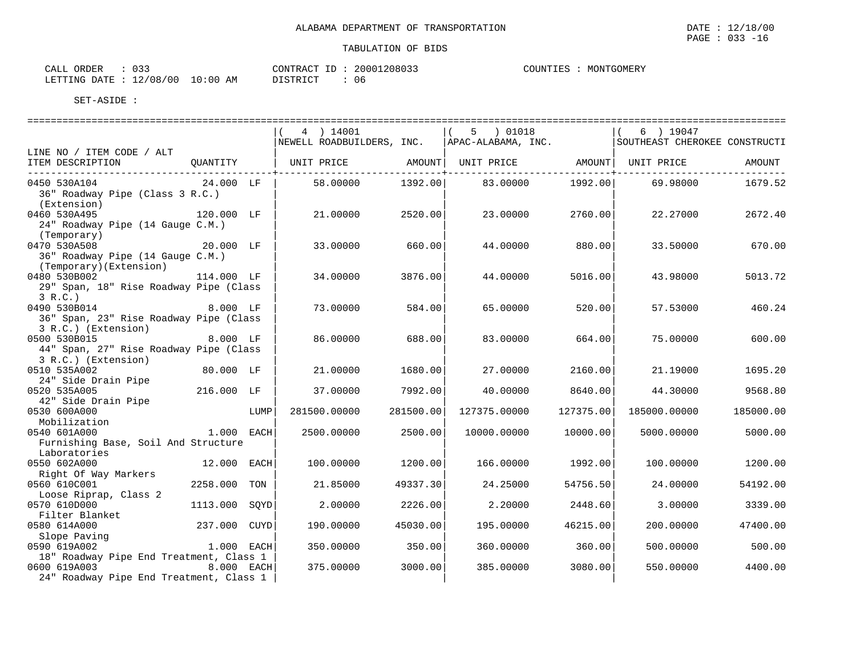| ORDER<br>CALL  | $\cap$ $\cap$<br><u>UJJ</u> | CONTRACT  | 20001208033 | ר <b>דוח</b> דורי<br>'ㅠㄷ | TGOMERY<br>MONT' |
|----------------|-----------------------------|-----------|-------------|--------------------------|------------------|
| LETTING DATE : | 10:00<br>12/08/00<br>ΆM     | DI STRICT | υe          |                          |                  |

|                                         |              |      | 4 ) 14001                                                    |           | 5 ) 01018    |           | 6 ) 19047                     |           |
|-----------------------------------------|--------------|------|--------------------------------------------------------------|-----------|--------------|-----------|-------------------------------|-----------|
|                                         |              |      | NEWELL ROADBUILDERS, INC.   APAC-ALABAMA, INC.               |           |              |           | SOUTHEAST CHEROKEE CONSTRUCTI |           |
| LINE NO / ITEM CODE / ALT               |              |      |                                                              |           |              |           |                               |           |
| ITEM DESCRIPTION                        | QUANTITY     |      | UNIT PRICE       AMOUNT  UNIT PRICE       AMOUNT  UNIT PRICE |           |              |           |                               | AMOUNT    |
|                                         |              |      |                                                              |           |              |           |                               |           |
| 0450 530A104                            | 24.000 LF    |      | 58.00000                                                     | 1392.00   | 83.00000     | 1992.00   | 69.98000                      | 1679.52   |
| 36" Roadway Pipe (Class 3 R.C.)         |              |      |                                                              |           |              |           |                               |           |
| (Extension)                             |              |      |                                                              |           |              |           |                               |           |
| 0460 530A495                            | 120.000 LF   |      | 21,00000                                                     | 2520.00   | 23.00000     | 2760.00   | 22,27000                      | 2672.40   |
| 24" Roadway Pipe (14 Gauge C.M.)        |              |      |                                                              |           |              |           |                               |           |
| (Temporary)                             |              |      |                                                              |           |              |           |                               |           |
| 0470 530A508                            | 20.000 LF    |      | 33.00000                                                     | 660.00    | 44.00000     | 880.00    | 33.50000                      | 670.00    |
| 36" Roadway Pipe (14 Gauge C.M.)        |              |      |                                                              |           |              |           |                               |           |
| (Temporary)(Extension)                  |              |      |                                                              |           |              |           |                               |           |
| 0480 530B002                            | 114.000 LF   |      | 34,00000                                                     | 3876.00   | 44.00000     | 5016.00   | 43.98000                      | 5013.72   |
| 29" Span, 18" Rise Roadway Pipe (Class  |              |      |                                                              |           |              |           |                               |           |
| 3 R.C.                                  |              |      |                                                              |           |              |           |                               |           |
| 8.000 LF<br>0490 530B014                |              |      | 73.00000                                                     | 584.00    | 65.00000     | 520.00    | 57.53000                      | 460.24    |
| 36" Span, 23" Rise Roadway Pipe (Class  |              |      |                                                              |           |              |           |                               |           |
| 3 R.C.) (Extension)                     |              |      |                                                              |           |              |           |                               |           |
| 0500 530B015                            | 8.000 LF     |      | 86,00000                                                     | 688.00    | 83.00000     | 664.00    | 75,00000                      | 600.00    |
| 44" Span, 27" Rise Roadway Pipe (Class  |              |      |                                                              |           |              |           |                               |           |
| 3 R.C.) (Extension)                     |              |      |                                                              |           |              |           |                               |           |
| 0510 535A002                            | 80.000 LF    |      | 21.00000                                                     | 1680.00   | 27.00000     | 2160.00   | 21.19000                      | 1695.20   |
| 24" Side Drain Pipe                     |              |      |                                                              |           |              |           |                               |           |
| 0520 535A005                            | 216.000 LF   |      | 37.00000                                                     | 7992.00   | 40.00000     | 8640.00   | 44.30000                      | 9568.80   |
| 42" Side Drain Pipe<br>0530 600A000     |              |      |                                                              |           |              |           |                               |           |
| Mobilization                            |              | LUMP | 281500.00000                                                 | 281500.00 | 127375.00000 | 127375.00 | 185000.00000                  | 185000.00 |
| 0540 601A000                            | 1.000 EACH   |      |                                                              |           |              |           |                               | 5000.00   |
| Furnishing Base, Soil And Structure     |              |      | 2500.00000                                                   | 2500.00   | 10000.00000  | 10000.00  | 5000.00000                    |           |
| Laboratories                            |              |      |                                                              |           |              |           |                               |           |
| 0550 602A000                            | 12.000 EACH  |      | 100.00000                                                    | 1200.00   | 166.00000    | 1992.00   | 100.00000                     | 1200.00   |
| Right Of Way Markers                    |              |      |                                                              |           |              |           |                               |           |
| 0560 610C001                            | 2258.000     | TON  | 21.85000                                                     | 49337.30  | 24.25000     | 54756.50  | 24,00000                      | 54192.00  |
| Loose Riprap, Class 2                   |              |      |                                                              |           |              |           |                               |           |
| 0570 610D000                            | 1113.000     | SOYD | 2.00000                                                      | 2226.00   | 2.20000      | 2448.60   | 3.00000                       | 3339.00   |
| Filter Blanket                          |              |      |                                                              |           |              |           |                               |           |
| 0580 614A000                            | 237.000 CUYD |      | 190.00000                                                    | 45030.00  | 195.00000    | 46215.00  | 200.00000                     | 47400.00  |
| Slope Paving                            |              |      |                                                              |           |              |           |                               |           |
| 0590 619A002                            | $1.000$ EACH |      | 350.00000                                                    | 350.00    | 360,00000    | 360.00    | 500,00000                     | 500.00    |
| 18" Roadway Pipe End Treatment, Class 1 |              |      |                                                              |           |              |           |                               |           |
| 0600 619A003                            | 8.000 EACH   |      | 375.00000                                                    | 3000.00   | 385.00000    | 3080.00   | 550.00000                     | 4400.00   |
| 24" Roadway Pipe End Treatment, Class 1 |              |      |                                                              |           |              |           |                               |           |
|                                         |              |      |                                                              |           |              |           |                               |           |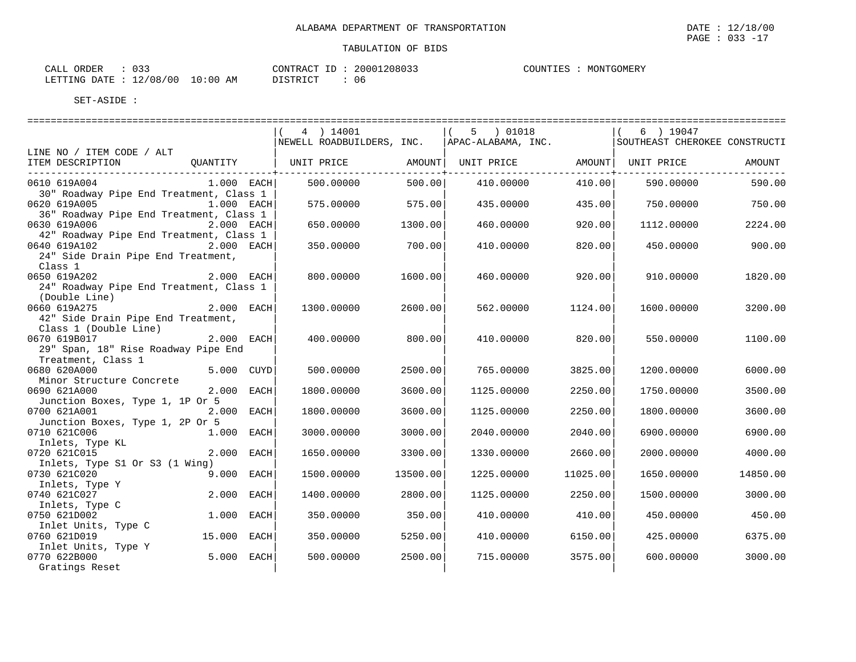| ORDER<br>CALL  |          |             | CONTRACT ID | 20001208033 | MONTGOMERY<br>COUNTIES |  |
|----------------|----------|-------------|-------------|-------------|------------------------|--|
| LETTING DATE : | 12/08/00 | 10:00<br>ΆM | חי התיפידת  | 06          |                        |  |

|                                                                                              | 4 ) 14001<br>NEWELL ROADBUILDERS, INC.               |                  | 5 ) 01018<br>$\vert$ (<br>APAC-ALABAMA, INC. |                | $(6)$ 19047<br>SOUTHEAST CHEROKEE CONSTRUCTI |          |
|----------------------------------------------------------------------------------------------|------------------------------------------------------|------------------|----------------------------------------------|----------------|----------------------------------------------|----------|
| LINE NO / ITEM CODE / ALT                                                                    |                                                      |                  |                                              |                |                                              |          |
| ITEM DESCRIPTION<br>QUANTITY<br>__________________________________                           | UNIT PRICE   AMOUNT  UNIT PRICE   AMOUNT  UNIT PRICE | ---------------- |                                              | -------------+ |                                              | AMOUNT   |
| 0610 619A004<br>$1.000$ EACH                                                                 | 500.00000                                            | 500.00           | 410.00000                                    | 410.00         | 590.00000                                    | 590.00   |
| 30" Roadway Pipe End Treatment, Class 1<br>0620 619A005<br>1.000 EACH                        | 575.00000                                            | 575.00           | 435.00000                                    | 435.00         | 750.00000                                    | 750.00   |
| 36" Roadway Pipe End Treatment, Class 1<br>0630 619A006<br>$2.000$ EACH                      | 650.00000                                            | 1300.00          | 460.00000                                    | 920.00         | 1112.00000                                   | 2224.00  |
| 42" Roadway Pipe End Treatment, Class 1<br>$2.000$ EACH<br>0640 619A102                      | 350.00000                                            | 700.00           | 410.00000                                    | 820.00         | 450.00000                                    | 900.00   |
| 24" Side Drain Pipe End Treatment,<br>Class 1                                                |                                                      |                  |                                              |                |                                              |          |
| 0650 619A202<br>$2.000$ EACH<br>24" Roadway Pipe End Treatment, Class 1                      | 800.00000                                            | 1600.00          | 460.00000                                    | 920.00         | 910.00000                                    | 1820.00  |
| (Double Line)<br>0660 619A275<br>$2.000$ EACH<br>42" Side Drain Pipe End Treatment,          | 1300.00000                                           | 2600.00          | 562.00000                                    | 1124.00        | 1600.00000                                   | 3200.00  |
| Class 1 (Double Line)<br>$2.000$ EACH<br>0670 619B017<br>29" Span, 18" Rise Roadway Pipe End | 400.00000                                            | 800.00           | 410.00000                                    | 820.00         | 550.00000                                    | 1100.00  |
| Treatment, Class 1<br>0680 620A000<br>5.000 CUYD                                             | 500.00000                                            | 2500.00          | 765.00000                                    | 3825.00        | 1200.00000                                   | 6000.00  |
| Minor Structure Concrete<br>2.000 EACH<br>0690 621A000                                       | 1800.00000                                           | 3600.00          | 1125.00000                                   | 2250.00        | 1750.00000                                   | 3500.00  |
| Junction Boxes, Type 1, 1P Or 5                                                              |                                                      |                  |                                              |                |                                              |          |
| 0700 621A001<br>2.000 EACH<br>Junction Boxes, Type 1, 2P Or 5                                | 1800.00000                                           | 3600.00          | 1125.00000                                   | 2250.00        | 1800.00000                                   | 3600.00  |
| 0710 621C006<br>1.000 EACH<br>Inlets, Type KL                                                | 3000.00000                                           | 3000.00          | 2040.00000                                   | 2040.00        | 6900.00000                                   | 6900.00  |
| 0720 621C015<br>2.000 EACH<br>Inlets, Type S1 Or S3 (1 Wing)                                 | 1650.00000                                           | 3300.00          | 1330.00000                                   | 2660.00        | 2000.00000                                   | 4000.00  |
| 0730 621C020<br>9.000 EACH                                                                   | 1500.00000                                           | 13500.00         | 1225.00000                                   | 11025.00       | 1650.00000                                   | 14850.00 |
| Inlets, Type Y<br>0740 621C027<br>2.000 EACH                                                 | 1400.00000                                           | 2800.00          | 1125.00000                                   | 2250.00        | 1500.00000                                   | 3000.00  |
| Inlets, Type C<br>0750 621D002<br>1.000 EACH                                                 | 350.00000                                            | 350.00           | 410.00000                                    | 410.00         | 450.00000                                    | 450.00   |
| Inlet Units, Type C<br>0760 621D019<br>15.000 EACH                                           | 350.00000                                            | 5250.00          | 410.00000                                    | 6150.00        | 425,00000                                    | 6375.00  |
| Inlet Units, Type Y<br>5.000 EACH<br>0770 622B000<br>Gratings Reset                          | 500.00000                                            | 2500.00          | 715.00000                                    | 3575.00        | 600.00000                                    | 3000.00  |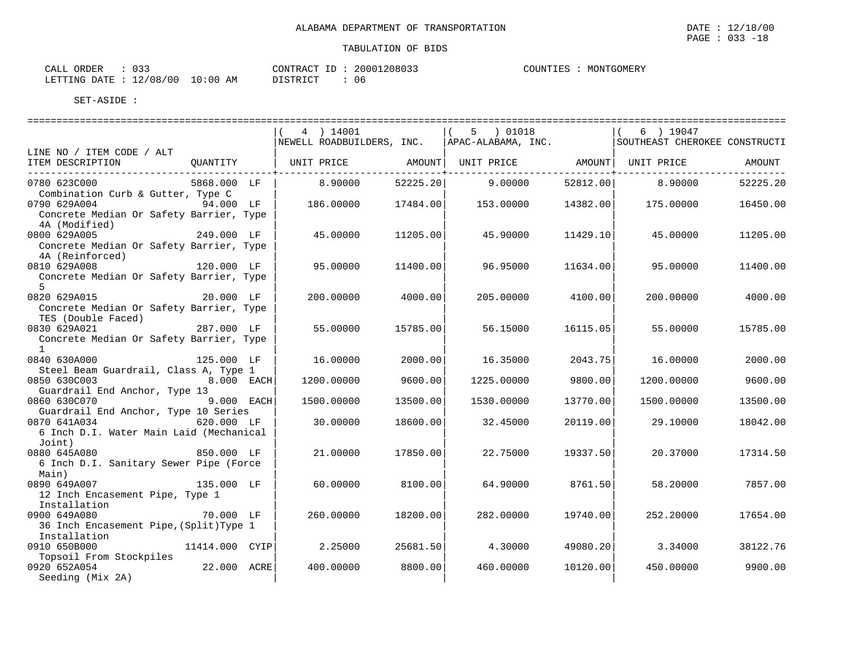| $\cap$ $\cap$<br>ORDER<br>CALL<br>. ت ب |          | CONTRACT ID: 20001208033 | COUNTIES | MONTGOMERY |
|-----------------------------------------|----------|--------------------------|----------|------------|
| LETTING DATE : 12/08/00 10:00 AM        | DISTRICT | 06                       |          |            |

|                                                                                                        |                   | 4 ) 14001<br>NEWELL ROADBUILDERS, INC.                              |          | $(5)$ 01018<br>APAC-ALABAMA, INC. |          | 6 ) 19047<br>SOUTHEAST CHEROKEE CONSTRUCTI |          |
|--------------------------------------------------------------------------------------------------------|-------------------|---------------------------------------------------------------------|----------|-----------------------------------|----------|--------------------------------------------|----------|
| LINE NO / ITEM CODE / ALT                                                                              |                   |                                                                     |          |                                   |          |                                            |          |
| ITEM DESCRIPTION                                                                                       |                   | OUANTITY   UNIT PRICE     AMOUNT  UNIT PRICE     AMOUNT  UNIT PRICE |          |                                   |          |                                            | AMOUNT   |
| 0780 623C000                                                                                           | 5868.000 LF       | 8.90000                                                             | 52225.20 | 9.00000                           | 52812.00 | 8,90000                                    | 52225.20 |
| Combination Curb & Gutter, Type C<br>0790 629A004 94.000 LF<br>Concrete Median Or Safety Barrier, Type |                   | 186.00000                                                           | 17484.00 | 153.00000                         | 14382.00 | 175.00000                                  | 16450.00 |
| 4A (Modified)<br>0800 629A005<br>Concrete Median Or Safety Barrier, Type                               | 249.000 LF        | 45.00000                                                            | 11205.00 | 45.90000                          | 11429.10 | 45.00000                                   | 11205.00 |
| 4A (Reinforced)<br>0810 629A008                                                                        | 120.000 LF        | 95.00000                                                            | 11400.00 | 96.95000                          | 11634.00 | 95.00000                                   | 11400.00 |
| Concrete Median Or Safety Barrier, Type<br>$5^{\circ}$                                                 |                   |                                                                     |          |                                   |          |                                            |          |
| 0820 629A015<br>Concrete Median Or Safety Barrier, Type<br>TES (Double Faced)                          | 20.000 LF         | 200.00000                                                           | 4000.00  | 205.00000                         | 4100.00  | 200,00000                                  | 4000.00  |
| 0830 629A021<br>Concrete Median Or Safety Barrier, Type                                                | 287.000 LF        | 55.00000                                                            | 15785.00 | 56.15000                          | 16115.05 | 55.00000                                   | 15785.00 |
| $\mathbf{1}$<br>0840 630A000                                                                           | 125.000 LF        | 16.00000                                                            | 2000.00  | 16.35000                          | 2043.75  | 16,00000                                   | 2000.00  |
| Steel Beam Guardrail, Class A, Type 1                                                                  |                   |                                                                     |          |                                   |          |                                            |          |
| 0850 630C003                                                                                           | <b>8.000 EACH</b> | 1200.00000                                                          | 9600.00  | 1225.00000                        | 9800.00  | 1200.00000                                 | 9600.00  |
| Guardrail End Anchor, Type 13                                                                          |                   |                                                                     |          |                                   |          |                                            |          |
| 0860 630C070                                                                                           | $9.000$ EACH      | 1500.00000                                                          | 13500.00 | 1530.00000                        | 13770.00 | 1500.00000                                 | 13500.00 |
| Guardrail End Anchor, Type 10 Series                                                                   |                   |                                                                     |          |                                   |          |                                            |          |
| 0870 641A034                                                                                           | 620.000 LF        | 30,00000                                                            | 18600.00 | 32.45000                          | 20119.00 | 29.10000                                   | 18042.00 |
| 6 Inch D.I. Water Main Laid (Mechanical<br>Joint)                                                      |                   |                                                                     |          |                                   |          |                                            |          |
| 0880 645A080                                                                                           | 850.000 LF        | 21,00000                                                            | 17850.00 | 22.75000                          | 19337.50 | 20.37000                                   | 17314.50 |
| 6 Inch D.I. Sanitary Sewer Pipe (Force<br>Main)                                                        |                   |                                                                     |          |                                   |          |                                            |          |
| 135.000 LF<br>0890 649A007                                                                             |                   | 60.00000                                                            | 8100.00  | 64.90000                          | 8761.50  | 58.20000                                   | 7857.00  |
| 12 Inch Encasement Pipe, Type 1<br>Installation                                                        |                   |                                                                     |          |                                   |          |                                            |          |
| 0900 649A080                                                                                           | 70.000 LF         | 260.00000                                                           | 18200.00 | 282.00000                         | 19740.00 | 252.20000                                  | 17654.00 |
| 36 Inch Encasement Pipe, (Split) Type 1                                                                |                   |                                                                     |          |                                   |          |                                            |          |
| Installation                                                                                           |                   |                                                                     |          |                                   |          |                                            |          |
| 0910 650B000<br>Topsoil From Stockpiles                                                                | 11414.000 CYIP    | 2.25000                                                             | 25681.50 | 4.30000                           | 49080.20 | 3.34000                                    | 38122.76 |
| 0920 652A054                                                                                           | 22.000 ACRE       | 400.00000                                                           | 8800.00  | 460.00000                         | 10120.00 | 450.00000                                  | 9900.00  |
| Seeding (Mix 2A)                                                                                       |                   |                                                                     |          |                                   |          |                                            |          |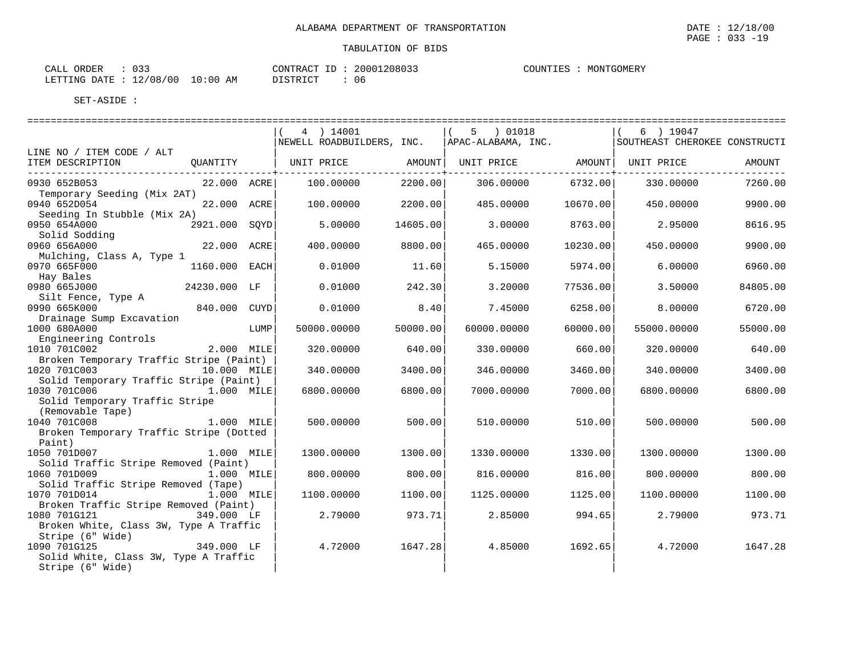| CALL<br>ORDER    | ハつつ      |            | CONTRACT<br>TD. | 20001208033 | COUNTIES | MONTGOMERY |
|------------------|----------|------------|-----------------|-------------|----------|------------|
| LETTING DATE : 1 | 12/08/00 | $10:00$ AM | DI STRICT       | 06          |          |            |

|                                             |                 |      | 4 ) 14001                                            |          | 5 ) 01018          |          | 6 ) 19047                     |          |
|---------------------------------------------|-----------------|------|------------------------------------------------------|----------|--------------------|----------|-------------------------------|----------|
|                                             |                 |      | NEWELL ROADBUILDERS, INC.                            |          | APAC-ALABAMA, INC. |          | SOUTHEAST CHEROKEE CONSTRUCTI |          |
| LINE NO / ITEM CODE / ALT                   |                 |      |                                                      |          |                    |          |                               |          |
| ITEM DESCRIPTION                            | QUANTITY        |      | UNIT PRICE   AMOUNT  UNIT PRICE   AMOUNT  UNIT PRICE |          |                    |          |                               | AMOUNT   |
| ________________________________            |                 |      |                                                      |          |                    |          |                               |          |
| 0930 652B053<br>Temporary Seeding (Mix 2AT) | 22.000 ACRE     |      | 100.00000                                            | 2200.00  | 306.00000          | 6732.00  | 330.00000                     | 7260.00  |
| 0940 652D054<br>Seeding In Stubble (Mix 2A) | 22.000 ACRE     |      | 100.00000                                            | 2200.00  | 485.00000          | 10670.00 | 450.00000                     | 9900.00  |
| 0950 654A000                                | 2921.000 SOYD   |      | 5.00000                                              | 14605.00 | 3.00000            | 8763.00  | 2.95000                       | 8616.95  |
| Solid Sodding                               |                 |      |                                                      |          |                    |          |                               |          |
| 0960 656A000                                | 22.000 ACRE     |      | 400.00000                                            | 8800.00  | 465.00000          | 10230.00 | 450.00000                     | 9900.00  |
| Mulching, Class A, Type 1                   |                 |      |                                                      |          |                    |          |                               |          |
| 0970 665F000                                | 1160.000 EACH   |      | 0.01000                                              | 11.60    | 5.15000            | 5974.00  | 6,00000                       | 6960.00  |
| Hay Bales                                   |                 |      |                                                      |          |                    |          |                               |          |
| 0980 665J000                                | 24230.000 LF    |      | 0.01000                                              | 242.30   | 3.20000            | 77536.00 | 3.50000                       | 84805.00 |
| Silt Fence, Type A                          |                 |      |                                                      |          |                    |          |                               |          |
| 0990 665K000                                | 840.000 CUYD    |      | 0.01000                                              | 8.40     | 7.45000            | 6258.00  | 8,00000                       | 6720.00  |
| Drainage Sump Excavation                    |                 |      |                                                      |          |                    |          |                               |          |
| 1000 680A000                                |                 | LUMP | 50000.00000                                          | 50000.00 | 60000.00000        | 60000.00 | 55000.00000                   | 55000.00 |
| Engineering Controls                        |                 |      |                                                      |          |                    |          |                               |          |
| 1010 701C002                                | 2.000 MILE      |      | 320,00000                                            | 640.00   | 330.00000          | 660.00   | 320.00000                     | 640.00   |
| Broken Temporary Traffic Stripe (Paint)     |                 |      |                                                      |          |                    |          |                               |          |
| 1020 701C003                                | 10.000 MILE     |      | 340.00000                                            | 3400.00  | 346.00000          | 3460.00  | 340.00000                     | 3400.00  |
| Solid Temporary Traffic Stripe (Paint)      |                 |      |                                                      |          |                    |          |                               |          |
| 1030 701C006                                | 1.000 MILE      |      | 6800.00000                                           | 6800.00  | 7000.00000         | 7000.00  | 6800.00000                    | 6800.00  |
| Solid Temporary Traffic Stripe              |                 |      |                                                      |          |                    |          |                               |          |
| (Removable Tape)                            |                 |      |                                                      |          |                    |          |                               |          |
| 1040 701C008                                | 1.000 MILE      |      | 500.00000                                            | 500.00   | 510.00000          | 510.00   | 500,00000                     | 500.00   |
| Broken Temporary Traffic Stripe (Dotted     |                 |      |                                                      |          |                    |          |                               |          |
| Paint)                                      |                 |      |                                                      |          |                    |          |                               |          |
| 1050 701D007                                | 1.000 MILE      |      | 1300.00000                                           | 1300.00  | 1330.00000         | 1330.00  | 1300.00000                    | 1300.00  |
| Solid Traffic Stripe Removed (Paint)        |                 |      |                                                      |          |                    |          |                               |          |
| 1060 701D009                                | 1.000 MILE      |      | 800,00000                                            | 800.00   | 816.00000          | 816.00   | 800,00000                     | 800.00   |
| Solid Traffic Stripe Removed (Tape)         |                 |      |                                                      |          |                    |          |                               |          |
| 1070 701D014                                | 1.000 MILE      |      | 1100.00000                                           | 1100.00  | 1125.00000         | 1125.00  | 1100.00000                    | 1100.00  |
| Broken Traffic Stripe Removed (Paint)       |                 |      |                                                      |          |                    |          |                               |          |
| 1080 701G121                                | 349.000 LF      |      | 2.79000                                              | 973.71   | 2.85000            | 994.65   | 2.79000                       | 973.71   |
|                                             |                 |      |                                                      |          |                    |          |                               |          |
| Broken White, Class 3W, Type A Traffic      |                 |      |                                                      |          |                    |          |                               |          |
| Stripe (6" Wide)<br>1090 701G125            | ,<br>349.000 LF |      |                                                      |          |                    |          |                               | 1647.28  |
|                                             |                 |      | 4.72000                                              | 1647.28  | 4.85000            | 1692.65  | 4.72000                       |          |
| Solid White, Class 3W, Type A Traffic       |                 |      |                                                      |          |                    |          |                               |          |
| Stripe (6" Wide)                            |                 |      |                                                      |          |                    |          |                               |          |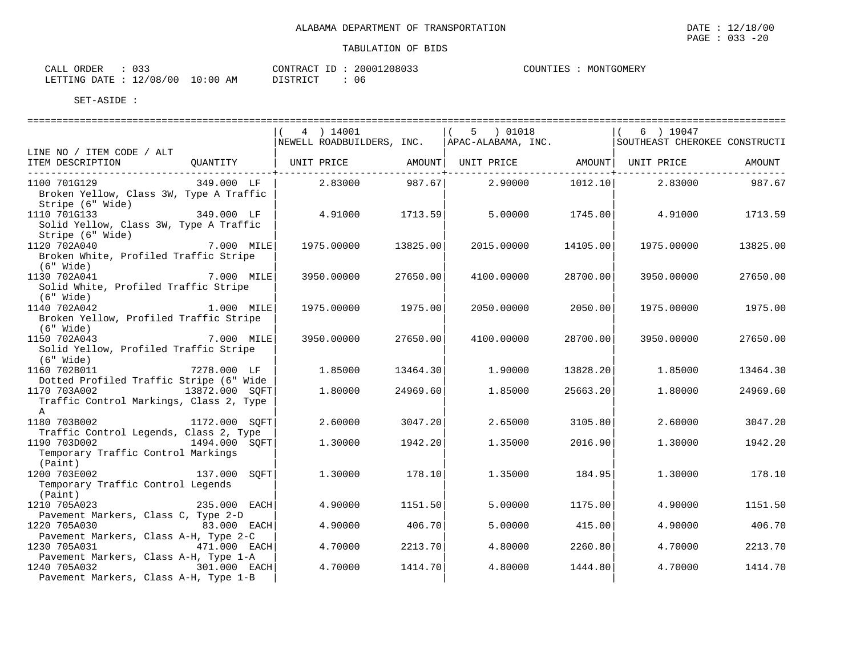| CALL ORDER | CONTRACT ID: 20001208033 | MONTGOMERY<br>COUNTIES |
|------------|--------------------------|------------------------|
|            |                          |                        |

LETTING DATE : 12/08/00 10:00 AM DISTRICT : 06

|                                                                        |               | 4 ) 14001        |                     | $(5)$ 01018<br>NEWELL ROADBUILDERS, INC. APAC-ALABAMA, INC. SOUTHEAST CHEROKEE CONSTRUCTI                           |                       | 6 ) 19047       |          |
|------------------------------------------------------------------------|---------------|------------------|---------------------|---------------------------------------------------------------------------------------------------------------------|-----------------------|-----------------|----------|
| LINE NO / ITEM CODE / ALT                                              |               |                  |                     |                                                                                                                     |                       |                 |          |
| ITEM DESCRIPTION                                                       |               |                  | --------------+---- | QUANTITY   UNIT PRICE             AMOUNT    UNIT PRICE                 AMOUNT     UNIT PRICE                 AMOUNT | --------------+------ |                 |          |
| 1100 701G129                                                           | 349.000 LF    | $2.83000$ 987.67 |                     | 2.90000                                                                                                             | 1012.10               | 2.83000         | 987.67   |
| Broken Yellow, Class 3W, Type A Traffic<br>Stripe (6" Wide)            |               |                  |                     |                                                                                                                     |                       |                 |          |
| 1110 701G133                                                           | 349.000 LF    | 4.91000 1713.59  |                     | 5.00000                                                                                                             |                       | 1745.00 4.91000 | 1713.59  |
| Solid Yellow, Class 3W, Type A Traffic                                 |               |                  |                     |                                                                                                                     |                       |                 |          |
| Stripe (6" Wide)                                                       |               |                  |                     |                                                                                                                     |                       |                 |          |
| 1120 702A040                                                           | 7.000 MILE    | 1975.00000       | 13825.00            | 2015.00000                                                                                                          | 14105.00              | 1975.00000      | 13825.00 |
| Broken White, Profiled Traffic Stripe                                  |               |                  |                     |                                                                                                                     |                       |                 |          |
| (6" Wide)                                                              |               |                  |                     |                                                                                                                     |                       |                 |          |
| 1130 702A041                                                           | 7.000 MILE    | 3950.00000       | 27650.00            | 4100.00000                                                                                                          | 28700.00              | 3950.00000      | 27650.00 |
| Solid White, Profiled Traffic Stripe<br>$(6"$ Wide)                    |               |                  |                     |                                                                                                                     |                       |                 |          |
| 1140 702A042                                                           | 1.000 MILE    | 1975.00000       | 1975.00             | 2050.00000                                                                                                          | 2050.00               | 1975.00000      | 1975.00  |
| Broken Yellow, Profiled Traffic Stripe                                 |               |                  |                     |                                                                                                                     |                       |                 |          |
| (6" Wide)                                                              |               |                  |                     |                                                                                                                     |                       |                 |          |
| 1150 702A043                                                           | 7.000 MILE    | 3950.00000       | 27650.00            | 4100.00000                                                                                                          | 28700.00              | 3950.00000      | 27650.00 |
| Solid Yellow, Profiled Traffic Stripe                                  |               |                  |                     |                                                                                                                     |                       |                 |          |
| $(6"$ Wide)                                                            |               |                  |                     |                                                                                                                     |                       |                 |          |
| 1160 702B011                                                           | 7278.000 LF   | 1.85000          | 13464.30            | 1,90000                                                                                                             | 13828.20              | 1.85000         | 13464.30 |
| Dotted Profiled Traffic Stripe (6" Wide                                |               |                  |                     |                                                                                                                     |                       |                 |          |
| 1170 703A002 13872.000 SOFT<br>Traffic Control Markings, Class 2, Type |               | 1.80000          | 24969.60            | 1.85000                                                                                                             | 25663.20              | 1,80000         | 24969.60 |
| $\mathbb A$                                                            |               |                  |                     |                                                                                                                     |                       |                 |          |
| 1180 703B002                                                           | 1172.000 SQFT | 2.60000          | 3047.20             | 2.65000                                                                                                             | 3105.80               | 2.60000         | 3047.20  |
| Traffic Control Legends, Class 2, Type                                 |               |                  |                     |                                                                                                                     |                       |                 |          |
| 1190 703D002                                                           | 1494.000 SOFT | 1,30000          | 1942.20             | 1.35000                                                                                                             | 2016.90               | 1,30000         | 1942.20  |
| Temporary Traffic Control Markings                                     |               |                  |                     |                                                                                                                     |                       |                 |          |
| (Paint)                                                                |               |                  |                     |                                                                                                                     |                       |                 |          |
| 1200 703E002                                                           | 137.000 SOFT  | 1.30000          | 178.10              | 1.35000                                                                                                             | 184.95                | 1,30000         | 178.10   |
| Temporary Traffic Control Legends<br>(Paint)                           |               |                  |                     |                                                                                                                     |                       |                 |          |
| 1210 705A023                                                           | 235.000 EACH  | 4.90000          | 1151.50             | 5.00000                                                                                                             | 1175.00               | 4.90000         | 1151.50  |
| Pavement Markers, Class C, Type 2-D                                    |               |                  |                     |                                                                                                                     |                       |                 |          |
| 1220 705A030                                                           | 83.000 EACH   | 4.90000          | 406.70              | 5.00000                                                                                                             | 415.00                | 4.90000         | 406.70   |
| Pavement Markers, Class A-H, Type 2-C                                  |               |                  |                     |                                                                                                                     |                       |                 |          |
| 1230 705A031                                                           | 471.000 EACH  | 4.70000          | 2213.70             | 4.80000                                                                                                             | 2260.80               | 4.70000         | 2213.70  |
| Pavement Markers, Class A-H, Type 1-A                                  |               |                  |                     |                                                                                                                     |                       |                 |          |
| 1240 705A032                                                           | 301.000 EACH  | 4.70000          | 1414.70             | 4.80000                                                                                                             | 1444.80               | 4.70000         | 1414.70  |
| Pavement Markers, Class A-H, Type 1-B                                  |               |                  |                     |                                                                                                                     |                       |                 |          |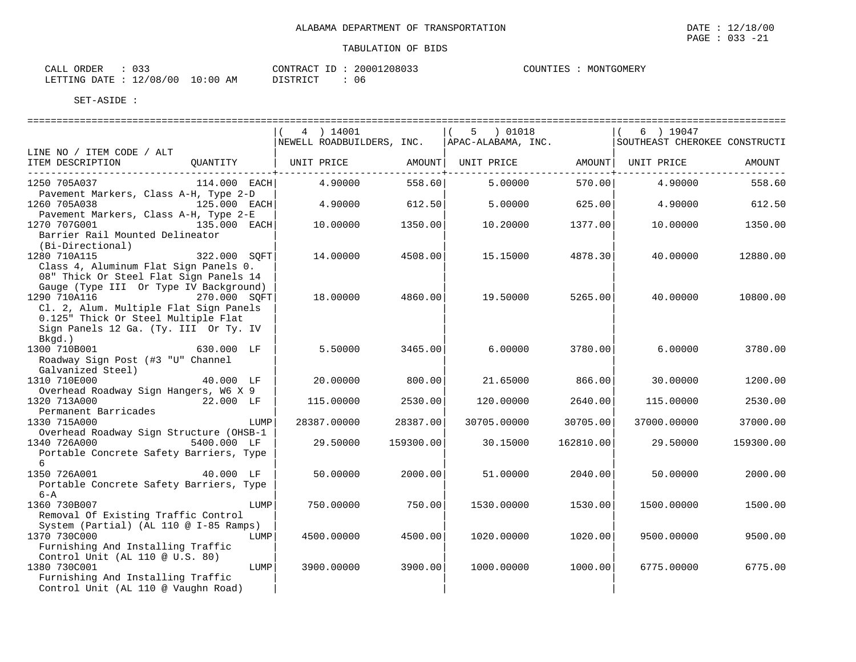|                                                                                                                                                                                                  |                | 4 ) 14001<br>NEWELL ROADBUILDERS, INC. |                           | 01018<br>5<br>APAC-ALABAMA, INC. |                            | 6 ) 19047<br>SOUTHEAST CHEROKEE CONSTRUCTI |           |
|--------------------------------------------------------------------------------------------------------------------------------------------------------------------------------------------------|----------------|----------------------------------------|---------------------------|----------------------------------|----------------------------|--------------------------------------------|-----------|
| LINE NO / ITEM CODE / ALT                                                                                                                                                                        |                |                                        |                           |                                  |                            |                                            |           |
| ITEM DESCRIPTION<br>_________________________________                                                                                                                                            | OUANTITY       | UNIT PRICE                             | AMOUNT  <br>------------+ | UNIT PRICE                       | AMOUNT  <br>-------------+ | UNIT PRICE                                 | AMOUNT    |
| 1250 705A037<br>Pavement Markers, Class A-H, Type 2-D                                                                                                                                            | $114.000$ EACH | 4.90000                                | 558.60                    | 5.00000                          | 570.00                     | 4.90000                                    | 558.60    |
| 1260 705A038<br>Pavement Markers, Class A-H, Type 2-E                                                                                                                                            | 125.000 EACH   | 4.90000                                | 612.50                    | 5.00000                          | 625.00                     | 4.90000                                    | 612.50    |
| 1270 707G001<br>Barrier Rail Mounted Delineator<br>(Bi-Directional)                                                                                                                              | 135.000 EACH   | 10,00000                               | 1350.00                   | 10.20000                         | 1377.00                    | 10,00000                                   | 1350.00   |
| 1280 710A115<br>Class 4, Aluminum Flat Sign Panels 0.<br>08" Thick Or Steel Flat Sign Panels 14                                                                                                  | 322.000 SOFT   | 14.00000                               | 4508.00                   | 15.15000                         | 4878.30                    | 40.00000                                   | 12880.00  |
| Gauge (Type III Or Type IV Background)<br>1290 710A116<br>270.000 SQFT<br>Cl. 2, Alum. Multiple Flat Sign Panels<br>0.125" Thick Or Steel Multiple Flat<br>Sign Panels 12 Ga. (Ty. III Or Ty. IV |                | 18,00000                               | 4860.00                   | 19.50000                         | 5265.00                    | 40.00000                                   | 10800.00  |
| Bkgd.)<br>1300 710B001<br>Roadway Sign Post (#3 "U" Channel<br>Galvanized Steel)                                                                                                                 | 630.000 LF     | 5.50000                                | 3465.00                   | 6.00000                          | 3780.00                    | 6.00000                                    | 3780.00   |
| 1310 710E000                                                                                                                                                                                     | 40.000 LF      | 20,00000                               | 800.00                    | 21.65000                         | 866.001                    | 30.00000                                   | 1200.00   |
| Overhead Roadway Sign Hangers, W6 X 9<br>1320 713A000                                                                                                                                            | 22.000 LF      | 115.00000                              | 2530.00                   | 120.00000                        | 2640.00                    | 115,00000                                  | 2530.00   |
| Permanent Barricades<br>1330 715A000                                                                                                                                                             | LUMP           | 28387.00000                            | 28387.00                  | 30705.00000                      | 30705.00                   | 37000.00000                                | 37000.00  |
| Overhead Roadway Sign Structure (OHSB-1<br>1340 726A000<br>Portable Concrete Safety Barriers, Type<br>6                                                                                          | 5400.000 LF    | 29.50000                               | 159300.00                 | 30.15000                         | 162810.00                  | 29.50000                                   | 159300.00 |
| 1350 726A001<br>Portable Concrete Safety Barriers, Type<br>$6 - A$                                                                                                                               | 40.000 LF      | 50.00000                               | 2000.00                   | 51,00000                         | 2040.00                    | 50.00000                                   | 2000.00   |
| 1360 730B007<br>Removal Of Existing Traffic Control<br>System (Partial) (AL 110 @ I-85 Ramps)                                                                                                    | LUMP           | 750.00000                              | 750.00                    | 1530.00000                       | 1530.00                    | 1500.00000                                 | 1500.00   |
| 1370 730C000<br>Furnishing And Installing Traffic<br>Control Unit (AL 110 @ U.S. 80)                                                                                                             | LUMP           | 4500.00000                             | 4500.00                   | 1020.00000                       | 1020.00                    | 9500.00000                                 | 9500.00   |
| 1380 730C001<br>Furnishing And Installing Traffic<br>Control Unit (AL 110 @ Vaughn Road)                                                                                                         | LUMP           | 3900.00000                             | 3900.00                   | 1000.00000                       | 1000.00                    | 6775.00000                                 | 6775.00   |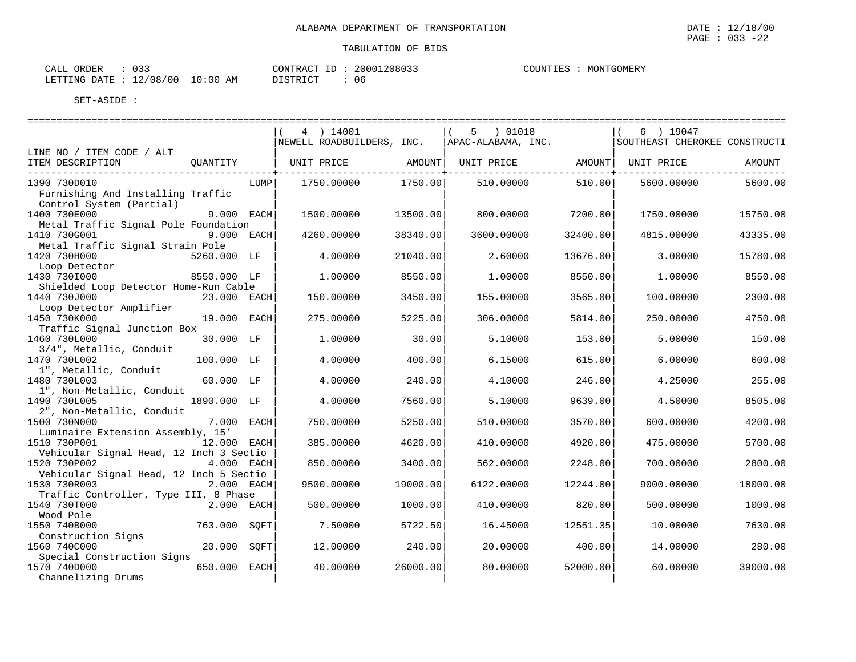|                                                               |              |      | 4 ) 14001<br>NEWELL ROADBUILDERS, INC. |          | 5 ) 01018<br>APAC-ALABAMA, INC. |          | 6 ) 19047<br>SOUTHEAST CHEROKEE CONSTRUCTI |          |
|---------------------------------------------------------------|--------------|------|----------------------------------------|----------|---------------------------------|----------|--------------------------------------------|----------|
| LINE NO / ITEM CODE / ALT                                     |              |      |                                        |          |                                 |          |                                            |          |
| ITEM DESCRIPTION                                              | OUANTITY     |      | UNIT PRICE                             | AMOUNT   | UNIT PRICE                      | AMOUNT   | UNIT PRICE                                 | AMOUNT   |
| 1390 730D010                                                  |              | LUMP | 1750.00000                             | 1750.00  | 510.00000                       | 510.00   | 5600.00000                                 | 5600.00  |
| Furnishing And Installing Traffic<br>Control System (Partial) |              |      |                                        |          |                                 |          |                                            |          |
| 1400 730E000                                                  | 9.000 EACH   |      | 1500.00000                             | 13500.00 | 800,00000                       | 7200.00  | 1750.00000                                 | 15750.00 |
| Metal Traffic Signal Pole Foundation<br>1410 730G001          | 9.000 EACH   |      | 4260.00000                             | 38340.00 | 3600.00000                      | 32400.00 | 4815,00000                                 | 43335.00 |
| Metal Traffic Signal Strain Pole                              |              |      |                                        |          |                                 |          |                                            |          |
| 1420 730H000<br>Loop Detector                                 | 5260.000 LF  |      | 4.00000                                | 21040.00 | 2.60000                         | 13676.00 | 3.00000                                    | 15780.00 |
| 1430 730I000                                                  | 8550.000 LF  |      | 1.00000                                | 8550.00  | 1,00000                         | 8550.00  | 1,00000                                    | 8550.00  |
| Shielded Loop Detector Home-Run Cable                         |              |      |                                        |          |                                 |          |                                            |          |
| 1440 730J000                                                  | 23.000 EACH  |      | 150.00000                              | 3450.00  | 155.00000                       | 3565.00  | 100.00000                                  | 2300.00  |
| Loop Detector Amplifier<br>1450 730K000                       | 19.000 EACH  |      | 275.00000                              | 5225.00  | 306,00000                       | 5814.00  | 250.00000                                  | 4750.00  |
| Traffic Signal Junction Box                                   |              |      |                                        |          |                                 |          |                                            |          |
| 1460 730L000                                                  | 30.000 LF    |      | 1,00000                                | 30.00    | 5.10000                         | 153.00   | 5.00000                                    | 150.00   |
| 3/4", Metallic, Conduit                                       |              |      |                                        |          |                                 |          |                                            |          |
| 1470 730L002<br>1", Metallic, Conduit                         | 100.000 LF   |      | 4.00000                                | 400.00   | 6.15000                         | 615.00   | 6.00000                                    | 600.00   |
| 1480 730L003                                                  | 60.000 LF    |      | 4.00000                                | 240.00   | 4.10000                         | 246.00   | 4.25000                                    | 255.00   |
| 1", Non-Metallic, Conduit                                     |              |      |                                        |          |                                 |          |                                            |          |
| 1490 730L005                                                  | 1890.000 LF  |      | 4.00000                                | 7560.00  | 5.10000                         | 9639.00  | 4.50000                                    | 8505.00  |
| 2", Non-Metallic, Conduit                                     |              |      |                                        |          |                                 |          |                                            |          |
| 1500 730N000<br>Luminaire Extension Assembly, 15'             | 7.000 EACH   |      | 750.00000                              | 5250.00  | 510.00000                       | 3570.00  | 600,00000                                  | 4200.00  |
| 1510 730P001                                                  | 12.000 EACH  |      | 385.00000                              | 4620.00  | 410.00000                       | 4920.00  | 475.00000                                  | 5700.00  |
| Vehicular Signal Head, 12 Inch 3 Sectio                       |              |      |                                        |          |                                 |          |                                            |          |
| 1520 730P002                                                  | 4.000 EACH   |      | 850.00000                              | 3400.00  | 562.00000                       | 2248.00  | 700.00000                                  | 2800.00  |
| Vehicular Signal Head, 12 Inch 5 Sectio                       |              |      |                                        |          |                                 |          |                                            |          |
| 1530 730R003                                                  | 2.000 EACH   |      | 9500.00000                             | 19000.00 | 6122.00000                      | 12244.00 | 9000.00000                                 | 18000.00 |
| Traffic Controller, Type III, 8 Phase                         |              |      |                                        |          |                                 |          |                                            |          |
| 1540 730T000                                                  | 2.000 EACH   |      | 500.00000                              | 1000.00  | 410.00000                       | 820.00   | 500.00000                                  | 1000.00  |
| Wood Pole<br>1550 740B000                                     | 763.000 SOFT |      | 7.50000                                | 5722.50  | 16.45000                        | 12551.35 | 10.00000                                   | 7630.00  |
| Construction Signs<br>1560 740C000                            | 20.000 SQFT  |      | 12,00000                               | 240.00   | 20,00000                        | 400.00   | 14,00000                                   | 280.00   |
| Special Construction Signs                                    |              |      |                                        |          |                                 |          |                                            |          |
| 1570 740D000<br>Channelizing Drums                            | 650.000      | EACH | 40.00000                               | 26000.00 | 80.00000                        | 52000.00 | 60.00000                                   | 39000.00 |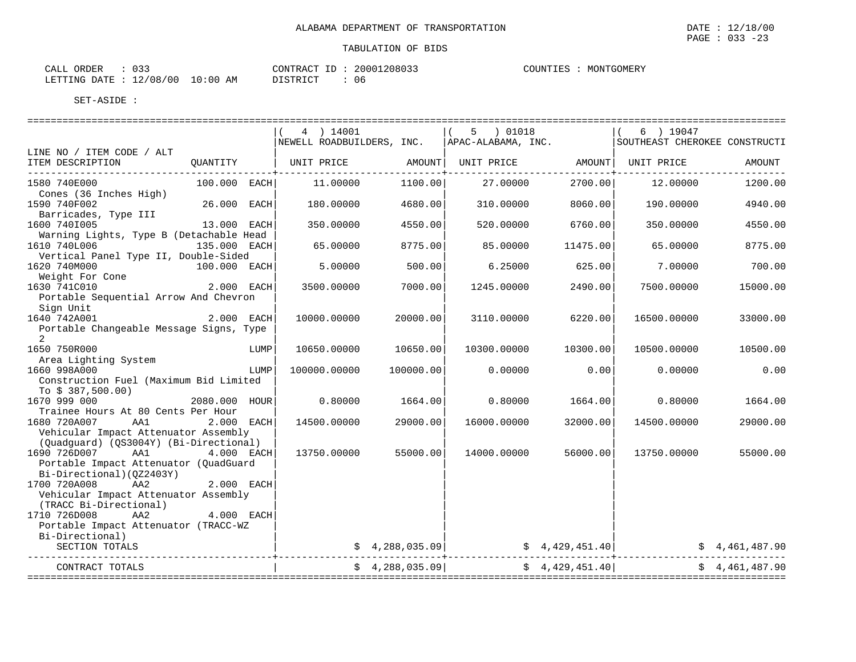|                                                                                                                                 |               |      | 4 ) 14001        |                                         | 5 ) 01018   |                       | 6 ) 19047<br>NEWELL ROADBUILDERS, INC. APAC-ALABAMA, INC. SOUTHEAST CHEROKEE CONSTRUCTI |                |
|---------------------------------------------------------------------------------------------------------------------------------|---------------|------|------------------|-----------------------------------------|-------------|-----------------------|-----------------------------------------------------------------------------------------|----------------|
| LINE NO / ITEM CODE / ALT                                                                                                       |               |      |                  |                                         |             |                       |                                                                                         |                |
| ITEM DESCRIPTION CUANTITY   UNIT PRICE AMOUNT  UNIT PRICE AMOUNT  UNIT PRICE AMOUNT  UNIT PRICE                                 |               |      |                  | . _ _ _ _ _ _ _ _ _ _ _ _ _ _ _ _ _ _ + |             | --------------+------ |                                                                                         |                |
| 1580 740E000<br>Cones (36 Inches High)                                                                                          | 100.000 EACH  |      | 11.00000 1100.00 |                                         | 27.00000    | 2700.00               | 12.00000                                                                                | 1200.00        |
| 1590 740F002<br>Barricades, Type III                                                                                            | 26.000 EACH   |      | 180.00000        | 4680.00                                 | 310.00000   | 8060.00               | 190.00000                                                                               | 4940.00        |
| 1600 7401005<br>Warning Lights, Type B (Detachable Head                                                                         | 13.000 EACH   |      | 350.00000        | 4550.00                                 | 520.00000   | 6760.00               | 350.00000                                                                               | 4550.00        |
| 1610 740L006 135.000 EACH<br>Vertical Panel Type II, Double-Sided                                                               |               |      | 65.00000         | 8775.00                                 | 85.00000    | 11475.00              | 65.00000                                                                                | 8775.00        |
| 1620 740M000<br>$\begin{bmatrix} 520 & 740 \text{M}000 & 100.000 & \text{EACH} \end{bmatrix}$<br>Weight For Cone                |               |      | 5.00000          | 500.00                                  | 6.25000     | 625.00                | 7.00000                                                                                 | 700.00         |
| 1630 741C010<br>Portable Sequential Arrow And Chevron                                                                           | 2.000 EACH    |      | 3500.00000       | 7000.00                                 | 1245.00000  | 2490.00               | 7500.00000                                                                              | 15000.00       |
| Sign Unit<br>1640 742A001<br>Portable Changeable Message Signs, Type<br>2                                                       | 2.000 EACH    |      | 10000.00000      | 20000.00                                | 3110.00000  | 6220.00               | 16500.00000                                                                             | 33000.00       |
| 1650 750R000                                                                                                                    |               | LUMP | 10650.00000      | 10650.00                                | 10300.00000 | 10300.00              | 10500.00000                                                                             | 10500.00       |
| Area Lighting System<br>1660 998A000<br>Construction Fuel (Maximum Bid Limited                                                  |               | LUMP | 100000.00000     | 100000.00                               | 0.00000     | 0.00                  | 0.00000                                                                                 | 0.00           |
| To $$387,500.00)$<br>1670 999 000                                                                                               | 2080.000 HOUR |      | 0.80000          | 1664.00                                 | 0.80000     | 1664.00               | 0.80000                                                                                 | 1664.00        |
| Trainee Hours At 80 Cents Per Hour<br>1680 720A007<br>AA1<br>Vehicular Impact Attenuator Assembly                               | 2.000 EACH    |      | 14500.00000      | 29000.00                                | 16000.00000 | 32000.00              | 14500.00000                                                                             | 29000.00       |
| (Quadquard) (QS3004Y) (Bi-Directional)<br>1690 726D007 AA1<br>Portable Impact Attenuator (QuadGuard<br>Bi-Directional)(QZ2403Y) | 4.000 EACH    |      | 13750.00000      | 55000.00                                | 14000.00000 | 56000.00              | 13750.00000                                                                             | 55000.00       |
| 1700 720A008<br>AA2<br>Vehicular Impact Attenuator Assembly<br>(TRACC Bi-Directional)                                           | $2.000$ EACH  |      |                  |                                         |             |                       |                                                                                         |                |
| 1710 726D008<br>AA2<br>Portable Impact Attenuator (TRACC-WZ                                                                     | 4.000 EACH    |      |                  |                                         |             |                       |                                                                                         |                |
| Bi-Directional)<br>SECTION TOTALS                                                                                               |               |      |                  |                                         |             |                       | \$ 4,288,035.09 \$ 4,429,451.40 \$ 4,461,487.90 \$ 4,288,035.09 \$ \$ 4,461,487.90      |                |
| ------------------<br>CONTRACT TOTALS                                                                                           |               |      |                  | \$4,288,035.09                          |             | \$4,429,451.40]       |                                                                                         | \$4,461,487.90 |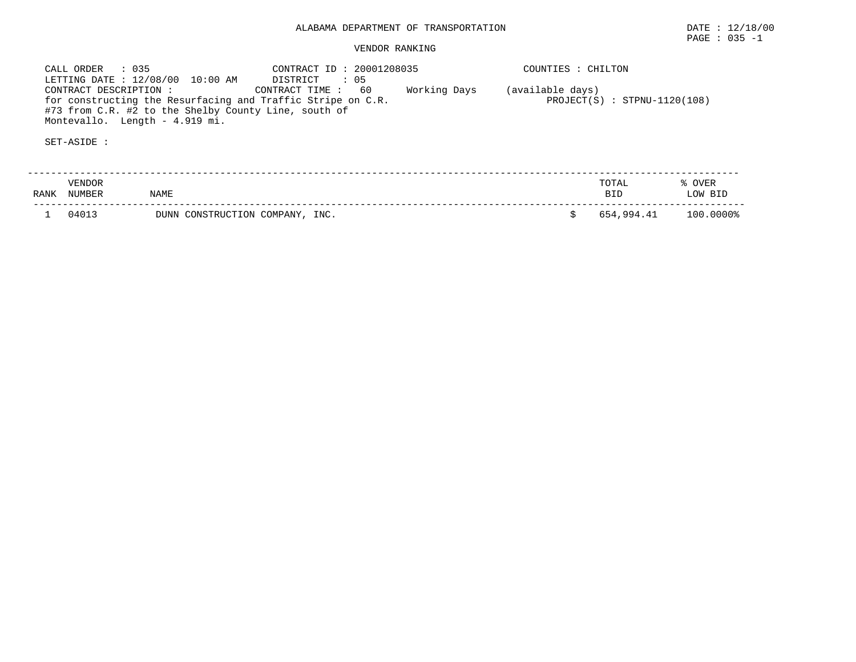# VENDOR RANKING

 CALL ORDER : 035 CONTRACT ID : 20001208035 COUNTIES : CHILTON LETTING DATE : 12/08/00 10:00 AM DISTRICT : 05 CONTRACT DESCRIPTION : CONTRACT TIME : 60 Working Days (available days) for constructing the Resurfacing and Traffic Stripe on C.R. PROJECT(S) : STPNU-1120(108) #73 from C.R. #2 to the Shelby County Line, south of Montevallo. Length - 4.919 mi.

| RANK | <b>VENDOR</b><br>NUMBER | NAME                            | TOTAL<br><b>RTD</b> | OVER<br>LOW BID |
|------|-------------------------|---------------------------------|---------------------|-----------------|
|      | 04013                   | DUNN CONSTRUCTION COMPANY, INC. | 654,994.41          | 100.0000%       |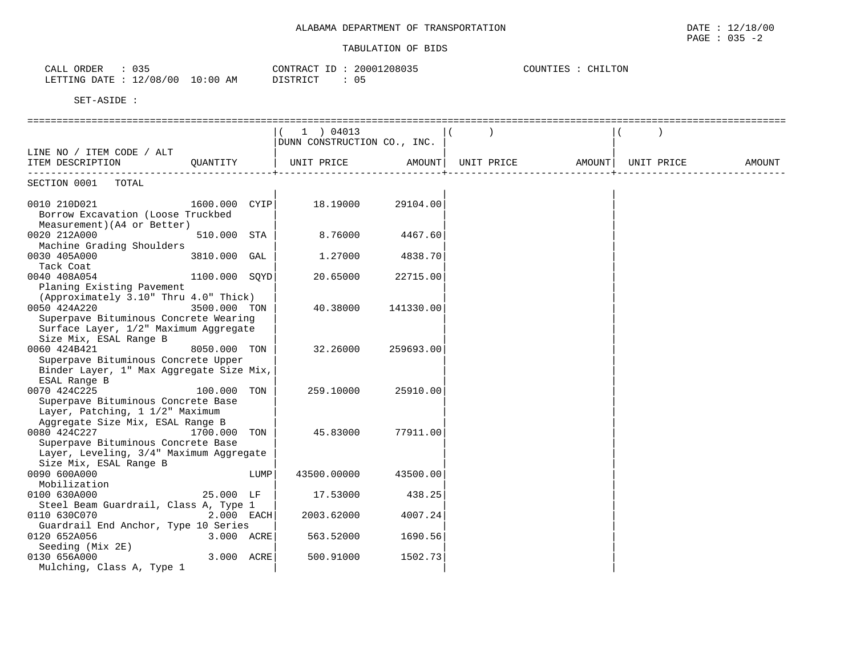| ORDER<br>CALL                      | ハマロ<br>.                          |                            | CONTRACT<br>-- | ≀nnn<br>208035                | COUNTIES | CHILTON |
|------------------------------------|-----------------------------------|----------------------------|----------------|-------------------------------|----------|---------|
| I DOOTALA<br><b>DATE</b><br>$\sim$ | 100<br>100<br>$\sim$<br>υ×<br>- - | 00:١<br>AM<br>$\mathbf{u}$ | T STR TOT      | $\sim$ $\sim$<br>$\mathbf{u}$ |          |         |

|                                          |               |      | 1 ) 04013                   |           |                   |            |        |
|------------------------------------------|---------------|------|-----------------------------|-----------|-------------------|------------|--------|
|                                          |               |      | DUNN CONSTRUCTION CO., INC. |           |                   |            |        |
| LINE NO / ITEM CODE / ALT                |               |      |                             |           |                   |            |        |
| ITEM DESCRIPTION QUANTITY                |               |      | UNIT PRICE AMOUNT           |           | UNIT PRICE AMOUNT | UNIT PRICE | AMOUNT |
|                                          |               |      |                             |           |                   |            |        |
| SECTION 0001 TOTAL                       |               |      |                             |           |                   |            |        |
|                                          |               |      |                             |           |                   |            |        |
| 0010 210D021 1600.000 CYIP               |               |      | 18.19000                    | 29104.00  |                   |            |        |
| Borrow Excavation (Loose Truckbed        |               |      |                             |           |                   |            |        |
| Measurement) (A4 or Better)              |               |      |                             |           |                   |            |        |
| 0020 212A000                             | 510.000 STA   |      | 8.76000                     | 4467.60   |                   |            |        |
| Machine Grading Shoulders                |               |      |                             |           |                   |            |        |
| 0030 405A000                             | 3810.000 GAL  |      | 1.27000                     | 4838.70   |                   |            |        |
| Tack Coat                                |               |      |                             |           |                   |            |        |
| 0040 408A054                             | 1100.000 SQYD |      | 20.65000                    | 22715.00  |                   |            |        |
| Planing Existing Pavement                |               |      |                             |           |                   |            |        |
| (Approximately 3.10" Thru 4.0" Thick)    |               |      |                             |           |                   |            |        |
| 0050 424A220                             | 3500.000 TON  |      | 40.38000                    | 141330.00 |                   |            |        |
| Superpave Bituminous Concrete Wearing    |               |      |                             |           |                   |            |        |
| Surface Layer, 1/2" Maximum Aggregate    |               |      |                             |           |                   |            |        |
| Size Mix, ESAL Range B                   |               |      |                             |           |                   |            |        |
| 0060 424B421<br>8050.000 TON             |               |      | 32.26000                    | 259693.00 |                   |            |        |
| Superpave Bituminous Concrete Upper      |               |      |                             |           |                   |            |        |
| Binder Layer, 1" Max Aggregate Size Mix, |               |      |                             |           |                   |            |        |
| ESAL Range B                             |               |      |                             |           |                   |            |        |
| 0070 424C225                             | 100.000 TON   |      | 259.10000                   | 25910.00  |                   |            |        |
| Superpave Bituminous Concrete Base       |               |      |                             |           |                   |            |        |
| Layer, Patching, 1 1/2" Maximum          |               |      |                             |           |                   |            |        |
| Aggregate Size Mix, ESAL Range B         |               |      |                             |           |                   |            |        |
| 0080 424C227<br>1700.000 TON             |               |      | 45.83000                    | 77911.00  |                   |            |        |
| Superpave Bituminous Concrete Base       |               |      |                             |           |                   |            |        |
| Layer, Leveling, 3/4" Maximum Aggregate  |               |      |                             |           |                   |            |        |
| Size Mix, ESAL Range B                   |               |      |                             |           |                   |            |        |
| 0090 600A000                             |               | LUMP | 43500.00000                 | 43500.00  |                   |            |        |
| Mobilization                             |               |      |                             |           |                   |            |        |
| 0100 630A000                             | 25.000 LF     |      | 17.53000                    | 438.25    |                   |            |        |
| Steel Beam Guardrail, Class A, Type 1    |               |      |                             |           |                   |            |        |
| 0110 630C070                             | 2.000 EACH    |      | 2003.62000                  | 4007.24   |                   |            |        |
| Guardrail End Anchor, Type 10 Series     |               |      |                             |           |                   |            |        |
| 0120 652A056                             | 3.000 ACRE    |      | 563.52000                   | 1690.56   |                   |            |        |
| Seeding (Mix 2E)                         |               |      |                             |           |                   |            |        |
| 0130 656A000                             | 3.000 ACRE    |      | 500.91000                   | 1502.73   |                   |            |        |
| Mulching, Class A, Type 1                |               |      |                             |           |                   |            |        |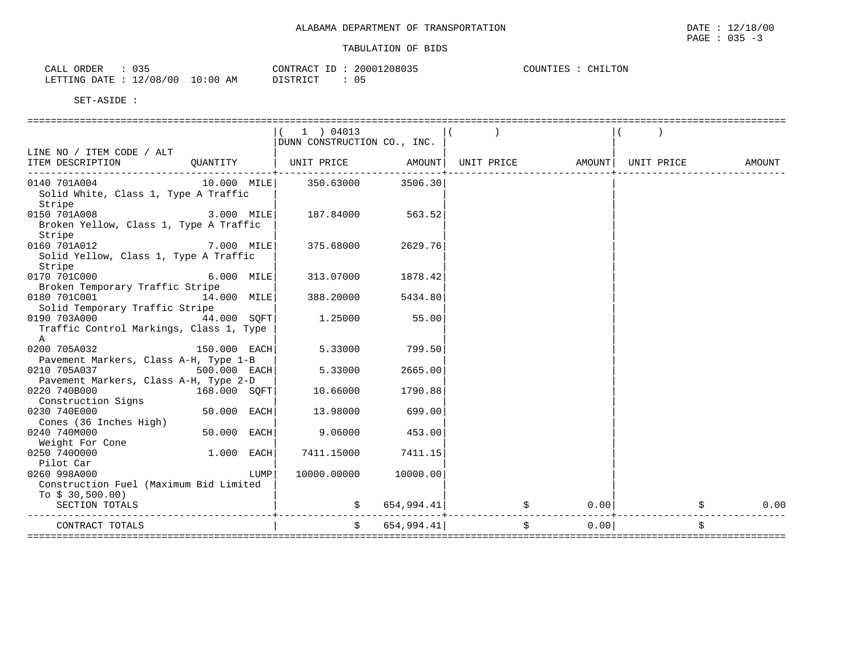| ORDER<br>$\sim$ $\sim$ $\sim$ $\sim$<br>CALL | $\sim$ $\sim$ $\sim$<br><u>. J .</u> |            | $ -$<br>CONTRACT | 20001208035 | COUNTIES<br>CHT<br>CHILTON |
|----------------------------------------------|--------------------------------------|------------|------------------|-------------|----------------------------|
| LETTING DATE                                 | 12/08/00<br>ᅩᄼ                       | 0:00<br>ΑM | ISTRICT          | υb          |                            |

|                                                                                 |               |      | $1$ ) 04013<br>DUNN CONSTRUCTION CO., INC. |                   |    |        |            |        |
|---------------------------------------------------------------------------------|---------------|------|--------------------------------------------|-------------------|----|--------|------------|--------|
| LINE NO / ITEM CODE / ALT                                                       |               |      |                                            |                   |    |        |            |        |
| ITEM DESCRIPTION<br>-----------------------------                               | QUANTITY      |      | UNIT PRICE AMOUNT  UNIT PRICE              |                   |    | AMOUNT | UNIT PRICE | AMOUNT |
| 0140 701A004<br>Solid White, Class 1, Type A Traffic<br>Stripe                  |               |      | 10.000 MILE 350.63000 3506.30              |                   |    |        |            |        |
| 0150 701A008<br>Broken Yellow, Class 1, Type A Traffic<br>Stripe                | 3.000 MILE    |      | 187.84000                                  | 563.52            |    |        |            |        |
| $7.000$ MILE<br>0160 701A012<br>Solid Yellow, Class 1, Type A Traffic<br>Stripe |               |      |                                            | 375.68000 2629.76 |    |        |            |        |
| 0170 701C000<br>6.000 MILE<br>Broken Temporary Traffic Stripe                   |               |      | 313.07000                                  | 1878.42           |    |        |            |        |
| 0180 701C001 14.000 MILE<br>Solid Temporary Traffic Stripe                      |               |      | 388.20000                                  | 5434.80           |    |        |            |        |
| 0190 703A000 44.000 SQFT<br>Traffic Control Markings, Class 1, Type<br>A        |               |      | 1.25000                                    | 55.00             |    |        |            |        |
| 0200 705A032<br>Pavement Markers, Class A-H, Type 1-B                           | 150.000 EACH  |      | 5.33000                                    | 799.50            |    |        |            |        |
| 0210 705A037<br>$500.000$ EACH<br>Pavement Markers, Class A-H, Type 2-D         |               |      | 5.33000                                    | 2665.00           |    |        |            |        |
| 168.000 SQFT<br>0220 740B000<br>Construction Signs                              |               |      | 10.66000                                   | 1790.88           |    |        |            |        |
| 0230 740E000<br>Cones (36 Inches High)                                          | $50.000$ EACH |      | 13.98000                                   | 699.00            |    |        |            |        |
| 0240 740M000<br>Weight For Cone                                                 | 50.000 EACH   |      | 9.06000                                    | 453.00            |    |        |            |        |
| 0250 7400000<br>Pilot Car                                                       | $1.000$ EACH  |      | 7411.15000                                 | 7411.15           |    |        |            |        |
| 0260 998A000<br>Construction Fuel (Maximum Bid Limited<br>To $$30,500.00)$      |               | LUMP | 10000.00000                                | 10000.00          |    |        |            |        |
| SECTION TOTALS                                                                  |               |      |                                            | 654,994.41        | \$ | 0.00   |            | 0.00   |
| CONTRACT TOTALS                                                                 |               |      | $\mathbf{s}$ .                             | 654,994.41        | Ŝ. | 0.00   |            |        |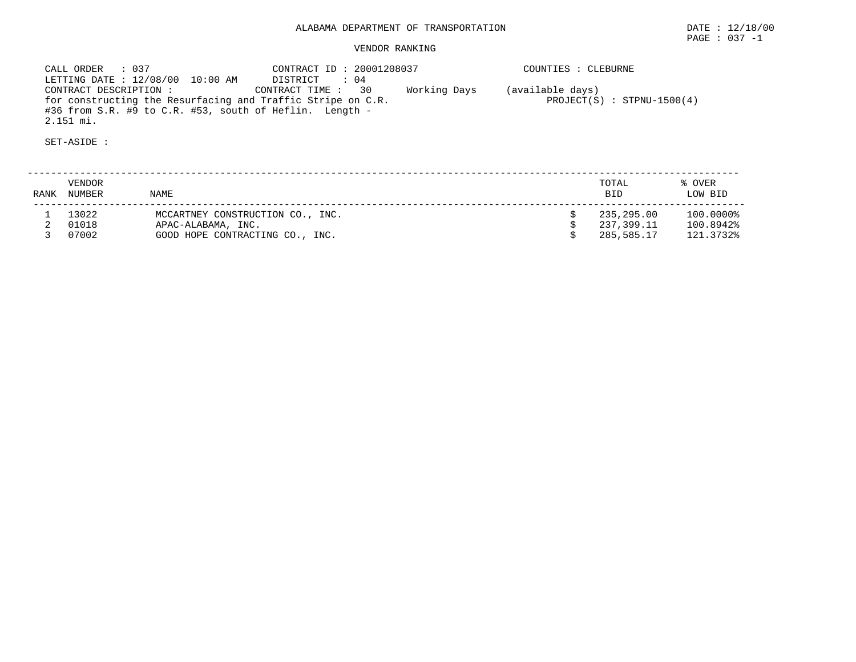CALL ORDER : 037 CONTRACT ID : 20001208037 COUNTIES : CLEBURNE LETTING DATE : 12/08/00 10:00 AM DISTRICT : 04 CONTRACT DESCRIPTION : CONTRACT TIME : 30 Working Days (available days) for constructing the Resurfacing and Traffic Stripe on C.R. PROJECT(S) : STPNU-1500(4) #36 from S.R. #9 to C.R. #53, south of Heflin. Length - 2.151 mi.

| RANK | VENDOR<br>NUMBER | <b>NAME</b>                                            | TOTAL<br><b>BID</b>      | % OVER<br>LOW BID      |
|------|------------------|--------------------------------------------------------|--------------------------|------------------------|
|      | 13022<br>01018   | MCCARTNEY CONSTRUCTION CO., INC.<br>APAC-ALABAMA, INC. | 235,295.00<br>237,399.11 | 100.0000%<br>100.8942% |
|      | 07002            | GOOD HOPE CONTRACTING CO., INC.                        | 285,585.17               | 121.3732%              |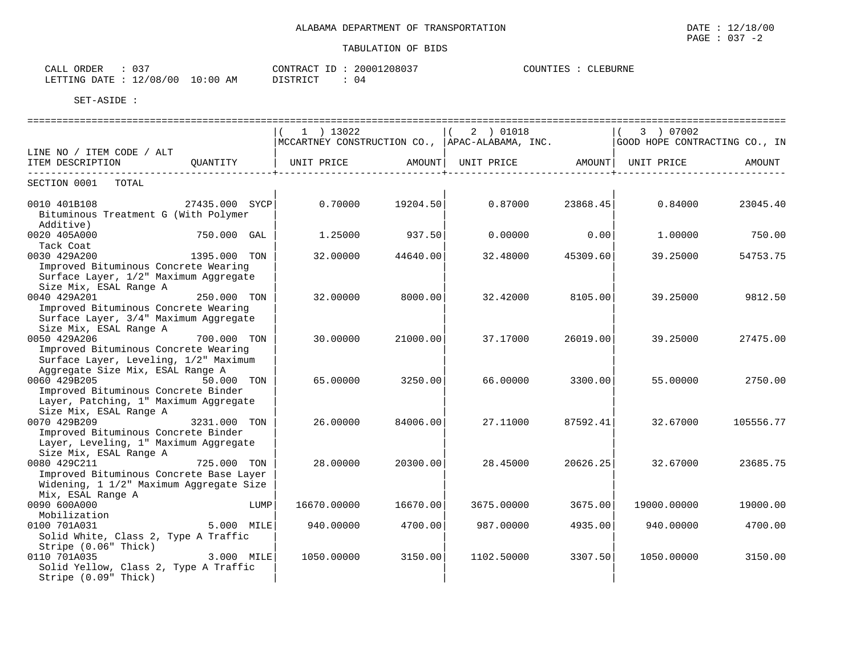| $\cap$ $\sup$<br>ORDER<br>CALL<br>ັບມ |             | 20001208037<br>CONTRACT              | COUNTIES<br>CLEBURNE |
|---------------------------------------|-------------|--------------------------------------|----------------------|
| L2/08/00<br>DATE.<br>LETTING<br>ᅩᇫ    | 10:00<br>ΆM | $T$ $C$ m $D$ $T$ $C$ m<br>ノエレエエレエレエ |                      |

|                                                                                                                                   |                | $1$ ) 13022 |          | 2 ) 01018<br>MCCARTNEY CONSTRUCTION CO., APAC-ALABAMA, INC. |          | 3 ) 07002<br>GOOD HOPE CONTRACTING CO., IN |           |
|-----------------------------------------------------------------------------------------------------------------------------------|----------------|-------------|----------|-------------------------------------------------------------|----------|--------------------------------------------|-----------|
| LINE NO / ITEM CODE / ALT<br>ITEM DESCRIPTION                                                                                     | OUANTITY       | UNIT PRICE  | AMOUNT   | UNIT PRICE                                                  |          | AMOUNT   UNIT PRICE                        | AMOUNT    |
| SECTION 0001<br>TOTAL                                                                                                             |                |             |          |                                                             |          |                                            |           |
| 0010 401B108<br>Bituminous Treatment G (With Polymer<br>Additive)                                                                 | 27435.000 SYCP | 0.70000     | 19204.50 | 0.87000                                                     | 23868.45 | 0.84000                                    | 23045.40  |
| 0020 405A000<br>Tack Coat                                                                                                         | 750.000 GAL    | 1.25000     | 937.50   | 0.00000                                                     | 0.00     | 1,00000                                    | 750.00    |
| 0030 429A200<br>Improved Bituminous Concrete Wearing<br>Surface Layer, 1/2" Maximum Aggregate<br>Size Mix, ESAL Range A           | 1395.000 TON   | 32.00000    | 44640.00 | 32.48000                                                    | 45309.60 | 39.25000                                   | 54753.75  |
| 0040 429A201<br>Improved Bituminous Concrete Wearing<br>Surface Layer, 3/4" Maximum Aggregate<br>Size Mix, ESAL Range A           | 250.000 TON    | 32,00000    | 8000.00  | 32.42000                                                    | 8105.00  | 39.25000                                   | 9812.50   |
| 0050 429A206<br>Improved Bituminous Concrete Wearing<br>Surface Layer, Leveling, 1/2" Maximum<br>Aggregate Size Mix, ESAL Range A | 700.000 TON    | 30.00000    | 21000.00 | 37.17000                                                    | 26019.00 | 39.25000                                   | 27475.00  |
| 0060 429B205<br>Improved Bituminous Concrete Binder<br>Layer, Patching, 1" Maximum Aggregate<br>Size Mix, ESAL Range A            | 50.000 TON     | 65.00000    | 3250.00  | 66.00000                                                    | 3300.00  | 55.00000                                   | 2750.00   |
| 0070 429B209<br>Improved Bituminous Concrete Binder<br>Layer, Leveling, 1" Maximum Aggregate<br>Size Mix, ESAL Range A            | 3231.000 TON   | 26.00000    | 84006.00 | 27.11000                                                    | 87592.41 | 32.67000                                   | 105556.77 |
| 0080 429C211<br>Improved Bituminous Concrete Base Layer<br>Widening, 1 1/2" Maximum Aggregate Size<br>Mix, ESAL Range A           | 725.000 TON    | 28,00000    | 20300.00 | 28.45000                                                    | 20626.25 | 32.67000                                   | 23685.75  |
| 0090 600A000<br>Mobilization                                                                                                      | LUMP           | 16670.00000 | 16670.00 | 3675.00000                                                  | 3675.00  | 19000.00000                                | 19000.00  |
| 0100 701A031<br>Solid White, Class 2, Type A Traffic<br>Stripe (0.06" Thick)                                                      | 5.000 MILE     | 940.00000   | 4700.00  | 987.00000                                                   | 4935.00  | 940.00000                                  | 4700.00   |
| 0110 701A035<br>Solid Yellow, Class 2, Type A Traffic<br>Stripe (0.09" Thick)                                                     | 3.000 MILE     | 1050.00000  | 3150.00  | 1102.50000                                                  | 3307.50  | 1050.00000                                 | 3150.00   |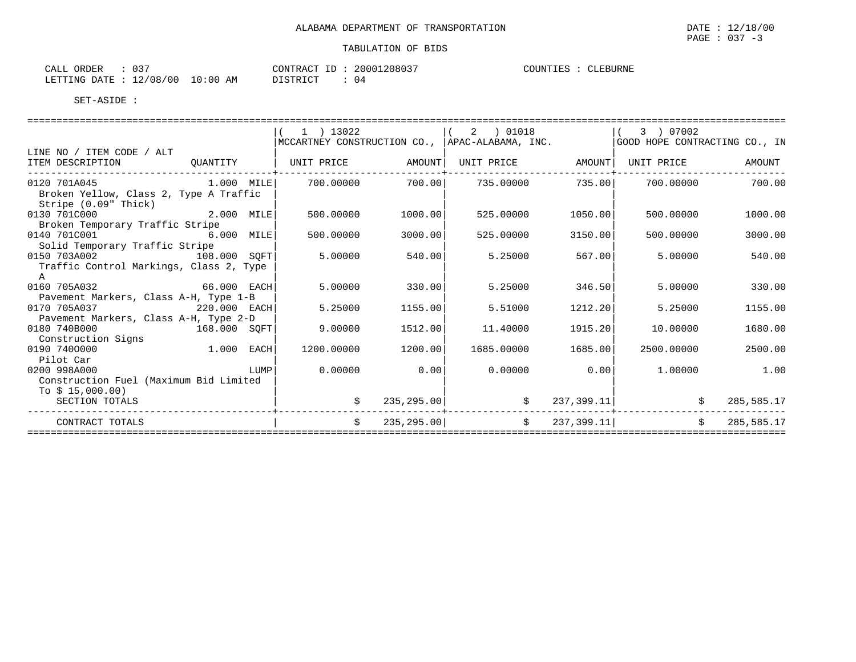| $\sim$ $\sim$ $\sim$<br>ORDER<br>CALL | $\sim$ $\sim$ $\sim$<br>U3                          |             | 20001208037<br>$-1$<br>CONTRACT | COUNTIES<br><b>CLEBURNE</b> |
|---------------------------------------|-----------------------------------------------------|-------------|---------------------------------|-----------------------------|
| LETTING                               | 100<br>/08<br>$\sim$<br>DATE.<br>7 U U<br>⊥∠<br>⊷∸∸ | -0:00<br>AM | DISTRICT<br>ن ر<br><i>┙</i> ∸┘∸ |                             |

SET-ASIDE :

|                                         |              | 1 ) 13022          |             |                                                |             | 3 ) 07002                     |            |
|-----------------------------------------|--------------|--------------------|-------------|------------------------------------------------|-------------|-------------------------------|------------|
|                                         |              |                    |             | MCCARTNEY CONSTRUCTION CO., APAC-ALABAMA, INC. |             | GOOD HOPE CONTRACTING CO., IN |            |
| LINE NO / ITEM CODE / ALT               |              |                    |             |                                                |             |                               |            |
| ITEM DESCRIPTION                        | OUANTITY     | UNIT PRICE AMOUNT  |             | UNIT PRICE                                     | AMOUNT      | UNIT PRICE                    | AMOUNT     |
| 0120 701A045 1.000 MILE                 |              | 700.00000          | 700.00      | 735.00000                                      | 735.00      | 700.00000                     | 700.00     |
| Broken Yellow, Class 2, Type A Traffic  |              |                    |             |                                                |             |                               |            |
| Stripe (0.09" Thick)<br>0130 701C000    | $2.000$ MILE | 500.00000          | 1000.00     | 525.00000                                      | 1050.00     | 500,00000                     | 1000.00    |
| Broken Temporary Traffic Stripe         |              |                    |             |                                                |             |                               |            |
| 0140 701C001                            | 6.000 MILE   | 500.00000          | 3000.00     | 525.00000                                      | 3150.00     | 500,00000                     | 3000.00    |
| Solid Temporary Traffic Stripe          |              |                    |             |                                                |             |                               |            |
| 0150 703A002                            | 108.000 SOFT | 5.00000            | 540.00      | 5.25000                                        | 567.00      | 5.00000                       | 540.00     |
| Traffic Control Markings, Class 2, Type |              |                    |             |                                                |             |                               |            |
| A                                       |              |                    |             |                                                |             |                               |            |
| 0160 705A032                            | 66.000 EACH  | 5,00000            | 330.00      | 5.25000                                        | 346.50      | 5,00000                       | 330.00     |
| Pavement Markers, Class A-H, Type 1-B   |              |                    |             |                                                |             |                               |            |
| 0170 705A037                            | 220.000 EACH | 5.25000            | 1155.00     | 5.51000                                        | 1212.20     | 5.25000                       | 1155.00    |
| Pavement Markers, Class A-H, Type 2-D   |              |                    |             |                                                |             |                               |            |
| 0180 740B000                            | 168.000 SOFT | 9,00000            | 1512.00     | 11,40000                                       | 1915.20     | 10,00000                      | 1680.00    |
| Construction Signs                      |              |                    |             |                                                |             |                               |            |
| 0190 7400000                            | 1.000 EACH   | 1200.00000         | 1200.00     | 1685.00000                                     | 1685.00     | 2500.00000                    | 2500.00    |
| Pilot Car                               |              |                    |             |                                                |             |                               |            |
| 0200 998A000                            | LUMP         | 0.00000            | 0.00        | 0.00000                                        | 0.00        | 1,00000                       | 1.00       |
| Construction Fuel (Maximum Bid Limited  |              |                    |             |                                                |             |                               |            |
| To $$15,000.00)$                        |              |                    |             |                                                |             |                               |            |
| SECTION TOTALS                          |              | \$                 | 235,295.00  | $\mathfrak{S}$                                 |             | $237, 399.11$  <br>\$         | 285,585.17 |
| CONTRACT TOTALS                         |              | $\dot{\mathbf{S}}$ | 235, 295.00 | $\ddot{\mathbf{S}}$                            | 237, 399.11 | \$                            | 285,585.17 |
|                                         |              |                    |             |                                                |             |                               |            |

 $\texttt{PAGE}$  : 037 -3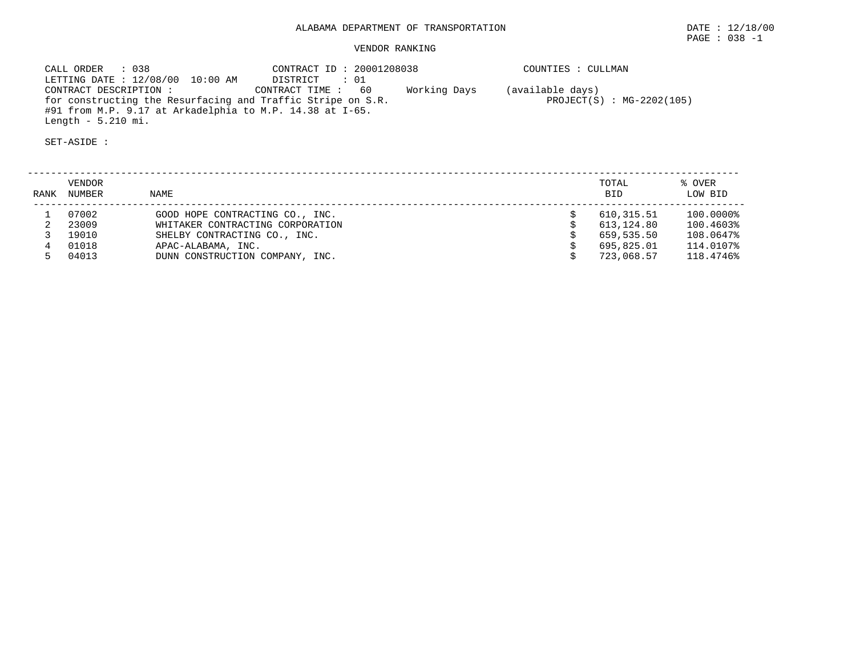CALL ORDER : 038 CONTRACT ID : 20001208038 COUNTIES : CULLMAN LETTING DATE : 12/08/00 10:00 AM DISTRICT : 01 CONTRACT DESCRIPTION : CONTRACT TIME : 60 Working Days (available days) for constructing the Resurfacing and Traffic Stripe on S.R. PROJECT(S) : MG-2202(105) #91 from M.P. 9.17 at Arkadelphia to M.P. 14.38 at I-65. Length - 5.210 mi.

| RANK | VENDOR<br>NUMBER | NAME                             | TOTAL<br><b>BID</b> | % OVER<br>LOW BID |
|------|------------------|----------------------------------|---------------------|-------------------|
|      | 07002            | GOOD HOPE CONTRACTING CO., INC.  | 610,315.51          | 100.0000%         |
|      | 23009            | WHITAKER CONTRACTING CORPORATION | 613,124.80          | 100.4603%         |
|      | 19010            | SHELBY CONTRACTING CO., INC.     | 659,535.50          | 108.0647%         |
|      | 01018            | APAC-ALABAMA, INC.               | 695,825.01          | 114.0107%         |
|      | 04013            | DUNN CONSTRUCTION COMPANY, INC.  | 723,068.57          | 118.4746%         |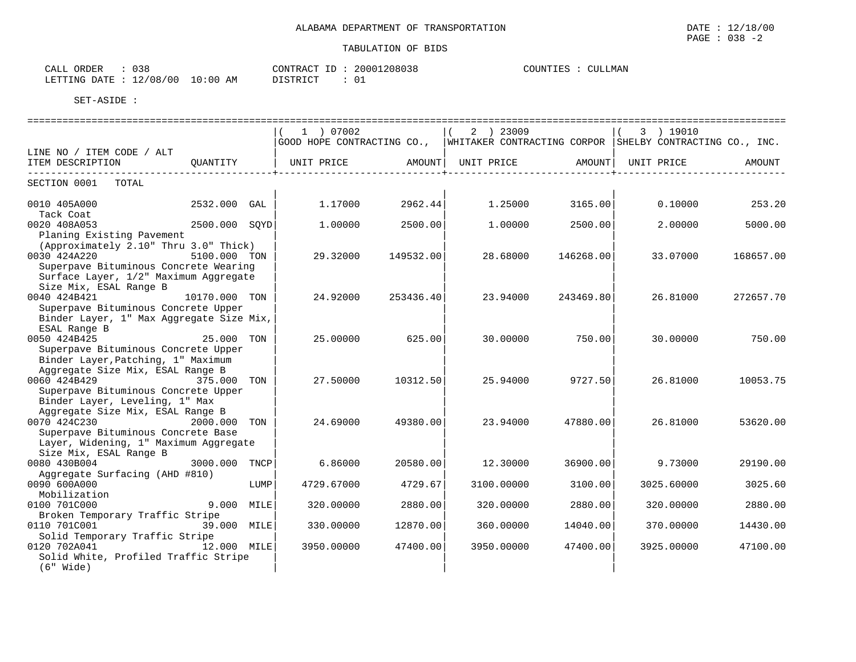| 038<br>ORDER<br>CALL     |             | CONTRACT<br>ΙD | 20001208038    | COUNTIES<br>CULLMAN |
|--------------------------|-------------|----------------|----------------|---------------------|
| 12/08/00<br>LETTING DATE | 10:00<br>AM | DISTRICT       | $\sim$<br>്ധ ച |                     |

SET-ASIDE :

|                                                                                                                                                                       |                 | 1 ) 07002<br>GOOD HOPE CONTRACTING CO., |           | 2 ) 23009  |           | 3 ) 19010<br> WHITAKER CONTRACTING CORPOR   SHELBY CONTRACTING CO., INC. |           |
|-----------------------------------------------------------------------------------------------------------------------------------------------------------------------|-----------------|-----------------------------------------|-----------|------------|-----------|--------------------------------------------------------------------------|-----------|
| LINE NO / ITEM CODE / ALT                                                                                                                                             |                 |                                         |           |            |           |                                                                          |           |
| ITEM DESCRIPTION<br>OUANTITY                                                                                                                                          |                 | UNIT PRICE                              | AMOUNT    | UNIT PRICE | AMOUNT    | UNIT PRICE                                                               | AMOUNT    |
| SECTION 0001<br>TOTAL                                                                                                                                                 |                 |                                         |           |            |           |                                                                          |           |
| 0010 405A000<br>Tack Coat                                                                                                                                             | 2532.000<br>GAL | 1.17000                                 | 2962.44   | 1.25000    | 3165.00   | 0.10000                                                                  | 253.20    |
| 0020 408A053<br>Planing Existing Pavement                                                                                                                             | 2500.000 SQYD   | 1,00000                                 | 2500.00   | 1,00000    | 2500.00   | 2,00000                                                                  | 5000.00   |
| (Approximately 2.10" Thru 3.0" Thick)<br>0030 424A220<br>Superpave Bituminous Concrete Wearing<br>Surface Layer, 1/2" Maximum Aggregate                               | 5100.000 TON    | 29.32000                                | 149532.00 | 28.68000   | 146268.00 | 33.07000                                                                 | 168657.00 |
| Size Mix, ESAL Range B<br>0040 424B421<br>Superpave Bituminous Concrete Upper<br>Binder Layer, 1" Max Aggregate Size Mix,                                             | 10170.000 TON   | 24,92000                                | 253436.40 | 23.94000   | 243469.80 | 26.81000                                                                 | 272657.70 |
| ESAL Range B<br>0050 424B425<br>Superpave Bituminous Concrete Upper<br>Binder Layer, Patching, 1" Maximum                                                             | 25.000<br>TON   | 25,00000                                | 625.00    | 30,00000   | 750.00    | 30,00000                                                                 | 750.00    |
| Aggregate Size Mix, ESAL Range B<br>0060 424B429<br>Superpave Bituminous Concrete Upper<br>Binder Layer, Leveling, 1" Max                                             | 375.000<br>TON  | 27.50000                                | 10312.50  | 25.94000   | 9727.50   | 26.81000                                                                 | 10053.75  |
| Aggregate Size Mix, ESAL Range B<br>0070 424C230<br>2000.000<br>Superpave Bituminous Concrete Base<br>Layer, Widening, 1" Maximum Aggregate<br>Size Mix, ESAL Range B | TON             | 24.69000                                | 49380.00  | 23.94000   | 47880.00  | 26.81000                                                                 | 53620.00  |
| 0080 430B004<br>3000.000<br>Aggregate Surfacing (AHD #810)                                                                                                            | TNCP            | 6.86000                                 | 20580.00  | 12.30000   | 36900.00  | 9.73000                                                                  | 29190.00  |
| 0090 600A000<br>Mobilization                                                                                                                                          | LUMP            | 4729.67000                              | 4729.67   | 3100.00000 | 3100.00   | 3025.60000                                                               | 3025.60   |
| 0100 701C000<br>Broken Temporary Traffic Stripe                                                                                                                       | 9.000 MILE      | 320.00000                               | 2880.00   | 320.00000  | 2880.00   | 320.00000                                                                | 2880.00   |
| 0110 701C001<br>Solid Temporary Traffic Stripe                                                                                                                        | 39.000 MILE     | 330.00000                               | 12870.00  | 360.00000  | 14040.00  | 370.00000                                                                | 14430.00  |
| 0120 702A041<br>Solid White, Profiled Traffic Stripe<br>(6" Wide)                                                                                                     | 12.000 MILE     | 3950.00000                              | 47400.00  | 3950.00000 | 47400.00  | 3925.00000                                                               | 47100.00  |

 $\texttt{PAGE}$  : 038 -2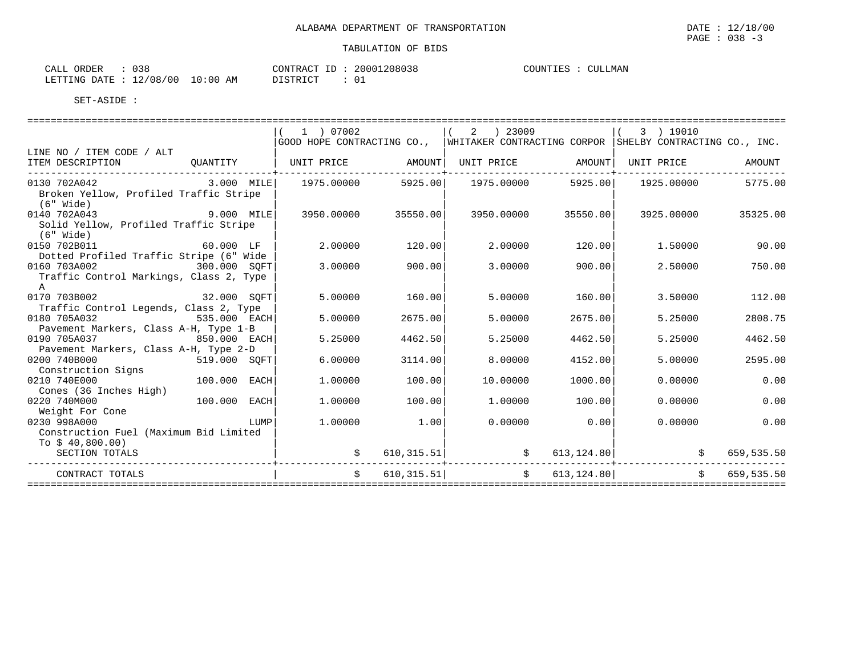| CALI<br>ORDER   | ∩າດ<br>. ه د . |             | CONTRACT            | $ -$ | 20001208038 | COUNTIES | CULLMAN |
|-----------------|----------------|-------------|---------------------|------|-------------|----------|---------|
| DATE<br>LETTING | 12/08/00       | 10:00<br>AM | DISTRICT<br>------- |      | ◡∸          |          |         |

|                                                                              |                     |      | 1 ) 07002                      |                     | 2 ) 23009     |                   |          | 3 ) 19010                                                |            |                |
|------------------------------------------------------------------------------|---------------------|------|--------------------------------|---------------------|---------------|-------------------|----------|----------------------------------------------------------|------------|----------------|
|                                                                              |                     |      | GOOD HOPE CONTRACTING CO.,     |                     |               |                   |          | WHITAKER CONTRACTING CORPOR SHELBY CONTRACTING CO., INC. |            |                |
| LINE NO / ITEM CODE / ALT<br>ITEM DESCRIPTION                                |                     |      | OUANTITY   UNIT PRICE   AMOUNT |                     |               | UNIT PRICE AMOUNT |          | UNIT PRICE                                               |            | AMOUNT         |
| 0130 702A042<br>Broken Yellow, Profiled Traffic Stripe<br>$(6"$ Wide)        | $3.000$ MILE        |      | 1975.00000                     | 5925.00             |               | 1975.00000        | 5925.00  | 1925.00000                                               |            | 5775.00        |
| 0140 702A043<br>Solid Yellow, Profiled Traffic Stripe<br>(6" Wide)           | 9.000 MILE          |      |                                | 3950.00000 35550.00 |               | 3950.00000        | 35550.00 | 3925.00000                                               |            | 35325.00       |
| 0150 702B011<br>Dotted Profiled Traffic Stripe (6" Wide                      | 60.000 LF           |      | 2.00000                        | 120.00              |               | 2.00000           | 120.00   | 1,50000                                                  |            | 90.00          |
| 0160 703A002<br>300.000 SQFT<br>Traffic Control Markings, Class 2, Type<br>A |                     |      | 3.00000                        | 900.00              |               | 3,00000           | 900.00   | 2.50000                                                  |            | 750.00         |
| 0170 703B002                                                                 | 32.000 SQFT         |      | 5.00000                        | 160.00              |               | 5.00000           | 160.00   | 3.50000                                                  |            | 112.00         |
| Traffic Control Legends, Class 2, Type                                       |                     |      |                                |                     |               |                   |          |                                                          |            |                |
| 0180 705A032                                                                 | 535.000 EACH        |      | 5.00000                        | 2675.00             |               | 5.00000           | 2675.00  | 5.25000                                                  |            | 2808.75        |
| Pavement Markers, Class A-H, Type 1-B                                        |                     |      |                                |                     |               |                   |          |                                                          |            |                |
| 0190 705A037                                                                 | 850.000 EACH        |      | 5.25000                        | 4462.50             |               | 5.25000           | 4462.50  | 5.25000                                                  |            | 4462.50        |
| Pavement Markers, Class A-H, Type 2-D                                        |                     |      |                                |                     |               |                   |          |                                                          |            |                |
| 0200 740B000                                                                 | 519.000 SOFT        |      | 6.00000                        | 3114.00             |               | 8,00000           | 4152.00  | 5.00000                                                  |            | 2595.00        |
| Construction Signs<br>0210 740E000                                           | 100.000 EACH        |      | 1,00000                        | 100.00              |               | 10.00000          | 1000.00  | 0.00000                                                  |            | 0.00           |
| Cones (36 Inches High)                                                       |                     |      |                                |                     |               |                   |          |                                                          |            |                |
| 0220 740M000                                                                 | 100.000 EACH        |      | 1,00000                        | 100.00              |               | 1,00000           | 100.00   | 0.00000                                                  |            | 0.00           |
| Weight For Cone                                                              |                     |      |                                |                     |               |                   |          |                                                          |            |                |
| 0230 998A000                                                                 |                     | LUMP | 1,00000                        | 1.00                |               | $0.00000$ 0.00    |          | 0.00000                                                  |            | 0.00           |
| Construction Fuel (Maximum Bid Limited                                       |                     |      |                                |                     |               |                   |          |                                                          |            |                |
| To $$40,800.00)$                                                             |                     |      |                                |                     |               |                   |          |                                                          |            |                |
| SECTION TOTALS                                                               |                     |      |                                | 610, 315.51         | $\mathcal{S}$ |                   |          | 613, 124.80                                              | $\ddot{s}$ | 659,535.50     |
| CONTRACT TOTALS                                                              | ------------------- |      |                                | 610, 315.51         |               | \$613, 124.80]    |          |                                                          |            | \$ 659, 535.50 |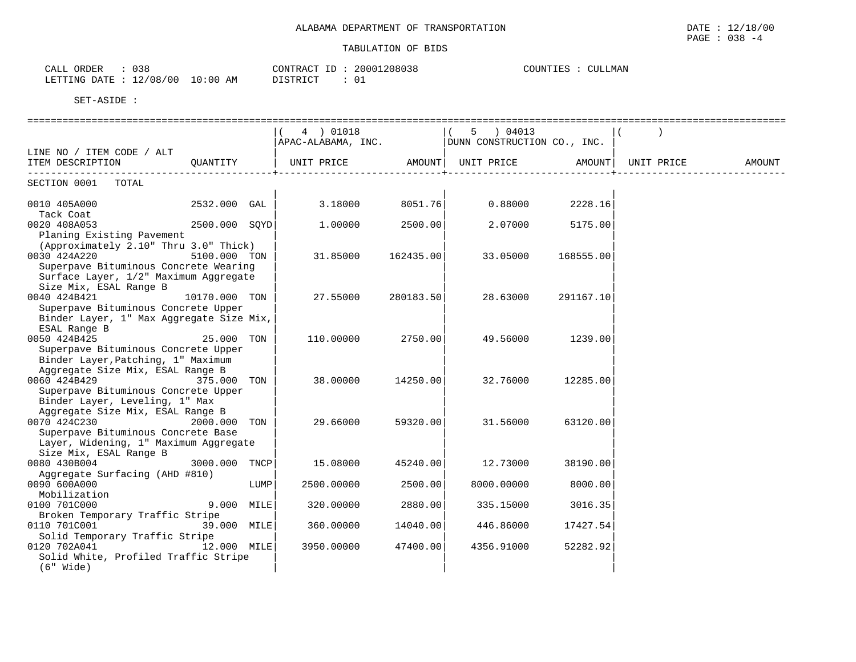| へっと<br>ORDER<br>CALI<br>しろと |             | CONTRACT                                 | 20001208038 | LMAN<br>COUNTIES<br>CUL.<br>LIES |
|-----------------------------|-------------|------------------------------------------|-------------|----------------------------------|
| 12/08/00<br>LETTING<br>DATE | 10:00<br>AM | $\cdot$ $\cap$ $\Box$ $\cap$ $\neg$<br>. | ◡∸          |                                  |

|                                                     |               |      | 4 ) 01018  |           | 5 ) 04013  |           |        |
|-----------------------------------------------------|---------------|------|------------|-----------|------------|-----------|--------|
|                                                     |               |      |            |           |            |           |        |
| LINE NO / ITEM CODE / ALT                           |               |      |            |           |            |           |        |
| ITEM DESCRIPTION QUANTITY                           |               |      |            |           |            |           | AMOUNT |
| -----------------------------                       |               |      |            |           |            |           |        |
| SECTION 0001 TOTAL                                  |               |      |            |           |            |           |        |
|                                                     |               |      |            |           |            |           |        |
| 0010 405A000 2532.000 GAL                           |               |      | 3.18000    | 8051.76   | 0.88000    | 2228.16   |        |
| Tack Coat                                           |               |      |            |           |            |           |        |
| 0020 408A053                                        | 2500.000 SOYD |      | 1.00000    | 2500.00   | 2.07000    | 5175.00   |        |
| Planing Existing Pavement                           |               |      |            |           |            |           |        |
| (Approximately 2.10" Thru 3.0" Thick)               |               |      |            |           |            |           |        |
| 0030 424A220                                        | 5100.000 TON  |      | 31.85000   | 162435.00 | 33.05000   | 168555.00 |        |
| Superpave Bituminous Concrete Wearing               |               |      |            |           |            |           |        |
| Surface Layer, 1/2" Maximum Aggregate               |               |      |            |           |            |           |        |
| Size Mix, ESAL Range B                              |               |      |            |           |            |           |        |
| 0040 424B421<br>Superpave Bituminous Concrete Upper | 10170.000 TON |      | 27.55000   | 280183.50 | 28.63000   | 291167.10 |        |
| Binder Layer, 1" Max Aggregate Size Mix,            |               |      |            |           |            |           |        |
| ESAL Range B                                        |               |      |            |           |            |           |        |
| 0050 424B425                                        | 25.000 TON    |      | 110.00000  | 2750.00   | 49.56000   | 1239.00   |        |
| Superpave Bituminous Concrete Upper                 |               |      |            |           |            |           |        |
| Binder Layer, Patching, 1" Maximum                  |               |      |            |           |            |           |        |
| Aggregate Size Mix, ESAL Range B                    |               |      |            |           |            |           |        |
| 0060 424B429                                        | 375.000 TON   |      | 38.00000   | 14250.00  | 32.76000   | 12285.00  |        |
| Superpave Bituminous Concrete Upper                 |               |      |            |           |            |           |        |
| Binder Layer, Leveling, 1" Max                      |               |      |            |           |            |           |        |
| Aggregate Size Mix, ESAL Range B                    |               |      |            |           |            |           |        |
| 0070 424C230<br>2000.000 TON                        |               |      | 29.66000   | 59320.00  | 31.56000   | 63120.00  |        |
| Superpave Bituminous Concrete Base                  |               |      |            |           |            |           |        |
| Layer, Widening, 1" Maximum Aggregate               |               |      |            |           |            |           |        |
| Size Mix, ESAL Range B                              |               |      |            |           |            |           |        |
| 0080 430B004                                        | 3000.000 TNCP |      | 15.08000   | 45240.00  | 12.73000   | 38190.00  |        |
| Aggregate Surfacing (AHD #810)                      |               |      |            |           |            |           |        |
| 0090 600A000                                        |               | LUMP | 2500.00000 | 2500.00   | 8000.00000 | 8000.00   |        |
| Mobilization                                        |               |      |            |           |            |           |        |
| 0100 701C000                                        | 9.000 MILE    |      | 320.00000  | 2880.00   | 335.15000  | 3016.35   |        |
| Broken Temporary Traffic Stripe                     |               |      |            |           |            |           |        |
| 0110 701C001                                        | 39.000 MILE   |      | 360.00000  | 14040.00  | 446.86000  | 17427.54  |        |
| Solid Temporary Traffic Stripe                      |               |      |            |           |            |           |        |
| 0120 702A041                                        | 12.000 MILE   |      | 3950.00000 | 47400.00  | 4356.91000 | 52282.92  |        |
| Solid White, Profiled Traffic Stripe                |               |      |            |           |            |           |        |
| $(6"$ Wide)                                         |               |      |            |           |            |           |        |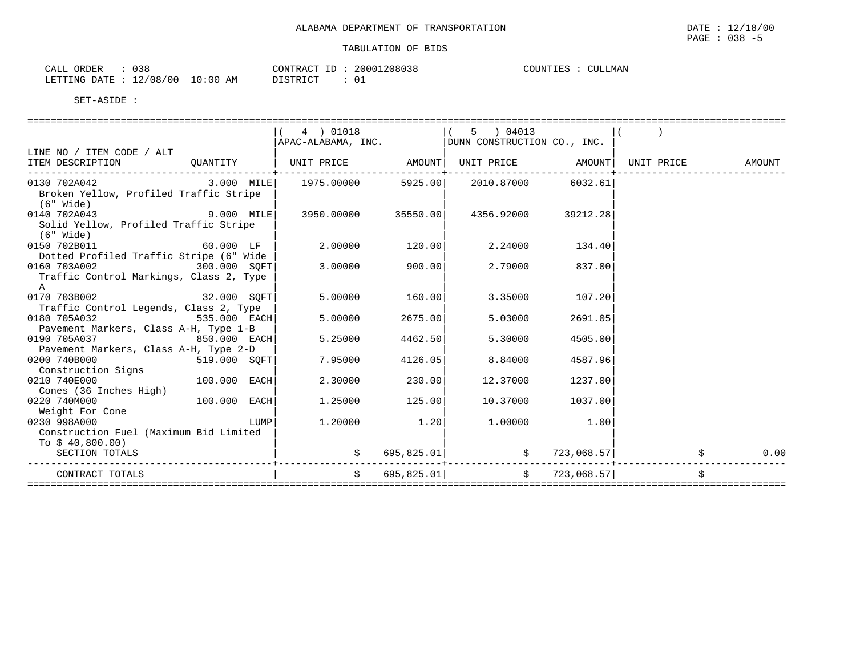| $\sim$ $\sim$ $\sim$<br>ORDER<br>CALL<br>U38 |             | CONTRACT ID | 20001208038 | COUNTIES<br><b>CULLMAN</b> |
|----------------------------------------------|-------------|-------------|-------------|----------------------------|
| 12/08/00<br>LETTING DATE                     | 10:00<br>ΆM | DI STRICT   |             |                            |

|                                                                     |                | 4 ) 01018 |                            | 5 04013                                               |                     |      |
|---------------------------------------------------------------------|----------------|-----------|----------------------------|-------------------------------------------------------|---------------------|------|
|                                                                     |                |           |                            | $APAC-ALABAMA$ , $INC.$ DUNN CONSTRUCTION CO., $INC.$ |                     |      |
| LINE NO / ITEM CODE / ALT                                           |                |           |                            |                                                       |                     |      |
| ITEM DESCRIPTION                                                    |                |           |                            |                                                       |                     |      |
|                                                                     |                |           |                            |                                                       |                     |      |
| $0130$ $702A042$ $3.000$ $MILE$ $1975.00000$ $5925.00$ $2010.87000$ |                |           |                            |                                                       | 6032.61             |      |
| Broken Yellow, Profiled Traffic Stripe                              |                |           |                            |                                                       |                     |      |
| (6" Wide)                                                           |                |           |                            |                                                       |                     |      |
| 0140 702A043                                                        | $9.000$ MILE   |           | 3950.00000 35550.00        |                                                       | 4356.92000 39212.28 |      |
| Solid Yellow, Profiled Traffic Stripe                               |                |           |                            |                                                       |                     |      |
| (6" Wide)                                                           |                |           |                            |                                                       |                     |      |
| 0150 702B011                                                        | 60.000 LF      |           | 2.00000 120.00             | 2.24000                                               | 134.40              |      |
| Dotted Profiled Traffic Stripe (6" Wide                             |                |           |                            |                                                       |                     |      |
| 0160 703A002<br>300.000 SQFT                                        |                |           | 3.00000 900.00             | 2.79000                                               | 837.00              |      |
| Traffic Control Markings, Class 2, Type                             |                |           |                            |                                                       |                     |      |
| $\mathbb{A}$                                                        |                |           |                            |                                                       |                     |      |
| 0170 703B002 32.000 SOFT                                            |                |           | 5.00000 160.00             | 3.35000                                               | 107.20              |      |
| Traffic Control Legends, Class 2, Type                              |                |           |                            |                                                       |                     |      |
| 0180 705A032                                                        | 535.000 EACH   |           | 5.00000<br>2675.00         | 5.03000                                               | 2691.05             |      |
| Pavement Markers, Class A-H, Type 1-B                               |                |           |                            |                                                       |                     |      |
| 0190 705A037                                                        | 850.000 EACH   | 5.25000   | 4462.50                    | 5.30000                                               | 4505.00             |      |
| Pavement Markers, Class A-H, Type 2-D                               |                |           |                            |                                                       |                     |      |
| 0200 740B000                                                        | 519.000 SOFT   | 7.95000   | 4126.05                    | 8.84000                                               | 4587.96             |      |
| Construction Signs                                                  |                |           |                            |                                                       |                     |      |
| 0210 740E000                                                        | $100.000$ EACH |           | 2.30000 230.00             | 12.37000                                              | 1237.00             |      |
| Cones (36 Inches High)                                              |                |           |                            |                                                       |                     |      |
| 0220 740M000                                                        | $100.000$ EACH |           | 1.25000 125.00             | 10.37000                                              | 1037.00             |      |
| Weight For Cone                                                     |                |           |                            |                                                       |                     |      |
| 0230 998A000                                                        |                | LUMP      | $1.20000$ $1.20$           |                                                       | 1.00000 1.00        |      |
| Construction Fuel (Maximum Bid Limited                              |                |           |                            |                                                       |                     |      |
| To $$40,800.00)$                                                    |                |           |                            |                                                       |                     |      |
| SECTION TOTALS                                                      |                |           | 695,825.01                 |                                                       | \$723,068.57        | 0.00 |
| CONTRACT TOTALS                                                     |                |           | $\mathsf{S}$<br>695,825.01 |                                                       | \$723,068.57]       |      |
|                                                                     |                |           |                            |                                                       |                     |      |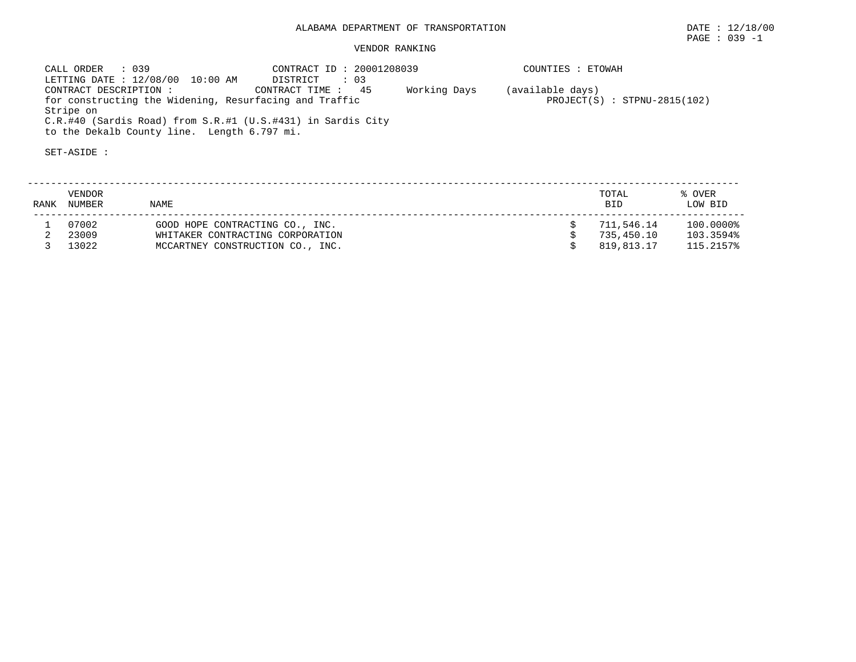CALL ORDER : 039 CONTRACT ID : 20001208039 COUNTIES : ETOWAH LETTING DATE : 12/08/00 10:00 AM DISTRICT : 03 CONTRACT DESCRIPTION : CONTRACT TIME : 45 Working Days (available days) for constructing the Widening, Resurfacing and Traffic **PROJECT(S)** PROJECT(S) : STPNU-2815(102) Stripe on C.R.#40 (Sardis Road) from S.R.#1 (U.S.#431) in Sardis City to the Dekalb County line. Length 6.797 mi.

| RANK | VENDOR<br>NUMBER        | NAME                                                                                                    | TOTAL<br><b>BID</b>                    | % OVER<br>LOW BID                   |
|------|-------------------------|---------------------------------------------------------------------------------------------------------|----------------------------------------|-------------------------------------|
|      | 07002<br>23009<br>13022 | GOOD HOPE CONTRACTING CO., INC.<br>WHITAKER CONTRACTING CORPORATION<br>MCCARTNEY CONSTRUCTION CO., INC. | 711,546.14<br>735,450.10<br>819,813.17 | 100.0000%<br>103.3594%<br>115.2157% |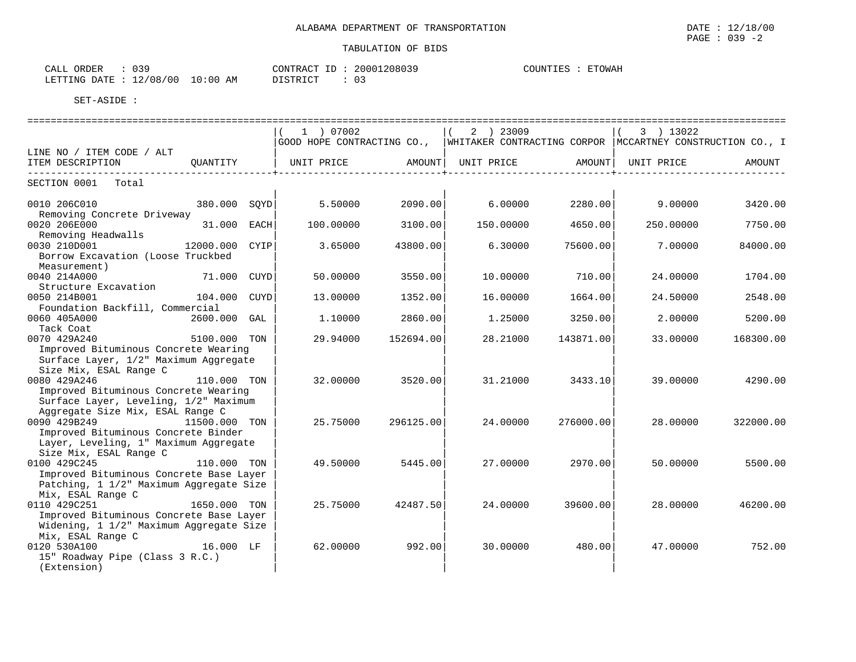| いっぴ<br>ORDER<br>CALL        |            | CONTRACT ID | 20001208039     | ETOWAH<br>COUNTIES |
|-----------------------------|------------|-------------|-----------------|--------------------|
| 12/08/00<br>LETTING DATE: 7 | $10:00$ AM | DISTRICT    | $\sim$ -<br>UJ. |                    |

|                                                                                                                                   |                |      | 1 ) 07002<br>GOOD HOPE CONTRACTING CO.,  WHITAKER CONTRACTING CORPOR  MCCARTNEY CONSTRUCTION CO., I |           | 2 ) 23009           |           | 3 ) 13022  |           |
|-----------------------------------------------------------------------------------------------------------------------------------|----------------|------|-----------------------------------------------------------------------------------------------------|-----------|---------------------|-----------|------------|-----------|
| LINE NO / ITEM CODE / ALT                                                                                                         |                |      |                                                                                                     |           |                     |           |            |           |
| ITEM DESCRIPTION                                                                                                                  | OUANTITY       |      | UNIT PRICE                                                                                          |           | AMOUNT   UNIT PRICE | AMOUNT    | UNIT PRICE | AMOUNT    |
| --------------<br>SECTION 0001 Total                                                                                              |                |      |                                                                                                     |           |                     |           |            |           |
| 0010 206C010<br>Removing Concrete Driveway                                                                                        | 380.000 SQYD   |      | 5.50000                                                                                             | 2090.00   | 6.00000             | 2280.00   | 9.00000    | 3420.00   |
| 0020 206E000<br>Removing Headwalls                                                                                                | 31.000         | EACH | 100.00000                                                                                           | 3100.00   | 150.00000           | 4650.00   | 250.00000  | 7750.00   |
| 0030 210D001<br>Borrow Excavation (Loose Truckbed<br>Measurement)                                                                 | 12000.000 CYIP |      | 3.65000                                                                                             | 43800.00  | 6.30000             | 75600.00  | 7.00000    | 84000.00  |
| 0040 214A000<br>Structure Excavation                                                                                              | 71.000         | CUYD | 50.00000                                                                                            | 3550.00   | 10.00000            | 710.00    | 24.00000   | 1704.00   |
| 0050 214B001<br>Foundation Backfill, Commercial                                                                                   | 104.000        | CUYD | 13.00000                                                                                            | 1352.00   | 16.00000            | 1664.00   | 24.50000   | 2548.00   |
| 0060 405A000<br>Tack Coat                                                                                                         | 2600.000 GAL   |      | 1,10000                                                                                             | 2860.00   | 1.25000             | 3250.00   | 2,00000    | 5200.00   |
| 0070 429A240<br>Improved Bituminous Concrete Wearing<br>Surface Layer, 1/2" Maximum Aggregate<br>Size Mix, ESAL Range C           | 5100.000 TON   |      | 29,94000                                                                                            | 152694.00 | 28.21000            | 143871.00 | 33.00000   | 168300.00 |
| 0080 429A246<br>Improved Bituminous Concrete Wearing<br>Surface Layer, Leveling, 1/2" Maximum<br>Aggregate Size Mix, ESAL Range C | 110.000 TON    |      | 32.00000                                                                                            | 3520.00   | 31,21000            | 3433.10   | 39.00000   | 4290.00   |
| 0090 429B249<br>Improved Bituminous Concrete Binder<br>Layer, Leveling, 1" Maximum Aggregate<br>Size Mix, ESAL Range C            | 11500.000 TON  |      | 25.75000                                                                                            | 296125.00 | 24.00000            | 276000.00 | 28.00000   | 322000.00 |
| 0100 429C245<br>Improved Bituminous Concrete Base Layer<br>Patching, 1 1/2" Maximum Aggregate Size<br>Mix, ESAL Range C           | 110.000 TON    |      | 49.50000                                                                                            | 5445.00   | 27.00000            | 2970.00   | 50.00000   | 5500.00   |
| 0110 429C251<br>Improved Bituminous Concrete Base Layer<br>Widening, 1 1/2" Maximum Aggregate Size<br>Mix, ESAL Range C           | 1650.000 TON   |      | 25.75000                                                                                            | 42487.50  | 24.00000            | 39600.00  | 28,00000   | 46200.00  |
| 0120 530A100<br><b>16.000 LF</b><br>15" Roadway Pipe (Class 3 R.C.)<br>(Extension)                                                |                |      | 62.00000                                                                                            | 992.00    | 30.00000            | 480.00    | 47.00000   | 752.00    |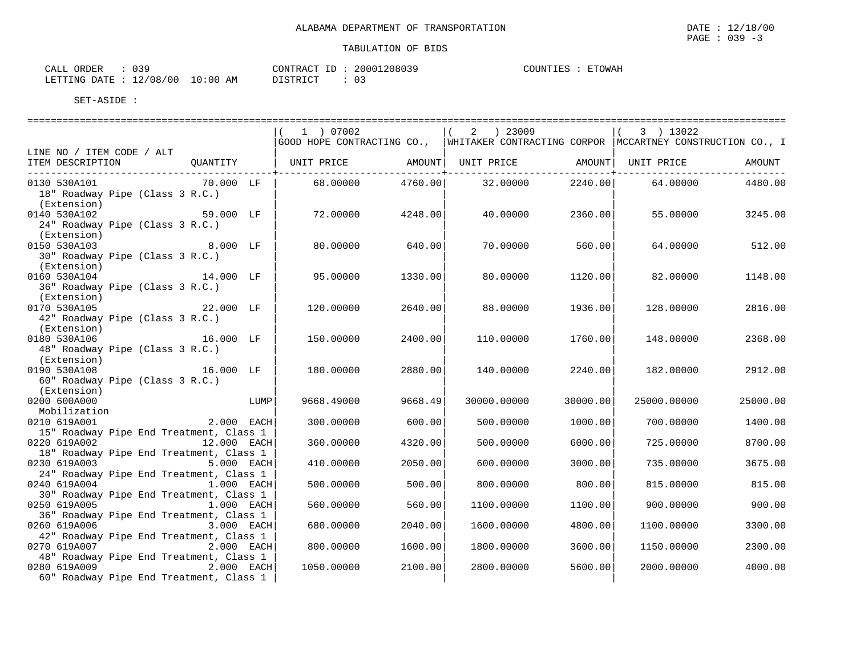| าวฉ<br>ORDER<br>CALL<br>- - -      |               | CONTRACT<br>$-$ | 20001208039 | <b>ETOWAH</b><br>COUNTIES |
|------------------------------------|---------------|-----------------|-------------|---------------------------|
| $12/08/00$ $-$<br>LETTING<br>RATE: | 10:00 L<br>AM | <b>DISTRICT</b> | ◡ ◡         |                           |

|                                                                                                                            |            | ============================= |                                                                                                     |          |             |          |
|----------------------------------------------------------------------------------------------------------------------------|------------|-------------------------------|-----------------------------------------------------------------------------------------------------|----------|-------------|----------|
|                                                                                                                            | 1 ) 07002  |                               | 2 ) 23009<br>GOOD HOPE CONTRACTING CO., WHITAKER CONTRACTING CORPOR   MCCARTNEY CONSTRUCTION CO., I |          | 3 ) 13022   |          |
| LINE NO / ITEM CODE / ALT                                                                                                  |            |                               |                                                                                                     |          |             |          |
| QUANTITY   UNIT PRICE     AMOUNT  UNIT PRICE     AMOUNT  UNIT PRICE<br>ITEM DESCRIPTION<br>------------------------------- |            |                               |                                                                                                     |          |             | AMOUNT   |
| $70.000$ LF<br>0130 530A101<br>18" Roadway Pipe (Class 3 R.C.)<br>(Extension)                                              |            | 68.00000 4760.00              | 32.00000                                                                                            | 2240.00  | 64.00000    | 4480.00  |
| 0140 530A102<br>59.000 LF<br>24" Roadway Pipe (Class 3 R.C.)<br>(Extension)                                                | 72.00000   | 4248.00                       | 40.00000                                                                                            | 2360.00  | 55.00000    | 3245.00  |
| 8.000 LF<br>0150 530A103<br>30" Roadway Pipe (Class 3 R.C.)<br>(Extension)                                                 | 80.00000   | 640.00                        | 70.00000                                                                                            | 560.00   | 64.00000    | 512.00   |
| 14.000 LF<br>0160 530A104<br>36" Roadway Pipe (Class 3 R.C.)<br>(Extension)                                                | 95.00000   | 1330.00                       | 80.00000                                                                                            | 1120.00  | 82.00000    | 1148.00  |
| 22.000 LF<br>0170 530A105<br>42" Roadway Pipe (Class 3 R.C.)<br>(Extension)                                                | 120.00000  | 2640.00                       | 88.00000                                                                                            | 1936.00  | 128.00000   | 2816.00  |
| 16.000 LF<br>0180 530A106<br>48" Roadway Pipe (Class 3 R.C.)<br>(Extension)                                                | 150.00000  | 2400.00                       | 110.00000                                                                                           | 1760.00  | 148.00000   | 2368.00  |
| 16.000 LF<br>0190 530A108<br>60" Roadway Pipe (Class 3 R.C.)<br>(Extension)                                                | 180.00000  | 2880.00                       | 140.00000                                                                                           | 2240.00  | 182.00000   | 2912.00  |
| 0200 600A000<br>LUMP<br>Mobilization                                                                                       | 9668.49000 | 9668.49                       | 30000.00000                                                                                         | 30000.00 | 25000.00000 | 25000.00 |
| $2.000$ EACH<br>0210 619A001<br>15" Roadway Pipe End Treatment, Class 1                                                    | 300.00000  | 600.00                        | 500.00000                                                                                           | 1000.00  | 700.00000   | 1400.00  |
| 0220 619A002<br>12.000 EACH<br>18" Roadway Pipe End Treatment, Class 1                                                     | 360.00000  | 4320.00                       | 500.00000                                                                                           | 6000.00  | 725.00000   | 8700.00  |
| 0230 619A003 5.000 EACH<br>24" Roadway Pipe End Treatment, Class 1                                                         | 410.00000  | 2050.00                       | 600.00000                                                                                           | 3000.00  | 735.00000   | 3675.00  |
| 0240 619A004<br>$1.000$ EACH<br>30" Roadway Pipe End Treatment, Class 1                                                    | 500.00000  | 500.00                        | 800.00000                                                                                           | 800.00   | 815.00000   | 815.00   |
| 0250 619A005<br>1.000 EACH                                                                                                 | 560.00000  | 560.00                        | 1100.00000                                                                                          | 1100.00  | 900,00000   | 900.00   |
| 36" Roadway Pipe End Treatment, Class 1<br>0260 619A006 3.000 EACH                                                         | 680.00000  | 2040.00                       | 1600.00000                                                                                          | 4800.00  | 1100.00000  | 3300.00  |
| 42" Roadway Pipe End Treatment, Class 1<br>0270 619A007<br>2.000 EACH                                                      | 800.00000  | 1600.00                       | 1800.00000                                                                                          | 3600.00  | 1150.00000  | 2300.00  |
| 48" Roadway Pipe End Treatment, Class 1<br>0280 619A009<br>2.000 EACH<br>60" Roadway Pipe End Treatment, Class 1           | 1050.00000 | 2100.00                       | 2800.00000                                                                                          | 5600.00  | 2000.00000  | 4000.00  |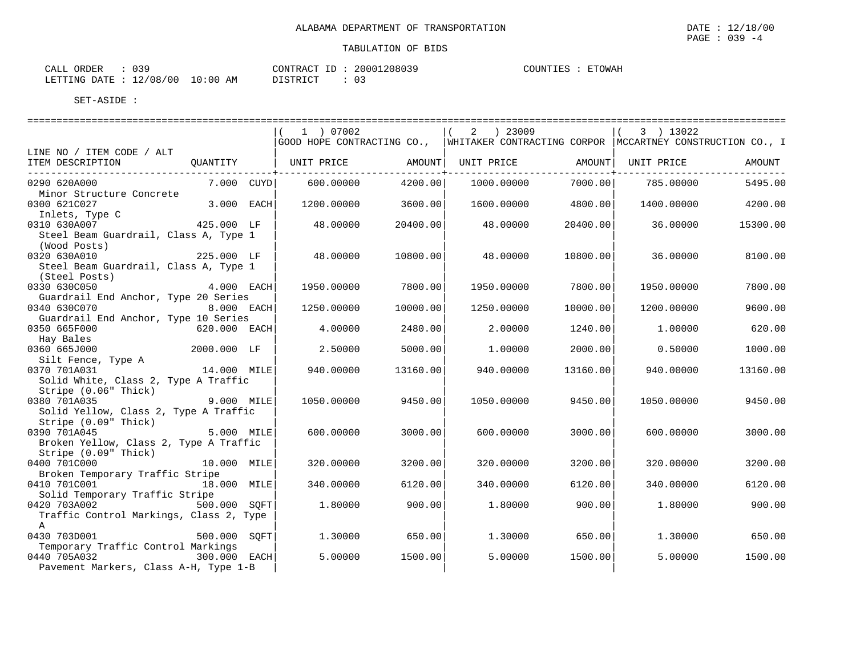| ORDER<br>CALI    | าวด<br><u>. .</u>                                    | CONTRACT<br>$-1$    | 208039<br>$-2000$ <sup>-</sup> | COUNTIES<br><b>ETOWAH</b><br>ا تىلد - |
|------------------|------------------------------------------------------|---------------------|--------------------------------|---------------------------------------|
| DATE.<br>LETTING | 12/08/<br>$^{\prime}$ 0 0 $^{\prime}$<br>10:00<br>AΜ | DIOTOD IOD<br>----- | $\cap$<br>. U J                |                                       |

|                                                                                       | 1 ) 07002                     |          | 2 ) 23009<br>GOOD HOPE CONTRACTING CO.,  WHITAKER CONTRACTING CORPOR  MCCARTNEY CONSTRUCTION CO., I |          | 3 ) 13022  |          |
|---------------------------------------------------------------------------------------|-------------------------------|----------|-----------------------------------------------------------------------------------------------------|----------|------------|----------|
| LINE NO / ITEM CODE / ALT                                                             |                               |          |                                                                                                     |          |            |          |
| ITEM DESCRIPTION<br>OUANTITY                                                          | UNIT PRICE AMOUNT  UNIT PRICE |          |                                                                                                     | AMOUNT   | UNIT PRICE | AMOUNT   |
| 7.000 CUYD <br>0290 620A000                                                           | 600.00000                     | 4200.00  | 1000.00000                                                                                          | 7000.00  | 785.00000  | 5495.00  |
| Minor Structure Concrete<br>3.000 EACH<br>0300 621C027                                | 1200.00000                    | 3600.00  | 1600.00000                                                                                          | 4800.00  | 1400.00000 | 4200.00  |
| Inlets, Type C<br>425.000 LF<br>0310 630A007                                          | 48.00000                      | 20400.00 | 48.00000                                                                                            | 20400.00 | 36.00000   | 15300.00 |
| Steel Beam Guardrail, Class A, Type 1<br>(Wood Posts)                                 |                               |          |                                                                                                     |          |            |          |
| 225.000 LF<br>0320 630A010<br>Steel Beam Guardrail, Class A, Type 1                   | 48.00000                      | 10800.00 | 48.00000                                                                                            | 10800.00 | 36,00000   | 8100.00  |
| (Steel Posts)<br>$4.000$ EACH<br>0330 630C050<br>Guardrail End Anchor, Type 20 Series | 1950.00000                    | 7800.00  | 1950.00000                                                                                          | 7800.00  | 1950.00000 | 7800.00  |
| 8.000 EACH<br>0340 630C070<br>Guardrail End Anchor, Type 10 Series                    | 1250.00000                    | 10000.00 | 1250.00000                                                                                          | 10000.00 | 1200.00000 | 9600.00  |
| 0350 665F000<br>620.000 EACH<br>Hay Bales                                             | 4.00000                       | 2480.00  | 2,00000                                                                                             | 1240.00  | 1,00000    | 620.00   |
| 2000.000 LF<br>0360 665J000<br>Silt Fence, Type A                                     | 2.50000                       | 5000.00  | 1,00000                                                                                             | 2000.00  | 0.50000    | 1000.00  |
| 14.000 MILE<br>0370 701A031<br>Solid White, Class 2, Type A Traffic                   | 940.00000                     | 13160.00 | 940.00000                                                                                           | 13160.00 | 940.00000  | 13160.00 |
| Stripe (0.06" Thick)<br>$[9.000 \quad \text{MILE}]$<br>0380 701A035                   | 1050.00000                    | 9450.00  | 1050.00000                                                                                          | 9450.00  | 1050.00000 | 9450.00  |
| Solid Yellow, Class 2, Type A Traffic<br>Stripe (0.09" Thick)                         |                               |          |                                                                                                     |          |            |          |
| $5.000$ MILE<br>0390 701A045<br>Broken Yellow, Class 2, Type A Traffic                | 600.00000                     | 3000.00  | 600,00000                                                                                           | 3000.00  | 600,00000  | 3000.00  |
| Stripe (0.09" Thick)<br>0400 701C000<br>10.000 MILE                                   | 320.00000                     | 3200.00  | 320.00000                                                                                           | 3200.00  | 320.00000  | 3200.00  |
| Broken Temporary Traffic Stripe                                                       |                               |          |                                                                                                     |          |            |          |
| 0410 701C001<br>18.000 MILE<br>Solid Temporary Traffic Stripe                         | 340.00000                     | 6120.00  | 340.00000                                                                                           | 6120.00  | 340.00000  | 6120.00  |
| 0420 703A002 500.000 SQFT<br>Traffic Control Markings, Class 2, Type                  | 1.80000                       | 900.00   | 1,80000                                                                                             | 900.00   | 1.80000    | 900.00   |
| A<br>0430 703D001<br>500.000 SOFT<br>Temporary Traffic Control Markings               | 1.30000                       | 650.00   | 1.30000                                                                                             | 650.00   | 1.30000    | 650.00   |
| 0440 705A032<br>300.000 EACH<br>Pavement Markers, Class A-H, Type 1-B                 | 5.00000                       | 1500.00  | 5.00000                                                                                             | 1500.00  | 5.00000    | 1500.00  |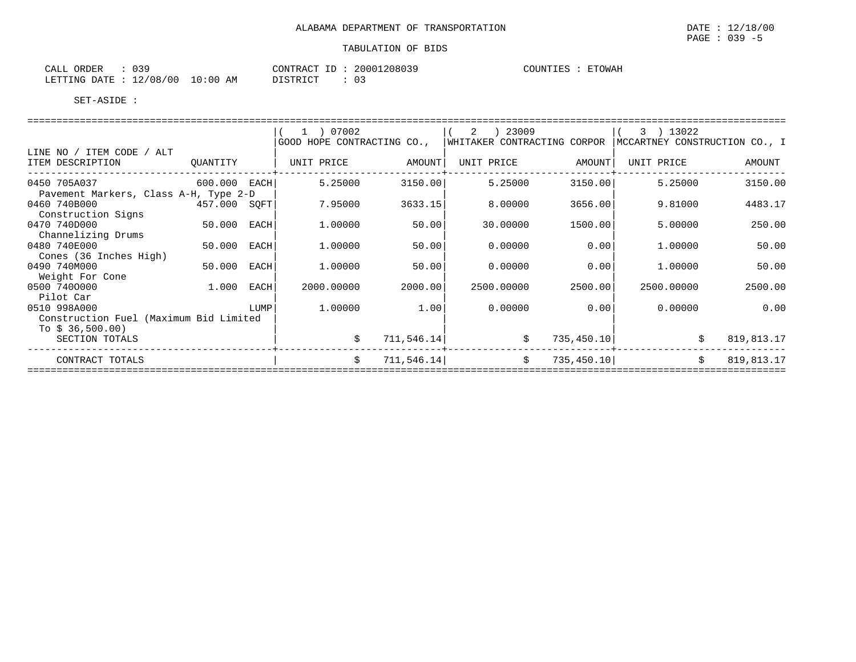| ORDER<br>CALL   | n 2 Q<br>. U J - |               | CONTRACT<br>ΙD               | 20001208039 | COUNTIES | <b>ETOWAH</b> |
|-----------------|------------------|---------------|------------------------------|-------------|----------|---------------|
| DATE<br>LETTING | 12/08/00         | LO : 00<br>ΆM | <b>PT STRICT</b><br>-------- | 03          |          |               |

|                                        |              |      | 1 ) 07002                  |             | 2 ) 23009                   |             | 3 ) 13022                     |            |
|----------------------------------------|--------------|------|----------------------------|-------------|-----------------------------|-------------|-------------------------------|------------|
|                                        |              |      | GOOD HOPE CONTRACTING CO., |             | WHITAKER CONTRACTING CORPOR |             | MCCARTNEY CONSTRUCTION CO., I |            |
| LINE NO / ITEM CODE / ALT              |              |      |                            |             |                             |             |                               |            |
| ITEM DESCRIPTION                       | QUANTITY     |      | UNIT PRICE                 | AMOUNT      | UNIT PRICE                  | AMOUNT      | UNIT PRICE                    | AMOUNT     |
| 0450 705A037                           | 600.000 EACH |      | 5.25000                    | 3150.00     | 5.25000                     | 3150.00     | 5.25000                       | 3150.00    |
| Pavement Markers, Class A-H, Type 2-D  |              |      |                            |             |                             |             |                               |            |
| 0460 740B000                           | 457.000 SQFT |      | 7.95000                    | 3633.15     | 8.00000                     | 3656.00     | 9.81000                       | 4483.17    |
| Construction Signs                     |              |      |                            |             |                             |             |                               |            |
| 0470 740D000                           | 50.000 EACH  |      | 1,00000                    | 50.00       | 30.00000                    | 1500.00     | 5.00000                       | 250.00     |
| Channelizing Drums                     |              |      |                            |             |                             |             |                               |            |
| 0480 740E000                           | 50.000 EACH  |      | 1.00000                    | 50.00       | 0.00000                     | 0.00        | 1,00000                       | 50.00      |
| Cones (36 Inches High)                 |              |      |                            |             |                             |             |                               |            |
| 0490 740M000                           | 50.000 EACH  |      | 1,00000                    | 50.00       | 0.00000                     | 0.00        | 1.00000                       | 50.00      |
| Weight For Cone                        |              |      |                            |             |                             |             |                               |            |
| 0500 7400000                           | 1.000 EACH   |      | 2000.00000                 | 2000.00     | 2500.00000                  | 2500.00     | 2500.00000                    | 2500.00    |
| Pilot Car                              |              |      |                            |             |                             |             |                               |            |
| 0510 998A000                           |              | LUMP | 1.00000                    | 1.00        | 0.00000                     | 0.00        | 0.00000                       | 0.00       |
| Construction Fuel (Maximum Bid Limited |              |      |                            |             |                             |             |                               |            |
| To $$36,500.00$                        |              |      |                            |             |                             |             |                               |            |
| SECTION TOTALS                         |              |      |                            | 711, 546.14 | \$                          | 735,450.10  | \$                            | 819,813.17 |
| CONTRACT TOTALS                        |              |      |                            | 711, 546.14 | \$                          | 735, 450.10 | Ŝ.                            | 819,813.17 |
|                                        |              |      |                            |             |                             |             |                               |            |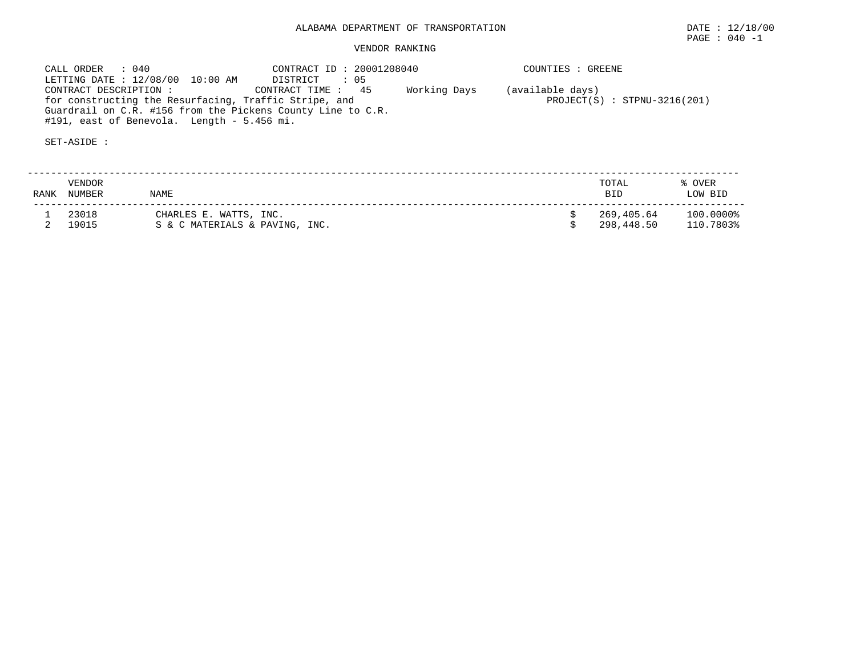CALL ORDER : 040 CONTRACT ID : 20001208040 COUNTIES : GREENE LETTING DATE : 12/08/00 10:00 AM DISTRICT : 05 CONTRACT DESCRIPTION : CONTRACT TIME : 45 Working Days (available days) for constructing the Resurfacing, Traffic Stripe, and PROJECT(S) : STPNU-3216(201) Guardrail on C.R. #156 from the Pickens County Line to C.R. #191, east of Benevola. Length - 5.456 mi.

| RANK | VENDOR<br><b>NUMBER</b> | NAME                                                     | TOTAL<br><b>BID</b>      | % OVER<br>LOW BID      |
|------|-------------------------|----------------------------------------------------------|--------------------------|------------------------|
|      | 23018<br>19015          | CHARLES E. WATTS, INC.<br>S & C MATERIALS & PAVING, INC. | 269,405.64<br>298,448.50 | 100.0000%<br>110.7803% |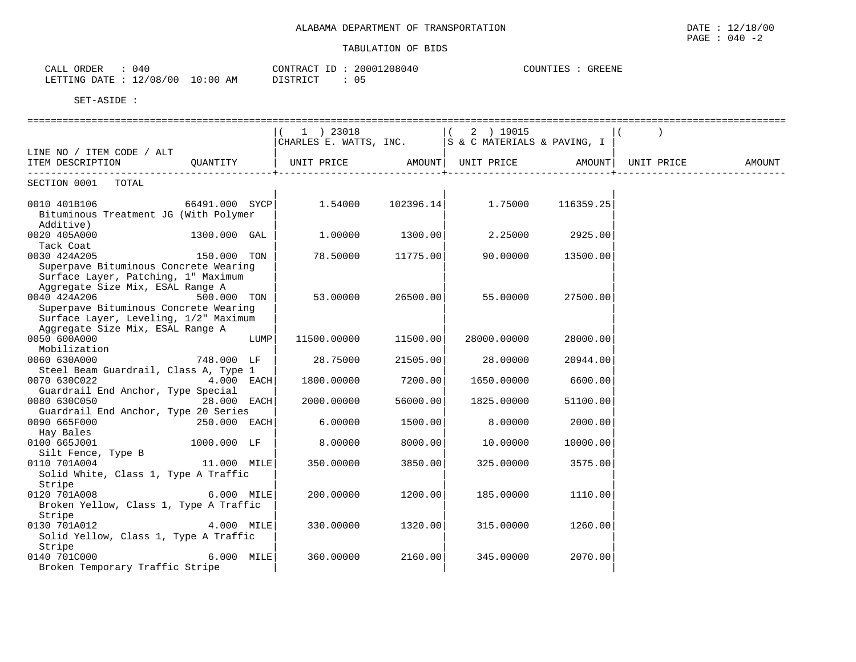| 040<br>CALL ORDER                |          | CONTRACT ID: 20001208040 | COUNTIES | : GREENE |
|----------------------------------|----------|--------------------------|----------|----------|
| LETTING DATE : 12/08/00 10:00 AM | DISTRICT | 05                       |          |          |

|                                                                                 |                |      | $1$ ) 23018                                          |          | $(2)$ 19015 |                   |  |
|---------------------------------------------------------------------------------|----------------|------|------------------------------------------------------|----------|-------------|-------------------|--|
|                                                                                 |                |      | CHARLES E. WATTS, INC.   S & C MATERIALS & PAVING, I |          |             |                   |  |
| LINE NO / ITEM CODE / ALT                                                       |                |      |                                                      |          |             |                   |  |
| ITEM DESCRIPTION CUANTITY   UNIT PRICE AMOUNT  UNIT PRICE AMOUNT  UNIT PRICE    |                |      |                                                      |          |             |                   |  |
| ------------------------------                                                  |                |      |                                                      |          |             |                   |  |
| SECTION 0001 TOTAL                                                              |                |      |                                                      |          |             |                   |  |
|                                                                                 |                |      |                                                      |          |             |                   |  |
| $0010$ 401B106 $000$ 66491.000 SYCP $000$ 1.54000 $102396.14$ 1.75000 116359.25 |                |      |                                                      |          |             |                   |  |
| Bituminous Treatment JG (With Polymer                                           |                |      |                                                      |          |             |                   |  |
| Additive)                                                                       |                |      | $1.00000$ $1300.00$ $2.25000$ $2925.00$              |          |             |                   |  |
| 0020 405A000                                                                    | $1300.000$ GAL |      |                                                      |          |             |                   |  |
| Tack Coat                                                                       |                |      |                                                      |          |             |                   |  |
| 0030 424A205                                                                    | 150.000 TON    |      | 78.50000 11775.00                                    |          |             | 90.00000 13500.00 |  |
| Superpave Bituminous Concrete Wearing                                           |                |      |                                                      |          |             |                   |  |
| Surface Layer, Patching, 1" Maximum                                             |                |      |                                                      |          |             |                   |  |
| Aggregate Size Mix, ESAL Range A                                                |                |      |                                                      |          |             |                   |  |
| 0040 424A206                                                                    | 500.000 TON    |      | $53.00000$ 26500.00                                  |          | 55.00000    | 27500.00          |  |
| Superpave Bituminous Concrete Wearing                                           |                |      |                                                      |          |             |                   |  |
| Surface Layer, Leveling, 1/2" Maximum                                           |                |      |                                                      |          |             |                   |  |
| Aggregate Size Mix, ESAL Range A                                                |                |      |                                                      |          |             |                   |  |
| 0050 600A000                                                                    |                | LUMP | 11500.00000                                          | 11500.00 | 28000.00000 | 28000.00          |  |
| Mobilization                                                                    |                |      |                                                      |          |             |                   |  |
| 0060 630A000                                                                    | 748.000 LF     |      | 28.75000                                             | 21505.00 | 28.00000    | 20944.00          |  |
| Steel Beam Guardrail, Class A, Type 1                                           |                |      |                                                      |          |             |                   |  |
| 0070 630C022                                                                    | $4.000$ EACH   |      | 1800.00000                                           | 7200.00  | 1650.00000  | 6600.00           |  |
| Guardrail End Anchor, Type Special                                              |                |      |                                                      |          |             |                   |  |
| 0080 630C050                                                                    | 28.000 EACH    |      | 2000.00000                                           | 56000.00 | 1825.00000  | 51100.00          |  |
| Guardrail End Anchor, Type 20 Series                                            |                |      |                                                      |          |             |                   |  |
| 0090 665F000 250.000 EACH                                                       |                |      | 6.00000                                              | 1500.00  | 8.00000     | 2000.00           |  |
| Hay Bales                                                                       |                |      |                                                      |          |             |                   |  |
| 0100 665J001                                                                    | 1000.000 LF    |      | 8,00000                                              | 8000.00  | 10.00000    | 10000.00          |  |
| Silt Fence, Type B<br>11.000 MILE                                               |                |      |                                                      |          |             |                   |  |
| 0110 701A004                                                                    |                |      | 350.00000                                            | 3850.00  | 325.00000   | 3575.00           |  |
| Solid White, Class 1, Type A Traffic                                            |                |      |                                                      |          |             |                   |  |
| Stripe                                                                          |                |      |                                                      |          |             |                   |  |
| 0120 701A008 6.000 MILE                                                         |                |      | 200.00000                                            | 1200.00  | 185.00000   | 1110.00           |  |
| Broken Yellow, Class 1, Type A Traffic                                          |                |      |                                                      |          |             |                   |  |
| Stripe                                                                          |                |      |                                                      |          |             |                   |  |
| 0130 701A012                                                                    | 4.000 MILE     |      | 330.00000                                            | 1320.00  | 315.00000   | 1260.00           |  |
| Solid Yellow, Class 1, Type A Traffic                                           |                |      |                                                      |          |             |                   |  |
| Stripe                                                                          |                |      |                                                      |          |             |                   |  |
| 0140 701C000                                                                    | $6.000$ MILE   |      | 360.00000                                            | 2160.00  | 345.00000   | 2070.00           |  |
| Broken Temporary Traffic Stripe                                                 |                |      |                                                      |          |             |                   |  |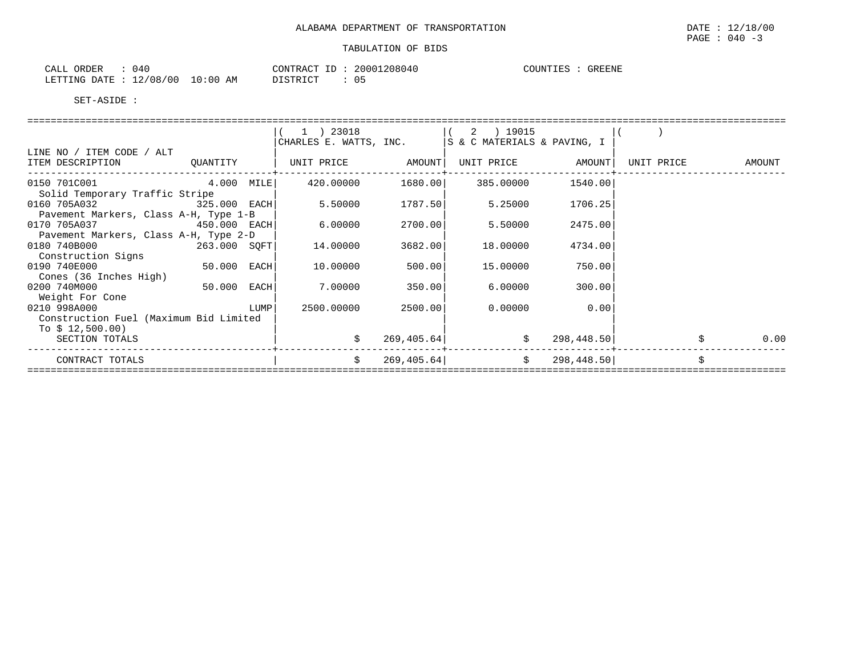| ORDER<br>CALI          | $\sim$<br>14 U |             | CONTRACT<br>$\tau$ $\tau$ | .208040<br>20001 | <b>COUNTIES</b> | GREENE<br>しっト |
|------------------------|----------------|-------------|---------------------------|------------------|-----------------|---------------|
| <b>DATE</b><br>LETTING | 12/08/<br>'00  | 10:00<br>AM | DIAMPIAM<br>ノエレエエハエヘエ     | 05               |                 |               |

|                                                                                                                      |  | $(1)$ 23018 $(2)$ 19015<br>CHARLES E. WATTS, INC.   S & C MATERIALS & PAVING, I |        |                                                                                                                                                                                                                                 |                 |      |
|----------------------------------------------------------------------------------------------------------------------|--|---------------------------------------------------------------------------------|--------|---------------------------------------------------------------------------------------------------------------------------------------------------------------------------------------------------------------------------------|-----------------|------|
| LINE NO / ITEM CODE / ALT<br>ITEM DESCRIPTION 6 QUANTITY   UNIT PRICE AMOUNT  UNIT PRICE AMOUNT  UNIT PRICE          |  |                                                                                 |        |                                                                                                                                                                                                                                 |                 |      |
| $0.150$ 701C001 $1540.00$ $4.000$ MILE $420.00000$ $1680.00$ $385.00000$ $1540.00$<br>Solid Temporary Traffic Stripe |  |                                                                                 |        |                                                                                                                                                                                                                                 |                 |      |
| 0160 705A032 325.000 EACH<br>Pavement Markers, Class A-H, Type 1-B                                                   |  | $5.50000$ 1787.50                                                               |        |                                                                                                                                                                                                                                 | 5.25000 1706.25 |      |
| 0170 705A037 450.000 EACH<br>Pavement Markers, Class A-H, Type 2-D                                                   |  | $6.00000 \qquad \qquad 2700.00 \vert$                                           |        | 5.50000                                                                                                                                                                                                                         | 2475.00         |      |
| $0180740B000$ 263.000 SQFT 14.00000 3682.00<br>Construction Signs                                                    |  |                                                                                 |        | 18.00000                                                                                                                                                                                                                        | 4734.00         |      |
| $50.000$ EACH<br>0190 740E000<br>Cones (36 Inches High)                                                              |  | 10.00000                                                                        | 500.00 | 15.00000                                                                                                                                                                                                                        | 750.00          |      |
| 0200 740M000 50.000 EACH<br>Weight For Cone                                                                          |  | $7.00000$ 350.00                                                                |        | 6.00000 6.000 6.000 6.000 6.000 6.000 6.000 6.000 6.000 6.000 6.000 6.000 6.000 6.000 6.000 6.000 6.000 6.000 6.000 6.000 6.000 6.000 6.000 6.000 6.000 6.000 6.000 6.000 6.000 6.000 6.000 6.000 6.000 6.000 6.000 6.000 6.000 | 300.00          |      |
| 0210 998A000 LUMP<br>Construction Fuel (Maximum Bid Limited                                                          |  | 2500.00000 2500.00                                                              |        |                                                                                                                                                                                                                                 | $0.00000$ 0.00  |      |
| To $$12,500.00)$<br>SECTION TOTALS                                                                                   |  |                                                                                 |        | $269, 405.64$ $\uparrow$ $\qquad$ $298, 448.50$                                                                                                                                                                                 |                 | 0.00 |
| CONTRACT TOTALS                                                                                                      |  | $\ddot{s}$                                                                      |        | $269, 405.64$ $\uparrow$ 298, 448.50                                                                                                                                                                                            |                 |      |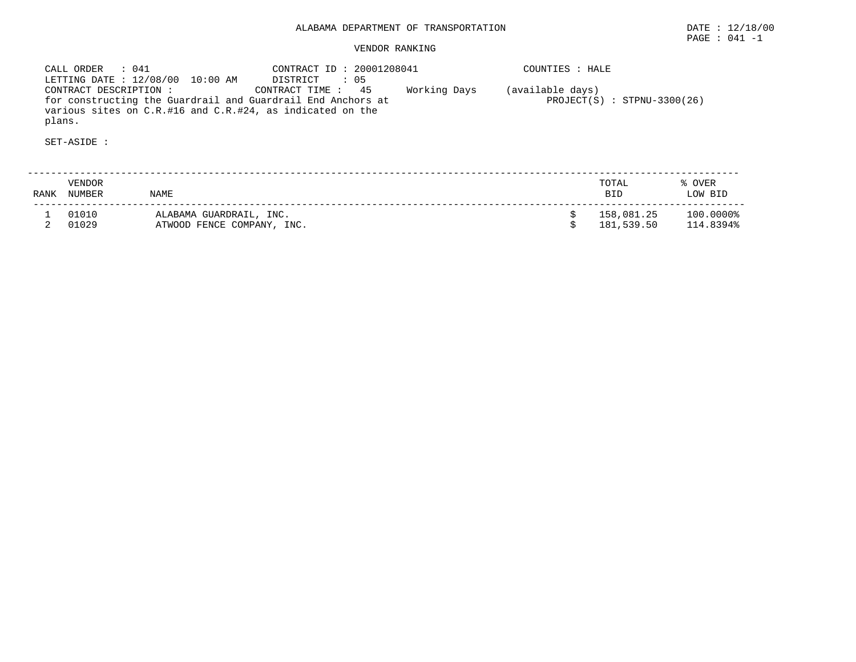CALL ORDER : 041 CONTRACT ID : 20001208041 COUNTIES : HALELETTING DATE : 12/08/00 10:00 AM DISTRICT : 05 CONTRACT DESCRIPTION : CONTRACT TIME : 45 Working Days (available days) for constructing the Guardrail and Guardrail End Anchors at PROJECT(S) : STPNU-3300(26) various sites on C.R.#16 and C.R.#24, as indicated on the plans.

| RANK | <b>VENDOR</b><br>NUMBER | <b>NAME</b>                                           | TOTAL<br><b>BID</b>      | % OVER<br>LOW BID      |
|------|-------------------------|-------------------------------------------------------|--------------------------|------------------------|
|      | 01010<br>01029          | ALABAMA GUARDRAIL, INC.<br>ATWOOD FENCE COMPANY, INC. | 158,081.25<br>181,539.50 | 100.0000%<br>114.8394% |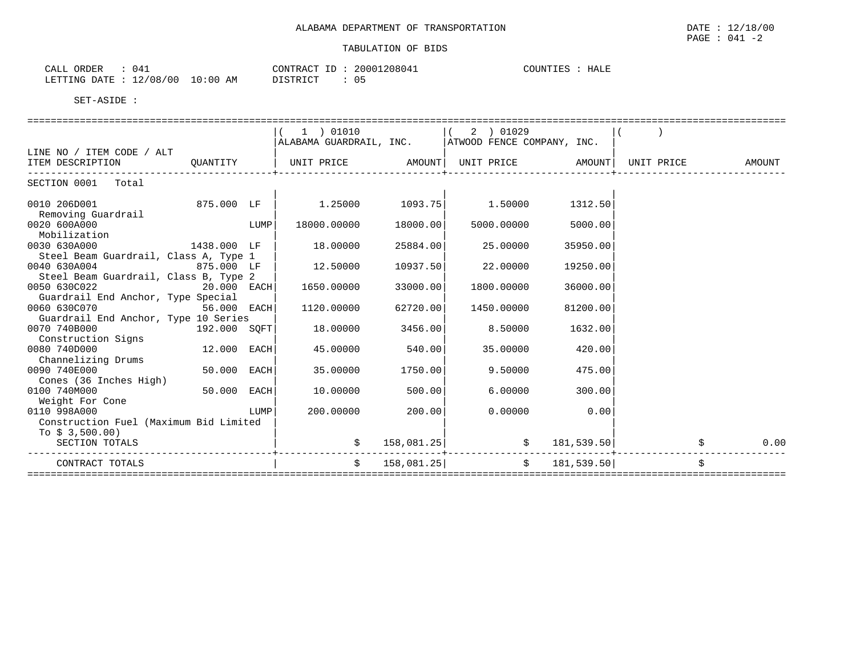| ORDER<br>CALL                    | 041 | CONTRACT<br>ID | 20001208041 | COUNTIES | HALE |
|----------------------------------|-----|----------------|-------------|----------|------|
| LETTING DATE : 12/08/00 10:00 AM |     | DISTRICT       |             |          |      |

|                                        |               |      | 1 ) 01010                                            |            | 2 ) 01029                                                                                                                                                                                                                       |               |               |
|----------------------------------------|---------------|------|------------------------------------------------------|------------|---------------------------------------------------------------------------------------------------------------------------------------------------------------------------------------------------------------------------------|---------------|---------------|
|                                        |               |      | ALABAMA GUARDRAIL, INC.   ATWOOD FENCE COMPANY, INC. |            |                                                                                                                                                                                                                                 |               |               |
| LINE NO / ITEM CODE / ALT              |               |      |                                                      |            |                                                                                                                                                                                                                                 |               |               |
| ITEM DESCRIPTION QUANTITY              |               |      |                                                      |            |                                                                                                                                                                                                                                 |               | <b>AMOUNT</b> |
|                                        |               |      |                                                      |            |                                                                                                                                                                                                                                 |               |               |
| SECTION 0001 Total                     |               |      |                                                      |            |                                                                                                                                                                                                                                 |               |               |
|                                        |               |      |                                                      |            |                                                                                                                                                                                                                                 |               |               |
| 0010 206D001 875.000 LF                |               |      |                                                      |            | $1.25000$ $1093.75$ $1.50000$                                                                                                                                                                                                   | 1312.50       |               |
| Removing Guardrail                     |               |      |                                                      |            |                                                                                                                                                                                                                                 |               |               |
| 0020 600A000                           | <b>LUMP</b>   |      | 18000.00000                                          | 18000.00   | 5000.00000                                                                                                                                                                                                                      | 5000.00       |               |
| Mobilization                           |               |      |                                                      |            |                                                                                                                                                                                                                                 |               |               |
| 0030 630A000                           | 1438.000 LF   |      | 18.00000                                             | 25884.00   | 25.00000                                                                                                                                                                                                                        | 35950.00      |               |
| Steel Beam Guardrail, Class A, Type 1  |               |      |                                                      |            |                                                                                                                                                                                                                                 |               |               |
| 0040 630A004                           | 875.000 LF    |      | 12.50000                                             | 10937.50   | 22.00000                                                                                                                                                                                                                        | 19250.00      |               |
| Steel Beam Guardrail, Class B, Type 2  |               |      |                                                      |            |                                                                                                                                                                                                                                 |               |               |
| 0050 630C022                           | $20.000$ EACH |      | 1650.00000                                           | 33000.00   | 1800.00000                                                                                                                                                                                                                      | 36000.00      |               |
| Guardrail End Anchor, Type Special     |               |      |                                                      |            |                                                                                                                                                                                                                                 |               |               |
| 0060 630C070                           | 56.000 EACH   |      | 1120.00000                                           | 62720.00   | 1450.00000                                                                                                                                                                                                                      | 81200.00      |               |
| Guardrail End Anchor, Type 10 Series   |               |      |                                                      |            |                                                                                                                                                                                                                                 |               |               |
| 0070 740B000 192.000 SQFT              |               |      | 18.00000 3456.00                                     |            | 8.50000                                                                                                                                                                                                                         | 1632.00       |               |
| Construction Signs                     |               |      |                                                      |            |                                                                                                                                                                                                                                 |               |               |
| 0080 740D000                           | 12.000 EACH   |      | 45.00000                                             | 540.00     | 35.00000                                                                                                                                                                                                                        | 420.00        |               |
| Channelizing Drums                     |               |      |                                                      |            |                                                                                                                                                                                                                                 |               |               |
| 0090 740E000                           | 50.000 EACH   |      | 35.00000 1750.00                                     |            | 9.50000                                                                                                                                                                                                                         | 475.00        |               |
| Cones (36 Inches High)                 |               |      |                                                      |            |                                                                                                                                                                                                                                 |               |               |
| 0100 740M000                           | $50.000$ EACH |      | 10.00000                                             | 500.00     | 6.00000 6.000 6.000 6.000 6.000 6.000 6.000 6.000 6.000 6.000 6.000 6.000 6.000 6.000 6.000 6.000 6.000 6.000 6.000 6.000 6.000 6.000 6.000 6.000 6.000 6.000 6.000 6.000 6.000 6.000 6.000 6.000 6.000 6.000 6.000 6.000 6.000 | 300.00        |               |
| Weight For Cone                        |               |      |                                                      |            |                                                                                                                                                                                                                                 |               |               |
| 0110 998A000                           |               | LUMP | 200.00000                                            | 200.00     | 0.00000                                                                                                                                                                                                                         | 0.00          |               |
| Construction Fuel (Maximum Bid Limited |               |      |                                                      |            |                                                                                                                                                                                                                                 |               |               |
| To $$3,500.00)$                        |               |      |                                                      |            |                                                                                                                                                                                                                                 |               |               |
| SECTION TOTALS                         |               |      | $\ddot{\mathbf{S}}$                                  | 158,081.25 | \$ 181,539.50                                                                                                                                                                                                                   |               | 0.00          |
|                                        |               |      |                                                      |            |                                                                                                                                                                                                                                 |               |               |
| CONTRACT TOTALS                        |               |      | $\mathcal{S}$                                        | 158,081.25 |                                                                                                                                                                                                                                 | \$181,539.50] |               |
|                                        |               |      |                                                      |            |                                                                                                                                                                                                                                 |               |               |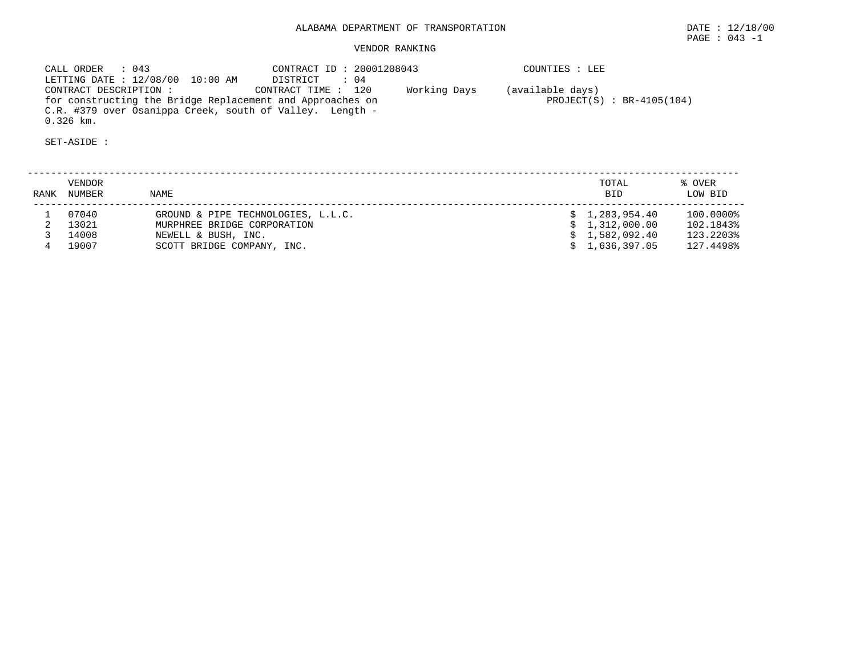CALL ORDER : 043 CONTRACT ID : 20001208043 COUNTIES : LEE LETTING DATE : 12/08/00 10:00 AM DISTRICT : 04 CONTRACT DESCRIPTION : CONTRACT TIME : 120 Working Days (available days) for constructing the Bridge Replacement and Approaches on PROJECT(S) : BR-4105(104) C.R. #379 over Osanippa Creek, south of Valley. Length - 0.326 km.

SET-ASIDE :

 -------------------------------------------------------------------------------------------------------------------------- VENDOR TOTAL % OVER RANK NUMBER NAME BID LOW BID -------------------------------------------------------------------------------------------------------------------------- 1 07040 GROUND & PIPE TECHNOLOGIES, L.L.C. \$ 1,283,954.40 100.0000% 2 13021 MURPHREE BRIDGE CORPORATION \$ 1,312,000.00 102.1843% 3 14008 NEWELL & BUSH, INC. \$ 1,582,092.40 123.2203% 4 19007 SCOTT BRIDGE COMPANY, INC. \$ 1,636,397.05 127.4498%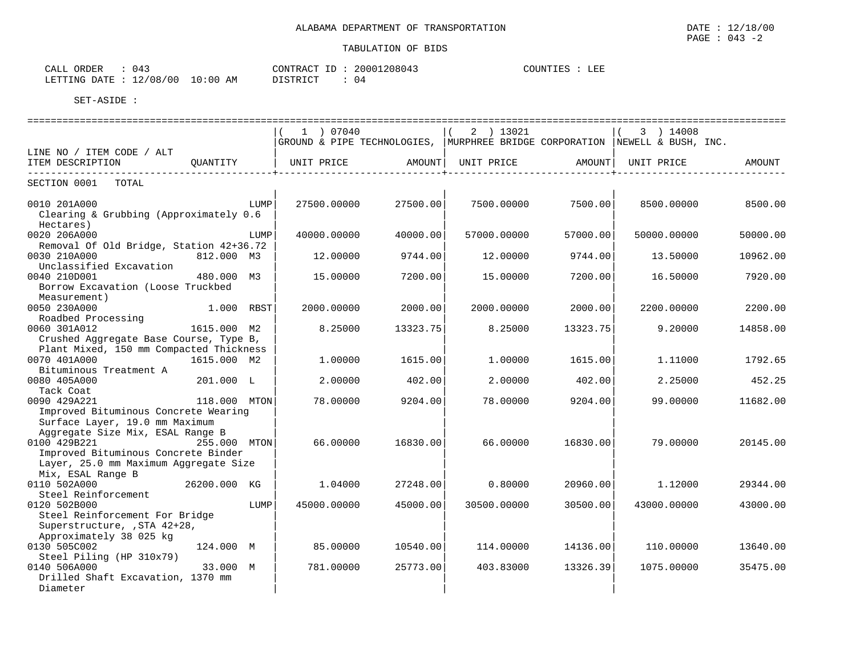| CALL ORDER                       | 043 | CONTRACT ID: 20001208043 |    | COUNTIES : LEE |  |
|----------------------------------|-----|--------------------------|----|----------------|--|
| LETTING DATE : 12/08/00 10:00 AM |     | DISTRICT                 | 04 |                |  |

|                                         |              | 1 ) 07040   |          | $2$ ) 13021                                                                     |          | 3 ) 14008   |          |
|-----------------------------------------|--------------|-------------|----------|---------------------------------------------------------------------------------|----------|-------------|----------|
|                                         |              |             |          | GROUND & PIPE TECHNOLOGIES,   MURPHREE BRIDGE CORPORATION   NEWELL & BUSH, INC. |          |             |          |
| LINE NO / ITEM CODE / ALT               |              |             |          |                                                                                 |          |             |          |
| ITEM DESCRIPTION<br>OUANTITY            |              | UNIT PRICE  | AMOUNT   | UNIT PRICE                                                                      | AMOUNT   | UNIT PRICE  | AMOUNT   |
|                                         |              |             |          |                                                                                 |          |             |          |
| SECTION 0001<br>TOTAL                   |              |             |          |                                                                                 |          |             |          |
| 0010 201A000                            | LUMP         | 27500.00000 | 27500.00 | 7500.00000                                                                      | 7500.00  | 8500.00000  | 8500.00  |
| Clearing & Grubbing (Approximately 0.6  |              |             |          |                                                                                 |          |             |          |
| Hectares)                               |              |             |          |                                                                                 |          |             |          |
| 0020 206A000                            | LUMP         | 40000.00000 | 40000.00 | 57000.00000                                                                     | 57000.00 | 50000.00000 | 50000.00 |
| Removal Of Old Bridge, Station 42+36.72 |              |             |          |                                                                                 |          |             |          |
| 0030 210A000                            | 812.000 M3   | 12.00000    | 9744.00  | 12,00000                                                                        | 9744.00  | 13.50000    | 10962.00 |
| Unclassified Excavation                 |              |             |          |                                                                                 |          |             |          |
| 0040 210D001                            | 480.000 M3   | 15.00000    | 7200.00  | 15.00000                                                                        | 7200.00  | 16.50000    | 7920.00  |
| Borrow Excavation (Loose Truckbed       |              |             |          |                                                                                 |          |             |          |
| Measurement)                            |              |             |          |                                                                                 |          |             |          |
| 0050 230A000                            | 1.000 RBST   | 2000.00000  | 2000.00  | 2000.00000                                                                      | 2000.00  | 2200.00000  | 2200.00  |
| Roadbed Processing                      |              |             |          |                                                                                 |          |             |          |
| 0060 301A012                            | 1615.000 M2  | 8.25000     | 13323.75 | 8.25000                                                                         | 13323.75 | 9.20000     | 14858.00 |
| Crushed Aggregate Base Course, Type B,  |              |             |          |                                                                                 |          |             |          |
| Plant Mixed, 150 mm Compacted Thickness |              |             |          |                                                                                 |          |             |          |
| 0070 401A000                            | 1615.000 M2  | 1.00000     | 1615.00  | 1,00000                                                                         | 1615.00  | 1.11000     | 1792.65  |
| Bituminous Treatment A                  |              |             |          |                                                                                 |          |             |          |
| 0080 405A000                            | 201.000 L    | 2.00000     | 402.00   | 2.00000                                                                         | 402.00   | 2.25000     | 452.25   |
| Tack Coat                               |              |             |          |                                                                                 |          |             |          |
| 0090 429A221                            | 118.000 MTON | 78.00000    | 9204.00  | 78.00000                                                                        | 9204.00  | 99,00000    | 11682.00 |
| Improved Bituminous Concrete Wearing    |              |             |          |                                                                                 |          |             |          |
| Surface Layer, 19.0 mm Maximum          |              |             |          |                                                                                 |          |             |          |
| Aggregate Size Mix, ESAL Range B        |              |             |          |                                                                                 |          |             |          |
| 0100 429B221                            | 255.000 MTON | 66.00000    | 16830.00 | 66,00000                                                                        | 16830.00 | 79.00000    | 20145.00 |
| Improved Bituminous Concrete Binder     |              |             |          |                                                                                 |          |             |          |
| Layer, 25.0 mm Maximum Aggregate Size   |              |             |          |                                                                                 |          |             |          |
| Mix, ESAL Range B                       |              |             |          |                                                                                 |          |             |          |
| 0110 502A000                            | 26200.000 KG | 1,04000     | 27248.00 | 0.80000                                                                         | 20960.00 | 1,12000     | 29344.00 |
| Steel Reinforcement                     |              |             |          |                                                                                 |          |             |          |
| 0120 502B000                            | LUMP         | 45000.00000 | 45000.00 | 30500.00000                                                                     | 30500.00 | 43000.00000 | 43000.00 |
| Steel Reinforcement For Bridge          |              |             |          |                                                                                 |          |             |          |
| Superstructure, , STA 42+28,            |              |             |          |                                                                                 |          |             |          |
| Approximately 38 025 kg                 |              |             |          |                                                                                 |          |             |          |
| 0130 505C002                            | 124.000 M    | 85.00000    | 10540.00 | 114,00000                                                                       | 14136.00 | 110.00000   | 13640.00 |
| Steel Piling (HP 310x79)                |              |             |          |                                                                                 |          |             |          |
| 0140 506A000                            | 33.000 M     | 781.00000   | 25773.00 | 403.83000                                                                       | 13326.39 | 1075.00000  | 35475.00 |
| Drilled Shaft Excavation, 1370 mm       |              |             |          |                                                                                 |          |             |          |
| Diameter                                |              |             |          |                                                                                 |          |             |          |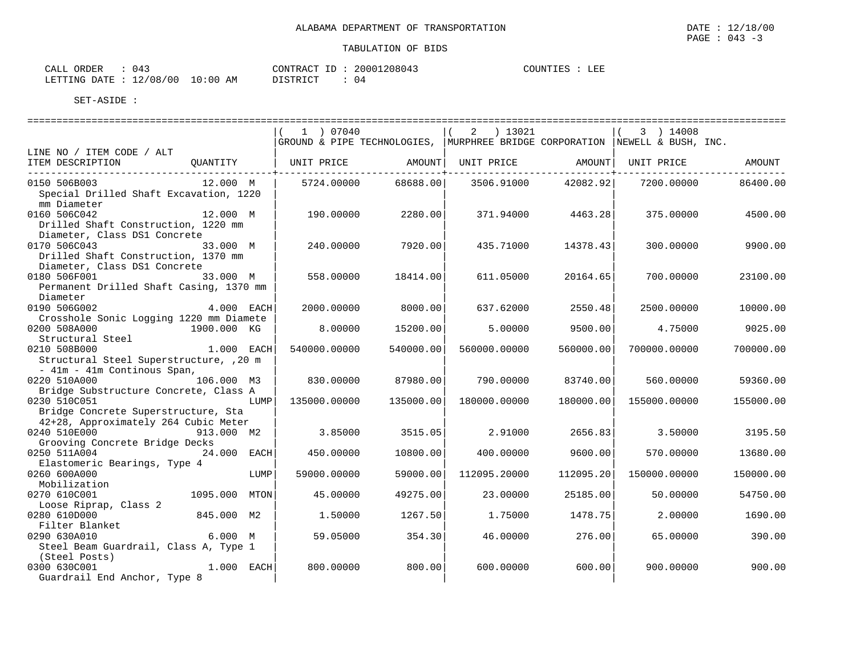| CALL ORDER                       | 043 |          | CONTRACT ID: 20001208043 | COUNTIES : LEE |  |
|----------------------------------|-----|----------|--------------------------|----------------|--|
| LETTING DATE : 12/08/00 10:00 AM |     | DISTRICT |                          |                |  |

|                                                       |               |      | 1 ) 07040                                                                       |           | 2 ) 13021           |           | 3 ) 14008           |           |
|-------------------------------------------------------|---------------|------|---------------------------------------------------------------------------------|-----------|---------------------|-----------|---------------------|-----------|
|                                                       |               |      | GROUND & PIPE TECHNOLOGIES,   MURPHREE BRIDGE CORPORATION   NEWELL & BUSH, INC. |           |                     |           |                     |           |
| LINE NO / ITEM CODE / ALT                             |               |      |                                                                                 |           |                     |           |                     |           |
| ITEM DESCRIPTION                                      | QUANTITY      |      | UNIT PRICE                                                                      |           | AMOUNT   UNIT PRICE |           | AMOUNT   UNIT PRICE | AMOUNT    |
| 0150 506B003                                          | 12.000 M      |      | 5724.00000                                                                      | 68688.00  | 3506.91000          | 42082.92  | 7200.00000          | 86400.00  |
| Special Drilled Shaft Excavation, 1220                |               |      |                                                                                 |           |                     |           |                     |           |
| mm Diameter                                           |               |      |                                                                                 |           |                     |           |                     |           |
| 0160 506C042                                          | 12.000 M      |      | 190.00000                                                                       | 2280.00   | 371.94000           | 4463.28   | 375.00000           | 4500.00   |
| Drilled Shaft Construction, 1220 mm                   |               |      |                                                                                 |           |                     |           |                     |           |
| Diameter, Class DS1 Concrete                          |               |      |                                                                                 |           |                     |           |                     |           |
| 0170 506C043                                          | 33.000 M      |      | 240.00000                                                                       | 7920.00   | 435.71000           | 14378.43  | 300,00000           | 9900.00   |
| Drilled Shaft Construction, 1370 mm                   |               |      |                                                                                 |           |                     |           |                     |           |
| Diameter, Class DS1 Concrete                          |               |      |                                                                                 |           |                     |           |                     |           |
| 0180 506F001                                          | 33.000 M      |      | 558.00000                                                                       | 18414.00  | 611.05000           | 20164.65  | 700.00000           | 23100.00  |
| Permanent Drilled Shaft Casing, 1370 mm               |               |      |                                                                                 |           |                     |           |                     |           |
| Diameter                                              |               |      |                                                                                 |           |                     |           |                     |           |
| 0190 506G002                                          | 4.000 EACH    |      | 2000.00000                                                                      | 8000.00   | 637.62000           | 2550.48   | 2500.00000          | 10000.00  |
| Crosshole Sonic Logging 1220 mm Diamete               |               |      |                                                                                 |           |                     |           |                     |           |
| 0200 508A000                                          | 1900.000 KG   |      | 8.00000                                                                         | 15200.00  | 5.00000             | 9500.00   | 4.75000             | 9025.00   |
| Structural Steel                                      |               |      |                                                                                 |           |                     |           |                     |           |
| 0210 508B000                                          | 1.000 EACH    |      | 540000.00000                                                                    | 540000.00 | 560000.00000        | 560000.00 | 700000.00000        | 700000.00 |
| Structural Steel Superstructure, , 20 m               |               |      |                                                                                 |           |                     |           |                     |           |
| - 41m - 41m Continous Span,                           |               |      |                                                                                 |           |                     |           |                     |           |
| 0220 510A000                                          | 106.000 M3    |      | 830,00000                                                                       | 87980.00  | 790.00000           | 83740.00  | 560.00000           | 59360.00  |
| Bridge Substructure Concrete, Class A<br>0230 510C051 |               |      |                                                                                 |           |                     |           | 155000.00000        |           |
| Bridge Concrete Superstructure, Sta                   |               | LUMP | 135000.00000                                                                    | 135000.00 | 180000.00000        | 180000.00 |                     | 155000.00 |
| 42+28, Approximately 264 Cubic Meter                  |               |      |                                                                                 |           |                     |           |                     |           |
| 0240 510E000                                          | 913.000 M2    |      | 3.85000                                                                         | 3515.05   | 2.91000             | 2656.83   | 3.50000             | 3195.50   |
| Grooving Concrete Bridge Decks                        |               |      |                                                                                 |           |                     |           |                     |           |
| 0250 511A004                                          | 24.000 EACH   |      | 450.00000                                                                       | 10800.00  | 400.00000           | 9600.00   | 570.00000           | 13680.00  |
| Elastomeric Bearings, Type 4                          |               |      |                                                                                 |           |                     |           |                     |           |
| 0260 600A000                                          |               | LUMP | 59000.00000                                                                     | 59000.00  | 112095.20000        | 112095.20 | 150000.00000        | 150000.00 |
| Mobilization                                          |               |      |                                                                                 |           |                     |           |                     |           |
| 0270 610C001                                          | 1095.000 MTON |      | 45.00000                                                                        | 49275.00  | 23,00000            | 25185.00  | 50.00000            | 54750.00  |
| Loose Riprap, Class 2                                 |               |      |                                                                                 |           |                     |           |                     |           |
| 0280 610D000                                          | 845.000 M2    |      | 1.50000                                                                         | 1267.50   | 1.75000             | 1478.75   | 2,00000             | 1690.00   |
| Filter Blanket                                        |               |      |                                                                                 |           |                     |           |                     |           |
| 0290 630A010                                          | 6.000 M       |      | 59.05000                                                                        | 354.30    | 46.00000            | 276.00    | 65.00000            | 390.00    |
| Steel Beam Guardrail, Class A, Type 1                 |               |      |                                                                                 |           |                     |           |                     |           |
| (Steel Posts)                                         |               |      |                                                                                 |           |                     |           |                     |           |
| 0300 630C001                                          | $1.000$ EACH  |      | 800.00000                                                                       | 800.00    | 600.00000           | 600.00    | 900.00000           | 900.00    |
| Guardrail End Anchor, Type 8                          |               |      |                                                                                 |           |                     |           |                     |           |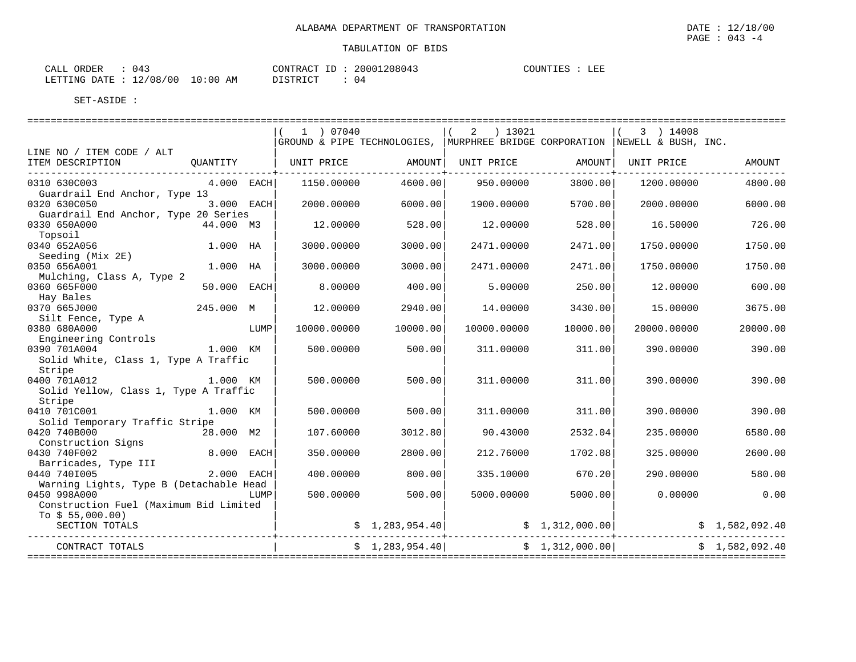| 043<br>CALL ORDER                |          |  | CONTRACT ID: 20001208043 | COUNTIES : | LEE |
|----------------------------------|----------|--|--------------------------|------------|-----|
| LETTING DATE : 12/08/00 10:00 AM | DISTRICT |  | 0 <sub>4</sub>           |            |     |

|                                                                   |             | 1 ) 07040   |                | 2 ) 13021                            |                 | $(3)$ 14008<br>GROUND & PIPE TECHNOLOGIES,   MURPHREE BRIDGE CORPORATION   NEWELL & BUSH, INC.                                                                 |                |
|-------------------------------------------------------------------|-------------|-------------|----------------|--------------------------------------|-----------------|----------------------------------------------------------------------------------------------------------------------------------------------------------------|----------------|
| LINE NO / ITEM CODE / ALT<br>ITEM DESCRIPTION                     | OUANTITY    |             |                | UNIT PRICE AMOUNT  UNIT PRICE AMOUNT |                 | UNIT PRICE                                                                                                                                                     | AMOUNT         |
|                                                                   |             |             |                |                                      |                 |                                                                                                                                                                |                |
| 0310 630C003<br>Guardrail End Anchor, Type 13                     | 4.000 EACH  | 1150.00000  | 4600.00        | 950.00000                            | 3800.00         | 1200.00000                                                                                                                                                     | 4800.00        |
| 0320 630C050<br>Guardrail End Anchor, Type 20 Series              | 3.000 EACH  | 2000.00000  | 6000.00        | 1900.00000                           | 5700.00         | 2000.00000                                                                                                                                                     | 6000.00        |
| 0330 650A000<br>Topsoil                                           | 44.000 M3   | 12.00000    | 528.00         | 12,00000                             | 528.00          | 16.50000                                                                                                                                                       | 726.00         |
| 0340 652A056<br>Seeding (Mix 2E)                                  | $1.000$ HA  | 3000.00000  | 3000.00        | 2471.00000                           | 2471.00         | 1750.00000                                                                                                                                                     | 1750.00        |
| 0350 656A001<br>Mulching, Class A, Type 2                         | 1.000 HA    | 3000.00000  | 3000.00        | 2471.00000                           | 2471.00         | 1750.00000                                                                                                                                                     | 1750.00        |
| 0360 665F000<br>Hay Bales                                         | 50.000 EACH | 8,00000     | 400.00         | 5.00000                              | 250.00          | 12.00000                                                                                                                                                       | 600.00         |
| 0370 665J000<br>Silt Fence, Type A                                | 245.000 M   | 12.00000    | 2940.00        | 14.00000                             | 3430.00         | 15.00000                                                                                                                                                       | 3675.00        |
| 0380 680A000<br>Engineering Controls                              | <b>LUMP</b> | 10000.00000 | 10000.00       | 10000.00000                          | 10000.00        | 20000.00000                                                                                                                                                    | 20000.00       |
| 0390 701A004                                                      | 1.000 KM    | 500.00000   | 500.00         | 311.00000                            | 311.00          | 390.00000                                                                                                                                                      | 390.00         |
| Solid White, Class 1, Type A Traffic<br>Stripe                    |             |             |                |                                      |                 |                                                                                                                                                                |                |
| 0400 701A012<br>1.000 KM<br>Solid Yellow, Class 1, Type A Traffic |             | 500.00000   | 500.00         | 311.00000                            | 311.00          | 390.00000                                                                                                                                                      | 390.00         |
| Stripe<br>0410 701C001                                            | 1.000 KM    | 500.00000   | 500.00         | 311.00000                            | 311.00          | 390.00000                                                                                                                                                      | 390.00         |
| Solid Temporary Traffic Stripe<br>0420 740B000                    | 28.000 M2   | 107.60000   | 3012.80        | 90.43000                             | 2532.04         | 235.00000                                                                                                                                                      | 6580.00        |
| Construction Signs<br>0430 740F002                                | 8.000 EACH  | 350.00000   | 2800.00        | 212.76000                            | 1702.08         | 325,00000                                                                                                                                                      | 2600.00        |
| Barricades, Type III<br>11 2.000 EACH<br>0440 7401005             |             | 400.00000   | 800.00         | 335.10000                            | 670.20          | 290.00000                                                                                                                                                      | 580.00         |
| Warning Lights, Type B (Detachable Head<br>0450 998A000 LUMP      |             | 500.00000   | 500.00         | 5000.00000                           | 5000.00         | 0.00000                                                                                                                                                        | 0.00           |
| Construction Fuel (Maximum Bid Limited<br>To $$55,000.00)$        |             |             |                |                                      |                 |                                                                                                                                                                |                |
| SECTION TOTALS                                                    |             |             |                | ---------                            |                 | $\begin{array}{cccc} \xi & 1,283,954.40 \end{array}$ $\begin{array}{cccc} \xi & 1,312,000.00 \end{array}$ $\begin{array}{cccc} \xi & 1,582,092.40 \end{array}$ |                |
| CONTRACT TOTALS                                                   |             |             | \$1,283,954.40 |                                      | \$1,312,000.00] |                                                                                                                                                                | \$1,582,092.40 |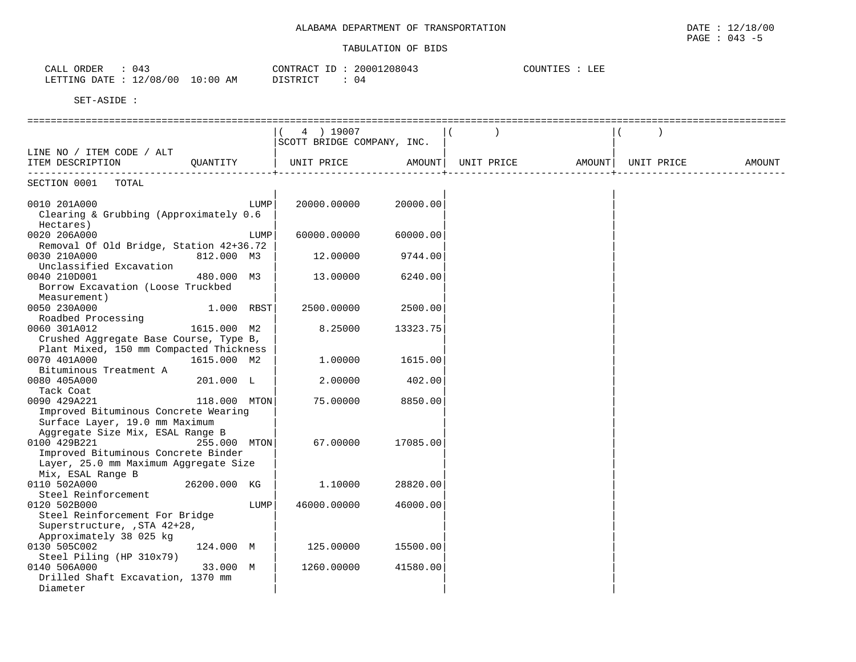| ORDER<br>$   -$<br>JALI.                    |            | --<br>$\sqrt{1}$<br>CONTRAC | 208043<br>⊇OOOT<br>18 U 4.3 | $\Gamma$ רידת האדור $\Gamma$<br>COUNTIES | - --<br>.<br>ᅭᅖ |  |
|---------------------------------------------|------------|-----------------------------|-----------------------------|------------------------------------------|-----------------|--|
| 10010<br>חמח<br>LETTINC<br>UU.<br>U O<br>∸∠ | : 00<br>AΜ | DICTOIAT                    | 04                          |                                          |                 |  |

|                                                         |              |      | 4 ) 19007                  |          |            |        |            |        |
|---------------------------------------------------------|--------------|------|----------------------------|----------|------------|--------|------------|--------|
|                                                         |              |      | SCOTT BRIDGE COMPANY, INC. |          |            |        |            |        |
| LINE NO / ITEM CODE / ALT                               |              |      |                            |          |            |        |            |        |
| ITEM DESCRIPTION                                        | OUANTITY     |      | UNIT PRICE                 | AMOUNT   | UNIT PRICE | AMOUNT | UNIT PRICE | AMOUNT |
|                                                         |              |      |                            |          |            |        |            |        |
| SECTION 0001<br>TOTAL                                   |              |      |                            |          |            |        |            |        |
| 0010 201A000                                            |              | LUMP | 20000.00000                | 20000.00 |            |        |            |        |
| Clearing & Grubbing (Approximately 0.6                  |              |      |                            |          |            |        |            |        |
| Hectares)                                               |              |      |                            |          |            |        |            |        |
| 0020 206A000                                            |              | LUMP | 60000.00000                | 60000.00 |            |        |            |        |
| Removal Of Old Bridge, Station 42+36.72                 |              |      |                            |          |            |        |            |        |
| 0030 210A000                                            | 812.000 M3   |      | 12.00000                   | 9744.00  |            |        |            |        |
| Unclassified Excavation                                 |              |      |                            |          |            |        |            |        |
| 0040 210D001                                            | 480.000 M3   |      | 13.00000                   | 6240.00  |            |        |            |        |
| Borrow Excavation (Loose Truckbed                       |              |      |                            |          |            |        |            |        |
| Measurement)                                            |              |      |                            |          |            |        |            |        |
| 0050 230A000                                            | 1.000 RBST   |      | 2500.00000                 | 2500.00  |            |        |            |        |
| Roadbed Processing                                      |              |      |                            |          |            |        |            |        |
| 0060 301A012                                            | 1615.000 M2  |      | 8.25000                    | 13323.75 |            |        |            |        |
| Crushed Aggregate Base Course, Type B,                  |              |      |                            |          |            |        |            |        |
| Plant Mixed, 150 mm Compacted Thickness                 |              |      |                            |          |            |        |            |        |
| 0070 401A000                                            | 1615.000 M2  |      | 1,00000                    | 1615.00  |            |        |            |        |
| Bituminous Treatment A                                  |              |      |                            |          |            |        |            |        |
| 0080 405A000                                            | 201.000 L    |      | 2.00000                    | 402.00   |            |        |            |        |
| Tack Coat                                               |              |      |                            |          |            |        |            |        |
| 0090 429A221                                            | 118.000 MTON |      | 75,00000                   | 8850.00  |            |        |            |        |
| Improved Bituminous Concrete Wearing                    |              |      |                            |          |            |        |            |        |
| Surface Layer, 19.0 mm Maximum                          |              |      |                            |          |            |        |            |        |
| Aggregate Size Mix, ESAL Range B                        |              |      |                            |          |            |        |            |        |
| 0100 429B221                                            | 255.000 MTON |      | 67.00000                   | 17085.00 |            |        |            |        |
| Improved Bituminous Concrete Binder                     |              |      |                            |          |            |        |            |        |
| Layer, 25.0 mm Maximum Aggregate Size                   |              |      |                            |          |            |        |            |        |
| Mix, ESAL Range B                                       |              |      |                            |          |            |        |            |        |
| 0110 502A000                                            | 26200.000 KG |      | 1,10000                    | 28820.00 |            |        |            |        |
| Steel Reinforcement                                     |              |      |                            |          |            |        |            |        |
| 0120 502B000                                            |              | LUMP | 46000.00000                | 46000.00 |            |        |            |        |
| Steel Reinforcement For Bridge                          |              |      |                            |          |            |        |            |        |
| Superstructure, , STA 42+28,<br>Approximately 38 025 kg |              |      |                            |          |            |        |            |        |
| 0130 505C002                                            | 124.000 M    |      | 125.00000                  | 15500.00 |            |        |            |        |
| Steel Piling (HP 310x79)                                |              |      |                            |          |            |        |            |        |
| 0140 506A000                                            | 33.000 M     |      | 1260.00000                 | 41580.00 |            |        |            |        |
| Drilled Shaft Excavation, 1370 mm                       |              |      |                            |          |            |        |            |        |
| Diameter                                                |              |      |                            |          |            |        |            |        |
|                                                         |              |      |                            |          |            |        |            |        |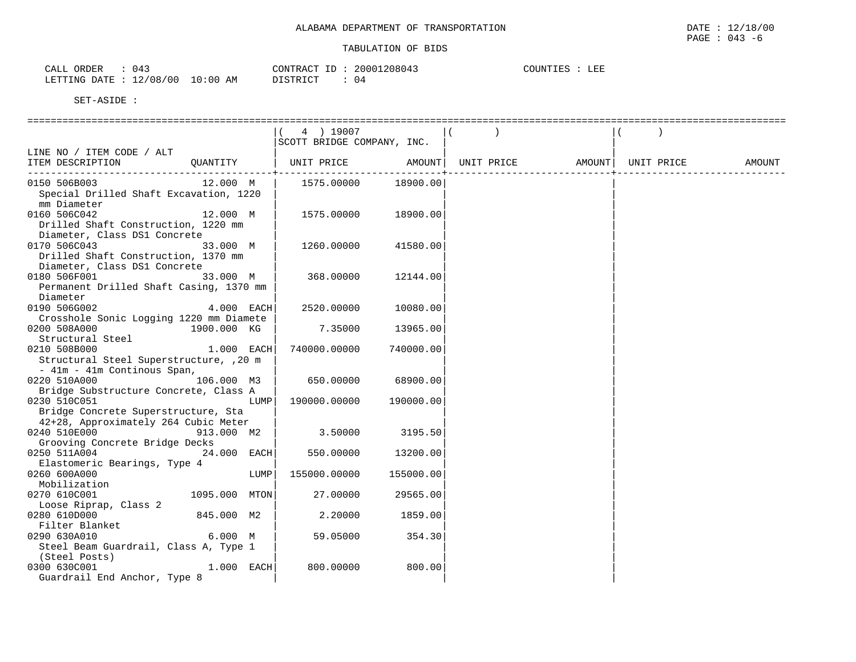| 043<br>ORDER<br>CALL             | CONTRACT ID: 20001208043 |     | COUNTIES :<br>LEE |
|----------------------------------|--------------------------|-----|-------------------|
| LETTING DATE : 12/08/00 10:00 AM | DISTRICT                 | -04 |                   |

|                                                                                                                       |               | 4 ) 19007<br>SCOTT BRIDGE COMPANY, INC. |           |                    |                    |        |
|-----------------------------------------------------------------------------------------------------------------------|---------------|-----------------------------------------|-----------|--------------------|--------------------|--------|
| LINE NO / ITEM CODE / ALT<br>ITEM DESCRIPTION                                                                         | OUANTITY      | UNIT PRICE                              |           | AMOUNT  UNIT PRICE | AMOUNT  UNIT PRICE | AMOUNT |
| ---------------------------------<br>0150 506B003<br>Special Drilled Shaft Excavation, 1220<br>mm Diameter            | 12.000 M      | 1575.00000                              | 18900.00  |                    |                    |        |
| 0160 506C042<br>Drilled Shaft Construction, 1220 mm<br>Diameter, Class DS1 Concrete                                   | 12.000 M      | 1575.00000                              | 18900.00  |                    |                    |        |
| 0170 506C043<br>Drilled Shaft Construction, 1370 mm<br>Diameter, Class DS1 Concrete                                   | 33.000 M      | 1260.00000                              | 41580.00  |                    |                    |        |
| 0180 506F001<br>33.000 M<br>Permanent Drilled Shaft Casing, 1370 mm<br>Diameter                                       |               | 368.00000                               | 12144.00  |                    |                    |        |
| 0190 506G002<br>Crosshole Sonic Logging 1220 mm Diamete                                                               | $4.000$ EACH  | 2520.00000                              | 10080.00  |                    |                    |        |
| 0200 508A000<br>Structural Steel                                                                                      | 1900.000 KG   | 7.35000                                 | 13965.00  |                    |                    |        |
| 0210 508B000<br>Structural Steel Superstructure, , 20 m<br>- 41m - 41m Continous Span,                                | $1.000$ EACH  | 740000.00000                            | 740000.00 |                    |                    |        |
| 0220 510A000<br>Bridge Substructure Concrete, Class A                                                                 | 106.000 M3    | 650.00000                               | 68900.00  |                    |                    |        |
| 0230 510C051<br>Bridge Concrete Superstructure, Sta<br>42+28, Approximately 264 Cubic Meter                           | LUMP          | 190000.00000                            | 190000.00 |                    |                    |        |
| 0240 510E000<br>Grooving Concrete Bridge Decks                                                                        | 913.000 M2    | 3.50000                                 | 3195.50   |                    |                    |        |
| 0250 511A004                                                                                                          | $24.000$ EACH | 550.00000                               | 13200.00  |                    |                    |        |
| Elastomeric Bearings, Type 4<br>0260 600A000                                                                          | LUMP          | 155000.00000                            | 155000.00 |                    |                    |        |
| Mobilization<br>0270 610C001                                                                                          | 1095.000 MTON | 27.00000                                | 29565.00  |                    |                    |        |
| Loose Riprap, Class 2<br>0280 610D000                                                                                 | 845.000 M2    | 2.20000                                 | 1859.00   |                    |                    |        |
| Filter Blanket<br>Filter Blanket<br>6.000 M<br>0290 630A010<br>Steel Beam Guardrail, Class A, Type 1<br>(Steel Posts) |               | 59.05000                                | 354.30    |                    |                    |        |
| 0300 630C001<br>Guardrail End Anchor, Type 8                                                                          | $1.000$ EACH  | 800.00000                               | 800.00    |                    |                    |        |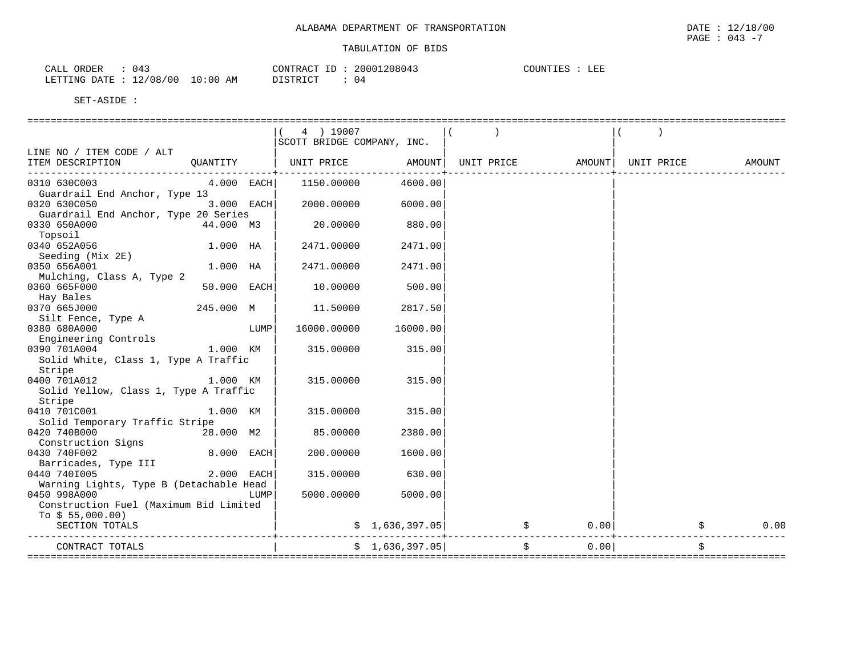| 043<br>ORDER<br>CALL             | CONTRACT ID: | 20001208043 | LEE<br>COUNTIES |
|----------------------------------|--------------|-------------|-----------------|
| LETTING DATE : 12/08/00 10:00 AM | DISTRICT     | 04          |                 |

|                                               |              |      | 4 ) 19007<br>SCOTT BRIDGE COMPANY, INC.               |                 |                                  |      |            |        |
|-----------------------------------------------|--------------|------|-------------------------------------------------------|-----------------|----------------------------------|------|------------|--------|
| LINE NO / ITEM CODE / ALT                     |              |      |                                                       |                 |                                  |      |            |        |
| QUANTITY<br>ITEM DESCRIPTION                  |              |      | UNIT PRICE         AMOUNT   UNIT PRICE         AMOUNT |                 |                                  |      | UNIT PRICE | AMOUNT |
| --------------------                          |              |      |                                                       |                 |                                  |      |            |        |
| 0310 630C003<br>Guardrail End Anchor, Type 13 | $4.000$ EACH |      | 1150.00000                                            | 4600.00         |                                  |      |            |        |
| 0320 630C050                                  | 3.000 EACH   |      | 2000.00000                                            | 6000.00         |                                  |      |            |        |
| Guardrail End Anchor, Type 20 Series          |              |      |                                                       |                 |                                  |      |            |        |
| 0330 650A000                                  | 44.000 M3    |      | 20.00000                                              | 880.00          |                                  |      |            |        |
| Topsoil                                       |              |      |                                                       |                 |                                  |      |            |        |
| 0340 652A056                                  | 1.000 HA     |      | 2471.00000                                            | 2471.00         |                                  |      |            |        |
| Seeding (Mix 2E)                              |              |      |                                                       |                 |                                  |      |            |        |
| 0350 656A001                                  | $1.000$ HA   |      | 2471.00000                                            | 2471.00         |                                  |      |            |        |
| Mulching, Class A, Type 2                     |              |      |                                                       |                 |                                  |      |            |        |
| 0360 665F000                                  | 50.000 EACH  |      | 10.00000                                              | 500.00          |                                  |      |            |        |
| Hay Bales                                     |              |      |                                                       |                 |                                  |      |            |        |
| 0370 665J000 0370 665J000                     | 245.000 M    |      | 11.50000                                              | 2817.50         |                                  |      |            |        |
| Silt Fence, Type A                            |              |      |                                                       |                 |                                  |      |            |        |
| 0380 680A000                                  |              | LUMP | 16000.00000                                           | 16000.00        |                                  |      |            |        |
| Engineering Controls                          |              |      |                                                       |                 |                                  |      |            |        |
| 0390 701A004                                  | 1.000 KM     |      | 315.00000                                             | 315.00          |                                  |      |            |        |
| Solid White, Class 1, Type A Traffic          |              |      |                                                       |                 |                                  |      |            |        |
| Stripe                                        |              |      |                                                       |                 |                                  |      |            |        |
| 1.000 KM<br>0400 701A012                      |              |      | 315.00000                                             | 315.00          |                                  |      |            |        |
| Solid Yellow, Class 1, Type A Traffic         |              |      |                                                       |                 |                                  |      |            |        |
| Stripe                                        |              |      |                                                       |                 |                                  |      |            |        |
| 0410 701C001                                  | 1.000 KM     |      | 315.00000                                             | 315.00          |                                  |      |            |        |
| Solid Temporary Traffic Stripe                |              |      |                                                       |                 |                                  |      |            |        |
| 0420 740B000                                  | 28.000 M2    |      | 85.00000                                              | 2380.00         |                                  |      |            |        |
| Construction Signs                            |              |      |                                                       |                 |                                  |      |            |        |
| 0430 740F002                                  | 8.000 EACH   |      | 200.00000                                             | 1600.00         |                                  |      |            |        |
| Barricades, Type III                          |              |      |                                                       |                 |                                  |      |            |        |
| 2.000 EACH<br>0440 7401005                    |              |      | 315.00000                                             | 630.00          |                                  |      |            |        |
| Warning Lights, Type B (Detachable Head       |              |      |                                                       |                 |                                  |      |            |        |
| 0450 998A000                                  |              | LUMP | 5000.00000                                            | 5000.00         |                                  |      |            |        |
| Construction Fuel (Maximum Bid Limited        |              |      |                                                       |                 |                                  |      |            |        |
| To $$55,000.00)$                              |              |      |                                                       |                 |                                  |      | 0.00       | 0.00   |
| SECTION TOTALS                                |              |      |                                                       |                 | $\sin 1,636,397.05$ $\sin 7,636$ |      |            | \$     |
| CONTRACT TOTALS                               |              |      |                                                       | \$1,636,397.05] | \$                               | 0.00 |            | Ŝ.     |
|                                               |              |      |                                                       |                 |                                  |      |            |        |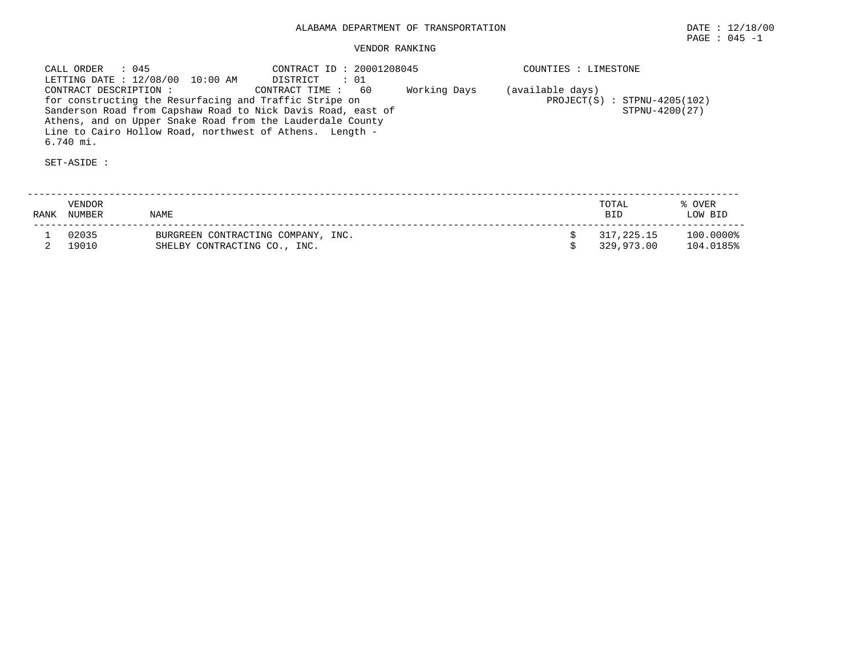| CALL ORDER : 045<br>LETTING DATE : 12/08/00 10:00 AM                                                                                                                                                | CONTRACT ID: 20001208045<br>DISTRICT : 01 | COUNTIES : LIMESTONE                               |
|-----------------------------------------------------------------------------------------------------------------------------------------------------------------------------------------------------|-------------------------------------------|----------------------------------------------------|
| CONTRACT DESCRIPTION :<br>for constructing the Resurfacing and Traffic Stripe on                                                                                                                    | Working Days<br>CONTRACT TIME: 60         | (available days)<br>$PROJECT(S)$ : STPNU-4205(102) |
| Sanderson Road from Capshaw Road to Nick Davis Road, east of<br>Athens, and on Upper Snake Road from the Lauderdale County<br>Line to Cairo Hollow Road, northwest of Athens. Length -<br>6.740 mi. |                                           | STPNU-4200(27)                                     |

| RANK | VENDOR<br><b>NUMBER</b> | NAME                                                               | TOTAL<br><b>BID</b>      | % OVER<br>LOW BID      |
|------|-------------------------|--------------------------------------------------------------------|--------------------------|------------------------|
|      | 02035<br>19010          | BURGREEN CONTRACTING COMPANY, INC.<br>SHELBY CONTRACTING CO., INC. | 317,225.15<br>329,973.00 | 100.0000%<br>104.0185% |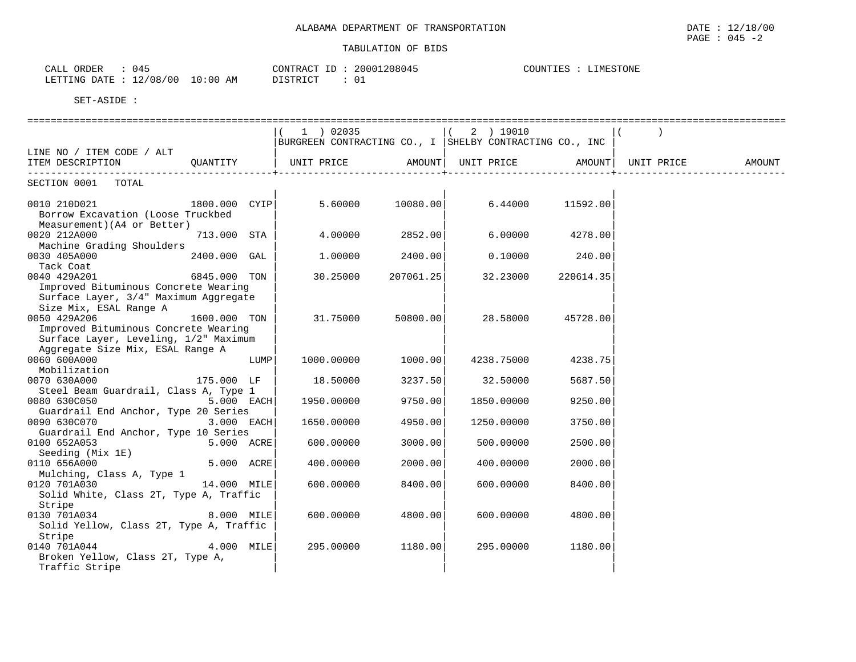| 045<br>ORDER<br>CALL |                         | 208045<br>20001<br>CONTRACT<br>___ | COUNTIES<br>LIMESTONE |
|----------------------|-------------------------|------------------------------------|-----------------------|
| LETTING DATE         | 10:00<br>12/08/00<br>ΆM | DISTRICT<br>ັບ⊥                    |                       |

|                                         |              |      | 1 ) 02035                                               |                   | ( 2 ) 19010 |                 |  |
|-----------------------------------------|--------------|------|---------------------------------------------------------|-------------------|-------------|-----------------|--|
|                                         |              |      | BURGREEN CONTRACTING CO., I SHELBY CONTRACTING CO., INC |                   |             |                 |  |
| LINE NO / ITEM CODE / ALT               |              |      |                                                         |                   |             |                 |  |
| ITEM DESCRIPTION QUANTITY               |              |      | UNIT PRICE AMOUNT  UNIT PRICE AMOUNT  UNIT PRICE AMOUNT |                   |             |                 |  |
|                                         |              |      |                                                         |                   |             |                 |  |
| SECTION 0001 TOTAL                      |              |      |                                                         |                   |             |                 |  |
|                                         |              |      |                                                         |                   |             |                 |  |
| 0010 210D021 1800.000 CYIP              |              |      |                                                         | 5.60000 10080.00  | 6.44000     | 11592.00        |  |
| Borrow Excavation (Loose Truckbed       |              |      |                                                         |                   |             |                 |  |
| Measurement) (A4 or Better)             |              |      |                                                         |                   |             |                 |  |
| 0020 212A000                            | 713.000 STA  |      |                                                         | 4.00000 2852.00   |             | 6.00000 4278.00 |  |
| Machine Grading Shoulders               |              |      |                                                         |                   |             |                 |  |
| 0030 405A000                            | 2400.000 GAL |      |                                                         | $1.00000$ 2400.00 | 0.10000     | 240.00          |  |
| Tack Coat                               |              |      |                                                         |                   |             |                 |  |
| 0040 429A201                            | 6845.000 TON |      | 30.25000                                                | 207061.25         | 32.23000    | 220614.35       |  |
| Improved Bituminous Concrete Wearing    |              |      |                                                         |                   |             |                 |  |
| Surface Layer, 3/4" Maximum Aggregate   |              |      |                                                         |                   |             |                 |  |
| Size Mix, ESAL Range A                  |              |      |                                                         |                   |             |                 |  |
| 0050 429A206                            | 1600.000 TON |      | 31.75000                                                | 50800.00          | 28.58000    | 45728.00        |  |
| Improved Bituminous Concrete Wearing    |              |      |                                                         |                   |             |                 |  |
| Surface Layer, Leveling, 1/2" Maximum   |              |      |                                                         |                   |             |                 |  |
| Aggregate Size Mix, ESAL Range A        |              |      |                                                         |                   |             |                 |  |
| 0060 600A000                            |              | LUMP | 1000.00000                                              | 1000.00           | 4238.75000  | 4238.75         |  |
| Mobilization                            |              |      |                                                         |                   |             |                 |  |
| 0070 630A000                            | 175.000 LF   |      | 18.50000                                                | 3237.50           | 32.50000    | 5687.50         |  |
| Steel Beam Guardrail, Class A, Type 1   |              |      |                                                         |                   |             |                 |  |
| 0080 630C050                            | $5.000$ EACH |      | 1950.00000                                              | 9750.00           | 1850.00000  | 9250.00         |  |
| Guardrail End Anchor, Type 20 Series    |              |      |                                                         |                   |             |                 |  |
| 0090 630C070 3.000 EACH                 |              |      | 1650.00000                                              | 4950.00           | 1250.00000  | 3750.00         |  |
| Guardrail End Anchor, Type 10 Series    |              |      |                                                         |                   |             |                 |  |
| 0100 652A053                            | 5.000 ACRE   |      | 600.00000                                               | 3000.00           | 500.00000   | 2500.00         |  |
| Seeding (Mix 1E)                        |              |      |                                                         |                   |             |                 |  |
| 0110 656A000                            | 5.000 ACRE   |      | 400,00000                                               | 2000.00           | 400,00000   | 2000.00         |  |
| Mulching, Class A, Type 1               |              |      |                                                         |                   |             |                 |  |
| 0120 701A030                            | 14.000 MILE  |      | 600,00000                                               | 8400.00           | 600,00000   | 8400.00         |  |
| Solid White, Class 2T, Type A, Traffic  |              |      |                                                         |                   |             |                 |  |
| Stripe                                  |              |      |                                                         |                   |             |                 |  |
| 0130 701A034                            | 8.000 MILE   |      | 600.00000                                               | 4800.00           | 600.00000   | 4800.00         |  |
| Solid Yellow, Class 2T, Type A, Traffic |              |      |                                                         |                   |             |                 |  |
| Stripe                                  |              |      |                                                         |                   |             |                 |  |
| 0140 701A044                            | $4.000$ MILE |      | 295.00000                                               | 1180.00           | 295.00000   | 1180.00         |  |
| Broken Yellow, Class 2T, Type A,        |              |      |                                                         |                   |             |                 |  |
| Traffic Stripe                          |              |      |                                                         |                   |             |                 |  |
|                                         |              |      |                                                         |                   |             |                 |  |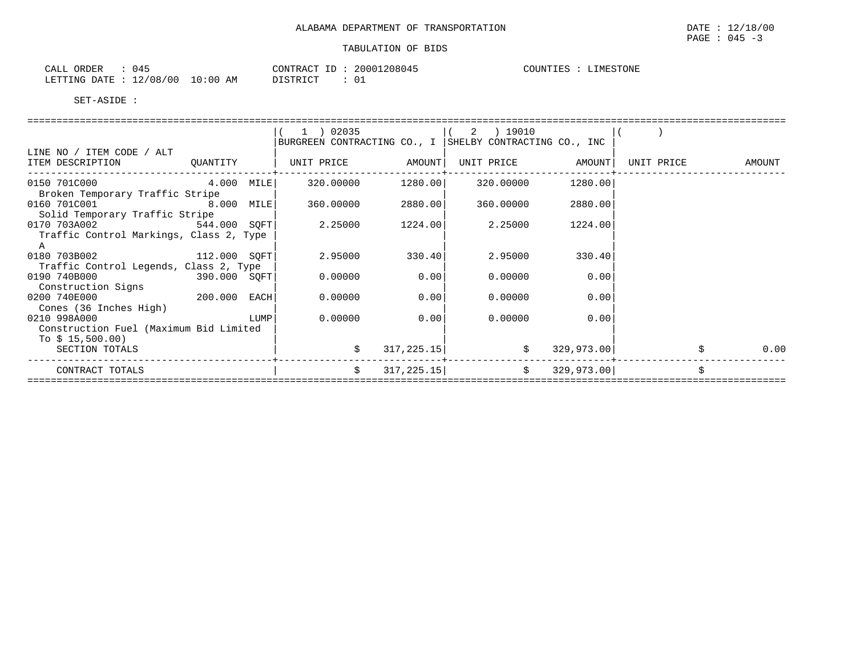| ORDER<br>CALL                      |             | CONTRACT<br>TD.     | 208045<br>20001 | COUNT I<br>IMESTONE<br>. IES - |
|------------------------------------|-------------|---------------------|-----------------|--------------------------------|
| 12/08/00<br>LETTING<br>DATE.<br>∸∸ | 10:00<br>AM | ידי איד פידי את דרי |                 |                                |

|                                                                                                                                                                                                    |  | 1 ) 02035                                               |                | (2) 19010         |               |                   |
|----------------------------------------------------------------------------------------------------------------------------------------------------------------------------------------------------|--|---------------------------------------------------------|----------------|-------------------|---------------|-------------------|
|                                                                                                                                                                                                    |  | BURGREEN CONTRACTING CO., I SHELBY CONTRACTING CO., INC |                |                   |               |                   |
| LINE NO / ITEM CODE / ALT<br>ITEM DESCRIPTION QUANTITY                                                                                                                                             |  | UNIT PRICE AMOUNT                                       |                | UNIT PRICE AMOUNT |               | UNIT PRICE AMOUNT |
| 0150 701C000 4.000 MILE<br>Broken Temporary Traffic Stripe                                                                                                                                         |  |                                                         |                |                   | 1280.00       |                   |
| 0160 701C001 8.000 MILE<br>Solid Temporary Traffic Stripe                                                                                                                                          |  | 360.00000 2880.00                                       |                | 360.00000         | 2880.00       |                   |
| 0170 703A002 544.000 SQFT<br>Traffic Control Markings, Class 2, Type                                                                                                                               |  | 2.25000                                                 | 1224.00        | 2.25000           | 1224.00       |                   |
| A<br>0180 703B002 112.000 SOFT<br>Traffic Control Legends, Class 2, Type                                                                                                                           |  | 2.95000                                                 | 330.40         | 2.95000           | 330.40        |                   |
| 0190 740B000<br>390.000 SQFT<br>Construction Signs                                                                                                                                                 |  | 0.00000                                                 | 0.00           | 0.00000           | 0.00          |                   |
| 200.000 EACH<br>0200 740E000<br>Cones (36 Inches High)                                                                                                                                             |  | 0.00000                                                 | 0.00           | 0.00000           | 0.00          |                   |
| 0210 998A000<br><b>EXECUTE IN THE EXECUTIVE PROPERTY OF A SET OF STATE OF A SET OF A SET OF A SET OF A SET OF A SET OF A SET OF </b><br>Construction Fuel (Maximum Bid Limited<br>To $$15,500.00)$ |  |                                                         | $0.00000$ 0.00 | 0.00000           | 0.00          |                   |
| SECTION TOTALS                                                                                                                                                                                     |  |                                                         | 317, 225.15    | $\mathcal{S}$     | 329,973.00    | 0.00              |
| CONTRACT TOTALS                                                                                                                                                                                    |  | S.                                                      | 317, 225.15    |                   | \$329,973.00] |                   |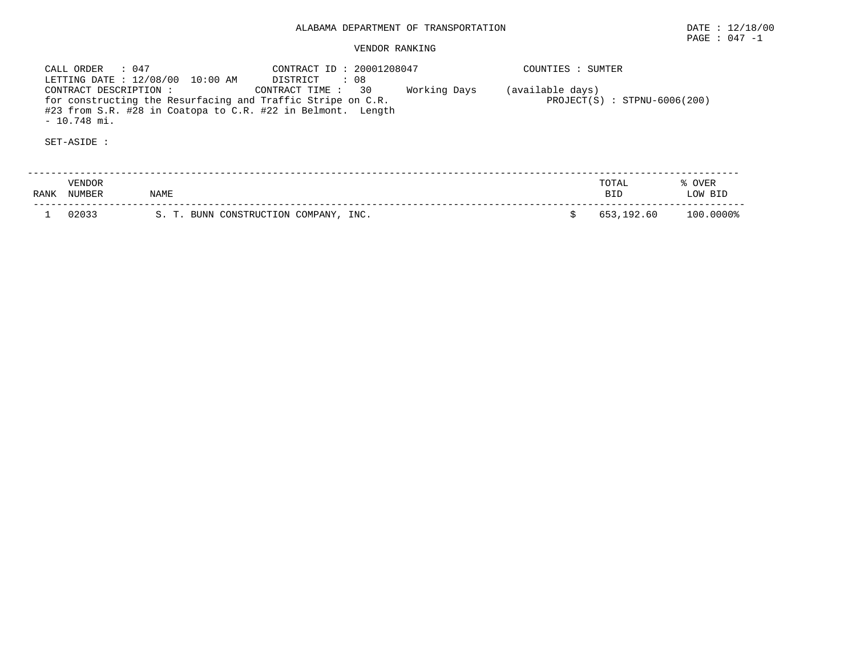| CALL ORDER : 047<br>LETTING DATE: 12/08/00 10:00 AM                                                                                                                  | CONTRACT ID: 20001208047<br>: 08<br>DISTRICT |              | COUNTIES : SUMTER                                  |
|----------------------------------------------------------------------------------------------------------------------------------------------------------------------|----------------------------------------------|--------------|----------------------------------------------------|
| CONTRACT DESCRIPTION :<br>for constructing the Resurfacing and Traffic Stripe on C.R.<br>#23 from S.R. #28 in Coatopa to C.R. #22 in Belmont. Length<br>- 10.748 mi. | 30<br>CONTRACT TIME :                        | Working Days | (available days)<br>$PROJECT(S) : STPNU-6006(200)$ |
| SET-ASIDE :                                                                                                                                                          |                                              |              |                                                    |

| RANF | /ENDOR<br><b>NUMBER</b> | NAME                                                                      | TOTAL<br><b>BII</b> | <b>OVER</b><br><b>BID</b><br>MO. |
|------|-------------------------|---------------------------------------------------------------------------|---------------------|----------------------------------|
|      | n 2 N 3 3               | INC.<br>CONSTRUCTION<br>$\mathbf{r}$<br>COMPANY<br><b>BUNN</b><br>S.<br>ັ | 653,192.60          | 100.0000%                        |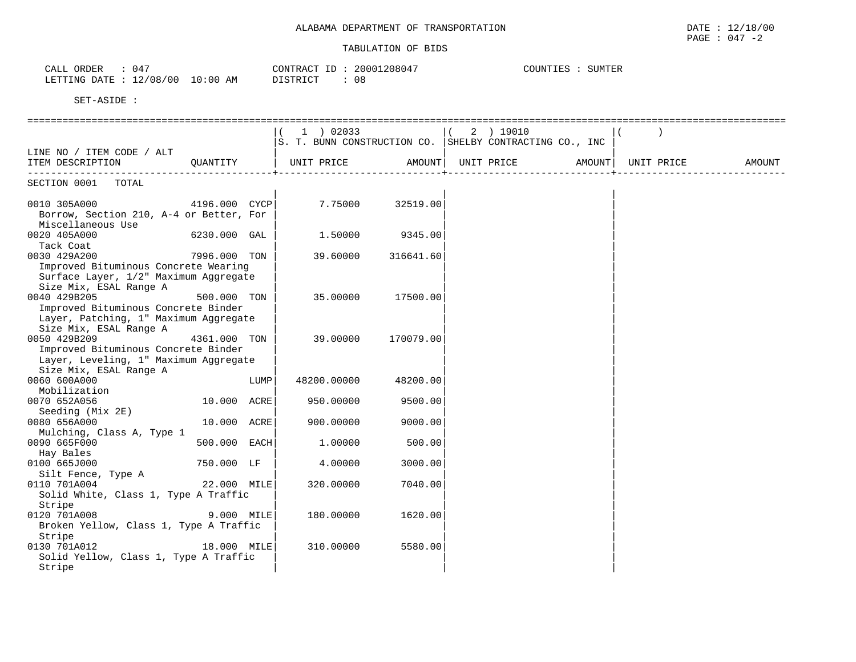| 047<br><b>DEF</b><br>$\sim$ $\sim$ $\sim$<br>CALL    |            | חידו חר<br>$\sqrt{2}$<br>، ^ ט | $\begin{array}{c} \n\end{array}$<br>. 20001<br>.180 | $\alpha$ the set of $\alpha$<br>TTN'<br>. EF<br>- 55 |
|------------------------------------------------------|------------|--------------------------------|-----------------------------------------------------|------------------------------------------------------|
| 0C<br>$\sim$<br>/08<br><b>DATF</b><br>LETTING<br>ت . | : 0(<br>AM | DICTOIAT<br>ັ⊥ ⊂ ⊥             | $\cap$ $\Omega$<br>U ö                              |                                                      |

|                                                                              |              |      | $1$ ) 02033                                             |           |                    | 2 ) 19010 |               |            |        |
|------------------------------------------------------------------------------|--------------|------|---------------------------------------------------------|-----------|--------------------|-----------|---------------|------------|--------|
|                                                                              |              |      | S. T. BUNN CONSTRUCTION CO. SHELBY CONTRACTING CO., INC |           |                    |           |               |            |        |
| LINE NO / ITEM CODE / ALT                                                    |              |      |                                                         |           |                    |           |               |            |        |
| ITEM DESCRIPTION                                                             | OUANTITY     |      | UNIT PRICE                                              |           | AMOUNT  UNIT PRICE |           | <b>AMOUNT</b> | UNIT PRICE | AMOUNT |
|                                                                              |              |      |                                                         |           |                    |           |               |            |        |
| SECTION 0001 TOTAL                                                           |              |      |                                                         |           |                    |           |               |            |        |
|                                                                              |              |      |                                                         |           |                    |           |               |            |        |
| 0010 305A000<br>4196.000 CYCP                                                |              |      | 7.75000                                                 | 32519.00  |                    |           |               |            |        |
| Borrow, Section 210, A-4 or Better, For                                      |              |      |                                                         |           |                    |           |               |            |        |
| Miscellaneous Use                                                            |              |      |                                                         |           |                    |           |               |            |        |
| 0020 405A000                                                                 | 6230.000 GAL |      | 1.50000                                                 | 9345.00   |                    |           |               |            |        |
| Tack Coat                                                                    |              |      |                                                         |           |                    |           |               |            |        |
| 0030 429A200                                                                 | 7996.000 TON |      | 39.60000                                                | 316641.60 |                    |           |               |            |        |
| Improved Bituminous Concrete Wearing                                         |              |      |                                                         |           |                    |           |               |            |        |
| Surface Layer, 1/2" Maximum Aggregate                                        |              |      |                                                         |           |                    |           |               |            |        |
| Size Mix, ESAL Range A                                                       |              |      |                                                         |           |                    |           |               |            |        |
| 0040 429B205                                                                 | 500.000 TON  |      | 35.00000                                                | 17500.00  |                    |           |               |            |        |
| Improved Bituminous Concrete Binder                                          |              |      |                                                         |           |                    |           |               |            |        |
| Layer, Patching, 1" Maximum Aggregate                                        |              |      |                                                         |           |                    |           |               |            |        |
| Size Mix, ESAL Range A<br>0050 429B209                                       |              |      | 39.00000                                                |           |                    |           |               |            |        |
|                                                                              | 4361.000 TON |      |                                                         | 170079.00 |                    |           |               |            |        |
| Improved Bituminous Concrete Binder<br>Layer, Leveling, 1" Maximum Aggregate |              |      |                                                         |           |                    |           |               |            |        |
| Size Mix, ESAL Range A                                                       |              |      |                                                         |           |                    |           |               |            |        |
| 0060 600A000                                                                 |              | LUMP | 48200.00000                                             | 48200.00  |                    |           |               |            |        |
| Mobilization                                                                 |              |      |                                                         |           |                    |           |               |            |        |
| 0070 652A056                                                                 | 10.000 ACRE  |      | 950.00000                                               | 9500.00   |                    |           |               |            |        |
| Seeding (Mix 2E)                                                             |              |      |                                                         |           |                    |           |               |            |        |
| 0080 656A000                                                                 | 10.000 ACRE  |      | 900.00000                                               | 9000.00   |                    |           |               |            |        |
| Mulching, Class A, Type 1                                                    |              |      |                                                         |           |                    |           |               |            |        |
| 0090 665F000                                                                 | 500.000 EACH |      | 1.00000                                                 | 500.00    |                    |           |               |            |        |
| Hay Bales                                                                    |              |      |                                                         |           |                    |           |               |            |        |
| 0100 665J000                                                                 | 750.000 LF   |      | 4.00000                                                 | 3000.00   |                    |           |               |            |        |
| Silt Fence, Type A                                                           |              |      |                                                         |           |                    |           |               |            |        |
| 0110 701A004                                                                 | 22.000 MILE  |      | 320.00000                                               | 7040.00   |                    |           |               |            |        |
| Solid White, Class 1, Type A Traffic                                         |              |      |                                                         |           |                    |           |               |            |        |
| Stripe                                                                       |              |      |                                                         |           |                    |           |               |            |        |
| 0120 701A008                                                                 | 9.000 MILE   |      | 180.00000                                               | 1620.00   |                    |           |               |            |        |
| Broken Yellow, Class 1, Type A Traffic                                       |              |      |                                                         |           |                    |           |               |            |        |
| Stripe                                                                       |              |      |                                                         |           |                    |           |               |            |        |
| 0130 701A012                                                                 | 18.000 MILE  |      | 310.00000                                               | 5580.00   |                    |           |               |            |        |
| Solid Yellow, Class 1, Type A Traffic                                        |              |      |                                                         |           |                    |           |               |            |        |
| Stripe                                                                       |              |      |                                                         |           |                    |           |               |            |        |
|                                                                              |              |      |                                                         |           |                    |           |               |            |        |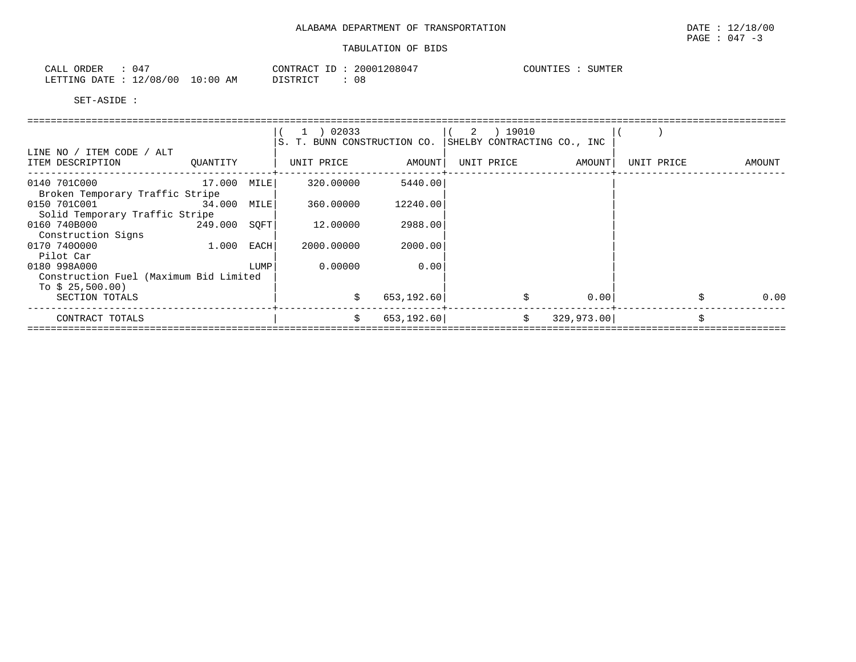| ORDER<br>CALI   |                |               | CONTRACT<br>ΙD | 208047<br>20001 | COUNTIES | SUMTER |
|-----------------|----------------|---------------|----------------|-----------------|----------|--------|
| DATE<br>LETTING | 12/08/00<br>∸∠ | LO : 00<br>AΜ | DTQMDTQ<br>◡   | 08              |          |        |

|                                        |              |      | 1 ) 02033                   |             | 2 ) 19010  |                             |            |   |        |
|----------------------------------------|--------------|------|-----------------------------|-------------|------------|-----------------------------|------------|---|--------|
|                                        |              |      | S. T. BUNN CONSTRUCTION CO. |             |            | SHELBY CONTRACTING CO., INC |            |   |        |
| LINE NO / ITEM CODE / ALT              |              |      |                             |             |            |                             |            |   |        |
| ITEM DESCRIPTION                       | OUANTITY     |      | UNIT PRICE                  | AMOUNT      | UNIT PRICE | AMOUNT                      | UNIT PRICE |   | AMOUNT |
|                                        |              |      |                             |             |            |                             |            |   |        |
| 0140 701C000                           | 17.000 MILE  |      | 320,00000                   | 5440.00     |            |                             |            |   |        |
| Broken Temporary Traffic Stripe        |              |      |                             |             |            |                             |            |   |        |
| 0150 701C001 34.000 MILE               |              |      | 360,00000                   | 12240.00    |            |                             |            |   |        |
| Solid Temporary Traffic Stripe         |              |      |                             |             |            |                             |            |   |        |
| 0160 740B000<br>249.000 SOFT           |              |      | 12.00000                    | 2988.00     |            |                             |            |   |        |
| Construction Signs                     |              |      |                             |             |            |                             |            |   |        |
| 0170 7400000                           | $1.000$ EACH |      | 2000.00000                  | 2000.00     |            |                             |            |   |        |
| Pilot Car                              |              |      |                             |             |            |                             |            |   |        |
| 0180 998A000                           |              | LUMP | 0.00000                     | 0.00        |            |                             |            |   |        |
| Construction Fuel (Maximum Bid Limited |              |      |                             |             |            |                             |            |   |        |
| To $$25,500.00$                        |              |      |                             |             |            |                             |            |   |        |
| SECTION TOTALS                         |              |      |                             | 653,192.60  |            | 0.00                        |            |   | 0.00   |
|                                        |              |      |                             |             |            |                             |            |   |        |
| CONTRACT TOTALS                        |              |      | Ŝ.                          | 653, 192.60 | Ŝ.         | 329,973.00                  |            | Ŝ |        |
|                                        |              |      |                             |             |            |                             |            |   |        |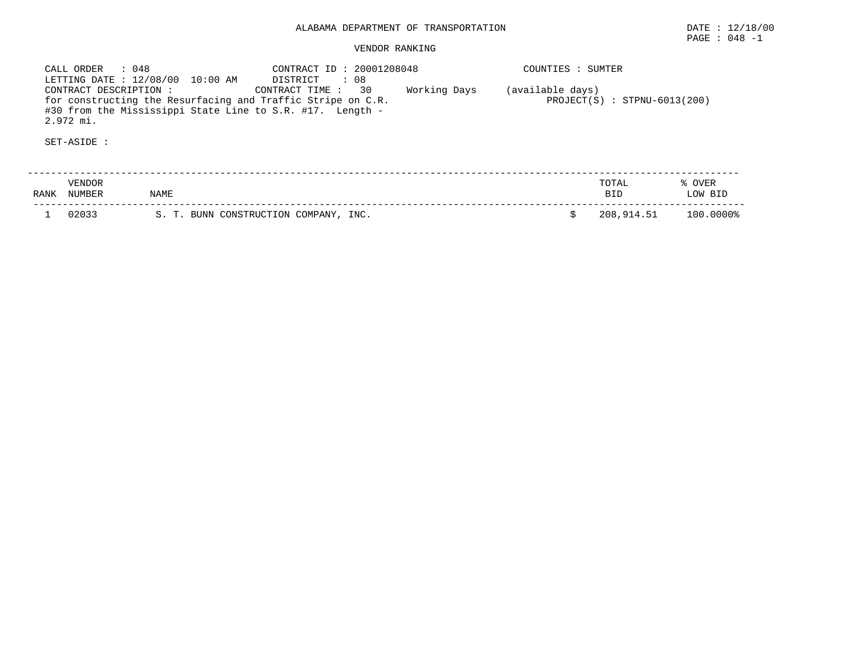CALL ORDER : 048 CONTRACT ID : 20001208048 COUNTIES : SUMTER LETTING DATE : 12/08/00 10:00 AM DISTRICT : 08 CONTRACT DESCRIPTION : CONTRACT TIME : 30 Working Days (available days) for constructing the Resurfacing and Traffic Stripe on C.R. PROJECT(S) : STPNU-6013(200) #30 from the Mississippi State Line to S.R. #17. Length -2.972 mi.

| RANK | <b>VENDOR</b><br>NUMBER | NAME                                  | TOTAL<br><b>RTD</b> | OVER<br>LOW BID |
|------|-------------------------|---------------------------------------|---------------------|-----------------|
|      | 02033                   | S. T. BUNN CONSTRUCTION COMPANY, INC. | 208,914.51          | 100.0000%       |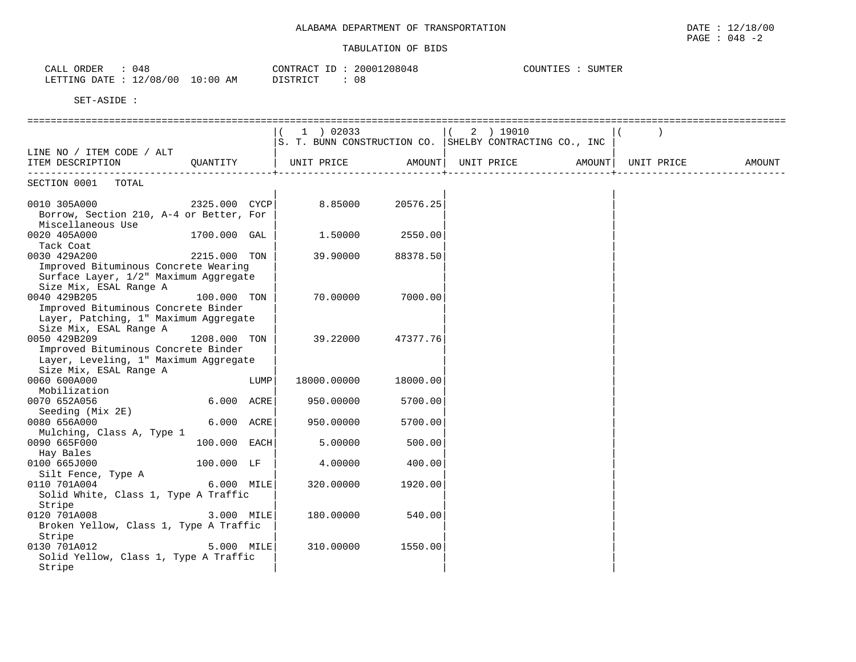| 048<br>CALL ORDER                | CONTRACT ID: 20001208048 | COUNTIES :<br>SUMTER |
|----------------------------------|--------------------------|----------------------|
| LETTING DATE : 12/08/00 10:00 AM | 08<br>DISTRICT           |                      |

|                                         |                |      | $1$ ) 02033                                             |                   | $(2)$ 19010 |  |        |
|-----------------------------------------|----------------|------|---------------------------------------------------------|-------------------|-------------|--|--------|
|                                         |                |      | S. T. BUNN CONSTRUCTION CO. SHELBY CONTRACTING CO., INC |                   |             |  |        |
| LINE NO / ITEM CODE / ALT               |                |      |                                                         |                   |             |  |        |
| ITEM DESCRIPTION QUANTITY               |                |      | UNIT PRICE AMOUNT  UNIT PRICE AMOUNT  UNIT PRICE        |                   |             |  | AMOUNT |
|                                         |                |      |                                                         |                   |             |  |        |
| SECTION 0001 TOTAL                      |                |      |                                                         |                   |             |  |        |
| 0010 305A000<br>$2325.000$ CYCP         |                |      | 8.85000 20576.25                                        |                   |             |  |        |
| Borrow, Section 210, A-4 or Better, For |                |      |                                                         |                   |             |  |        |
| Miscellaneous Use                       |                |      |                                                         |                   |             |  |        |
| 0020 405A000                            | 1700.000 GAL   |      | 1.50000 2550.00                                         |                   |             |  |        |
| Tack Coat                               |                |      |                                                         |                   |             |  |        |
| 2215.000 TON<br>0030 429A200            |                |      |                                                         | 39.90000 88378.50 |             |  |        |
| Improved Bituminous Concrete Wearing    |                |      |                                                         |                   |             |  |        |
| Surface Layer, 1/2" Maximum Aggregate   |                |      |                                                         |                   |             |  |        |
| Size Mix, ESAL Range A                  |                |      |                                                         |                   |             |  |        |
| 0040 429B205                            | 100.000 TON    |      | 70.00000                                                | 7000.00           |             |  |        |
| Improved Bituminous Concrete Binder     |                |      |                                                         |                   |             |  |        |
| Layer, Patching, 1" Maximum Aggregate   |                |      |                                                         |                   |             |  |        |
| Size Mix, ESAL Range A                  |                |      |                                                         |                   |             |  |        |
| 0050 429B209                            | 1208.000 TON   |      | 39.22000                                                | 47377.76          |             |  |        |
| Improved Bituminous Concrete Binder     |                |      |                                                         |                   |             |  |        |
| Layer, Leveling, 1" Maximum Aggregate   |                |      |                                                         |                   |             |  |        |
| Size Mix, ESAL Range A                  |                |      |                                                         |                   |             |  |        |
| 0060 600A000                            |                | LUMP | 18000.00000                                             | 18000.00          |             |  |        |
| Mobilization                            |                |      |                                                         |                   |             |  |        |
| 0070 652A056                            | $6.000$ ACRE   |      | 950.00000                                               | 5700.00           |             |  |        |
| Seeding (Mix 2E)                        |                |      |                                                         |                   |             |  |        |
| 0080 656A000                            | $6.000$ ACRE   |      | 950.00000                                               | 5700.00           |             |  |        |
| Mulching, Class A, Type 1               |                |      |                                                         |                   |             |  |        |
| 0090 665F000                            | $100.000$ EACH |      | 5,00000                                                 | 500.00            |             |  |        |
| Hay Bales                               |                |      |                                                         |                   |             |  |        |
| 0100 665J000 100.000 LF                 |                |      | 4.00000                                                 | 400.00            |             |  |        |
| Silt Fence, Type A                      |                |      |                                                         |                   |             |  |        |
| 0110 701A004                            | $6.000$ MILE   |      | 320.00000                                               | 1920.00           |             |  |        |
| Solid White, Class 1, Type A Traffic    |                |      |                                                         |                   |             |  |        |
| Stripe                                  |                |      |                                                         |                   |             |  |        |
| 0120 701A008                            | 3.000 MILE     |      | 180.00000                                               | 540.00            |             |  |        |
| Broken Yellow, Class 1, Type A Traffic  |                |      |                                                         |                   |             |  |        |
| Stripe                                  |                |      |                                                         |                   |             |  |        |
| 5.000 MILE<br>0130 701A012              |                |      | 310.00000                                               | 1550.00           |             |  |        |
| Solid Yellow, Class 1, Type A Traffic   |                |      |                                                         |                   |             |  |        |
| Stripe                                  |                |      |                                                         |                   |             |  |        |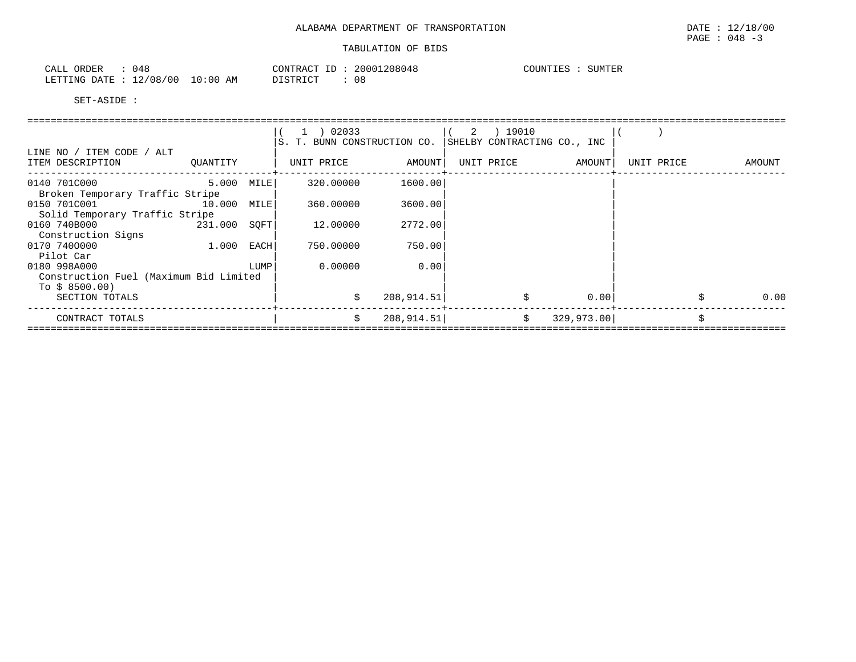| ORDER<br>CALI          | ن 4 ل<br>.      |             | CONTRACT<br>ΙĽ          | 20001208048 | COUNTI <sup>r</sup><br>TTER. | <b>SUMTER</b> |
|------------------------|-----------------|-------------|-------------------------|-------------|------------------------------|---------------|
| <b>DATE</b><br>LETTING | 12/08/<br>/ 0 C | LO:00<br>AΜ | <b>DISTRICT</b><br>---- | 08          |                              |               |

|                                        |            |      | 1 ) 02033                   |             | 2 ) 19010  |                             |            |        |
|----------------------------------------|------------|------|-----------------------------|-------------|------------|-----------------------------|------------|--------|
|                                        |            |      | S. T. BUNN CONSTRUCTION CO. |             |            | SHELBY CONTRACTING CO., INC |            |        |
| LINE NO / ITEM CODE / ALT              |            |      |                             |             |            |                             |            |        |
| ITEM DESCRIPTION                       | OUANTITY   |      | UNIT PRICE                  | AMOUNT      | UNIT PRICE | AMOUNT                      | UNIT PRICE | AMOUNT |
| 0140 701C000                           | 5.000 MILE |      | 320.00000                   | 1600.001    |            |                             |            |        |
| Broken Temporary Traffic Stripe        |            |      |                             |             |            |                             |            |        |
| 0150 701C001 10.000 MILE               |            |      | 360,00000                   | 3600.00     |            |                             |            |        |
| Solid Temporary Traffic Stripe         |            |      |                             |             |            |                             |            |        |
| 0160 740B000<br>231.000 SOFT           |            |      | 12.00000                    | 2772.00     |            |                             |            |        |
| Construction Signs                     |            |      |                             |             |            |                             |            |        |
| 0170 7400000                           | 1.000 EACH |      | 750.00000                   | 750.00      |            |                             |            |        |
| Pilot Car                              |            |      |                             |             |            |                             |            |        |
| 0180 998A000                           |            | LUMP | 0.00000                     | 0.00        |            |                             |            |        |
| Construction Fuel (Maximum Bid Limited |            |      |                             |             |            |                             |            |        |
| To $$8500.00$ )                        |            |      |                             |             |            |                             |            |        |
| SECTION TOTALS                         |            |      |                             | 208, 914.51 |            | 0.00                        |            | 0.00   |
| CONTRACT TOTALS                        |            |      | Ŝ.                          | 208, 914.51 | Ŝ.         | 329,973.00                  |            |        |
|                                        |            |      |                             |             |            |                             |            |        |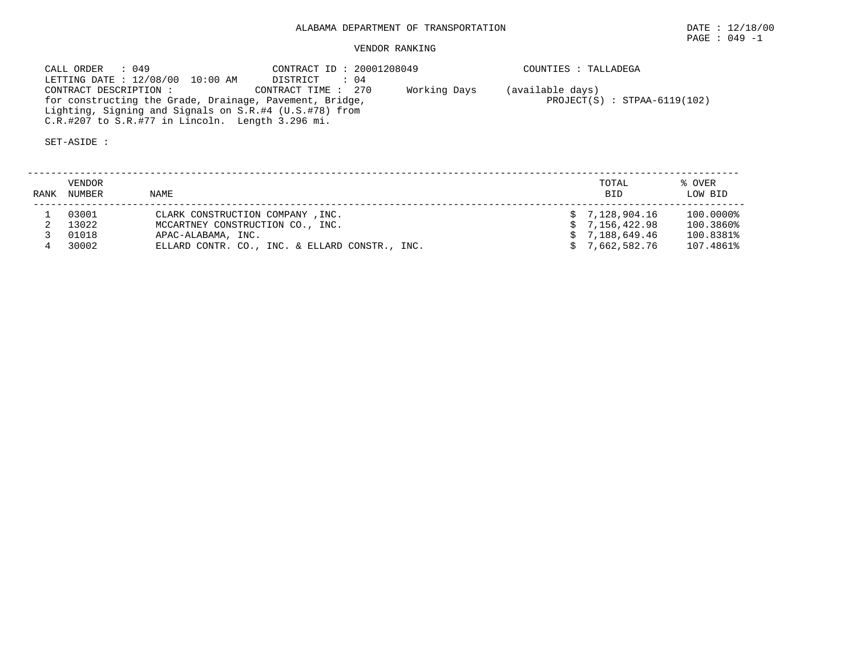| CALL ORDER : 049                                        | CONTRACT ID: 20001208049       |              | COUNTIES : TALLADEGA |  |  |  |
|---------------------------------------------------------|--------------------------------|--------------|----------------------|--|--|--|
| LETTING DATE : 12/08/00 10:00 AM                        | DISTRICT : 04                  |              |                      |  |  |  |
| CONTRACT DESCRIPTION :                                  | CONTRACT TIME : 270            | Working Days | (available days)     |  |  |  |
| for constructing the Grade, Drainage, Pavement, Bridge, | $PROJECT(S) : STPAA-6119(102)$ |              |                      |  |  |  |
| Lighting, Signing and Signals on S.R.#4 (U.S.#78) from  |                                |              |                      |  |  |  |
| $C.R.$ #207 to $S.R.$ #77 in Lincoln. Length 3.296 mi.  |                                |              |                      |  |  |  |

| RANK | <b>VENDOR</b><br>NUMBER | NAME                                           | TOTAL<br><b>BID</b> | % OVER<br>LOW BID |
|------|-------------------------|------------------------------------------------|---------------------|-------------------|
|      | 03001                   | CLARK CONSTRUCTION COMPANY, INC.               | \$7.128.904.16      | 100.0000%         |
|      | 13022                   | MCCARTNEY CONSTRUCTION CO., INC.               | \$7,156,422.98      | 100.3860%         |
|      | 01018                   | APAC-ALABAMA, INC.                             | \$7.188.649.46      | 100.8381%         |
|      | 30002                   | ELLARD CONTR. CO., INC. & ELLARD CONSTR., INC. | 7,662,582.76        | 107.4861%         |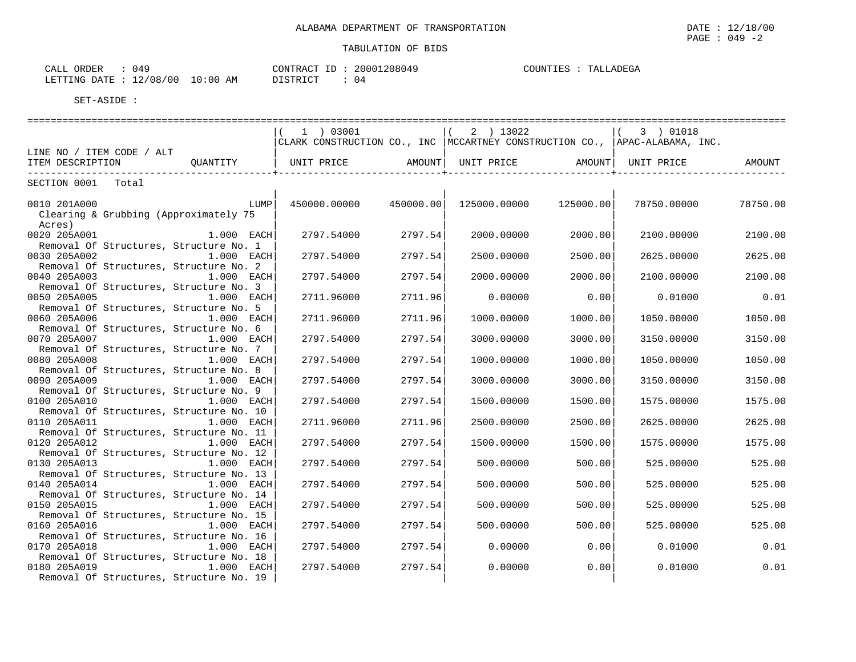| (149)<br>ORDER<br>CALL |                         | .208049<br>20001<br>CONTRACT | COUNTIES<br>$-77777$<br>TAT.<br>リビビー<br>لد4، ا، |
|------------------------|-------------------------|------------------------------|-------------------------------------------------|
| LETTING<br><b>DATE</b> | 10:00<br>12/08/00<br>AМ | <b>DISTRICT</b><br>14        |                                                 |

|                                                                        |      | 1 ) 03001    |           | 2 ) 13022    |           | (3) 01018                                                                      |          |
|------------------------------------------------------------------------|------|--------------|-----------|--------------|-----------|--------------------------------------------------------------------------------|----------|
|                                                                        |      |              |           |              |           | CLARK CONSTRUCTION CO., INC   MCCARTNEY CONSTRUCTION CO.,   APAC-ALABAMA, INC. |          |
| LINE NO / ITEM CODE / ALT<br>OUANTITY                                  |      | UNIT PRICE   |           |              |           |                                                                                |          |
| ITEM DESCRIPTION                                                       |      |              | AMOUNT    | UNIT PRICE   | AMOUNT    | UNIT PRICE                                                                     | AMOUNT   |
| SECTION 0001<br>Total                                                  |      |              |           |              |           |                                                                                |          |
|                                                                        |      |              |           |              |           |                                                                                |          |
| 0010 201A000                                                           | LUMP | 450000.00000 | 450000.00 | 125000.00000 | 125000.00 | 78750.00000                                                                    | 78750.00 |
| Clearing & Grubbing (Approximately 75                                  |      |              |           |              |           |                                                                                |          |
| Acres)                                                                 |      |              |           |              |           |                                                                                |          |
| 1.000 EACH<br>0020 205A001                                             |      | 2797.54000   | 2797.54   | 2000.00000   | 2000.00   | 2100.00000                                                                     | 2100.00  |
| Removal Of Structures, Structure No. 1<br>0030 205A002<br>$1.000$ EACH |      | 2797.54000   | 2797.54   | 2500.00000   | 2500.00   | 2625.00000                                                                     | 2625.00  |
| Removal Of Structures, Structure No. 2                                 |      |              |           |              |           |                                                                                |          |
| 0040 205A003<br>1.000 EACH                                             |      | 2797.54000   | 2797.54   | 2000.00000   | 2000.00   | 2100.00000                                                                     | 2100.00  |
| Removal Of Structures, Structure No. 3                                 |      |              |           |              |           |                                                                                |          |
| 0050 205A005<br>1.000 EACH                                             |      | 2711.96000   | 2711.96   | 0.00000      | 0.00      | 0.01000                                                                        | 0.01     |
| Removal Of Structures, Structure No. 5                                 |      |              |           |              |           |                                                                                |          |
| 0060 205A006<br>$1.000$ EACH                                           |      | 2711.96000   | 2711.96   | 1000.00000   | 1000.00   | 1050.00000                                                                     | 1050.00  |
| Removal Of Structures, Structure No. 6                                 |      |              |           |              |           |                                                                                |          |
| 0070 205A007<br>1.000 EACH                                             |      | 2797.54000   | 2797.54   | 3000.00000   | 3000.00   | 3150.00000                                                                     | 3150.00  |
| Removal Of Structures, Structure No. 7                                 |      |              |           |              |           |                                                                                |          |
| 0080 205A008<br>1.000 EACH<br>Removal Of Structures, Structure No. 8   |      | 2797.54000   | 2797.54   | 1000.00000   | 1000.00   | 1050.00000                                                                     | 1050.00  |
| 0090 205A009<br>$1.000$ EACH                                           |      | 2797.54000   | 2797.54   | 3000.00000   | 3000.00   | 3150.00000                                                                     | 3150.00  |
| Removal Of Structures, Structure No. 9                                 |      |              |           |              |           |                                                                                |          |
| 0100 205A010<br>1.000 EACH                                             |      | 2797.54000   | 2797.54   | 1500.00000   | 1500.00   | 1575.00000                                                                     | 1575.00  |
| Removal Of Structures, Structure No. 10                                |      |              |           |              |           |                                                                                |          |
| 0110 205A011<br>1.000 EACH                                             |      | 2711.96000   | 2711.96   | 2500.00000   | 2500.00   | 2625.00000                                                                     | 2625.00  |
| Removal Of Structures, Structure No. 11                                |      |              |           |              |           |                                                                                |          |
| 0120 205A012<br>1.000 EACH                                             |      | 2797.54000   | 2797.54   | 1500.00000   | 1500.00   | 1575.00000                                                                     | 1575.00  |
| Removal Of Structures, Structure No. 12                                |      |              |           |              |           |                                                                                |          |
| 0130 205A013<br>1.000 EACH                                             |      | 2797.54000   | 2797.54   | 500.00000    | 500.00    | 525.00000                                                                      | 525.00   |
| Removal Of Structures, Structure No. 13<br>0140 205A014<br>1.000 EACH  |      | 2797.54000   | 2797.54   | 500.00000    | 500.00    | 525.00000                                                                      | 525.00   |
| Removal Of Structures, Structure No. 14                                |      |              |           |              |           |                                                                                |          |
| 0150 205A015<br>$1.000$ EACH                                           |      | 2797.54000   | 2797.54   | 500.00000    | 500.00    | 525.00000                                                                      | 525.00   |
| Removal Of Structures, Structure No. 15                                |      |              |           |              |           |                                                                                |          |
| 0160 205A016<br>1.000 EACH                                             |      | 2797.54000   | 2797.54   | 500.00000    | 500.00    | 525.00000                                                                      | 525.00   |
| Removal Of Structures, Structure No. 16                                |      |              |           |              |           |                                                                                |          |
| 0170 205A018<br>1.000 EACH                                             |      | 2797.54000   | 2797.54   | 0.00000      | 0.00      | 0.01000                                                                        | 0.01     |
| Removal Of Structures, Structure No. 18                                |      |              |           |              |           |                                                                                |          |
| 0180 205A019<br>$1.000$ EACH                                           |      | 2797.54000   | 2797.54   | 0.00000      | 0.00      | 0.01000                                                                        | 0.01     |
| Removal Of Structures, Structure No. 19                                |      |              |           |              |           |                                                                                |          |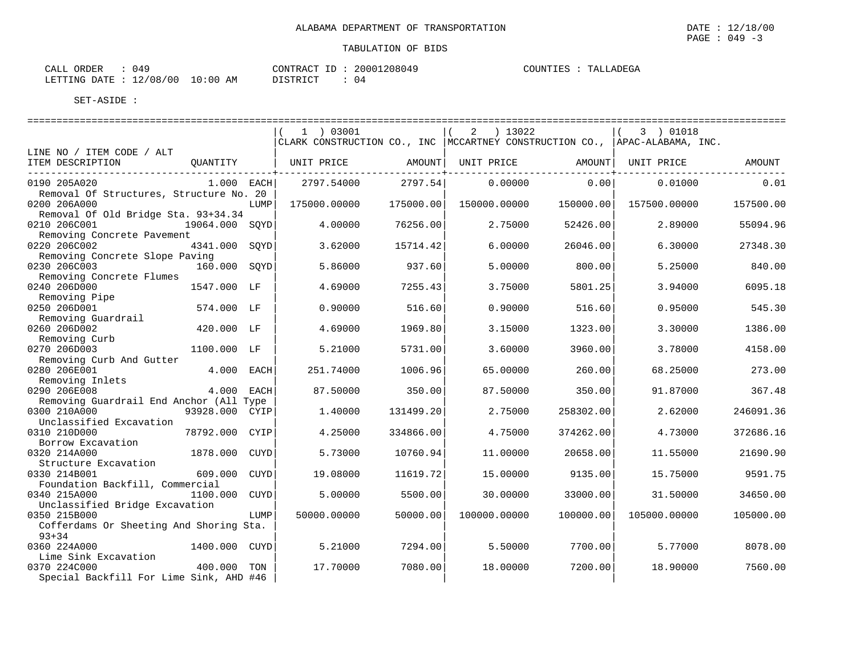| CALL ORDER | 049                              | CONTRACT ID: | 20001208049 | COUNTIES : | TALLADEGA |
|------------|----------------------------------|--------------|-------------|------------|-----------|
|            | LETTING DATE : 12/08/00 10:00 AM | DISTRICT     | 04          |            |           |

|                                         |                |             | $1$ ) 03001                                                                    |           | 2 ) 13022    |           | $(3)$ 01018  |           |
|-----------------------------------------|----------------|-------------|--------------------------------------------------------------------------------|-----------|--------------|-----------|--------------|-----------|
|                                         |                |             | CLARK CONSTRUCTION CO., INC   MCCARTNEY CONSTRUCTION CO.,   APAC-ALABAMA, INC. |           |              |           |              |           |
| LINE NO / ITEM CODE / ALT               |                |             |                                                                                |           |              |           |              |           |
| ITEM DESCRIPTION                        | OUANTITY       |             | UNIT PRICE                                                                     | AMOUNT    | UNIT PRICE   | AMOUNT    | UNIT PRICE   | AMOUNT    |
|                                         |                |             |                                                                                |           |              |           |              |           |
| 0190 205A020                            | $1.000$ EACH   |             | 2797.54000                                                                     | 2797.54   | 0.00000      | 0.00      | 0.01000      | 0.01      |
| Removal Of Structures, Structure No. 20 |                |             |                                                                                |           |              |           |              |           |
| 0200 206A000                            |                | LUMP        | 175000.00000                                                                   | 175000.00 | 150000.00000 | 150000.00 | 157500.00000 | 157500.00 |
| Removal Of Old Bridge Sta. 93+34.34     |                |             |                                                                                |           |              |           |              |           |
| 0210 206C001                            | 19064.000 SOYD |             | 4.00000                                                                        | 76256.00  | 2.75000      | 52426.00  | 2.89000      | 55094.96  |
| Removing Concrete Pavement              |                |             |                                                                                |           |              |           |              |           |
| 0220 206C002                            | 4341.000 SQYD  |             | 3.62000                                                                        | 15714.42  | 6.00000      | 26046.00  | 6.30000      | 27348.30  |
| Removing Concrete Slope Paving          |                |             |                                                                                |           |              |           |              |           |
| 0230 206C003                            | 160.000 SQYD   |             | 5.86000                                                                        | 937.60    | 5.00000      | 800.00    | 5.25000      | 840.00    |
| Removing Concrete Flumes                |                |             |                                                                                |           |              |           |              |           |
| 0240 206D000                            | 1547.000 LF    |             | 4.69000                                                                        | 7255.43   | 3.75000      | 5801.25   | 3.94000      | 6095.18   |
| Removing Pipe                           |                |             |                                                                                |           |              |           |              |           |
| 0250 206D001                            | 574.000 LF     |             | 0.90000                                                                        | 516.60    | 0.90000      | 516.60    | 0.95000      | 545.30    |
| Removing Guardrail                      |                |             |                                                                                |           |              |           |              |           |
| 0260 206D002                            | 420.000 LF     |             | 4.69000                                                                        | 1969.80   | 3.15000      | 1323.00   | 3.30000      | 1386.00   |
| Removing Curb                           |                |             |                                                                                |           |              |           |              |           |
| 0270 206D003                            | 1100.000 LF    |             | 5.21000                                                                        | 5731.00   | 3.60000      | 3960.00   | 3.78000      | 4158.00   |
| Removing Curb And Gutter                |                |             |                                                                                |           |              |           |              |           |
| 0280 206E001                            | 4.000 EACH     |             | 251.74000                                                                      | 1006.96   | 65.00000     | 260.00    | 68.25000     | 273.00    |
| Removing Inlets                         |                |             |                                                                                |           |              |           |              |           |
| 0290 206E008                            | 4.000 EACH     |             | 87.50000                                                                       | 350.00    | 87.50000     | 350.00    | 91.87000     | 367.48    |
| Removing Guardrail End Anchor (All Type |                |             |                                                                                |           |              |           |              |           |
| 0300 210A000                            | 93928.000 CYIP |             | 1,40000                                                                        | 131499.20 | 2.75000      | 258302.00 | 2.62000      | 246091.36 |
| Unclassified Excavation                 |                |             |                                                                                |           |              |           |              |           |
| 0310 210D000                            | 78792.000 CYIP |             | 4.25000                                                                        | 334866.00 | 4.75000      | 374262.00 | 4.73000      | 372686.16 |
| Borrow Excavation                       |                |             |                                                                                |           |              |           |              |           |
| 0320 214A000                            | 1878.000       | CUYD        | 5.73000                                                                        | 10760.94  | 11,00000     | 20658.00  | 11.55000     | 21690.90  |
| Structure Excavation                    |                |             |                                                                                |           |              |           |              |           |
| 0330 214B001                            | 609.000        | <b>CUYD</b> | 19,08000                                                                       | 11619.72  | 15,00000     | 9135.00   | 15.75000     | 9591.75   |
| Foundation Backfill, Commercial         |                |             |                                                                                |           |              |           |              |           |
| 0340 215A000                            | 1100.000       | CUYD        | 5.00000                                                                        | 5500.00   | 30.00000     | 33000.00  | 31.50000     | 34650.00  |
| Unclassified Bridge Excavation          |                |             |                                                                                |           |              |           |              |           |
| 0350 215B000                            |                | LUMP        | 50000.00000                                                                    | 50000.00  | 100000.00000 | 100000.00 | 105000.00000 | 105000.00 |
| Cofferdams Or Sheeting And Shoring Sta. |                |             |                                                                                |           |              |           |              |           |
| $93 + 34$                               |                |             |                                                                                |           |              |           |              |           |
| 0360 224A000                            | 1400.000 CUYD  |             | 5.21000                                                                        | 7294.00   | 5.50000      | 7700.00   | 5.77000      | 8078.00   |
| Lime Sink Excavation                    |                |             |                                                                                |           |              |           |              |           |
|                                         |                |             |                                                                                |           |              |           |              |           |
| 0370 224C000                            | 400.000 TON    |             | 17.70000                                                                       | 7080.00   | 18.00000     | 7200.00   | 18.90000     | 7560.00   |
| Special Backfill For Lime Sink, AHD #46 |                |             |                                                                                |           |              |           |              |           |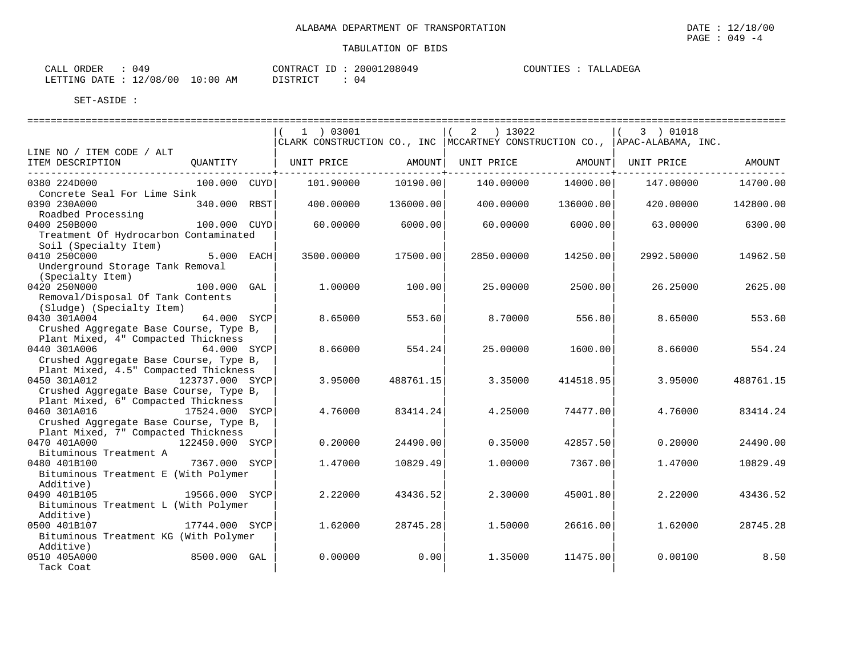| 049<br>ORDER<br>CALL             | CONTRACT | 20001208049 | TALLADEGA<br>COUNTIES |
|----------------------------------|----------|-------------|-----------------------|
| LETTING DATE : 12/08/00 10:00 AM | DISTRICT | 04          |                       |

|                                                                                                                    |             | $1$ ) 03001<br>CLARK CONSTRUCTION CO., INC   MCCARTNEY CONSTRUCTION CO.,   APAC-ALABAMA, INC. |           | ) 13022<br>2 |           | 3 ) 01018  |           |
|--------------------------------------------------------------------------------------------------------------------|-------------|-----------------------------------------------------------------------------------------------|-----------|--------------|-----------|------------|-----------|
| LINE NO / ITEM CODE / ALT                                                                                          |             |                                                                                               |           |              |           |            |           |
| ITEM DESCRIPTION<br>OUANTITY                                                                                       |             | UNIT PRICE                                                                                    | AMOUNT    | UNIT PRICE   | AMOUNT    | UNIT PRICE | AMOUNT    |
| 0380 224D000<br>$100.000$ $CUYD$<br>Concrete Seal For Lime Sink                                                    |             | 101.90000                                                                                     | 10190.00  | 140.00000    | 14000.00  | 147.00000  | 14700.00  |
| 0390 230A000<br>340.000 RBST<br>Roadbed Processing                                                                 |             | 400.00000                                                                                     | 136000.00 | 400.00000    | 136000.00 | 420.00000  | 142800.00 |
| 0400 250B000<br>100.000 CUYD<br>Treatment Of Hydrocarbon Contaminated<br>Soil (Specialty Item)                     |             | 60.00000                                                                                      | 6000.00   | 60.00000     | 6000.00   | 63.00000   | 6300.00   |
| 0410 250C000<br>Underground Storage Tank Removal<br>(Specialty Item)                                               | 5.000 EACH  | 3500.00000                                                                                    | 17500.00  | 2850.00000   | 14250.00  | 2992.50000 | 14962.50  |
| 0420 250N000<br>100.000 GAL<br>Removal/Disposal Of Tank Contents                                                   |             | 1,00000                                                                                       | 100.00    | 25.00000     | 2500.00   | 26.25000   | 2625.00   |
| (Sludge) (Specialty Item)<br>0430 301A004<br>Crushed Aggregate Base Course, Type B,                                | 64.000 SYCP | 8.65000                                                                                       | 553.60    | 8,70000      | 556.80    | 8.65000    | 553.60    |
| Plant Mixed, 4" Compacted Thickness<br>0440 301A006<br>Crushed Aggregate Base Course, Type B,                      | 64.000 SYCP | 8.66000                                                                                       | 554.24    | 25.00000     | 1600.00   | 8.66000    | 554.24    |
| Plant Mixed, 4.5" Compacted Thickness<br>0450 301A012<br>123737.000 SYCP<br>Crushed Aggregate Base Course, Type B, |             | 3.95000                                                                                       | 488761.15 | 3.35000      | 414518.95 | 3.95000    | 488761.15 |
| Plant Mixed, 6" Compacted Thickness<br>0460 301A016<br>17524.000 SYCP<br>Crushed Aggregate Base Course, Type B,    |             | 4.76000                                                                                       | 83414.24  | 4.25000      | 74477.00  | 4.76000    | 83414.24  |
| Plant Mixed, 7" Compacted Thickness<br>0470 401A000<br>122450.000 SYCP<br>Bituminous Treatment A                   |             | 0.20000                                                                                       | 24490.00  | 0.35000      | 42857.50  | 0.20000    | 24490.00  |
| 7367.000 SYCP<br>0480 401B100<br>Bituminous Treatment E (With Polymer                                              |             | 1.47000                                                                                       | 10829.49  | 1,00000      | 7367.00   | 1.47000    | 10829.49  |
| Additive)<br>0490 401B105<br>19566.000 SYCP<br>Bituminous Treatment L (With Polymer                                |             | 2.22000                                                                                       | 43436.52  | 2.30000      | 45001.80  | 2.22000    | 43436.52  |
| Additive)<br>0500 401B107<br>17744.000 SYCP<br>Bituminous Treatment KG (With Polymer                               |             | 1.62000                                                                                       | 28745.28  | 1.50000      | 26616.00  | 1.62000    | 28745.28  |
| Additive)<br>8500.000 GAL<br>0510 405A000<br>Tack Coat                                                             |             | 0.00000                                                                                       | 0.00      | 1.35000      | 11475.00  | 0.00100    | 8.50      |

PAGE : 049 -4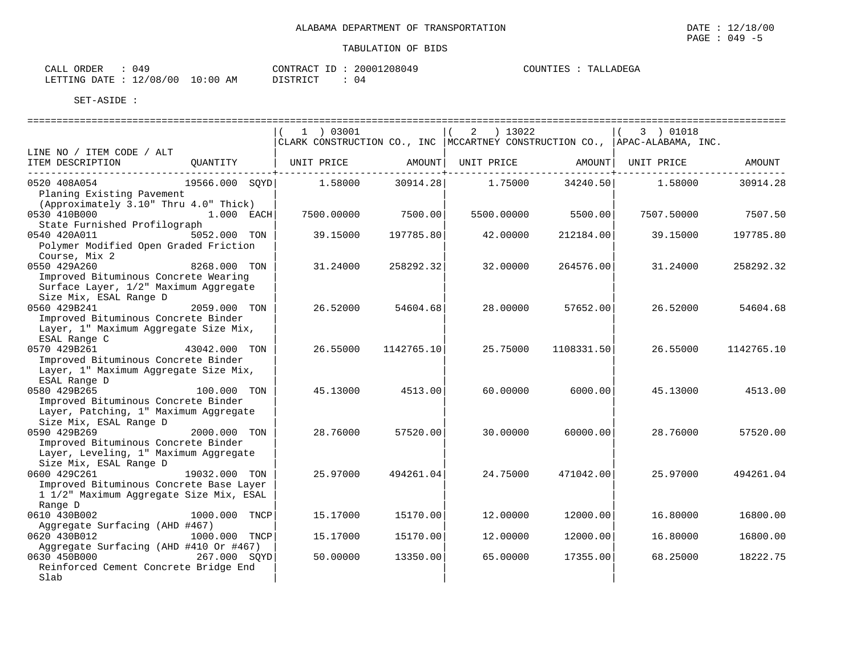| CALL ORDER<br>: 049 |                                  | CONTRACT ID: 20001208049 | COUNTIES : TALLADEGA |
|---------------------|----------------------------------|--------------------------|----------------------|
|                     | LETTING DATE : 12/08/00 10:00 AM | DISTRICT                 |                      |

|                                                                                                                              |                  | $1$ ) 03001<br>CLARK CONSTRUCTION CO., INC   MCCARTNEY CONSTRUCTION CO.,   APAC-ALABAMA, INC. |            | $2 \t) 13022$ |            | 3 ) 01018  |            |
|------------------------------------------------------------------------------------------------------------------------------|------------------|-----------------------------------------------------------------------------------------------|------------|---------------|------------|------------|------------|
| LINE NO / ITEM CODE / ALT<br>ITEM DESCRIPTION                                                                                | OUANTITY         | UNIT PRICE                                                                                    | AMOUNT     | UNIT PRICE    | AMOUNT     | UNIT PRICE | AMOUNT     |
| ----------------------------<br>0520 408A054<br>Planing Existing Pavement                                                    | 19566.000 SOYD   | 1.58000                                                                                       | 30914.28   | 1.75000       | 34240.50   | 1.58000    | 30914.28   |
| (Approximately 3.10" Thru 4.0" Thick)<br>0530 410B000<br>State Furnished Profilograph                                        | 1.000 EACH       | 7500.00000                                                                                    | 7500.00    | 5500.00000    | 5500.00    | 7507.50000 | 7507.50    |
| 0540 420A011<br>Polymer Modified Open Graded Friction<br>Course, Mix 2                                                       | 5052.000 TON     | 39.15000                                                                                      | 197785.80  | 42.00000      | 212184.00  | 39.15000   | 197785.80  |
| 0550 429A260<br>Improved Bituminous Concrete Wearing<br>Surface Layer, 1/2" Maximum Aggregate                                | 8268.000 TON     | 31.24000                                                                                      | 258292.32  | 32.00000      | 264576.00  | 31.24000   | 258292.32  |
| Size Mix, ESAL Range D<br>0560 429B241<br>Improved Bituminous Concrete Binder                                                | 2059.000 TON     | 26.52000                                                                                      | 54604.68   | 28,00000      | 57652.00   | 26.52000   | 54604.68   |
| Layer, 1" Maximum Aggregate Size Mix,<br>ESAL Range C<br>0570 429B261<br>Improved Bituminous Concrete Binder                 | 43042.000 TON    | 26.55000                                                                                      | 1142765.10 | 25.75000      | 1108331.50 | 26.55000   | 1142765.10 |
| Layer, 1" Maximum Aggregate Size Mix,<br>ESAL Range D<br>0580 429B265                                                        | 100.000 TON      | 45.13000                                                                                      | 4513.00    | 60.00000      | 6000.00    | 45.13000   | 4513.00    |
| Improved Bituminous Concrete Binder<br>Layer, Patching, 1" Maximum Aggregate<br>Size Mix, ESAL Range D                       |                  |                                                                                               |            |               |            |            |            |
| 0590 429B269<br>Improved Bituminous Concrete Binder<br>Layer, Leveling, 1" Maximum Aggregate                                 | 2000.000 TON     | 28.76000                                                                                      | 57520.00   | 30.00000      | 60000.00   | 28.76000   | 57520.00   |
| Size Mix, ESAL Range D<br>0600 429C261<br>Improved Bituminous Concrete Base Layer<br>1 1/2" Maximum Aggregate Size Mix, ESAL | 19032.000 TON    | 25.97000                                                                                      | 494261.04  | 24.75000      | 471042.00  | 25.97000   | 494261.04  |
| Range D<br>0610 430B002<br>Aggregate Surfacing (AHD #467)                                                                    | 1000.000<br>TNCP | 15.17000                                                                                      | 15170.00   | 12,00000      | 12000.00   | 16.80000   | 16800.00   |
| 0620 430B012<br>Aggregate Surfacing (AHD #410 Or #467)                                                                       | 1000.000 TNCP    | 15.17000                                                                                      | 15170.00   | 12,00000      | 12000.00   | 16.80000   | 16800.00   |
| 0630 450B000<br>Reinforced Cement Concrete Bridge End<br>Slab                                                                | 267.000 SOYD     | 50.00000                                                                                      | 13350.00   | 65.00000      | 17355.00   | 68.25000   | 18222.75   |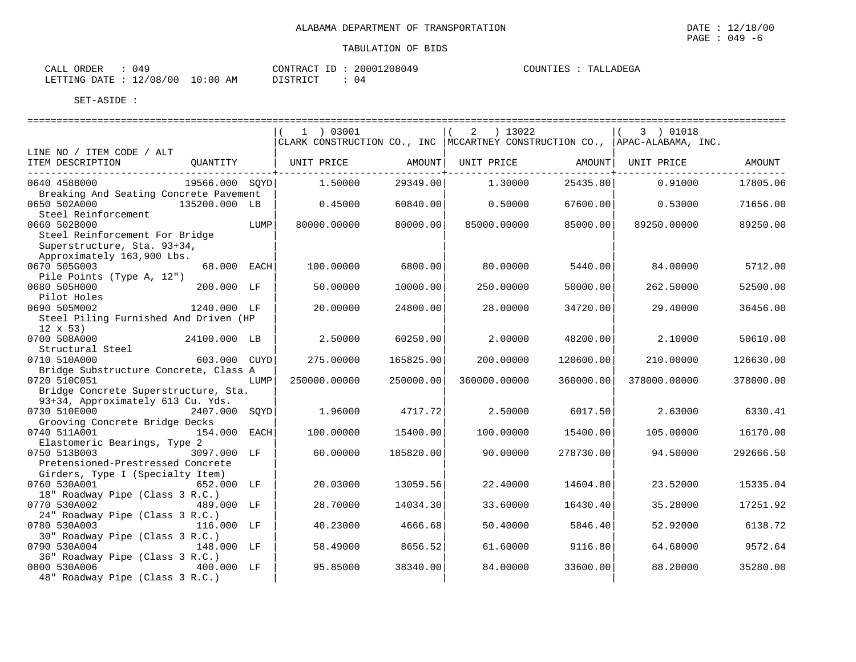| CALL ORDER : 049                 |  |          |  | CONTRACT ID: 20001208049 |  | COUNTIES : TALLADEGA |
|----------------------------------|--|----------|--|--------------------------|--|----------------------|
| LETTING DATE : 12/08/00 10:00 AM |  | DISTRICT |  |                          |  |                      |

|                                        |                |      | $1$ ) 03001                                                                    |           | 2 ) 13022    |           | (3) 01018    |           |
|----------------------------------------|----------------|------|--------------------------------------------------------------------------------|-----------|--------------|-----------|--------------|-----------|
|                                        |                |      | CLARK CONSTRUCTION CO., INC   MCCARTNEY CONSTRUCTION CO.,   APAC-ALABAMA, INC. |           |              |           |              |           |
| LINE NO / ITEM CODE / ALT              |                |      |                                                                                |           |              |           |              |           |
| ITEM DESCRIPTION                       | QUANTITY       |      | UNIT PRICE                                                                     | AMOUNT    | UNIT PRICE   | AMOUNT    | UNIT PRICE   | AMOUNT    |
|                                        |                |      |                                                                                |           |              |           |              |           |
| 0640 458B000                           | 19566.000 SOYD |      | 1,50000                                                                        | 29349.00  | 1,30000      | 25435.80  | 0.91000      | 17805.06  |
| Breaking And Seating Concrete Pavement |                |      |                                                                                |           |              |           |              |           |
| 0650 502A000                           | 135200.000 LB  |      | 0.45000                                                                        | 60840.00  | 0.50000      | 67600.00  | 0.53000      | 71656.00  |
| Steel Reinforcement                    |                |      |                                                                                |           |              |           |              |           |
| 0660 502B000                           |                | LUMP | 80000.00000                                                                    | 80000.00  | 85000.00000  | 85000.00  | 89250.00000  | 89250.00  |
| Steel Reinforcement For Bridge         |                |      |                                                                                |           |              |           |              |           |
| Superstructure, Sta. 93+34,            |                |      |                                                                                |           |              |           |              |           |
| Approximately 163,900 Lbs.             |                |      |                                                                                |           |              |           |              |           |
| 0670 505G003                           | 68.000 EACH    |      | 100.00000                                                                      | 6800.00   | 80.00000     | 5440.00   | 84.00000     | 5712.00   |
| Pile Points (Type A, 12")              |                |      |                                                                                |           |              |           |              |           |
| 0680 505H000                           | 200.000 LF     |      | 50.00000                                                                       | 10000.00  | 250.00000    | 50000.00  | 262.50000    | 52500.00  |
| Pilot Holes                            |                |      |                                                                                |           |              |           |              |           |
| 0690 505M002                           | 1240.000 LF    |      | 20.00000                                                                       | 24800.00  | 28,00000     | 34720.00  | 29.40000     | 36456.00  |
| Steel Piling Furnished And Driven (HP  |                |      |                                                                                |           |              |           |              |           |
| $12 \times 53$ )                       |                |      |                                                                                |           |              |           |              |           |
| 0700 508A000                           | 24100.000 LB   |      | 2.50000                                                                        | 60250.00  | 2,00000      | 48200.00  | 2.10000      | 50610.00  |
| Structural Steel                       |                |      |                                                                                |           |              |           |              |           |
| 0710 510A000                           | 603.000 CUYD   |      | 275.00000                                                                      | 165825.00 | 200,00000    | 120600.00 | 210,00000    | 126630.00 |
| Bridge Substructure Concrete, Class A  |                |      |                                                                                |           |              |           |              |           |
| 0720 510C051                           |                | LUMP | 250000.00000                                                                   | 250000.00 | 360000.00000 | 360000.00 | 378000.00000 | 378000.00 |
| Bridge Concrete Superstructure, Sta.   |                |      |                                                                                |           |              |           |              |           |
| 93+34, Approximately 613 Cu. Yds.      |                |      |                                                                                |           |              |           |              |           |
| 0730 510E000                           | 2407.000 SOYD  |      | 1.96000                                                                        | 4717.72   | 2.50000      | 6017.50   | 2.63000      | 6330.41   |
| Grooving Concrete Bridge Decks         |                |      |                                                                                |           |              |           |              |           |
| 0740 511A001                           | 154.000 EACH   |      | 100.00000                                                                      | 15400.00  | 100.00000    | 15400.00  | 105,00000    | 16170.00  |
| Elastomeric Bearings, Type 2           |                |      |                                                                                |           |              |           |              |           |
| 0750 513B003                           | 3097.000 LF    |      | 60.00000                                                                       | 185820.00 | 90.00000     | 278730.00 | 94.50000     | 292666.50 |
| Pretensioned-Prestressed Concrete      |                |      |                                                                                |           |              |           |              |           |
| Girders, Type I (Specialty Item)       |                |      |                                                                                |           |              |           |              |           |
| 0760 530A001                           | 652.000 LF     |      | 20.03000                                                                       | 13059.56  | 22,40000     | 14604.80  | 23.52000     | 15335.04  |
| 18" Roadway Pipe (Class 3 R.C.)        |                |      |                                                                                |           |              |           |              |           |
| 0770 530A002                           | 489.000 LF     |      | 28.70000                                                                       | 14034.30  | 33.60000     | 16430.40  | 35.28000     | 17251.92  |
| 24" Roadway Pipe (Class 3 R.C.)        |                |      |                                                                                |           |              |           |              |           |
| 0780 530A003                           | 116.000 LF     |      | 40.23000                                                                       | 4666.68   | 50.40000     | 5846.40   | 52.92000     | 6138.72   |
| 30" Roadway Pipe (Class 3 R.C.)        |                |      |                                                                                |           |              |           |              |           |
| 0790 530A004                           | 148.000 LF     |      | 58.49000                                                                       | 8656.52   | 61.60000     | 9116.80   | 64.68000     | 9572.64   |
| 36" Roadway Pipe (Class 3 R.C.)        |                |      |                                                                                |           |              |           |              |           |
| 0800 530A006                           | 400.000 LF     |      | 95.85000                                                                       | 38340.00  | 84.00000     | 33600.00  | 88.20000     | 35280.00  |
| 48" Roadway Pipe (Class 3 R.C.)        |                |      |                                                                                |           |              |           |              |           |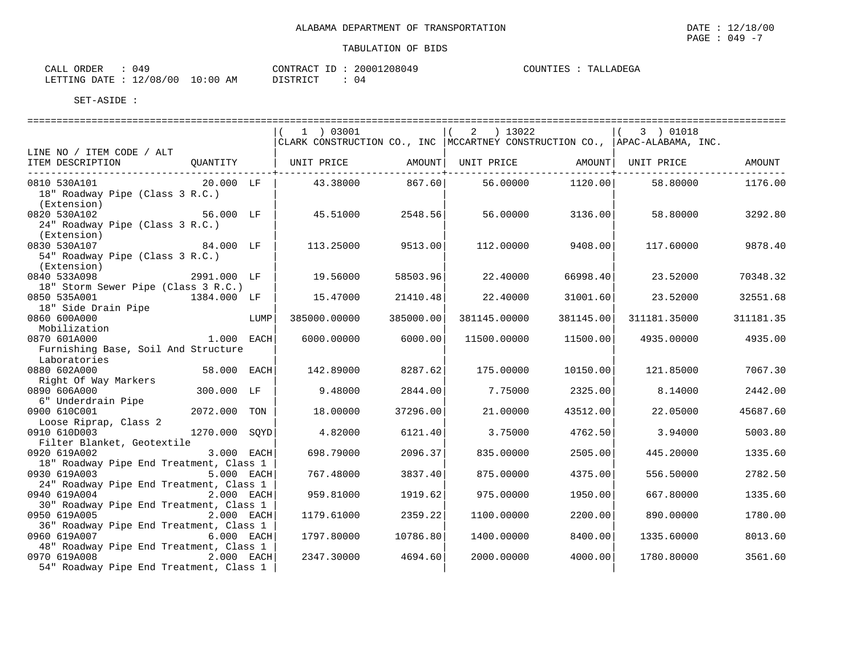| ORDER<br>CALL | 049                              | CONTRACT ID: | 20001208049 | COUNTIES :<br>TALLADEGA |
|---------------|----------------------------------|--------------|-------------|-------------------------|
|               | LETTING DATE : 12/08/00 10:00 AM | DISTRICT     |             |                         |

|                                               |               |      | $1$ ) 03001                                                                    |           | 2 ) 13022           |           | $(3)$ 01018        |           |
|-----------------------------------------------|---------------|------|--------------------------------------------------------------------------------|-----------|---------------------|-----------|--------------------|-----------|
|                                               |               |      | CLARK CONSTRUCTION CO., INC   MCCARTNEY CONSTRUCTION CO.,   APAC-ALABAMA, INC. |           |                     |           |                    |           |
| LINE NO / ITEM CODE / ALT                     |               |      |                                                                                |           |                     |           |                    |           |
| ITEM DESCRIPTION                              | QUANTITY      |      | UNIT PRICE                                                                     |           | AMOUNT   UNIT PRICE |           | AMOUNT  UNIT PRICE | AMOUNT    |
| -----------------------------<br>0810 530A101 | 20.000 LF     |      | 43.38000                                                                       | 867.60    | 56.00000            | 1120.00   | 58.80000           | 1176.00   |
| 18" Roadway Pipe (Class 3 R.C.)               |               |      |                                                                                |           |                     |           |                    |           |
| (Extension)                                   |               |      |                                                                                |           |                     |           |                    |           |
| 0820 530A102<br>56.000 LF                     |               |      | 45.51000                                                                       | 2548.56   | 56.00000            | 3136.00   | 58.80000           | 3292.80   |
| 24" Roadway Pipe (Class 3 R.C.)               |               |      |                                                                                |           |                     |           |                    |           |
| (Extension)                                   |               |      |                                                                                |           |                     |           |                    |           |
| 0830 530A107                                  | 84.000 LF     |      | 113.25000                                                                      | 9513.00   | 112.00000           | 9408.00   | 117.60000          | 9878.40   |
| 54" Roadway Pipe (Class 3 R.C.)               |               |      |                                                                                |           |                     |           |                    |           |
| (Extension)                                   |               |      |                                                                                |           |                     |           |                    |           |
| 0840 533A098<br>2991.000 LF                   |               |      | 19.56000                                                                       | 58503.96  | 22.40000            | 66998.40  | 23.52000           | 70348.32  |
| 18" Storm Sewer Pipe (Class 3 R.C.)           |               |      |                                                                                |           |                     |           |                    |           |
| 0850 535A001                                  | 1384.000 LF   |      | 15.47000                                                                       | 21410.48  | 22.40000            | 31001.60  | 23.52000           | 32551.68  |
| 18" Side Drain Pipe                           |               |      |                                                                                |           |                     |           |                    |           |
| 0860 600A000                                  |               | LUMP | 385000.00000                                                                   | 385000.00 | 381145.00000        | 381145.00 | 311181.35000       | 311181.35 |
| Mobilization                                  |               |      |                                                                                |           |                     |           |                    |           |
| 1.000 EACH<br>0870 601A000                    |               |      | 6000.00000                                                                     | 6000.00   | 11500.00000         | 11500.00  | 4935.00000         | 4935.00   |
| Furnishing Base, Soil And Structure           |               |      |                                                                                |           |                     |           |                    |           |
| Laboratories                                  |               |      |                                                                                |           |                     |           |                    |           |
| 0880 602A000                                  | 58.000 EACH   |      | 142.89000                                                                      | 8287.62   | 175.00000           | 10150.00  | 121.85000          | 7067.30   |
| Right Of Way Markers<br>0890 606A000          | 300.000 LF    |      | 9.48000                                                                        |           | 7.75000             | 2325.00   | 8.14000            | 2442.00   |
| 6" Underdrain Pipe                            |               |      |                                                                                | 2844.00   |                     |           |                    |           |
| 0900 610C001                                  | 2072.000 TON  |      | 18.00000                                                                       | 37296.00  | 21.00000            | 43512.00  | 22.05000           | 45687.60  |
| Loose Riprap, Class 2                         |               |      |                                                                                |           |                     |           |                    |           |
| 0910 610D003                                  | 1270.000 SOYD |      | 4.82000                                                                        | 6121.40   | 3.75000             | 4762.50   | 3.94000            | 5003.80   |
| Filter Blanket, Geotextile                    |               |      |                                                                                |           |                     |           |                    |           |
| 0920 619A002                                  | 3.000 EACH    |      | 698.79000                                                                      | 2096.37   | 835.00000           | 2505.00   | 445.20000          | 1335.60   |
| 18" Roadway Pipe End Treatment, Class 1       |               |      |                                                                                |           |                     |           |                    |           |
| 0930 619A003                                  | 5.000 EACH    |      | 767.48000                                                                      | 3837.40   | 875.00000           | 4375.00   | 556.50000          | 2782.50   |
| 24" Roadway Pipe End Treatment, Class 1       |               |      |                                                                                |           |                     |           |                    |           |
| 0940 619A004                                  | 2.000 EACH    |      | 959.81000                                                                      | 1919.62   | 975.00000           | 1950.00   | 667.80000          | 1335.60   |
| 30" Roadway Pipe End Treatment, Class 1       |               |      |                                                                                |           |                     |           |                    |           |
| 0950 619A005                                  | 2.000 EACH    |      | 1179.61000                                                                     | 2359.22   | 1100.00000          | 2200.00   | 890.00000          | 1780.00   |
| 36" Roadway Pipe End Treatment, Class 1       |               |      |                                                                                |           |                     |           |                    |           |
| 0960 619A007                                  | 6.000 EACH    |      | 1797.80000                                                                     | 10786.80  | 1400.00000          | 8400.00   | 1335.60000         | 8013.60   |
| 48" Roadway Pipe End Treatment, Class 1       |               |      |                                                                                |           |                     |           |                    |           |
| 0970 619A008 2.000 EACH                       |               |      | 2347.30000                                                                     | 4694.60   | 2000.00000          | 4000.00   | 1780.80000         | 3561.60   |
| 54" Roadway Pipe End Treatment, Class 1       |               |      |                                                                                |           |                     |           |                    |           |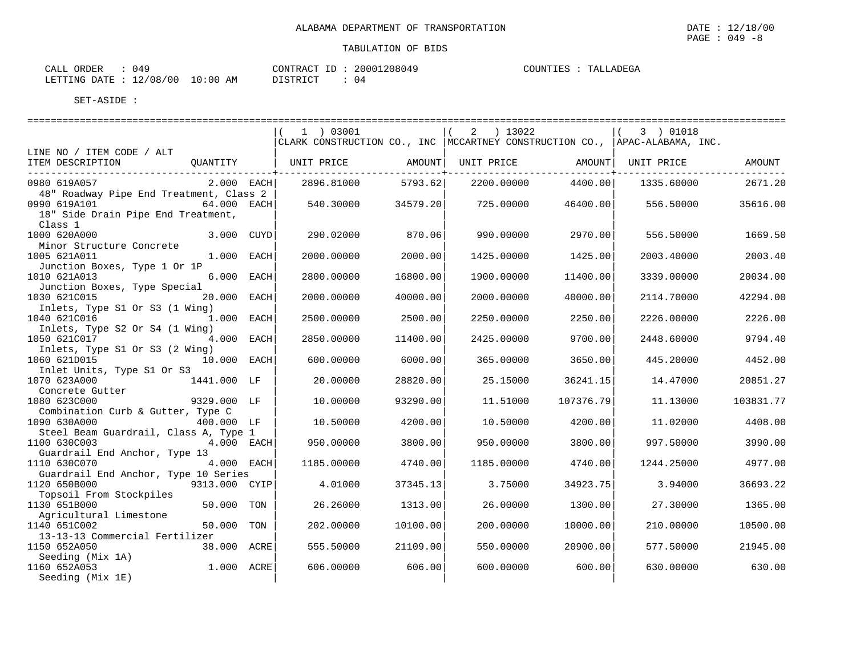| 149<br>$\sim$ $\sim$ $\sim$ $\sim$<br>ORDER<br>CALL |                              | CONTRACT<br>$-$          | 20001208049 | COUNTIES | <b>ADEGA</b><br>⊤∆⊺<br>۰. د |
|-----------------------------------------------------|------------------------------|--------------------------|-------------|----------|-----------------------------|
| /00<br>/08.<br>$\sim$<br>DATE<br>LETTING<br>工乙子     | :00<br>$\pm 0^{\circ}$<br>ΆM | DIOTODICO<br>+ + + + + + | 04          |          |                             |

|                                                                        |               | 1  03001                                                                       |          | 2 ) 13022  |           | (3) 01018           |           |
|------------------------------------------------------------------------|---------------|--------------------------------------------------------------------------------|----------|------------|-----------|---------------------|-----------|
|                                                                        |               | CLARK CONSTRUCTION CO., INC   MCCARTNEY CONSTRUCTION CO.,   APAC-ALABAMA, INC. |          |            |           |                     |           |
| LINE NO / ITEM CODE / ALT                                              |               |                                                                                |          |            |           |                     |           |
| ITEM DESCRIPTION<br>OUANTITY<br>______________________________________ |               | UNIT PRICE AMOUNT                                                              |          | UNIT PRICE |           | AMOUNT   UNIT PRICE | AMOUNT    |
| 0980 619A057                                                           | 2.000 EACH    | 2896.81000                                                                     | 5793.62  | 2200.00000 | 4400.00   | 1335.60000          | 2671.20   |
| 48" Roadway Pipe End Treatment, Class 2<br>0990 619A101                | 64.000 EACH   | 540.30000                                                                      | 34579.20 | 725.00000  | 46400.00  | 556.50000           | 35616.00  |
| 18" Side Drain Pipe End Treatment,<br>Class 1                          |               |                                                                                |          |            |           |                     |           |
| 1000 620A000<br>Minor Structure Concrete                               | 3.000 CUYD    | 290.02000                                                                      | 870.06   | 990.00000  | 2970.00   | 556.50000           | 1669.50   |
| 1005 621A011                                                           | 1.000 EACH    | 2000.00000                                                                     | 2000.00  | 1425.00000 | 1425.00   | 2003.40000          | 2003.40   |
| Junction Boxes, Type 1 Or 1P<br>1010 621A013                           | 6.000 EACH    | 2800.00000                                                                     | 16800.00 | 1900.00000 | 11400.00  | 3339.00000          | 20034.00  |
| Junction Boxes, Type Special<br>1030 621C015                           | 20.000 EACH   | 2000.00000                                                                     | 40000.00 | 2000.00000 | 40000.00  | 2114.70000          | 42294.00  |
| Inlets, Type S1 Or S3 (1 Wing)<br>1040 621C016                         | 1.000 EACH    | 2500.00000                                                                     | 2500.00  | 2250.00000 | 2250.00   | 2226.00000          | 2226.00   |
| Inlets, Type S2 Or S4 (1 Wing)                                         |               |                                                                                |          |            |           |                     |           |
| 1050 621C017<br>Inlets, Type S1 Or S3 (2 Wing)                         | 4.000 EACH    | 2850.00000                                                                     | 11400.00 | 2425.00000 | 9700.00   | 2448.60000          | 9794.40   |
| 1060 621D015<br>Inlet Units, Type S1 Or S3                             | 10.000 EACH   | 600.00000                                                                      | 6000.00  | 365,00000  | 3650.00   | 445.20000           | 4452.00   |
| 1070 623A000<br>1441.000 LF                                            |               | 20.00000                                                                       | 28820.00 | 25.15000   | 36241.15  | 14.47000            | 20851.27  |
| Concrete Gutter<br>1080 623C000<br>9329.000 LF                         |               | 10.00000                                                                       | 93290.00 | 11.51000   | 107376.79 | 11.13000            | 103831.77 |
| Combination Curb & Gutter, Type C<br>1090 630A000                      | 400.000 LF    | 10.50000                                                                       | 4200.00  | 10.50000   | 4200.00   | 11,02000            | 4408.00   |
| Steel Beam Guardrail, Class A, Type 1<br>1100 630C003                  | 4.000 EACH    | 950.00000                                                                      | 3800.00  | 950.00000  | 3800.00   | 997.50000           | 3990.00   |
| Guardrail End Anchor, Type 13                                          |               |                                                                                |          |            |           |                     |           |
| 1110 630C070<br>Guardrail End Anchor, Type 10 Series                   | 4.000 EACH    | 1185.00000                                                                     | 4740.00  | 1185.00000 | 4740.00   | 1244.25000          | 4977.00   |
| 1120 650B000                                                           | 9313.000 CYIP | 4.01000                                                                        | 37345.13 | 3.75000    | 34923.75  | 3.94000             | 36693.22  |
| Topsoil From Stockpiles<br>1130 651B000                                | 50.000 TON    | 26.26000                                                                       | 1313.00  | 26.00000   | 1300.00   | 27.30000            | 1365.00   |
| Agricultural Limestone<br>1140 651C002                                 | 50.000 TON    | 202.00000                                                                      | 10100.00 | 200,00000  | 10000.00  | 210,00000           | 10500.00  |
| 13-13-13 Commercial Fertilizer<br>1150 652A050                         | 38.000 ACRE   | 555.50000                                                                      | 21109.00 | 550.00000  | 20900.00  | 577.50000           | 21945.00  |
| Seeding (Mix 1A)<br>1160 652A053<br>Seeding (Mix 1E)                   | 1.000 ACRE    | 606.00000                                                                      | 606.00   | 600.00000  | 600.00    | 630.00000           | 630.00    |
|                                                                        |               |                                                                                |          |            |           |                     |           |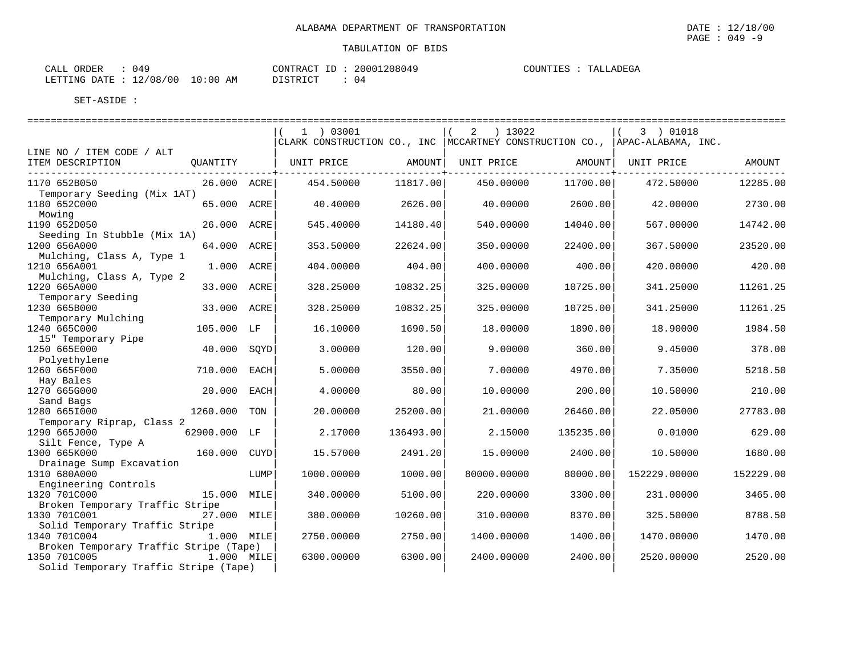| CALL ORDER | 049                              | CONTRACT ID: | 20001208049 | COUNTIES : | TALLADEGA |
|------------|----------------------------------|--------------|-------------|------------|-----------|
|            | LETTING DATE : 12/08/00 10:00 AM | DISTRICT     | 04          |            |           |

|                                                    |              |      | $1$ ) 03001                                                                    |           | 2 ) 13022   |           | 3 ) 01018    |           |
|----------------------------------------------------|--------------|------|--------------------------------------------------------------------------------|-----------|-------------|-----------|--------------|-----------|
|                                                    |              |      | CLARK CONSTRUCTION CO., INC   MCCARTNEY CONSTRUCTION CO.,   APAC-ALABAMA, INC. |           |             |           |              |           |
| LINE NO / ITEM CODE / ALT                          |              |      |                                                                                |           |             |           |              |           |
| ITEM DESCRIPTION<br>------------------------------ | QUANTITY     |      | UNIT PRICE                                                                     | AMOUNT    | UNIT PRICE  | AMOUNT    | UNIT PRICE   | AMOUNT    |
| 1170 652B050                                       | 26.000 ACRE  |      | 454.50000                                                                      | 11817.00  | 450.00000   | 11700.00  | 472.50000    | 12285.00  |
| Temporary Seeding (Mix 1AT)                        |              |      |                                                                                |           |             |           |              |           |
| 1180 652C000                                       | 65.000 ACRE  |      | 40.40000                                                                       | 2626.00   | 40.00000    | 2600.00   | 42.00000     | 2730.00   |
| Mowing                                             |              |      |                                                                                |           |             |           |              |           |
| 1190 652D050                                       | 26.000 ACRE  |      | 545.40000                                                                      | 14180.40  | 540.00000   | 14040.00  | 567.00000    | 14742.00  |
| Seeding In Stubble (Mix 1A)                        |              |      |                                                                                |           |             |           |              |           |
| 1200 656A000                                       | 64.000 ACRE  |      | 353.50000                                                                      | 22624.00  | 350.00000   | 22400.00  | 367.50000    | 23520.00  |
| Mulching, Class A, Type 1                          |              |      |                                                                                |           |             |           |              |           |
| 1210 656A001                                       | 1.000 ACRE   |      | 404.00000                                                                      | 404.00    | 400.00000   | 400.00    | 420.00000    | 420.00    |
| Mulching, Class A, Type 2                          |              |      |                                                                                |           |             |           |              |           |
| 1220 665A000                                       | 33.000       | ACRE | 328.25000                                                                      | 10832.25  | 325.00000   | 10725.00  | 341.25000    | 11261.25  |
| Temporary Seeding                                  |              |      |                                                                                |           |             |           |              |           |
| 1230 665B000<br>Temporary Mulching                 | 33.000       | ACRE | 328.25000                                                                      | 10832.25  | 325.00000   | 10725.00  | 341.25000    | 11261.25  |
| 1240 665C000                                       | 105.000 LF   |      | 16.10000                                                                       | 1690.50   | 18,00000    | 1890.00   | 18,90000     | 1984.50   |
| 15" Temporary Pipe                                 |              |      |                                                                                |           |             |           |              |           |
| 1250 665E000                                       | 40.000       | SQYD | 3.00000                                                                        | 120.00    | 9.00000     | 360.00    | 9.45000      | 378.00    |
| Polyethylene                                       |              |      |                                                                                |           |             |           |              |           |
| 1260 665F000                                       | 710.000      | EACH | 5.00000                                                                        | 3550.00   | 7.00000     | 4970.00   | 7.35000      | 5218.50   |
| Hay Bales                                          |              |      |                                                                                |           |             |           |              |           |
| 1270 665G000                                       | 20.000       | EACH | 4.00000                                                                        | 80.00     | 10.00000    | 200.00    | 10.50000     | 210.00    |
| Sand Bags                                          |              |      |                                                                                |           |             |           |              |           |
| 1280 6651000                                       | 1260.000     | TON  | 20.00000                                                                       | 25200.00  | 21,00000    | 26460.00  | 22.05000     | 27783.00  |
| Temporary Riprap, Class 2                          |              |      |                                                                                |           |             |           |              |           |
| 1290 665J000                                       | 62900.000 LF |      | 2.17000                                                                        | 136493.00 | 2.15000     | 135235.00 | 0.01000      | 629.00    |
| Silt Fence, Type A<br>1300 665K000                 | 160.000      | CUYD | 15.57000                                                                       | 2491.20   | 15.00000    | 2400.00   | 10.50000     | 1680.00   |
| Drainage Sump Excavation                           |              |      |                                                                                |           |             |           |              |           |
| 1310 680A000                                       |              | LUMP | 1000.00000                                                                     | 1000.00   | 80000.00000 | 80000.00  | 152229.00000 | 152229.00 |
| Engineering Controls                               |              |      |                                                                                |           |             |           |              |           |
| 1320 701C000                                       | 15.000       | MILE | 340.00000                                                                      | 5100.00   | 220.00000   | 3300.00   | 231.00000    | 3465.00   |
| Broken Temporary Traffic Stripe                    |              |      |                                                                                |           |             |           |              |           |
| 1330 701C001                                       | 27.000 MILE  |      | 380.00000                                                                      | 10260.00  | 310.00000   | 8370.00   | 325.50000    | 8788.50   |
| Solid Temporary Traffic Stripe                     |              |      |                                                                                |           |             |           |              |           |
| 1340 701C004                                       | 1.000 MILE   |      | 2750.00000                                                                     | 2750.00   | 1400.00000  | 1400.00   | 1470.00000   | 1470.00   |
| Broken Temporary Traffic Stripe (Tape)             |              |      |                                                                                |           |             |           |              |           |
| 1350 701C005                                       | 1.000 MILE   |      | 6300.00000                                                                     | 6300.00   | 2400.00000  | 2400.00   | 2520.00000   | 2520.00   |
| Solid Temporary Traffic Stripe (Tape)              |              |      |                                                                                |           |             |           |              |           |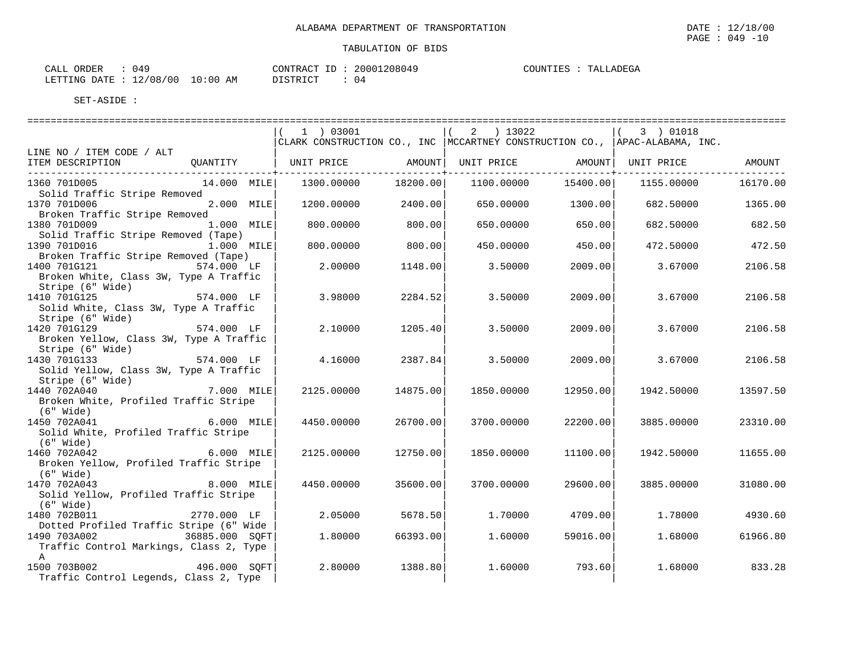| $\sim$ $\sim$ $\sim$ $\sim$<br>ORDER<br>149<br>CALL        |                 | CONTRAC'<br>$-$<br>$\sim$ $\sim$ $\sim$ | 20001 | $\cap$ $\cap$ $\cap$<br>04 O | UNTIES<br>$\sim$ $\sim$ $\sim$ $\sim$ | ADEGA<br>πъ. |
|------------------------------------------------------------|-----------------|-----------------------------------------|-------|------------------------------|---------------------------------------|--------------|
| $^{\prime}$ 0 0<br>็∩ R<br>LETTING<br>DATE.<br>⊥∠ ′<br>v v | :0C<br>ΆM<br>∸∪ | $mn \tau \land m$<br>.                  | 04    |                              |                                       |              |

|                                                                                                                                      | 1   03001<br>CLARK CONSTRUCTION CO., INC   MCCARTNEY CONSTRUCTION CO.,   APAC-ALABAMA, INC. |          | $(2)$ 13022 |          | (3) 01018  |          |
|--------------------------------------------------------------------------------------------------------------------------------------|---------------------------------------------------------------------------------------------|----------|-------------|----------|------------|----------|
| LINE NO / ITEM CODE / ALT                                                                                                            |                                                                                             |          |             |          |            |          |
| ITEM DESCRIPTION GUANTITY   UNIT PRICE AMOUNT  UNIT PRICE AMOUNT  UNIT PRICE AMOUNT AMOUNT<br>-------------------------------------- |                                                                                             |          |             |          |            |          |
| 1360 701D005<br>14.000 MILE                                                                                                          | 1300.00000                                                                                  | 18200.00 | 1100.00000  | 15400.00 | 1155.00000 | 16170.00 |
| Solid Traffic Stripe Removed<br>1370 701D006<br>2.000 MILE<br>Broken Traffic Stripe Removed                                          | 1200.00000                                                                                  | 2400.00  | 650.00000   | 1300.00  | 682.50000  | 1365.00  |
| 1.000 MILE<br>1380 701D009<br>Solid Traffic Stripe Removed (Tape)                                                                    | 800,00000                                                                                   | 800.00   | 650.00000   | 650.00   | 682.50000  | 682.50   |
| 1390 701D016<br>1.000 MILE<br>Broken Traffic Stripe Removed (Tape)                                                                   | 800,00000                                                                                   | 800.00   | 450.00000   | 450.00   | 472.50000  | 472.50   |
| 1400 701G121 574.000 LF<br>Broken White, Class 3W, Type A Traffic                                                                    | 2.00000                                                                                     | 1148.00  | 3.50000     | 2009.00  | 3.67000    | 2106.58  |
| Stripe (6" Wide)<br>574.000 LF<br>1410 701G125                                                                                       |                                                                                             |          |             |          |            |          |
| Solid White, Class 3W, Type A Traffic<br>Stripe (6" Wide)                                                                            | 3.98000                                                                                     | 2284.52  | 3.50000     | 2009.00  | 3.67000    | 2106.58  |
| 1420 701G129 574.000 LF<br>Broken Yellow, Class 3W, Type A Traffic                                                                   | 2.10000                                                                                     | 1205.40  | 3.50000     | 2009.00  | 3.67000    | 2106.58  |
| Stripe (6" Wide)<br>$574.000$ LF<br>1430 701G133                                                                                     | 4.16000                                                                                     | 2387.84  | 3.50000     | 2009.00  | 3.67000    | 2106.58  |
| Solid Yellow, Class 3W, Type A Traffic<br>Stripe (6" Wide)                                                                           |                                                                                             |          |             |          |            |          |
| 7.000 MILE<br>1440 702A040<br>Broken White, Profiled Traffic Stripe                                                                  | 2125.00000                                                                                  | 14875.00 | 1850.00000  | 12950.00 | 1942.50000 | 13597.50 |
| $(6"$ Wide)                                                                                                                          |                                                                                             |          |             |          |            |          |
| 1450 702A041<br>$6.000$ MILE                                                                                                         | 4450.00000                                                                                  | 26700.00 | 3700.00000  | 22200.00 | 3885,00000 | 23310.00 |
| Solid White, Profiled Traffic Stripe<br>$(6"$ Wide)                                                                                  |                                                                                             |          |             |          |            |          |
| 1460 702A042<br>6.000 MILE<br>Broken Yellow, Profiled Traffic Stripe                                                                 | 2125.00000                                                                                  | 12750.00 | 1850.00000  | 11100.00 | 1942.50000 | 11655.00 |
| $(6"$ Wide)<br>1470 702A043<br>8.000 MILE                                                                                            | 4450.00000                                                                                  | 35600.00 | 3700.00000  | 29600.00 | 3885,00000 | 31080.00 |
| Solid Yellow, Profiled Traffic Stripe<br>$(6"$ Wide)                                                                                 |                                                                                             |          |             |          |            |          |
| 1480 702B011<br>2770.000 LF<br>Dotted Profiled Traffic Stripe (6" Wide                                                               | 2.05000                                                                                     | 5678.50  | 1.70000     | 4709.00  | 1.78000    | 4930.60  |
| 1490 703A002<br>36885.000 SQFT<br>Traffic Control Markings, Class 2, Type                                                            | 1.80000                                                                                     | 66393.00 | 1,60000     | 59016.00 | 1.68000    | 61966.80 |
| $\mathbb{A}$<br>1500 703B002 496.000 SQFT<br>Traffic Control Legends, Class 2, Type                                                  | 2.80000                                                                                     | 1388.80  | 1,60000     | 793.60   | 1.68000    | 833.28   |

PAGE : 049 -10

**EGA**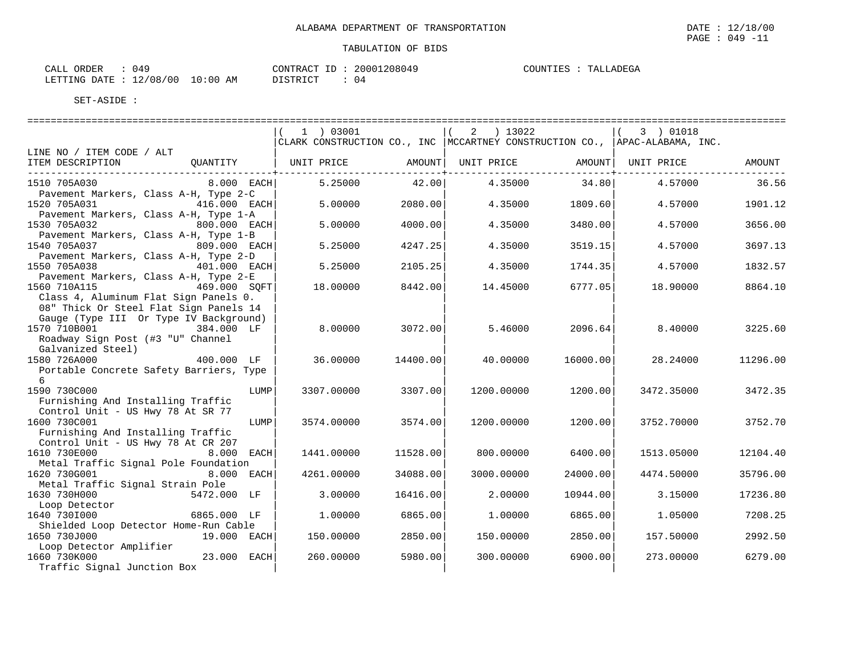| 049<br>ORDER<br>CALL     |             | CONTRACT  | 20001208049 | COUNTIES | TALLADEGA |
|--------------------------|-------------|-----------|-------------|----------|-----------|
| 12/08/00<br>LETTING DATE | 10:00<br>AM | DI STRICT | 4 ا         |          |           |

|                                                                       |      | 1 ) 03001                                                                      |          | 2 ) 13022         |          | $(3)$ 01018        |          |
|-----------------------------------------------------------------------|------|--------------------------------------------------------------------------------|----------|-------------------|----------|--------------------|----------|
|                                                                       |      | CLARK CONSTRUCTION CO., INC   MCCARTNEY CONSTRUCTION CO.,   APAC-ALABAMA, INC. |          |                   |          |                    |          |
| LINE NO / ITEM CODE / ALT                                             |      |                                                                                |          |                   |          |                    |          |
| ITEM DESCRIPTION<br><b>QUANTITY</b>                                   |      | UNIT PRICE                                                                     |          | AMOUNT UNIT PRICE |          | AMOUNT  UNIT PRICE | AMOUNT   |
| -----------------------------                                         |      |                                                                                |          |                   |          |                    |          |
| 1510 705A030<br>$8.000$ EACH                                          |      | 5.25000                                                                        | 42.00    | 4.35000           | 34.80    | 4.57000            | 36.56    |
| Pavement Markers, Class A-H, Type 2-C                                 |      |                                                                                |          |                   |          |                    |          |
| 1520 705A031<br>416.000 EACH                                          |      | 5.00000                                                                        | 2080.00  | 4.35000           | 1809.60  | 4.57000            | 1901.12  |
| Pavement Markers, Class A-H, Type 1-A                                 |      |                                                                                |          |                   |          |                    |          |
| 1530 705A032<br>800.000 EACH                                          |      | 5.00000                                                                        | 4000.00  | 4.35000           | 3480.00  | 4.57000            | 3656.00  |
| Pavement Markers, Class A-H, Type 1-B<br>1540 705A037<br>809.000 EACH |      | 5.25000                                                                        | 4247.25  | 4.35000           | 3519.15  | 4.57000            | 3697.13  |
| Pavement Markers, Class A-H, Type 2-D                                 |      |                                                                                |          |                   |          |                    |          |
| 1550 705A038<br>401.000 EACH                                          |      | 5.25000                                                                        | 2105.25  | 4.35000           | 1744.35  | 4.57000            | 1832.57  |
| Pavement Markers, Class A-H, Type 2-E                                 |      |                                                                                |          |                   |          |                    |          |
| 1560 710A115 469.000 SOFT                                             |      | 18.00000                                                                       | 8442.00  | 14.45000          | 6777.05  | 18.90000           | 8864.10  |
| Class 4, Aluminum Flat Sign Panels 0.                                 |      |                                                                                |          |                   |          |                    |          |
| 08" Thick Or Steel Flat Sign Panels 14                                |      |                                                                                |          |                   |          |                    |          |
| Gauge (Type III Or Type IV Background)                                |      |                                                                                |          |                   |          |                    |          |
| 1570 710B001<br>384.000 LF                                            |      | 8,00000                                                                        | 3072.00  | 5.46000           | 2096.64  | 8.40000            | 3225.60  |
| Roadway Sign Post (#3 "U" Channel                                     |      |                                                                                |          |                   |          |                    |          |
| Galvanized Steel)                                                     |      |                                                                                |          |                   |          |                    |          |
| 1580 726A000<br>400.000 LF                                            |      | 36.00000                                                                       | 14400.00 | 40.00000          | 16000.00 | 28.24000           | 11296.00 |
| Portable Concrete Safety Barriers, Type                               |      |                                                                                |          |                   |          |                    |          |
| 6                                                                     |      |                                                                                |          |                   |          |                    |          |
| 1590 730C000                                                          | LUMP | 3307.00000                                                                     | 3307.00  | 1200.00000        | 1200.00  | 3472.35000         | 3472.35  |
| Furnishing And Installing Traffic                                     |      |                                                                                |          |                   |          |                    |          |
| Control Unit - US Hwy 78 At SR 77                                     |      |                                                                                |          |                   |          |                    |          |
| 1600 730C001                                                          | LUMP | 3574.00000                                                                     | 3574.00  | 1200.00000        | 1200.00  | 3752.70000         | 3752.70  |
| Furnishing And Installing Traffic                                     |      |                                                                                |          |                   |          |                    |          |
| Control Unit - US Hwy 78 At CR 207                                    |      |                                                                                |          |                   |          |                    |          |
| 1610 730E000<br>8.000 EACH                                            |      | 1441.00000                                                                     | 11528.00 | 800.00000         | 6400.00  | 1513.05000         | 12104.40 |
| Metal Traffic Signal Pole Foundation                                  |      |                                                                                |          |                   |          |                    |          |
| 1620 730G001<br>8.000 EACH                                            |      | 4261.00000                                                                     | 34088.00 | 3000.00000        | 24000.00 | 4474.50000         | 35796.00 |
| Metal Traffic Signal Strain Pole<br>1630 730H000<br>5472.000 LF       |      | 3.00000                                                                        | 16416.00 | 2.00000           | 10944.00 | 3.15000            |          |
| Loop Detector                                                         |      |                                                                                |          |                   |          |                    | 17236.80 |
| 1640 7301000<br>6865.000 LF                                           |      | 1,00000                                                                        | 6865.00  | 1,00000           | 6865.00  | 1.05000            | 7208.25  |
| Shielded Loop Detector Home-Run Cable                                 |      |                                                                                |          |                   |          |                    |          |
| 1650 730J000<br>19.000 EACH                                           |      | 150.00000                                                                      | 2850.00  | 150.00000         | 2850.00  | 157.50000          | 2992.50  |
| Loop Detector Amplifier                                               |      |                                                                                |          |                   |          |                    |          |
| 1660 730K000<br>23.000 EACH                                           |      | 260.00000                                                                      | 5980.00  | 300.00000         | 6900.00  | 273.00000          | 6279.00  |
| Traffic Signal Junction Box                                           |      |                                                                                |          |                   |          |                    |          |
|                                                                       |      |                                                                                |          |                   |          |                    |          |

PAGE : 049 -11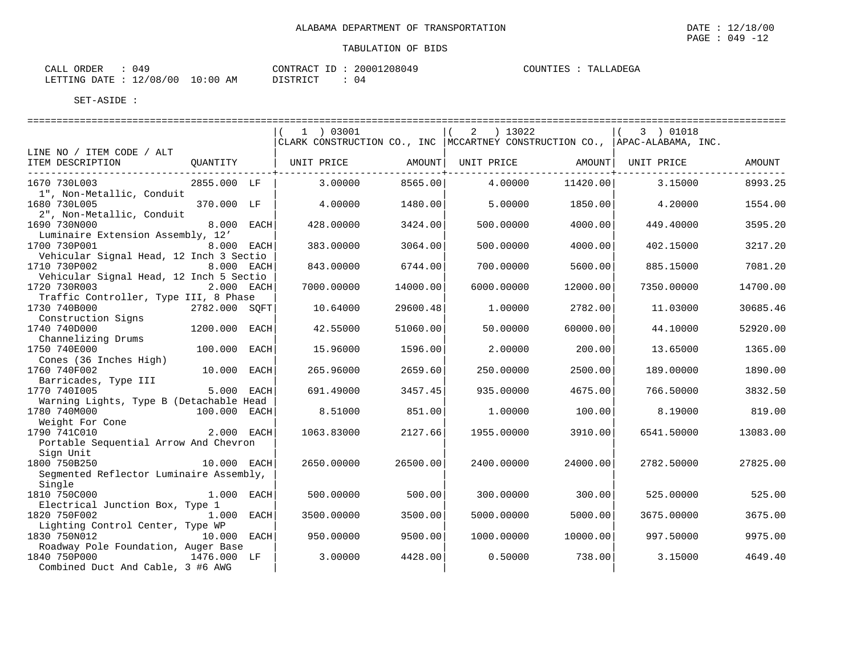| $\sim$ | IAM AL RING |  |  |  |  |  |
|--------|-------------|--|--|--|--|--|
|        |             |  |  |  |  |  |
|        |             |  |  |  |  |  |

| 049<br>ORDER<br>CALL     |             | CONTRACT  | 20001208049 | COUNTIES | TALLADEGA |
|--------------------------|-------------|-----------|-------------|----------|-----------|
| 12/08/00<br>LETTING DATE | 10:00<br>AM | DI STRICT | 4 ا         |          |           |

|                                                         |               |      | $1$ ) 03001<br>CLARK CONSTRUCTION CO., INC   MCCARTNEY CONSTRUCTION CO.,   APAC-ALABAMA, INC. |          | 2 ) 13022  |          | 3 ) 01018  |          |
|---------------------------------------------------------|---------------|------|-----------------------------------------------------------------------------------------------|----------|------------|----------|------------|----------|
| LINE NO / ITEM CODE / ALT                               |               |      |                                                                                               |          |            |          |            |          |
| ITEM DESCRIPTION                                        | QUANTITY      |      | UNIT PRICE                                                                                    | AMOUNT   | UNIT PRICE | AMOUNT   | UNIT PRICE | AMOUNT   |
| 1670 730L003<br>1", Non-Metallic, Conduit               | 2855.000 LF   |      | 3,00000                                                                                       | 8565.00  | 4.00000    | 11420.00 | 3.15000    | 8993.25  |
| 1680 730L005<br>2", Non-Metallic, Conduit               | 370.000 LF    |      | 4.00000                                                                                       | 1480.00  | 5.00000    | 1850.00  | 4.20000    | 1554.00  |
| 1690 730N000<br>Luminaire Extension Assembly, 12'       | 8.000 EACH    |      | 428.00000                                                                                     | 3424.00  | 500.00000  | 4000.00  | 449.40000  | 3595.20  |
| 1700 730P001                                            | 8.000 EACH    |      | 383.00000                                                                                     | 3064.00  | 500.00000  | 4000.00  | 402.15000  | 3217.20  |
| Vehicular Signal Head, 12 Inch 3 Sectio<br>1710 730P002 | 8.000 EACH    |      | 843.00000                                                                                     | 6744.00  | 700.00000  | 5600.00  | 885.15000  | 7081.20  |
| Vehicular Signal Head, 12 Inch 5 Sectio<br>1720 730R003 | 2.000 EACH    |      | 7000.00000                                                                                    | 14000.00 | 6000.00000 | 12000.00 | 7350.00000 | 14700.00 |
| Traffic Controller, Type III, 8 Phase<br>1730 740B000   | 2782.000 SOFT |      | 10.64000                                                                                      | 29600.48 | 1,00000    | 2782.00  | 11.03000   | 30685.46 |
| Construction Signs<br>1740 740D000                      | 1200.000      | EACH | 42.55000                                                                                      | 51060.00 | 50.00000   | 60000.00 | 44.10000   | 52920.00 |
| Channelizing Drums                                      |               |      |                                                                                               |          |            |          |            |          |
| 1750 740E000<br>Cones (36 Inches High)                  | 100.000       | EACH | 15.96000                                                                                      | 1596.00  | 2.00000    | 200.00   | 13.65000   | 1365.00  |
| 1760 740F002<br>Barricades, Type III                    | 10.000 EACH   |      | 265.96000                                                                                     | 2659.60  | 250.00000  | 2500.00  | 189.00000  | 1890.00  |
| 1770 7401005                                            | 5.000 EACH    |      | 691.49000                                                                                     | 3457.45  | 935.00000  | 4675.00  | 766.50000  | 3832.50  |
| Warning Lights, Type B (Detachable Head<br>1780 740M000 | 100.000 EACH  |      | 8.51000                                                                                       | 851.00   | 1,00000    | 100.00   | 8.19000    | 819.00   |
| Weight For Cone<br>1790 741C010                         | 2.000 EACH    |      | 1063.83000                                                                                    | 2127.66  | 1955.00000 | 3910.00  | 6541.50000 | 13083.00 |
| Portable Sequential Arrow And Chevron<br>Sign Unit      |               |      |                                                                                               |          |            |          |            |          |
| 1800 750B250<br>Seqmented Reflector Luminaire Assembly, | 10.000 EACH   |      | 2650.00000                                                                                    | 26500.00 | 2400.00000 | 24000.00 | 2782.50000 | 27825.00 |
| Single<br>1810 750C000                                  | 1.000 EACH    |      | 500.00000                                                                                     | 500.00   | 300.00000  | 300.00   | 525.00000  | 525.00   |
| Electrical Junction Box, Type 1<br>1820 750F002         | 1.000 EACH    |      | 3500.00000                                                                                    | 3500.00  | 5000.00000 | 5000.00  | 3675.00000 | 3675.00  |
| Lighting Control Center, Type WP                        |               |      |                                                                                               |          |            |          |            |          |
| 1830 750N012<br>Roadway Pole Foundation, Auger Base     | 10.000 EACH   |      | 950.00000                                                                                     | 9500.00  | 1000.00000 | 10000.00 | 997.50000  | 9975.00  |
| 1840 750P000<br>Combined Duct And Cable, 3 #6 AWG       | 1476.000 LF   |      | 3.00000                                                                                       | 4428.00  | 0.50000    | 738.00   | 3.15000    | 4649.40  |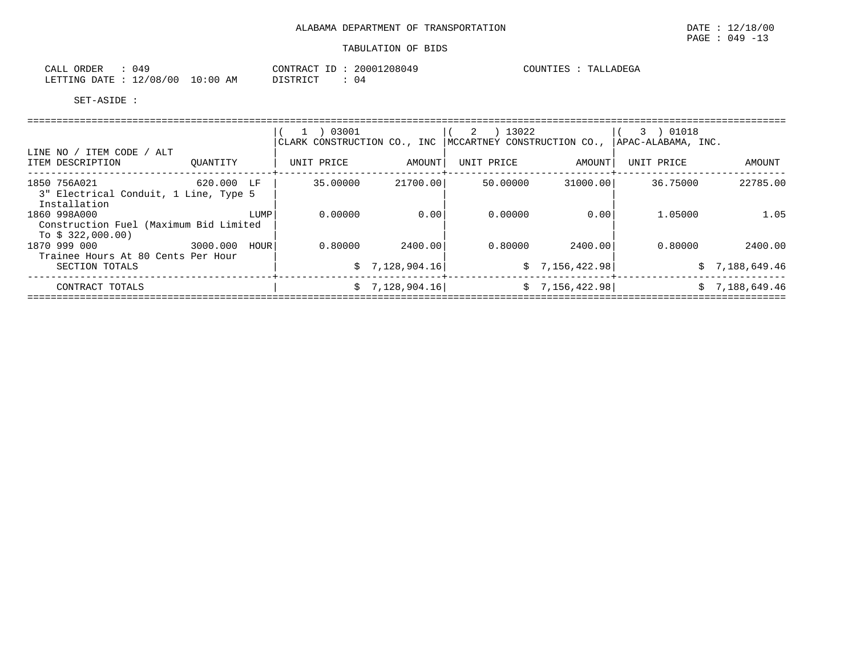| $\sim$ $\sim$ $\sim$<br>ORDER<br>- ALLL<br>. |             | $\tau$<br>CONTRACT    | 20001208049    | COUNTIES<br>TALLADEGA |
|----------------------------------------------|-------------|-----------------------|----------------|-----------------------|
| 12/08/00<br>LETTING DATE                     | 10:00<br>AΜ | DICTOR TOP<br>'STRICL | 0 <sup>2</sup> |                       |

|                                        |               | 1 ) 03001                   |                 | 2 ) 13022                   |                 | 3 ) 01018          |                |
|----------------------------------------|---------------|-----------------------------|-----------------|-----------------------------|-----------------|--------------------|----------------|
|                                        |               | CLARK CONSTRUCTION CO., INC |                 | MCCARTNEY CONSTRUCTION CO., |                 | APAC-ALABAMA, INC. |                |
| LINE NO / ITEM CODE / ALT              |               |                             |                 |                             |                 |                    |                |
| ITEM DESCRIPTION                       | OUANTITY      | UNIT PRICE                  | AMOUNT          | UNIT PRICE                  | AMOUNT          | UNIT PRICE         | AMOUNT         |
| 1850 756A021                           | 620.000 LF    | 35.00000                    | 21700.00        | 50.00000                    | 31000.00        | 36.75000           | 22785.00       |
| 3" Electrical Conduit, 1 Line, Type 5  |               |                             |                 |                             |                 |                    |                |
| Installation                           |               |                             |                 |                             |                 |                    |                |
| 1860 998A000                           | LUMP          | 0.00000                     | 0.00            | 0.00000                     | 0.001           | 1.05000            | 1.05           |
| Construction Fuel (Maximum Bid Limited |               |                             |                 |                             |                 |                    |                |
| To $$322,000.00)$                      |               |                             |                 |                             |                 |                    |                |
| 1870 999 000                           | 3000.000 HOUR | 0.80000                     | 2400.00         | 0.80000                     | 2400.001        | 0.80000            | 2400.00        |
| Trainee Hours At 80 Cents Per Hour     |               |                             |                 |                             |                 |                    |                |
| SECTION TOTALS                         |               |                             | \$7,128,904.16  |                             | \$7,156,422.98] |                    | \$7,188,649.46 |
| CONTRACT TOTALS                        |               |                             | \$7,128,904.16] |                             | \$7,156,422.98] |                    | \$7,188,649.46 |
|                                        |               |                             |                 |                             |                 |                    |                |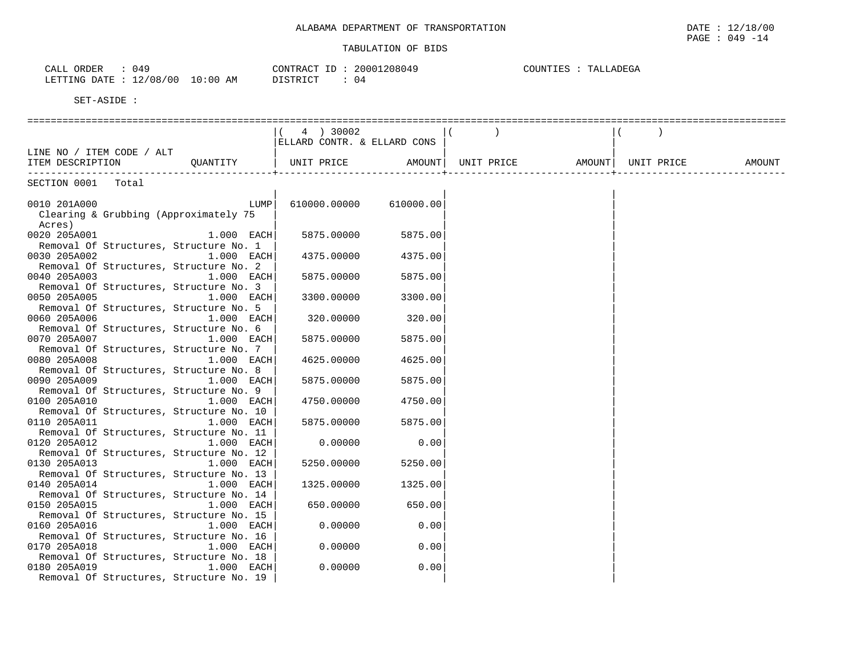|                                                                            |                                   | $\sim$          |
|----------------------------------------------------------------------------|-----------------------------------|-----------------|
|                                                                            | 1.200017                          | <b>TTATITIT</b> |
| $\overline{z}$                                                             | $\cap$ $\cap$ $\cap$              | ำ। เN           |
| U49                                                                        | רי∩ ב פידיזת∩י                    | 上に方             |
| . <u>.</u>                                                                 | ZUL.                              | ▵               |
|                                                                            | 7118114 <sup>1</sup>              | $-1$            |
|                                                                            |                                   |                 |
|                                                                            |                                   |                 |
| 100<br>LETTING<br>$\sim$<br>DATF<br>.<br>' υ ι<br>UÖ<br>— <i>—</i><br>____ | $T^{\prime}$<br>U4<br>AM<br>----- |                 |

|                                         | 4 ) 30002                   |                    |  |            |        |
|-----------------------------------------|-----------------------------|--------------------|--|------------|--------|
|                                         | ELLARD CONTR. & ELLARD CONS |                    |  |            |        |
| LINE NO / ITEM CODE / ALT               |                             |                    |  |            |        |
| ITEM DESCRIPTION QUANTITY               |                             |                    |  | UNIT PRICE | AMOUNT |
| . _ _ _ _ _ _ _ _ _ _ _ _ _ _           |                             |                    |  |            |        |
| SECTION 0001 Total                      |                             |                    |  |            |        |
|                                         |                             |                    |  |            |        |
| 0010 201A000<br>LUMP                    | 610000.00000                | 610000.00          |  |            |        |
| Clearing & Grubbing (Approximately 75   |                             |                    |  |            |        |
| Acres)                                  |                             |                    |  |            |        |
| 0020 205A001<br>1.000 EACH              |                             | 5875.00000 5875.00 |  |            |        |
| Removal Of Structures, Structure No. 1  |                             |                    |  |            |        |
| 0030 205A002<br>1.000 EACH              | 4375.00000                  | 4375.00            |  |            |        |
| Removal Of Structures, Structure No. 2  |                             |                    |  |            |        |
| 0040 205A003<br>1.000 EACH              | 5875.00000                  | 5875.00            |  |            |        |
| Removal Of Structures, Structure No. 3  |                             |                    |  |            |        |
| 0050 205A005<br>1.000 EACH              | 3300.00000                  | 3300.00            |  |            |        |
| Removal Of Structures, Structure No. 5  |                             |                    |  |            |        |
| 0060 205A006<br>1.000 EACH              | 320.00000                   | 320.00             |  |            |        |
| Removal Of Structures, Structure No. 6  |                             |                    |  |            |        |
| 0070 205A007<br>1.000 EACH              | 5875.00000                  | 5875.00            |  |            |        |
| Removal Of Structures, Structure No. 7  |                             |                    |  |            |        |
| 0080 205A008<br>$1.000$ EACH            | 4625.00000                  | 4625.00            |  |            |        |
| Removal Of Structures, Structure No. 8  |                             |                    |  |            |        |
| 0090 205A009<br>1.000 EACH              | 5875.00000                  | 5875.00            |  |            |        |
| Removal Of Structures, Structure No. 9  |                             |                    |  |            |        |
| 0100 205A010<br>$1.000$ EACH            | 4750.00000                  | 4750.00            |  |            |        |
| Removal Of Structures, Structure No. 10 |                             |                    |  |            |        |
| 0110 205A011<br>$1.000$ EACH            | 5875.00000                  | 5875.00            |  |            |        |
| Removal Of Structures, Structure No. 11 |                             |                    |  |            |        |
| 0120 205A012<br>1.000 EACH              | 0.00000                     | 0.00               |  |            |        |
| Removal Of Structures, Structure No. 12 |                             |                    |  |            |        |
| 0130 205A013<br>1.000 EACH              | 5250.00000                  | 5250.00            |  |            |        |
| Removal Of Structures, Structure No. 13 |                             |                    |  |            |        |
| 0140 205A014<br>$1.000$ EACH            | 1325.00000                  | 1325.00            |  |            |        |
| Removal Of Structures, Structure No. 14 |                             |                    |  |            |        |
| 1.000 EACH<br>0150 205A015              | 650.00000                   | 650.00             |  |            |        |
| Removal Of Structures, Structure No. 15 |                             |                    |  |            |        |
| 0160 205A016<br>1.000 EACH              | 0.00000                     | 0.00               |  |            |        |
| Removal Of Structures, Structure No. 16 |                             |                    |  |            |        |
| 0170 205A018<br>1.000 EACH              | 0.00000                     | 0.00               |  |            |        |
| Removal Of Structures, Structure No. 18 |                             |                    |  |            |        |
| 1.000 EACH<br>0180 205A019              | 0.00000                     | 0.00               |  |            |        |
| Removal Of Structures, Structure No. 19 |                             |                    |  |            |        |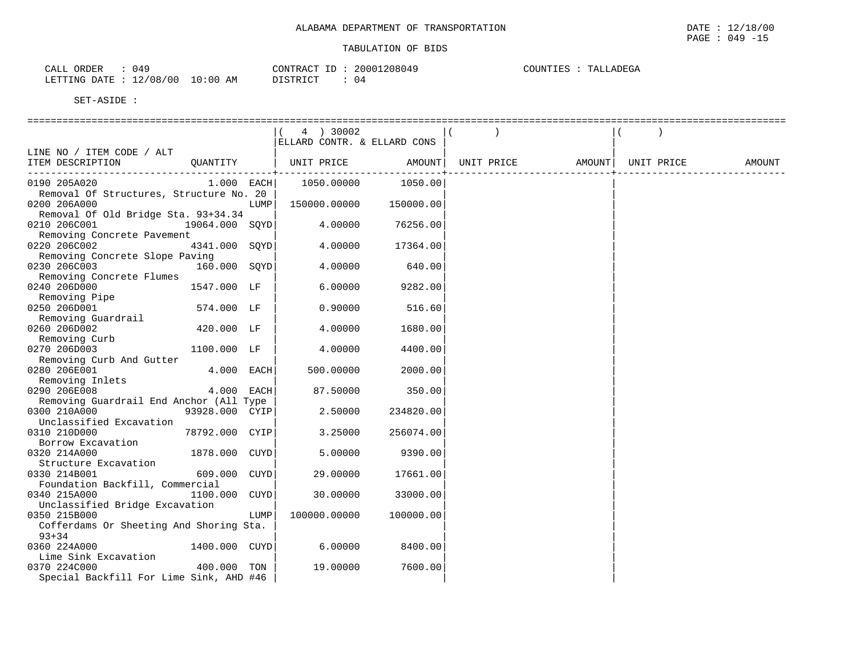| 049<br>ORDER<br>CALL  |                              | CONTRACT<br>$-1$<br>CUNIRAC <sup>.</sup> | 20001208049 | TALLADEGA<br>COUNTIES |
|-----------------------|------------------------------|------------------------------------------|-------------|-----------------------|
| LETTING<br>DATE<br>ᅩᄼ | 10:00<br>12/08<br>00 '<br>ΆM | DTQMDTQm<br>ມ⊥ມ⊥⊥∖⊥∪⊥                    | -04         |                       |

|                                                                 | 4 ) 30002                   |           |            |        |            |        |
|-----------------------------------------------------------------|-----------------------------|-----------|------------|--------|------------|--------|
|                                                                 | ELLARD CONTR. & ELLARD CONS |           |            |        |            |        |
| LINE NO / ITEM CODE / ALT<br>ITEM DESCRIPTION<br>OUANTITY       | UNIT PRICE                  | AMOUNT    | UNIT PRICE | AMOUNT | UNIT PRICE | AMOUNT |
|                                                                 |                             |           |            |        |            |        |
| 0190 205A020<br>$1.000$ EACH                                    | 1050.00000                  | 1050.00   |            |        |            |        |
| Removal Of Structures, Structure No. 20                         |                             |           |            |        |            |        |
| 0200 206A000<br>LUMP                                            | 150000.00000                | 150000.00 |            |        |            |        |
| Removal Of Old Bridge Sta. 93+34.34                             |                             |           |            |        |            |        |
| 0210 206C001<br>19064.000 SOYD                                  | 4.00000                     | 76256.00  |            |        |            |        |
| Removing Concrete Pavement                                      |                             |           |            |        |            |        |
| 0220 206C002<br>4341.000 SQYD                                   | 4.00000                     | 17364.00  |            |        |            |        |
| Removing Concrete Slope Paving                                  |                             |           |            |        |            |        |
| 160.000 SQYD<br>0230 206C003                                    | 4.00000                     | 640.00    |            |        |            |        |
| Removing Concrete Flumes<br>0240 206D000                        |                             |           |            |        |            |        |
| 1547.000 LF<br>Removing Pipe                                    | 6,00000                     | 9282.00   |            |        |            |        |
| 0250 206D001<br>574.000 LF                                      | 0.90000                     | 516.60    |            |        |            |        |
| Removing Guardrail                                              |                             |           |            |        |            |        |
| 0260 206D002<br>420.000 LF                                      | 4.00000                     | 1680.00   |            |        |            |        |
| Removing Curb                                                   |                             |           |            |        |            |        |
| 0270 206D003<br>1100.000 LF                                     | 4.00000                     | 4400.00   |            |        |            |        |
| Removing Curb And Gutter                                        |                             |           |            |        |            |        |
| 0280 206E001<br>4.000 EACH                                      | 500.00000                   | 2000.00   |            |        |            |        |
| Removing Inlets                                                 |                             |           |            |        |            |        |
| 4.000 EACH<br>0290 206E008                                      | 87.50000                    | 350.00    |            |        |            |        |
| Removing Guardrail End Anchor (All Type                         |                             |           |            |        |            |        |
| 0300 210A000<br>93928.000 CYIP                                  | 2.50000                     | 234820.00 |            |        |            |        |
| Unclassified Excavation                                         |                             |           |            |        |            |        |
| 0310 210D000<br>78792.000 CYIP                                  | 3.25000                     | 256074.00 |            |        |            |        |
| Borrow Excavation                                               |                             |           |            |        |            |        |
| 1878.000 CUYD<br>0320 214A000                                   | 5.00000                     | 9390.00   |            |        |            |        |
| Structure Excavation                                            |                             |           |            |        |            |        |
| 0330 214B001<br>609.000 CUYD                                    | 29.00000                    | 17661.00  |            |        |            |        |
| Foundation Backfill, Commercial                                 |                             |           |            |        |            |        |
| 0340 215A000<br>1100.000 CUYD                                   | 30.00000                    | 33000.00  |            |        |            |        |
| Unclassified Bridge Excavation                                  |                             |           |            |        |            |        |
| 0350 215B000<br>LUMP<br>Cofferdams Or Sheeting And Shoring Sta. | 100000.00000                | 100000.00 |            |        |            |        |
| $93 + 34$                                                       |                             |           |            |        |            |        |
| 0360 224A000<br>1400.000 CUYD                                   | 6.00000                     | 8400.00   |            |        |            |        |
| Lime Sink Excavation                                            |                             |           |            |        |            |        |
| 0370 224C000<br>400.000 TON                                     | 19.00000                    | 7600.00   |            |        |            |        |
| Special Backfill For Lime Sink, AHD #46                         |                             |           |            |        |            |        |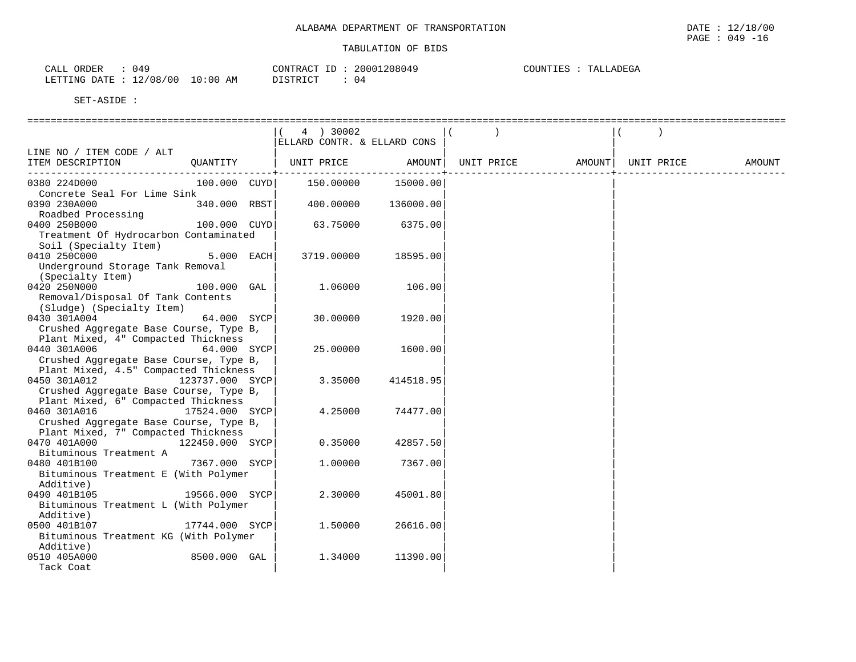| 049<br>ORDER<br>$\cap$ $\pi$ $\tau$<br>CALL | CONTRACT<br>ID<br>COMINACI                | 20001208049 | COUNTIES<br>TALLADEGA |
|---------------------------------------------|-------------------------------------------|-------------|-----------------------|
| 2/08/<br>00 /<br>LETTING DATE<br>∸∸         | 10:00<br>DI STRICT<br>AM<br>, + + + + + + | 04          |                       |

|                                                                                 |     | 4 ) 30002<br>ELLARD CONTR. & ELLARD CONS |           |            |        |            |        |
|---------------------------------------------------------------------------------|-----|------------------------------------------|-----------|------------|--------|------------|--------|
| LINE NO / ITEM CODE / ALT                                                       |     |                                          |           |            |        |            |        |
| QUANTITY<br>ITEM DESCRIPTION                                                    |     | UNIT PRICE                               | AMOUNT    | UNIT PRICE | AMOUNT | UNIT PRICE | AMOUNT |
| 100.000 CUYD<br>0380 224D000                                                    |     | 150.00000                                | 15000.00  |            |        |            |        |
| Concrete Seal For Lime Sink                                                     |     |                                          |           |            |        |            |        |
| 0390 230A000<br>340.000 RBST<br>Roadbed Processing                              |     | 400.00000                                | 136000.00 |            |        |            |        |
| 0400 250B000<br>100.000 CUYD                                                    |     | 63.75000                                 | 6375.00   |            |        |            |        |
| Treatment Of Hydrocarbon Contaminated                                           |     |                                          |           |            |        |            |        |
| Soil (Specialty Item)                                                           |     |                                          |           |            |        |            |        |
| 0410 250C000<br>5.000 EACH                                                      |     | 3719.00000                               | 18595.00  |            |        |            |        |
| Underground Storage Tank Removal                                                |     |                                          |           |            |        |            |        |
| (Specialty Item)                                                                |     |                                          |           |            |        |            |        |
| 0420 250N000<br>100.000                                                         | GAL | 1.06000                                  | 106.00    |            |        |            |        |
| Removal/Disposal Of Tank Contents                                               |     |                                          |           |            |        |            |        |
| (Sludge) (Specialty Item)                                                       |     |                                          |           |            |        |            |        |
| 64.000 SYCP<br>0430 301A004                                                     |     | 30,00000                                 | 1920.00   |            |        |            |        |
| Crushed Aggregate Base Course, Type B,                                          |     |                                          |           |            |        |            |        |
| Plant Mixed, 4" Compacted Thickness                                             |     |                                          |           |            |        |            |        |
| 64.000 SYCP<br>0440 301A006                                                     |     | 25.00000                                 | 1600.00   |            |        |            |        |
| Crushed Aggregate Base Course, Type B,<br>Plant Mixed, 4.5" Compacted Thickness |     |                                          |           |            |        |            |        |
| 0450 301A012<br>123737.000 SYCP                                                 |     | 3.35000                                  | 414518.95 |            |        |            |        |
| Crushed Aggregate Base Course, Type B,                                          |     |                                          |           |            |        |            |        |
| Plant Mixed, 6" Compacted Thickness                                             |     |                                          |           |            |        |            |        |
| 0460 301A016<br>17524.000 SYCP                                                  |     | 4.25000                                  | 74477.00  |            |        |            |        |
| Crushed Aggregate Base Course, Type B,                                          |     |                                          |           |            |        |            |        |
| Plant Mixed, 7" Compacted Thickness                                             |     |                                          |           |            |        |            |        |
| 0470 401A000<br>122450.000 SYCP                                                 |     | 0.35000                                  | 42857.50  |            |        |            |        |
| Bituminous Treatment A                                                          |     |                                          |           |            |        |            |        |
| 7367.000 SYCP<br>0480 401B100                                                   |     | 1,00000                                  | 7367.00   |            |        |            |        |
| Bituminous Treatment E (With Polymer                                            |     |                                          |           |            |        |            |        |
| Additive)                                                                       |     |                                          |           |            |        |            |        |
| 19566.000 SYCP<br>0490 401B105                                                  |     | 2.30000                                  | 45001.80  |            |        |            |        |
| Bituminous Treatment L (With Polymer                                            |     |                                          |           |            |        |            |        |
| Additive)                                                                       |     |                                          |           |            |        |            |        |
| 17744.000 SYCP<br>0500 401B107                                                  |     | 1,50000                                  | 26616.00  |            |        |            |        |
| Bituminous Treatment KG (With Polymer                                           |     |                                          |           |            |        |            |        |
| Additive)                                                                       |     |                                          |           |            |        |            |        |
| 0510 405A000<br>8500.000 GAL                                                    |     | 1.34000                                  | 11390.00  |            |        |            |        |
| Tack Coat                                                                       |     |                                          |           |            |        |            |        |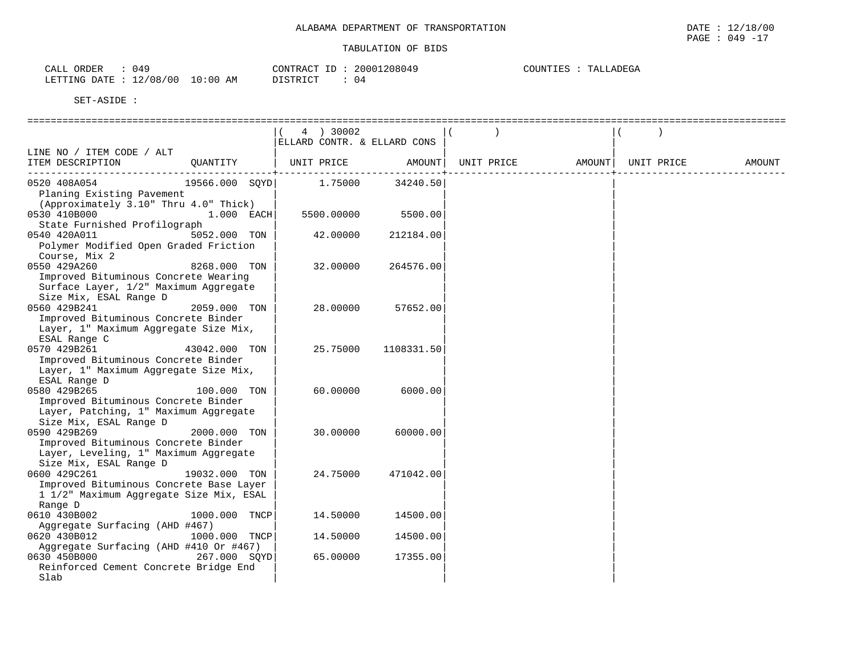| ORDER<br>CALL   | 049      |             | CONTRACT ID | 20001208049 | C<br>OUNIIES | <b>LADEGA</b><br>TAT. |
|-----------------|----------|-------------|-------------|-------------|--------------|-----------------------|
| LETTING<br>DATE | 12/08/00 | 10:00<br>ΆM | DISTRICT    | 04          |              |                       |

| JEI-HJIDE                                                                                                               |                |                                          |              |                    |                    |        |
|-------------------------------------------------------------------------------------------------------------------------|----------------|------------------------------------------|--------------|--------------------|--------------------|--------|
|                                                                                                                         |                |                                          |              |                    |                    |        |
|                                                                                                                         |                | 4 ) 30002<br>ELLARD CONTR. & ELLARD CONS |              |                    |                    |        |
| LINE NO / ITEM CODE / ALT                                                                                               |                |                                          |              |                    |                    |        |
| ITEM DESCRIPTION                                                                                                        | OUANTITY       | UNIT PRICE                               | $--------++$ | AMOUNT  UNIT PRICE | AMOUNT  UNIT PRICE | AMOUNT |
| 0520 408A054<br>Planing Existing Pavement<br>(Approximately 3.10" Thru 4.0" Thick)                                      | 19566.000 SQYD | 1.75000                                  | 34240.50     |                    |                    |        |
| 0530 410B000<br>State Furnished Profilograph                                                                            | 1.000 EACH     | 5500.00000                               | 5500.00      |                    |                    |        |
| 0540 420A011<br>Polymer Modified Open Graded Friction<br>Course, Mix 2                                                  | 5052.000 TON   | 42.00000                                 | 212184.00    |                    |                    |        |
| 0550 429A260<br>Improved Bituminous Concrete Wearing<br>Surface Layer, 1/2" Maximum Aggregate<br>Size Mix, ESAL Range D | 8268.000 TON   | 32,00000                                 | 264576.00    |                    |                    |        |
| 0560 429B241<br>Improved Bituminous Concrete Binder<br>Layer, 1" Maximum Aggregate Size Mix,<br>ESAL Range C            | 2059.000 TON   | 28.00000                                 | 57652.00     |                    |                    |        |
| 0570 429B261<br>Improved Bituminous Concrete Binder<br>Layer, 1" Maximum Aggregate Size Mix,<br>ESAL Range D            | 43042.000 TON  | 25.75000                                 | 1108331.50   |                    |                    |        |
| 0580 429B265<br>Improved Bituminous Concrete Binder<br>Layer, Patching, 1" Maximum Aggregate<br>Size Mix, ESAL Range D  | 100.000 TON    | 60,00000                                 | 6000.00      |                    |                    |        |
| 0590 429B269<br>Improved Bituminous Concrete Binder<br>Layer, Leveling, 1" Maximum Aggregate<br>Size Mix, ESAL Range D  | 2000.000 TON   | 30.00000                                 | 60000.00     |                    |                    |        |
| 0600 429C261<br>Improved Bituminous Concrete Base Layer<br>1 1/2" Maximum Aggregate Size Mix, ESAL<br>Range D           | 19032.000 TON  | 24.75000                                 | 471042.00    |                    |                    |        |
| 0610 430B002<br>Aggregate Surfacing (AHD #467)                                                                          | 1000.000 TNCP  | 14.50000                                 | 14500.00     |                    |                    |        |
| 0620 430B012<br>Aggregate Surfacing (AHD #410 Or #467)                                                                  | 1000.000 TNCP  | 14.50000                                 | 14500.00     |                    |                    |        |
| 0630 450B000<br>Reinforced Cement Concrete Bridge End<br>Slab                                                           | 267.000 SOYD   | 65.00000                                 | 17355.00     |                    |                    |        |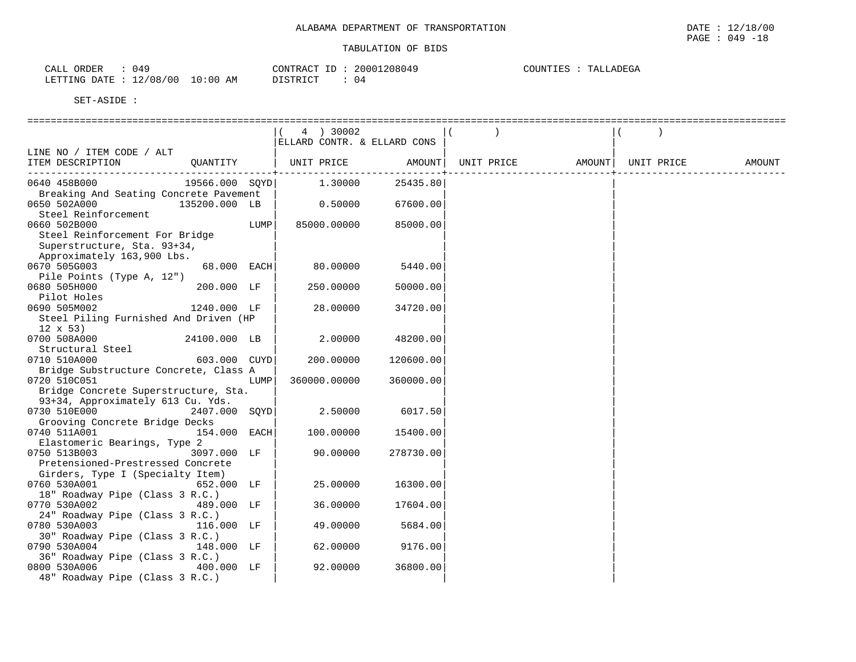| 049<br>ORDER<br>$\cap$ $\pi$ $\tau$<br>ىلىلەر |             | CONTRACT<br>$\tau$            | 20001208049 | TALLADEGA<br>COUNTIES |
|-----------------------------------------------|-------------|-------------------------------|-------------|-----------------------|
| 2/08/<br>00 /<br>LETTING DATE<br>— ⊥ ∠ ′      | 10:00<br>ΆM | <b>PT CTP כדר</b><br>ntoivici | U4          |                       |

|                                                       |                 |      | 4 ) 30002                   |           |            |        |            |        |
|-------------------------------------------------------|-----------------|------|-----------------------------|-----------|------------|--------|------------|--------|
|                                                       |                 |      | ELLARD CONTR. & ELLARD CONS |           |            |        |            |        |
| LINE NO / ITEM CODE / ALT                             |                 |      |                             |           |            |        |            |        |
| ITEM DESCRIPTION                                      | QUANTITY        |      | UNIT PRICE                  | AMOUNT    | UNIT PRICE | AMOUNT | UNIT PRICE | AMOUNT |
| 0640 458B000                                          |                 |      | 19566.000 SQYD 1.30000      | 25435.80  |            |        |            |        |
| Breaking And Seating Concrete Pavement                |                 |      |                             |           |            |        |            |        |
| 0650 502A000                                          | 135200.000 LB   |      | 0.50000                     | 67600.00  |            |        |            |        |
| Steel Reinforcement                                   |                 |      |                             |           |            |        |            |        |
| 0660 502B000<br>Steel Reinforcement For Bridge        |                 | LUMP | 85000.00000                 | 85000.00  |            |        |            |        |
| Superstructure, Sta. 93+34,                           |                 |      |                             |           |            |        |            |        |
| Approximately 163,900 Lbs.                            |                 |      |                             |           |            |        |            |        |
| 0670 505G003                                          | 68.000 EACH     |      | 80.00000                    | 5440.00   |            |        |            |        |
| Pile Points (Type A, 12")                             |                 |      |                             |           |            |        |            |        |
| 0680 505H000                                          | 200.000 LF      |      | 250.00000                   | 50000.00  |            |        |            |        |
| Pilot Holes                                           |                 |      |                             |           |            |        |            |        |
| 0690 505M002<br>Steel Piling Furnished And Driven (HP | 1240.000 LF     |      | 28.00000                    | 34720.00  |            |        |            |        |
| $12 \times 53$                                        |                 |      |                             |           |            |        |            |        |
| 0700 508A000                                          | 24100.000 LB    |      | 2.00000                     | 48200.00  |            |        |            |        |
| Structural Steel                                      |                 |      |                             |           |            |        |            |        |
| 0710 510A000                                          | 603.000 CUYD    |      | 200.00000                   | 120600.00 |            |        |            |        |
| Bridge Substructure Concrete, Class A                 |                 |      |                             |           |            |        |            |        |
| 0720 510C051                                          |                 | LUMP | 360000.00000                | 360000.00 |            |        |            |        |
| Bridge Concrete Superstructure, Sta.                  |                 |      |                             |           |            |        |            |        |
| 93+34, Approximately 613 Cu. Yds.                     |                 |      |                             |           |            |        |            |        |
| 0730 510E000<br>Grooving Concrete Bridge Decks        | $2407.000$ SQYD |      | 2.50000                     | 6017.50   |            |        |            |        |
| 0740 511A001                                          | 154.000 EACH    |      | 100.00000                   | 15400.00  |            |        |            |        |
| Elastomeric Bearings, Type 2                          |                 |      |                             |           |            |        |            |        |
| 0750 513B003                                          | 3097.000 LF     |      | 90.00000                    | 278730.00 |            |        |            |        |
| Pretensioned-Prestressed Concrete                     |                 |      |                             |           |            |        |            |        |
| Girders, Type I (Specialty Item)                      |                 |      |                             |           |            |        |            |        |
| 0760 530A001                                          | 652.000 LF      |      | 25.00000                    | 16300.00  |            |        |            |        |
| 18" Roadway Pipe (Class 3 R.C.)                       |                 |      |                             |           |            |        |            |        |
| 0770 530A002<br>24" Roadway Pipe (Class 3 R.C.)       | 489.000 LF      |      | 36.00000                    | 17604.00  |            |        |            |        |
| 0780 530A003                                          | 116.000 LF      |      | 49.00000                    | 5684.00   |            |        |            |        |
| 30" Roadway Pipe (Class 3 R.C.)                       |                 |      |                             |           |            |        |            |        |
| 0790 530A004                                          | 148.000 LF      |      | 62.00000                    | 9176.00   |            |        |            |        |
| 36" Roadway Pipe (Class 3 R.C.)                       |                 |      |                             |           |            |        |            |        |
| 0800 530A006                                          | 400.000 LF      |      | 92.00000                    | 36800.00  |            |        |            |        |
| 48" Roadway Pipe (Class 3 R.C.)                       |                 |      |                             |           |            |        |            |        |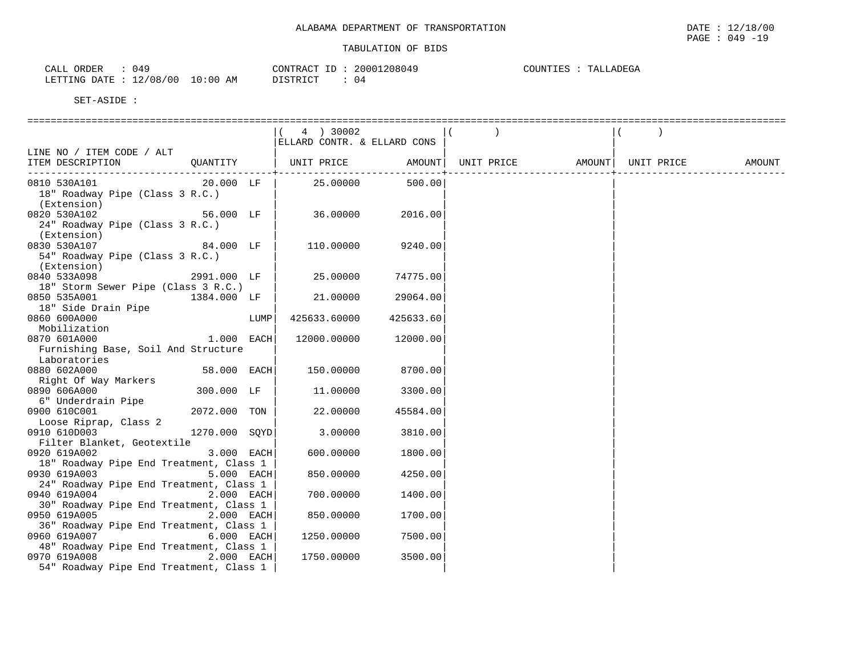| 049<br><b>ORDER</b><br>CALL               | CONTRACT<br>$\tau$<br>-- | 20001208049 | TALLADEGA<br>COUNTIES |
|-------------------------------------------|--------------------------|-------------|-----------------------|
| 10:00<br>12/08<br>/00<br>LETTING<br>DATE. | DISTRICT<br>ΆM           | 04          |                       |

| SEI-ASIDE ·                                             |               |      |                             |                   |        |            |        |
|---------------------------------------------------------|---------------|------|-----------------------------|-------------------|--------|------------|--------|
|                                                         |               |      | 4 ) 30002                   |                   |        |            |        |
|                                                         |               |      | ELLARD CONTR. & ELLARD CONS |                   |        |            |        |
| LINE NO / ITEM CODE / ALT                               |               |      |                             |                   |        |            |        |
| ITEM DESCRIPTION                                        | QUANTITY      |      | UNIT PRICE                  | AMOUNT UNIT PRICE | AMOUNT | UNIT PRICE | AMOUNT |
| 0810 530A101                                            | 20.000 LF     |      | 25.00000                    | 500.00            |        |            |        |
| 18" Roadway Pipe (Class 3 R.C.)                         |               |      |                             |                   |        |            |        |
| (Extension)                                             |               |      |                             |                   |        |            |        |
| 0820 530A102                                            | 56.000 LF     |      | 36.00000                    | 2016.00           |        |            |        |
| 24" Roadway Pipe (Class 3 R.C.)                         |               |      |                             |                   |        |            |        |
| (Extension)                                             |               |      |                             |                   |        |            |        |
| 0830 530A107                                            | 84.000 LF     |      | 110.00000                   | 9240.00           |        |            |        |
| 54" Roadway Pipe (Class 3 R.C.)<br>(Extension)          |               |      |                             |                   |        |            |        |
| 0840 533A098                                            | 2991.000 LF   |      | 25.00000                    | 74775.00          |        |            |        |
| 18" Storm Sewer Pipe (Class 3 R.C.)                     |               |      |                             |                   |        |            |        |
| 0850 535A001                                            | 1384.000 LF   |      | 21.00000                    | 29064.00          |        |            |        |
| 18" Side Drain Pipe                                     |               |      |                             |                   |        |            |        |
| 0860 600A000                                            |               | LUMP | 425633.60000                | 425633.60         |        |            |        |
| Mobilization                                            |               |      |                             |                   |        |            |        |
| 0870 601A000                                            | 1.000 EACH    |      | 12000.00000                 | 12000.00          |        |            |        |
| Furnishing Base, Soil And Structure                     |               |      |                             |                   |        |            |        |
| Laboratories                                            |               |      |                             |                   |        |            |        |
| 0880 602A000                                            | 58.000 EACH   |      | 150.00000                   | 8700.00           |        |            |        |
| Right Of Way Markers                                    |               |      |                             |                   |        |            |        |
| 0890 606A000                                            | 300.000 LF    |      | 11,00000                    | 3300.00           |        |            |        |
| 6" Underdrain Pipe                                      |               |      |                             |                   |        |            |        |
| 0900 610C001                                            | 2072.000 TON  |      | 22.00000                    | 45584.00          |        |            |        |
| Loose Riprap, Class 2                                   |               |      |                             |                   |        |            |        |
| 0910 610D003                                            | 1270.000 SQYD |      | 3.00000                     | 3810.00           |        |            |        |
| Filter Blanket, Geotextile                              |               |      |                             |                   |        |            |        |
| 0920 619A002                                            | 3.000 EACH    |      | 600.00000                   | 1800.00           |        |            |        |
| 18" Roadway Pipe End Treatment, Class 1                 |               |      |                             |                   |        |            |        |
| 0930 619A003                                            | 5.000 EACH    |      | 850.00000                   | 4250.00           |        |            |        |
| 24" Roadway Pipe End Treatment, Class 1<br>0940 619A004 |               |      | 700.00000                   |                   |        |            |        |
| 30" Roadway Pipe End Treatment, Class 1                 | 2.000 EACH    |      |                             | 1400.00           |        |            |        |
| 0950 619A005                                            | 2.000 EACH    |      | 850.00000                   | 1700.00           |        |            |        |
| 36" Roadway Pipe End Treatment, Class 1                 |               |      |                             |                   |        |            |        |
| 0960 619A007                                            | 6.000 EACH    |      | 1250.00000                  | 7500.00           |        |            |        |
| 48" Roadway Pipe End Treatment, Class 1                 |               |      |                             |                   |        |            |        |
| 0970 619A008                                            | 2.000 EACH    |      | 1750.00000                  | 3500.00           |        |            |        |
| 54" Roadway Pipe End Treatment, Class 1                 |               |      |                             |                   |        |            |        |
|                                                         |               |      |                             |                   |        |            |        |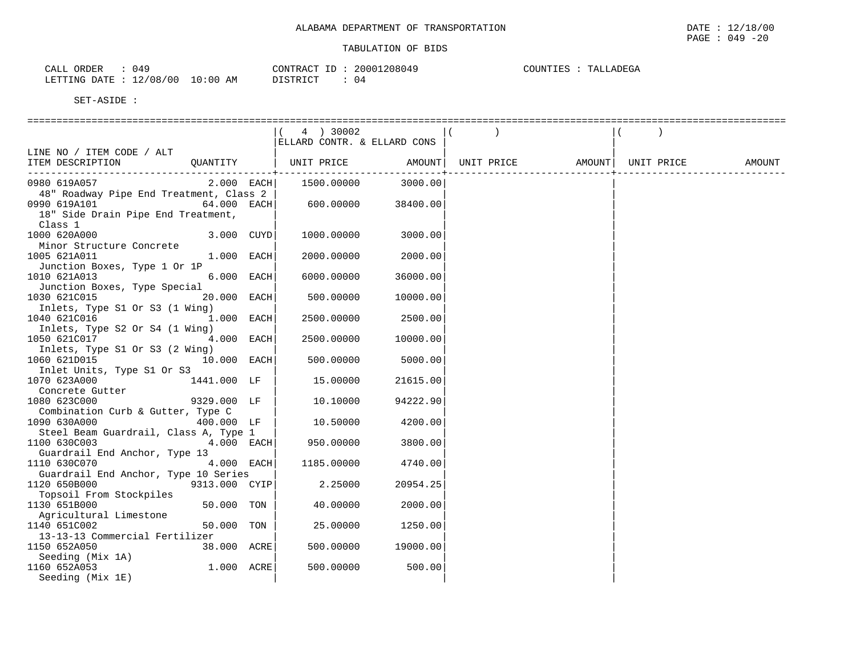| ORDER<br>940،<br>CALL    |             | $ -$<br>CONTRACT | 20001<br>1208049 | COUNTIES<br>TALLADEGA |
|--------------------------|-------------|------------------|------------------|-----------------------|
| 12/08/00<br>LETTING DATE | 10:00<br>ΆM | DISTRICT         | 04               |                       |

| ====================                           |                             |              |            |        |            |        |
|------------------------------------------------|-----------------------------|--------------|------------|--------|------------|--------|
|                                                | 4 ) 30002                   |              |            |        |            |        |
|                                                | ELLARD CONTR. & ELLARD CONS |              |            |        |            |        |
| LINE NO / ITEM CODE / ALT                      |                             |              |            |        |            |        |
| OUANTITY<br>ITEM DESCRIPTION                   | UNIT PRICE                  | AMOUNT       | UNIT PRICE | AMOUNT | UNIT PRICE | AMOUNT |
|                                                |                             | ------------ |            |        |            |        |
| $2.000$ EACH<br>0980 619A057                   | 1500.00000                  | 3000.00      |            |        |            |        |
| 48" Roadway Pipe End Treatment, Class 2        |                             |              |            |        |            |        |
| $64.000$ EACH<br>0990 619A101                  | 600.00000                   | 38400.00     |            |        |            |        |
| 18" Side Drain Pipe End Treatment,             |                             |              |            |        |            |        |
| Class 1                                        |                             |              |            |        |            |        |
| 1000 620A000<br>3.000 CUYD                     | 1000.00000                  | 3000.00      |            |        |            |        |
| Minor Structure Concrete                       |                             |              |            |        |            |        |
| 1.000 EACH<br>1005 621A011                     | 2000.00000                  | 2000.00      |            |        |            |        |
| Junction Boxes, Type 1 Or 1P                   |                             |              |            |        |            |        |
| 6.000 EACH<br>1010 621A013                     | 6000.00000                  | 36000.00     |            |        |            |        |
| Junction Boxes, Type Special                   |                             |              |            |        |            |        |
| 1030 621C015<br>20.000 EACH                    | 500.00000                   | 10000.00     |            |        |            |        |
| Inlets, Type S1 Or S3 (1 Wing)                 |                             |              |            |        |            |        |
| 1.000 EACH<br>1040 621C016                     | 2500.00000                  | 2500.00      |            |        |            |        |
| Inlets, Type S2 Or S4 (1 Wing)<br>4.000 EACH   |                             |              |            |        |            |        |
| 1050 621C017                                   | 2500.00000                  | 10000.00     |            |        |            |        |
| Inlets, Type S1 Or S3 (2 Wing)                 |                             |              |            |        |            |        |
| 10.000 EACH<br>1060 621D015                    | 500.00000                   | 5000.00      |            |        |            |        |
| Inlet Units, Type S1 Or S3                     |                             |              |            |        |            |        |
| 1070 623A000<br>1441.000 LF<br>Concrete Gutter | 15.00000                    | 21615.00     |            |        |            |        |
| 1080 623C000<br>9329.000 LF                    | 10.10000                    | 94222.90     |            |        |            |        |
| Combination Curb & Gutter, Type C              |                             |              |            |        |            |        |
| 1090 630A000<br>400.000 LF                     | 10.50000                    | 4200.00      |            |        |            |        |
| Steel Beam Guardrail, Class A, Type 1          |                             |              |            |        |            |        |
| 4.000 EACH<br>1100 630C003                     | 950.00000                   | 3800.00      |            |        |            |        |
| Guardrail End Anchor, Type 13                  |                             |              |            |        |            |        |
| 4.000 EACH<br>1110 630C070                     | 1185.00000                  | 4740.00      |            |        |            |        |
| Guardrail End Anchor, Type 10 Series           |                             |              |            |        |            |        |
| 1120 650B000<br>9313.000 CYIP                  | 2.25000                     | 20954.25     |            |        |            |        |
| Topsoil From Stockpiles                        |                             |              |            |        |            |        |
| 1130 651B000<br>50.000 TON                     | 40.00000                    | 2000.00      |            |        |            |        |
| Agricultural Limestone                         |                             |              |            |        |            |        |
| 50.000<br>1140 651C002<br>TON                  | 25.00000                    | 1250.00      |            |        |            |        |
| 13-13-13 Commercial Fertilizer                 |                             |              |            |        |            |        |
| 1150 652A050<br>38.000 ACRE                    | 500.00000                   | 19000.00     |            |        |            |        |
| Seeding (Mix 1A)                               |                             |              |            |        |            |        |
| 1160 652A053<br>1.000 ACRE                     | 500.00000                   | 500.00       |            |        |            |        |
| Seeding (Mix 1E)                               |                             |              |            |        |            |        |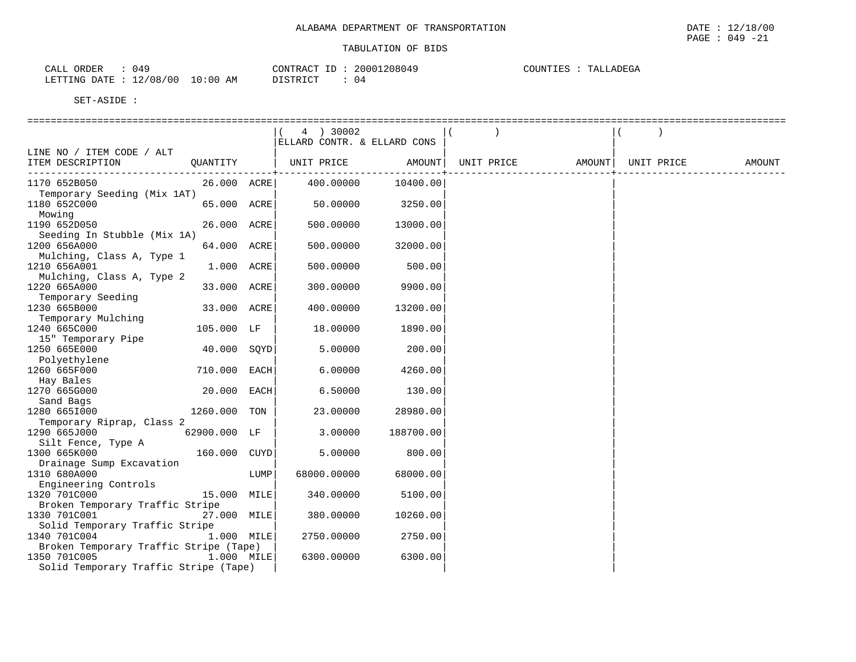| 049<br>ORDER<br>CALL    |            | CONTRACT ID: 20001208049 |    | TALLADEGA<br>COUNTIES |
|-------------------------|------------|--------------------------|----|-----------------------|
| LETTING DATE : 12/08/00 | $10:00$ AM | DISTRICT                 | 04 |                       |

|                                                        |                |      | 4 ) 30002<br>ELLARD CONTR. & ELLARD CONS |           |                   |            |        |
|--------------------------------------------------------|----------------|------|------------------------------------------|-----------|-------------------|------------|--------|
| LINE NO / ITEM CODE / ALT                              |                |      |                                          |           |                   |            |        |
| ITEM DESCRIPTION                                       | QUANTITY       |      | UNIT PRICE AMOUNT                        |           | UNIT PRICE AMOUNT | UNIT PRICE | AMOUNT |
| 1170 652B050                                           | 26.000 ACRE    |      | 400.00000                                | 10400.00  |                   |            |        |
| Temporary Seeding (Mix 1AT)<br>1180 652C000            | 65.000 ACRE    |      | 50.00000                                 | 3250.00   |                   |            |        |
| Mowing<br>1190 652D050                                 | 26.000 ACRE    |      | 500.00000                                | 13000.00  |                   |            |        |
| Seeding In Stubble (Mix 1A)                            |                |      |                                          |           |                   |            |        |
| 1200 656A000<br>Mulching, Class A, Type 1              | 64.000 ACRE    |      | 500.00000                                | 32000.00  |                   |            |        |
| 1210 656A001<br>Mulching, Class A, Type 2              | 1.000 ACRE     |      | 500.00000                                | 500.00    |                   |            |        |
| 1220 665A000                                           | 33.000 ACRE    |      | 300.00000                                | 9900.00   |                   |            |        |
| Temporary Seeding<br>1230 665B000                      | 33.000 ACRE    |      | 400.00000                                | 13200.00  |                   |            |        |
| Temporary Mulching<br>1240 665C000                     | 105.000 LF     |      | 18.00000                                 | 1890.00   |                   |            |        |
| 15" Temporary Pipe                                     |                |      |                                          |           |                   |            |        |
| 1250 665E000                                           | 40.000 SQYD    |      | 5.00000                                  | 200.00    |                   |            |        |
| Polyethylene<br>1260 665F000                           | 710.000 EACH   |      | 6.00000                                  | 4260.00   |                   |            |        |
| Hay Bales<br>1270 665G000                              | 20.000 EACH    |      | 6.50000                                  | 130.00    |                   |            |        |
| Sand Bags                                              |                |      |                                          |           |                   |            |        |
| 1280 6651000                                           | 1260.000 TON   |      | 23.00000                                 | 28980.00  |                   |            |        |
| Temporary Riprap, Class 2<br>1290 665J000              | $62900.000$ LF |      | 3.00000                                  | 188700.00 |                   |            |        |
| Silt Fence, Type A                                     |                |      |                                          |           |                   |            |        |
| 1300 665K000<br>Drainage Sump Excavation               | 160.000 CUYD   |      | 5.00000                                  | 800.00    |                   |            |        |
| 1310 680A000                                           |                | LUMP | 68000.00000                              | 68000.00  |                   |            |        |
| Engineering Controls<br>1320 701C000                   | 15.000 MILE    |      | 340.00000                                | 5100.00   |                   |            |        |
| Broken Temporary Traffic Stripe<br>1330 701C001        | 27.000 MILE    |      | 380.00000                                |           |                   |            |        |
| Solid Temporary Traffic Stripe                         |                |      |                                          | 10260.00  |                   |            |        |
| 1340 701C004<br>Broken Temporary Traffic Stripe (Tape) | $1.000$ MILE   |      | 2750.00000                               | 2750.00   |                   |            |        |
| 1350 701C005                                           | $1.000$ MILE   |      | 6300.00000                               | 6300.00   |                   |            |        |
| Solid Temporary Traffic Stripe (Tape)                  |                |      |                                          |           |                   |            |        |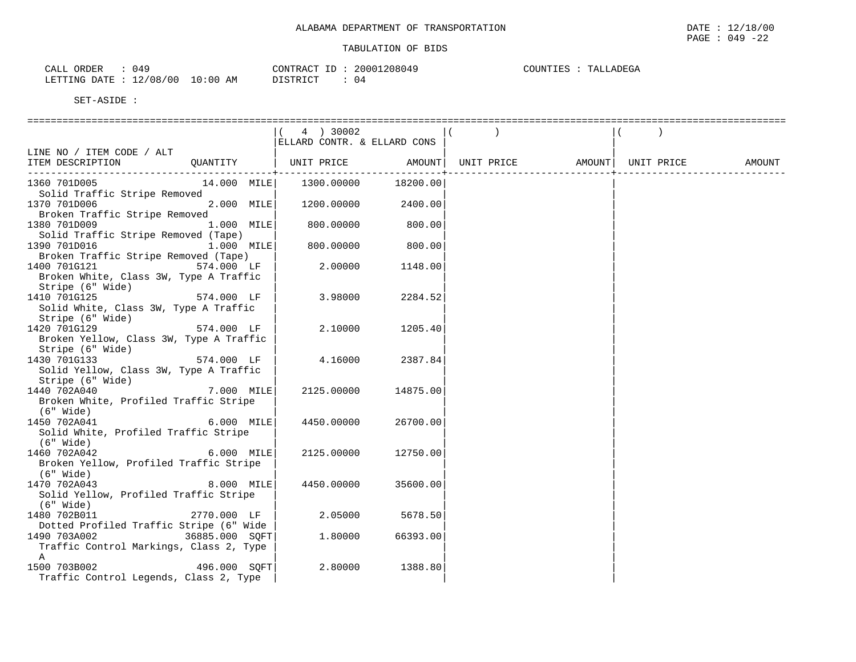| 049<br>ORDER<br>CALL  |                              | CONTRACT<br>$-1$<br>CUNIRAC <sup>.</sup> | 20001208049 | TALLADEGA<br>COUNTIES |
|-----------------------|------------------------------|------------------------------------------|-------------|-----------------------|
| LETTING<br>DATE<br>ᅩᄼ | 10:00<br>12/08<br>00 '<br>ΆM | DTQMDTQm<br>ມ⊥ມ⊥⊥∖⊥∪⊥                    | -04         |                       |

|                                                   |                | 4 ) 30002                   |          |                                |  |        |
|---------------------------------------------------|----------------|-----------------------------|----------|--------------------------------|--|--------|
|                                                   |                | ELLARD CONTR. & ELLARD CONS |          |                                |  |        |
| LINE NO / ITEM CODE / ALT                         |                |                             |          |                                |  |        |
| ITEM DESCRIPTION                                  | QUANTITY       | UNIT PRICE AMOUNT           |          | UNIT PRICE AMOUNT   UNIT PRICE |  | AMOUNT |
|                                                   |                |                             |          |                                |  |        |
| 1360 701D005<br>Solid Traffic Stripe Removed      | 14.000 MILE    | 1300.00000                  | 18200.00 |                                |  |        |
| 1370 701D006                                      | 2.000 MILE     | 1200.00000                  | 2400.00  |                                |  |        |
| Broken Traffic Stripe Removed                     |                |                             |          |                                |  |        |
| 1380 701D009                                      | 1.000 MILE     | 800.00000                   | 800.00   |                                |  |        |
| Solid Traffic Stripe Removed (Tape)               |                |                             |          |                                |  |        |
| 1390 701D016                                      | 1.000 MILE     | 800.00000                   | 800.00   |                                |  |        |
| Broken Traffic Stripe Removed (Tape)              |                |                             |          |                                |  |        |
| 1400 701G121                                      | 574.000 LF     | 2.00000                     | 1148.00  |                                |  |        |
| Broken White, Class 3W, Type A Traffic            |                |                             |          |                                |  |        |
| Stripe (6" Wide)                                  |                |                             |          |                                |  |        |
| 1410 701G125                                      | 574.000 LF     | 3.98000                     | 2284.52  |                                |  |        |
| Solid White, Class 3W, Type A Traffic             |                |                             |          |                                |  |        |
| Stripe (6" Wide)                                  |                |                             |          |                                |  |        |
| 1420 701G129                                      | 574.000 LF     | 2.10000                     | 1205.40  |                                |  |        |
| Broken Yellow, Class 3W, Type A Traffic           |                |                             |          |                                |  |        |
| Stripe (6" Wide)                                  |                |                             |          |                                |  |        |
| 1430 701G133                                      | 574.000 LF     | 4.16000                     | 2387.84  |                                |  |        |
| Solid Yellow, Class 3W, Type A Traffic            |                |                             |          |                                |  |        |
| Stripe (6" Wide)                                  |                |                             |          |                                |  |        |
| 1440 702A040                                      | 7.000 MILE     | 2125.00000                  | 14875.00 |                                |  |        |
| Broken White, Profiled Traffic Stripe             |                |                             |          |                                |  |        |
| (6" Wide)                                         |                |                             |          |                                |  |        |
| 1450 702A041                                      | $6.000$ MILE   | 4450.00000                  | 26700.00 |                                |  |        |
| Solid White, Profiled Traffic Stripe<br>(6" Wide) |                |                             |          |                                |  |        |
| 1460 702A042                                      | 6.000 MILE     | 2125.00000                  | 12750.00 |                                |  |        |
| Broken Yellow, Profiled Traffic Stripe            |                |                             |          |                                |  |        |
| (6" Wide)                                         |                |                             |          |                                |  |        |
| 1470 702A043                                      | 8.000 MILE     | 4450.00000                  | 35600.00 |                                |  |        |
| Solid Yellow, Profiled Traffic Stripe             |                |                             |          |                                |  |        |
| (6" Wide)                                         |                |                             |          |                                |  |        |
| 1480 702B011                                      | 2770.000 LF    | 2.05000                     | 5678.50  |                                |  |        |
| Dotted Profiled Traffic Stripe (6" Wide           |                |                             |          |                                |  |        |
| 1490 703A002                                      | 36885.000 SOFT | 1,80000                     | 66393.00 |                                |  |        |
| Traffic Control Markings, Class 2, Type           |                |                             |          |                                |  |        |
| $\mathbb A$                                       |                |                             |          |                                |  |        |
| 1500 703B002                                      | 496.000 SOFT   | 2.80000                     | 1388.80  |                                |  |        |
| Traffic Control Legends, Class 2, Type            |                |                             |          |                                |  |        |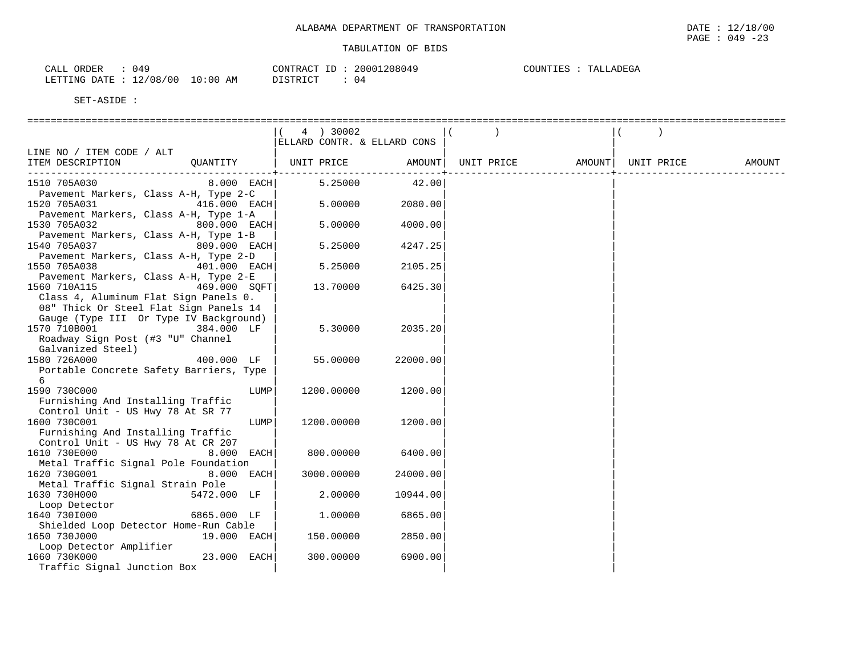| N 49<br>ORDER<br>77 T T<br>ىلىلى   |             | CONTRACT              | 20001208049 | COUNTILES<br>NDEGA<br>πΔ1<br>COUNTIES<br>. |
|------------------------------------|-------------|-----------------------|-------------|--------------------------------------------|
| 12/08,<br>/ 0 0<br>LETTING<br>DATE | 10:00<br>AM | DI STRICT<br>ມ⊥ມ⊥ນ⊥∪⊥ |             |                                            |

|                                                                                                           | 4 ) 30002                   |          |            |        |            |        |
|-----------------------------------------------------------------------------------------------------------|-----------------------------|----------|------------|--------|------------|--------|
|                                                                                                           | ELLARD CONTR. & ELLARD CONS |          |            |        |            |        |
| LINE NO / ITEM CODE / ALT<br>OUANTITY<br>ITEM DESCRIPTION                                                 | UNIT PRICE                  | AMOUNT   | UNIT PRICE | AMOUNT | UNIT PRICE | AMOUNT |
| 1510 705A030<br>$8.000$ EACH                                                                              | 5.25000                     | 42.00    |            |        |            |        |
| Pavement Markers, Class A-H, Type 2-C<br>1520 705A031<br>416.000 EACH                                     | 5.00000                     | 2080.00  |            |        |            |        |
| Pavement Markers, Class A-H, Type 1-A<br>1530 705A032<br>800.000 EACH                                     | 5.00000                     | 4000.00  |            |        |            |        |
| Pavement Markers, Class A-H, Type 1-B<br>1540 705A037<br>809.000 EACH                                     | 5.25000                     | 4247.25  |            |        |            |        |
| Pavement Markers, Class A-H, Type 2-D<br>1550 705A038<br>401.000 EACH                                     | 5.25000                     | 2105.25  |            |        |            |        |
| Pavement Markers, Class A-H, Type 2-E<br>1560 710A115<br>469.000 SOFT                                     | 13.70000                    | 6425.30  |            |        |            |        |
| Class 4, Aluminum Flat Sign Panels 0.<br>08" Thick Or Steel Flat Sign Panels 14                           |                             |          |            |        |            |        |
| Gauge (Type III Or Type IV Background)<br>1570 710B001<br>384.000 LF<br>Roadway Sign Post (#3 "U" Channel | 5.30000                     | 2035.20  |            |        |            |        |
| Galvanized Steel)<br>1580 726A000<br>400.000 LF                                                           | 55.00000                    | 22000.00 |            |        |            |        |
| Portable Concrete Safety Barriers, Type<br>6                                                              |                             |          |            |        |            |        |
| 1590 730C000<br>LUMP<br>Furnishing And Installing Traffic                                                 | 1200.00000                  | 1200.00  |            |        |            |        |
| Control Unit - US Hwy 78 At SR 77<br>1600 730C001<br>LUMP<br>Furnishing And Installing Traffic            | 1200.00000                  | 1200.00  |            |        |            |        |
| Control Unit - US Hwy 78 At CR 207<br>1610 730E000<br>8.000 EACH                                          | 800.00000                   | 6400.00  |            |        |            |        |
| Metal Traffic Signal Pole Foundation                                                                      |                             |          |            |        |            |        |
| 1620 730G001<br>8.000 EACH                                                                                | 3000.00000                  | 24000.00 |            |        |            |        |
| Metal Traffic Signal Strain Pole<br>1630 730H000<br>5472.000 LF                                           | 2.00000                     | 10944.00 |            |        |            |        |
| Loop Detector<br>1640 7301000<br>6865.000 LF                                                              | 1,00000                     | 6865.00  |            |        |            |        |
| Shielded Loop Detector Home-Run Cable<br>1650 730J000<br>19.000 EACH                                      | 150.00000                   |          |            |        |            |        |
| Loop Detector Amplifier                                                                                   |                             | 2850.00  |            |        |            |        |
| 23.000 EACH<br>1660 730K000<br>Traffic Signal Junction Box                                                | 300.00000                   | 6900.00  |            |        |            |        |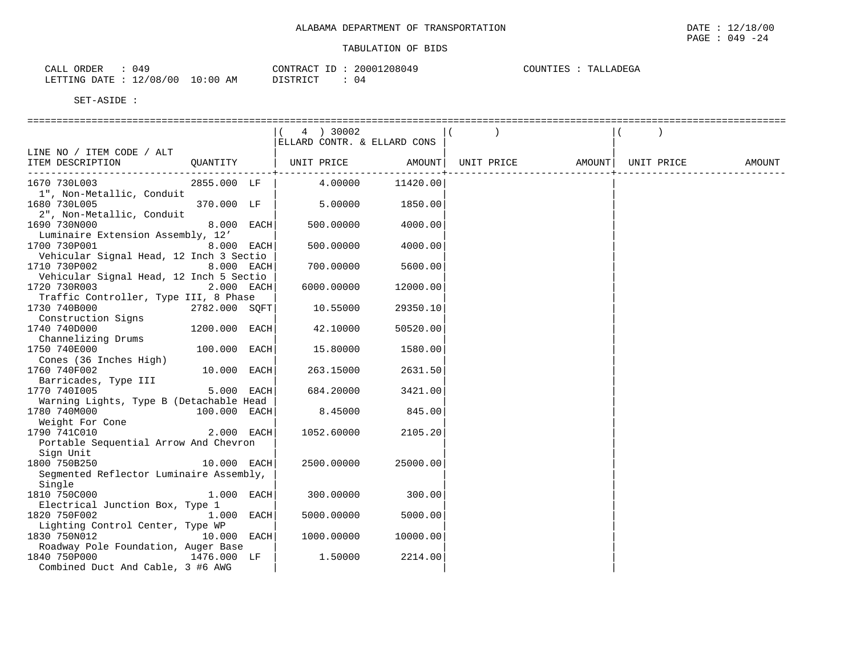| 049                                      | 20001208049    | COUNTIES : |
|------------------------------------------|----------------|------------|
| CALL ORDER                               | CONTRACT ID:   | TALLADEGA  |
| $10:00$ AM<br>: 12/08/00<br>LETTING DATE | DISTRICT<br>04 |            |

|                                                                  |               | 4 ) 30002<br>ELLARD CONTR. & ELLARD CONS |          |            |        |            |        |
|------------------------------------------------------------------|---------------|------------------------------------------|----------|------------|--------|------------|--------|
| LINE NO / ITEM CODE / ALT                                        |               |                                          |          |            |        |            |        |
| ITEM DESCRIPTION                                                 | QUANTITY      | UNIT PRICE                               | AMOUNT   | UNIT PRICE | AMOUNT | UNIT PRICE | AMOUNT |
| 1670 730L003                                                     | 2855.000 LF   | 4.00000                                  | 11420.00 |            |        |            |        |
| 1", Non-Metallic, Conduit<br>1680 730L005                        | 370.000 LF    | 5.00000                                  | 1850.00  |            |        |            |        |
| 2", Non-Metallic, Conduit<br>1690 730N000                        | 8.000 EACH    | 500.00000                                | 4000.00  |            |        |            |        |
| Luminaire Extension Assembly, 12'<br>1700 730P001                | 8.000 EACH    | 500.00000                                | 4000.00  |            |        |            |        |
| Vehicular Signal Head, 12 Inch 3 Sectio<br>1710 730P002          | 8.000 EACH    | 700.00000                                | 5600.00  |            |        |            |        |
| Vehicular Signal Head, 12 Inch 5 Sectio<br>1720 730R003          | $2.000$ EACH  | 6000.00000                               | 12000.00 |            |        |            |        |
| Traffic Controller, Type III, 8 Phase<br>1730 740B000            | 2782.000 SQFT | 10.55000                                 | 29350.10 |            |        |            |        |
| Construction Signs<br>1740 740D000                               | 1200.000 EACH | 42.10000                                 | 50520.00 |            |        |            |        |
| Channelizing Drums<br>1750 740E000                               | 100.000 EACH  | 15.80000                                 | 1580.00  |            |        |            |        |
| Cones (36 Inches High)<br>1760 740F002                           | 10.000 EACH   | 263.15000                                | 2631.50  |            |        |            |        |
| Barricades, Type III<br>1770 7401005                             | 5.000 EACH    | 684.20000                                | 3421.00  |            |        |            |        |
| Warning Lights, Type B (Detachable Head                          |               |                                          |          |            |        |            |        |
| 1780 740M000<br>Weight For Cone                                  | 100.000 EACH  | 8.45000                                  | 845.00   |            |        |            |        |
| 1790 741C010<br>Portable Sequential Arrow And Chevron            | 2.000 EACH    | 1052.60000                               | 2105.20  |            |        |            |        |
| Sign Unit                                                        |               |                                          |          |            |        |            |        |
| 1800 750B250<br>Segmented Reflector Luminaire Assembly,          | 10.000 EACH   | 2500.00000                               | 25000.00 |            |        |            |        |
| Single<br>1810 750C000                                           | $1.000$ EACH  | 300.00000                                | 300.00   |            |        |            |        |
| Electrical Junction Box, Type 1<br>1820 750F002                  | 1.000 EACH    | 5000.00000                               | 5000.00  |            |        |            |        |
| Lighting Control Center, Type WP                                 |               |                                          |          |            |        |            |        |
| 1830 750N012<br>Roadway Pole Foundation, Auger Base              | 10.000 EACH   | 1000.00000                               | 10000.00 |            |        |            |        |
| 1476.000 LF<br>1840 750P000<br>Combined Duct And Cable, 3 #6 AWG |               | 1.50000                                  | 2214.00  |            |        |            |        |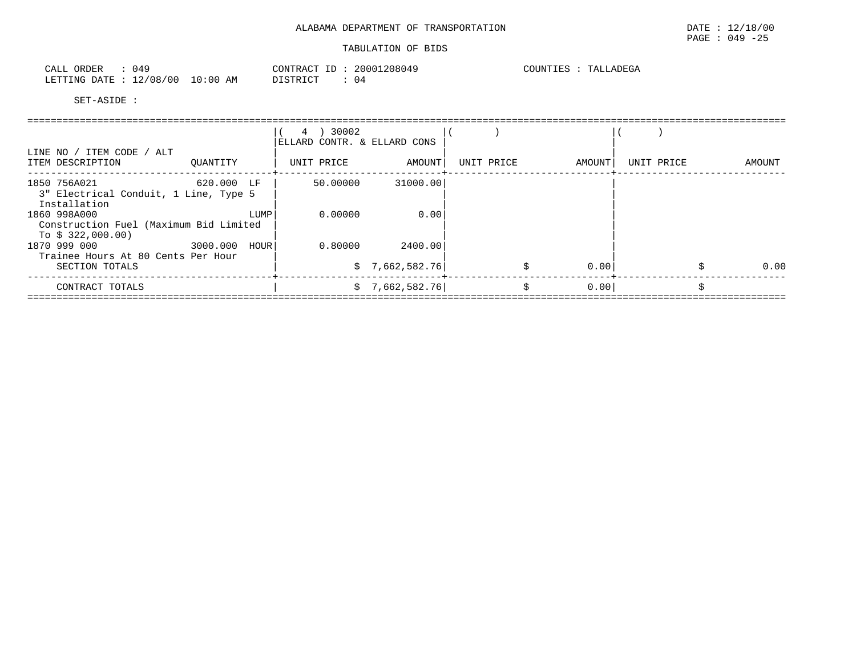| 049<br>ORDER<br>CALL           |            | 20001208049<br>CONTRACT ID | COUNTIES<br>TALLADEGA |
|--------------------------------|------------|----------------------------|-----------------------|
| : 12/08/00<br>LETTING DATE : 1 | $10:00$ AM | <b>DISTRICT</b><br>04      |                       |

|                                                                             |               | 30002<br>4<br>ELLARD CONTR. & ELLARD CONS |                 |            |        |            |        |
|-----------------------------------------------------------------------------|---------------|-------------------------------------------|-----------------|------------|--------|------------|--------|
| LINE NO / ITEM CODE / ALT<br>ITEM DESCRIPTION                               | OUANTITY      | UNIT PRICE                                | AMOUNT          | UNIT PRICE | AMOUNT | UNIT PRICE | AMOUNT |
| 1850 756A021<br>3" Electrical Conduit, 1 Line, Type 5<br>Installation       | 620.000 LF    | 50.00000                                  | 31000.00        |            |        |            |        |
| 1860 998A000<br>Construction Fuel (Maximum Bid Limited<br>To $$322,000.00)$ | LUMP          | 0.00000                                   | 0.00            |            |        |            |        |
| 1870 999 000<br>Trainee Hours At 80 Cents Per Hour                          | 3000.000 HOUR | 0.80000                                   | 2400.00         |            |        |            |        |
| SECTION TOTALS                                                              |               |                                           | \$7,662,582.76] |            | 0.00   |            | 0.00   |
| CONTRACT TOTALS                                                             |               |                                           | \$7,662,582.76] | Ŝ.         | 0.00   |            |        |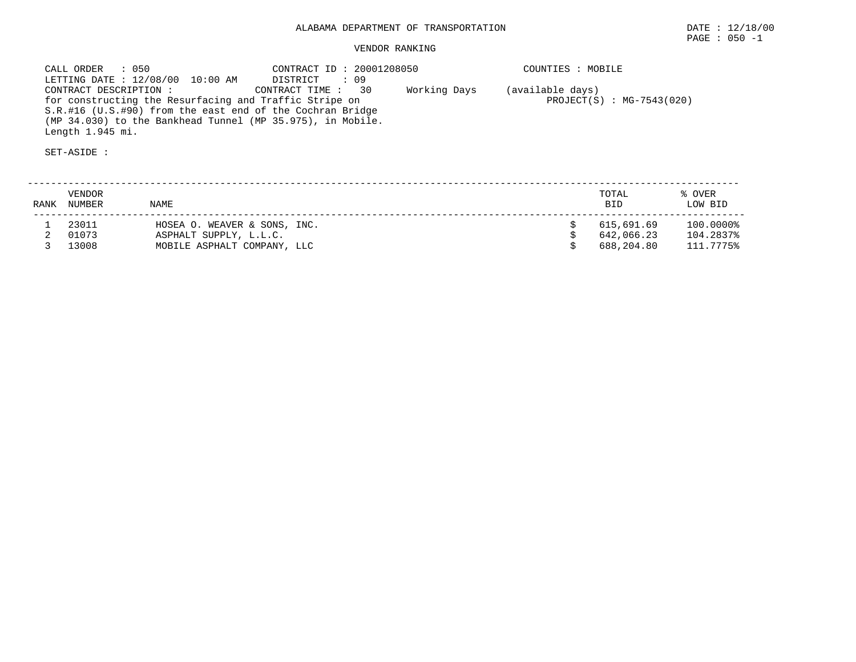# VENDOR RANKING

 CALL ORDER : 050 CONTRACT ID : 20001208050 COUNTIES : MOBILE LETTING DATE : 12/08/00 10:00 AM DISTRICT : 09 CONTRACT DESCRIPTION : CONTRACT TIME : 30 Working Days (available days) for constructing the Resurfacing and Traffic Stripe on  $PROJECT(S)$  : MG-7543(020) S.R.#16 (U.S.#90) from the east end of the Cochran Bridge (MP 34.030) to the Bankhead Tunnel (MP 35.975), in Mobile. Length 1.945 mi.

| <b>RANK</b> | VENDOR<br>NUMBER | <b>NAME</b>                  | TOTAL<br><b>BID</b> | % OVER<br>LOW BID |
|-------------|------------------|------------------------------|---------------------|-------------------|
|             | 23011            | HOSEA O. WEAVER & SONS, INC. | 615,691.69          | 100.0000%         |
|             | 01073            | ASPHALT SUPPLY, L.L.C.       | 642,066.23          | 104.2837%         |
|             | 13008            | MOBILE ASPHALT COMPANY, LLC  | 688,204.80          | 111.7775%         |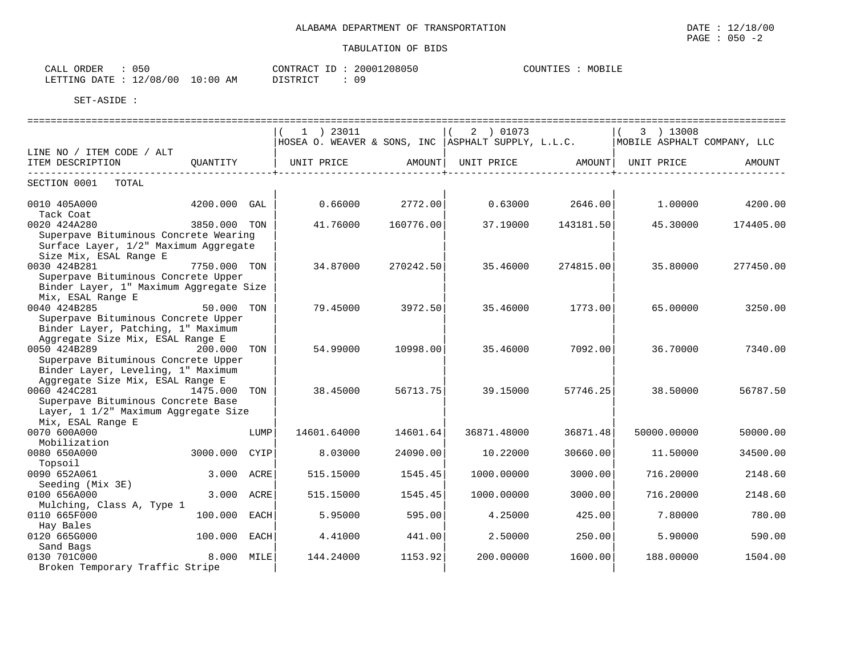| ORDER<br>CALL | 050                              | CONTRACT ID: | 20001208050 | COUNTIES | MOBILE |
|---------------|----------------------------------|--------------|-------------|----------|--------|
|               | LETTING DATE : 12/08/00 10:00 AM | DISTRICT     | 0 S         |          |        |

|                                         |                |      |                                                      |           |             | ======================= |                             | ======================== |
|-----------------------------------------|----------------|------|------------------------------------------------------|-----------|-------------|-------------------------|-----------------------------|--------------------------|
|                                         |                |      | $1$ ) 23011                                          |           | 2 ) 01073   |                         | 3 ) 13008                   |                          |
|                                         |                |      | HOSEA O. WEAVER & SONS, INC   ASPHALT SUPPLY, L.L.C. |           |             |                         | MOBILE ASPHALT COMPANY, LLC |                          |
| LINE NO / ITEM CODE / ALT               |                |      |                                                      |           |             |                         |                             |                          |
| ITEM DESCRIPTION                        | OUANTITY       |      | UNIT PRICE                                           | AMOUNT    | UNIT PRICE  |                         | AMOUNT   UNIT PRICE         | AMOUNT                   |
|                                         |                |      |                                                      |           |             |                         |                             |                          |
| SECTION 0001 TOTAL                      |                |      |                                                      |           |             |                         |                             |                          |
| 0010 405A000                            | $4200.000$ GAL |      | 0.66000                                              | 2772.00   | 0.63000     | 2646.00                 | 1.00000                     | 4200.00                  |
| Tack Coat                               |                |      |                                                      |           |             |                         |                             |                          |
| 0020 424A280                            | 3850.000 TON   |      | 41.76000                                             | 160776.00 | 37.19000    | 143181.50               | 45.30000                    | 174405.00                |
| Superpave Bituminous Concrete Wearing   |                |      |                                                      |           |             |                         |                             |                          |
| Surface Layer, 1/2" Maximum Aggregate   |                |      |                                                      |           |             |                         |                             |                          |
| Size Mix, ESAL Range E                  |                |      |                                                      |           |             |                         |                             |                          |
| 7750.000 TON<br>0030 424B281            |                |      | 34.87000                                             | 270242.50 | 35.46000    | 274815.00               | 35.80000                    | 277450.00                |
| Superpave Bituminous Concrete Upper     |                |      |                                                      |           |             |                         |                             |                          |
| Binder Layer, 1" Maximum Aggregate Size |                |      |                                                      |           |             |                         |                             |                          |
| Mix, ESAL Range E                       |                |      |                                                      |           |             |                         |                             |                          |
| 0040 424B285                            | 50.000 TON     |      | 79.45000                                             | 3972.50   | 35.46000    | 1773.00                 | 65.00000                    | 3250.00                  |
| Superpave Bituminous Concrete Upper     |                |      |                                                      |           |             |                         |                             |                          |
| Binder Layer, Patching, 1" Maximum      |                |      |                                                      |           |             |                         |                             |                          |
| Aggregate Size Mix, ESAL Range E        |                |      |                                                      |           |             |                         |                             |                          |
| 0050 424B289 200.000                    |                | TON  | 54.99000                                             | 10998.00  | 35.46000    | 7092.00                 | 36.70000                    | 7340.00                  |
| Superpave Bituminous Concrete Upper     |                |      |                                                      |           |             |                         |                             |                          |
| Binder Layer, Leveling, 1" Maximum      |                |      |                                                      |           |             |                         |                             |                          |
| Aggregate Size Mix, ESAL Range E        |                |      |                                                      |           |             |                         |                             |                          |
| 0060 424C281                            | 1475.000 TON   |      | 38.45000                                             | 56713.75  | 39.15000    | 57746.25                | 38.50000                    | 56787.50                 |
| Superpave Bituminous Concrete Base      |                |      |                                                      |           |             |                         |                             |                          |
| Layer, 1 1/2" Maximum Aggregate Size    |                |      |                                                      |           |             |                         |                             |                          |
| Mix, ESAL Range E                       |                |      |                                                      |           |             |                         |                             |                          |
| 0070 600A000                            |                | LUMP | 14601.64000                                          | 14601.64  | 36871.48000 | 36871.48                | 50000.00000                 | 50000.00                 |
| Mobilization                            |                |      |                                                      |           |             |                         |                             |                          |
| 0080 650A000                            | 3000.000 CYIP  |      | 8.03000                                              | 24090.00  | 10.22000    | 30660.00                | 11.50000                    | 34500.00                 |
| Topsoil                                 |                |      |                                                      |           |             |                         |                             |                          |
| 0090 652A061                            | 3.000 ACRE     |      | 515.15000                                            | 1545.45   | 1000.00000  | 3000.00                 | 716.20000                   | 2148.60                  |
| Seeding (Mix 3E)                        |                |      |                                                      |           |             |                         |                             |                          |
| 0100 656A000                            | 3.000 ACRE     |      | 515.15000                                            | 1545.45   | 1000.00000  | 3000.00                 | 716.20000                   | 2148.60                  |
| Mulching, Class A, Type 1               |                |      |                                                      |           |             |                         |                             |                          |
| 0110 665F000                            | 100.000 EACH   |      | 5.95000                                              | 595.00    | 4.25000     | 425.00                  | 7.80000                     | 780.00                   |
| Hay Bales                               |                |      |                                                      |           |             |                         |                             |                          |
| 0120 665G000                            | 100.000 EACH   |      | 4.41000                                              | 441.00    | 2.50000     | 250.00                  | 5.90000                     | 590.00                   |
| Sand Bags                               |                |      |                                                      |           |             |                         |                             |                          |
| 0130 701C000                            | 8.000 MILE     |      | 144.24000                                            | 1153.92   | 200.00000   | 1600.00                 | 188.00000                   | 1504.00                  |
| Broken Temporary Traffic Stripe         |                |      |                                                      |           |             |                         |                             |                          |

PAGE : 050 -2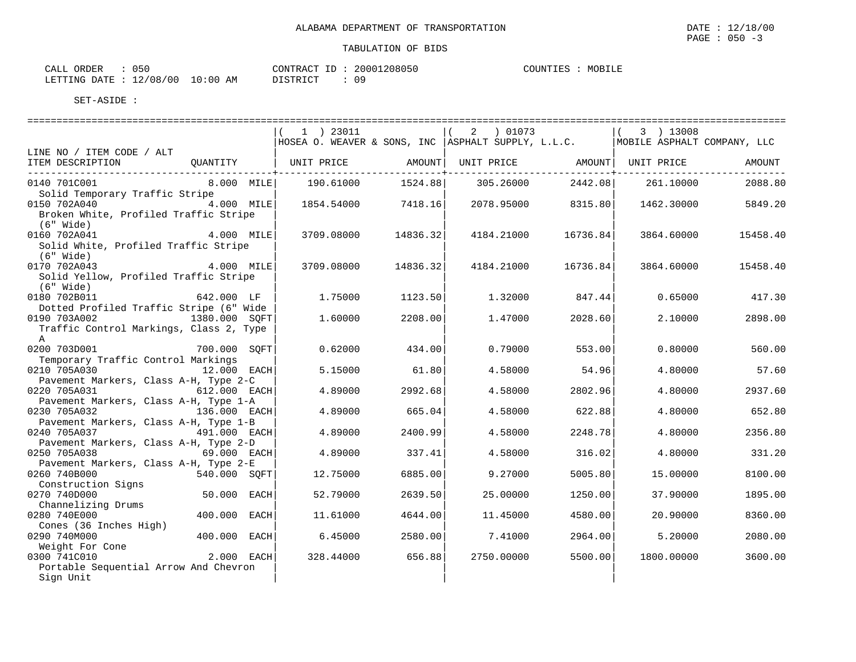| CALL ORDER                      | 050 |          |  | CONTRACT ID: 20001208050 |  | COUNTIES : MOBILE |
|---------------------------------|-----|----------|--|--------------------------|--|-------------------|
| LETTING DATE: 12/08/00 10:00 AM |     | DISTRICT |  | 09                       |  |                   |

|                                                       |               | $1$ ) 23011                                                                    |                | 2 ) 01073           |          | 3 ) 13008           |          |
|-------------------------------------------------------|---------------|--------------------------------------------------------------------------------|----------------|---------------------|----------|---------------------|----------|
|                                                       |               | HOSEA O. WEAVER & SONS, INC ASPHALT SUPPLY, L.L.C. MOBILE ASPHALT COMPANY, LLC |                |                     |          |                     |          |
| LINE NO / ITEM CODE / ALT                             |               |                                                                                |                |                     |          |                     |          |
| ITEM DESCRIPTION                                      | OUANTITY      | UNIT PRICE                                                                     | ------------+- | AMOUNT   UNIT PRICE | -------+ | AMOUNT   UNIT PRICE | AMOUNT   |
| 0140 701C001                                          | 8.000 MILE    | 190.61000                                                                      | 1524.88        | 305.26000           | 2442.08  | 261.10000           | 2088.80  |
| Solid Temporary Traffic Stripe                        |               |                                                                                |                |                     |          |                     |          |
| 0150 702A040                                          | $4.000$ MILE  | 1854.54000                                                                     | 7418.16        | 2078.95000          | 8315.80  | 1462.30000          | 5849.20  |
| Broken White, Profiled Traffic Stripe                 |               |                                                                                |                |                     |          |                     |          |
| $(6"$ Wide)                                           |               |                                                                                |                |                     |          |                     |          |
| 0160 702A041                                          | $4.000$ MILE  | 3709.08000                                                                     | 14836.32       | 4184.21000          | 16736.84 | 3864.60000          | 15458.40 |
| Solid White, Profiled Traffic Stripe                  |               |                                                                                |                |                     |          |                     |          |
| $(6"$ Wide)                                           |               |                                                                                |                |                     |          |                     |          |
| 0170 702A043                                          | 4.000 MILE    | 3709.08000                                                                     | 14836.32       | 4184.21000          | 16736.84 | 3864.60000          | 15458.40 |
| Solid Yellow, Profiled Traffic Stripe                 |               |                                                                                |                |                     |          |                     |          |
| $(6"$ Wide)<br>0180 702B011                           | 642.000 LF    | 1.75000                                                                        | 1123.50        | 1.32000             | 847.44   | 0.65000             | 417.30   |
| Dotted Profiled Traffic Stripe (6" Wide               |               |                                                                                |                |                     |          |                     |          |
| 0190 703A002                                          | 1380.000 SQFT | 1,60000                                                                        | 2208.00        | 1.47000             | 2028.60  | 2.10000             | 2898.00  |
| Traffic Control Markings, Class 2, Type               |               |                                                                                |                |                     |          |                     |          |
| $\mathbb{A}$                                          |               |                                                                                |                |                     |          |                     |          |
| 0200 703D001                                          | 700.000 SOFT  | 0.62000                                                                        | 434.00         | 0.79000             | 553.00   | 0.80000             | 560.00   |
| Temporary Traffic Control Markings                    |               |                                                                                |                |                     |          |                     |          |
| 0210 705A030                                          | 12.000 EACH   | 5.15000                                                                        | 61.80          | 4.58000             | 54.96    | 4.80000             | 57.60    |
| Pavement Markers, Class A-H, Type 2-C                 |               |                                                                                |                |                     |          |                     |          |
| 0220 705A031                                          | 612.000 EACH  | 4.89000                                                                        | 2992.68        | 4.58000             | 2802.96  | 4.80000             | 2937.60  |
| Pavement Markers, Class A-H, Type 1-A                 |               |                                                                                |                |                     |          |                     |          |
| 0230 705A032                                          | 136.000 EACH  | 4.89000                                                                        | 665.04         | 4.58000             | 622.88   | 4.80000             | 652.80   |
| Pavement Markers, Class A-H, Type 1-B                 |               |                                                                                |                |                     |          |                     |          |
| 0240 705A037                                          | 491.000 EACH  | 4.89000                                                                        | 2400.99        | 4.58000             | 2248.78  | 4.80000             | 2356.80  |
| Pavement Markers, Class A-H, Type 2-D<br>0250 705A038 | $69.000$ EACH |                                                                                |                |                     |          | 4.80000             |          |
| Pavement Markers, Class A-H, Type 2-E                 |               | 4.89000                                                                        | 337.41         | 4.58000             | 316.02   |                     | 331.20   |
| 0260 740B000                                          | 540.000 SOFT  | 12.75000                                                                       | 6885.00        | 9.27000             | 5005.80  | 15,00000            | 8100.00  |
| Construction Signs                                    |               |                                                                                |                |                     |          |                     |          |
| 0270 740D000                                          | 50.000 EACH   | 52.79000                                                                       | 2639.50        | 25,00000            | 1250.00  | 37.90000            | 1895.00  |
| Channelizing Drums                                    |               |                                                                                |                |                     |          |                     |          |
| 0280 740E000                                          | 400.000 EACH  | 11.61000                                                                       | 4644.00        | 11.45000            | 4580.00  | 20.90000            | 8360.00  |
| Cones (36 Inches High)                                |               |                                                                                |                |                     |          |                     |          |
| 0290 740M000                                          | 400.000 EACH  | 6.45000                                                                        | 2580.00        | 7.41000             | 2964.00  | 5.20000             | 2080.00  |
| Weight For Cone                                       |               |                                                                                |                |                     |          |                     |          |
| 0300 741C010                                          | $2.000$ EACH  | 328.44000                                                                      | 656.88         | 2750.00000          | 5500.00  | 1800.00000          | 3600.00  |
| Portable Sequential Arrow And Chevron                 |               |                                                                                |                |                     |          |                     |          |
| Sign Unit                                             |               |                                                                                |                |                     |          |                     |          |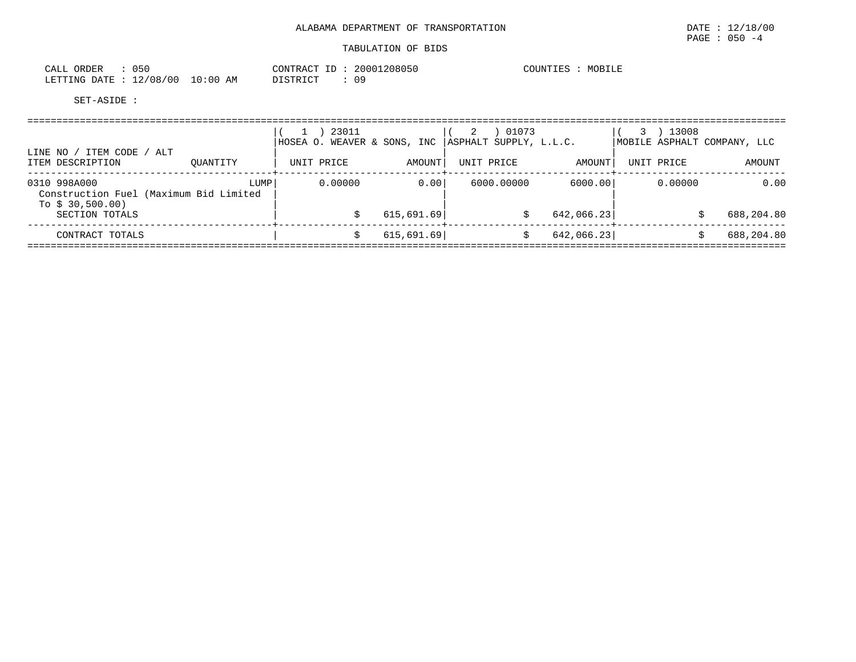| ORDER<br>CALL |           | ひらし      |             | CONTRACT<br>ID  | 20001208050 | COUNTIES | MOBILE |
|---------------|-----------|----------|-------------|-----------------|-------------|----------|--------|
| LETTING DATE  | $\cdot$ 1 | 12/08/00 | 10:00<br>ΆM | <b>DISTRICT</b> | 09          |          |        |

| ITEM CODE / ALT<br>LINE NO /                           |             |            | 23011   | HOSEA O. WEAVER & SONS, INC |        |            | 01073<br>ASPHALT SUPPLY, L.L.C. |            | 13008      | MOBILE ASPHALT COMPANY, LLC |
|--------------------------------------------------------|-------------|------------|---------|-----------------------------|--------|------------|---------------------------------|------------|------------|-----------------------------|
| ITEM DESCRIPTION                                       | OUANTITY    | UNIT PRICE |         |                             | AMOUNT | UNIT PRICE |                                 | AMOUNT     | UNIT PRICE | AMOUNT                      |
| 0310 998A000<br>Construction Fuel (Maximum Bid Limited | <b>LUMP</b> |            | 0.00000 |                             | 0.00   |            | 6000.00000                      | 6000.00    | 0.00000    | 0.00                        |
| SECTION TOTALS                                         |             |            |         | 615,691.69                  |        |            |                                 | 642,066.23 |            | 688,204.80                  |
| CONTRACT TOTALS                                        |             |            |         | 615,691.69                  |        |            |                                 | 642,066.23 |            | 688,204.80                  |
| To $$30,500.00)$                                       |             |            |         |                             |        |            |                                 |            |            |                             |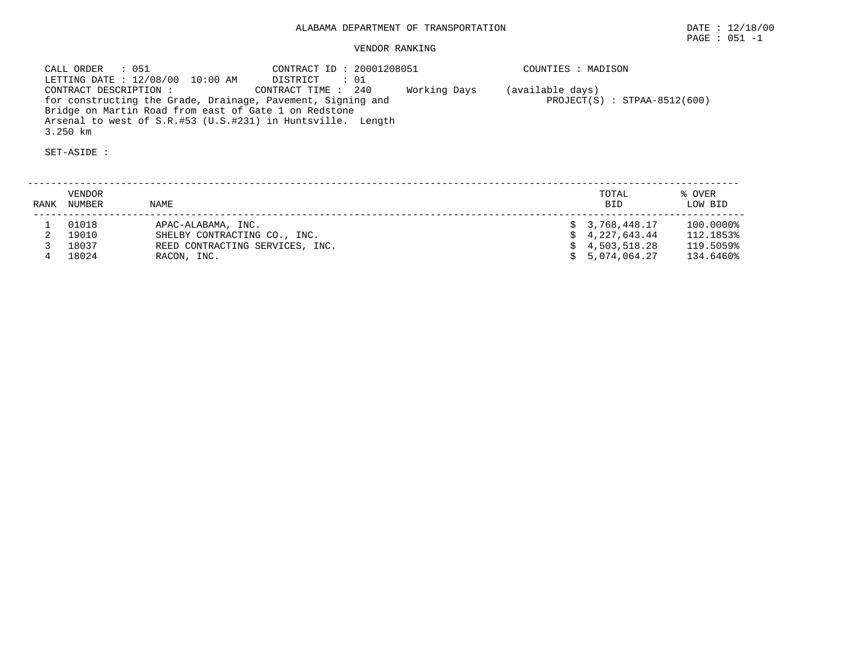# VENDOR RANKING

 CALL ORDER : 051 CONTRACT ID : 20001208051 COUNTIES : MADISON LETTING DATE : 12/08/00 10:00 AM DISTRICT : 01 CONTRACT DESCRIPTION : CONTRACT TIME : 240 Working Days (available days) for constructing the Grade, Drainage, Pavement, Signing and PROJECT(S) : STPAA-8512(600) Bridge on Martin Road from east of Gate 1 on Redstone Arsenal to west of S.R.#53 (U.S.#231) in Huntsville. Length 3.250 km

| RANK | VENDOR<br>NUMBER | <b>NAME</b>                     | TOTAL<br><b>BID</b> | % OVER<br>LOW BID |
|------|------------------|---------------------------------|---------------------|-------------------|
|      | 01018            | APAC-ALABAMA, INC.              | \$3,768,448.17      | 100.0000%         |
|      | 19010            | SHELBY CONTRACTING CO., INC.    | \$4,227,643.44      | 112.1853%         |
|      | 18037            | REED CONTRACTING SERVICES, INC. | \$4,503,518.28      | 119.5059%         |
|      | 18024            | RACON, INC.                     | \$5,074,064.27      | 134.6460%         |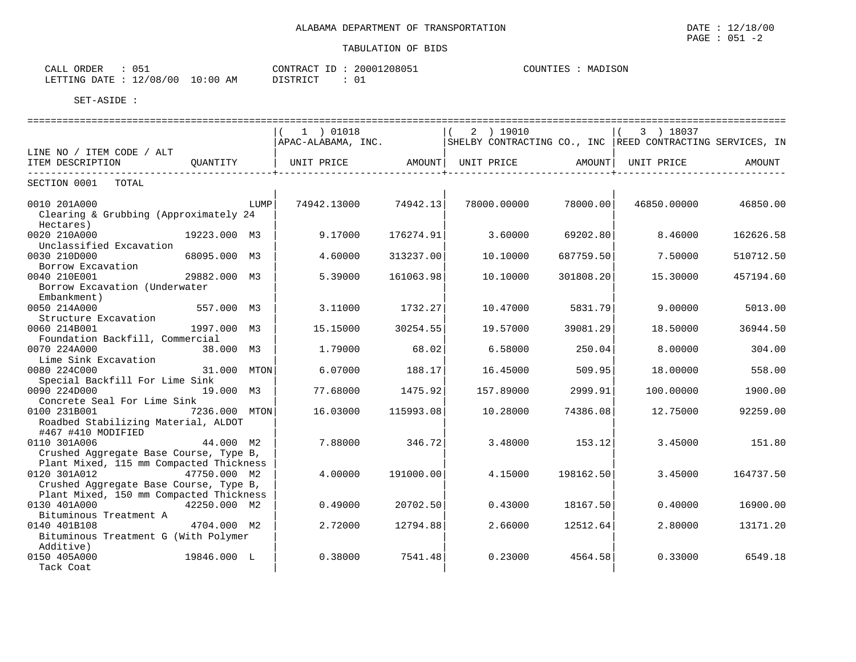| CALL (       | ORDER | ັັ       |             | CONTRACT | ID | 20001208051 | COUNTIES | MADISON |
|--------------|-------|----------|-------------|----------|----|-------------|----------|---------|
| LETTING DATE |       | 12/08/00 | 10:00<br>ΆM | DISTRICT |    |             |          |         |

|                                                                                                   |               | 1 ) 01018           |                              | 2 ) 19010   |           | 3 ) 18037<br>$\vert$ (                                    |           |
|---------------------------------------------------------------------------------------------------|---------------|---------------------|------------------------------|-------------|-----------|-----------------------------------------------------------|-----------|
|                                                                                                   |               | APAC-ALABAMA, INC.  |                              |             |           | SHELBY CONTRACTING CO., INC REED CONTRACTING SERVICES, IN |           |
| LINE NO / ITEM CODE / ALT<br>ITEM DESCRIPTION                                                     | OUANTITY      |                     | UNIT PRICE AMOUNT UNIT PRICE |             | AMOUNT    | UNIT PRICE                                                | AMOUNT    |
| SECTION 0001<br>TOTAL                                                                             |               |                     |                              |             |           |                                                           |           |
| 0010 201A000<br>Clearing & Grubbing (Approximately 24<br>Hectares)                                |               | LUMP<br>74942.13000 | 74942.13                     | 78000.00000 | 78000.00  | 46850.00000                                               | 46850.00  |
| 0020 210A000<br>Unclassified Excavation                                                           | 19223.000 M3  | 9.17000             | 176274.91                    | 3.60000     | 69202.80  | 8.46000                                                   | 162626.58 |
| 0030 210D000<br>Borrow Excavation                                                                 | 68095.000 M3  | 4.60000             | 313237.00                    | 10.10000    | 687759.50 | 7.50000                                                   | 510712.50 |
| 0040 210E001<br>Borrow Excavation (Underwater<br>Embankment)                                      | 29882.000 M3  | 5.39000             | 161063.98                    | 10.10000    | 301808.20 | 15.30000                                                  | 457194.60 |
| 0050 214A000<br>Structure Excavation                                                              | 557.000 M3    | 3.11000             | 1732.27                      | 10.47000    | 5831.79   | 9,00000                                                   | 5013.00   |
| 0060 214B001<br>Foundation Backfill, Commercial                                                   | 1997.000 M3   | 15.15000            | 30254.55                     | 19.57000    | 39081.29  | 18.50000                                                  | 36944.50  |
| 0070 224A000<br>Lime Sink Excavation                                                              | 38.000 M3     | 1.79000             | 68.02                        | 6.58000     | 250.04    | 8,00000                                                   | 304.00    |
| 0080 224C000<br>Special Backfill For Lime Sink                                                    | 31.000 MTON   | 6.07000             | 188.17                       | 16.45000    | 509.95    | 18.00000                                                  | 558.00    |
| 0090 224D000<br>Concrete Seal For Lime Sink                                                       | 19.000 M3     | 77.68000            | 1475.92                      | 157.89000   | 2999.91   | 100.00000                                                 | 1900.00   |
| 0100 231B001<br>Roadbed Stabilizing Material, ALDOT<br>#467 #410 MODIFIED                         | 7236.000 MTON | 16.03000            | 115993.08                    | 10.28000    | 74386.08  | 12.75000                                                  | 92259.00  |
| 0110 301A006<br>Crushed Aggregate Base Course, Type B,<br>Plant Mixed, 115 mm Compacted Thickness | 44.000 M2     | 7.88000             | 346.72                       | 3.48000     | 153.12    | 3.45000                                                   | 151.80    |
| 0120 301A012<br>Crushed Aggregate Base Course, Type B,<br>Plant Mixed, 150 mm Compacted Thickness | 47750.000 M2  | 4.00000             | 191000.00                    | 4.15000     | 198162.50 | 3.45000                                                   | 164737.50 |
| 0130 401A000<br>Bituminous Treatment A                                                            | 42250.000 M2  | 0.49000             | 20702.50                     | 0.43000     | 18167.50  | 0.40000                                                   | 16900.00  |
| 0140 401B108<br>Bituminous Treatment G (With Polymer<br>Additive)                                 | 4704.000 M2   | 2.72000             | 12794.88                     | 2.66000     | 12512.64  | 2.80000                                                   | 13171.20  |
| 0150 405A000<br>Tack Coat                                                                         | 19846.000 L   | 0.38000             | 7541.48                      | 0.23000     | 4564.58   | 0.33000                                                   | 6549.18   |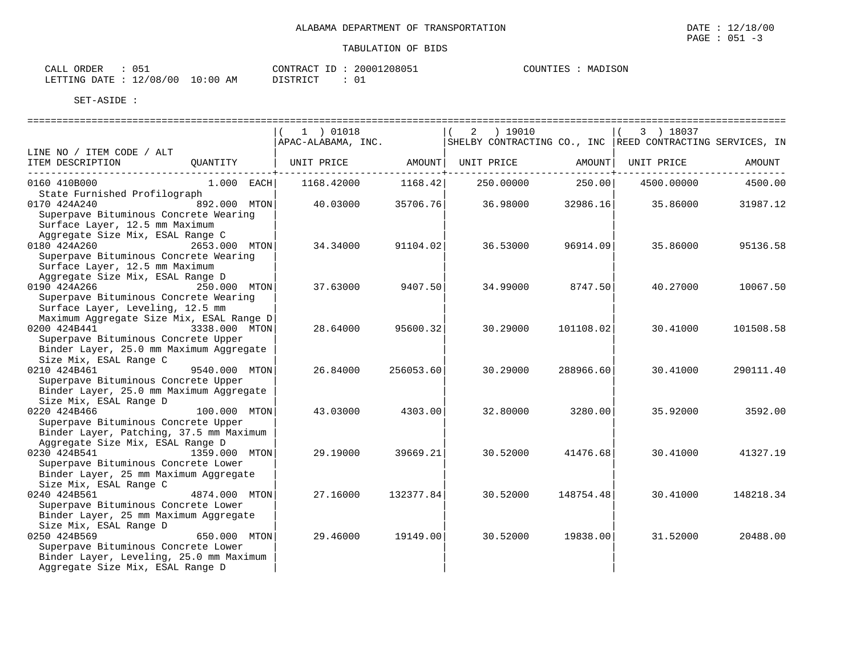| CALL (       | ORDER | ັັ       |             | CONTRACT | ID | 20001208051 | COUNTIES | MADISON |
|--------------|-------|----------|-------------|----------|----|-------------|----------|---------|
| LETTING DATE |       | 12/08/00 | 10:00<br>ΆM | DISTRICT |    |             |          |         |

|                                                                                                                                                                              | 1 ) 01018<br>APAC-ALABAMA, INC. |                        | ) 19010<br>2<br>SHELBY CONTRACTING CO., INC REED CONTRACTING SERVICES, IN |                             | 3 ) 18037  |           |
|------------------------------------------------------------------------------------------------------------------------------------------------------------------------------|---------------------------------|------------------------|---------------------------------------------------------------------------|-----------------------------|------------|-----------|
| LINE NO / ITEM CODE / ALT<br>ITEM DESCRIPTION<br>OUANTITY                                                                                                                    | UNIT PRICE                      | AMOUNT                 | UNIT PRICE                                                                | AMOUNT                      | UNIT PRICE | AMOUNT    |
| 0160 410B000<br>1.000 EACH                                                                                                                                                   | 1168.42000                      | ----------+<br>1168.42 | 250.00000                                                                 | $- - - - - - - -$<br>250.00 | 4500.00000 | 4500.00   |
| State Furnished Profilograph<br>0170 424A240<br>892.000 MTON<br>Superpave Bituminous Concrete Wearing<br>Surface Layer, 12.5 mm Maximum                                      | 40.03000                        | 35706.76               | 36.98000                                                                  | 32986.16                    | 35.86000   | 31987.12  |
| Aggregate Size Mix, ESAL Range C<br>0180 424A260<br>2653.000 MTON<br>Superpave Bituminous Concrete Wearing<br>Surface Layer, 12.5 mm Maximum                                 | 34.34000                        | 91104.02               | 36.53000                                                                  | 96914.09                    | 35.86000   | 95136.58  |
| Aggregate Size Mix, ESAL Range D<br>250.000 MTON<br>0190 424A266<br>Superpave Bituminous Concrete Wearing<br>Surface Layer, Leveling, 12.5 mm                                | 37.63000                        | 9407.50                | 34.99000                                                                  | 8747.50                     | 40.27000   | 10067.50  |
| Maximum Aggregate Size Mix, ESAL Range D<br>0200 424B441<br>3338.000 MTON<br>Superpave Bituminous Concrete Upper<br>Binder Layer, 25.0 mm Maximum Aggregate                  | 28.64000                        | 95600.32               | 30.29000                                                                  | 101108.02                   | 30.41000   | 101508.58 |
| Size Mix, ESAL Range C<br>0210 424B461<br>9540.000 MTON<br>Superpave Bituminous Concrete Upper<br>Binder Layer, 25.0 mm Maximum Aggregate                                    | 26.84000                        | 256053.60              | 30.29000                                                                  | 288966.60                   | 30.41000   | 290111.40 |
| Size Mix, ESAL Range D<br>0220 424B466<br>100.000 MTON<br>Superpave Bituminous Concrete Upper<br>Binder Layer, Patching, 37.5 mm Maximum                                     | 43.03000                        | 4303.001               | 32.80000                                                                  | 3280.00                     | 35.92000   | 3592.00   |
| Aggregate Size Mix, ESAL Range D<br>0230 424B541<br>1359.000 MTON<br>Superpave Bituminous Concrete Lower<br>Binder Layer, 25 mm Maximum Aggregate                            | 29.19000                        | 39669.21               | 30.52000                                                                  | 41476.68                    | 30.41000   | 41327.19  |
| Size Mix, ESAL Range C<br>0240 424B561<br>4874.000 MTON<br>Superpave Bituminous Concrete Lower<br>Binder Layer, 25 mm Maximum Aggregate                                      | 27.16000                        | 132377.84              | 30.52000                                                                  | 148754.48                   | 30.41000   | 148218.34 |
| Size Mix, ESAL Range D<br>0250 424B569<br>650.000 MTON<br>Superpave Bituminous Concrete Lower<br>Binder Layer, Leveling, 25.0 mm Maximum<br>Aggregate Size Mix, ESAL Range D | 29.46000                        | 19149.001              | 30.52000                                                                  | 19838.001                   | 31.52000   | 20488.00  |

MADISON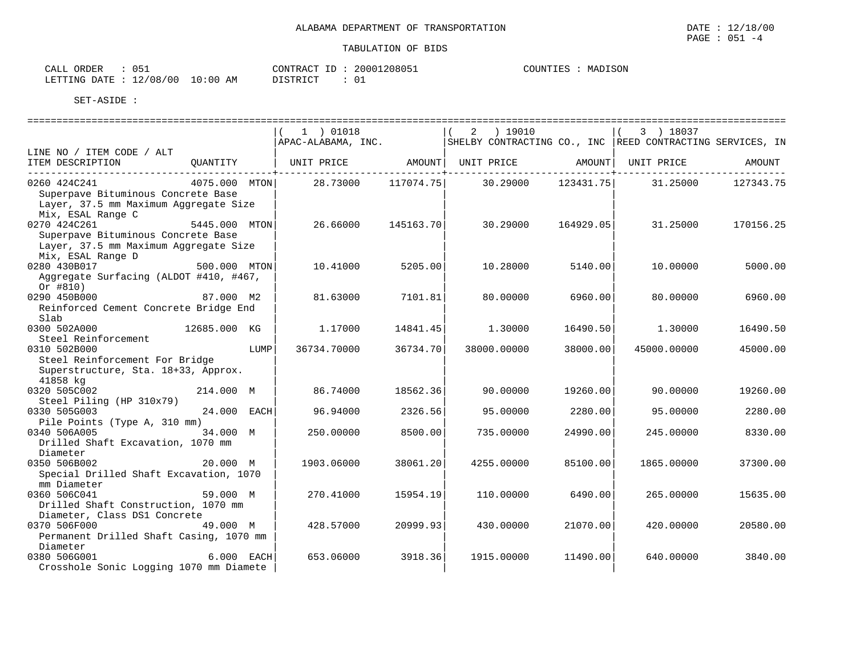| ORDER<br>CALL | $\sim$ $ \sim$<br>ັັ |             | CONTRACT<br>ID        | 20001208051 | COUNTIES | MADISON |
|---------------|----------------------|-------------|-----------------------|-------------|----------|---------|
| LETTING DATE  | 12/08/00             | LO:00<br>ΆM | DI STRICT<br>ມ⊥ມ⊥ນ⊥⊂⊥ |             |          |         |

|                                                                                                                  |               | 1 ) 01018          |           | ) 19010<br>2                                                |           | 3 ) 18037           |           |
|------------------------------------------------------------------------------------------------------------------|---------------|--------------------|-----------|-------------------------------------------------------------|-----------|---------------------|-----------|
|                                                                                                                  |               | APAC-ALABAMA, INC. |           | SHELBY CONTRACTING CO., INC   REED CONTRACTING SERVICES, IN |           |                     |           |
| LINE NO / ITEM CODE / ALT                                                                                        |               |                    |           |                                                             |           |                     |           |
| ITEM DESCRIPTION                                                                                                 | QUANTITY      | UNIT PRICE         |           | AMOUNT UNIT PRICE                                           |           | AMOUNT   UNIT PRICE | AMOUNT    |
| 0260 424C241<br>Superpave Bituminous Concrete Base<br>Layer, 37.5 mm Maximum Aggregate Size<br>Mix, ESAL Range C | 4075.000 MTON | 28.73000           | 117074.75 | 30.29000                                                    | 123431.75 | 31.25000            | 127343.75 |
| 0270 424C261<br>Superpave Bituminous Concrete Base<br>Layer, 37.5 mm Maximum Aggregate Size<br>Mix, ESAL Range D | 5445.000 MTON | 26.66000           | 145163.70 | 30.29000                                                    | 164929.05 | 31.25000            | 170156.25 |
| 0280 430B017                                                                                                     | 500.000 MTON  | 10.41000           | 5205.00   | 10.28000                                                    | 5140.00   | 10,00000            | 5000.00   |
| Aggregate Surfacing (ALDOT #410, #467,<br>Or #810)                                                               |               |                    |           |                                                             |           |                     |           |
| 0290 450B000                                                                                                     | 87.000 M2     | 81.63000           | 7101.81   | 80.00000                                                    | 6960.00   | 80,00000            | 6960.00   |
| Reinforced Cement Concrete Bridge End<br>Slab                                                                    |               |                    |           |                                                             |           |                     |           |
| 0300 502A000                                                                                                     | 12685.000 KG  | 1,17000            | 14841.45  | 1,30000                                                     | 16490.50  | 1,30000             | 16490.50  |
| Steel Reinforcement                                                                                              |               |                    |           |                                                             |           |                     |           |
| 0310 502B000<br>Steel Reinforcement For Bridge<br>Superstructure, Sta. 18+33, Approx.<br>41858 kg                | LUMP          | 36734.70000        | 36734.70  | 38000.00000                                                 | 38000.00  | 45000.00000         | 45000.00  |
| 0320 505C002                                                                                                     | 214.000 M     | 86.74000           | 18562.36  | 90.00000                                                    | 19260.00  | 90.00000            | 19260.00  |
| Steel Piling (HP 310x79)                                                                                         |               |                    |           |                                                             |           |                     |           |
| 0330 505G003<br>Pile Points (Type A, 310 mm)                                                                     | 24.000 EACH   | 96.94000           | 2326.56   | 95.00000                                                    | 2280.00   | 95.00000            | 2280.00   |
| 0340 506A005<br>Drilled Shaft Excavation, 1070 mm<br>Diameter                                                    | 34.000 M      | 250.00000          | 8500.00   | 735.00000                                                   | 24990.00  | 245.00000           | 8330.00   |
| 0350 506B002<br>Special Drilled Shaft Excavation, 1070<br>mm Diameter                                            | 20.000 M      | 1903.06000         | 38061.20  | 4255.00000                                                  | 85100.00  | 1865.00000          | 37300.00  |
| 0360 506C041<br>Drilled Shaft Construction, 1070 mm                                                              | 59.000 M      | 270.41000          | 15954.19  | 110.00000                                                   | 6490.00   | 265.00000           | 15635.00  |
| Diameter, Class DS1 Concrete<br>0370 506F000<br>Permanent Drilled Shaft Casing, 1070 mm                          | 49.000 M      | 428.57000          | 20999.93  | 430.00000                                                   | 21070.00  | 420.00000           | 20580.00  |
| Diameter<br>0380 506G001<br>Crosshole Sonic Logging 1070 mm Diamete                                              | 6.000 EACH    | 653.06000          | 3918.36   | 1915,00000                                                  | 11490.00  | 640.00000           | 3840.00   |

**IADISON**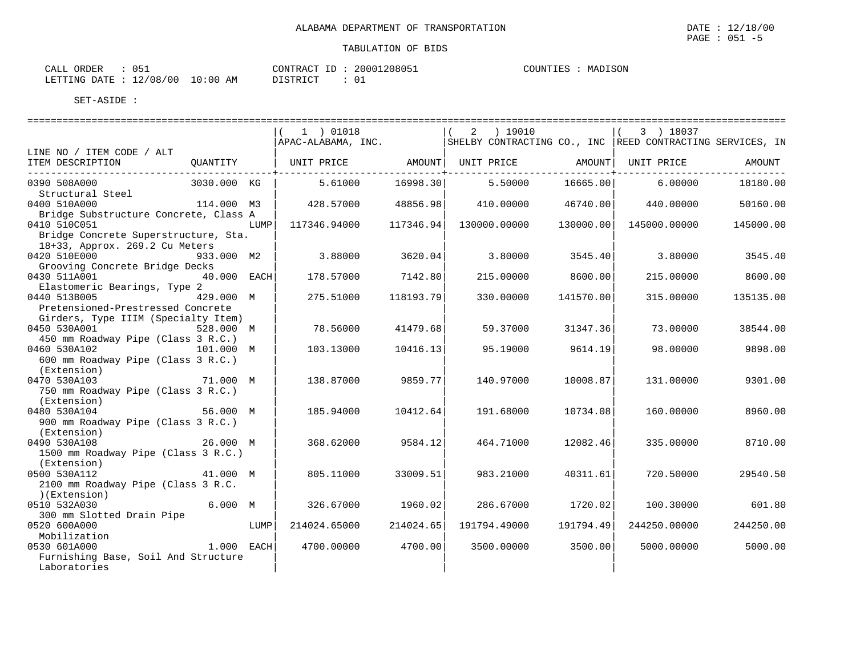| $\sim$ $\sim$ $\sim$ $\sim$ $\sim$<br>CALI<br>ORDER | $\sim$ $ \sim$                |             | ΙL<br>CONTRAC | 20001208051 | COUNTIES<br>— UUUNIIII T | <b>ISON</b><br>MA. |
|-----------------------------------------------------|-------------------------------|-------------|---------------|-------------|--------------------------|--------------------|
| DATE.<br>RTTING<br>بلللبائط                         | /0.8<br>′ O C<br>$\sim$<br>ᅩᄼ | '0:00<br>ΑM | דימים דמידי   |             |                          |                    |

|                                                                        |             |      | 1 ) 01018    |           | 2 ) 19010<br>$\overline{ABAC-ALABAMA, INC.}$ SHELBY CONTRACTING CO., INC REED CONTRACTING SERVICES, IN |           | 3 ) 18037<br>$\vert$ ( |           |
|------------------------------------------------------------------------|-------------|------|--------------|-----------|--------------------------------------------------------------------------------------------------------|-----------|------------------------|-----------|
| LINE NO / ITEM CODE / ALT                                              |             |      |              |           |                                                                                                        |           |                        |           |
| ITEM DESCRIPTION                                                       | QUANTITY    |      |              |           | UNIT PRICE   AMOUNT  UNIT PRICE   AMOUNT  UNIT PRICE                                                   |           |                        | AMOUNT    |
| 0390 508A000                                                           | 3030.000 KG |      | 5.61000      | 16998.30  | 5.50000                                                                                                | 16665.00  | 6.00000                | 18180.00  |
| Structural Steel                                                       |             |      |              |           |                                                                                                        |           |                        |           |
| 0400 510A000                                                           | 114.000 M3  |      | 428.57000    | 48856.98  | 410.00000                                                                                              | 46740.00  | 440.00000              | 50160.00  |
| Bridge Substructure Concrete, Class A                                  |             |      |              |           |                                                                                                        |           |                        |           |
| 0410 510C051                                                           |             | LUMP | 117346.94000 | 117346.94 | 130000.00000                                                                                           | 130000.00 | 145000.00000           | 145000.00 |
| Bridge Concrete Superstructure, Sta.<br>18+33, Approx. 269.2 Cu Meters |             |      |              |           |                                                                                                        |           |                        |           |
| 0420 510E000<br>$933.000$ M2                                           |             |      | 3.88000      | 3620.04   | 3.80000                                                                                                | 3545.40   | 3.80000                | 3545.40   |
| Grooving Concrete Bridge Decks                                         |             |      |              |           |                                                                                                        |           |                        |           |
| $40.000$ EACH<br>0430 511A001                                          |             |      | 178.57000    | 7142.80   | 215.00000                                                                                              | 8600.00   | 215.00000              | 8600.00   |
| Elastomeric Bearings, Type 2                                           |             |      |              |           |                                                                                                        |           |                        |           |
| 0440 513B005                                                           | 429.000 M   |      | 275.51000    | 118193.79 | 330.00000                                                                                              | 141570.00 | 315.00000              | 135135.00 |
| Pretensioned-Prestressed Concrete                                      |             |      |              |           |                                                                                                        |           |                        |           |
| Girders, Type IIIM (Specialty Item)                                    |             |      |              |           |                                                                                                        |           |                        |           |
| 0450 530A001 528.000 M                                                 |             |      | 78.56000     | 41479.68  | 59.37000                                                                                               | 31347.36  | 73.00000               | 38544.00  |
| 450 mm Roadway Pipe (Class 3 R.C.)                                     |             |      |              |           |                                                                                                        |           |                        |           |
| 0460 530A102 101.000 M                                                 |             |      | 103.13000    | 10416.13  | 95.19000                                                                                               | 9614.19   | 98,00000               | 9898.00   |
| 600 mm Roadway Pipe (Class 3 R.C.)                                     |             |      |              |           |                                                                                                        |           |                        |           |
| (Extension)                                                            |             |      |              |           |                                                                                                        |           |                        |           |
| 71.000 M<br>0470 530A103                                               |             |      | 138.87000    | 9859.77   | 140.97000                                                                                              | 10008.87  | 131,00000              | 9301.00   |
| 750 mm Roadway Pipe (Class 3 R.C.)                                     |             |      |              |           |                                                                                                        |           |                        |           |
| (Extension)                                                            |             |      |              |           |                                                                                                        |           |                        |           |
| 0480 530A104<br>56.000 M                                               |             |      | 185.94000    | 10412.64  | 191.68000                                                                                              | 10734.08  | 160.00000              | 8960.00   |
| 900 mm Roadway Pipe (Class 3 R.C.)                                     |             |      |              |           |                                                                                                        |           |                        |           |
| (Extension)                                                            |             |      |              |           |                                                                                                        |           |                        |           |
| 0490 530A108                                                           | 26.000 M    |      | 368.62000    | 9584.12   | 464.71000                                                                                              | 12082.46  | 335.00000              | 8710.00   |
| 1500 mm Roadway Pipe (Class 3 R.C.)                                    |             |      |              |           |                                                                                                        |           |                        |           |
| (Extension)                                                            |             |      |              |           |                                                                                                        |           |                        |           |
| 41.000 M<br>0500 530A112                                               |             |      | 805.11000    | 33009.51  | 983.21000                                                                                              | 40311.61  | 720.50000              | 29540.50  |
| 2100 mm Roadway Pipe (Class 3 R.C.                                     |             |      |              |           |                                                                                                        |           |                        |           |
| (Extension)<br>0510 532A030                                            | 6.000 M     |      | 326.67000    | 1960.02   | 286.67000                                                                                              | 1720.02   | 100.30000              |           |
| 300 mm Slotted Drain Pipe                                              |             |      |              |           |                                                                                                        |           |                        | 601.80    |
| 0520 600A000                                                           |             | LUMP | 214024.65000 | 214024.65 | 191794.49000                                                                                           | 191794.49 | 244250.00000           | 244250.00 |
| Mobilization                                                           |             |      |              |           |                                                                                                        |           |                        |           |
| 1.000 EACH<br>0530 601A000                                             |             |      | 4700.00000   | 4700.00   | 3500.00000                                                                                             | 3500.00   | 5000.00000             | 5000.00   |
| Furnishing Base, Soil And Structure                                    |             |      |              |           |                                                                                                        |           |                        |           |
| Laboratories                                                           |             |      |              |           |                                                                                                        |           |                        |           |
|                                                                        |             |      |              |           |                                                                                                        |           |                        |           |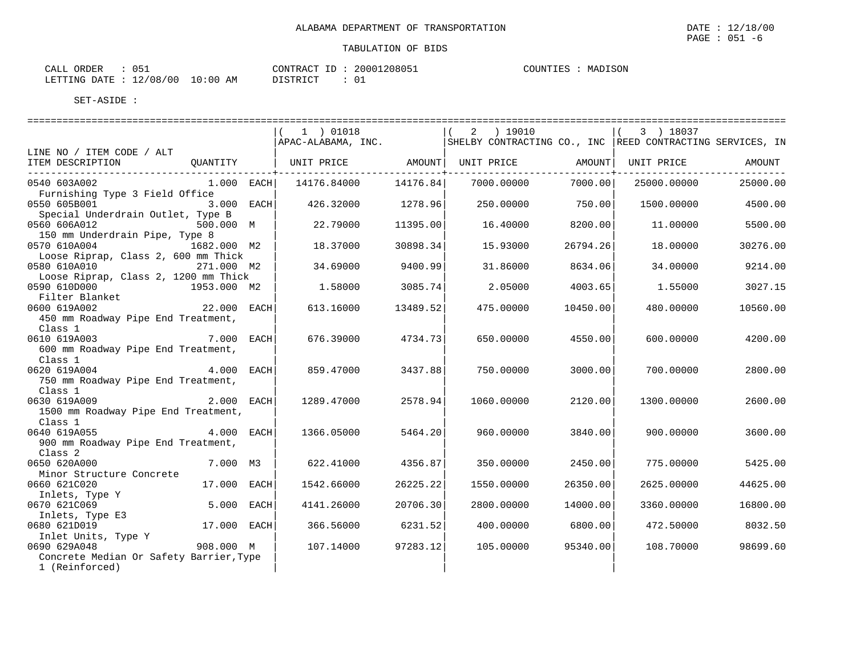CALL ORDER : 051 CONTRACT ID : 20001208051 LETTING DATE : 12/08/00 10:00 AM DISTRICT : 01

TABULATION OF BIDS

COUNTIES : MADISON

|                                                                                                                                                                 | 1 ) 01018                            |          | 2 ) 19010                                                 |          | 3 ) 18037         |          |
|-----------------------------------------------------------------------------------------------------------------------------------------------------------------|--------------------------------------|----------|-----------------------------------------------------------|----------|-------------------|----------|
|                                                                                                                                                                 | APAC-ALABAMA, INC.                   |          | SHELBY CONTRACTING CO., INC REED CONTRACTING SERVICES, IN |          |                   |          |
| LINE NO / ITEM CODE / ALT<br>ITEM DESCRIPTION<br>QUANTITY                                                                                                       | UNIT PRICE AMOUNT  UNIT PRICE AMOUNT |          |                                                           |          | UNIT PRICE AMOUNT |          |
| 0540 603A002<br>$1.000$ EACH<br>Furnishing Type 3 Field Office                                                                                                  | 14176.84000 14176.84                 |          | 7000.00000                                                | 7000.00  | 25000.00000       | 25000.00 |
| 0550 605B001<br>3.000 EACH<br>Special Underdrain Outlet, Type B                                                                                                 | 426.32000                            | 1278.96  | 250.00000                                                 | 750.00   | 1500.00000        | 4500.00  |
| 0560 606A012<br>500.000 M<br>150 mm Underdrain Pipe, Type 8                                                                                                     | 22.79000                             | 11395.00 | 16.40000                                                  | 8200.00  | 11,00000          | 5500.00  |
| 1682.000 M2<br>0570 610A004<br>Loose Riprap, Class 2, 600 mm Thick                                                                                              | 18.37000                             | 30898.34 | 15.93000                                                  | 26794.26 | 18,00000          | 30276.00 |
| 0580 610A010 271.000 M2<br>Loose Riprap, Class 2, 1200 mm Thick                                                                                                 | 34.69000                             | 9400.99  | 31.86000                                                  | 8634.06  | 34.00000          | 9214.00  |
| 0590 610D000<br>1953.000 M2<br>Filter Blanket                                                                                                                   | 1.58000                              | 3085.74  | 2.05000                                                   | 4003.65  | 1.55000           | 3027.15  |
| 22.000 EACH<br>0600 619A002<br>450 mm Roadway Pipe End Treatment,                                                                                               | 613.16000                            | 13489.52 | 475.00000                                                 | 10450.00 | 480.00000         | 10560.00 |
| Class 1<br>0610 619A003<br>7.000 EACH<br>600 mm Roadway Pipe End Treatment,<br>Class 1                                                                          | 676.39000                            | 4734.73  | 650.00000                                                 | 4550.00  | 600,00000         | 4200.00  |
| $4.000$ EACH<br>0620 619A004<br>750 mm Roadway Pipe End Treatment,<br>Class 1                                                                                   | 859.47000                            | 3437.88  | 750.00000                                                 | 3000.00  | 700,00000         | 2800.00  |
| 2.000 EACH<br>0630 619A009<br>1500 mm Roadway Pipe End Treatment,<br>Class 1                                                                                    | 1289.47000                           | 2578.94  | 1060.00000                                                | 2120.00  | 1300.00000        | 2600.00  |
| 4.000 EACH<br>0640 619A055<br>900 mm Roadway Pipe End Treatment,<br>Class <sub>2</sub>                                                                          | 1366.05000                           | 5464.20  | 960.00000                                                 | 3840.00  | 900,00000         | 3600.00  |
| 7.000 M3<br>0650 620A000<br>Minor Structure Concrete                                                                                                            | 622.41000                            | 4356.87  | 350.00000                                                 | 2450.00  | 775.00000         | 5425.00  |
| 0660 621C020<br>17.000 EACH<br>Inlets, Type Y                                                                                                                   | 1542.66000                           | 26225.22 | 1550.00000                                                | 26350.00 | 2625,00000        | 44625.00 |
| 5.000 EACH<br>0670 621C069<br>Inlets, Type E3                                                                                                                   | 4141.26000                           | 20706.30 | 2800.00000                                                | 14000.00 | 3360.00000        | 16800.00 |
| 17.000 EACH<br>0680 621D019                                                                                                                                     | 366.56000                            | 6231.52  | 400.00000                                                 | 6800.00  | 472.50000         | 8032.50  |
| Inlet Units, Type Y<br>690 629A048                                     908.000   M<br>0690 629A048<br>Concrete Median Or Safety Barrier, Type<br>1 (Reinforced) | 107.14000                            | 97283.12 | 105.00000                                                 | 95340.00 | 108.70000         | 98699.60 |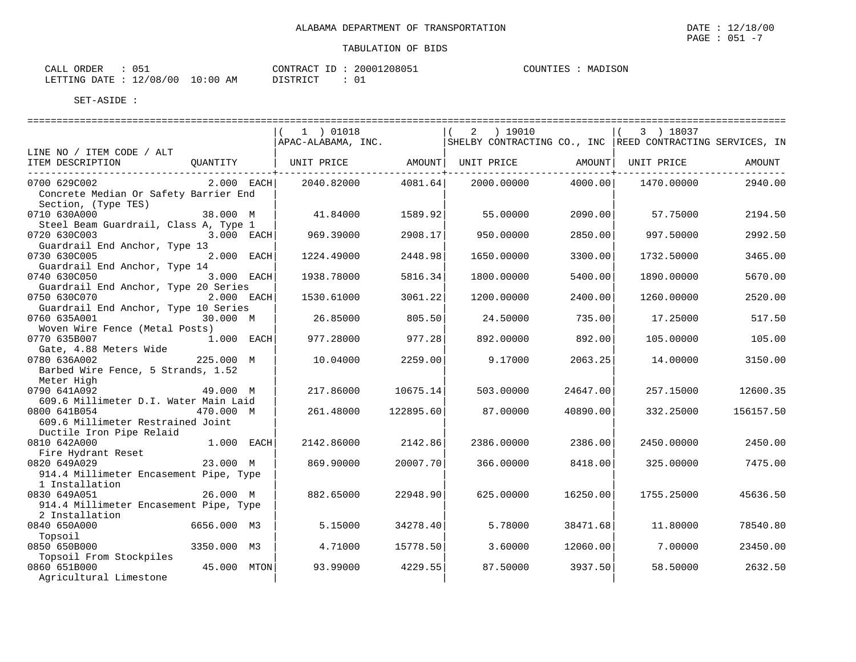$\text{CALL}$  ORDER : 051 CONTRACT ID : 20001208051 COUNTIES : MADISON LETTING DATE : 12/08/00 10:00 AM DISTRICT : 01

|                                                                                  | ====================================                                             |                                  |             |                                           |            |           |
|----------------------------------------------------------------------------------|----------------------------------------------------------------------------------|----------------------------------|-------------|-------------------------------------------|------------|-----------|
|                                                                                  | 1 ) 01018                                                                        |                                  | $2$ ) 19010 |                                           | 3 ) 18037  |           |
| LINE NO / ITEM CODE / ALT                                                        | APAC-ALABAMA, INC.   SHELBY CONTRACTING CO., INC   REED CONTRACTING SERVICES, IN |                                  |             |                                           |            |           |
| ITEM DESCRIPTION<br>QUANTITY                                                     | UNIT PRICE AMOUNT  UNIT PRICE                                                    |                                  |             | AMOUNT                                    | UNIT PRICE | AMOUNT    |
| $2.000$ EACH<br>0700 629C002                                                     | 2040.82000                                                                       | -------------+-------<br>4081.64 | 2000.00000  | --------------- <del>-</del> -<br>4000.00 | 1470.00000 | 2940.00   |
| Concrete Median Or Safety Barrier End<br>Section, (Type TES)                     |                                                                                  |                                  |             |                                           |            |           |
| 0710 630A000<br>38.000 M                                                         | 41.84000                                                                         | 1589.92                          | 55.00000    | 2090.00                                   | 57.75000   | 2194.50   |
| Steel Beam Guardrail, Class A, Type 1<br>0720 630C003<br>$3.000$ EACH            | 969.39000                                                                        | 2908.17                          | 950.00000   | 2850.00                                   | 997.50000  | 2992.50   |
| Guardrail End Anchor, Type 13<br>2.000 EACH<br>0730 630C005                      | 1224.49000                                                                       | 2448.98                          | 1650.00000  | 3300.00                                   | 1732.50000 | 3465.00   |
| Guardrail End Anchor, Type 14<br>3.000 EACH<br>0740 630C050                      | 1938.78000                                                                       | 5816.34                          | 1800.00000  | 5400.00                                   | 1890.00000 | 5670.00   |
| Guardrail End Anchor, Type 20 Series<br>0750 630C070<br>2.000 EACH               | 1530.61000                                                                       | 3061.22                          | 1200.00000  | 2400.00                                   | 1260.00000 | 2520.00   |
| Guardrail End Anchor, Type 10 Series<br>0760 635A001<br>30.000 M                 | 26.85000                                                                         | 805.50                           | 24.50000    | 735.00                                    | 17.25000   | 517.50    |
| Woven Wire Fence (Metal Posts)<br>1.000 EACH<br>0770 635B007                     | 977.28000                                                                        | 977.28                           | 892.00000   | 892.00                                    | 105.00000  | 105.00    |
| Gate, 4.88 Meters Wide<br>225.000 M<br>0780 636A002                              | 10.04000                                                                         | 2259.00                          | 9.17000     | 2063.25                                   | 14,00000   | 3150.00   |
| Barbed Wire Fence, 5 Strands, 1.52<br>Meter High                                 |                                                                                  |                                  |             |                                           |            |           |
| 0790 641A092<br>49.000 M<br>609.6 Millimeter D.I. Water Main Laid                | 217.86000                                                                        | 10675.14                         | 503.00000   | 24647.00                                  | 257.15000  | 12600.35  |
| 0800 641B054<br>470.000 M<br>609.6 Millimeter Restrained Joint                   | 261.48000                                                                        | 122895.60                        | 87.00000    | 40890.00                                  | 332.25000  | 156157.50 |
| Ductile Iron Pipe Relaid<br>0810 642A000<br>1.000 EACH                           | 2142.86000                                                                       | 2142.86                          | 2386.00000  | 2386.00                                   | 2450.00000 | 2450.00   |
| Fire Hydrant Reset<br>23.000 M<br>0820 649A029                                   | 869.90000                                                                        | 20007.70                         | 366.00000   | 8418.00                                   | 325.00000  | 7475.00   |
| 914.4 Millimeter Encasement Pipe, Type                                           |                                                                                  |                                  |             |                                           |            |           |
| 1 Installation<br>0830 649A051<br>26.000 M                                       | 882.65000                                                                        | 22948.90                         | 625.00000   | 16250.00                                  | 1755.25000 | 45636.50  |
| 914.4 Millimeter Encasement Pipe, Type<br>2 Installation                         |                                                                                  |                                  |             |                                           |            |           |
| 0840 650A000<br>6656.000 M3<br>Topsoil                                           | 5.15000                                                                          | 34278.40                         | 5.78000     | 38471.68                                  | 11.80000   | 78540.80  |
| 0850 650B000<br>3350.000 M3                                                      | 4.71000                                                                          | 15778.50                         | 3.60000     | 12060.00                                  | 7.00000    | 23450.00  |
| Topsoil From Stockpiles<br>0860 651B000<br>45.000 MTON<br>Agricultural Limestone | 93.99000                                                                         | 4229.55                          | 87.50000    | 3937.50                                   | 58.50000   | 2632.50   |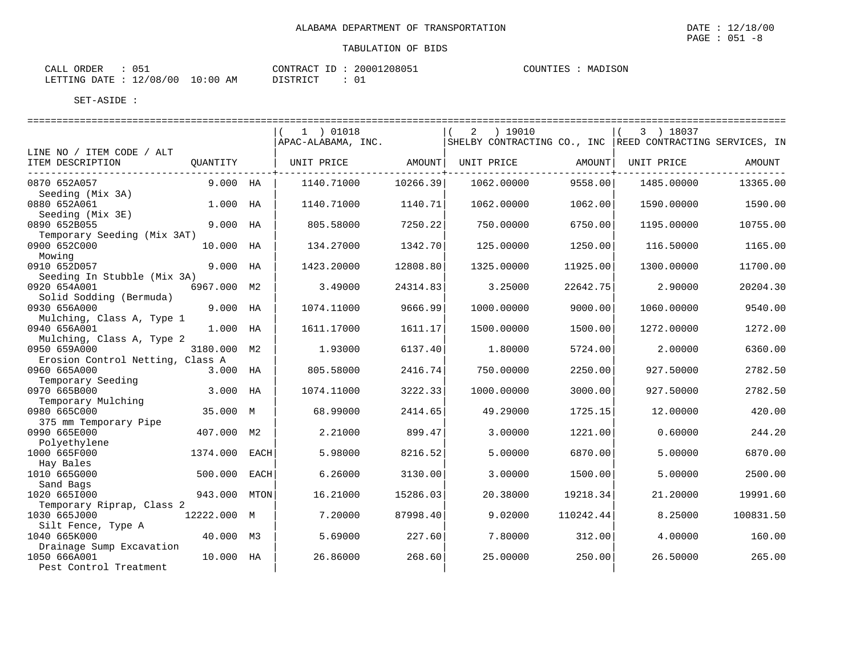| CALL ORDER                       |  | CONTRACT ID: 20001208051 |  | COUNTIES : | MADISON |
|----------------------------------|--|--------------------------|--|------------|---------|
| LETTING DATE : 12/08/00 10:00 AM |  | DISTRICT                 |  |            |         |

|                                   |             |      | 1 ) 01018          |          | ) 19010<br>$\overline{2}$                                  |           | 3 ) 18037  |           |
|-----------------------------------|-------------|------|--------------------|----------|------------------------------------------------------------|-----------|------------|-----------|
|                                   |             |      | APAC-ALABAMA, INC. |          | SHELBY CONTRACTING CO., INC  REED CONTRACTING SERVICES, IN |           |            |           |
| LINE NO / ITEM CODE / ALT         |             |      |                    |          |                                                            |           |            |           |
| ITEM DESCRIPTION                  | QUANTITY    |      | UNIT PRICE         | AMOUNT   | UNIT PRICE                                                 | AMOUNT    | UNIT PRICE | AMOUNT    |
| 0870 652A057                      | $9.000$ HA  |      | 1140.71000         | 10266.39 | 1062.00000                                                 | 9558.00   | 1485.00000 | 13365.00  |
| Seeding (Mix 3A)                  |             |      |                    |          |                                                            |           |            |           |
| 0880 652A061                      | 1.000 HA    |      | 1140.71000         | 1140.71  | 1062.00000                                                 | 1062.00   | 1590.00000 | 1590.00   |
| Seeding (Mix 3E)                  |             |      |                    |          |                                                            |           |            |           |
| 0890 652B055                      | 9.000 HA    |      | 805.58000          | 7250.22  | 750.00000                                                  | 6750.00   | 1195.00000 | 10755.00  |
| Temporary Seeding (Mix 3AT)       |             |      |                    |          |                                                            |           |            |           |
| 0900 652C000                      | 10.000 HA   |      | 134.27000          | 1342.70  | 125.00000                                                  | 1250.00   | 116.50000  | 1165.00   |
| Mowing<br>0910 652D057            | 9.000       | HA   | 1423.20000         | 12808.80 | 1325.00000                                                 | 11925.00  | 1300,00000 | 11700.00  |
| Seeding In Stubble (Mix 3A)       |             |      |                    |          |                                                            |           |            |           |
| 0920 654A001                      | 6967.000 M2 |      | 3.49000            | 24314.83 | 3.25000                                                    | 22642.75  | 2.90000    | 20204.30  |
| Solid Sodding (Bermuda)           |             |      |                    |          |                                                            |           |            |           |
| 0930 656A000                      | 9.000 HA    |      | 1074.11000         | 9666.99  | 1000.00000                                                 | 9000.00   | 1060.00000 | 9540.00   |
| Mulching, Class A, Type 1         |             |      |                    |          |                                                            |           |            |           |
| 0940 656A001                      | 1.000 HA    |      | 1611.17000         | 1611.17  | 1500.00000                                                 | 1500.00   | 1272.00000 | 1272.00   |
| Mulching, Class A, Type 2         |             |      |                    |          |                                                            |           |            |           |
| 0950 659A000                      | 3180.000 M2 |      | 1.93000            | 6137.40  | 1,80000                                                    | 5724.00   | 2.00000    | 6360.00   |
| Erosion Control Netting, Class A  |             |      |                    |          |                                                            |           |            |           |
| 0960 665A000                      | 3.000 HA    |      | 805.58000          | 2416.74  | 750.00000                                                  | 2250.00   | 927.50000  | 2782.50   |
| Temporary Seeding<br>0970 665B000 | 3.000 HA    |      | 1074.11000         | 3222.33  | 1000.00000                                                 | 3000.00   | 927.50000  | 2782.50   |
| Temporary Mulching                |             |      |                    |          |                                                            |           |            |           |
| 0980 665C000                      | 35.000 M    |      | 68.99000           | 2414.65  | 49.29000                                                   | 1725.15   | 12,00000   | 420.00    |
| 375 mm Temporary Pipe             |             |      |                    |          |                                                            |           |            |           |
| 0990 665E000                      | 407.000 M2  |      | 2.21000            | 899.47   | 3.00000                                                    | 1221.00   | 0.60000    | 244.20    |
| Polyethylene                      |             |      |                    |          |                                                            |           |            |           |
| 1000 665F000                      | 1374.000    | EACH | 5.98000            | 8216.52  | 5.00000                                                    | 6870.00   | 5.00000    | 6870.00   |
| Hay Bales                         |             |      |                    |          |                                                            |           |            |           |
| 1010 665G000                      | 500.000     | EACH | 6.26000            | 3130.00  | 3.00000                                                    | 1500.00   | 5.00000    | 2500.00   |
| Sand Bags<br>1020 6651000         | 943.000     |      | 16.21000           | 15286.03 | 20.38000                                                   | 19218.34  | 21,20000   | 19991.60  |
| Temporary Riprap, Class 2         |             | MTON |                    |          |                                                            |           |            |           |
| 1030 665J000                      | 12222.000 M |      | 7.20000            | 87998.40 | 9.02000                                                    | 110242.44 | 8.25000    | 100831.50 |
| Silt Fence, Type A                |             |      |                    |          |                                                            |           |            |           |
| 1040 665K000                      | 40.000 M3   |      | 5.69000            | 227.60   | 7.80000                                                    | 312.00    | 4.00000    | 160.00    |
| Drainage Sump Excavation          |             |      |                    |          |                                                            |           |            |           |
| 1050 666A001                      | 10.000      | НA   | 26.86000           | 268.60   | 25.00000                                                   | 250.00    | 26.50000   | 265.00    |
| Pest Control Treatment            |             |      |                    |          |                                                            |           |            |           |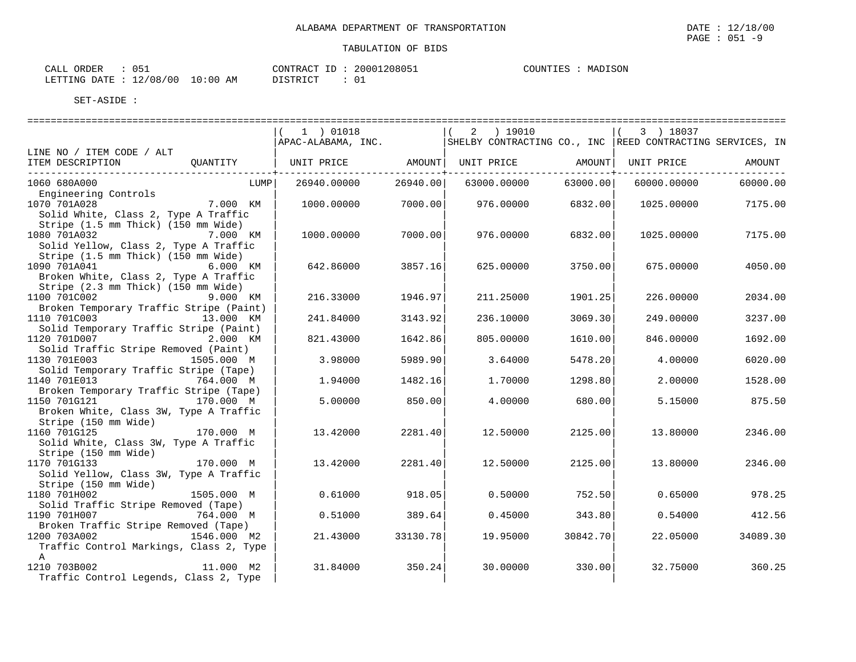| CALL ORDER                       | $\therefore$ 051 |          |  | CONTRACT ID: 20001208051 | COUNTIES : MADISON |  |
|----------------------------------|------------------|----------|--|--------------------------|--------------------|--|
| LETTING DATE : 12/08/00 10:00 AM |                  | DISTRICT |  |                          |                    |  |

|                                                        |             | 1 ) 01018                      |           | $2 \t 19010$                                              |          | 3 ) 18037   |          |
|--------------------------------------------------------|-------------|--------------------------------|-----------|-----------------------------------------------------------|----------|-------------|----------|
|                                                        |             | APAC-ALABAMA, INC.             |           | SHELBY CONTRACTING CO., INC REED CONTRACTING SERVICES, IN |          |             |          |
| LINE NO / ITEM CODE / ALT                              |             |                                |           |                                                           |          |             |          |
| ITEM DESCRIPTION                                       | OUANTITY    | UNIT PRICE AMOUNT   UNIT PRICE |           |                                                           | AMOUNT   | UNIT PRICE  | AMOUNT   |
|                                                        |             |                                |           |                                                           |          |             |          |
| 1060 680A000                                           | LUMP        | 26940.00000                    | 26940.001 | 63000.00000                                               | 63000.00 | 60000.00000 | 60000.00 |
| Engineering Controls                                   |             |                                |           |                                                           |          |             |          |
| 1070 701A028                                           | 7.000 KM    | 1000.00000                     | 7000.00   | 976.00000                                                 | 6832.00  | 1025.00000  | 7175.00  |
| Solid White, Class 2, Type A Traffic                   |             |                                |           |                                                           |          |             |          |
| Stripe (1.5 mm Thick) (150 mm Wide)                    |             |                                |           |                                                           |          |             |          |
| 1080 701A032                                           | 7.000 KM    | 1000.00000                     | 7000.00   | 976.00000                                                 | 6832.00  | 1025.00000  | 7175.00  |
| Solid Yellow, Class 2, Type A Traffic                  |             |                                |           |                                                           |          |             |          |
| Stripe (1.5 mm Thick) (150 mm Wide)                    |             |                                |           |                                                           |          |             |          |
| 1090 701A041                                           | 6.000 KM    | 642.86000                      | 3857.16   | 625.00000                                                 | 3750.00  | 675.00000   | 4050.00  |
| Broken White, Class 2, Type A Traffic                  |             |                                |           |                                                           |          |             |          |
| Stripe (2.3 mm Thick) (150 mm Wide)                    |             |                                |           |                                                           |          |             |          |
| 1100 701C002                                           | 9.000 KM    | 216.33000                      | 1946.97   | 211.25000                                                 | 1901.25  | 226.00000   | 2034.00  |
| Broken Temporary Traffic Stripe (Paint)                |             |                                |           |                                                           |          |             |          |
| 1110 701C003<br>Solid Temporary Traffic Stripe (Paint) | 13.000 KM   | 241.84000                      | 3143.92   | 236.10000                                                 | 3069.30  | 249.00000   | 3237.00  |
| 1120 701D007                                           | 2.000 KM    | 821.43000                      | 1642.86   | 805,00000                                                 | 1610.00  | 846.00000   | 1692.00  |
| Solid Traffic Stripe Removed (Paint)                   |             |                                |           |                                                           |          |             |          |
| 1130 701E003                                           | 1505.000 M  | 3.98000                        | 5989.90   | 3.64000                                                   | 5478.20  | 4.00000     | 6020.00  |
| Solid Temporary Traffic Stripe (Tape)                  |             |                                |           |                                                           |          |             |          |
| 1140 701E013                                           | 764.000 M   | 1.94000                        | 1482.16   | 1.70000                                                   | 1298.80  | 2.00000     | 1528.00  |
| Broken Temporary Traffic Stripe (Tape)                 |             |                                |           |                                                           |          |             |          |
| 1150 701G121                                           | 170.000 M   | 5.00000                        | 850.00    | 4.00000                                                   | 680.00   | 5.15000     | 875.50   |
| Broken White, Class 3W, Type A Traffic                 |             |                                |           |                                                           |          |             |          |
| Stripe (150 mm Wide)                                   |             |                                |           |                                                           |          |             |          |
| 1160 701G125                                           | 170.000 M   | 13,42000                       | 2281.40   | 12.50000                                                  | 2125.00  | 13,80000    | 2346.00  |
| Solid White, Class 3W, Type A Traffic                  |             |                                |           |                                                           |          |             |          |
| Stripe (150 mm Wide)                                   |             |                                |           |                                                           |          |             |          |
| 1170 701G133                                           | 170.000 M   | 13.42000                       | 2281.40   | 12.50000                                                  | 2125.00  | 13.80000    | 2346.00  |
| Solid Yellow, Class 3W, Type A Traffic                 |             |                                |           |                                                           |          |             |          |
| Stripe (150 mm Wide)                                   |             |                                |           |                                                           |          |             |          |
| 1180 701H002                                           | 1505.000 M  | 0.61000                        | 918.05    | 0.50000                                                   | 752.50   | 0.65000     | 978.25   |
| Solid Traffic Stripe Removed (Tape)                    |             |                                |           |                                                           |          |             |          |
| 1190 701H007                                           | 764.000 M   | 0.51000                        | 389.64    | 0.45000                                                   | 343.80   | 0.54000     | 412.56   |
| Broken Traffic Stripe Removed (Tape)                   |             |                                |           |                                                           |          |             |          |
| 1200 703A002                                           | 1546.000 M2 | 21.43000                       | 33130.78  | 19.95000                                                  | 30842.70 | 22.05000    | 34089.30 |
| Traffic Control Markings, Class 2, Type                |             |                                |           |                                                           |          |             |          |
| $\mathbb{A}$                                           |             |                                |           |                                                           |          |             |          |
| 1210 703B002                                           | 11.000 M2   | 31.84000                       | 350.24    | 30.00000                                                  | 330.00   | 32.75000    | 360.25   |
| Traffic Control Legends, Class 2, Type                 |             |                                |           |                                                           |          |             |          |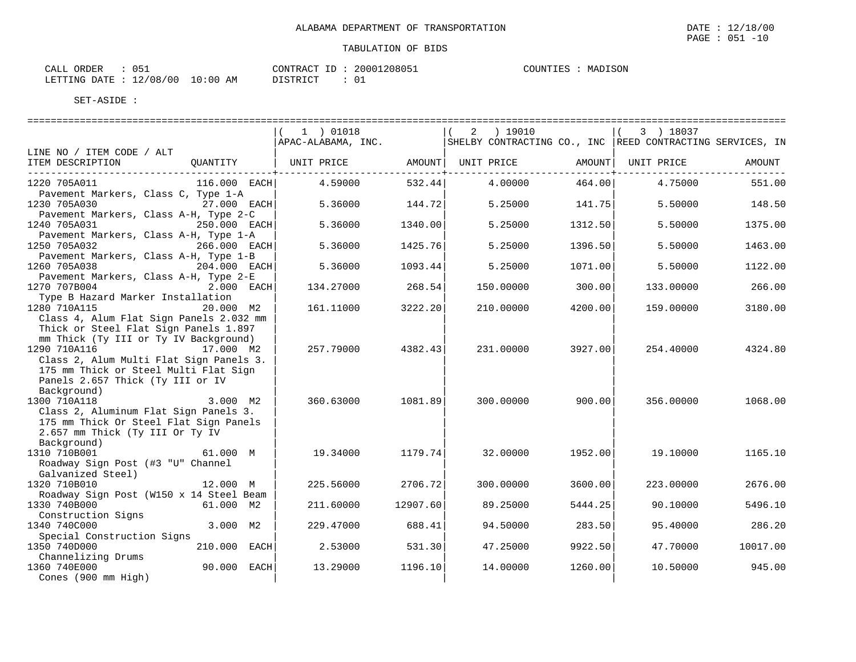$\text{CALL}$  ORDER : 051 CONTRACT ID : 20001208051 COUNTIES : MADISON LETTING DATE : 12/08/00 10:00 AM DISTRICT : 01

|                                                                                                                                                                               |                | 1 ) 01018          |                       | ) 19010<br>2                                              |                      | 3 ) 18037  |          |
|-------------------------------------------------------------------------------------------------------------------------------------------------------------------------------|----------------|--------------------|-----------------------|-----------------------------------------------------------|----------------------|------------|----------|
|                                                                                                                                                                               |                | APAC-ALABAMA, INC. |                       | SHELBY CONTRACTING CO., INC REED CONTRACTING SERVICES, IN |                      |            |          |
| LINE NO / ITEM CODE / ALT<br>ITEM DESCRIPTION                                                                                                                                 | OUANTITY       | UNIT PRICE         | AMOUNT  <br>--------+ | UNIT PRICE                                                | AMOUNT  <br>-------- | UNIT PRICE | AMOUNT   |
| 1220 705A011<br>Pavement Markers, Class C, Type 1-A                                                                                                                           | $116.000$ EACH | 4.59000            | 532.44                | 4.00000                                                   | 464.00               | 4.75000    | 551.00   |
| 1230 705A030<br>Pavement Markers, Class A-H, Type 2-C                                                                                                                         | 27.000 EACH    | 5.36000            | 144.72                | 5.25000                                                   | 141.75               | 5.50000    | 148.50   |
| 1240 705A031<br>Pavement Markers, Class A-H, Type 1-A                                                                                                                         | 250.000 EACH   | 5.36000            | 1340.00               | 5.25000                                                   | 1312.50              | 5.50000    | 1375.00  |
| 1250 705A032<br>Pavement Markers, Class A-H, Type 1-B                                                                                                                         | 266.000 EACH   | 5.36000            | 1425.76               | 5.25000                                                   | 1396.50              | 5.50000    | 1463.00  |
| 1260 705A038<br>Pavement Markers, Class A-H, Type 2-E                                                                                                                         | 204.000 EACH   | 5.36000            | 1093.44               | 5.25000                                                   | 1071.00              | 5.50000    | 1122.00  |
| 1270 707B004<br>Type B Hazard Marker Installation                                                                                                                             | 2.000 EACH     | 134.27000          | 268.54                | 150.00000                                                 | 300.00               | 133.00000  | 266.00   |
| 1280 710A115<br>Class 4, Alum Flat Sign Panels 2.032 mm<br>Thick or Steel Flat Sign Panels 1.897                                                                              | 20.000 M2      | 161.11000          | 3222.20               | 210.00000                                                 | 4200.00              | 159.00000  | 3180.00  |
| mm Thick (Ty III or Ty IV Background)<br>1290 710A116<br>Class 2, Alum Multi Flat Sign Panels 3.<br>175 mm Thick or Steel Multi Flat Sign<br>Panels 2.657 Thick (Ty III or IV | 17.000 M2      | 257.79000          | 4382.43               | 231.00000                                                 | 3927.00              | 254.40000  | 4324.80  |
| Background)<br>1300 710A118<br>Class 2, Aluminum Flat Sign Panels 3.<br>175 mm Thick Or Steel Flat Sign Panels<br>2.657 mm Thick (Ty III Or Ty IV                             | 3.000 M2       | 360.63000          | 1081.89               | 300.00000                                                 | 900.001              | 356.00000  | 1068.00  |
| Background)<br>1310 710B001<br>Roadway Sign Post (#3 "U" Channel<br>Galvanized Steel)                                                                                         | 61.000 M       | 19.34000           | 1179.74               | 32.00000                                                  | 1952.00              | 19.10000   | 1165.10  |
| 1320 710B010<br>Roadway Sign Post (W150 x 14 Steel Beam                                                                                                                       | 12.000 M       | 225.56000          | 2706.72               | 300.00000                                                 | 3600.00              | 223.00000  | 2676.00  |
| 1330 740B000                                                                                                                                                                  | 61.000 M2      | 211.60000          | 12907.60              | 89.25000                                                  | 5444.25              | 90.10000   | 5496.10  |
| Construction Signs<br>1340 740C000                                                                                                                                            | 3.000 M2       | 229.47000          | 688.41                | 94.50000                                                  | 283.50               | 95.40000   | 286.20   |
| Special Construction Signs<br>1350 740D000                                                                                                                                    | 210.000 EACH   | 2.53000            | 531.30                | 47.25000                                                  | 9922.50              | 47.70000   | 10017.00 |
| Channelizing Drums<br>1360 740E000<br>Cones (900 mm High)                                                                                                                     | 90.000 EACH    | 13.29000           | 1196.10               | 14.00000                                                  | 1260.00              | 10.50000   | 945.00   |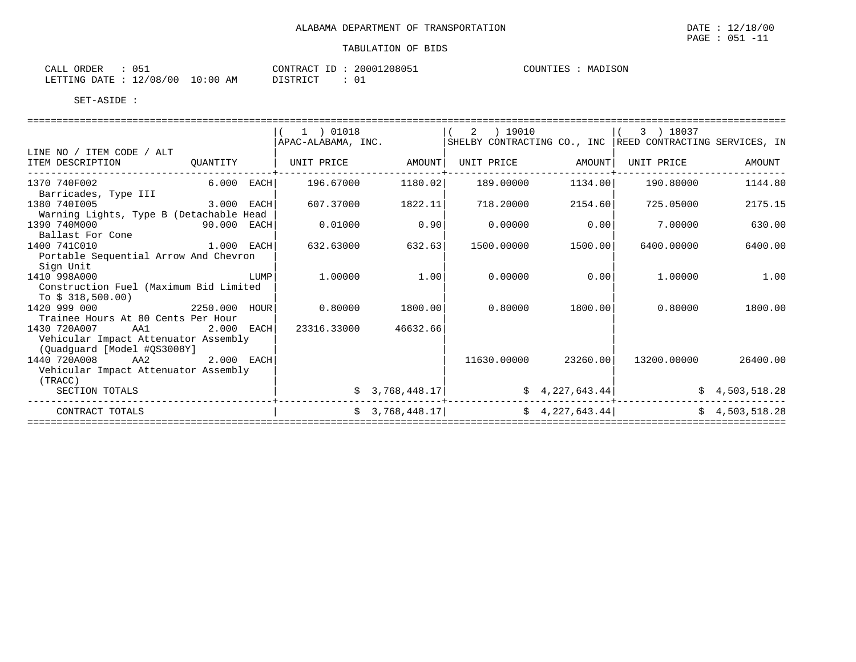| CALL ORDER                       | 051 |  |          |  | CONTRACT ID: 20001208051 | COUNTIES : MADISON |  |
|----------------------------------|-----|--|----------|--|--------------------------|--------------------|--|
| LETTING DATE : 12/08/00 10:00 AM |     |  | DISTRICT |  | : 01                     |                    |  |

|                                                                                            |              |      | 1 ) 01018<br>APAC-ALABAMA, INC. |                | $\overline{a}$<br>) 19010 |                      | 3 ) 18037<br>SHELBY CONTRACTING CO., INC REED CONTRACTING SERVICES, IN |                |
|--------------------------------------------------------------------------------------------|--------------|------|---------------------------------|----------------|---------------------------|----------------------|------------------------------------------------------------------------|----------------|
| LINE NO / ITEM CODE / ALT<br>ITEM DESCRIPTION                                              | OUANTITY     |      | UNIT PRICE                      | AMOUNT         | UNIT PRICE                | AMOUNT               | UNIT PRICE                                                             | AMOUNT         |
| 1370 740F002<br>Barricades, Type III                                                       | $6.000$ EACH |      | 196.67000                       | 1180.02        | 189.00000                 | 1134.00              | 190.80000                                                              | 1144.80        |
| 1380 740I005<br>Warning Lights, Type B (Detachable Head                                    | 3.000 EACH   |      | 607.37000                       | 1822.11        | 718.20000                 | 2154.60              | 725.05000                                                              | 2175.15        |
| 1390 740M000<br>Ballast For Cone                                                           | 90.000 EACH  |      | 0.01000                         | 0.90           | 0.00000                   | 0.00                 | 7.00000                                                                | 630.00         |
| 1400 741C010<br>Portable Sequential Arrow And Chevron                                      | $1.000$ EACH |      | 632.63000                       | 632.63         | 1500.00000                | 1500.00              | 6400.00000                                                             | 6400.00        |
| Sign Unit<br>1410 998A000<br>Construction Fuel (Maximum Bid Limited                        |              | LUMP | 1,00000                         | 1.00           | 0.00000                   | 0.00                 | 1,00000                                                                | 1.00           |
| To $$318,500.00)$<br>2250.000 HOUR<br>1420 999 000<br>Trainee Hours At 80 Cents Per Hour   |              |      | 0.80000                         | 1800.00        | 0.80000                   | 1800.00              | 0.80000                                                                | 1800.00        |
| 1430 720A007<br>AA1<br>Vehicular Impact Attenuator Assembly                                | $2.000$ EACH |      | 23316.33000                     | 46632.66       |                           |                      |                                                                        |                |
| (Quadquard [Model #QS3008Y]<br>1440 720A008<br>AA2<br>Vehicular Impact Attenuator Assembly | 2.000 EACH   |      |                                 |                |                           | 11630.00000 23260.00 | 13200.00000                                                            | 26400.00       |
| (TRACC)<br>SECTION TOTALS                                                                  |              |      |                                 | \$3,768,448.17 |                           | \$4,227,643.44       |                                                                        | \$4,503,518.28 |
| CONTRACT TOTALS                                                                            |              |      |                                 | \$3,768,448.17 |                           | \$4,227,643.44]      |                                                                        | \$4,503,518.28 |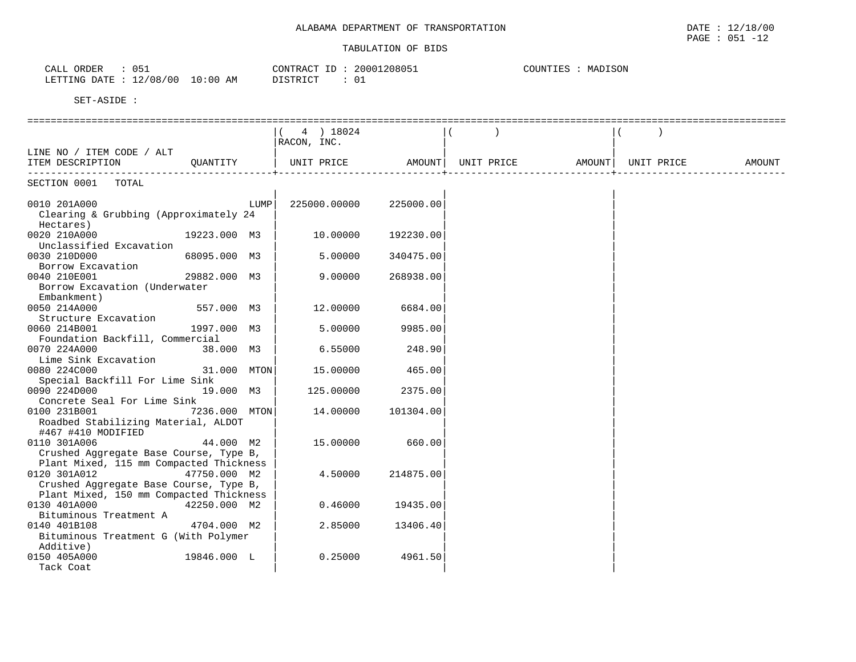| 051<br>ORDER<br>$\sim$ $\sim$ $\sim$<br>ىلىلى | CONTRACT<br>T <sub>D</sub><br>┚ | 20001208051 | MADISON<br>COUNTIES |
|-----------------------------------------------|---------------------------------|-------------|---------------------|
| 12/08/00<br>10:00<br>LETTING DATE             | AM<br>דת פידי דת<br>--------    | ്ധച         |                     |

|                                                                    |               | 4 ) 18024                    |           |            |        |            |        |
|--------------------------------------------------------------------|---------------|------------------------------|-----------|------------|--------|------------|--------|
|                                                                    |               | RACON, INC.                  |           |            |        |            |        |
| LINE NO / ITEM CODE / ALT                                          |               |                              |           |            |        |            |        |
| ITEM DESCRIPTION QUANTITY                                          |               | UNIT PRICE                   | AMOUNT    | UNIT PRICE | AMOUNT | UNIT PRICE | AMOUNT |
| --------------------------------                                   |               | +--------------------------- |           |            |        |            |        |
| SECTION 0001 TOTAL                                                 |               |                              |           |            |        |            |        |
| 0010 201A000<br>Clearing & Grubbing (Approximately 24<br>Hectares) | LUMP          | 225000.00000                 | 225000.00 |            |        |            |        |
| 0020 210A000<br>Unclassified Excavation                            | 19223.000 M3  | 10.00000                     | 192230.00 |            |        |            |        |
| 0030 210D000                                                       | 68095.000 M3  | 5,00000                      | 340475.00 |            |        |            |        |
| Borrow Excavation                                                  |               |                              |           |            |        |            |        |
| 0040 210E001                                                       | 29882.000 M3  | 9.00000                      | 268938.00 |            |        |            |        |
| Borrow Excavation (Underwater                                      |               |                              |           |            |        |            |        |
| Embankment)                                                        |               |                              |           |            |        |            |        |
| 0050 214A000                                                       | 557.000 M3    | 12,00000                     | 6684.00   |            |        |            |        |
| Structure Excavation                                               |               |                              |           |            |        |            |        |
| 0060 214B001                                                       | 1997.000 M3   | 5.00000                      | 9985.00   |            |        |            |        |
| Foundation Backfill, Commercial                                    |               |                              |           |            |        |            |        |
| 0070 224A000                                                       | 38.000 M3     | 6.55000                      | 248.90    |            |        |            |        |
| Lime Sink Excavation                                               |               |                              |           |            |        |            |        |
| 0080 224C000<br>Special Backfill For Lime Sink                     | 31.000 MTON   | 15.00000                     | 465.00    |            |        |            |        |
| 0090 224D000                                                       | 19.000 M3     | 125.00000                    | 2375.00   |            |        |            |        |
| Concrete Seal For Lime Sink                                        |               |                              |           |            |        |            |        |
| 0100 231B001                                                       | 7236.000 MTON | 14.00000                     | 101304.00 |            |        |            |        |
| Roadbed Stabilizing Material, ALDOT                                |               |                              |           |            |        |            |        |
| #467 #410 MODIFIED                                                 |               |                              |           |            |        |            |        |
| 0110 301A006                                                       | 44.000 M2     | 15.00000                     | 660.00    |            |        |            |        |
| Crushed Aggregate Base Course, Type B,                             |               |                              |           |            |        |            |        |
| Plant Mixed, 115 mm Compacted Thickness                            |               |                              |           |            |        |            |        |
| 0120 301A012                                                       | 47750.000 M2  | 4.50000                      | 214875.00 |            |        |            |        |
| Crushed Aggregate Base Course, Type B,                             |               |                              |           |            |        |            |        |
| Plant Mixed, 150 mm Compacted Thickness                            |               |                              |           |            |        |            |        |
| 0130 401A000                                                       | 42250.000 M2  | 0.46000                      | 19435.00  |            |        |            |        |
| Bituminous Treatment A                                             |               |                              |           |            |        |            |        |
| 0140 401B108                                                       | 4704.000 M2   | 2.85000                      | 13406.40  |            |        |            |        |
| Bituminous Treatment G (With Polymer                               |               |                              |           |            |        |            |        |
| Additive)                                                          |               |                              |           |            |        |            |        |
| 0150 405A000                                                       | 19846.000 L   | 0.25000                      | 4961.50   |            |        |            |        |
| Tack Coat                                                          |               |                              |           |            |        |            |        |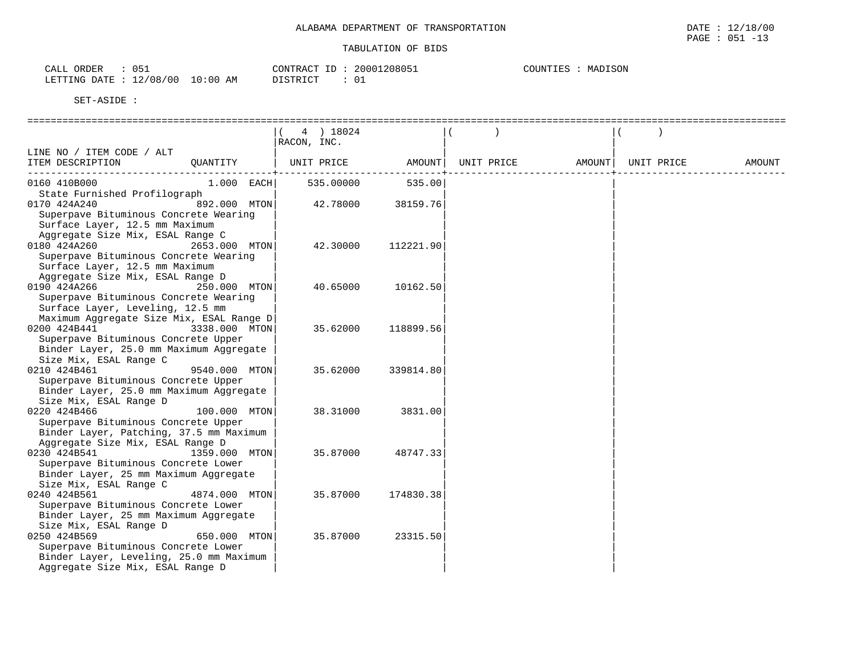| $\cap$ $\subseteq$<br>ORDER<br>CALL<br>ັ້               |                   | CONTRACT<br>ID         | .208051<br>2000 | MADISON<br><b>POUNTIES</b><br>MA. |
|---------------------------------------------------------|-------------------|------------------------|-----------------|-----------------------------------|
| 00/<br>'08/<br>$\sim$<br>DATE.<br>LETTING<br>ᅩᅀ<br>---- | :00<br>AM<br>⊥U ` | <b>DISTRICT</b><br>--- | $\sim$<br>◡∸    |                                   |

|                                                                   | 4 ) 18024   |           |            |        |            |        |
|-------------------------------------------------------------------|-------------|-----------|------------|--------|------------|--------|
|                                                                   | RACON, INC. |           |            |        |            |        |
| LINE NO / ITEM CODE / ALT                                         |             |           |            |        |            |        |
| ITEM DESCRIPTION<br>OUANTITY                                      | UNIT PRICE  | AMOUNT    | UNIT PRICE | AMOUNT | UNIT PRICE | AMOUNT |
|                                                                   |             |           |            |        |            |        |
| 0160 410B000<br>$1.000$ EACH                                      | 535.00000   | 535.00    |            |        |            |        |
| State Furnished Profilograph                                      |             |           |            |        |            |        |
| 892.000 MTON<br>0170 424A240                                      | 42.78000    | 38159.76  |            |        |            |        |
| Superpave Bituminous Concrete Wearing                             |             |           |            |        |            |        |
| Surface Layer, 12.5 mm Maximum                                    |             |           |            |        |            |        |
| Aggregate Size Mix, ESAL Range C                                  |             |           |            |        |            |        |
| 0180 424A260<br>2653.000 MTON                                     | 42.30000    | 112221.90 |            |        |            |        |
| Superpave Bituminous Concrete Wearing                             |             |           |            |        |            |        |
| Surface Layer, 12.5 mm Maximum                                    |             |           |            |        |            |        |
| Aggregate Size Mix, ESAL Range D<br>0190 424A266<br>250.000 MTON  | 40.65000    | 10162.50  |            |        |            |        |
| Superpave Bituminous Concrete Wearing                             |             |           |            |        |            |        |
| Surface Layer, Leveling, 12.5 mm                                  |             |           |            |        |            |        |
| Maximum Aggregate Size Mix, ESAL Range D                          |             |           |            |        |            |        |
| 0200 424B441<br>3338.000 MTON                                     | 35.62000    | 118899.56 |            |        |            |        |
| Superpave Bituminous Concrete Upper                               |             |           |            |        |            |        |
| Binder Layer, 25.0 mm Maximum Aggregate                           |             |           |            |        |            |        |
| Size Mix, ESAL Range C                                            |             |           |            |        |            |        |
| 0210 424B461<br>9540.000 MTON                                     | 35.62000    | 339814.80 |            |        |            |        |
| Superpave Bituminous Concrete Upper                               |             |           |            |        |            |        |
| Binder Layer, 25.0 mm Maximum Aggregate                           |             |           |            |        |            |        |
| Size Mix, ESAL Range D                                            |             |           |            |        |            |        |
| 0220 424B466<br>100.000 MTON                                      | 38.31000    | 3831.00   |            |        |            |        |
| Superpave Bituminous Concrete Upper                               |             |           |            |        |            |        |
| Binder Layer, Patching, 37.5 mm Maximum                           |             |           |            |        |            |        |
| Aggregate Size Mix, ESAL Range D<br>0230 424B541<br>1359.000 MTON | 35.87000    |           |            |        |            |        |
| Superpave Bituminous Concrete Lower                               |             | 48747.33  |            |        |            |        |
| Binder Layer, 25 mm Maximum Aggregate                             |             |           |            |        |            |        |
| Size Mix, ESAL Range C                                            |             |           |            |        |            |        |
| 0240 424B561<br>4874.000 MTON                                     | 35.87000    | 174830.38 |            |        |            |        |
| Superpave Bituminous Concrete Lower                               |             |           |            |        |            |        |
| Binder Layer, 25 mm Maximum Aggregate                             |             |           |            |        |            |        |
| Size Mix, ESAL Range D                                            |             |           |            |        |            |        |
| 0250 424B569<br>650.000 MTON                                      | 35.87000    | 23315.50  |            |        |            |        |
| Superpave Bituminous Concrete Lower                               |             |           |            |        |            |        |
| Binder Layer, Leveling, 25.0 mm Maximum                           |             |           |            |        |            |        |
| Aggregate Size Mix, ESAL Range D                                  |             |           |            |        |            |        |
|                                                                   |             |           |            |        |            |        |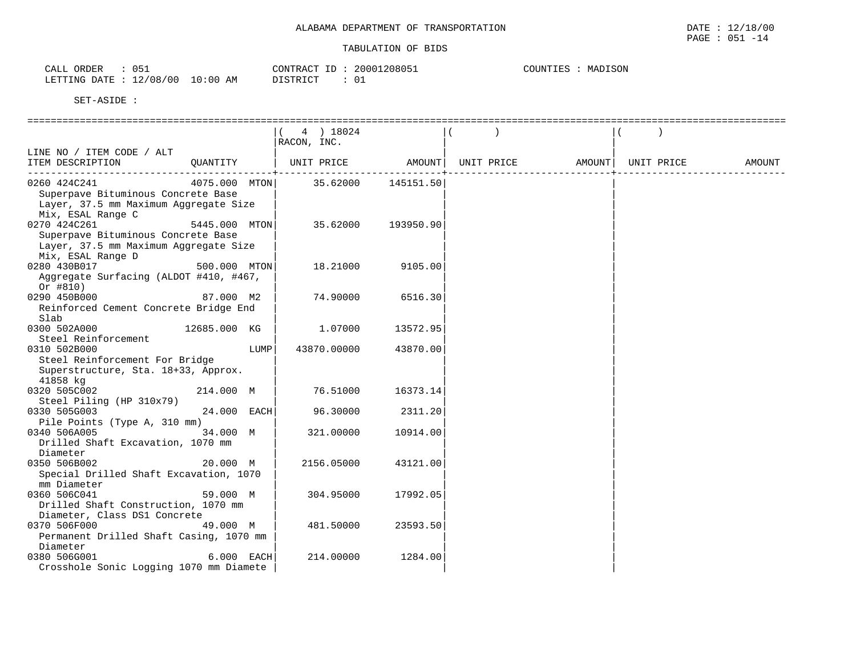| ORDER<br>$\sim \cdot +$<br>ىلىلAت | $\cap E$<br>ぃ◡ឹ |             | ID<br>CONTRACT        | 20001208051 | MADISON<br>COUNTIES |
|-----------------------------------|-----------------|-------------|-----------------------|-------------|---------------------|
| LETTING DATE                      | 12/08/00        | LO:00<br>ΑM | DICTO TOT<br>DIPIKTCI | ◡∸          |                     |

| 4 ) 18024<br>RACON, INC.<br>LINE NO / ITEM CODE / ALT<br>UNIT PRICE<br>ITEM DESCRIPTION<br>AMOUNT  UNIT PRICE<br>AMOUNT  UNIT PRICE<br>OUANTITY<br>AMOUNT<br>4075.000 MTON 35.62000 145151.50<br>0260 424C241<br>Superpave Bituminous Concrete Base<br>Layer, 37.5 mm Maximum Aggregate Size<br>Mix, ESAL Range C<br>0270 424C261<br>5445.000 MTON<br>35.62000<br>193950.90<br>Superpave Bituminous Concrete Base<br>Layer, 37.5 mm Maximum Aggregate Size<br>Mix, ESAL Range D<br>0280 430B017<br>500.000 MTON<br>18.21000<br>9105.00<br>Aggregate Surfacing (ALDOT #410, #467,<br>Or #810)<br>0290 450B000<br>87.000 M2<br>74.90000<br>6516.30<br>Reinforced Cement Concrete Bridge End<br>Slab<br>12685.000 KG<br>0300 502A000<br>1.07000<br>13572.95<br>Steel Reinforcement<br>LUMP<br>43870.00<br>0310 502B000<br>43870.00000<br>Steel Reinforcement For Bridge<br>Superstructure, Sta. 18+33, Approx.<br>41858 kg<br>0320 505C002<br>76.51000<br>214.000 M<br>16373.14<br>Steel Piling (HP 310x79)<br>$24.000$ EACH<br>0330 505G003<br>96.30000<br>2311.20<br>Pile Points (Type A, 310 mm)<br>0340 506A005<br>34.000 M<br>321.00000<br>10914.00<br>Drilled Shaft Excavation, 1070 mm |
|--------------------------------------------------------------------------------------------------------------------------------------------------------------------------------------------------------------------------------------------------------------------------------------------------------------------------------------------------------------------------------------------------------------------------------------------------------------------------------------------------------------------------------------------------------------------------------------------------------------------------------------------------------------------------------------------------------------------------------------------------------------------------------------------------------------------------------------------------------------------------------------------------------------------------------------------------------------------------------------------------------------------------------------------------------------------------------------------------------------------------------------------------------------------------------------------|
|                                                                                                                                                                                                                                                                                                                                                                                                                                                                                                                                                                                                                                                                                                                                                                                                                                                                                                                                                                                                                                                                                                                                                                                            |
|                                                                                                                                                                                                                                                                                                                                                                                                                                                                                                                                                                                                                                                                                                                                                                                                                                                                                                                                                                                                                                                                                                                                                                                            |
|                                                                                                                                                                                                                                                                                                                                                                                                                                                                                                                                                                                                                                                                                                                                                                                                                                                                                                                                                                                                                                                                                                                                                                                            |
|                                                                                                                                                                                                                                                                                                                                                                                                                                                                                                                                                                                                                                                                                                                                                                                                                                                                                                                                                                                                                                                                                                                                                                                            |
|                                                                                                                                                                                                                                                                                                                                                                                                                                                                                                                                                                                                                                                                                                                                                                                                                                                                                                                                                                                                                                                                                                                                                                                            |
|                                                                                                                                                                                                                                                                                                                                                                                                                                                                                                                                                                                                                                                                                                                                                                                                                                                                                                                                                                                                                                                                                                                                                                                            |
|                                                                                                                                                                                                                                                                                                                                                                                                                                                                                                                                                                                                                                                                                                                                                                                                                                                                                                                                                                                                                                                                                                                                                                                            |
|                                                                                                                                                                                                                                                                                                                                                                                                                                                                                                                                                                                                                                                                                                                                                                                                                                                                                                                                                                                                                                                                                                                                                                                            |
|                                                                                                                                                                                                                                                                                                                                                                                                                                                                                                                                                                                                                                                                                                                                                                                                                                                                                                                                                                                                                                                                                                                                                                                            |
|                                                                                                                                                                                                                                                                                                                                                                                                                                                                                                                                                                                                                                                                                                                                                                                                                                                                                                                                                                                                                                                                                                                                                                                            |
|                                                                                                                                                                                                                                                                                                                                                                                                                                                                                                                                                                                                                                                                                                                                                                                                                                                                                                                                                                                                                                                                                                                                                                                            |
|                                                                                                                                                                                                                                                                                                                                                                                                                                                                                                                                                                                                                                                                                                                                                                                                                                                                                                                                                                                                                                                                                                                                                                                            |
|                                                                                                                                                                                                                                                                                                                                                                                                                                                                                                                                                                                                                                                                                                                                                                                                                                                                                                                                                                                                                                                                                                                                                                                            |
|                                                                                                                                                                                                                                                                                                                                                                                                                                                                                                                                                                                                                                                                                                                                                                                                                                                                                                                                                                                                                                                                                                                                                                                            |
|                                                                                                                                                                                                                                                                                                                                                                                                                                                                                                                                                                                                                                                                                                                                                                                                                                                                                                                                                                                                                                                                                                                                                                                            |
|                                                                                                                                                                                                                                                                                                                                                                                                                                                                                                                                                                                                                                                                                                                                                                                                                                                                                                                                                                                                                                                                                                                                                                                            |
|                                                                                                                                                                                                                                                                                                                                                                                                                                                                                                                                                                                                                                                                                                                                                                                                                                                                                                                                                                                                                                                                                                                                                                                            |
| Diameter<br>0350 506B002<br>20.000 M<br>2156.05000<br>43121.00<br>Special Drilled Shaft Excavation, 1070                                                                                                                                                                                                                                                                                                                                                                                                                                                                                                                                                                                                                                                                                                                                                                                                                                                                                                                                                                                                                                                                                   |
| mm Diameter                                                                                                                                                                                                                                                                                                                                                                                                                                                                                                                                                                                                                                                                                                                                                                                                                                                                                                                                                                                                                                                                                                                                                                                |
| 59.000 M<br>0360 506C041<br>304.95000<br>17992.05<br>Drilled Shaft Construction, 1070 mm<br>Diameter, Class DS1 Concrete                                                                                                                                                                                                                                                                                                                                                                                                                                                                                                                                                                                                                                                                                                                                                                                                                                                                                                                                                                                                                                                                   |
| 49.000 M<br>481.50000<br>23593.50<br>0370 506F000<br>Permanent Drilled Shaft Casing, 1070 mm<br>Diameter                                                                                                                                                                                                                                                                                                                                                                                                                                                                                                                                                                                                                                                                                                                                                                                                                                                                                                                                                                                                                                                                                   |
| 0380 506G001<br>$6.000$ EACH<br>214.00000<br>1284.00<br>Crosshole Sonic Logging 1070 mm Diamete                                                                                                                                                                                                                                                                                                                                                                                                                                                                                                                                                                                                                                                                                                                                                                                                                                                                                                                                                                                                                                                                                            |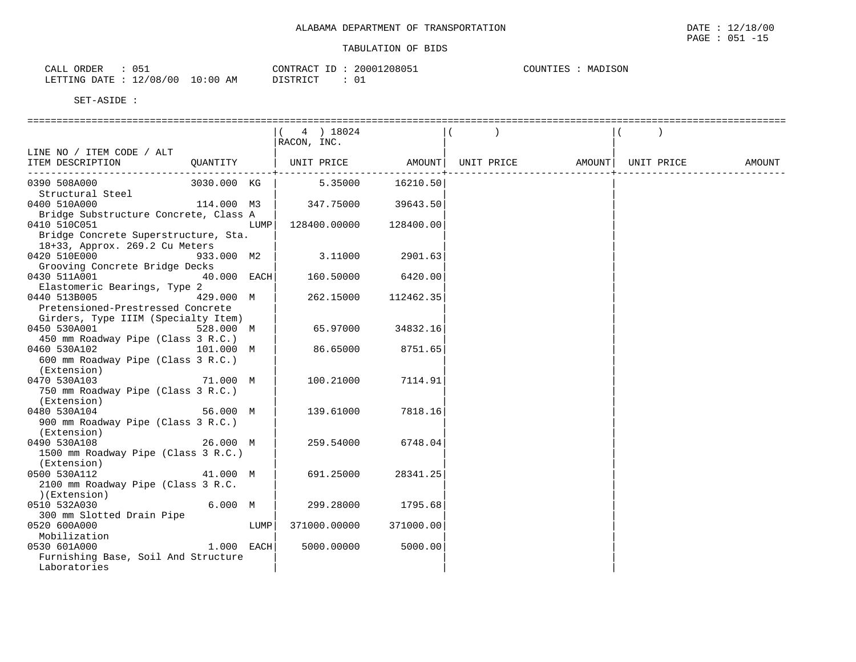| ORDER<br>CALL           | 051 |            | CONTRACT ID     | 20001208051 | COUNTIES | MADISON |
|-------------------------|-----|------------|-----------------|-------------|----------|---------|
| LETTING DATE : 12/08/00 |     | $10:00$ AM | <b>DISTRICT</b> |             |          |         |

|                                                     |              |      | 4 ) 18024                                 |                  |        |            |        |
|-----------------------------------------------------|--------------|------|-------------------------------------------|------------------|--------|------------|--------|
|                                                     |              |      | RACON, INC.                               |                  |        |            |        |
| LINE NO / ITEM CODE / ALT                           |              |      |                                           |                  |        |            |        |
| ITEM DESCRIPTION                                    |              |      | QUANTITY   UNIT PRICE AMOUNT   UNIT PRICE |                  | AMOUNT | UNIT PRICE | AMOUNT |
|                                                     |              |      |                                           |                  |        |            |        |
| 3030.000 KG<br>0390 508A000<br>Structural Steel     |              |      |                                           | 5.35000 16210.50 |        |            |        |
| 114.000 M3<br>0400 510A000                          |              |      | 347.75000 39643.50                        |                  |        |            |        |
| Bridge Substructure Concrete, Class A               |              |      |                                           |                  |        |            |        |
| 0410 510C051                                        |              | LUMP | 128400.00000                              | 128400.00        |        |            |        |
| Bridge Concrete Superstructure, Sta.                |              |      |                                           |                  |        |            |        |
| 18+33, Approx. 269.2 Cu Meters                      |              |      |                                           |                  |        |            |        |
| 0420 510E000                                        | 933.000 M2   |      | 3.11000 2901.63                           |                  |        |            |        |
| Grooving Concrete Bridge Decks                      |              |      |                                           |                  |        |            |        |
| 0430 511A001                                        | 40.000 EACH  |      | 160.50000                                 | 6420.00          |        |            |        |
| Elastomeric Bearings, Type 2                        |              |      |                                           |                  |        |            |        |
| 0440 513B005                                        | 429.000 M    |      | 262.15000                                 | 112462.35        |        |            |        |
| Pretensioned-Prestressed Concrete                   |              |      |                                           |                  |        |            |        |
| Girders, Type IIIM (Specialty Item)                 |              |      |                                           |                  |        |            |        |
| 0450 530A001<br>528.000 M                           |              |      | 65.97000                                  | 34832.16         |        |            |        |
| 450 mm Roadway Pipe (Class 3 R.C.)                  |              |      |                                           |                  |        |            |        |
| 0460 530A102 101.000 M                              |              |      | 86.65000                                  | 8751.65          |        |            |        |
| 600 mm Roadway Pipe (Class 3 R.C.)                  |              |      |                                           |                  |        |            |        |
| (Extension)                                         |              |      |                                           |                  |        |            |        |
| 0470 530A103                                        | 71.000 M     |      | 100.21000                                 | 7114.91          |        |            |        |
| 750 mm Roadway Pipe (Class 3 R.C.)                  |              |      |                                           |                  |        |            |        |
| (Extension)                                         |              |      |                                           |                  |        |            |        |
| 0480 530A104                                        | 56.000 M     |      | 139.61000                                 | 7818.16          |        |            |        |
| 900 mm Roadway Pipe (Class 3 R.C.)                  |              |      |                                           |                  |        |            |        |
| (Extension)                                         |              |      |                                           |                  |        |            |        |
| 0490 530A108                                        | 26.000 M     |      | 259.54000                                 | 6748.04          |        |            |        |
| 1500 mm Roadway Pipe (Class 3 R.C.)                 |              |      |                                           |                  |        |            |        |
| (Extension)                                         |              |      |                                           |                  |        |            |        |
| 0500 530A112                                        | 41.000 M     |      | 691.25000                                 | 28341.25         |        |            |        |
| 2100 mm Roadway Pipe (Class 3 R.C.                  |              |      |                                           |                  |        |            |        |
| (Extension)                                         |              |      |                                           |                  |        |            |        |
| 0510 532A030                                        | 6.000 M      |      | 299.28000                                 | 1795.68          |        |            |        |
| 300 mm Slotted Drain Pipe                           |              |      |                                           |                  |        |            |        |
| 0520 600A000                                        |              | LUMP | 371000.00000                              | 371000.00        |        |            |        |
| Mobilization                                        | $1.000$ EACH |      |                                           |                  |        |            |        |
| 0530 601A000                                        |              |      | 5000.00000                                | 5000.00          |        |            |        |
| Furnishing Base, Soil And Structure<br>Laboratories |              |      |                                           |                  |        |            |        |
|                                                     |              |      |                                           |                  |        |            |        |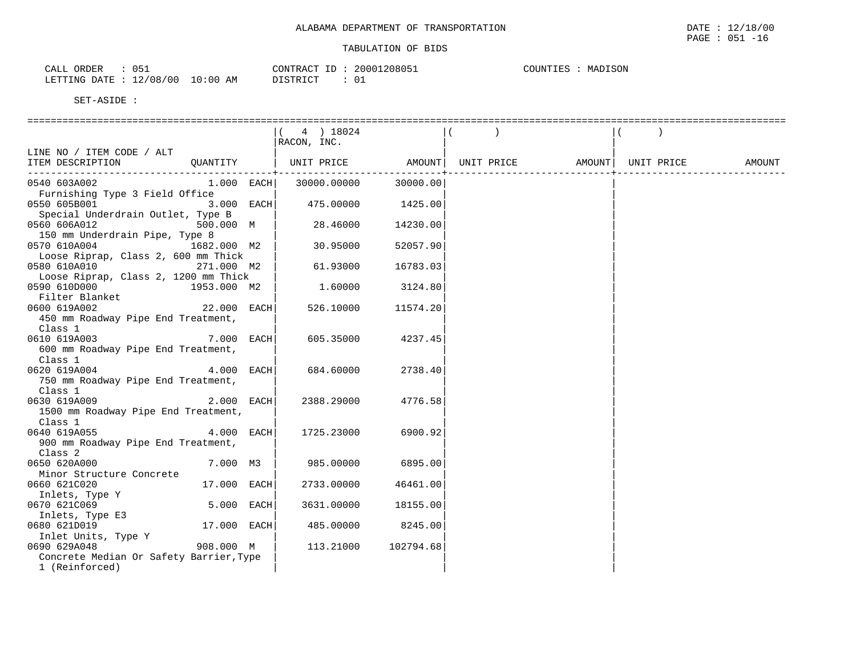| $\cap$ 5<br>ORDER<br>$\sim$ $\sim$ $\sim$<br>ىلىك<br>ັບປ⊥ |                         | $-$<br>CONTRACT | 20001208051  | MADISON<br>COUNTIES |
|-----------------------------------------------------------|-------------------------|-----------------|--------------|---------------------|
| LETTING DATE                                              | 12/08/00<br>10:00<br>AM | DISTRICT        | $\sim$<br>∪⊥ |                     |

|                                         | 4 ) 18024   |           |                                       |            |        |
|-----------------------------------------|-------------|-----------|---------------------------------------|------------|--------|
|                                         | RACON, INC. |           |                                       |            |        |
| LINE NO / ITEM CODE / ALT               |             |           |                                       |            |        |
| QUANTITY<br>ITEM DESCRIPTION            |             |           | UNIT PRICE AMOUNT   UNIT PRICE AMOUNT | UNIT PRICE | AMOUNT |
|                                         |             |           |                                       |            |        |
| 0540 603A002<br>$1.000$ EACH            | 30000.00000 | 30000.00  |                                       |            |        |
| Furnishing Type 3 Field Office          |             |           |                                       |            |        |
| 0550 605B001<br>$3.000$ EACH            | 475.00000   | 1425.00   |                                       |            |        |
| Special Underdrain Outlet, Type B       |             |           |                                       |            |        |
| 500.000 M<br>0560 606A012               | 28.46000    | 14230.00  |                                       |            |        |
| 150 mm Underdrain Pipe, Type 8          |             |           |                                       |            |        |
| 0570 610A004<br>1682.000 M2             | 30.95000    | 52057.90  |                                       |            |        |
| Loose Riprap, Class 2, 600 mm Thick     |             |           |                                       |            |        |
| 0580 610A010<br>271.000 M2              | 61.93000    | 16783.03  |                                       |            |        |
| Loose Riprap, Class 2, 1200 mm Thick    |             |           |                                       |            |        |
| 0590 610D000 1953.000 M2                | 1.60000     | 3124.80   |                                       |            |        |
| Filter Blanket                          |             |           |                                       |            |        |
| 0600 619A002<br>$22.000$ EACH           | 526.10000   | 11574.20  |                                       |            |        |
| 450 mm Roadway Pipe End Treatment,      |             |           |                                       |            |        |
| Class 1                                 |             |           |                                       |            |        |
| 7.000 EACH<br>0610 619A003              | 605.35000   | 4237.45   |                                       |            |        |
| 600 mm Roadway Pipe End Treatment,      |             |           |                                       |            |        |
| Class 1                                 |             |           |                                       |            |        |
| 4.000 EACH<br>0620 619A004              | 684.60000   | 2738.40   |                                       |            |        |
| 750 mm Roadway Pipe End Treatment,      |             |           |                                       |            |        |
| Class 1                                 |             |           |                                       |            |        |
| $2.000$ EACH<br>0630 619A009            | 2388.29000  | 4776.58   |                                       |            |        |
| 1500 mm Roadway Pipe End Treatment,     |             |           |                                       |            |        |
| Class 1                                 |             |           |                                       |            |        |
| 4.000 EACH<br>0640 619A055              | 1725.23000  | 6900.92   |                                       |            |        |
| 900 mm Roadway Pipe End Treatment,      |             |           |                                       |            |        |
| Class 2                                 |             |           |                                       |            |        |
| 0650 620A000<br>7.000 M3                | 985.00000   | 6895.00   |                                       |            |        |
| Minor Structure Concrete                |             |           |                                       |            |        |
| 17.000 EACH<br>0660 621C020             | 2733.00000  | 46461.00  |                                       |            |        |
| Inlets, Type Y                          |             |           |                                       |            |        |
| 5.000 EACH<br>0670 621C069              | 3631.00000  | 18155.00  |                                       |            |        |
| Inlets, Type E3                         |             |           |                                       |            |        |
| 0680 621D019<br>17.000 EACH             | 485.00000   | 8245.00   |                                       |            |        |
| Inlet Units, Type Y                     |             |           |                                       |            |        |
| 908.000 M<br>0690 629A048               | 113.21000   | 102794.68 |                                       |            |        |
| Concrete Median Or Safety Barrier, Type |             |           |                                       |            |        |
| 1 (Reinforced)                          |             |           |                                       |            |        |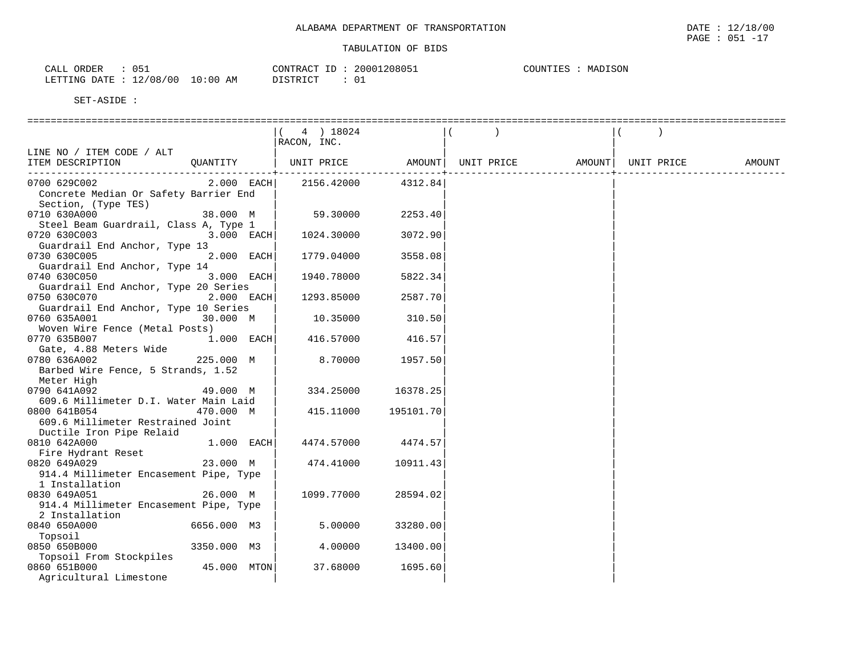| ٦51<br>ORDER<br>$\sim$ $\sim$ $\sim$<br>∟ىل∆ت<br>ັບບ⊥ |                       | CONTRACT<br>ID                  | 208051<br>20001<br>. | MADISON<br>COUNTIES<br>MAL' |
|-------------------------------------------------------|-----------------------|---------------------------------|----------------------|-----------------------------|
| '00<br>12/08/<br>DATE<br>LETTING                      | LO : 00<br>AM<br>- TO | <b>DISTRICT</b><br><i>┙</i> ∸┙∸ | $\sim$               |                             |

|                                        | 4 ) 18024   |           |                    |        |            |        |
|----------------------------------------|-------------|-----------|--------------------|--------|------------|--------|
|                                        | RACON, INC. |           |                    |        |            |        |
| LINE NO / ITEM CODE / ALT              |             |           |                    |        |            |        |
| ITEM DESCRIPTION<br>QUANTITY           | UNIT PRICE  |           | AMOUNT  UNIT PRICE | AMOUNT | UNIT PRICE | AMOUNT |
| --------------------                   |             |           |                    |        |            |        |
| $2.000$ EACH<br>0700 629C002           | 2156.42000  | 4312.84   |                    |        |            |        |
| Concrete Median Or Safety Barrier End  |             |           |                    |        |            |        |
| Section, (Type TES)                    |             |           |                    |        |            |        |
| 0710 630A000<br>38.000 M               | 59.30000    | 2253.40   |                    |        |            |        |
| Steel Beam Guardrail, Class A, Type 1  |             |           |                    |        |            |        |
| 0720 630C003<br>3.000 EACH             | 1024.30000  | 3072.90   |                    |        |            |        |
| Guardrail End Anchor, Type 13          |             |           |                    |        |            |        |
| 0730 630C005<br>2.000 EACH             | 1779.04000  | 3558.08   |                    |        |            |        |
| Guardrail End Anchor, Type 14          |             |           |                    |        |            |        |
| 3.000 EACH<br>0740 630C050             | 1940.78000  | 5822.34   |                    |        |            |        |
| Guardrail End Anchor, Type 20 Series   |             |           |                    |        |            |        |
| 0750 630C070<br>$2.000$ EACH           | 1293.85000  | 2587.70   |                    |        |            |        |
| Guardrail End Anchor, Type 10 Series   |             |           |                    |        |            |        |
| 0760 635A001<br>30.000 M               | 10.35000    | 310.50    |                    |        |            |        |
| Woven Wire Fence (Metal Posts)         |             |           |                    |        |            |        |
| $1.000$ EACH<br>0770 635B007           | 416.57000   | 416.57    |                    |        |            |        |
| Gate, 4.88 Meters Wide                 |             |           |                    |        |            |        |
| 0780 636A002<br>225.000 M              | 8.70000     | 1957.50   |                    |        |            |        |
| Barbed Wire Fence, 5 Strands, 1.52     |             |           |                    |        |            |        |
| Meter High                             |             |           |                    |        |            |        |
| 0790 641A092<br>49.000 M               | 334.25000   | 16378.25  |                    |        |            |        |
| 609.6 Millimeter D.I. Water Main Laid  |             |           |                    |        |            |        |
| 0800 641B054<br>470.000 M              | 415.11000   | 195101.70 |                    |        |            |        |
| 609.6 Millimeter Restrained Joint      |             |           |                    |        |            |        |
| Ductile Iron Pipe Relaid               |             |           |                    |        |            |        |
| $1.000$ EACH<br>0810 642A000           | 4474.57000  | 4474.57   |                    |        |            |        |
| Fire Hydrant Reset                     |             |           |                    |        |            |        |
| 23.000 M<br>0820 649A029               | 474.41000   | 10911.43  |                    |        |            |        |
| 914.4 Millimeter Encasement Pipe, Type |             |           |                    |        |            |        |
| 1 Installation                         |             |           |                    |        |            |        |
| 26.000 M<br>0830 649A051               | 1099.77000  | 28594.02  |                    |        |            |        |
| 914.4 Millimeter Encasement Pipe, Type |             |           |                    |        |            |        |
| 2 Installation                         |             |           |                    |        |            |        |
| 0840 650A000<br>6656.000 M3            | 5.00000     | 33280.00  |                    |        |            |        |
| Topsoil                                |             |           |                    |        |            |        |
| 0850 650B000<br>3350.000 M3            | 4.00000     | 13400.00  |                    |        |            |        |
| Topsoil From Stockpiles                |             |           |                    |        |            |        |
| 0860 651B000<br>45.000 MTON            | 37.68000    | 1695.60   |                    |        |            |        |
| Agricultural Limestone                 |             |           |                    |        |            |        |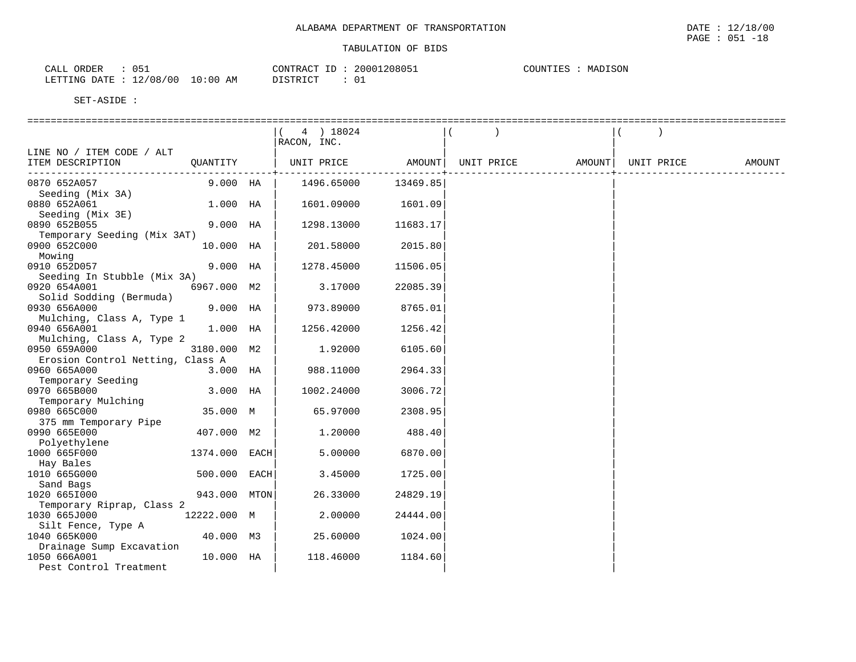| $ -$<br>ORDER<br>CALL<br>◡ ◡ ㅗ         |             | CONTRACT<br>$ -$<br>⊥ | 1208051<br>20001 | COUNTIES<br>SON<br>-----<br>MAL<br>. н. у |
|----------------------------------------|-------------|-----------------------|------------------|-------------------------------------------|
| 12/08/00<br>LETTING DATE<br>---------- | 10:00<br>ΆM | ירי תריס "<br>.       | 01               |                                           |

|                                             |               | 4 ) 18024<br>RACON, INC. |            |                   |            |        |
|---------------------------------------------|---------------|--------------------------|------------|-------------------|------------|--------|
| LINE NO / ITEM CODE / ALT                   |               |                          |            |                   |            |        |
| ITEM DESCRIPTION                            | OUANTITY      | UNIT PRICE AMOUNT        | ---------+ | UNIT PRICE AMOUNT | UNIT PRICE | AMOUNT |
| 0870 652A057                                | 9.000 HA      | 1496.65000               | 13469.85   |                   |            |        |
| Seeding (Mix 3A)                            |               |                          |            |                   |            |        |
| 0880 652A061                                | 1.000 HA      | 1601.09000               | 1601.09    |                   |            |        |
| Seeding (Mix 3E)                            |               |                          |            |                   |            |        |
| 0890 652B055                                | 9.000 HA      | 1298.13000               | 11683.17   |                   |            |        |
| Temporary Seeding (Mix 3AT)                 |               |                          |            |                   |            |        |
| 0900 652C000                                | 10.000 HA     | 201.58000                | 2015.80    |                   |            |        |
| Mowing                                      | 9.000 HA      |                          |            |                   |            |        |
| 0910 652D057                                |               | 1278.45000               | 11506.05   |                   |            |        |
| Seeding In Stubble (Mix 3A)<br>0920 654A001 | 6967.000 M2   | 3.17000                  | 22085.39   |                   |            |        |
|                                             |               |                          |            |                   |            |        |
| Solid Sodding (Bermuda)<br>0930 656A000     | $9.000$ HA    | 973.89000                | 8765.01    |                   |            |        |
| Mulching, Class A, Type 1                   |               |                          |            |                   |            |        |
| 0940 656A001                                | $1.000$ HA    | 1256.42000               | 1256.42    |                   |            |        |
| Mulching, Class A, Type 2                   |               |                          |            |                   |            |        |
| 0950 659A000                                | 3180.000 M2   | 1.92000                  | 6105.60    |                   |            |        |
| Erosion Control Netting, Class A            |               |                          |            |                   |            |        |
| 0960 665A000                                | $3.000$ HA    | 988.11000                | 2964.33    |                   |            |        |
| Temporary Seeding                           |               |                          |            |                   |            |        |
| 0970 665B000                                | 3.000 HA      | 1002.24000               | 3006.72    |                   |            |        |
| Temporary Mulching                          |               |                          |            |                   |            |        |
| 0980 665C000                                | 35.000 M      | 65.97000                 | 2308.95    |                   |            |        |
| 375 mm Temporary Pipe                       |               |                          |            |                   |            |        |
| 0990 665E000                                | 407.000 M2    | 1.20000                  | 488.40     |                   |            |        |
| Polyethylene                                |               |                          |            |                   |            |        |
| 1000 665F000                                | 1374.000 EACH | 5.00000                  | 6870.00    |                   |            |        |
| Hay Bales                                   |               |                          |            |                   |            |        |
| 1010 665G000                                | 500.000 EACH  | 3.45000                  | 1725.00    |                   |            |        |
| Sand Bags                                   |               |                          |            |                   |            |        |
| 1020 6651000                                | 943.000 MTON  | 26.33000                 | 24829.19   |                   |            |        |
| Temporary Riprap, Class 2                   |               |                          |            |                   |            |        |
| 1030 665J000                                | 12222.000 M   | 2,00000                  | 24444.00   |                   |            |        |
| Silt Fence, Type A                          |               |                          |            |                   |            |        |
| 1040 665K000                                | 40.000 M3     | 25.60000                 | 1024.00    |                   |            |        |
| Drainage Sump Excavation                    |               |                          |            |                   |            |        |
| 1050 666A001                                | 10.000 HA     | 118.46000                | 1184.60    |                   |            |        |
| Pest Control Treatment                      |               |                          |            |                   |            |        |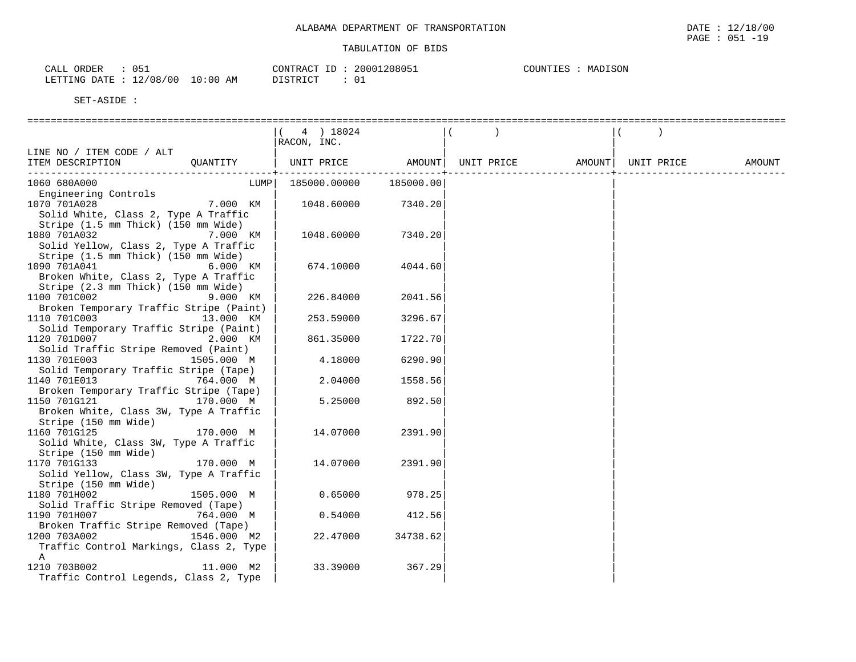| 051<br>ORDER<br>CALL    |          | CONTRACT ID | 20001208051 | MADISON<br>COUNTIES |
|-------------------------|----------|-------------|-------------|---------------------|
| LETTING DATE : 12/08/00 | 10:00 AM | DISTRICT    | $\sim$      |                     |

|                                                                              | 4 ) 18024<br>RACON, INC. |           |            |        |            |        |
|------------------------------------------------------------------------------|--------------------------|-----------|------------|--------|------------|--------|
| LINE NO / ITEM CODE / ALT                                                    |                          |           |            |        |            |        |
| ITEM DESCRIPTION<br>OUANTITY                                                 | UNIT PRICE               | AMOUNT    | UNIT PRICE | AMOUNT | UNIT PRICE | AMOUNT |
|                                                                              |                          |           |            |        |            |        |
| 1060 680A000<br>LUMP<br>Engineering Controls                                 | 185000.00000             | 185000.00 |            |        |            |        |
| 1070 701A028<br>7.000 KM                                                     | 1048.60000               | 7340.20   |            |        |            |        |
| Solid White, Class 2, Type A Traffic                                         |                          |           |            |        |            |        |
| Stripe (1.5 mm Thick) (150 mm Wide)                                          |                          |           |            |        |            |        |
| 1080 701A032<br>7.000 KM                                                     | 1048.60000               | 7340.20   |            |        |            |        |
| Solid Yellow, Class 2, Type A Traffic<br>Stripe (1.5 mm Thick) (150 mm Wide) |                          |           |            |        |            |        |
| 1090 701A041<br>6.000 KM                                                     | 674.10000                | 4044.60   |            |        |            |        |
| Broken White, Class 2, Type A Traffic                                        |                          |           |            |        |            |        |
| Stripe (2.3 mm Thick) (150 mm Wide)                                          |                          |           |            |        |            |        |
| 1100 701C002<br>9.000 KM                                                     | 226.84000                | 2041.56   |            |        |            |        |
| Broken Temporary Traffic Stripe (Paint)                                      |                          |           |            |        |            |        |
| 1110 701C003<br>13.000 KM<br>Solid Temporary Traffic Stripe (Paint)          | 253.59000                | 3296.67   |            |        |            |        |
| 1120 701D007<br>2.000 KM                                                     | 861.35000                | 1722.70   |            |        |            |        |
| Solid Traffic Stripe Removed (Paint)                                         |                          |           |            |        |            |        |
| 1130 701E003<br>1505.000 M                                                   | 4.18000                  | 6290.90   |            |        |            |        |
| Solid Temporary Traffic Stripe (Tape)                                        |                          |           |            |        |            |        |
| 1140 701E013<br>764.000 M<br>Broken Temporary Traffic Stripe (Tape)          | 2.04000                  | 1558.56   |            |        |            |        |
| 1150 701G121<br>170.000 M                                                    | 5.25000                  | 892.50    |            |        |            |        |
| Broken White, Class 3W, Type A Traffic                                       |                          |           |            |        |            |        |
| Stripe (150 mm Wide)                                                         |                          |           |            |        |            |        |
| 1160 701G125<br>170.000 M                                                    | 14.07000                 | 2391.90   |            |        |            |        |
| Solid White, Class 3W, Type A Traffic<br>Stripe (150 mm Wide)                |                          |           |            |        |            |        |
| 1170 701G133<br>170.000 M                                                    | 14.07000                 | 2391.90   |            |        |            |        |
| Solid Yellow, Class 3W, Type A Traffic                                       |                          |           |            |        |            |        |
| Stripe (150 mm Wide)                                                         |                          |           |            |        |            |        |
| 1180 701H002<br>1505.000 M                                                   | 0.65000                  | 978.25    |            |        |            |        |
| Solid Traffic Stripe Removed (Tape)                                          |                          |           |            |        |            |        |
| 1190 701H007<br>764.000 M<br>Broken Traffic Stripe Removed (Tape)            | 0.54000                  | 412.56    |            |        |            |        |
| 1200 703A002<br>1546.000 M2                                                  | 22.47000                 | 34738.62  |            |        |            |        |
| Traffic Control Markings, Class 2, Type                                      |                          |           |            |        |            |        |
| Α                                                                            |                          |           |            |        |            |        |
| 1210 703B002<br>11.000 M2                                                    | 33.39000                 | 367.29    |            |        |            |        |
| Traffic Control Legends, Class 2, Type                                       |                          |           |            |        |            |        |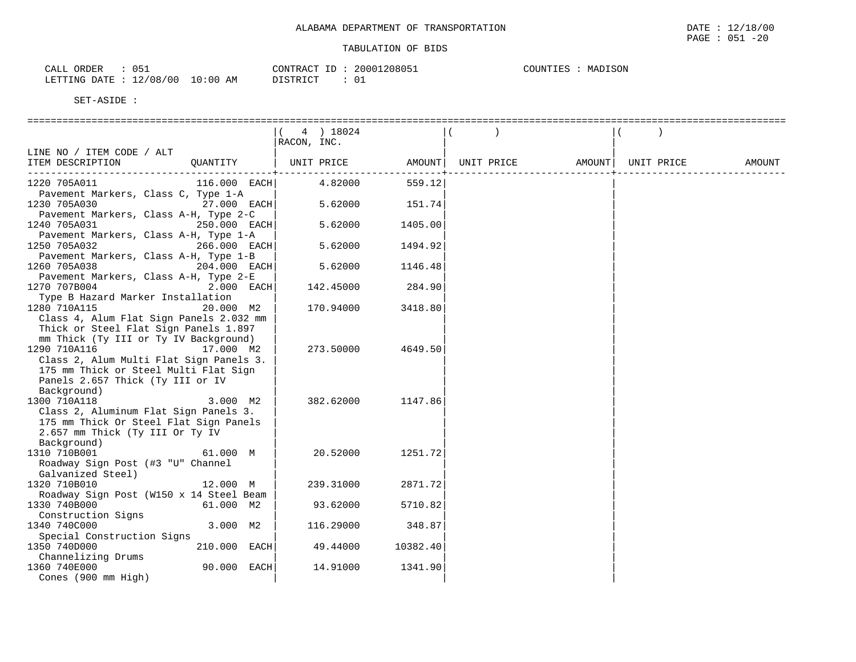| ORDER<br>CALL                               |                 | CONTRACT<br>ID | `20805.<br>20001 | DISON<br>- H.S<br>МA |
|---------------------------------------------|-----------------|----------------|------------------|----------------------|
| .2/08/00<br>$\sim$<br>LETTING<br>DATE<br>ᅩᄼ | :00<br>10<br>AM | DTQMDTQm<br>.  |                  |                      |

|                                         |              | 4 ) 18024   |          |            |        |            |        |
|-----------------------------------------|--------------|-------------|----------|------------|--------|------------|--------|
|                                         |              | RACON, INC. |          |            |        |            |        |
| LINE NO / ITEM CODE / ALT               |              |             |          |            |        |            |        |
| ITEM DESCRIPTION                        | QUANTITY     | UNIT PRICE  | AMOUNT   | UNIT PRICE | AMOUNT | UNIT PRICE | AMOUNT |
| -----------------------                 |              |             |          |            |        |            |        |
| 1220 705A011                            | 116.000 EACH | 4.82000     | 559.12   |            |        |            |        |
| Pavement Markers, Class C, Type 1-A     |              |             |          |            |        |            |        |
| 1230 705A030                            | 27.000 EACH  | 5.62000     | 151.74   |            |        |            |        |
| Pavement Markers, Class A-H, Type 2-C   |              |             |          |            |        |            |        |
| 1240 705A031                            | 250.000 EACH | 5.62000     | 1405.00  |            |        |            |        |
| Pavement Markers, Class A-H, Type 1-A   |              |             |          |            |        |            |        |
| 1250 705A032                            | 266.000 EACH | 5.62000     | 1494.92  |            |        |            |        |
| Pavement Markers, Class A-H, Type 1-B   |              |             |          |            |        |            |        |
| 1260 705A038                            | 204.000 EACH | 5.62000     | 1146.48  |            |        |            |        |
|                                         |              |             |          |            |        |            |        |
| Pavement Markers, Class A-H, Type 2-E   | 2.000 EACH   |             |          |            |        |            |        |
| 1270 707B004                            |              | 142.45000   | 284.90   |            |        |            |        |
| Type B Hazard Marker Installation       |              |             |          |            |        |            |        |
| 1280 710A115                            | 20.000 M2    | 170.94000   | 3418.80  |            |        |            |        |
| Class 4, Alum Flat Sign Panels 2.032 mm |              |             |          |            |        |            |        |
| Thick or Steel Flat Sign Panels 1.897   |              |             |          |            |        |            |        |
| mm Thick (Ty III or Ty IV Background)   |              |             |          |            |        |            |        |
| 1290 710A116                            | 17.000 M2    | 273.50000   | 4649.50  |            |        |            |        |
| Class 2, Alum Multi Flat Sign Panels 3. |              |             |          |            |        |            |        |
| 175 mm Thick or Steel Multi Flat Sign   |              |             |          |            |        |            |        |
| Panels 2.657 Thick (Ty III or IV        |              |             |          |            |        |            |        |
| Background)                             |              |             |          |            |        |            |        |
| 1300 710A118                            | 3.000 M2     | 382.62000   | 1147.86  |            |        |            |        |
| Class 2, Aluminum Flat Sign Panels 3.   |              |             |          |            |        |            |        |
| 175 mm Thick Or Steel Flat Sign Panels  |              |             |          |            |        |            |        |
| 2.657 mm Thick (Ty III Or Ty IV         |              |             |          |            |        |            |        |
| Background)                             |              |             |          |            |        |            |        |
| 1310 710B001                            | 61.000 M     | 20.52000    | 1251.72  |            |        |            |        |
| Roadway Sign Post (#3 "U" Channel       |              |             |          |            |        |            |        |
| Galvanized Steel)                       |              |             |          |            |        |            |        |
| 1320 710B010                            | 12.000 M     | 239.31000   | 2871.72  |            |        |            |        |
| Roadway Sign Post (W150 x 14 Steel Beam |              |             |          |            |        |            |        |
| 1330 740B000                            | 61.000 M2    | 93.62000    | 5710.82  |            |        |            |        |
| Construction Signs                      |              |             |          |            |        |            |        |
| 1340 740C000                            | 3.000 M2     | 116.29000   | 348.87   |            |        |            |        |
| Special Construction Signs              |              |             |          |            |        |            |        |
| 1350 740D000                            | 210.000 EACH | 49.44000    | 10382.40 |            |        |            |        |
| Channelizing Drums                      |              |             |          |            |        |            |        |
| 1360 740E000                            | 90.000 EACH  | 14.91000    | 1341.90  |            |        |            |        |
| Cones (900 mm High)                     |              |             |          |            |        |            |        |
|                                         |              |             |          |            |        |            |        |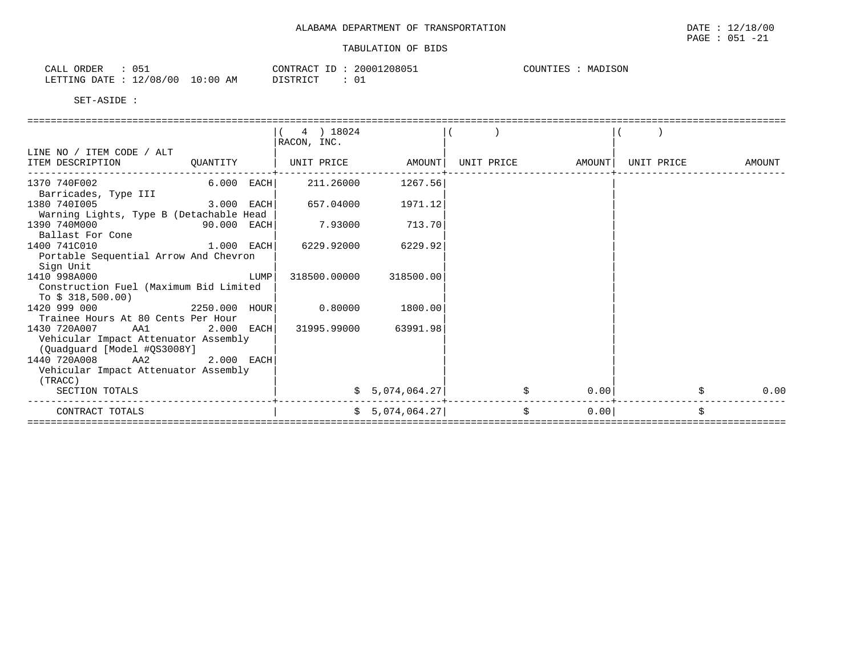| ORDER<br>$\sim$ $\sim$ $\sim$<br>۱۳<br>ىلىلى<br><u>. .</u> |             | 20001<br>CONTRACT<br>$-1$            | .208051 | MADISON<br>COUNTIES |
|------------------------------------------------------------|-------------|--------------------------------------|---------|---------------------|
| 12/08/00<br>LETTING<br>DATE                                | 10:00<br>ΑM | $T$ CTR $T$ $C$ T<br>ັບ⊥<br>-------- |         |                     |

|                                                 |               |      | $(4)$ 18024<br>RACON, INC. |                 |            |           |            |        |
|-------------------------------------------------|---------------|------|----------------------------|-----------------|------------|-----------|------------|--------|
| LINE NO / ITEM CODE / ALT                       |               |      |                            |                 |            |           |            |        |
| ITEM DESCRIPTION                                | QUANTITY      |      | UNIT PRICE                 | AMOUNT          | UNIT PRICE | AMOUNT    | UNIT PRICE | AMOUNT |
| 1370 740F002<br>Barricades, Type III            | $6.000$ EACH  |      | 211,26000                  | 1267.56         |            |           |            |        |
| 1380 7401005                                    | 3.000 EACH    |      | 657.04000                  | 1971.12         |            |           |            |        |
| Warning Lights, Type B (Detachable Head         |               |      |                            |                 |            |           |            |        |
| 1390 740M000                                    | 90.000 EACH   |      | 7.93000                    | 713.70          |            |           |            |        |
| Ballast For Cone                                |               |      |                            |                 |            |           |            |        |
| 1400 741C010                                    | $1.000$ EACH  |      | 6229.92000                 | 6229.92         |            |           |            |        |
| Portable Sequential Arrow And Chevron           |               |      |                            |                 |            |           |            |        |
| Sign Unit                                       |               |      |                            |                 |            |           |            |        |
| 1410 998A000                                    |               | LUMP | 318500.00000               | 318500.00       |            |           |            |        |
| Construction Fuel (Maximum Bid Limited          |               |      |                            |                 |            |           |            |        |
| To $$318,500.00)$                               |               |      |                            |                 |            |           |            |        |
| 1420 999 000                                    | 2250.000 HOUR |      | 0.80000                    | 1800.00         |            |           |            |        |
| Trainee Hours At 80 Cents Per Hour              |               |      |                            |                 |            |           |            |        |
| 1430 720A007<br>AA1                             | $2.000$ EACH  |      | 31995.99000                | 63991.98        |            |           |            |        |
| Vehicular Impact Attenuator Assembly            |               |      |                            |                 |            |           |            |        |
| (Quadquard [Model #QS3008Y]<br>AA2              |               |      |                            |                 |            |           |            |        |
| 1440 720A008                                    | $2.000$ EACH  |      |                            |                 |            |           |            |        |
| Vehicular Impact Attenuator Assembly<br>(TRACC) |               |      |                            |                 |            |           |            |        |
| SECTION TOTALS                                  |               |      |                            | \$5,074,064.27  |            | 0.00      |            | 0.00   |
|                                                 |               |      |                            |                 |            |           |            |        |
| CONTRACT TOTALS                                 |               |      |                            | \$5,074,064.27] |            | Ś<br>0.00 |            |        |
|                                                 |               |      |                            |                 |            |           |            |        |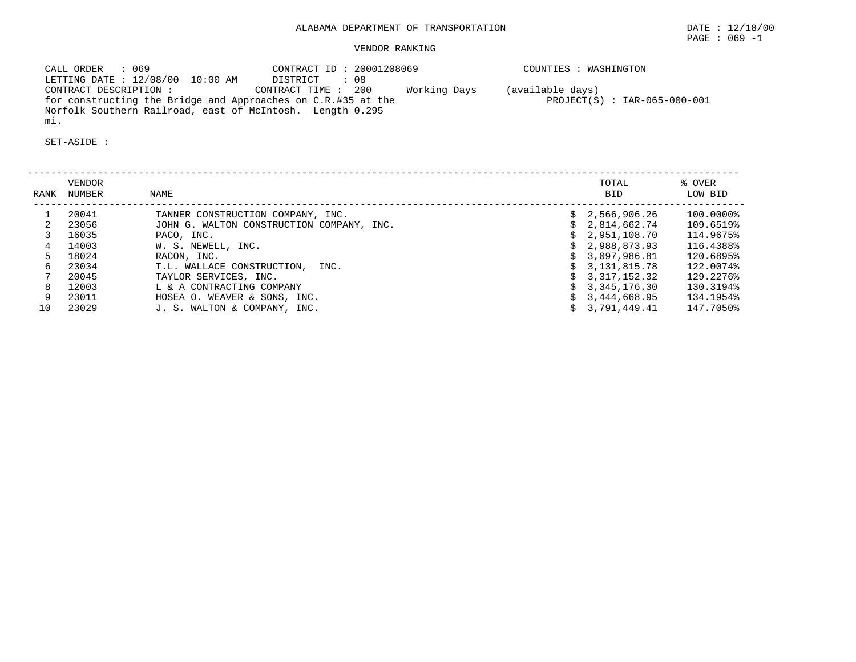# VENDOR RANKING

 CALL ORDER : 069 CONTRACT ID : 20001208069 COUNTIES : WASHINGTON LETTING DATE : 12/08/00 10:00 AM DISTRICT : 08 CONTRACT DESCRIPTION : CONTRACT TIME : 200 Working Days (available days) for constructing the Bridge and Approaches on C.R.#35 at the PROJECT(S) : IAR-065-000-001 Norfolk Southern Railroad, east of McIntosh. Length 0.295 mi.

| RANK | <b>VENDOR</b><br>NUMBER | NAME                                      |    | TOTAL<br><b>BID</b> | % OVER<br>LOW BID |
|------|-------------------------|-------------------------------------------|----|---------------------|-------------------|
|      | 20041                   | TANNER CONSTRUCTION COMPANY, INC.         | Ŝ. | 2,566,906.26        | 100.0000%         |
|      | 23056                   | JOHN G. WALTON CONSTRUCTION COMPANY, INC. |    | 2,814,662.74        | 109.6519%         |
|      | 16035                   | PACO, INC.                                |    | 2,951,108.70        | 114.9675%         |
|      | 14003                   | W. S. NEWELL, INC.                        |    | 2,988,873.93        | 116.4388%         |
|      | 18024                   | RACON, INC.                               |    | 3,097,986.81        | 120.6895%         |
|      | 23034                   | T.L. WALLACE CONSTRUCTION,<br>INC.        |    | 3,131,815.78        | 122.0074%         |
|      | 20045                   | TAYLOR SERVICES, INC.                     |    | 3, 317, 152, 32     | 129.2276%         |
| 8    | 12003                   | L & A CONTRACTING COMPANY                 |    | 3,345,176.30        | 130.3194%         |
| 9    | 23011                   | HOSEA O. WEAVER & SONS, INC.              |    | 3,444,668.95        | 134.1954%         |
| 10   | 23029                   | J. S. WALTON & COMPANY, INC.              |    | 3,791,449.41        | 147.7050%         |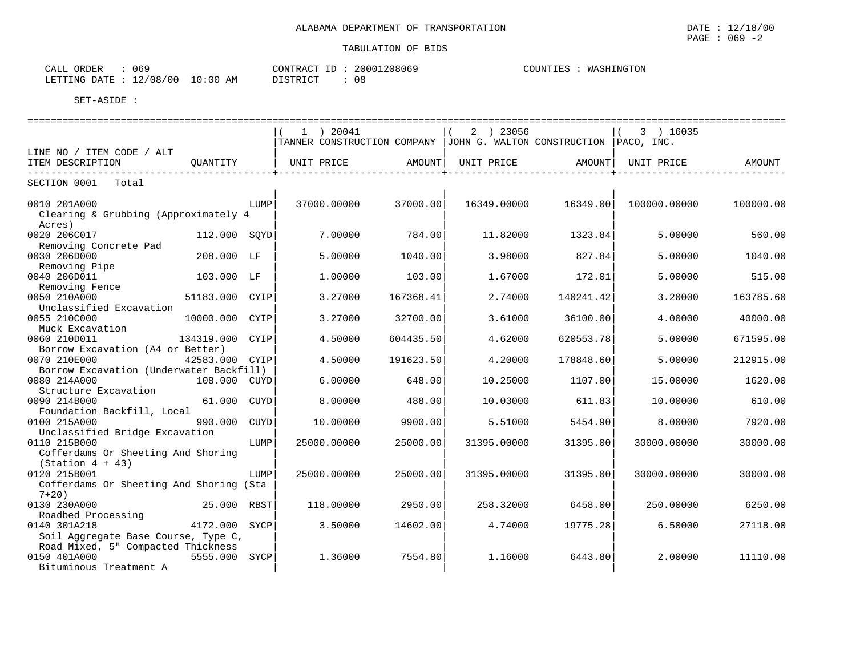| ORDER<br>CALL          | 069        |          | CONTRACT ID: 20001208069 | COUNTIES<br>WASHINGTON |
|------------------------|------------|----------|--------------------------|------------------------|
| LETTING DATE: 12/08/00 | $10:00$ AM | DISTRICT | 08                       |                        |

| =============================                        |                 |      |                   |           |                                                                        |           |              |           |
|------------------------------------------------------|-----------------|------|-------------------|-----------|------------------------------------------------------------------------|-----------|--------------|-----------|
|                                                      |                 |      | $1$ ) 20041       |           | 2 ) 23056                                                              |           | $(3)$ 16035  |           |
|                                                      |                 |      |                   |           | TANNER CONSTRUCTION COMPANY   JOHN G. WALTON CONSTRUCTION   PACO, INC. |           |              |           |
| LINE NO / ITEM CODE / ALT                            |                 |      |                   |           |                                                                        |           |              |           |
| ITEM DESCRIPTION                                     | QUANTITY        |      | UNIT PRICE AMOUNT |           | UNIT PRICE                                                             | AMOUNT    | UNIT PRICE   | AMOUNT    |
|                                                      |                 |      |                   |           |                                                                        |           |              |           |
| SECTION 0001 Total                                   |                 |      |                   |           |                                                                        |           |              |           |
| 0010 201A000<br>Clearing & Grubbing (Approximately 4 |                 | LUMP | 37000.00000       | 37000.00  | 16349.00000                                                            | 16349.00  | 100000.00000 | 100000.00 |
| Acres)                                               |                 |      |                   |           |                                                                        |           |              |           |
| 0020 206C017                                         | 112.000 SOYD    |      | 7.00000           | 784.00    | 11.82000                                                               | 1323.84   | 5.00000      | 560.00    |
| Removing Concrete Pad                                |                 |      |                   |           |                                                                        |           |              |           |
| 0030 206D000                                         | 208.000 LF      |      | 5.00000           | 1040.00   | 3.98000                                                                | 827.84    | 5.00000      | 1040.00   |
| Removing Pipe                                        |                 |      |                   |           |                                                                        |           |              |           |
| 0040 206D011                                         | 103.000 LF      |      | 1.00000           | 103.00    | 1.67000                                                                | 172.01    | 5,00000      | 515.00    |
| Removing Fence                                       |                 |      |                   |           |                                                                        |           |              |           |
| 0050 210A000                                         | 51183.000 CYIP  |      | 3.27000           | 167368.41 | 2.74000                                                                | 140241.42 | 3.20000      | 163785.60 |
| Unclassified Excavation                              |                 |      |                   |           |                                                                        |           |              |           |
| 0055 210C000                                         | 10000.000 CYIP  |      | 3.27000           | 32700.00  | 3.61000                                                                | 36100.00  | 4.00000      | 40000.00  |
| Muck Excavation                                      |                 |      |                   |           |                                                                        |           |              |           |
| 0060 210D011                                         | 134319.000 CYIP |      | 4.50000           | 604435.50 | 4.62000                                                                | 620553.78 | 5.00000      | 671595.00 |
| Borrow Excavation (A4 or Better)<br>0070 210E000     | 42583.000 CYIP  |      | 4.50000           | 191623.50 | 4.20000                                                                | 178848.60 | 5.00000      | 212915.00 |
| Borrow Excavation (Underwater Backfill)              |                 |      |                   |           |                                                                        |           |              |           |
| 0080 214A000                                         | 108.000 CUYD    |      | 6.00000           | 648.00    | 10.25000                                                               | 1107.00   | 15.00000     | 1620.00   |
| Structure Excavation                                 |                 |      |                   |           |                                                                        |           |              |           |
| 0090 214B000                                         | 61.000 CUYD     |      | 8,00000           | 488.00    | 10.03000                                                               | 611.83    | 10.00000     | 610.00    |
| Foundation Backfill, Local                           |                 |      |                   |           |                                                                        |           |              |           |
| 990.000<br>0100 215A000                              |                 | CUYD | 10.00000          | 9900.00   | 5.51000                                                                | 5454.90   | 8,00000      | 7920.00   |
| Unclassified Bridge Excavation                       |                 |      |                   |           |                                                                        |           |              |           |
| 0110 215B000                                         |                 | LUMP | 25000.00000       | 25000.00  | 31395.00000                                                            | 31395.00  | 30000.00000  | 30000.00  |
| Cofferdams Or Sheeting And Shoring                   |                 |      |                   |           |                                                                        |           |              |           |
| $(Station 4 + 43)$                                   |                 |      |                   |           |                                                                        |           |              |           |
| 0120 215B001                                         |                 | LUMP | 25000.00000       | 25000.00  | 31395.00000                                                            | 31395.00  | 30000.00000  | 30000.00  |
| Cofferdams Or Sheeting And Shoring (Sta              |                 |      |                   |           |                                                                        |           |              |           |
| $7+20$ )                                             |                 |      |                   |           |                                                                        |           |              |           |
| 0130 230A000                                         | 25.000 RBST     |      | 118,00000         | 2950.001  | 258.32000                                                              | 6458.001  | 250.00000    | 6250.00   |
| Roadbed Processing                                   |                 |      |                   |           |                                                                        |           |              |           |
| 0140 301A218                                         | 4172.000 SYCP   |      | 3.50000           | 14602.00  | 4.74000                                                                | 19775.28  | 6.50000      | 27118.00  |
| Soil Aggregate Base Course, Type C,                  |                 |      |                   |           |                                                                        |           |              |           |
| Road Mixed, 5" Compacted Thickness                   |                 |      |                   |           |                                                                        |           |              |           |
| 0150 401A000                                         | 5555.000 SYCP   |      | 1.36000           | 7554.80   | 1,16000                                                                | 6443.80   | 2,00000      | 11110.00  |
| Bituminous Treatment A                               |                 |      |                   |           |                                                                        |           |              |           |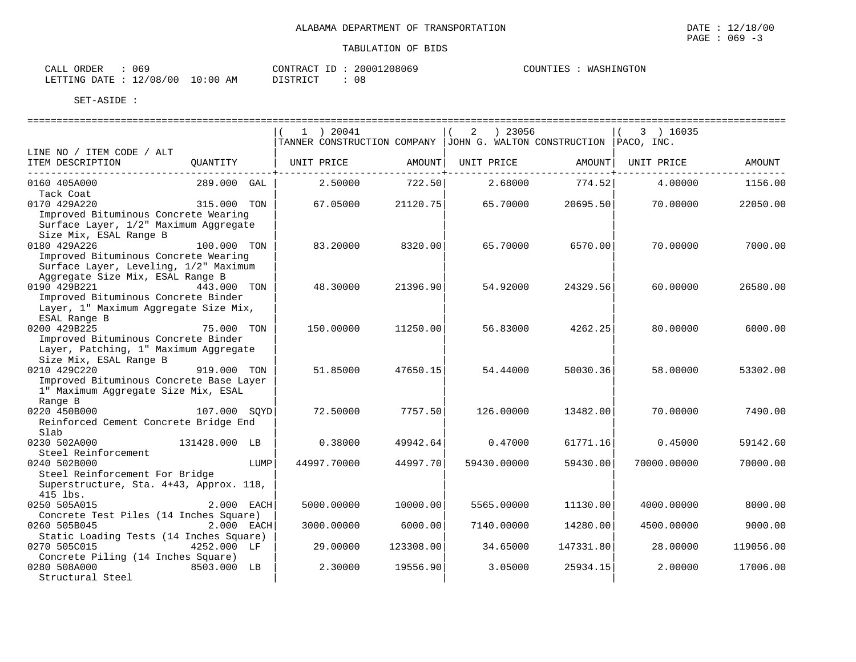| CONTRACT ID: 20001208069 | COUNTIES : WASHINGTON |
|--------------------------|-----------------------|

| ORDER<br>$\sim$ $\sim$ $\sim$<br>$\mathbf{r}$<br>CALL<br>UO- |                | $\cap$ מידי $\cap$<br>--<br>$\overline{\phantom{a}}$ | .<br>) 8 0 6 9 | . JI INE<br>ە تىل بىل | FTON<br>M A<br>'NG |
|--------------------------------------------------------------|----------------|------------------------------------------------------|----------------|-----------------------|--------------------|
| 00'<br>LETTING<br>/ ٩٨<br>DATE.<br><u>، د</u>                | :00<br>ΑM<br>u | די מידי פידי                                         | $\sim$<br>UG   |                       |                    |

|                                                                                                                                   |               | $1$ ) 20041<br>TANNER CONSTRUCTION COMPANY |           | ) 23056<br>2<br>JOHN G. WALTON CONSTRUCTION PACO, INC. |           | 3 ) 16035   |           |
|-----------------------------------------------------------------------------------------------------------------------------------|---------------|--------------------------------------------|-----------|--------------------------------------------------------|-----------|-------------|-----------|
| LINE NO / ITEM CODE / ALT                                                                                                         |               |                                            |           |                                                        |           |             |           |
| ITEM DESCRIPTION                                                                                                                  | OUANTITY      | UNIT PRICE                                 | AMOUNT    | UNIT PRICE                                             | AMOUNT    | UNIT PRICE  | AMOUNT    |
| 0160 405A000<br>Tack Coat                                                                                                         | 289.000 GAL   | 2.50000                                    | 722.50    | 2.68000                                                | 774.52    | 4.00000     | 1156.00   |
| 0170 429A220<br>Improved Bituminous Concrete Wearing<br>Surface Layer, 1/2" Maximum Aggregate<br>Size Mix, ESAL Range B           | 315,000 TON   | 67.05000                                   | 21120.75  | 65.70000                                               | 20695.50  | 70.00000    | 22050.00  |
| 0180 429A226<br>Improved Bituminous Concrete Wearing<br>Surface Layer, Leveling, 1/2" Maximum<br>Aggregate Size Mix, ESAL Range B | 100.000 TON   | 83.20000                                   | 8320.00   | 65.70000                                               | 6570.00   | 70.00000    | 7000.00   |
| 0190 429B221<br>Improved Bituminous Concrete Binder<br>Layer, 1" Maximum Aggregate Size Mix,<br>ESAL Range B                      | 443.000 TON   | 48.30000                                   | 21396.90  | 54.92000                                               | 24329.56  | 60.00000    | 26580.00  |
| 0200 429B225<br>Improved Bituminous Concrete Binder<br>Layer, Patching, 1" Maximum Aggregate<br>Size Mix, ESAL Range B            | 75.000 TON    | 150.00000                                  | 11250.00  | 56.83000                                               | 4262.25   | 80.00000    | 6000.00   |
| 0210 429C220<br>Improved Bituminous Concrete Base Layer<br>1" Maximum Aggregate Size Mix, ESAL<br>Range B                         | 919.000 TON   | 51.85000                                   | 47650.15  | 54.44000                                               | 50030.36  | 58.00000    | 53302.00  |
| 0220 450B000<br>Reinforced Cement Concrete Bridge End<br>Slab                                                                     | 107.000 SOYD  | 72.50000                                   | 7757.50   | 126.00000                                              | 13482.00  | 70.00000    | 7490.00   |
| 0230 502A000<br>Steel Reinforcement                                                                                               | 131428.000 LB | 0.38000                                    | 49942.64  | 0.47000                                                | 61771.16  | 0.45000     | 59142.60  |
| 0240 502B000<br>Steel Reinforcement For Bridge<br>Superstructure, Sta. 4+43, Approx. 118,<br>415 lbs.                             | LUMP          | 44997.70000                                | 44997.70  | 59430.00000                                            | 59430.00  | 70000.00000 | 70000.00  |
| 0250 505A015<br>Concrete Test Piles (14 Inches Square)                                                                            | 2.000 EACH    | 5000.00000                                 | 10000.00  | 5565.00000                                             | 11130.00  | 4000.00000  | 8000.00   |
| 0260 505B045                                                                                                                      | 2.000 EACH    | 3000.00000                                 | 6000.00   | 7140.00000                                             | 14280.00  | 4500.00000  | 9000.00   |
| Static Loading Tests (14 Inches Square)<br>0270 505C015                                                                           | 4252.000 LF   | 29,00000                                   | 123308.00 | 34.65000                                               | 147331.80 | 28,00000    | 119056.00 |
| Concrete Piling (14 Inches Square)<br>0280 508A000<br>Structural Steel                                                            | 8503.000 LB   | 2.30000                                    | 19556.90  | 3.05000                                                | 25934.15  | 2.00000     | 17006.00  |

PAGE : 069 -3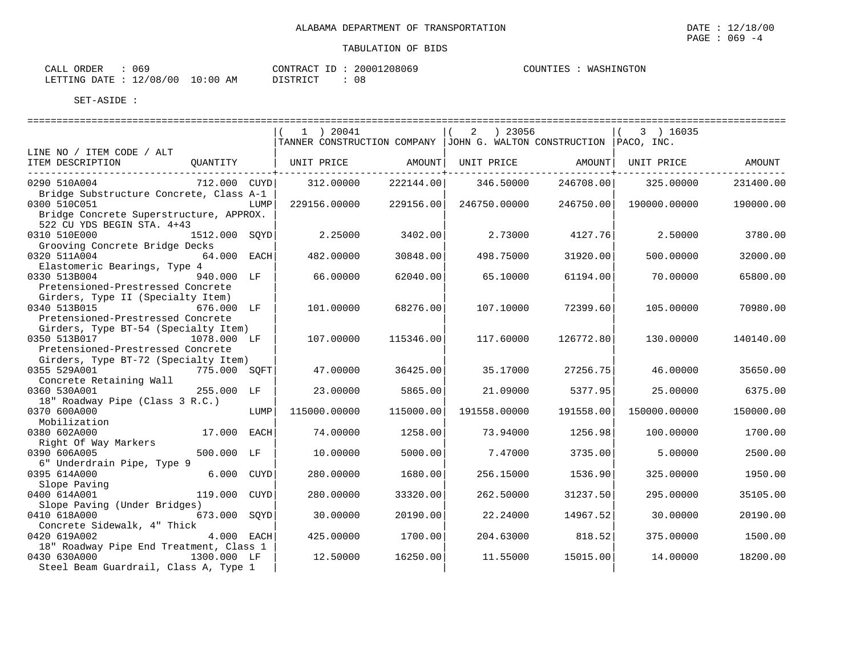| $\sim$ $\sim$ $\sim$<br>ORDER<br>$\mathbf{r}$<br>ىلىلەت<br>UD. |                  | CONTRAC<br>T <sub>D</sub> | 20001208069   | COUNTIES<br>. | INGTON<br><b>WAS</b> |
|----------------------------------------------------------------|------------------|---------------------------|---------------|---------------|----------------------|
| 2/08/00<br>LETTING<br>DATE<br>ᅩᇫ                               | $\bot0:00$<br>AM | DI STRICT                 | $\sim$<br>U C |               |                      |

|                                                                                                    |               | $1$ ) 20041       |           | 2 ) 23056<br>TANNER CONSTRUCTION COMPANY   JOHN G. WALTON CONSTRUCTION   PACO, INC. |           | $(3)$ 16035  |           |
|----------------------------------------------------------------------------------------------------|---------------|-------------------|-----------|-------------------------------------------------------------------------------------|-----------|--------------|-----------|
| LINE NO / ITEM CODE / ALT                                                                          |               |                   |           |                                                                                     |           |              |           |
| ITEM DESCRIPTION                                                                                   | OUANTITY      | UNIT PRICE AMOUNT |           | UNIT PRICE AMOUNT                                                                   |           | UNIT PRICE   | AMOUNT    |
| 0290 510A004                                                                                       | 712.000 CUYD  | 312,00000         | 222144.00 | 346.50000                                                                           | 246708.00 | 325,00000    | 231400.00 |
| Bridge Substructure Concrete, Class A-1<br>0300 510C051<br>Bridge Concrete Superstructure, APPROX. | LUMP          | 229156.00000      | 229156.00 | 246750.00000                                                                        | 246750.00 | 190000.00000 | 190000.00 |
| 522 CU YDS BEGIN STA. 4+43<br>0310 510E000<br>Grooving Concrete Bridge Decks                       | 1512.000 SOYD | 2.25000           | 3402.00   | 2.73000                                                                             | 4127.76   | 2.50000      | 3780.00   |
| 0320 511A004<br>Elastomeric Bearings, Type 4                                                       | 64.000 EACH   | 482.00000         | 30848.00  | 498.75000                                                                           | 31920.00  | 500,00000    | 32000.00  |
| 0330 513B004<br>Pretensioned-Prestressed Concrete                                                  | 940.000 LF    | 66.00000          | 62040.00  | 65.10000                                                                            | 61194.00  | 70.00000     | 65800.00  |
| Girders, Type II (Specialty Item)<br>0340 513B015<br>Pretensioned-Prestressed Concrete             | 676.000 LF    | 101.00000         | 68276.00  | 107.10000                                                                           | 72399.60  | 105,00000    | 70980.00  |
| Girders, Type BT-54 (Specialty Item)<br>0350 513B017<br>Pretensioned-Prestressed Concrete          | 1078.000 LF   | 107.00000         | 115346.00 | 117.60000                                                                           | 126772.80 | 130.00000    | 140140.00 |
| Girders, Type BT-72 (Specialty Item)<br>0355 529A001                                               | 775.000 SOFT  | 47.00000          | 36425.00  | 35.17000                                                                            | 27256.75  | 46.00000     | 35650.00  |
| Concrete Retaining Wall<br>0360 530A001                                                            | 255.000 LF    | 23,00000          | 5865.00   | 21,09000                                                                            | 5377.95   | 25,00000     | 6375.00   |
| 18" Roadway Pipe (Class 3 R.C.)<br>0370 600A000<br>Mobilization                                    | LUMP          | 115000.00000      | 115000.00 | 191558.00000                                                                        | 191558.00 | 150000.00000 | 150000.00 |
| 0380 602A000<br>Right Of Way Markers                                                               | 17.000 EACH   | 74.00000          | 1258.00   | 73.94000                                                                            | 1256.98   | 100,00000    | 1700.00   |
| 0390 606A005<br>6" Underdrain Pipe, Type 9                                                         | 500.000 LF    | 10.00000          | 5000.00   | 7.47000                                                                             | 3735.00   | 5.00000      | 2500.00   |
| 0395 614A000<br>Slope Paving                                                                       | 6.000 CUYD    | 280.00000         | 1680.00   | 256.15000                                                                           | 1536.90   | 325.00000    | 1950.00   |
| 0400 614A001<br>Slope Paving (Under Bridges)                                                       | 119.000 CUYD  | 280.00000         | 33320.00  | 262.50000                                                                           | 31237.50  | 295.00000    | 35105.00  |
| 0410 618A000<br>Concrete Sidewalk, 4" Thick                                                        | 673.000 SOYD  | 30.00000          | 20190.00  | 22.24000                                                                            | 14967.52  | 30,00000     | 20190.00  |
| 0420 619A002<br>18" Roadway Pipe End Treatment, Class 1                                            | 4.000 EACH    | 425.00000         | 1700.00   | 204.63000                                                                           | 818.52    | 375.00000    | 1500.00   |
| 0430 630A000<br>Steel Beam Guardrail, Class A, Type 1                                              | 1300.000 LF   | 12.50000          | 16250.00  | 11.55000                                                                            | 15015.00  | 14.00000     | 18200.00  |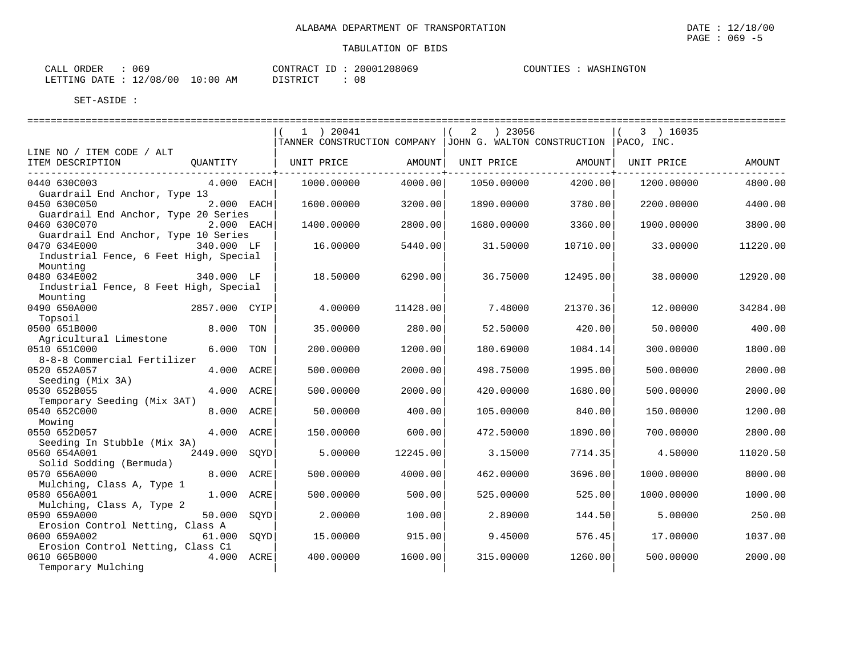==================================================================================================================================

| 069<br>CALL ORDER |                                  | CONTRACT ID: 20001208069 | COUNTIES : WASHINGTON |
|-------------------|----------------------------------|--------------------------|-----------------------|
|                   | LETTING DATE : 12/08/00 10:00 AM | - 08<br>DISTRICT         |                       |

|                                                                                       | 1 ) 20041<br>TANNER CONSTRUCTION COMPANY   JOHN G. WALTON CONSTRUCTION   PACO, INC. |          | 2<br>) 23056 |          | 3 ) 16035  |          |
|---------------------------------------------------------------------------------------|-------------------------------------------------------------------------------------|----------|--------------|----------|------------|----------|
| LINE NO / ITEM CODE / ALT                                                             |                                                                                     |          |              |          |            |          |
| ITEM DESCRIPTION<br>QUANTITY<br>--------------------------                            | UNIT PRICE                                                                          | AMOUNT   | UNIT PRICE   | AMOUNT   | UNIT PRICE | AMOUNT   |
| 0440 630C003<br>$4.000$ EACH<br>Guardrail End Anchor, Type 13                         | 1000.00000                                                                          | 4000.00  | 1050.00000   | 4200.00  | 1200.00000 | 4800.00  |
| 0450 630C050<br>2.000 EACH<br>Guardrail End Anchor, Type 20 Series                    | 1600.00000                                                                          | 3200.00  | 1890.00000   | 3780.00  | 2200.00000 | 4400.00  |
| 0460 630C070<br>2.000 EACH<br>Guardrail End Anchor, Type 10 Series                    | 1400.00000                                                                          | 2800.00  | 1680.00000   | 3360.00  | 1900.00000 | 3800.00  |
| 0470 634E000<br>340.000 LF<br>Industrial Fence, 6 Feet High, Special<br>Mounting      | 16.00000                                                                            | 5440.00  | 31.50000     | 10710.00 | 33.00000   | 11220.00 |
| 0480 634E002<br>340.000 LF<br>Industrial Fence, 8 Feet High, Special<br>Mounting      | 18.50000                                                                            | 6290.00  | 36.75000     | 12495.00 | 38,00000   | 12920.00 |
| 0490 650A000<br>2857.000 CYIP<br>Topsoil                                              | 4.00000                                                                             | 11428.00 | 7.48000      | 21370.36 | 12,00000   | 34284.00 |
| 0500 651B000<br>8.000 TON<br>Agricultural Limestone                                   | 35.00000                                                                            | 280.00   | 52.50000     | 420.00   | 50.00000   | 400.00   |
| 6.000<br>0510 651C000<br>TON<br>8-8-8 Commercial Fertilizer                           | 200.00000                                                                           | 1200.00  | 180.69000    | 1084.14  | 300.00000  | 1800.00  |
| 0520 652A057<br>4.000 ACRE                                                            | 500.00000                                                                           | 2000.00  | 498.75000    | 1995.00  | 500.00000  | 2000.00  |
| Seeding (Mix 3A)<br>0530 652B055<br>4.000 ACRE                                        | 500.00000                                                                           | 2000.00  | 420.00000    | 1680.00  | 500.00000  | 2000.00  |
| Temporary Seeding (Mix 3AT)<br>0540 652C000<br>8.000 ACRE                             | 50.00000                                                                            | 400.00   | 105.00000    | 840.00   | 150.00000  | 1200.00  |
| Mowing<br>4.000 ACRE<br>0550 652D057                                                  | 150.00000                                                                           | 600.00   | 472.50000    | 1890.00  | 700.00000  | 2800.00  |
| Seeding In Stubble (Mix 3A)<br>0560 654A001<br>2449.000 SOYD                          | 5.00000                                                                             | 12245.00 | 3.15000      | 7714.35  | 4.50000    | 11020.50 |
| Solid Sodding (Bermuda)<br>0570 656A000<br>8.000 ACRE                                 | 500.00000                                                                           | 4000.00  | 462.00000    | 3696.00  | 1000.00000 | 8000.00  |
| Mulching, Class A, Type 1<br>1.000 ACRE<br>0580 656A001                               | 500.00000                                                                           | 500.00   | 525.00000    | 525.00   | 1000.00000 | 1000.00  |
| Mulching, Class A, Type 2<br>0590 659A000<br>50.000 SOYD                              | 2.00000                                                                             | 100.00   | 2.89000      | 144.50   | 5.00000    | 250.00   |
| Erosion Control Netting, Class A<br>61.000 SQYD<br>0600 659A002                       | 15,00000                                                                            | 915.00   | 9.45000      | 576.45   | 17.00000   | 1037.00  |
| Erosion Control Netting, Class C1<br>0610 665B000<br>4.000 ACRE<br>Temporary Mulching | 400.00000                                                                           | 1600.00  | 315.00000    | 1260.00  | 500.00000  | 2000.00  |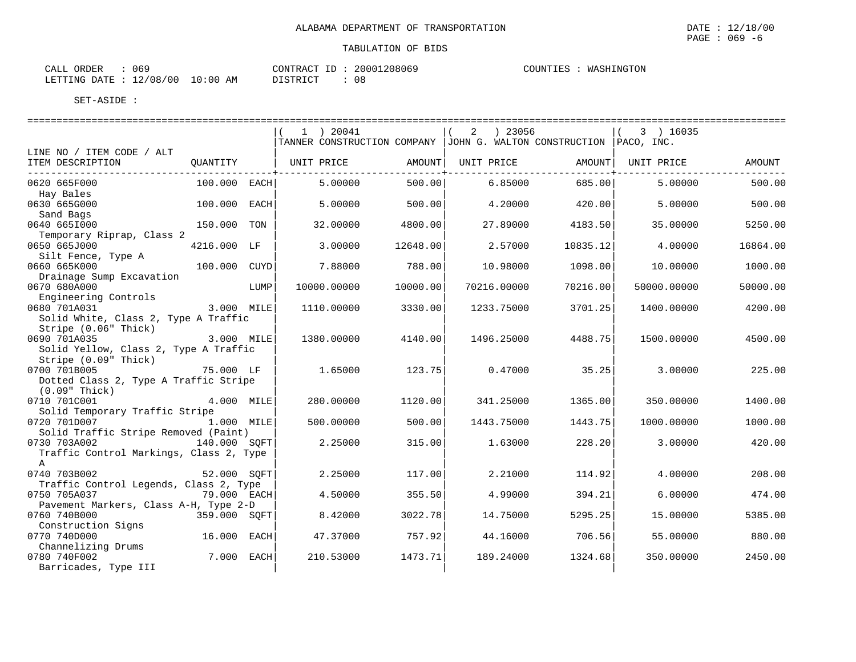| ORDER<br>CALL    | 069      |             | CONTRACT ID: | 20001208069 | COUNTIES<br>WASHINGTON |
|------------------|----------|-------------|--------------|-------------|------------------------|
| LETTING DATE : ' | 12/08/00 | 10:00<br>ΆM | DI STRICT    | -0.6        |                        |

|                                                          |                |      | $1$ ) 20041<br>TANNER CONSTRUCTION COMPANY JJOHN G. WALTON CONSTRUCTION PACO, INC. |          | ) 23056<br>2 |          | $(3)$ 16035 |          |
|----------------------------------------------------------|----------------|------|------------------------------------------------------------------------------------|----------|--------------|----------|-------------|----------|
| LINE NO / ITEM CODE / ALT                                |                |      |                                                                                    |          |              |          |             |          |
| ITEM DESCRIPTION                                         | OUANTITY       |      | UNIT PRICE                                                                         | AMOUNT   | UNIT PRICE   | AMOUNT   | UNIT PRICE  | AMOUNT   |
| 0620 665F000                                             | $100.000$ EACH |      | 5,00000                                                                            | 500.00   | 6.85000      | 685.00   | 5.00000     | 500.00   |
| Hay Bales                                                |                |      |                                                                                    |          |              |          |             |          |
| 0630 665G000                                             | 100.000 EACH   |      | 5.00000                                                                            | 500.00   | 4.20000      | 420.00   | 5.00000     | 500.00   |
| Sand Bags                                                |                |      |                                                                                    |          |              |          |             |          |
| 0640 6651000<br>Temporary Riprap, Class 2                | 150.000 TON    |      | 32.00000                                                                           | 4800.00  | 27.89000     | 4183.50  | 35.00000    | 5250.00  |
| 0650 665J000                                             | 4216.000 LF    |      | 3,00000                                                                            | 12648.00 | 2.57000      | 10835.12 | 4.00000     | 16864.00 |
| Silt Fence, Type A                                       |                |      |                                                                                    |          |              |          |             |          |
| 0660 665K000                                             | 100.000 CUYD   |      | 7.88000                                                                            | 788.00   | 10.98000     | 1098.00  | 10.00000    | 1000.00  |
| Drainage Sump Excavation                                 |                |      |                                                                                    |          |              |          |             |          |
| 0670 680A000                                             |                | LUMP | 10000.00000                                                                        | 10000.00 | 70216.00000  | 70216.00 | 50000.00000 | 50000.00 |
| Engineering Controls                                     |                |      |                                                                                    |          |              |          |             |          |
| 0680 701A031                                             | 3.000 MILE     |      | 1110.00000                                                                         | 3330.00  | 1233.75000   | 3701.25  | 1400.00000  | 4200.00  |
| Solid White, Class 2, Type A Traffic                     |                |      |                                                                                    |          |              |          |             |          |
| Stripe (0.06" Thick)                                     |                |      |                                                                                    |          |              |          |             |          |
| 3.000 MILE<br>0690 701A035                               |                |      | 1380.00000                                                                         | 4140.00  | 1496.25000   | 4488.75  | 1500.00000  | 4500.00  |
| Solid Yellow, Class 2, Type A Traffic                    |                |      |                                                                                    |          |              |          |             |          |
| Stripe (0.09" Thick)                                     |                |      |                                                                                    |          |              |          |             |          |
| 0700 701B005                                             | 75.000 LF      |      | 1.65000                                                                            | 123.75   | 0.47000      | 35.25    | 3.00000     | 225.00   |
| Dotted Class 2, Type A Traffic Stripe<br>$(0.09"$ Thick) |                |      |                                                                                    |          |              |          |             |          |
| 0710 701C001                                             | 4.000 MILE     |      | 280.00000                                                                          | 1120.00  | 341.25000    | 1365.00  | 350.00000   | 1400.00  |
| Solid Temporary Traffic Stripe                           |                |      |                                                                                    |          |              |          |             |          |
| 0720 701D007 1.000 MILE                                  |                |      | 500.00000                                                                          | 500.00   | 1443.75000   | 1443.75  | 1000.00000  | 1000.00  |
| Solid Traffic Stripe Removed (Paint)                     |                |      |                                                                                    |          |              |          |             |          |
| 0730 703A002                                             | 140.000 SOFT   |      | 2.25000                                                                            | 315.00   | 1.63000      | 228.20   | 3.00000     | 420.00   |
| Traffic Control Markings, Class 2, Type                  |                |      |                                                                                    |          |              |          |             |          |
| A                                                        |                |      |                                                                                    |          |              |          |             |          |
| 0740 703B002                                             | 52.000 SOFT    |      | 2.25000                                                                            | 117.00   | 2.21000      | 114.92   | 4.00000     | 208.00   |
| Traffic Control Legends, Class 2, Type                   |                |      |                                                                                    |          |              |          |             |          |
| 0750 705A037<br>79.000 EACH                              |                |      | 4.50000                                                                            | 355.50   | 4.99000      | 394.21   | 6.00000     | 474.00   |
| Pavement Markers, Class A-H, Type 2-D                    |                |      |                                                                                    |          |              |          |             |          |
| 0760 740B000                                             | 359.000 SOFT   |      | 8.42000                                                                            | 3022.78  | 14.75000     | 5295.25  | 15.00000    | 5385.00  |
| Construction Signs                                       |                |      |                                                                                    |          |              |          |             |          |
| 0770 740D000                                             | 16.000 EACH    |      | 47.37000                                                                           | 757.92   | 44.16000     | 706.56   | 55.00000    | 880.00   |
| Channelizing Drums                                       |                |      |                                                                                    |          |              |          |             |          |
| 0780 740F002                                             | 7.000 EACH     |      | 210.53000                                                                          | 1473.71  | 189.24000    | 1324.68  | 350.00000   | 2450.00  |
| Barricades, Type III                                     |                |      |                                                                                    |          |              |          |             |          |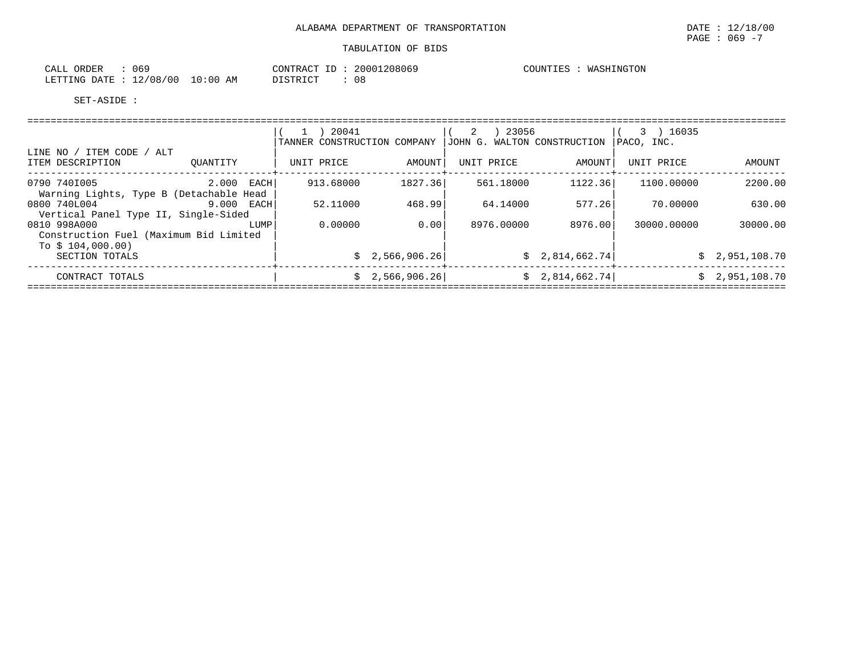| $\sim$ $\sim$ $\sim$<br>ORDER<br>$\mathbf{r}$<br>CALL<br>UO. |             | CONTRAC<br>$-$ | 208069<br>2000 | COUN'<br>ᆂᅖ | INGTON<br>TvT 7. |
|--------------------------------------------------------------|-------------|----------------|----------------|-------------|------------------|
| 2/08/<br>LETTING<br>00 /<br>$\sim$<br>DATE<br>ᅩᄼ             | -0:00<br>AΜ | DI STRICT      | $\sim$<br>U C  |             |                  |

|                                                                             |            | 20041<br>TANNER CONSTRUCTION COMPANY |                 | ) 23056<br>2<br>JOHN G. WALTON CONSTRUCTION |                 | 3 ) 16035<br>PACO, INC. |                |
|-----------------------------------------------------------------------------|------------|--------------------------------------|-----------------|---------------------------------------------|-----------------|-------------------------|----------------|
| LINE NO / ITEM CODE / ALT<br>ITEM DESCRIPTION                               | OUANTITY   | UNIT PRICE                           | AMOUNT          | UNIT PRICE                                  | AMOUNT          | UNIT PRICE              | AMOUNT         |
| 0790 7401005<br>Warning Lights, Type B (Detachable Head                     | 2.000 EACH | 913.68000                            | 1827.36         | 561.18000                                   | 1122.36         | 1100.00000              | 2200.00        |
| 0800 740L004<br>Vertical Panel Type II, Single-Sided                        | 9.000 EACH | 52.11000                             | 468.99          | 64.14000                                    | 577.26          | 70.00000                | 630.00         |
| 0810 998A000<br>Construction Fuel (Maximum Bid Limited<br>To $$104,000.00)$ | LUMP       | 0.00000                              | 0.00            | 8976.00000                                  | 8976.00         | 30000.00000             | 30000.00       |
| SECTION TOTALS                                                              |            |                                      | \$2,566,906.26] |                                             | \$2,814,662.74] |                         | \$2,951,108.70 |
| CONTRACT TOTALS                                                             |            |                                      | \$2,566,906.26] |                                             | \$2,814,662.74] |                         | \$2,951,108.70 |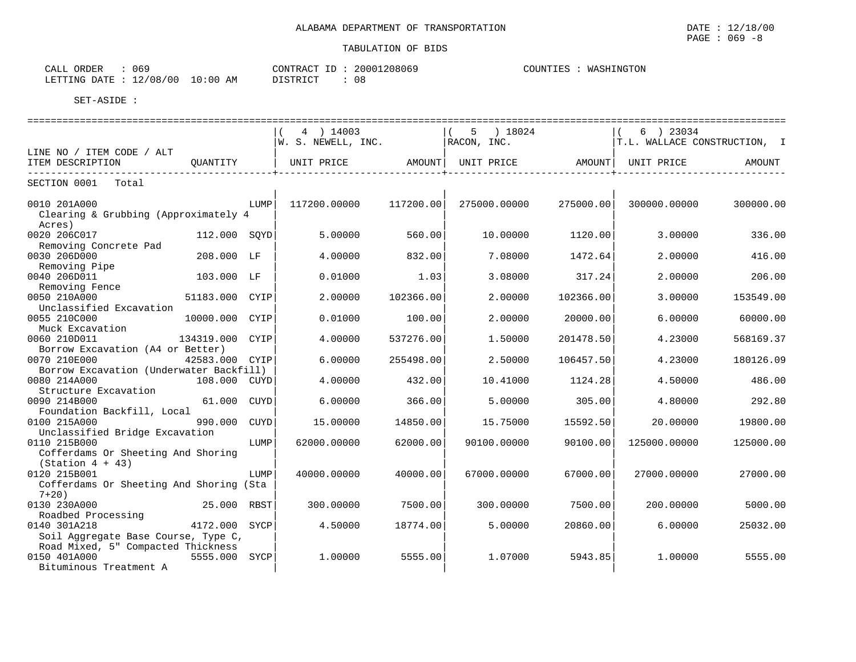$\text{CALL}$  ORDER : 069  $\text{CONTRACT ID}: 20001208069$ COUNTIES : WASHINGTON LETTING DATE : 12/08/00 10:00 AM DISTRICT : 08

|                                                                | ==============  |             |                                                  |           |                        |           |                              |           |
|----------------------------------------------------------------|-----------------|-------------|--------------------------------------------------|-----------|------------------------|-----------|------------------------------|-----------|
|                                                                |                 |             | 4 ) 14003                                        |           | $5 \t) 18024$          |           | $(6)$ 23034                  |           |
|                                                                |                 |             | W. S. NEWELL, INC.                               |           | RACON, INC.            |           | T.L. WALLACE CONSTRUCTION, I |           |
| LINE NO / ITEM CODE / ALT<br>ITEM DESCRIPTION                  | QUANTITY        |             | UNIT PRICE AMOUNT  UNIT PRICE AMOUNT  UNIT PRICE |           |                        |           |                              | AMOUNT    |
|                                                                |                 |             |                                                  |           | ---------------------- |           |                              |           |
| SECTION 0001 Total                                             |                 |             |                                                  |           |                        |           |                              |           |
| 0010 201A000<br>Clearing & Grubbing (Approximately 4<br>Acres) |                 | <b>LUMP</b> | 117200.00000                                     | 117200.00 | 275000.00000           | 275000.00 | 300000.00000                 | 300000.00 |
| 0020 206C017                                                   | 112.000 SOYD    |             | 5.00000                                          | 560.00    | 10.00000               | 1120.00   | 3.00000                      | 336.00    |
| Removing Concrete Pad                                          |                 |             |                                                  |           |                        |           |                              |           |
| 0030 206D000                                                   | 208.000 LF      |             | 4.00000                                          | 832.00    | 7.08000                | 1472.64   | 2.00000                      | 416.00    |
| Removing Pipe                                                  |                 |             |                                                  |           |                        |           |                              |           |
| 0040 206D011                                                   | 103.000 LF      |             | 0.01000                                          | 1.03      | 3.08000                | 317.24    | 2.00000                      | 206.00    |
| Removing Fence                                                 |                 |             |                                                  |           |                        |           |                              |           |
| 0050 210A000                                                   | 51183.000 CYIP  |             | 2,00000                                          | 102366.00 | 2.00000                | 102366.00 | 3.00000                      | 153549.00 |
| Unclassified Excavation                                        |                 |             |                                                  |           |                        |           |                              |           |
| 0055 210C000                                                   | 10000.000 CYIP  |             | 0.01000                                          | 100.00    | 2.00000                | 20000.00  | 6.00000                      | 60000.00  |
| Muck Excavation                                                |                 |             |                                                  |           |                        |           |                              |           |
| 0060 210D011                                                   | 134319.000 CYIP |             | 4.00000                                          | 537276.00 | 1.50000                | 201478.50 | 4.23000                      | 568169.37 |
| Borrow Excavation (A4 or Better)<br>0070 210E000               |                 |             |                                                  |           |                        |           | 4.23000                      |           |
| Borrow Excavation (Underwater Backfill)                        | 42583.000 CYIP  |             | 6.00000                                          | 255498.00 | 2.50000                | 106457.50 |                              | 180126.09 |
| 0080 214A000                                                   | 108.000 CUYD    |             | 4.00000                                          | 432.00    | 10.41000               | 1124.28   | 4.50000                      | 486.00    |
| Structure Excavation                                           |                 |             |                                                  |           |                        |           |                              |           |
| 0090 214B000                                                   | 61.000 CUYD     |             | 6,00000                                          | 366.00    | 5.00000                | 305.00    | 4.80000                      | 292.80    |
| Foundation Backfill, Local                                     |                 |             |                                                  |           |                        |           |                              |           |
| 0100 215A000                                                   | 990.000         | CUYD        | 15.00000                                         | 14850.00  | 15.75000               | 15592.50  | 20.00000                     | 19800.00  |
| Unclassified Bridge Excavation                                 |                 |             |                                                  |           |                        |           |                              |           |
| 0110 215B000                                                   |                 | LUMP        | 62000.00000                                      | 62000.00  | 90100.00000            | 90100.00  | 125000.00000                 | 125000.00 |
| Cofferdams Or Sheeting And Shoring                             |                 |             |                                                  |           |                        |           |                              |           |
| $(Station 4 + 43)$                                             |                 |             |                                                  |           |                        |           |                              |           |
| 0120 215B001                                                   |                 | LUMP        | 40000.00000                                      | 40000.00  | 67000.00000            | 67000.00  | 27000.00000                  | 27000.00  |
| Cofferdams Or Sheeting And Shoring (Sta<br>$7+20$ )            |                 |             |                                                  |           |                        |           |                              |           |
| 0130 230A000                                                   | 25.000 RBST     |             | 300.00000                                        | 7500.00   | 300,00000              | 7500.00   | 200,00000                    | 5000.00   |
| Roadbed Processing                                             |                 |             |                                                  |           |                        |           |                              |           |
| 0140 301A218                                                   | 4172.000 SYCP   |             | 4.50000                                          | 18774.00  | 5.00000                | 20860.00  | 6.00000                      | 25032.00  |
| Soil Aggregate Base Course, Type C,                            |                 |             |                                                  |           |                        |           |                              |           |
| Road Mixed, 5" Compacted Thickness                             |                 |             |                                                  |           |                        |           |                              |           |
| 0150 401A000                                                   | 5555.000 SYCP   |             | 1,00000                                          | 5555.00   | 1,07000                | 5943.85   | 1,00000                      | 5555.00   |
| Bituminous Treatment A                                         |                 |             |                                                  |           |                        |           |                              |           |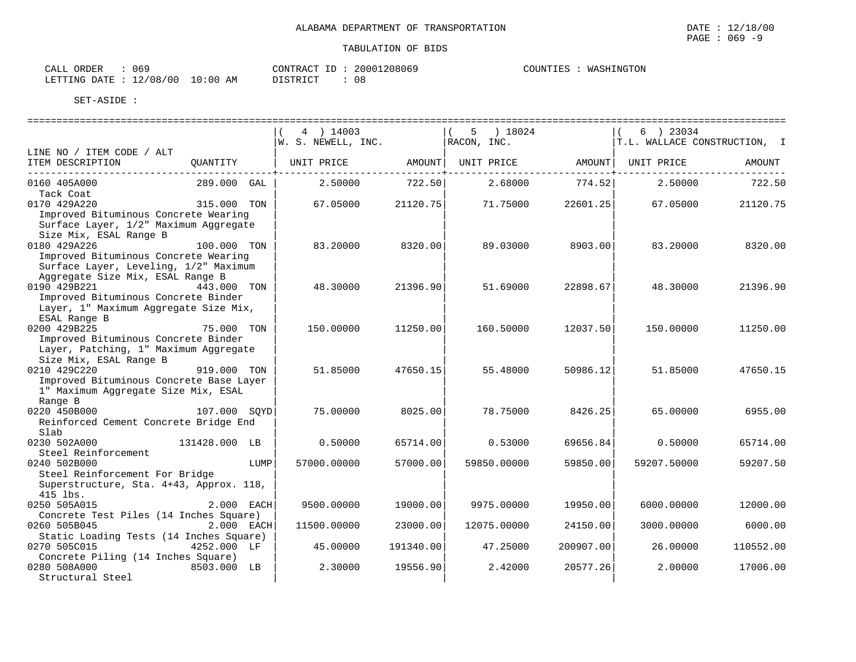| ORDER<br>CALL           | 069 |            | CONTRACT<br>ID | 20001208069      | WASHINGTON<br>COUNTIES |
|-------------------------|-----|------------|----------------|------------------|------------------------|
| LETTING DATE : 12/08/00 |     | $10:00$ AM | DISTRICT       | $\bigcap$<br>U C |                        |

|                                                                                                                         |               | 4 ) 14003<br>W. S. NEWELL, INC. |               | 5 ) 18024<br>RACON, INC. |           | 6 ) 23034   | T.L. WALLACE CONSTRUCTION, I |
|-------------------------------------------------------------------------------------------------------------------------|---------------|---------------------------------|---------------|--------------------------|-----------|-------------|------------------------------|
| LINE NO / ITEM CODE / ALT                                                                                               |               |                                 |               |                          |           |             |                              |
| ITEM DESCRIPTION                                                                                                        | OUANTITY      | UNIT PRICE                      | <b>AMOUNT</b> | UNIT PRICE               | AMOUNT    | UNIT PRICE  | AMOUNT                       |
| 0160 405A000                                                                                                            | 289.000 GAL   | 2.50000                         | 722.50        | 2.68000                  | 774.52    | 2.50000     | 722.50                       |
| Tack Coat                                                                                                               |               |                                 |               |                          |           |             |                              |
| 0170 429A220<br>Improved Bituminous Concrete Wearing<br>Surface Layer, 1/2" Maximum Aggregate<br>Size Mix, ESAL Range B | 315.000 TON   | 67.05000                        | 21120.75      | 71.75000                 | 22601.25  | 67.05000    | 21120.75                     |
| 0180 429A226                                                                                                            | 100.000 TON   | 83.20000                        | 8320.00       | 89.03000                 | 8903.00   | 83.20000    | 8320.00                      |
| Improved Bituminous Concrete Wearing<br>Surface Layer, Leveling, 1/2" Maximum<br>Aggregate Size Mix, ESAL Range B       |               |                                 |               |                          |           |             |                              |
| 0190 429B221                                                                                                            | 443.000 TON   | 48.30000                        | 21396.90      | 51.69000                 | 22898.67  | 48.30000    | 21396.90                     |
| Improved Bituminous Concrete Binder                                                                                     |               |                                 |               |                          |           |             |                              |
| Layer, 1" Maximum Aggregate Size Mix,                                                                                   |               |                                 |               |                          |           |             |                              |
| ESAL Range B                                                                                                            |               |                                 |               |                          |           |             |                              |
| 0200 429B225                                                                                                            | 75.000 TON    | 150.00000                       | 11250.00      | 160.50000                | 12037.50  | 150.00000   | 11250.00                     |
| Improved Bituminous Concrete Binder<br>Layer, Patching, 1" Maximum Aggregate<br>Size Mix, ESAL Range B                  |               |                                 |               |                          |           |             |                              |
| 0210 429C220                                                                                                            | 919.000 TON   | 51.85000                        | 47650.15      | 55.48000                 | 50986.12  | 51.85000    | 47650.15                     |
| Improved Bituminous Concrete Base Layer                                                                                 |               |                                 |               |                          |           |             |                              |
| 1" Maximum Aggregate Size Mix, ESAL                                                                                     |               |                                 |               |                          |           |             |                              |
| Range B                                                                                                                 |               |                                 |               |                          |           |             |                              |
| 0220 450B000                                                                                                            | 107.000 SOYD  | 75.00000                        | 8025.00       | 78.75000                 | 8426.25   | 65,00000    | 6955.00                      |
| Reinforced Cement Concrete Bridge End                                                                                   |               |                                 |               |                          |           |             |                              |
| Slab                                                                                                                    |               |                                 |               |                          |           |             |                              |
| 0230 502A000                                                                                                            | 131428.000 LB | 0.50000                         | 65714.00      | 0.53000                  | 69656.84  | 0.50000     | 65714.00                     |
| Steel Reinforcement                                                                                                     |               |                                 |               |                          |           |             |                              |
| 0240 502B000                                                                                                            | LUMP          | 57000.00000                     | 57000.00      | 59850.00000              | 59850.00  | 59207.50000 | 59207.50                     |
| Steel Reinforcement For Bridge                                                                                          |               |                                 |               |                          |           |             |                              |
| Superstructure, Sta. 4+43, Approx. 118,<br>415 lbs.                                                                     |               |                                 |               |                          |           |             |                              |
| 0250 505A015                                                                                                            | 2.000 EACH    | 9500.00000                      | 19000.00      | 9975.00000               | 19950.00  | 6000.00000  | 12000.00                     |
| Concrete Test Piles (14 Inches Square)                                                                                  |               |                                 |               |                          |           |             |                              |
| 0260 505B045                                                                                                            | 2.000 EACH    | 11500.00000                     | 23000.00      | 12075.00000              | 24150.00  | 3000.00000  | 6000.00                      |
| Static Loading Tests (14 Inches Square)                                                                                 |               |                                 |               |                          |           |             |                              |
| 0270 505C015                                                                                                            | 4252.000 LF   | 45.00000                        | 191340.00     | 47.25000                 | 200907.00 | 26.00000    | 110552.00                    |
| Concrete Piling (14 Inches Square)                                                                                      |               |                                 |               |                          |           |             |                              |
| 0280 508A000<br>Structural Steel                                                                                        | 8503.000 LB   | 2.30000                         | 19556.90      | 2.42000                  | 20577.26  | 2.00000     | 17006.00                     |
|                                                                                                                         |               |                                 |               |                          |           |             |                              |

PAGE : 069 -9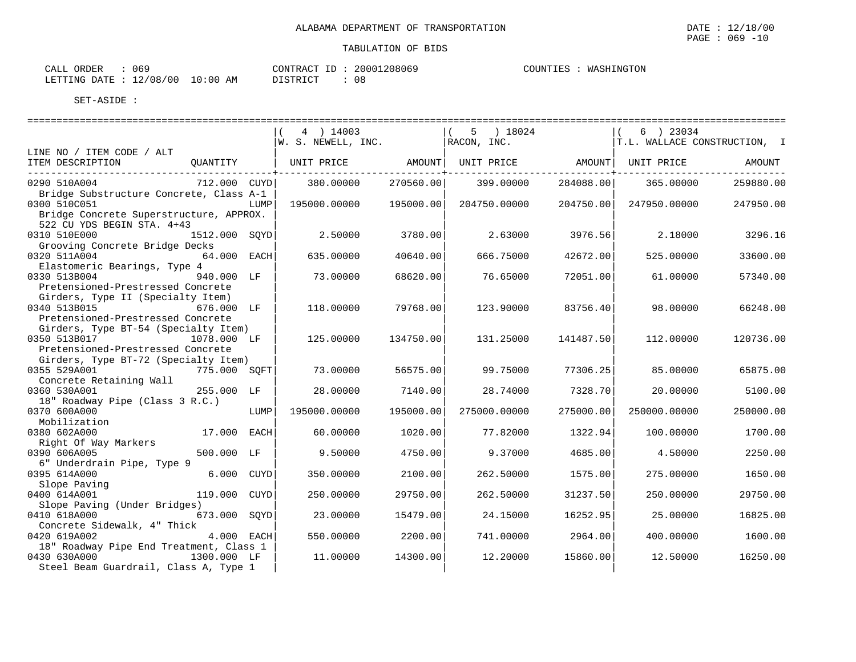| 069<br>ORDER<br>CALL             | CONTRACT ID: | 20001208069 | WASHINGTON<br>COUNTIES : |
|----------------------------------|--------------|-------------|--------------------------|
| LETTING DATE : 12/08/00 10:00 AM | DISTRICT     | UC          |                          |

|                                                                                                       |               | 4 ) 14003<br>W. S. NEWELL, INC. |           | 5 ) 18024<br>$RACON$ , $INC.$ |           | $(6)$ 23034<br>T.L. WALLACE CONSTRUCTION, I |           |
|-------------------------------------------------------------------------------------------------------|---------------|---------------------------------|-----------|-------------------------------|-----------|---------------------------------------------|-----------|
| LINE NO / ITEM CODE / ALT                                                                             |               |                                 |           |                               |           |                                             |           |
| ITEM DESCRIPTION                                                                                      | OUANTITY      | UNIT PRICE AMOUNT               |           |                               |           | UNIT PRICE AMOUNT UNIT PRICE                | AMOUNT    |
| 0290 510A004                                                                                          | 712.000 CUYD  | 380.00000                       | 270560.00 | 399.00000                     | 284088.00 | 365.00000                                   | 259880.00 |
| Bridge Substructure Concrete, Class A-1<br>0300 510C051<br>Bridge Concrete Superstructure, APPROX.    | LUMP          | 195000.00000                    | 195000.00 | 204750.00000                  | 204750.00 | 247950.00000                                | 247950.00 |
| 522 CU YDS BEGIN STA. 4+43<br>0310 510E000<br>Grooving Concrete Bridge Decks                          | 1512.000 SOYD | 2.50000                         | 3780.00   | 2.63000                       | 3976.56   | 2.18000                                     | 3296.16   |
| 0320 511A004<br>Elastomeric Bearings, Type 4                                                          | 64.000 EACH   | 635,00000                       | 40640.00  | 666.75000                     | 42672.00  | 525.00000                                   | 33600.00  |
| 0330 513B004<br>Pretensioned-Prestressed Concrete                                                     | 940.000 LF    | 73.00000                        | 68620.00  | 76.65000                      | 72051.00  | 61,00000                                    | 57340.00  |
| Girders, Type II (Specialty Item)<br>0340 513B015<br>Pretensioned-Prestressed Concrete                | 676.000 LF    | 118.00000                       | 79768.00  | 123.90000                     | 83756.40  | 98.00000                                    | 66248.00  |
| Girders, Type BT-54 (Specialty Item)<br>0350 513B017 1078.000 LF<br>Pretensioned-Prestressed Concrete |               | 125.00000                       | 134750.00 | 131.25000                     | 141487.50 | 112,00000                                   | 120736.00 |
| Girders, Type BT-72 (Specialty Item)<br>0355 529A001                                                  | 775.000 SOFT  | 73.00000                        | 56575.00  | 99.75000                      | 77306.25  | 85.00000                                    | 65875.00  |
| Concrete Retaining Wall<br>0360 530A001<br>18" Roadway Pipe (Class 3 R.C.)                            | 255.000 LF    | 28,00000                        | 7140.00   | 28.74000                      | 7328.70   | 20,00000                                    | 5100.00   |
| 0370 600A000<br>Mobilization                                                                          | LUMP          | 195000.00000                    | 195000.00 | 275000.00000                  | 275000.00 | 250000.00000                                | 250000.00 |
| 0380 602A000<br>Right Of Way Markers                                                                  | 17.000 EACH   | 60.00000                        | 1020.00   | 77.82000                      | 1322.94   | 100,00000                                   | 1700.00   |
| 0390 606A005<br>6" Underdrain Pipe, Type 9                                                            | 500.000 LF    | 9.50000                         | 4750.00   | 9.37000                       | 4685.00   | 4.50000                                     | 2250.00   |
| 0395 614A000<br>Slope Paving                                                                          | 6.000 CUYD    | 350.00000                       | 2100.00   | 262.50000                     | 1575.00   | 275,00000                                   | 1650.00   |
| 0400 614A001<br>Slope Paving (Under Bridges)                                                          | 119.000 CUYD  | 250.00000                       | 29750.00  | 262.50000                     | 31237.50  | 250.00000                                   | 29750.00  |
| 0410 618A000<br>Concrete Sidewalk, 4" Thick                                                           | 673.000 SOYD  | 23.00000                        | 15479.00  | 24.15000                      | 16252.95  | 25.00000                                    | 16825.00  |
| 0420 619A002<br>18" Roadway Pipe End Treatment, Class 1                                               | 4.000 EACH    | 550.00000                       | 2200.00   | 741.00000                     | 2964.00   | 400.00000                                   | 1600.00   |
| 0430 630A000<br>Steel Beam Guardrail, Class A, Type 1                                                 | 1300.000 LF   | 11.00000                        | 14300.00  | 12,20000                      | 15860.00  | 12.50000                                    | 16250.00  |

PAGE : 069 -10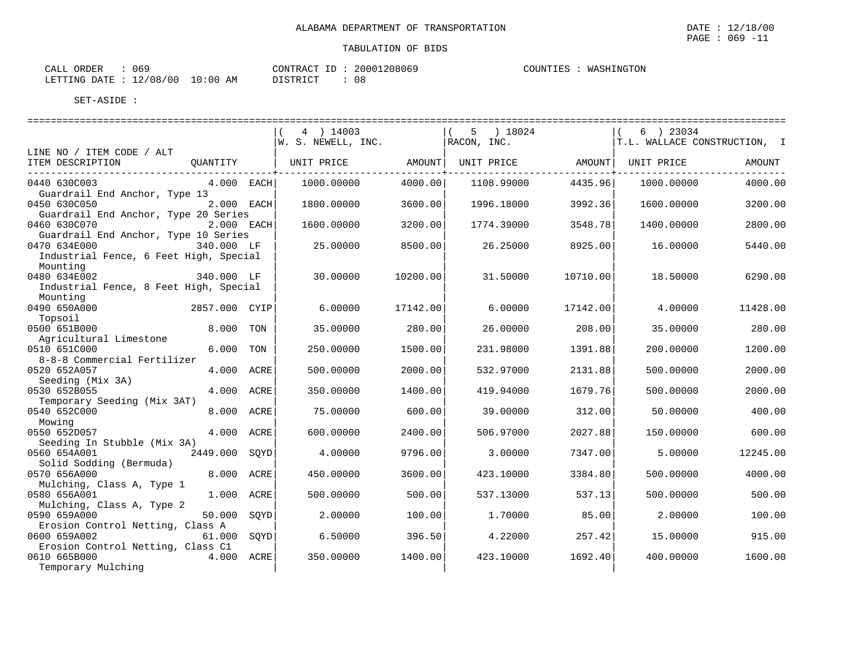| 069<br>ORDER<br>CALL             | CONTRACT ID: | 20001208069 | WASHINGTON<br>COUNTIES : |
|----------------------------------|--------------|-------------|--------------------------|
| LETTING DATE : 12/08/00 10:00 AM | DISTRICT     | UC          |                          |

|                                                                    | 4 ) 14003<br>W. S. NEWELL, INC. | 5 ) 18024<br>RACON, INC. | 6 ) 23034<br>T.L. WALLACE CONSTRUCTION, I |
|--------------------------------------------------------------------|---------------------------------|--------------------------|-------------------------------------------|
| LINE NO / ITEM CODE / ALT                                          |                                 |                          |                                           |
| ITEM DESCRIPTION<br>OUANTITY                                       | AMOUNT<br>UNIT PRICE            | AMOUNT  <br>UNIT PRICE   | UNIT PRICE<br>AMOUNT                      |
| 0440 630C003<br>4.000 EACH                                         | 4000.00<br>1000.00000           | 1108.99000<br>4435.96    | 1000.00000<br>4000.00                     |
| Guardrail End Anchor, Type 13                                      |                                 |                          |                                           |
| 2.000 EACH<br>0450 630C050                                         | 1800.00000<br>3600.00           | 3992.36<br>1996.18000    | 1600.00000<br>3200.00                     |
| Guardrail End Anchor, Type 20 Series<br>0460 630C070<br>2.000 EACH | 1600.00000                      | 1774.39000<br>3548.78    | 1400.00000<br>2800.00                     |
| Guardrail End Anchor, Type 10 Series                               | 3200.00                         |                          |                                           |
| 0470 634E000<br>340.000 LF                                         | 25.00000<br>8500.00             | 26.25000<br>8925.00      | 5440.00<br>16,00000                       |
| Industrial Fence, 6 Feet High, Special                             |                                 |                          |                                           |
| Mounting                                                           |                                 |                          |                                           |
| 0480 634E002<br>340.000 LF                                         | 30.00000<br>10200.00            | 31,50000<br>10710.00     | 18.50000<br>6290.00                       |
| Industrial Fence, 8 Feet High, Special                             |                                 |                          |                                           |
| Mounting                                                           |                                 |                          |                                           |
| 0490 650A000<br>2857.000 CYIP                                      | 6,00000<br>17142.00             | 6.00000<br>17142.00      | 4.00000<br>11428.00                       |
| Topsoil                                                            |                                 |                          |                                           |
| 0500 651B000<br>8.000<br>TON                                       | 35.00000<br>280.00              | 26.00000<br>208.00       | 280.00<br>35.00000                        |
| Agricultural Limestone                                             |                                 |                          |                                           |
| 6.000<br>0510 651C000<br>TON                                       | 250.00000<br>1500.00            | 231.98000<br>1391.88     | 200,00000<br>1200.00                      |
| 8-8-8 Commercial Fertilizer                                        |                                 |                          |                                           |
| 0520 652A057<br>4.000 ACRE<br>Seeding (Mix 3A)                     | 500.00000<br>2000.00            | 532.97000<br>2131.88     | 500.00000<br>2000.00                      |
| 4.000 ACRE<br>0530 652B055                                         | 350.00000<br>1400.00            | 419.94000<br>1679.76     | 500.00000<br>2000.00                      |
| Temporary Seeding (Mix 3AT)                                        |                                 |                          |                                           |
| 0540 652C000<br>8,000<br>ACRE                                      | 75.00000<br>600.00              | 39,00000<br>312.00       | 400.00<br>50.00000                        |
| Mowing                                                             |                                 |                          |                                           |
| 4.000 ACRE<br>0550 652D057                                         | 600,00000<br>2400.00            | 2027.88<br>506.97000     | 600.00<br>150.00000                       |
| Seeding In Stubble (Mix 3A)                                        |                                 |                          |                                           |
| 0560 654A001<br>2449.000<br>SOYD                                   | 4.00000<br>9796.00              | 3.00000<br>7347.00       | 5.00000<br>12245.00                       |
| Solid Sodding (Bermuda)                                            |                                 |                          |                                           |
| 8.000 ACRE<br>0570 656A000                                         | 450.00000<br>3600.00            | 423.10000<br>3384.80     | 4000.00<br>500.00000                      |
| Mulching, Class A, Type 1                                          |                                 |                          |                                           |
| 1.000<br>0580 656A001<br>ACRE                                      | 500.00000<br>500.00             | 537.13<br>537.13000      | 500.00<br>500.00000                       |
| Mulching, Class A, Type 2                                          |                                 |                          |                                           |
| 50.000<br>0590 659A000<br>SOYD<br>Erosion Control Netting, Class A | 2.00000<br>100.00               | 1,70000<br>85.00         | 2.00000<br>100.00                         |
| 0600 659A002<br>61.000 SOYD                                        | 6.50000<br>396.50               | 4.22000<br>257.42        | 15.00000<br>915.00                        |
| Erosion Control Netting, Class C1                                  |                                 |                          |                                           |
| 0610 665B000<br>4.000 ACRE                                         | 350.00000<br>1400.00            | 423.10000<br>1692.40     | 1600.00<br>400.00000                      |
| Temporary Mulching                                                 |                                 |                          |                                           |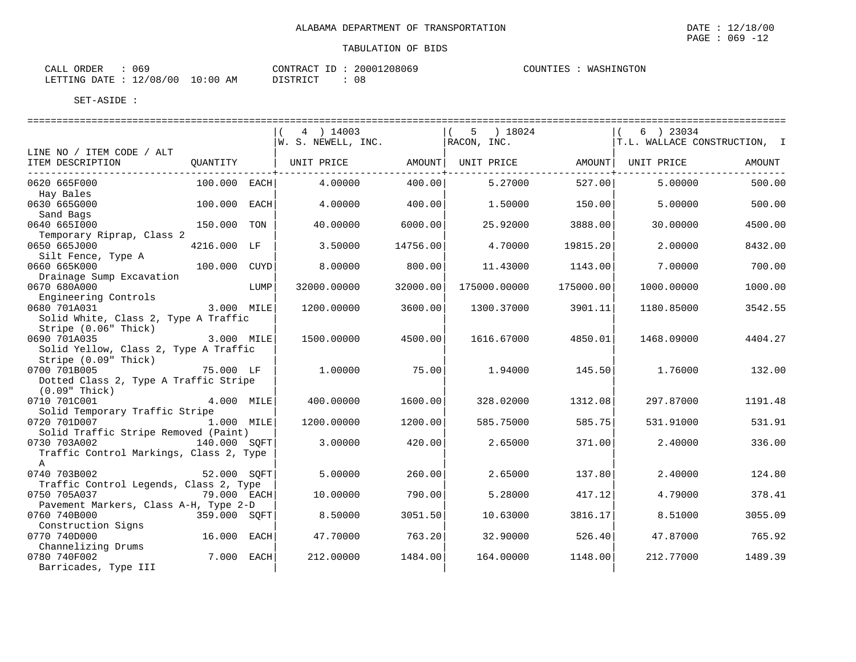|  |  | CONTRACT ID: 20001208069 | COUNTIES : WASH |  |
|--|--|--------------------------|-----------------|--|

| ORDER<br>CALL | ∪ບຯ      |             | 20001208069<br>CONTRACT<br>TD    | WASHINGTON<br>COUNTIES |
|---------------|----------|-------------|----------------------------------|------------------------|
| LETTING DATE  | 12/08/00 | 10:00<br>ΑM | $\sim$<br><b>DISTRICT</b><br>U C |                        |

|                                                          |                |      | 4 ) 14003<br>W. S. NEWELL, INC. |          | $(5)$ 18024<br>$RACON$ , INC. |           | 6 ) 23034<br>T.L. WALLACE CONSTRUCTION, I |         |
|----------------------------------------------------------|----------------|------|---------------------------------|----------|-------------------------------|-----------|-------------------------------------------|---------|
| LINE NO / ITEM CODE / ALT                                |                |      |                                 |          |                               |           |                                           |         |
| ITEM DESCRIPTION                                         | OUANTITY       |      | UNIT PRICE AMOUNT   UNIT PRICE  |          |                               | AMOUNT    | UNIT PRICE                                | AMOUNT  |
| 0620 665F000                                             | $100.000$ EACH |      | 4.00000                         | 400.00   | 5.27000                       | 527.00    | 5.00000                                   | 500.00  |
| Hay Bales                                                |                |      |                                 |          |                               |           |                                           |         |
| 0630 665G000                                             | 100.000 EACH   |      | 4.00000                         | 400.00   | 1,50000                       | 150.00    | 5.00000                                   | 500.00  |
| Sand Bags<br>0640 6651000                                | 150.000 TON    |      | 40.00000                        | 6000.00  | 25.92000                      | 3888.00   | 30.00000                                  | 4500.00 |
| Temporary Riprap, Class 2                                |                |      |                                 |          |                               |           |                                           |         |
| 0650 665J000                                             | 4216.000 LF    |      | 3.50000                         | 14756.00 | 4.70000                       | 19815.20  | 2.00000                                   | 8432.00 |
| Silt Fence, Type A                                       |                |      |                                 |          |                               |           |                                           |         |
| 0660 665K000                                             | 100.000 CUYD   |      | 8.00000                         | 800.00   | 11.43000                      | 1143.00   | 7.00000                                   | 700.00  |
| Drainage Sump Excavation                                 |                |      |                                 |          |                               |           |                                           |         |
| 0670 680A000                                             |                | LUMP | 32000.00000                     | 32000.00 | 175000.00000                  | 175000.00 | 1000.00000                                | 1000.00 |
| Engineering Controls                                     |                |      |                                 |          |                               |           |                                           |         |
| 0680 701A031                                             | 3.000 MILE     |      | 1200.00000                      | 3600.00  | 1300.37000                    | 3901.11   | 1180.85000                                | 3542.55 |
| Solid White, Class 2, Type A Traffic                     |                |      |                                 |          |                               |           |                                           |         |
| Stripe (0.06" Thick)                                     |                |      |                                 |          |                               |           |                                           |         |
| 3.000 MILE<br>0690 701A035                               |                |      | 1500.00000                      | 4500.00  | 1616.67000                    | 4850.01   | 1468.09000                                | 4404.27 |
| Solid Yellow, Class 2, Type A Traffic                    |                |      |                                 |          |                               |           |                                           |         |
| Stripe (0.09" Thick)                                     |                |      |                                 |          |                               |           |                                           |         |
| 0700 701B005                                             | 75.000 LF      |      | 1,00000                         | 75.00    | 1.94000                       | 145.50    | 1,76000                                   | 132.00  |
| Dotted Class 2, Type A Traffic Stripe<br>$(0.09"$ Thick) |                |      |                                 |          |                               |           |                                           |         |
| 0710 701C001                                             | 4.000 MILE     |      | 400.00000                       | 1600.00  | 328.02000                     | 1312.08   | 297.87000                                 | 1191.48 |
| Solid Temporary Traffic Stripe                           |                |      |                                 |          |                               |           |                                           |         |
| 0720 701D007 1.000 MILE                                  |                |      | 1200.00000                      | 1200.00  | 585.75000                     | 585.75    | 531.91000                                 | 531.91  |
| Solid Traffic Stripe Removed (Paint)                     |                |      |                                 |          |                               |           |                                           |         |
| 0730 703A002                                             | 140.000 SOFT   |      | 3.00000                         | 420.00   | 2.65000                       | 371.00    | 2.40000                                   | 336.00  |
| Traffic Control Markings, Class 2, Type                  |                |      |                                 |          |                               |           |                                           |         |
| $\mathbb{A}$                                             |                |      |                                 |          |                               |           |                                           |         |
| 0740 703B002                                             | 52.000 SOFT    |      | 5.00000                         | 260.00   | 2.65000                       | 137.80    | 2.40000                                   | 124.80  |
| Traffic Control Legends, Class 2, Type                   |                |      |                                 |          |                               |           |                                           |         |
| 0750 705A037<br>79.000 EACH                              |                |      | 10.00000                        | 790.00   | 5.28000                       | 417.12    | 4.79000                                   | 378.41  |
| Pavement Markers, Class A-H, Type 2-D                    |                |      |                                 |          |                               |           |                                           |         |
| 0760 740B000                                             | 359.000 SOFT   |      | 8.50000                         | 3051.50  | 10.63000                      | 3816.17   | 8.51000                                   | 3055.09 |
| Construction Signs                                       |                |      |                                 |          |                               |           |                                           |         |
| 0770 740D000                                             | 16.000 EACH    |      | 47.70000                        | 763.20   | 32.90000                      | 526.40    | 47.87000                                  | 765.92  |
| Channelizing Drums                                       |                |      |                                 |          |                               |           |                                           |         |
| 0780 740F002                                             | 7.000 EACH     |      | 212.00000                       | 1484.00  | 164.00000                     | 1148.00   | 212.77000                                 | 1489.39 |
| Barricades, Type III                                     |                |      |                                 |          |                               |           |                                           |         |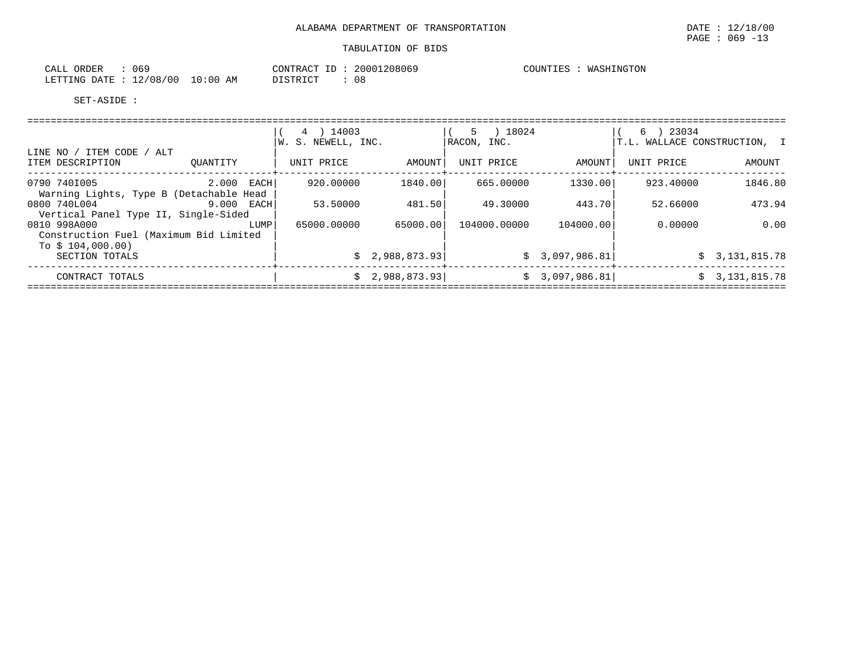| ORDER<br>CALL<br>06: |                         | CONTRACT         | 20001208069 | COUNTIES | WASHINGTON |
|----------------------|-------------------------|------------------|-------------|----------|------------|
| LETTING DATE         | 10:00<br>12/08/00<br>AM | <b>DI STRICT</b> | 0 E         |          |            |

|                                                         |            | 4 ) 14003<br>W. S. NEWELL, INC. |                | 5 ) 18024<br> RACON, INC. |                | $6$ ) 23034<br>T.L. WALLACE CONSTRUCTION, I |                |
|---------------------------------------------------------|------------|---------------------------------|----------------|---------------------------|----------------|---------------------------------------------|----------------|
| LINE NO / ITEM CODE / ALT<br>ITEM DESCRIPTION           | OUANTITY   | UNIT PRICE                      | AMOUNT         | UNIT PRICE                | AMOUNT         | UNIT PRICE                                  | AMOUNT         |
| 0790 7401005<br>Warning Lights, Type B (Detachable Head | 2.000 EACH | 920.00000                       | 1840.00        | 665.00000                 | 1330.00        | 923.40000                                   | 1846.80        |
| 0800 740L004<br>Vertical Panel Type II, Single-Sided    | 9.000 EACH | 53.50000                        | 481.50         | 49.30000                  | 443.70         | 52.66000                                    | 473.94         |
| 0810 998A000<br>Construction Fuel (Maximum Bid Limited  | LUMP       | 65000.00000                     | 65000.00       | 104000.00000              | 104000.00      | 0.00000                                     | 0.00           |
| To $$104.000.00)$<br>SECTION TOTALS                     |            |                                 | \$2,988,873.93 |                           | \$3,097,986.81 |                                             | \$3,131,815.78 |
| CONTRACT TOTALS                                         |            |                                 | \$2,988,873.93 |                           | \$3,097,986.81 |                                             | \$3,131,815.78 |
|                                                         |            |                                 |                |                           |                |                                             |                |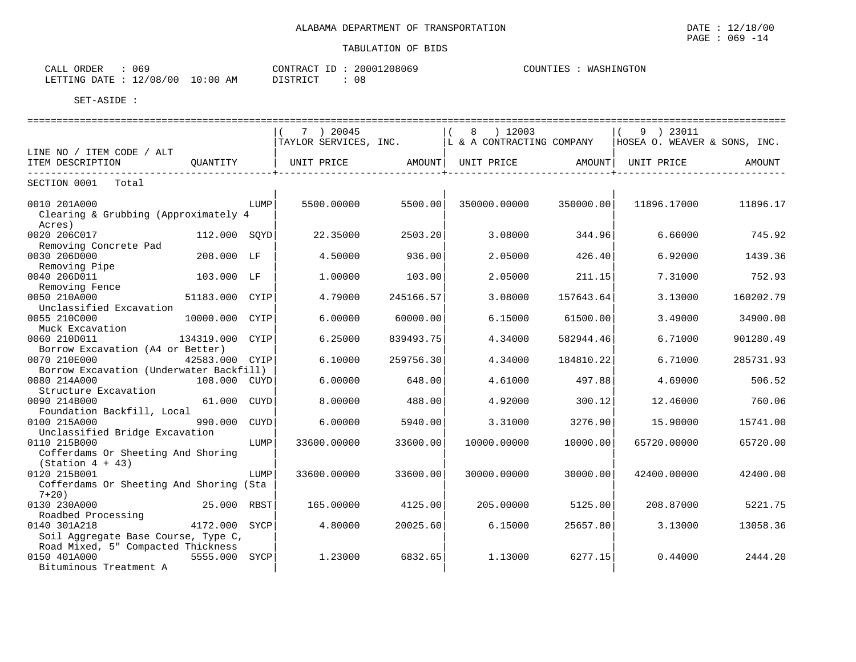$\text{CALL}$  ORDER : 069  $\text{CONTRACT ID}: 20001208069$ COUNTIES : WASHINGTON LETTING DATE : 12/08/00 10:00 AM DISTRICT : 08

|                                                                              |                 |      |                               |           |                                                   |           | ============================== |           |
|------------------------------------------------------------------------------|-----------------|------|-------------------------------|-----------|---------------------------------------------------|-----------|--------------------------------|-----------|
|                                                                              |                 |      | 7 ) 20045                     |           | 8 ) 12003                                         |           | $(9)$ 23011                    |           |
|                                                                              |                 |      |                               |           | TAYLOR SERVICES, INC.   L & A CONTRACTING COMPANY |           | HOSEA O. WEAVER & SONS, INC.   |           |
| LINE NO / ITEM CODE / ALT                                                    |                 |      |                               |           |                                                   |           |                                |           |
| ITEM DESCRIPTION                                                             | OUANTITY        |      | UNIT PRICE AMOUNT  UNIT PRICE |           |                                                   |           | AMOUNT UNIT PRICE              | AMOUNT    |
| SECTION 0001 Total                                                           |                 |      |                               |           |                                                   |           |                                |           |
| 0010 201A000<br>Clearing & Grubbing (Approximately 4                         |                 | LUMP | 5500.00000                    | 5500.00   | 350000.00000                                      | 350000.00 | 11896.17000                    | 11896.17  |
| Acres)<br>0020 206C017<br>Removing Concrete Pad                              | 112.000 SOYD    |      | 22.35000                      | 2503.20   | 3.08000                                           | 344.96    | 6.66000                        | 745.92    |
| 0030 206D000<br>Removing Pipe                                                | 208.000 LF      |      | 4.50000                       | 936.00    | 2.05000                                           | 426.40    | 6.92000                        | 1439.36   |
| 0040 206D011<br>Removing Fence                                               | 103.000 LF      |      | 1,00000                       | 103.00    | 2.05000                                           | 211.15    | 7.31000                        | 752.93    |
| 0050 210A000<br>Unclassified Excavation                                      | 51183.000 CYIP  |      | 4.79000                       | 245166.57 | 3.08000                                           | 157643.64 | 3.13000                        | 160202.79 |
| 0055 210C000<br>Muck Excavation                                              | 10000.000 CYIP  |      | 6.00000                       | 60000.00  | 6.15000                                           | 61500.00  | 3.49000                        | 34900.00  |
| 0060 210D011<br>Borrow Excavation (A4 or Better)                             | 134319.000 CYIP |      | 6.25000                       | 839493.75 | 4.34000                                           | 582944.46 | 6.71000                        | 901280.49 |
| 0070 210E000<br>Borrow Excavation (Underwater Backfill)                      | 42583.000 CYIP  |      | 6.10000                       | 259756.30 | 4.34000                                           | 184810.22 | 6.71000                        | 285731.93 |
| 0080 214A000<br>Structure Excavation                                         | 108.000 CUYD    |      | 6.00000                       | 648.00    | 4.61000                                           | 497.88    | 4.69000                        | 506.52    |
| 0090 214B000<br>Foundation Backfill, Local                                   | 61.000 CUYD     |      | 8,00000                       | 488.00    | 4.92000                                           | 300.12    | 12.46000                       | 760.06    |
| 0100 215A000<br>Unclassified Bridge Excavation                               | 990.000         | CUYD | 6.00000                       | 5940.00   | 3.31000                                           | 3276.90   | 15.90000                       | 15741.00  |
| 0110 215B000<br>Cofferdams Or Sheeting And Shoring<br>$(Station 4 + 43)$     |                 | LUMP | 33600.00000                   | 33600.00  | 10000.00000                                       | 10000.00  | 65720.00000                    | 65720.00  |
| 0120 215B001<br>Cofferdams Or Sheeting And Shoring (Sta                      |                 | LUMP | 33600.00000                   | 33600.00  | 30000.00000                                       | 30000.00  | 42400.00000                    | 42400.00  |
| $7+20$ )<br>0130 230A000<br>Roadbed Processing                               | 25.000 RBST     |      | 165.00000                     | 4125.00   | 205.00000                                         | 5125.00   | 208.87000                      | 5221.75   |
| 0140 301A218<br>Soil Aggregate Base Course, Type C,                          | 4172.000 SYCP   |      | 4.80000                       | 20025.60  | 6.15000                                           | 25657.80  | 3.13000                        | 13058.36  |
| Road Mixed, 5" Compacted Thickness<br>0150 401A000<br>Bituminous Treatment A | 5555.000 SYCP   |      | 1.23000                       | 6832.65   | 1.13000                                           | 6277.15   | 0.44000                        | 2444.20   |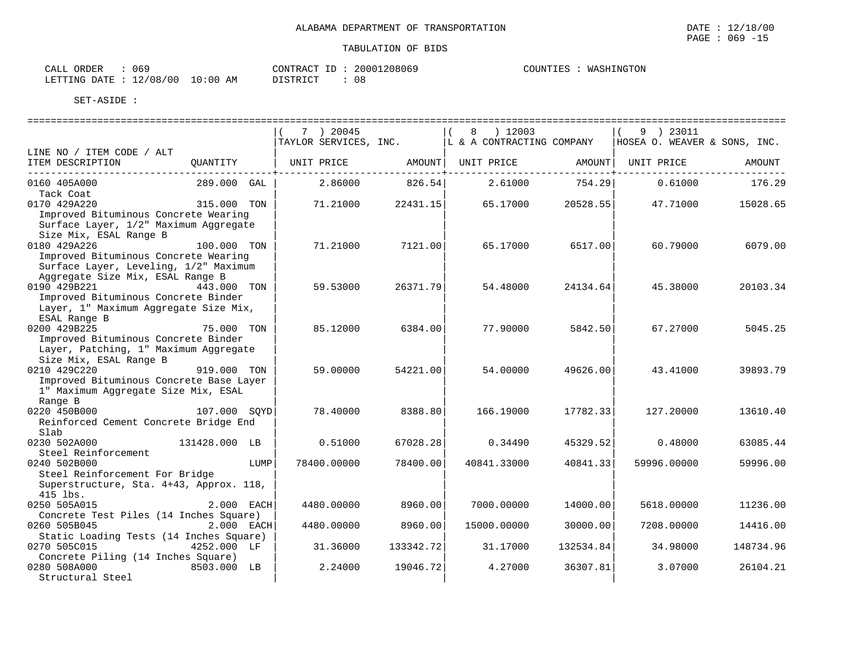$\text{CALL}$  ORDER : 069  $\text{CONTRACT ID}: 20001208069$ COUNTIES : WASHINGTON LETTING DATE : 12/08/00 10:00 AM DISTRICT : 08

|                                                                                                                                   |               | 7 ) 20045<br>TAYLOR SERVICES, INC. |           | ) 12003<br>8<br>L & A CONTRACTING COMPANY |                   | 9 ) 23011<br>HOSEA O. WEAVER & SONS, INC. |           |
|-----------------------------------------------------------------------------------------------------------------------------------|---------------|------------------------------------|-----------|-------------------------------------------|-------------------|-------------------------------------------|-----------|
| LINE NO / ITEM CODE / ALT                                                                                                         |               |                                    |           |                                           |                   |                                           |           |
| ITEM DESCRIPTION                                                                                                                  | OUANTITY      | UNIT PRICE                         |           | AMOUNT   UNIT PRICE                       | AMOUNT            | UNIT PRICE                                | AMOUNT    |
| 0160 405A000                                                                                                                      | 289.000 GAL   | 2.86000                            | 826.54    | 2.61000                                   | -------<br>754.29 | 0.61000                                   | 176.29    |
| Tack Coat                                                                                                                         |               |                                    |           |                                           |                   |                                           |           |
| 0170 429A220<br>Improved Bituminous Concrete Wearing<br>Surface Layer, 1/2" Maximum Aggregate<br>Size Mix, ESAL Range B           | 315.000 TON   | 71.21000                           | 22431.15  | 65.17000                                  | 20528.55          | 47.71000                                  | 15028.65  |
| 0180 429A226<br>Improved Bituminous Concrete Wearing<br>Surface Layer, Leveling, 1/2" Maximum<br>Aggregate Size Mix, ESAL Range B | 100.000 TON   | 71.21000                           | 7121.00   | 65.17000                                  | 6517.00           | 60.79000                                  | 6079.00   |
| 0190 429B221                                                                                                                      | 443.000 TON   | 59.53000                           | 26371.79  | 54.48000                                  | 24134.64          | 45.38000                                  | 20103.34  |
| Improved Bituminous Concrete Binder<br>Layer, 1" Maximum Aggregate Size Mix,<br>ESAL Range B                                      |               |                                    |           |                                           |                   |                                           |           |
| 0200 429B225                                                                                                                      | 75.000 TON    | 85.12000                           | 6384.00   | 77.90000                                  | 5842.50           | 67.27000                                  | 5045.25   |
| Improved Bituminous Concrete Binder<br>Layer, Patching, 1" Maximum Aggregate<br>Size Mix, ESAL Range B                            |               |                                    |           |                                           |                   |                                           |           |
| 0210 429C220<br>Improved Bituminous Concrete Base Layer<br>1" Maximum Aggregate Size Mix, ESAL<br>Range B                         | 919.000 TON   | 59.00000                           | 54221.00  | 54,00000                                  | 49626.00          | 43.41000                                  | 39893.79  |
| 0220 450B000<br>Reinforced Cement Concrete Bridge End                                                                             | 107.000 SOYD  | 78,40000                           | 8388.80   | 166.19000                                 | 17782.33          | 127.20000                                 | 13610.40  |
| Slab<br>0230 502A000                                                                                                              | 131428.000 LB | 0.51000                            | 67028.28  | 0.34490                                   | 45329.52          | 0.48000                                   | 63085.44  |
| Steel Reinforcement                                                                                                               |               |                                    |           |                                           |                   |                                           |           |
| 0240 502B000                                                                                                                      | LUMP          | 78400.00000                        | 78400.00  | 40841.33000                               | 40841.33          | 59996.00000                               | 59996.00  |
| Steel Reinforcement For Bridge<br>Superstructure, Sta. 4+43, Approx. 118,<br>415 lbs.                                             |               |                                    |           |                                           |                   |                                           |           |
| 0250 505A015                                                                                                                      | 2.000 EACH    | 4480.00000                         | 8960.00   | 7000.00000                                | 14000.00          | 5618.00000                                | 11236.00  |
| Concrete Test Piles (14 Inches Square)<br>0260 505B045                                                                            | $2.000$ EACH  | 4480.00000                         | 8960.00   | 15000.00000                               | 30000.00          | 7208.00000                                | 14416.00  |
| Static Loading Tests (14 Inches Square)<br>0270 505C015<br>Concrete Piling (14 Inches Square)                                     | 4252.000 LF   | 31.36000                           | 133342.72 | 31.17000                                  | 132534.84         | 34,98000                                  | 148734.96 |
| 0280 508A000<br>Structural Steel                                                                                                  | 8503.000 LB   | 2.24000                            | 19046.72  | 4.27000                                   | 36307.81          | 3.07000                                   | 26104.21  |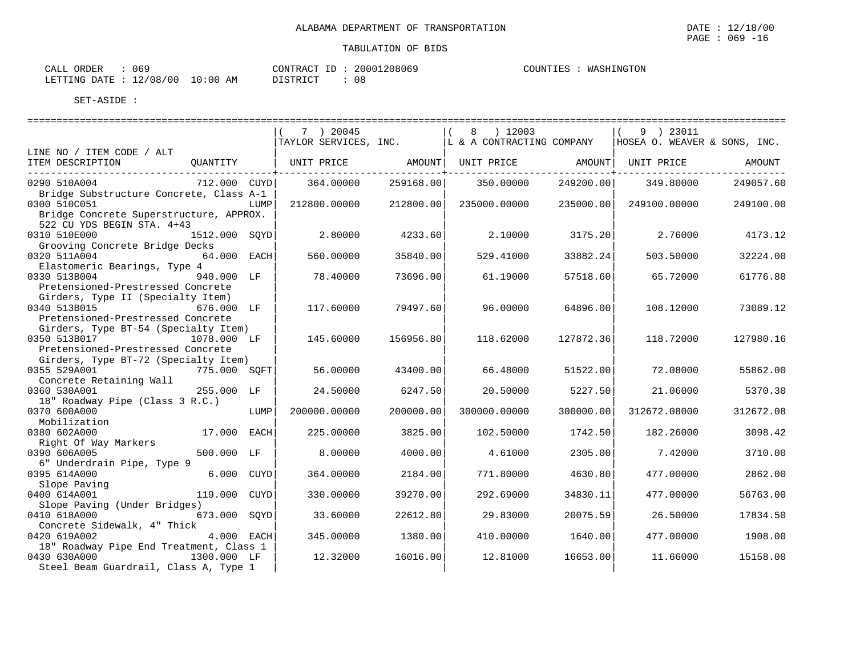| CALL ORDER<br>: 069             |          | CONTRACT ID: 20001208069 | COUNTIES : WASHINGTON |
|---------------------------------|----------|--------------------------|-----------------------|
| LETTING DATE: 12/08/00 10:00 AM | DISTRICT |                          |                       |

|                                                         |               |      | 7 ) 20045    |           | $(8)$ 12003                                                                 |           | 9 ) 23011                    |           |
|---------------------------------------------------------|---------------|------|--------------|-----------|-----------------------------------------------------------------------------|-----------|------------------------------|-----------|
|                                                         |               |      |              |           | TAYLOR SERVICES, INC.  L & A CONTRACTING COMPANY                            |           | HOSEA O. WEAVER & SONS, INC. |           |
| LINE NO / ITEM CODE / ALT                               |               |      |              |           |                                                                             |           |                              |           |
| ITEM DESCRIPTION<br>___________________________________ |               |      |              |           | QUANTITY   UNIT PRICE         AMOUNT  UNIT PRICE         AMOUNT  UNIT PRICE |           |                              | AMOUNT    |
| 0290 510A004                                            | 712.000 CUYD  |      | 364.00000    | 259168.00 | 350.00000                                                                   | 249200.00 | 349.80000                    | 249057.60 |
| Bridge Substructure Concrete, Class A-1                 |               |      |              |           |                                                                             |           |                              |           |
| 0300 510C051                                            |               | LUMP | 212800.00000 | 212800.00 | 235000.00000                                                                | 235000.00 | 249100.00000                 | 249100.00 |
| Bridge Concrete Superstructure, APPROX.                 |               |      |              |           |                                                                             |           |                              |           |
| 522 CU YDS BEGIN STA. 4+43                              |               |      |              |           |                                                                             |           |                              |           |
| 0310 510E000                                            | 1512.000 SOYD |      | 2.80000      | 4233.60   | 2,10000                                                                     | 3175.20   | 2.76000                      | 4173.12   |
| Grooving Concrete Bridge Decks                          |               |      |              |           |                                                                             |           |                              |           |
| 0320 511A004                                            | 64.000 EACH   |      | 560.00000    | 35840.00  | 529.41000                                                                   | 33882.24  | 503.50000                    | 32224.00  |
| Elastomeric Bearings, Type 4                            |               |      |              |           |                                                                             |           |                              |           |
| 0330 513B004                                            | 940.000 LF    |      | 78.40000     | 73696.00  | 61.19000                                                                    | 57518.60  | 65.72000                     | 61776.80  |
| Pretensioned-Prestressed Concrete                       |               |      |              |           |                                                                             |           |                              |           |
| Girders, Type II (Specialty Item)                       |               |      |              |           |                                                                             |           |                              |           |
| 0340 513B015                                            | 676.000 LF    |      | 117.60000    | 79497.60  | 96.00000                                                                    | 64896.00  | 108.12000                    | 73089.12  |
| Pretensioned-Prestressed Concrete                       |               |      |              |           |                                                                             |           |                              |           |
| Girders, Type BT-54 (Specialty Item)                    |               |      |              |           |                                                                             |           |                              |           |
| 0350 513B017 1078.000 LF                                |               |      | 145.60000    | 156956.80 | 118.62000                                                                   | 127872.36 | 118.72000                    | 127980.16 |
| Pretensioned-Prestressed Concrete                       |               |      |              |           |                                                                             |           |                              |           |
| Girders, Type BT-72 (Specialty Item)                    |               |      |              |           |                                                                             |           |                              |           |
| 0355 529A001                                            | 775.000 SOFT  |      | 56.00000     | 43400.00  | 66.48000                                                                    | 51522.00  | 72.08000                     | 55862.00  |
| Concrete Retaining Wall<br>0360 530A001                 | 255.000 LF    |      | 24.50000     | 6247.50   | 20.50000                                                                    | 5227.50   | 21.06000                     | 5370.30   |
| 18" Roadway Pipe (Class 3 R.C.)                         |               |      |              |           |                                                                             |           |                              |           |
| 0370 600A000                                            |               | LUMP | 200000.00000 | 200000.00 | 300000.00000                                                                | 300000.00 | 312672.08000                 | 312672.08 |
| Mobilization                                            |               |      |              |           |                                                                             |           |                              |           |
| 0380 602A000                                            | 17.000 EACH   |      | 225.00000    | 3825.00   | 102.50000                                                                   | 1742.50   | 182.26000                    | 3098.42   |
| Right Of Way Markers                                    |               |      |              |           |                                                                             |           |                              |           |
| 0390 606A005                                            | 500.000 LF    |      | 8.00000      | 4000.00   | 4.61000                                                                     | 2305.00   | 7.42000                      | 3710.00   |
| 6" Underdrain Pipe, Type 9                              |               |      |              |           |                                                                             |           |                              |           |
| 0395 614A000                                            | 6.000 CUYD    |      | 364.00000    | 2184.00   | 771.80000                                                                   | 4630.80   | 477.00000                    | 2862.00   |
| Slope Paving                                            |               |      |              |           |                                                                             |           |                              |           |
| 0400 614A001                                            | 119.000 CUYD  |      | 330.00000    | 39270.00  | 292.69000                                                                   | 34830.11  | 477.00000                    | 56763.00  |
| Slope Paving (Under Bridges)                            |               |      |              |           |                                                                             |           |                              |           |
| 0410 618A000                                            | 673.000 SQYD  |      | 33.60000     | 22612.80  | 29.83000                                                                    | 20075.59  | 26.50000                     | 17834.50  |
| Concrete Sidewalk, 4" Thick                             |               |      |              |           |                                                                             |           |                              |           |
| 0420 619A002                                            | $4.000$ EACH  |      | 345.00000    | 1380.00   | 410.00000                                                                   | 1640.00   | 477.00000                    | 1908.00   |
| 18" Roadway Pipe End Treatment, Class 1                 |               |      |              |           |                                                                             |           |                              |           |
| 0430 630A000<br>1300.000 LF                             |               |      | 12.32000     | 16016.00  | 12.81000                                                                    | 16653.00  | 11,66000                     | 15158.00  |
| Steel Beam Guardrail, Class A, Type 1                   |               |      |              |           |                                                                             |           |                              |           |

PAGE : 069 -16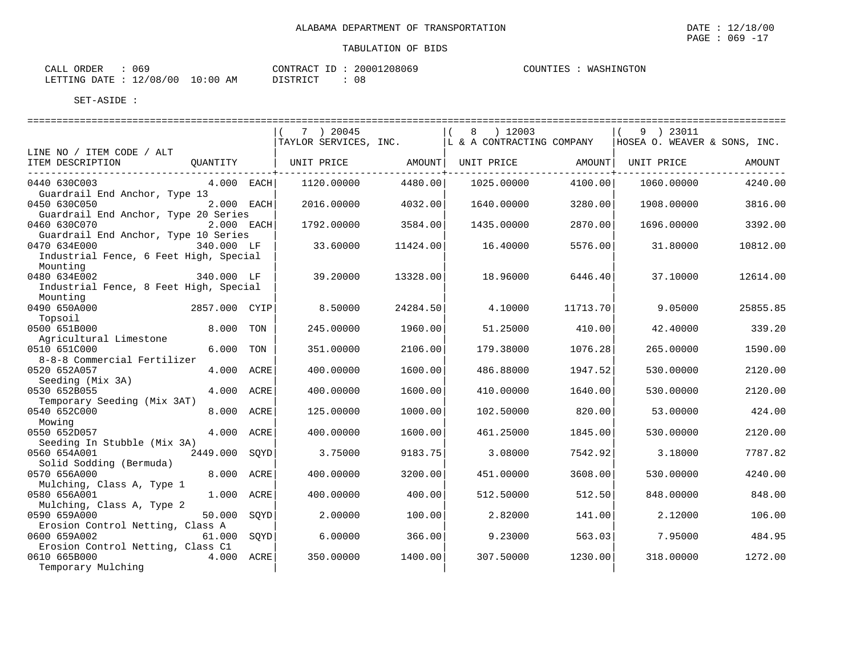| CALL ORDER                      | 069 |          | CONTRACT ID: 20001208069 | COUNTIES : | : WASHINGTON |
|---------------------------------|-----|----------|--------------------------|------------|--------------|
| LETTING DATE: 12/08/00 10:00 AM |     | DISTRICT | - 08                     |            |              |

|                                                      |               |      | 7 ) 20045<br>TAYLOR SERVICES, INC. |          | 8 ) 12003<br>L & A CONTRACTING COMPANY |          | 9 ) 23011<br>HOSEA O. WEAVER & SONS, INC. |          |
|------------------------------------------------------|---------------|------|------------------------------------|----------|----------------------------------------|----------|-------------------------------------------|----------|
| LINE NO / ITEM CODE / ALT                            |               |      |                                    |          |                                        |          |                                           |          |
| ITEM DESCRIPTION                                     | QUANTITY      |      | UNIT PRICE                         | AMOUNT   | UNIT PRICE                             | AMOUNT   | UNIT PRICE                                | AMOUNT   |
| 0440 630C003                                         | $4.000$ EACH  |      | 1120.00000                         | 4480.00  | 1025.00000                             | 4100.00  | 1060.00000                                | 4240.00  |
| Guardrail End Anchor, Type 13                        |               |      |                                    |          |                                        |          |                                           |          |
| 0450 630C050                                         | 2.000 EACH    |      | 2016.00000                         | 4032.00  | 1640.00000                             | 3280.00  | 1908.00000                                | 3816.00  |
| Guardrail End Anchor, Type 20 Series<br>0460 630C070 | 2.000 EACH    |      | 1792.00000                         | 3584.00  | 1435.00000                             | 2870.00  | 1696.00000                                | 3392.00  |
| Guardrail End Anchor, Type 10 Series                 |               |      |                                    |          |                                        |          |                                           |          |
| 0470 634E000                                         | 340.000 LF    |      | 33.60000                           | 11424.00 | 16.40000                               | 5576.00  | 31,80000                                  | 10812.00 |
| Industrial Fence, 6 Feet High, Special               |               |      |                                    |          |                                        |          |                                           |          |
| Mounting                                             |               |      |                                    |          |                                        |          |                                           |          |
| 0480 634E002                                         | 340.000 LF    |      | 39.20000                           | 13328.00 | 18.96000                               | 6446.40  | 37.10000                                  | 12614.00 |
| Industrial Fence, 8 Feet High, Special               |               |      |                                    |          |                                        |          |                                           |          |
| Mounting                                             |               |      |                                    |          |                                        |          |                                           |          |
| 0490 650A000                                         | 2857.000 CYIP |      | 8.50000                            | 24284.50 | 4.10000                                | 11713.70 | 9.05000                                   | 25855.85 |
| Topsoil                                              |               |      |                                    |          |                                        |          |                                           |          |
| 0500 651B000                                         | 8.000 TON     |      | 245.00000                          | 1960.00  | 51.25000                               | 410.00   | 42.40000                                  | 339.20   |
| Agricultural Limestone                               |               |      |                                    |          |                                        |          |                                           |          |
| 0510 651C000                                         | 6.000 TON     |      | 351.00000                          | 2106.00  | 179.38000                              | 1076.28  | 265.00000                                 | 1590.00  |
| 8-8-8 Commercial Fertilizer                          |               |      |                                    |          |                                        |          |                                           |          |
| 0520 652A057                                         | 4.000 ACRE    |      | 400.00000                          | 1600.00  | 486.88000                              | 1947.52  | 530.00000                                 | 2120.00  |
| Seeding (Mix 3A)<br>0530 652B055                     | 4.000         | ACRE | 400.00000                          | 1600.00  | 410.00000                              | 1640.00  | 530.00000                                 | 2120.00  |
| Temporary Seeding (Mix 3AT)                          |               |      |                                    |          |                                        |          |                                           |          |
| 0540 652C000                                         | 8.000         | ACRE | 125.00000                          | 1000.00  | 102.50000                              | 820.00   | 53.00000                                  | 424.00   |
| Mowing                                               |               |      |                                    |          |                                        |          |                                           |          |
| 0550 652D057                                         | 4.000 ACRE    |      | 400.00000                          | 1600.00  | 461.25000                              | 1845.00  | 530.00000                                 | 2120.00  |
| Seeding In Stubble (Mix 3A)                          |               |      |                                    |          |                                        |          |                                           |          |
| 0560 654A001                                         | 2449.000 SOYD |      | 3.75000                            | 9183.75  | 3.08000                                | 7542.92  | 3.18000                                   | 7787.82  |
| Solid Sodding (Bermuda)                              |               |      |                                    |          |                                        |          |                                           |          |
| 0570 656A000                                         | 8.000 ACRE    |      | 400.00000                          | 3200.00  | 451.00000                              | 3608.00  | 530.00000                                 | 4240.00  |
| Mulching, Class A, Type 1                            |               |      |                                    |          |                                        |          |                                           |          |
| 0580 656A001                                         | 1.000 ACRE    |      | 400.00000                          | 400.00   | 512.50000                              | 512.50   | 848.00000                                 | 848.00   |
| Mulching, Class A, Type 2                            |               |      |                                    |          |                                        |          |                                           |          |
| 0590 659A000                                         | 50.000        | SOYD | 2.00000                            | 100.00   | 2.82000                                | 141.00   | 2.12000                                   | 106.00   |
| Erosion Control Netting, Class A<br>0600 659A002     | 61.000        | SOYD | 6.00000                            | 366.00   | 9.23000                                | 563.03   | 7.95000                                   | 484.95   |
| Erosion Control Netting, Class C1                    |               |      |                                    |          |                                        |          |                                           |          |
| 0610 665B000                                         | 4.000 ACRE    |      | 350.00000                          | 1400.00  | 307.50000                              | 1230.00  | 318.00000                                 | 1272.00  |
| Temporary Mulching                                   |               |      |                                    |          |                                        |          |                                           |          |
|                                                      |               |      |                                    |          |                                        |          |                                           |          |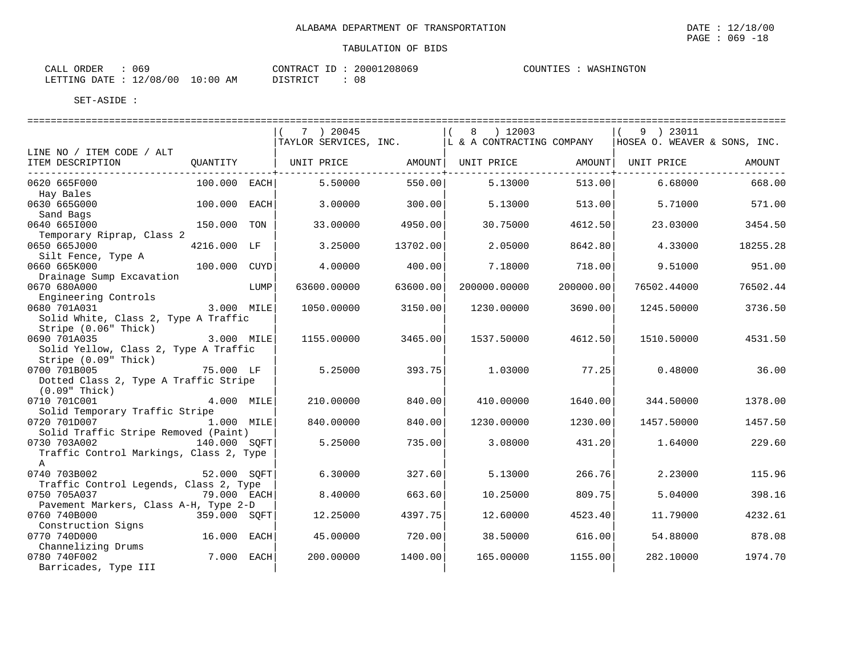| 069<br>CALL ORDER |                                  | CONTRACT ID: 20001208069 | COUNTIES : WASHINGTON |
|-------------------|----------------------------------|--------------------------|-----------------------|
|                   | LETTING DATE : 12/08/00 10:00 AM | - 08<br>DISTRICT         |                       |

|                                                                |              |      | 7 ) 20045   |          | 8 ) 12003<br>TAYLOR SERVICES, INC.   L & A CONTRACTING COMPANY |                                         | 9 ) 23011<br>HOSEA O. WEAVER & SONS, INC. |          |
|----------------------------------------------------------------|--------------|------|-------------|----------|----------------------------------------------------------------|-----------------------------------------|-------------------------------------------|----------|
| LINE NO / ITEM CODE / ALT<br>ITEM DESCRIPTION<br>_____________ | QUANTITY     |      |             |          | UNIT PRICE AMOUNT  UNIT PRICE                                  |                                         | AMOUNT   UNIT PRICE                       | AMOUNT   |
| 0620 665F000                                                   | 100.000 EACH |      | 5.50000     | 550.00   | 5.13000                                                        | . _ _ _ _ _ _ _ _ _ _ _ _ _ _<br>513.00 | 6.68000                                   | 668.00   |
| Hay Bales                                                      |              |      |             |          |                                                                |                                         |                                           |          |
| 0630 665G000<br>Sand Bags                                      | 100.000 EACH |      | 3.00000     | 300.00   | 5.13000                                                        | 513.00                                  | 5.71000                                   | 571.00   |
| 0640 6651000                                                   | 150.000 TON  |      | 33.00000    | 4950.00  | 30.75000                                                       | 4612.50                                 | 23.03000                                  | 3454.50  |
| Temporary Riprap, Class 2                                      |              |      |             |          |                                                                |                                         |                                           |          |
| 0650 665J000                                                   | 4216.000 LF  |      | 3.25000     | 13702.00 | 2.05000                                                        | 8642.80                                 | 4.33000                                   | 18255.28 |
| Silt Fence, Type A                                             |              |      |             |          |                                                                |                                         |                                           |          |
| 0660 665K000                                                   | 100.000 CUYD |      | 4.00000     | 400.00   | 7.18000                                                        | 718.00                                  | 9.51000                                   | 951.00   |
| Drainage Sump Excavation                                       |              |      |             |          |                                                                |                                         |                                           |          |
| 0670 680A000                                                   |              | LUMP | 63600.00000 | 63600.00 | 200000.00000                                                   | 200000.00                               | 76502.44000                               | 76502.44 |
| Engineering Controls                                           |              |      |             |          |                                                                |                                         |                                           |          |
| 0680 701A031                                                   | 3.000 MILE   |      | 1050.00000  | 3150.00  | 1230.00000                                                     | 3690.00                                 | 1245.50000                                | 3736.50  |
| Solid White, Class 2, Type A Traffic                           |              |      |             |          |                                                                |                                         |                                           |          |
| Stripe (0.06" Thick)                                           |              |      |             |          |                                                                |                                         |                                           |          |
| 0690 701A035<br>3.000 MILE                                     |              |      | 1155.00000  | 3465.00  | 1537.50000                                                     | 4612.50                                 | 1510.50000                                | 4531.50  |
| Solid Yellow, Class 2, Type A Traffic                          |              |      |             |          |                                                                |                                         |                                           |          |
| Stripe (0.09" Thick)<br>0700 701B005                           | 75.000 LF    |      | 5.25000     | 393.75   | 1.03000                                                        | 77.25                                   | 0.48000                                   | 36.00    |
| Dotted Class 2, Type A Traffic Stripe                          |              |      |             |          |                                                                |                                         |                                           |          |
| $(0.09"$ Thick)                                                |              |      |             |          |                                                                |                                         |                                           |          |
| 0710 701C001                                                   | 4.000 MILE   |      | 210.00000   | 840.00   | 410.00000                                                      | 1640.00                                 | 344.50000                                 | 1378.00  |
| Solid Temporary Traffic Stripe                                 |              |      |             |          |                                                                |                                         |                                           |          |
| 0720 701D007                                                   | 1.000 MILE   |      | 840.00000   | 840.00   | 1230.00000                                                     | 1230.00                                 | 1457.50000                                | 1457.50  |
| Solid Traffic Stripe Removed (Paint)                           |              |      |             |          |                                                                |                                         |                                           |          |
| 0730 703A002                                                   | 140.000 SOFT |      | 5.25000     | 735.00   | 3.08000                                                        | 431.20                                  | 1.64000                                   | 229.60   |
| Traffic Control Markings, Class 2, Type                        |              |      |             |          |                                                                |                                         |                                           |          |
| $\mathbb{A}$                                                   |              |      |             |          |                                                                |                                         |                                           |          |
| 0740 703B002                                                   | 52.000 SOFT  |      | 6.30000     | 327.60   | 5.13000                                                        | 266.76                                  | 2.23000                                   | 115.96   |
| Traffic Control Legends, Class 2, Type                         |              |      |             |          |                                                                |                                         |                                           |          |
| 0750 705A037                                                   | 79.000 EACH  |      | 8.40000     | 663.60   | 10.25000                                                       | 809.75                                  | 5.04000                                   | 398.16   |
| Pavement Markers, Class A-H, Type 2-D                          |              |      |             |          |                                                                |                                         |                                           |          |
| 0760 740B000                                                   | 359.000 SOFT |      | 12.25000    | 4397.75  | 12.60000                                                       | 4523.40                                 | 11.79000                                  | 4232.61  |
| Construction Signs                                             |              |      |             |          |                                                                |                                         |                                           |          |
| 0770 740D000                                                   | 16.000 EACH  |      | 45.00000    | 720.00   | 38.50000                                                       | 616.00                                  | 54.88000                                  | 878.08   |
| Channelizing Drums<br>0780 740F002                             | 7.000 EACH   |      | 200.00000   | 1400.00  | 165.00000                                                      |                                         | 282.10000                                 |          |
|                                                                |              |      |             |          |                                                                | 1155.00                                 |                                           | 1974.70  |
| Barricades, Type III                                           |              |      |             |          |                                                                |                                         |                                           |          |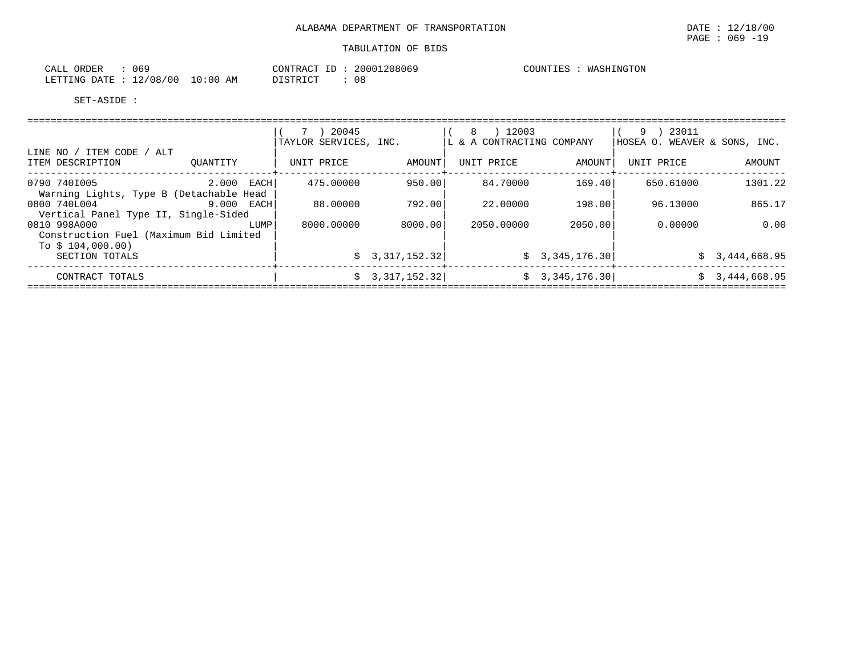| 069<br>CALL<br>ORDER       |             | CONTRACT<br>ID -           | 20001208069 | COUNTIES | WASHINGTON |
|----------------------------|-------------|----------------------------|-------------|----------|------------|
| 12/08/00<br>LETTING DATE : | 10:00<br>ΑM | <b>DISTRICT</b><br>LSTRICI |             |          |            |

|                                                                             |            | 20045<br>$7 \rightarrow$<br>TAYLOR SERVICES, INC. |                        | ) 12003<br>-8<br>LL & A CONTRACTING COMPANY |                | 9 ) 23011<br>HOSEA O. WEAVER & SONS, INC. |                |
|-----------------------------------------------------------------------------|------------|---------------------------------------------------|------------------------|---------------------------------------------|----------------|-------------------------------------------|----------------|
| LINE NO / ITEM CODE / ALT<br>ITEM DESCRIPTION                               | OUANTITY   | UNIT PRICE                                        | AMOUNT                 | UNIT PRICE                                  | AMOUNT         | UNIT PRICE                                | AMOUNT         |
| 0790 7401005<br>Warning Lights, Type B (Detachable Head                     | 2.000 EACH | 475.00000                                         | 950.00                 | 84.70000                                    | 169.40         | 650.61000                                 | 1301.22        |
| 0800 740L004<br>Vertical Panel Type II, Single-Sided                        | 9.000 EACH | 88.00000                                          | 792.00                 | 22.00000                                    | 198.00         | 96.13000                                  | 865.17         |
| 0810 998A000<br>Construction Fuel (Maximum Bid Limited<br>To $$104,000.00)$ | LUMP       | 8000.00000                                        | 8000.00                | 2050.00000                                  | 2050.00        | 0.00000                                   | 0.00           |
| SECTION TOTALS                                                              |            |                                                   | $\sin 3, 317, 152, 32$ |                                             | \$3,345,176.30 |                                           | \$3,444,668.95 |
| CONTRACT TOTALS                                                             |            |                                                   | \$3,317,152.32]        |                                             | \$3,345,176.30 |                                           | \$3,444,668.95 |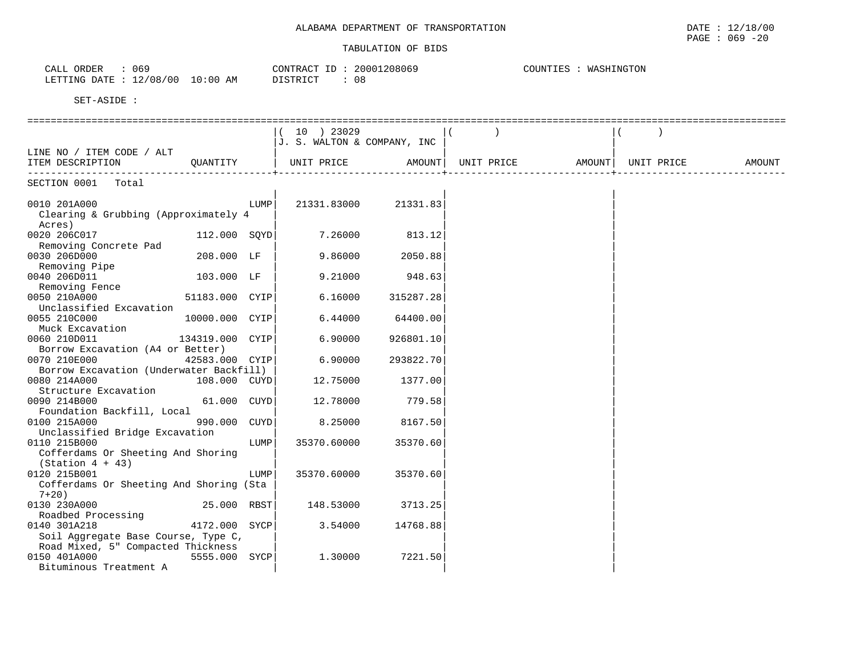| 069<br>ORDER<br>CALL           |             | CONTRACT   | 20001208069 | COUNTIES<br><i><b>\SHINGTON</b></i><br>WASH. |
|--------------------------------|-------------|------------|-------------|----------------------------------------------|
| 12/08/00<br>LETTING DATE<br>∸∸ | 10:00<br>AM | חי חים דרו | 08          |                                              |

|                                                                |                 |      | 10 ) 23029                  |                      |                                      |            |        |
|----------------------------------------------------------------|-----------------|------|-----------------------------|----------------------|--------------------------------------|------------|--------|
|                                                                |                 |      | J. S. WALTON & COMPANY, INC |                      |                                      |            |        |
| LINE NO / ITEM CODE / ALT                                      |                 |      |                             |                      |                                      |            |        |
| ITEM DESCRIPTION QUANTITY                                      |                 |      |                             |                      | UNIT PRICE AMOUNT  UNIT PRICE AMOUNT | UNIT PRICE | AMOUNT |
| -----------------------------------                            |                 |      |                             |                      | ________________________             |            |        |
| SECTION 0001 Total                                             |                 |      |                             |                      |                                      |            |        |
| 0010 201A000<br>Clearing & Grubbing (Approximately 4<br>Acres) |                 | LUMP |                             | 21331.83000 21331.83 |                                      |            |        |
| 0020 206C017                                                   |                 |      | $112.000$ SQYD 7.26000      | 813.12               |                                      |            |        |
| Removing Concrete Pad                                          |                 |      |                             |                      |                                      |            |        |
| 0030 206D000                                                   | $208.000$ LF    |      | 9.86000                     | 2050.88              |                                      |            |        |
| Removing Pipe                                                  |                 |      |                             |                      |                                      |            |        |
| 0040 206D011                                                   | 103.000 LF      |      | 9.21000                     | 948.63               |                                      |            |        |
| Removing Fence                                                 |                 |      |                             |                      |                                      |            |        |
| 0050 210A000                                                   | 51183.000 CYIP  |      | 6.16000                     | 315287.28            |                                      |            |        |
| Unclassified Excavation                                        |                 |      |                             |                      |                                      |            |        |
| 0055 210C000                                                   | 10000.000 CYIP  |      | 6.44000                     | 64400.00             |                                      |            |        |
| Muck Excavation                                                | 134319.000 CYIP |      |                             |                      |                                      |            |        |
| 0060 210D011                                                   |                 |      | 6.90000                     | 926801.10            |                                      |            |        |
| Borrow Excavation (A4 or Better)                               |                 |      |                             |                      |                                      |            |        |
| 0070 210E000                                                   | 42583.000 CYIP  |      | 6.90000                     | 293822.70            |                                      |            |        |
| Borrow Excavation (Underwater Backfill)<br>0080 214A000        | 108.000 CUYD    |      | 12.75000                    | 1377.00              |                                      |            |        |
| Structure Excavation                                           |                 |      |                             |                      |                                      |            |        |
| 0090 214B000                                                   | $61.000$ $CUYD$ |      | 12.78000                    | 779.58               |                                      |            |        |
| Foundation Backfill, Local                                     |                 |      |                             |                      |                                      |            |        |
| 0100 215A000                                                   | 990.000 CUYD    |      | 8.25000                     | 8167.50              |                                      |            |        |
| Unclassified Bridge Excavation                                 |                 |      |                             |                      |                                      |            |        |
| 0110 215B000                                                   |                 | LUMP | 35370.60000                 | 35370.60             |                                      |            |        |
| Cofferdams Or Sheeting And Shoring                             |                 |      |                             |                      |                                      |            |        |
| $(Station 4 + 43)$                                             |                 |      |                             |                      |                                      |            |        |
| 0120 215B001                                                   |                 | LUMP | 35370.60000                 | 35370.60             |                                      |            |        |
| Cofferdams Or Sheeting And Shoring (Sta                        |                 |      |                             |                      |                                      |            |        |
| $7+20$ )                                                       |                 |      |                             |                      |                                      |            |        |
| 0130 230A000                                                   | 25.000 RBST     |      | 148.53000                   | 3713.25              |                                      |            |        |
| Roadbed Processing                                             |                 |      |                             |                      |                                      |            |        |
| 0140 301A218                                                   | 4172.000 SYCP   |      | 3.54000                     | 14768.88             |                                      |            |        |
| Soil Aggregate Base Course, Type C,                            |                 |      |                             |                      |                                      |            |        |
| Road Mixed, 5" Compacted Thickness                             |                 |      |                             |                      |                                      |            |        |
| 0150 401A000                                                   | 5555.000 SYCP   |      | 1,30000                     | 7221.50              |                                      |            |        |
| Bituminous Treatment A                                         |                 |      |                             |                      |                                      |            |        |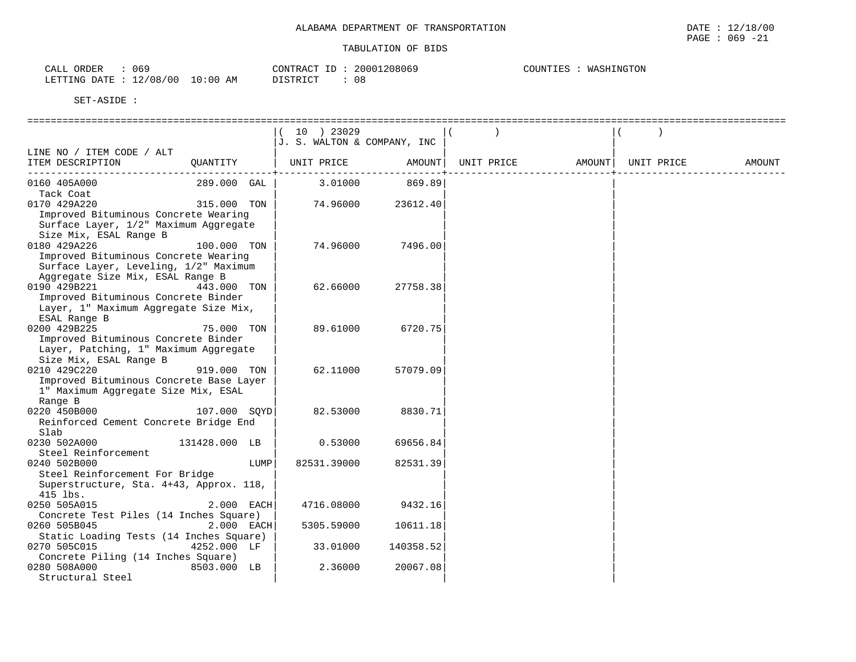| 069<br>CALL ORDER                | CONTRACT ID: | 20001208069 | COUNTIES<br>WASHINGTON |
|----------------------------------|--------------|-------------|------------------------|
| LETTING DATE : 12/08/00 10:00 AM | DISTRICT     | 08          |                        |

|                                         |               | $10 \rightarrow 23029$      |           |            |        |            |        |
|-----------------------------------------|---------------|-----------------------------|-----------|------------|--------|------------|--------|
|                                         |               | J. S. WALTON & COMPANY, INC |           |            |        |            |        |
| LINE NO / ITEM CODE / ALT               |               |                             |           |            |        |            |        |
| ITEM DESCRIPTION                        | QUANTITY      | UNIT PRICE                  | AMOUNT    | UNIT PRICE | AMOUNT | UNIT PRICE | AMOUNT |
|                                         |               |                             |           |            |        |            |        |
| 0160 405A000                            | 289.000 GAL   | 3.01000                     | 869.89    |            |        |            |        |
| Tack Coat                               |               |                             |           |            |        |            |        |
| 0170 429A220                            | 315.000 TON   | 74.96000                    | 23612.40  |            |        |            |        |
| Improved Bituminous Concrete Wearing    |               |                             |           |            |        |            |        |
| Surface Layer, 1/2" Maximum Aggregate   |               |                             |           |            |        |            |        |
| Size Mix, ESAL Range B                  |               |                             |           |            |        |            |        |
| 0180 429A226                            | 100.000 TON   | 74.96000                    | 7496.00   |            |        |            |        |
| Improved Bituminous Concrete Wearing    |               |                             |           |            |        |            |        |
| Surface Layer, Leveling, 1/2" Maximum   |               |                             |           |            |        |            |        |
| Aggregate Size Mix, ESAL Range B        |               |                             |           |            |        |            |        |
| 0190 429B221                            | 443.000 TON   | 62.66000                    | 27758.38  |            |        |            |        |
| Improved Bituminous Concrete Binder     |               |                             |           |            |        |            |        |
| Layer, 1" Maximum Aggregate Size Mix,   |               |                             |           |            |        |            |        |
| ESAL Range B                            |               |                             |           |            |        |            |        |
| 0200 429B225                            | 75.000 TON    | 89.61000                    | 6720.75   |            |        |            |        |
| Improved Bituminous Concrete Binder     |               |                             |           |            |        |            |        |
| Layer, Patching, 1" Maximum Aggregate   |               |                             |           |            |        |            |        |
| Size Mix, ESAL Range B                  |               |                             |           |            |        |            |        |
| 0210 429C220                            | 919.000 TON   | 62.11000                    | 57079.09  |            |        |            |        |
| Improved Bituminous Concrete Base Layer |               |                             |           |            |        |            |        |
| 1" Maximum Aggregate Size Mix, ESAL     |               |                             |           |            |        |            |        |
| Range B                                 |               |                             |           |            |        |            |        |
| 0220 450B000                            | 107.000 SOYD  | 82.53000                    | 8830.71   |            |        |            |        |
| Reinforced Cement Concrete Bridge End   |               |                             |           |            |        |            |        |
| Slab                                    |               |                             |           |            |        |            |        |
| 0230 502A000                            | 131428.000 LB | 0.53000                     | 69656.84  |            |        |            |        |
| Steel Reinforcement                     |               |                             |           |            |        |            |        |
| 0240 502B000                            | LUMP          | 82531.39000                 | 82531.39  |            |        |            |        |
| Steel Reinforcement For Bridge          |               |                             |           |            |        |            |        |
| Superstructure, Sta. 4+43, Approx. 118, |               |                             |           |            |        |            |        |
| 415 lbs.                                |               |                             |           |            |        |            |        |
| 0250 505A015                            | 2.000 EACH    | 4716.08000                  | 9432.16   |            |        |            |        |
| Concrete Test Piles (14 Inches Square)  |               |                             |           |            |        |            |        |
| 0260 505B045                            | 2.000 EACH    | 5305.59000                  | 10611.18  |            |        |            |        |
| Static Loading Tests (14 Inches Square) |               |                             |           |            |        |            |        |
| 0270 505C015                            | 4252.000 LF   | 33.01000                    | 140358.52 |            |        |            |        |
| Concrete Piling (14 Inches Square)      |               |                             |           |            |        |            |        |
| 0280 508A000                            | 8503.000 LB   | 2.36000                     | 20067.08  |            |        |            |        |
| Structural Steel                        |               |                             |           |            |        |            |        |
|                                         |               |                             |           |            |        |            |        |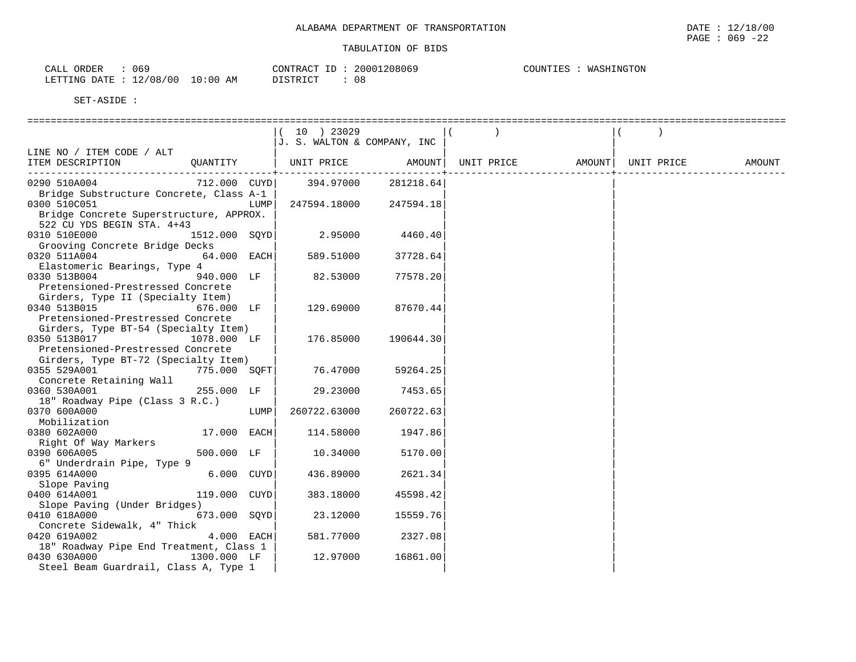| 069<br>CALL ORDER      |            | CONTRACT ID: 20001208069 | COUNTIES : WASHINGTON |
|------------------------|------------|--------------------------|-----------------------|
| LETTING DATE: 12/08/00 | $10:00$ AM | 08<br>DISTRICT           |                       |

|                                                                  |      | 10 ) 23029                  |           |                   |                    |        |
|------------------------------------------------------------------|------|-----------------------------|-----------|-------------------|--------------------|--------|
|                                                                  |      | J. S. WALTON & COMPANY, INC |           |                   |                    |        |
| LINE NO / ITEM CODE / ALT                                        |      |                             |           |                   |                    |        |
| OUANTITY<br>ITEM DESCRIPTION                                     |      | UNIT PRICE                  |           | AMOUNT UNIT PRICE | AMOUNT  UNIT PRICE | AMOUNT |
| -----------------------                                          |      |                             |           |                   |                    |        |
| 0290 510A004<br>712.000 CUYD                                     |      | 394.97000                   | 281218.64 |                   |                    |        |
| Bridge Substructure Concrete, Class A-1                          |      |                             |           |                   |                    |        |
| 0300 510C051                                                     | LUMP | 247594.18000 247594.18      |           |                   |                    |        |
| Bridge Concrete Superstructure, APPROX.                          |      |                             |           |                   |                    |        |
| 522 CU YDS BEGIN STA. 4+43                                       |      |                             |           |                   |                    |        |
| 1512.000 SOYD<br>0310 510E000                                    |      | 2.95000                     | 4460.40   |                   |                    |        |
| Grooving Concrete Bridge Decks                                   |      |                             |           |                   |                    |        |
| 0320 511A004<br>$64.000$ EACH                                    |      | 589.51000                   | 37728.64  |                   |                    |        |
| Elastomeric Bearings, Type 4                                     |      |                             |           |                   |                    |        |
| 0330 513B004<br>940.000 LF                                       |      | 82.53000                    | 77578.20  |                   |                    |        |
| Pretensioned-Prestressed Concrete                                |      |                             |           |                   |                    |        |
| Girders, Type II (Specialty Item)                                |      |                             |           |                   |                    |        |
| 0340 513B015<br>676.000 LF                                       |      | 129.69000                   | 87670.44  |                   |                    |        |
| Pretensioned-Prestressed Concrete                                |      |                             |           |                   |                    |        |
| Girders, Type BT-54 (Specialty Item)<br>0350 513B017 1078.000 LF |      | 176.85000                   | 190644.30 |                   |                    |        |
| Pretensioned-Prestressed Concrete                                |      |                             |           |                   |                    |        |
| Girders, Type BT-72 (Specialty Item)                             |      |                             |           |                   |                    |        |
| 0355 529A001<br>775.000 SOFT                                     |      | 76.47000                    | 59264.25  |                   |                    |        |
| Concrete Retaining Wall                                          |      |                             |           |                   |                    |        |
| 0360 530A001<br>255.000 LF                                       |      | 29.23000                    | 7453.65   |                   |                    |        |
| 18" Roadway Pipe (Class 3 R.C.)                                  |      |                             |           |                   |                    |        |
| 0370 600A000                                                     | LUMP | 260722.63000                | 260722.63 |                   |                    |        |
| Mobilization                                                     |      |                             |           |                   |                    |        |
| 0380 602A000<br>17.000 EACH                                      |      | 114.58000                   | 1947.86   |                   |                    |        |
| Right Of Way Markers                                             |      |                             |           |                   |                    |        |
| 500.000 LF<br>0390 606A005                                       |      | 10.34000                    | 5170.00   |                   |                    |        |
| 6" Underdrain Pipe, Type 9                                       |      |                             |           |                   |                    |        |
| 6.000 CUYD<br>0395 614A000                                       |      | 436.89000                   | 2621.34   |                   |                    |        |
| Slope Paving                                                     |      |                             |           |                   |                    |        |
| 119.000 CUYD<br>0400 614A001                                     |      | 383.18000                   | 45598.42  |                   |                    |        |
| Slope Paving (Under Bridges)                                     |      |                             |           |                   |                    |        |
| 0410 618A000<br>673.000 SOYD                                     |      | 23.12000                    | 15559.76  |                   |                    |        |
| Concrete Sidewalk, 4" Thick                                      |      |                             |           |                   |                    |        |
| 0420 619A002<br>4.000 EACH                                       |      | 581.77000                   | 2327.08   |                   |                    |        |
| 18" Roadway Pipe End Treatment, Class 1                          |      |                             |           |                   |                    |        |
| 1300.000 LF<br>0430 630A000                                      |      | 12.97000                    | 16861.00  |                   |                    |        |
| Steel Beam Guardrail, Class A, Type 1                            |      |                             |           |                   |                    |        |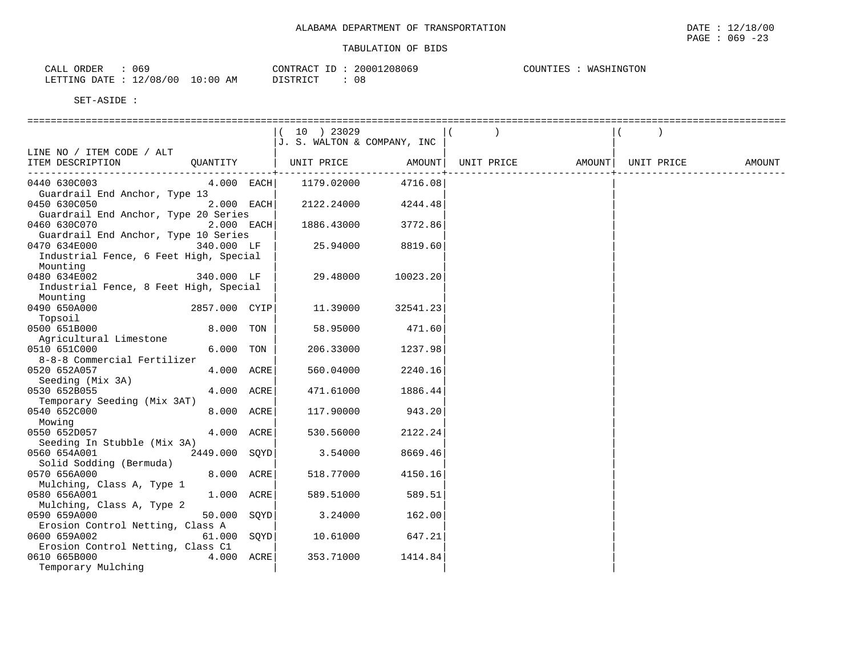| つとの<br>ORDER<br>$\sim$ $\sim$ $\sim$ $\sim$<br>- THT<br>U O L |             | CONTRACT<br>ID | 20001208069   | WASHINGTON<br>COUNTIES |
|---------------------------------------------------------------|-------------|----------------|---------------|------------------------|
| 12/08/00<br>LETTING DATE                                      | 10:00<br>ΆM | DISTRICT       | $\cap$<br>U ö |                        |

|                                                          | $(10)$ 23029<br>J. S. WALTON & COMPANY, INC |                      |
|----------------------------------------------------------|---------------------------------------------|----------------------|
| LINE NO / ITEM CODE / ALT                                |                                             |                      |
| ITEM DESCRIPTION                                         |                                             | UNIT PRICE<br>AMOUNT |
| 0440 630C003<br>$4.000$ EACH                             | 1179.02000<br>4716.08                       |                      |
| Guardrail End Anchor, Type 13                            |                                             |                      |
| 0450 630C050<br>2.000 EACH                               | 2122.24000<br>4244.48                       |                      |
| Guardrail End Anchor, Type 20 Series                     |                                             |                      |
| 0460 630C070<br>$2.000$ EACH                             | 3772.86<br>1886.43000                       |                      |
| Guardrail End Anchor, Type 10 Series                     |                                             |                      |
| 0470 634E000<br>340.000 LF                               | 25.94000<br>8819.60                         |                      |
| Industrial Fence, 6 Feet High, Special<br>Mounting       |                                             |                      |
| 0480 634E002<br>340.000 LF                               | 29.48000<br>10023.20                        |                      |
| Industrial Fence, 8 Feet High, Special                   |                                             |                      |
| Mounting                                                 |                                             |                      |
| 0490 650A000<br>2857.000 CYIP                            | 11.39000<br>32541.23                        |                      |
| Topsoil                                                  |                                             |                      |
| 8.000 TON<br>0500 651B000                                | 58.95000<br>471.60                          |                      |
| Agricultural Limestone                                   |                                             |                      |
| 6.000 TON<br>0510 651C000<br>8-8-8 Commercial Fertilizer | 206.33000<br>1237.98                        |                      |
| 4.000 ACRE<br>0520 652A057                               | 560.04000<br>2240.16                        |                      |
| Seeding (Mix 3A)                                         |                                             |                      |
| 0530 652B055<br>4.000 ACRE                               | 471.61000<br>1886.44                        |                      |
| Temporary Seeding (Mix 3AT)                              |                                             |                      |
| 8.000 ACRE<br>0540 652C000                               | 943.20<br>117.90000                         |                      |
| Mowing                                                   |                                             |                      |
| 4.000 ACRE<br>0550 652D057                               | 2122.24<br>530.56000                        |                      |
| Seeding In Stubble (Mix 3A)                              |                                             |                      |
| 2449.000 SOYD<br>0560 654A001                            | 3.54000<br>8669.46                          |                      |
| Solid Sodding (Bermuda)<br>8.000 ACRE<br>0570 656A000    | 518.77000<br>4150.16                        |                      |
| Mulching, Class A, Type 1                                |                                             |                      |
| 1.000 ACRE<br>0580 656A001                               | 589.51000<br>589.51                         |                      |
| Mulching, Class A, Type 2                                |                                             |                      |
| 50.000 SQYD<br>0590 659A000                              | 3.24000<br>162.00                           |                      |
| Erosion Control Netting, Class A                         |                                             |                      |
| 0600 659A002<br>$61.000$ SQYD                            | 10.61000<br>647.21                          |                      |
| Erosion Control Netting, Class C1                        |                                             |                      |
| 0610 665B000<br>4.000 ACRE                               | 353.71000<br>1414.84                        |                      |
| Temporary Mulching                                       |                                             |                      |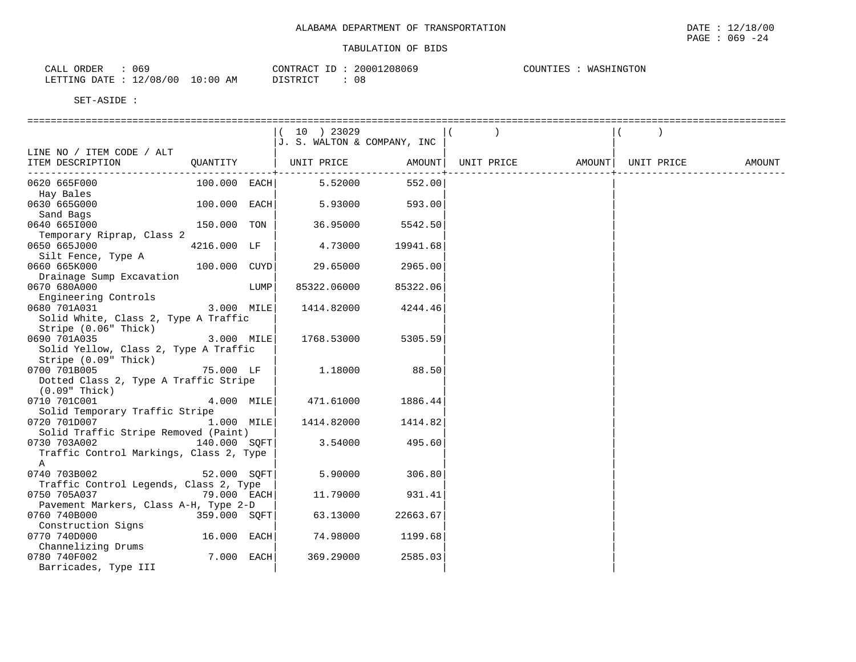| 069                                       | 20001208069    | COUNTIES : |
|-------------------------------------------|----------------|------------|
| CALL ORDER                                | CONTRACT ID:   | WASHINGTON |
| $10:00$ AM<br>LETTING DATE : $12/08/00$ ' | 08<br>DISTRICT |            |

|                                                           |                |      | 10 ) 23029<br>J. S. WALTON & COMPANY, INC             |          |  |            |        |
|-----------------------------------------------------------|----------------|------|-------------------------------------------------------|----------|--|------------|--------|
| LINE NO / ITEM CODE / ALT                                 |                |      |                                                       |          |  |            |        |
| ITEM DESCRIPTION                                          | QUANTITY       |      | UNIT PRICE         AMOUNT   UNIT PRICE         AMOUNT |          |  | UNIT PRICE | AMOUNT |
|                                                           |                |      |                                                       |          |  |            |        |
| 0620 665F000                                              | $100.000$ EACH |      | 5.52000                                               | 552.00   |  |            |        |
| Hay Bales                                                 |                |      |                                                       |          |  |            |        |
| 0630 665G000                                              | 100.000 EACH   |      | 5.93000                                               | 593.00   |  |            |        |
| Sand Bags                                                 |                |      |                                                       |          |  |            |        |
| 0640 6651000                                              | 150.000 TON    |      | 36.95000                                              | 5542.50  |  |            |        |
| Temporary Riprap, Class 2                                 |                |      |                                                       |          |  |            |        |
| 0650 665J000                                              | 4216.000 LF    |      | 4.73000                                               | 19941.68 |  |            |        |
| Silt Fence, Type A                                        |                |      |                                                       |          |  |            |        |
| 0660 665K000                                              | 100.000 CUYD   |      | 29.65000                                              | 2965.00  |  |            |        |
| Drainage Sump Excavation                                  |                |      |                                                       |          |  |            |        |
| 0670 680A000                                              |                | LUMP | 85322.06000                                           | 85322.06 |  |            |        |
| Engineering Controls                                      |                |      |                                                       |          |  |            |        |
| 0680 701A031                                              | 3.000 MILE     |      | 1414.82000                                            | 4244.46  |  |            |        |
| Solid White, Class 2, Type A Traffic                      |                |      |                                                       |          |  |            |        |
| Stripe (0.06" Thick)                                      |                |      |                                                       |          |  |            |        |
| 0690 701A035<br>3.000 MILE                                |                |      | 1768.53000                                            | 5305.59  |  |            |        |
| Solid Yellow, Class 2, Type A Traffic                     |                |      |                                                       |          |  |            |        |
| Stripe (0.09" Thick)                                      |                |      |                                                       |          |  |            |        |
| 0700 701B005                                              | 75.000 LF      |      | 1.18000                                               | 88.50    |  |            |        |
| Dotted Class 2, Type A Traffic Stripe                     |                |      |                                                       |          |  |            |        |
| $(0.09"$ Thick)                                           |                |      |                                                       |          |  |            |        |
| 0710 701C001                                              | $4.000$ MILE   |      | 471.61000                                             | 1886.44  |  |            |        |
|                                                           |                |      |                                                       |          |  |            |        |
| Solid Temporary Traffic Stripe<br>0720 701D007 1.000 MILE |                |      | 1414.82000                                            | 1414.82  |  |            |        |
| Solid Traffic Stripe Removed (Paint)                      |                |      |                                                       |          |  |            |        |
| 0730 703A002                                              | 140.000 SOFT   |      | 3.54000                                               | 495.60   |  |            |        |
|                                                           |                |      |                                                       |          |  |            |        |
| Traffic Control Markings, Class 2, Type                   |                |      |                                                       |          |  |            |        |
| $\mathbb A$                                               |                |      | 5.90000                                               | 306.80   |  |            |        |
| 0740 703B002                                              | 52.000 SQFT    |      |                                                       |          |  |            |        |
| Traffic Control Legends, Class 2, Type                    |                |      |                                                       |          |  |            |        |
| 0750 705A037                                              | $79.000$ EACH  |      | 11.79000                                              | 931.41   |  |            |        |
| Pavement Markers, Class A-H, Type 2-D                     |                |      |                                                       |          |  |            |        |
| 0760 740B000                                              | 359.000 SOFT   |      | 63.13000                                              | 22663.67 |  |            |        |
| Construction Signs                                        |                |      |                                                       |          |  |            |        |
| 0770 740D000                                              | 16.000 EACH    |      | 74.98000                                              | 1199.68  |  |            |        |
| Channelizing Drums                                        |                |      |                                                       |          |  |            |        |
| 0780 740F002                                              | $7.000$ EACH   |      | 369.29000                                             | 2585.03  |  |            |        |
| Barricades, Type III                                      |                |      |                                                       |          |  |            |        |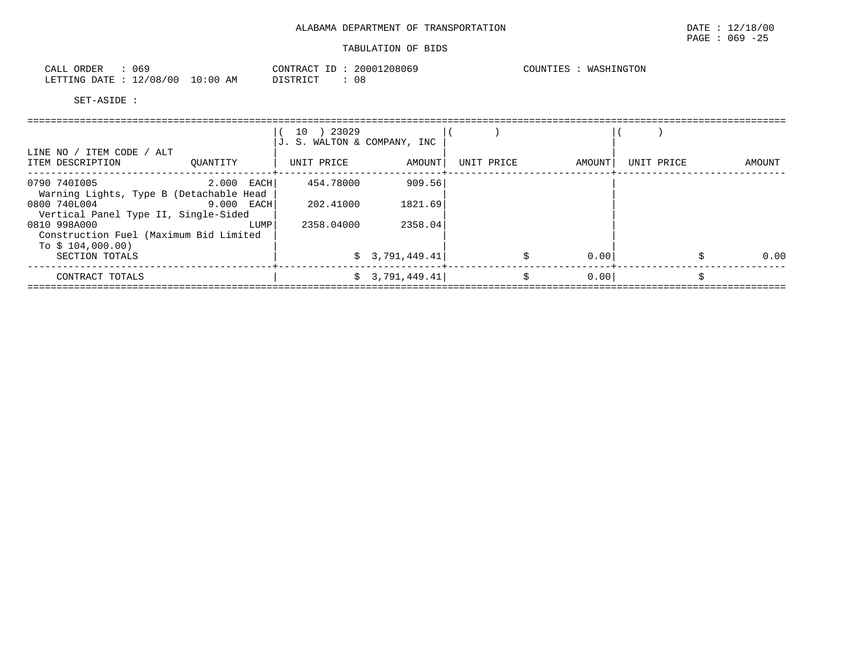| - 069<br>CALL ORDER             | CONTRACT ID: 20001208069 | WASHINGTON<br>COUNTIES : |
|---------------------------------|--------------------------|--------------------------|
| LETTING DATE: 12/08/00 10:00 AM | 08<br>DISTRICT           |                          |

|                                                                             |              | 10 ) 23029<br>J. S. WALTON & COMPANY, INC |                |            |        |            |        |
|-----------------------------------------------------------------------------|--------------|-------------------------------------------|----------------|------------|--------|------------|--------|
| LINE NO / ITEM CODE / ALT<br>ITEM DESCRIPTION                               | OUANTITY     | UNIT PRICE                                | AMOUNT         | UNIT PRICE | AMOUNT | UNIT PRICE | AMOUNT |
| 0790 7401005<br>Warning Lights, Type B (Detachable Head                     | $2.000$ EACH | 454.78000                                 | 909.56         |            |        |            |        |
| 0800 740L004<br>Vertical Panel Type II, Single-Sided                        | $9.000$ EACH | 202.41000                                 | 1821.69        |            |        |            |        |
| 0810 998A000<br>Construction Fuel (Maximum Bid Limited<br>To $$104,000.00)$ | LUMP         | 2358.04000                                | 2358.04        |            |        |            |        |
| SECTION TOTALS                                                              |              |                                           | \$3,791,449.41 |            | 0.00   |            | 0.00   |
| CONTRACT TOTALS                                                             |              |                                           | \$3,791,449.41 | \$         | 0.00   |            |        |
|                                                                             |              |                                           |                |            |        |            |        |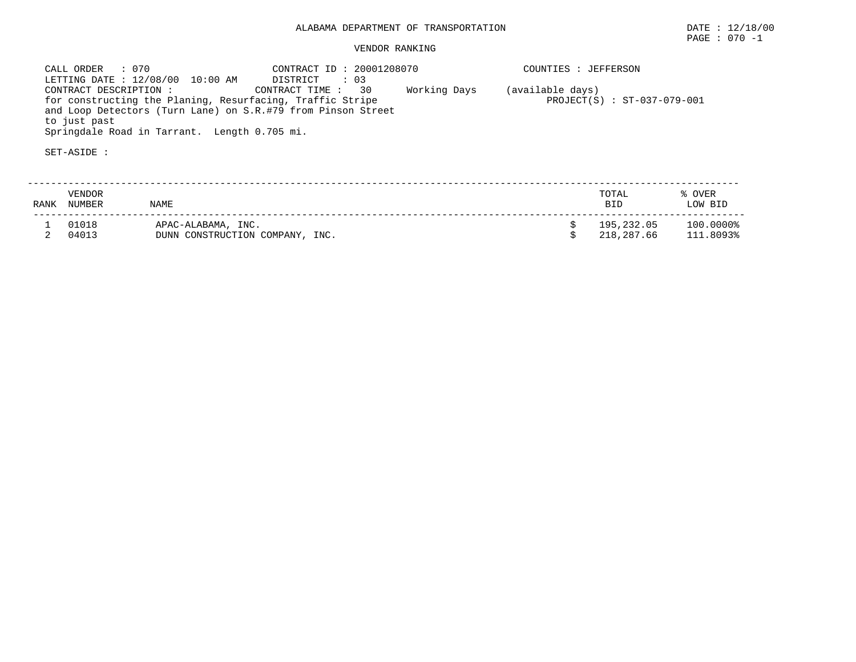## VENDOR RANKING

 CALL ORDER : 070 CONTRACT ID : 20001208070 COUNTIES : JEFFERSONLETTING DATE : 12/08/00 10:00 AM DISTRICT : 03<br>CONTRACT DESCRIPTION : CONTRACT TIME : 30 CONTRACT TIME : 30 Working Days (available days) for constructing the Planing, Resurfacing, Traffic Stripe  $PROJECT(S)$ : ST-037-079-001 and Loop Detectors (Turn Lane) on S.R.#79 from Pinson Street to just past Springdale Road in Tarrant. Length 0.705 mi.

| RANK | <b>VENDOR</b><br>NUMBER | <b>NAME</b>                                           | TOTAL<br><b>BID</b>      | % OVER<br>LOW BID      |
|------|-------------------------|-------------------------------------------------------|--------------------------|------------------------|
|      | 01018<br>04013          | APAC-ALABAMA, INC.<br>DUNN CONSTRUCTION COMPANY, INC. | 195,232.05<br>218,287.66 | 100.0000%<br>111.8093% |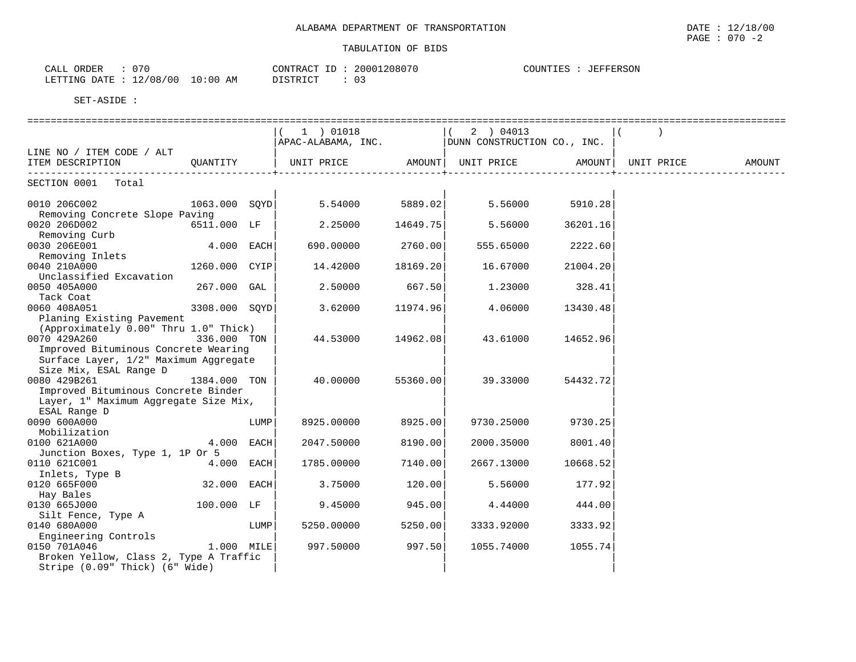| 070<br>ORDER<br>CALL     |            | CONTRACT<br>ID | 20001208070 | <b>JEFFERSON</b><br>COUNTIES |
|--------------------------|------------|----------------|-------------|------------------------------|
| 12/08/00<br>LETTING DATE | $10:00$ AM | DISTRICT       |             |                              |

|                                                                              |              |      | $1)$ 01018                                         |          | (2) 04013         |          |  |
|------------------------------------------------------------------------------|--------------|------|----------------------------------------------------|----------|-------------------|----------|--|
|                                                                              |              |      | APAC-ALABAMA, INC.     DUNN CONSTRUCTION CO., INC. |          |                   |          |  |
| LINE NO / ITEM CODE / ALT                                                    |              |      |                                                    |          |                   |          |  |
| ITEM DESCRIPTION CUANTITY   UNIT PRICE AMOUNT  UNIT PRICE AMOUNT  UNIT PRICE |              |      |                                                    |          |                   |          |  |
| -----------------------------------                                          |              |      |                                                    |          |                   |          |  |
| SECTION 0001 Total                                                           |              |      |                                                    |          |                   |          |  |
|                                                                              |              |      |                                                    |          |                   |          |  |
| 0010 206C002                                                                 |              |      | $1063.000$ SOYD 5.54000                            | 5889.02  | 5.56000           | 5910.28  |  |
| Removing Concrete Slope Paving                                               |              |      |                                                    |          |                   |          |  |
| 6511.000 LF<br>0020 206D002                                                  |              |      | $2.25000$ 14649.75                                 |          | 5.56000           | 36201.16 |  |
| Removing Curb                                                                |              |      |                                                    |          |                   |          |  |
| 0030 206E001                                                                 | $4.000$ EACH |      | 690.00000                                          | 2760.00  | 555.65000 2222.60 |          |  |
| Removing Inlets                                                              |              |      |                                                    |          |                   |          |  |
| 1260.000 CYIP<br>0040 210A000                                                |              |      | 14.42000                                           | 18169.20 | 16.67000          | 21004.20 |  |
| Unclassified Excavation                                                      |              |      |                                                    |          |                   |          |  |
| 0050 405A000                                                                 | 267.000 GAL  |      | 2.50000                                            | 667.50   | 1.23000           | 328.41   |  |
| Tack Coat                                                                    |              |      |                                                    |          |                   |          |  |
| 0060 408A051<br>$3308.000$ SOYD                                              |              |      | 3.62000                                            | 11974.96 | 4.06000           | 13430.48 |  |
| Planing Existing Pavement                                                    |              |      |                                                    |          |                   |          |  |
| (Approximately 0.00" Thru 1.0" Thick)                                        |              |      |                                                    |          |                   |          |  |
| 0070 429A260 336.000 TON                                                     |              |      | 44.53000 14962.08                                  |          | 43.61000          | 14652.96 |  |
| Improved Bituminous Concrete Wearing                                         |              |      |                                                    |          |                   |          |  |
| Surface Layer, 1/2" Maximum Aggregate                                        |              |      |                                                    |          |                   |          |  |
| Size Mix, ESAL Range D                                                       |              |      |                                                    |          |                   |          |  |
| 0080 429B261                                                                 | 1384.000 TON |      | 40.00000                                           | 55360.00 | 39.33000          | 54432.72 |  |
| Improved Bituminous Concrete Binder                                          |              |      |                                                    |          |                   |          |  |
| Layer, 1" Maximum Aggregate Size Mix,                                        |              |      |                                                    |          |                   |          |  |
| ESAL Range D                                                                 |              |      |                                                    |          |                   |          |  |
| 0090 600A000                                                                 |              | LUMP | 8925.00000                                         | 8925.00  | 9730.25000        | 9730.25  |  |
| Mobilization                                                                 |              |      |                                                    |          |                   |          |  |
| 0100 621A000                                                                 | $4.000$ EACH |      | 2047.50000                                         | 8190.00  | 2000.35000        | 8001.40  |  |
|                                                                              |              |      |                                                    |          |                   |          |  |
| Junction Boxes, Type 1, 1P Or 5<br>0110 621C001                              |              |      | 1785.00000                                         |          | 2667.13000        |          |  |
|                                                                              | $4.000$ EACH |      |                                                    | 7140.00  |                   | 10668.52 |  |
| Inlets, Type B                                                               |              |      |                                                    |          |                   |          |  |
| 32.000 EACH<br>0120 665F000                                                  |              |      | 3.75000                                            | 120.00   | 5.56000           | 177.92   |  |
| Hay Bales                                                                    |              |      |                                                    |          |                   |          |  |
| 100.000 LF<br>0130 665J000                                                   |              |      | 9.45000                                            | 945.00   | 4.44000           | 444.00   |  |
| Silt Fence, Type A                                                           |              |      |                                                    |          |                   |          |  |
| 0140 680A000                                                                 |              | LUMP | 5250.00000                                         | 5250.00  | 3333.92000        | 3333.92  |  |
| Engineering Controls                                                         |              |      |                                                    |          |                   |          |  |
| $1.000$ MILE<br>0150 701A046                                                 |              |      | 997.50000                                          | 997.50   | 1055.74000        | 1055.74  |  |
| Broken Yellow, Class 2, Type A Traffic                                       |              |      |                                                    |          |                   |          |  |
| Stripe (0.09" Thick) (6" Wide)                                               |              |      |                                                    |          |                   |          |  |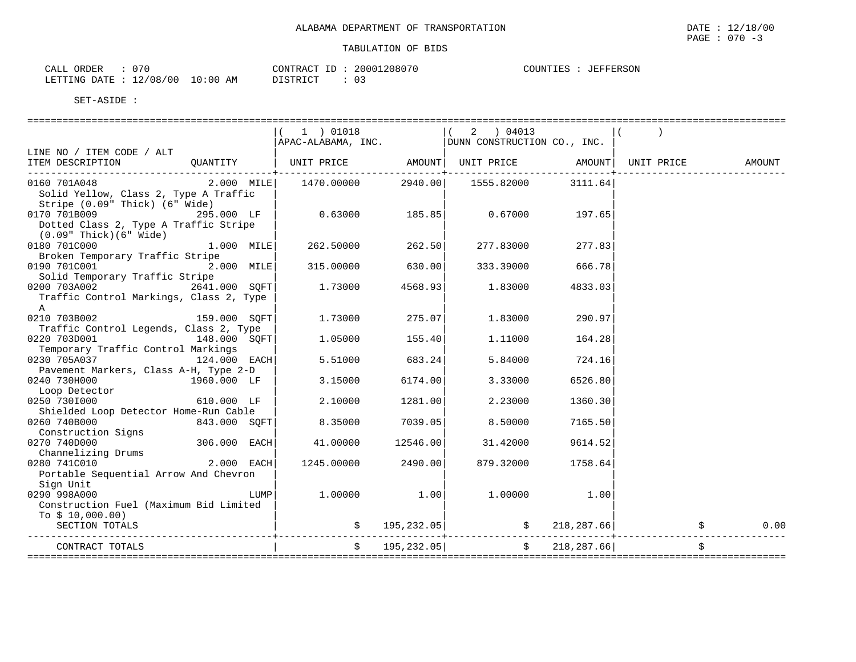| ገ70<br>ORDER<br>CALL     |            | CONTRACT                 | 20001208070 | : JEFFERSON<br>COUNTIES |
|--------------------------|------------|--------------------------|-------------|-------------------------|
| 12/08/00<br>LETTING DATE | $10:00$ AM | <b>DISTRICT</b><br>----- |             |                         |

| 1 ) 01018<br>$(2)$ 04013<br>$\begin{bmatrix} 1 & 1 \\ 1 & 1 \end{bmatrix}$ , $\begin{bmatrix} 1 & 1 \\ 1 & 1 \end{bmatrix}$ , $\begin{bmatrix} 1 & 1 \\ 1 & 1 \end{bmatrix}$ , $\begin{bmatrix} 1 & 1 \\ 1 & 1 \end{bmatrix}$ , $\begin{bmatrix} 1 & 1 \\ 1 & 1 \end{bmatrix}$ , $\begin{bmatrix} 1 & 1 \\ 1 & 1 \end{bmatrix}$ , $\begin{bmatrix} 1 & 1 \\ 1 & 1 \end{bmatrix}$ , $\begin{bmatrix} 1 & 1 \\ 1 & 1 \end{bmatrix}$ , $\begin{b$<br>LINE NO / ITEM CODE / ALT<br>QUANTITY   UNIT PRICE       AMOUNT  UNIT PRICE       AMOUNT  UNIT PRICE<br>ITEM DESCRIPTION<br>AMOUNT<br>----------+---<br>$2.000$ MILE<br>1470.00000 2940.00<br>0160 701A048<br>1555.82000<br>3111.64<br>Solid Yellow, Class 2, Type A Traffic |      |
|--------------------------------------------------------------------------------------------------------------------------------------------------------------------------------------------------------------------------------------------------------------------------------------------------------------------------------------------------------------------------------------------------------------------------------------------------------------------------------------------------------------------------------------------------------------------------------------------------------------------------------------------------------------------------------------------------------------------------------|------|
|                                                                                                                                                                                                                                                                                                                                                                                                                                                                                                                                                                                                                                                                                                                                |      |
|                                                                                                                                                                                                                                                                                                                                                                                                                                                                                                                                                                                                                                                                                                                                |      |
|                                                                                                                                                                                                                                                                                                                                                                                                                                                                                                                                                                                                                                                                                                                                |      |
|                                                                                                                                                                                                                                                                                                                                                                                                                                                                                                                                                                                                                                                                                                                                |      |
| Stripe (0.09" Thick) (6" Wide)                                                                                                                                                                                                                                                                                                                                                                                                                                                                                                                                                                                                                                                                                                 |      |
| $0.63000$ 185.85<br>0170 701B009<br>295.000 LF<br>0.67000<br>197.65                                                                                                                                                                                                                                                                                                                                                                                                                                                                                                                                                                                                                                                            |      |
| Dotted Class 2, Type A Traffic Stripe<br>$(0.09"$ Thick $)(6"$ Wide $)$                                                                                                                                                                                                                                                                                                                                                                                                                                                                                                                                                                                                                                                        |      |
| 0180 701C000<br>1.000 MILE<br>262.50000<br>262.50<br>277.83000<br>277.83                                                                                                                                                                                                                                                                                                                                                                                                                                                                                                                                                                                                                                                       |      |
| Broken Temporary Traffic Stripe                                                                                                                                                                                                                                                                                                                                                                                                                                                                                                                                                                                                                                                                                                |      |
| 0190 701C001 2.000 MILE<br>630.00<br>666.78<br>315.00000<br>333.39000                                                                                                                                                                                                                                                                                                                                                                                                                                                                                                                                                                                                                                                          |      |
| Solid Temporary Traffic Stripe                                                                                                                                                                                                                                                                                                                                                                                                                                                                                                                                                                                                                                                                                                 |      |
| 0200 703A002<br>2641.000 SOFT<br>1.73000<br>4568.931<br>1,83000<br>4833.03                                                                                                                                                                                                                                                                                                                                                                                                                                                                                                                                                                                                                                                     |      |
| Traffic Control Markings, Class 2, Type                                                                                                                                                                                                                                                                                                                                                                                                                                                                                                                                                                                                                                                                                        |      |
| A<br>0210 703B002<br>159.000 SOFT<br>1.73000<br>275.07<br>1.83000<br>290.97                                                                                                                                                                                                                                                                                                                                                                                                                                                                                                                                                                                                                                                    |      |
| Traffic Control Legends, Class 2, Type                                                                                                                                                                                                                                                                                                                                                                                                                                                                                                                                                                                                                                                                                         |      |
| 0220 703D001<br>148.000 SQFT<br>155.40<br>164.28<br>1.05000<br>1,11000                                                                                                                                                                                                                                                                                                                                                                                                                                                                                                                                                                                                                                                         |      |
| Temporary Traffic Control Markings                                                                                                                                                                                                                                                                                                                                                                                                                                                                                                                                                                                                                                                                                             |      |
| 0230 705A037<br>124.000 EACH<br>683.24<br>724.16<br>5.51000<br>5.84000                                                                                                                                                                                                                                                                                                                                                                                                                                                                                                                                                                                                                                                         |      |
| Pavement Markers, Class A-H, Type 2-D                                                                                                                                                                                                                                                                                                                                                                                                                                                                                                                                                                                                                                                                                          |      |
| 0240 730H000<br>1960.000 LF<br>6526.80<br>3.15000<br>6174.00<br>3.33000                                                                                                                                                                                                                                                                                                                                                                                                                                                                                                                                                                                                                                                        |      |
| Loop Detector                                                                                                                                                                                                                                                                                                                                                                                                                                                                                                                                                                                                                                                                                                                  |      |
| 0250 7301000<br>610.000 LF<br>2,10000<br>1281.00<br>2.23000<br>1360.30                                                                                                                                                                                                                                                                                                                                                                                                                                                                                                                                                                                                                                                         |      |
| Shielded Loop Detector Home-Run Cable<br>0260 740B000<br>843.000 SQFT<br>8.50000<br>7165.50<br>8.35000<br>7039.05                                                                                                                                                                                                                                                                                                                                                                                                                                                                                                                                                                                                              |      |
| Construction Signs                                                                                                                                                                                                                                                                                                                                                                                                                                                                                                                                                                                                                                                                                                             |      |
| 0270 740D000<br>$306.000$ EACH<br>41.00000<br>12546.00<br>31.42000<br>9614.52                                                                                                                                                                                                                                                                                                                                                                                                                                                                                                                                                                                                                                                  |      |
| Channelizing Drums                                                                                                                                                                                                                                                                                                                                                                                                                                                                                                                                                                                                                                                                                                             |      |
| 0280 741C010<br>$2.000$ EACH<br>1245.00000<br>2490.00<br>879.32000<br>1758.64                                                                                                                                                                                                                                                                                                                                                                                                                                                                                                                                                                                                                                                  |      |
| Portable Sequential Arrow And Chevron                                                                                                                                                                                                                                                                                                                                                                                                                                                                                                                                                                                                                                                                                          |      |
| Sign Unit                                                                                                                                                                                                                                                                                                                                                                                                                                                                                                                                                                                                                                                                                                                      |      |
| 0290 998A000<br>LUMP  <br>1.00000<br>1.00<br>1.00<br>1.00000                                                                                                                                                                                                                                                                                                                                                                                                                                                                                                                                                                                                                                                                   |      |
| Construction Fuel (Maximum Bid Limited                                                                                                                                                                                                                                                                                                                                                                                                                                                                                                                                                                                                                                                                                         |      |
| To $$10,000.00)$                                                                                                                                                                                                                                                                                                                                                                                                                                                                                                                                                                                                                                                                                                               |      |
| $\frac{1}{5}$ 218, 287.66<br>195,232.05<br>SECTION TOTALS<br>----------------------------------                                                                                                                                                                                                                                                                                                                                                                                                                                                                                                                                                                                                                                | 0.00 |
| $\ddot{s}$<br>218, 287.66<br>195, 232.05<br>CONTRACT TOTALS                                                                                                                                                                                                                                                                                                                                                                                                                                                                                                                                                                                                                                                                    |      |
|                                                                                                                                                                                                                                                                                                                                                                                                                                                                                                                                                                                                                                                                                                                                |      |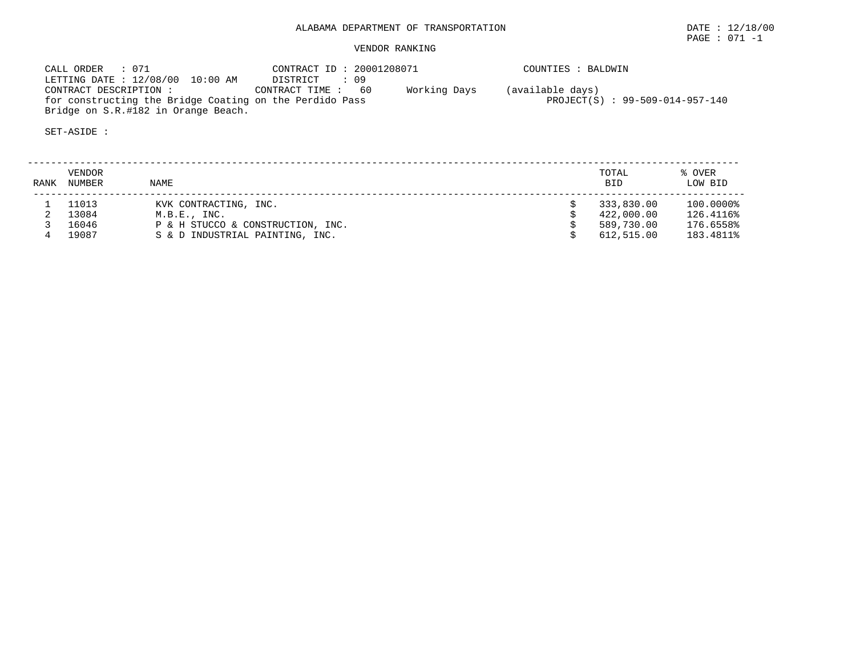# ALABAMA DEPARTMENT OF TRANSPORTATION DATE : 12/18/00

PAGE : 071 -1

## VENDOR RANKING

 CALL ORDER : 071 CONTRACT ID : 20001208071 COUNTIES : BALDWIN LETTING DATE : 12/08/00 10:00 AM DISTRICT : 09 CONTRACT DESCRIPTION : CONTRACT TIME : 60 Working Days (available days) for constructing the Bridge Coating on the Perdido Pass Particle Permit (S) : 99-509-014-957-140 Bridge on S.R.#182 in Orange Beach.

| <b>RANK</b> | VENDOR<br>NUMBER | <b>NAME</b>                       | TOTAL<br><b>BID</b> | % OVER<br>LOW BID |
|-------------|------------------|-----------------------------------|---------------------|-------------------|
|             | 11013            | KVK CONTRACTING, INC.             | 333,830.00          | 100.0000%         |
|             | 13084            | M.B.E., INC.                      | 422,000.00          | 126.4116%         |
|             | 16046            | P & H STUCCO & CONSTRUCTION, INC. | 589,730.00          | 176.6558%         |
|             | 19087            | S & D INDUSTRIAL PAINTING, INC.   | 612,515.00          | 183.4811%         |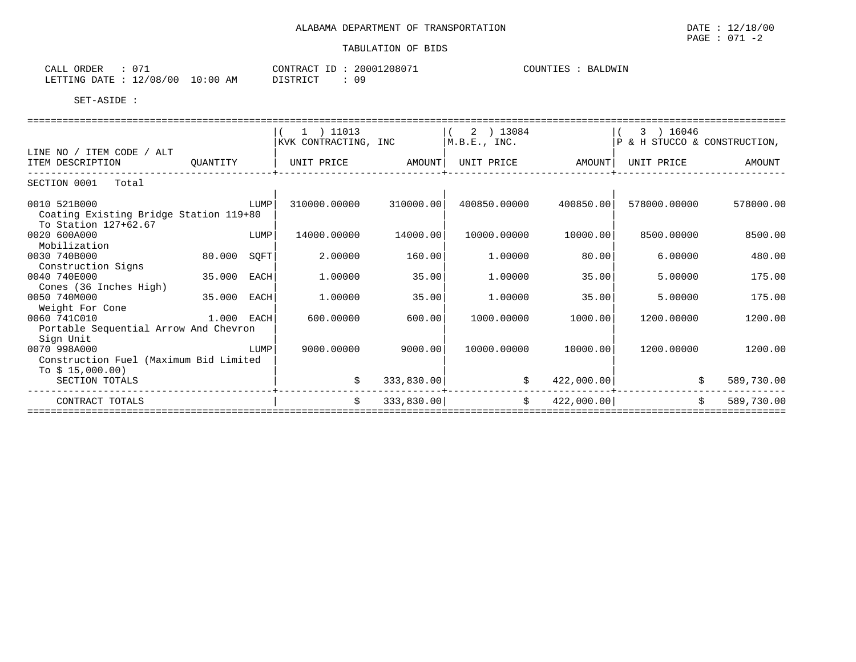PAGE : 071 -2

| ORDER<br>CALL          | 073 |            | CONTRACT ID     | 20001208071 | COUNTIES | BALDWIN |
|------------------------|-----|------------|-----------------|-------------|----------|---------|
| LETTING DATE: 12/08/00 |     | $10:00$ AM | <b>DISTRICT</b> | 09          |          |         |

|                                                                                |             |      | $(1)$ 11013<br>KVK CONTRACTING, INC                  |            | $(2)$ 13084<br> M.B.E., INC. |            | $(3)$ 16046<br>$ P \& H$ STUCCO & CONSTRUCTION, |                                  |
|--------------------------------------------------------------------------------|-------------|------|------------------------------------------------------|------------|------------------------------|------------|-------------------------------------------------|----------------------------------|
| LINE NO / ITEM CODE / ALT<br>ITEM DESCRIPTION                                  | QUANTITY    |      | UNIT PRICE         AMOUNT  UNIT PRICE         AMOUNT |            |                              |            | UNIT PRICE                                      | AMOUNT                           |
| SECTION 0001 Total                                                             |             |      |                                                      |            |                              |            |                                                 |                                  |
| 0010 521B000<br>Coating Existing Bridge Station 119+80<br>To Station 127+62.67 |             | LUMP | 310000.00000                                         | 310000.00  | 400850.00000                 | 400850.00  | 578000.00000                                    | 578000.00                        |
| 0020 600A000<br>Mobilization                                                   |             | LUMP | 14000.00000                                          | 14000.00   | 10000.00000                  | 10000.00   | 8500.00000                                      | 8500.00                          |
| 0030 740B000<br>Construction Signs                                             | 80.000 SQFT |      | 2.00000                                              | 160.00     | 1.00000                      | 80.00      | 6.00000                                         | 480.00                           |
| 0040 740E000<br>Cones (36 Inches High)                                         | 35.000 EACH |      | 1,00000                                              | 35.00      | 1,00000                      | 35.00      | 5.00000                                         | 175.00                           |
| 0050 740M000<br>Weight For Cone                                                | 35.000 EACH |      | 1,00000                                              | 35.00      | 1,00000                      | 35.00      | 5.00000                                         | 175.00                           |
| 0060 741C010<br>Portable Sequential Arrow And Chevron<br>Sign Unit             | 1.000 EACH  |      | 600,00000                                            | 600.00     | 1000.00000                   | 1000.00    | 1200.00000                                      | 1200.00                          |
| 0070 998A000<br>Construction Fuel (Maximum Bid Limited                         | LUMP        |      | 9000.00000                                           | 9000.00    | 10000.00000                  | 10000.00   | 1200.00000                                      | 1200.00                          |
| To $$15,000.00)$<br>SECTION TOTALS                                             |             |      | \$                                                   | 333,830.00 | \$                           |            | 422,000.00                                      | \$<br>589,730.00                 |
| CONTRACT TOTALS                                                                |             |      | Ŝ.                                                   | 333,830.00 | $\ddot{s}$                   | 422,000.00 |                                                 | $\dot{\mathbb{S}}$<br>589,730.00 |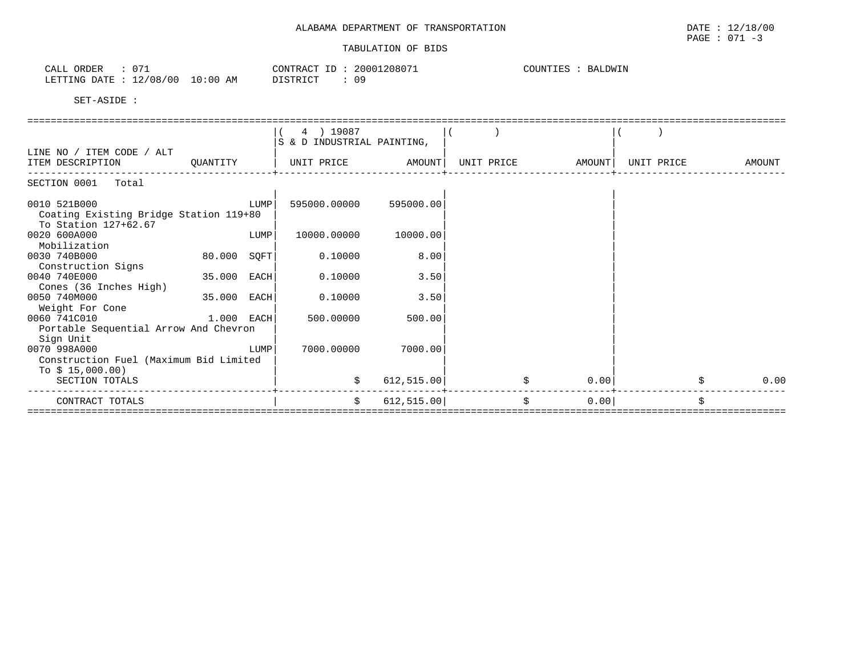| CALL ORDER                       | CONTRACT ID: 20001208071 | COUNTIES : BALDWIN |
|----------------------------------|--------------------------|--------------------|
| LETTING DATE : 12/08/00 10:00 AM | DISTRICT<br>ጠ ዓ          |                    |

|                                                            |             |      | 4 ) 19087                  |             |            |        |            |        |
|------------------------------------------------------------|-------------|------|----------------------------|-------------|------------|--------|------------|--------|
|                                                            |             |      | S & D INDUSTRIAL PAINTING, |             |            |        |            |        |
| LINE NO / ITEM CODE / ALT                                  |             |      |                            |             |            |        |            |        |
| ITEM DESCRIPTION                                           | OUANTITY    |      | UNIT PRICE AMOUNT          |             | UNIT PRICE | AMOUNT | UNIT PRICE | AMOUNT |
| SECTION 0001 Total                                         |             |      |                            |             |            |        |            |        |
| 0010 521B000                                               |             | LUMP | 595000.00000               | 595000.00   |            |        |            |        |
| Coating Existing Bridge Station 119+80                     |             |      |                            |             |            |        |            |        |
| To Station 127+62.67                                       |             |      |                            |             |            |        |            |        |
| 0020 600A000                                               |             | LUMP | 10000.00000                | 10000.00    |            |        |            |        |
| Mobilization                                               |             |      |                            |             |            |        |            |        |
| 0030 740B000                                               | 80.000 SQFT |      | 0.10000                    | 8.00        |            |        |            |        |
| Construction Signs                                         |             |      |                            |             |            |        |            |        |
| 0040 740E000                                               | 35.000 EACH |      | 0.10000                    | 3.50        |            |        |            |        |
| Cones (36 Inches High)                                     |             |      |                            |             |            |        |            |        |
| 0050 740M000                                               | 35.000 EACH |      | 0.10000                    | 3.50        |            |        |            |        |
| Weight For Cone                                            |             |      |                            |             |            |        |            |        |
| 0060 741C010                                               | 1.000 EACH  |      | 500.00000                  | 500.00      |            |        |            |        |
| Portable Sequential Arrow And Chevron                      |             |      |                            |             |            |        |            |        |
| Sign Unit                                                  |             | LUMP | 7000.00000                 |             |            |        |            |        |
| 0070 998A000                                               |             |      |                            | 7000.00     |            |        |            |        |
| Construction Fuel (Maximum Bid Limited<br>To $$15,000.00)$ |             |      |                            |             |            |        |            |        |
| SECTION TOTALS                                             |             |      | \$                         | 612, 515.00 | \$         | 0.00   |            | 0.00   |
|                                                            |             |      |                            |             |            |        |            |        |
| CONTRACT TOTALS                                            |             |      | Ŝ.                         | 612, 515.00 | Ŝ.         | 0.00   |            | \$     |
|                                                            |             |      |                            |             |            |        |            |        |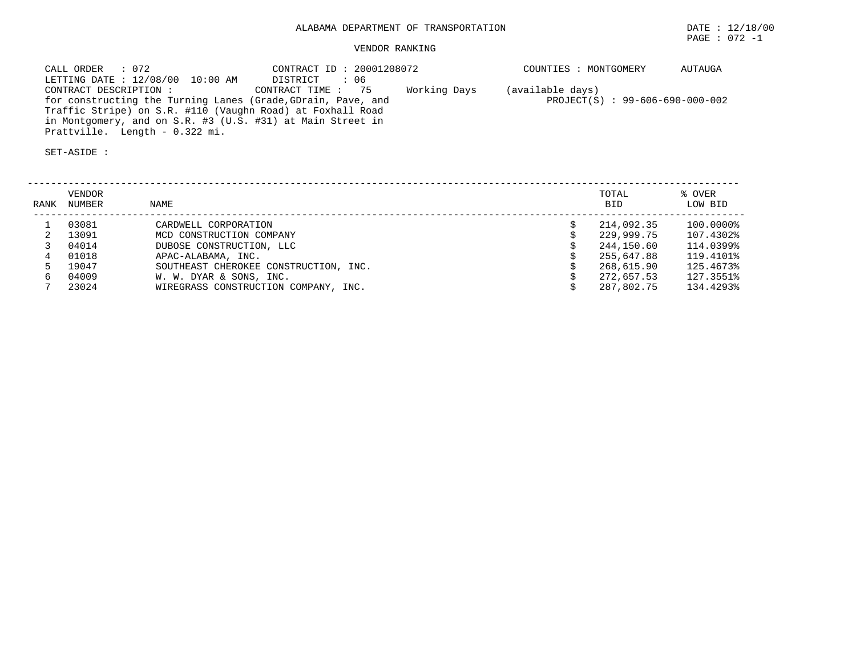## VENDOR RANKING

| CALL ORDER : 072                                             | CONTRACT ID: 20001208072 |              | COUNTIES : MONTGOMERY             | AUTAUGA |
|--------------------------------------------------------------|--------------------------|--------------|-----------------------------------|---------|
| LETTING DATE : 12/08/00 10:00 AM                             | DISTRICT : 06            |              |                                   |         |
| CONTRACT DESCRIPTION :                                       | CONTRACT TIME: 75        | Working Days | (available days)                  |         |
| for constructing the Turning Lanes (Grade, GDrain, Pave, and |                          |              | $PROJECT(S)$ : 99-606-690-000-002 |         |
| Traffic Stripe) on S.R. #110 (Vaughn Road) at Foxhall Road   |                          |              |                                   |         |
| in Montgomery, and on S.R. #3 (U.S. #31) at Main Street in   |                          |              |                                   |         |
| Prattville. Length - 0.322 mi.                               |                          |              |                                   |         |

| RANK | <b>VENDOR</b><br>NUMBER | NAME                                  | TOTAL<br><b>BID</b> | % OVER<br>LOW BID |
|------|-------------------------|---------------------------------------|---------------------|-------------------|
|      | 03081                   | CARDWELL CORPORATION                  | 214,092.35          | 100.0000%         |
|      | 13091                   | MCD CONSTRUCTION COMPANY              | 229,999.75          | 107.4302%         |
|      | 04014                   | DUBOSE CONSTRUCTION, LLC              | 244,150.60          | 114.0399%         |
|      | 01018                   | APAC-ALABAMA, INC.                    | 255,647.88          | 119.4101%         |
|      | 19047                   | SOUTHEAST CHEROKEE CONSTRUCTION, INC. | 268,615.90          | 125.4673%         |
|      | 04009                   | W. W. DYAR & SONS, INC.               | 272,657.53          | 127.3551%         |
|      | 23024                   | WIREGRASS CONSTRUCTION COMPANY, INC.  | 287.802.75          | 134.4293%         |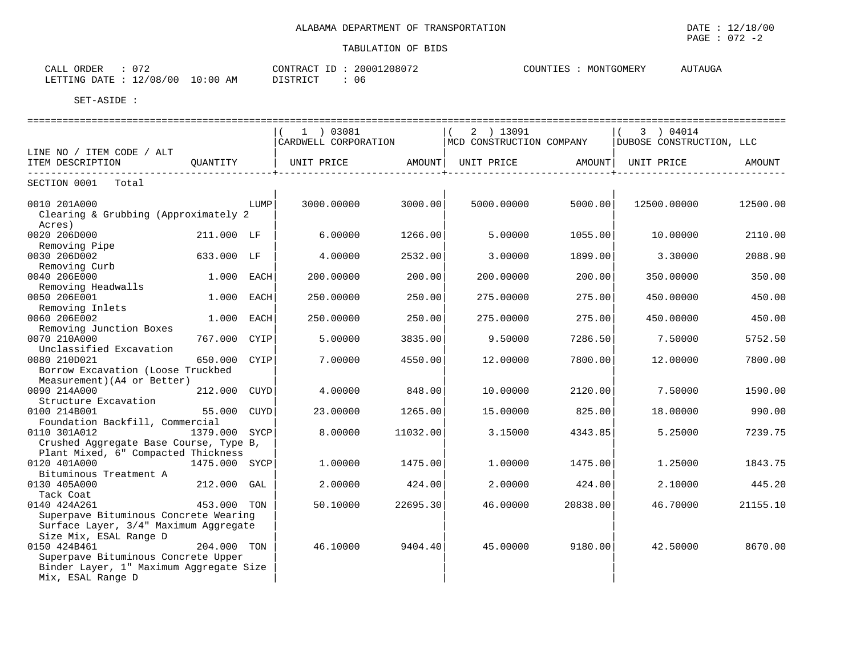| $\sim$ $ \sim$<br>ORDER<br>CALL                                          | 20001208072<br>CONTRACT                            | AUTAUGA<br>COUNTIES<br>MONTGOMERY |
|--------------------------------------------------------------------------|----------------------------------------------------|-----------------------------------|
| /08/00<br>10:00<br>$\sim$<br>LETTING<br><b>DATE</b><br>AΜ<br>⊥∠ ′<br>UU. | <b>DICTRICT</b><br>-06<br>ו או<br><b>レエレエエ៶エ</b> ぃ |                                   |

|                                                                                                                          |               |      |                      |          |                          |          | ======================   |          |
|--------------------------------------------------------------------------------------------------------------------------|---------------|------|----------------------|----------|--------------------------|----------|--------------------------|----------|
|                                                                                                                          |               |      | 1 ) 03081            |          | 2 ) 13091                |          | 3 ) 04014                |          |
|                                                                                                                          |               |      | CARDWELL CORPORATION |          | MCD CONSTRUCTION COMPANY |          | DUBOSE CONSTRUCTION, LLC |          |
| LINE NO / ITEM CODE / ALT                                                                                                |               |      |                      |          |                          |          |                          |          |
| ITEM DESCRIPTION<br>------------                                                                                         | OUANTITY      |      | UNIT PRICE           | AMOUNT   | UNIT PRICE               | AMOUNT   | UNIT PRICE               | AMOUNT   |
| SECTION 0001<br>Total                                                                                                    |               |      |                      |          |                          |          |                          |          |
| 0010 201A000<br>Clearing & Grubbing (Approximately 2                                                                     |               | LUMP | 3000.00000           | 3000.00  | 5000.00000               | 5000.00  | 12500.00000              | 12500.00 |
| Acres)<br>0020 206D000<br>Removing Pipe                                                                                  | 211.000 LF    |      | 6.00000              | 1266.00  | 5.00000                  | 1055.00  | 10,00000                 | 2110.00  |
| 0030 206D002<br>Removing Curb                                                                                            | 633.000 LF    |      | 4.00000              | 2532.00  | 3.00000                  | 1899.00  | 3.30000                  | 2088.90  |
| 0040 206E000<br>Removing Headwalls                                                                                       | 1.000 EACH    |      | 200.00000            | 200.00   | 200.00000                | 200.00   | 350.00000                | 350.00   |
| 0050 206E001<br>Removing Inlets                                                                                          | 1.000 EACH    |      | 250.00000            | 250.00   | 275.00000                | 275.00   | 450.00000                | 450.00   |
| 0060 206E002<br>Removing Junction Boxes                                                                                  | 1.000         | EACH | 250.00000            | 250.00   | 275.00000                | 275.00   | 450.00000                | 450.00   |
| 0070 210A000<br>Unclassified Excavation                                                                                  | 767.000 CYIP  |      | 5.00000              | 3835.00  | 9.50000                  | 7286.50  | 7.50000                  | 5752.50  |
| 0080 210D021<br>Borrow Excavation (Loose Truckbed<br>Measurement) (A4 or Better)                                         | 650.000       | CYIP | 7.00000              | 4550.00  | 12.00000                 | 7800.00  | 12.00000                 | 7800.00  |
| 0090 214A000<br>Structure Excavation                                                                                     | 212.000       | CUYD | 4.00000              | 848.00   | 10,00000                 | 2120.00  | 7.50000                  | 1590.00  |
| 0100 214B001<br>Foundation Backfill, Commercial                                                                          | 55.000 CUYD   |      | 23.00000             | 1265.00  | 15,00000                 | 825.00   | 18,00000                 | 990.00   |
| 0110 301A012<br>Crushed Aggregate Base Course, Type B,<br>Plant Mixed, 6" Compacted Thickness                            | 1379.000 SYCP |      | 8.00000              | 11032.00 | 3.15000                  | 4343.85  | 5.25000                  | 7239.75  |
| 0120 401A000<br>Bituminous Treatment A                                                                                   | 1475.000 SYCP |      | 1,00000              | 1475.00  | 1,00000                  | 1475.00  | 1.25000                  | 1843.75  |
| 0130 405A000<br>Tack Coat                                                                                                | 212.000 GAL   |      | 2.00000              | 424.00   | 2.00000                  | 424.00   | 2.10000                  | 445.20   |
| 0140 424A261<br>Superpave Bituminous Concrete Wearing<br>Surface Layer, 3/4" Maximum Aggregate<br>Size Mix, ESAL Range D | 453.000 TON   |      | 50.10000             | 22695.30 | 46.00000                 | 20838.00 | 46.70000                 | 21155.10 |
| 0150 424B461<br>Superpave Bituminous Concrete Upper<br>Binder Layer, 1" Maximum Aggregate Size<br>Mix, ESAL Range D      | 204.000 TON   |      | 46.10000             | 9404.40  | 45.00000                 | 9180.00  | 42.50000                 | 8670.00  |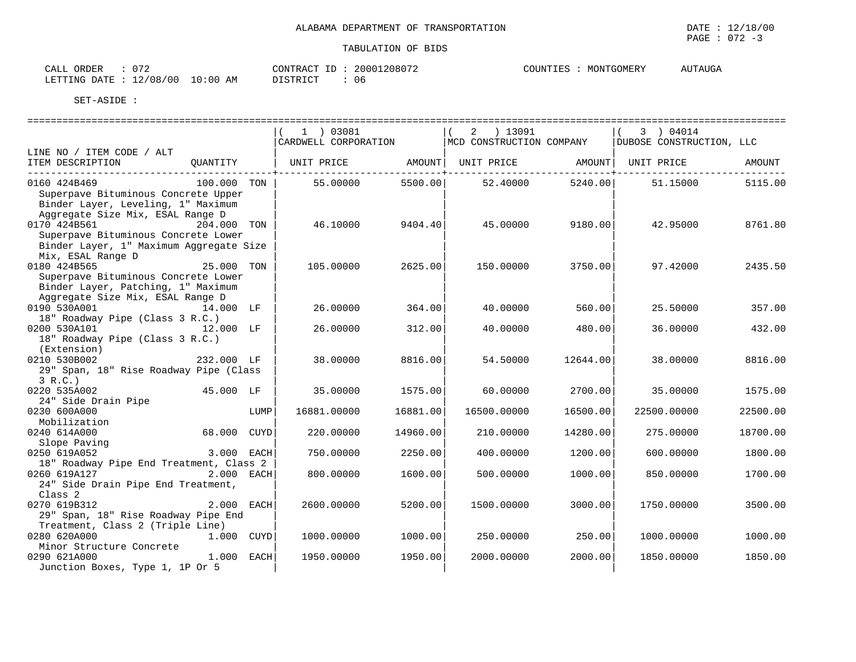| ORDER<br>CALL       | $\sim$ $\sim$ $\sim$ |          | CONTRACT ID | 1208072<br>2000 | COUNTIES | MONTGOMERY | <b>AUTAUGA</b> |
|---------------------|----------------------|----------|-------------|-----------------|----------|------------|----------------|
| LETTING DATE<br>. . | 12/08/00             | 10:00 AM | DI STRICT   | 06              |          |            |                |

|                                                                                                                               |              |      | 1   03081<br>CARDWELL CORPORATION |          | ) 13091<br>2<br>MCD CONSTRUCTION COMPANY |          | 3 ) 04014<br>DUBOSE CONSTRUCTION, LLC |          |
|-------------------------------------------------------------------------------------------------------------------------------|--------------|------|-----------------------------------|----------|------------------------------------------|----------|---------------------------------------|----------|
| LINE NO / ITEM CODE / ALT<br>ITEM DESCRIPTION<br>-----------------------------                                                | QUANTITY     |      | UNIT PRICE                        | AMOUNT   | UNIT PRICE AMOUNT                        |          | UNIT PRICE                            | AMOUNT   |
| 0160 424B469<br>Superpave Bituminous Concrete Upper<br>Binder Layer, Leveling, 1" Maximum<br>Aggregate Size Mix, ESAL Range D | 100.000 TON  |      | 55.00000                          | 5500.00  | 52.40000                                 | 5240.00  | 51.15000                              | 5115.00  |
| 0170 424B561<br>Superpave Bituminous Concrete Lower<br>Binder Layer, 1" Maximum Aggregate Size<br>Mix, ESAL Range D           | 204.000 TON  |      | 46.10000                          | 9404.40  | 45.00000                                 | 9180.00  | 42.95000                              | 8761.80  |
| 0180 424B565<br>Superpave Bituminous Concrete Lower<br>Binder Layer, Patching, 1" Maximum<br>Aggregate Size Mix, ESAL Range D | 25.000 TON   |      | 105.00000                         | 2625.00  | 150.00000                                | 3750.00  | 97.42000                              | 2435.50  |
| 0190 530A001<br>18" Roadway Pipe (Class 3 R.C.)                                                                               | 14.000 LF    |      | 26.00000                          | 364.00   | 40.00000                                 | 560.00   | 25.50000                              | 357.00   |
| 0200 530A101<br>18" Roadway Pipe (Class 3 R.C.)<br>(Extension)                                                                | 12.000 LF    |      | 26.00000                          | 312.00   | 40.00000                                 | 480.00   | 36.00000                              | 432.00   |
| 0210 530B002<br>29" Span, 18" Rise Roadway Pipe (Class<br>3 R.C.                                                              | 232.000 LF   |      | 38.00000                          | 8816.00  | 54.50000                                 | 12644.00 | 38.00000                              | 8816.00  |
| 0220 535A002<br>24" Side Drain Pipe                                                                                           | 45.000 LF    |      | 35.00000                          | 1575.00  | 60.00000                                 | 2700.00  | 35,00000                              | 1575.00  |
| 0230 600A000<br>Mobilization                                                                                                  |              | LUMP | 16881.00000                       | 16881.00 | 16500.00000                              | 16500.00 | 22500.00000                           | 22500.00 |
| 0240 614A000<br>Slope Paving                                                                                                  | 68.000 CUYD  |      | 220.00000                         | 14960.00 | 210.00000                                | 14280.00 | 275.00000                             | 18700.00 |
| 0250 619A052<br>18" Roadway Pipe End Treatment, Class 2                                                                       | 3.000 EACH   |      | 750.00000                         | 2250.00  | 400.00000                                | 1200.00  | 600.00000                             | 1800.00  |
| 0260 619A127 2.000 EACH<br>24" Side Drain Pipe End Treatment,<br>Class 2                                                      |              |      | 800.00000                         | 1600.00  | 500.00000                                | 1000.00  | 850.00000                             | 1700.00  |
| 0270 619B312<br>29" Span, 18" Rise Roadway Pipe End<br>Treatment, Class 2 (Triple Line)                                       | $2.000$ EACH |      | 2600.00000                        | 5200.00  | 1500.00000                               | 3000.00  | 1750.00000                            | 3500.00  |
| 0280 620A000<br>Minor Structure Concrete                                                                                      | 1.000 CUYD   |      | 1000.00000                        | 1000.00  | 250.00000                                | 250.00   | 1000.00000                            | 1000.00  |
| 0290 621A000<br>Junction Boxes, Type 1, 1P Or 5                                                                               | $1.000$ EACH |      | 1950.00000                        | 1950.00  | 2000.00000                               | 2000.00  | 1850.00000                            | 1850.00  |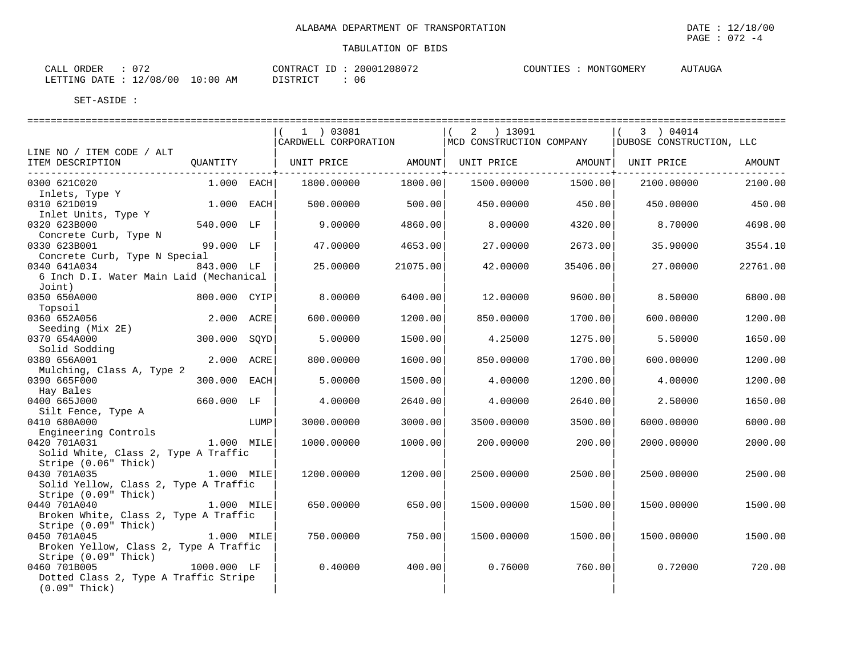| $\sim$ $ \sim$<br>CALL                            |              | $\sim$      | 2000 | <b>COUNT</b><br>$\Lambda$ $\Lambda$ $\Lambda$ $\Lambda$ $\Lambda$ $\Lambda$<br>ME.R.<br>ורו דו | TTTTTTTTTT<br>115P |
|---------------------------------------------------|--------------|-------------|------|------------------------------------------------------------------------------------------------|--------------------|
| '00<br>LETTING<br>$'$ 0.8<br>$\cdots$ DATT<br>+ 4 | 00 : ۱<br>ΑM | דת סידים דת | 06   |                                                                                                |                    |

|                                                                                                                                  |              |      | 1 ) 03081<br>CARDWELL CORPORATION |          | 2 ) 13091<br>MCD CONSTRUCTION COMPANY |          | 3 ) 04014<br>DUBOSE CONSTRUCTION, LLC |          |
|----------------------------------------------------------------------------------------------------------------------------------|--------------|------|-----------------------------------|----------|---------------------------------------|----------|---------------------------------------|----------|
| LINE NO / ITEM CODE / ALT                                                                                                        |              |      |                                   |          |                                       |          |                                       |          |
| ITEM DESCRIPTION<br>---------------------------                                                                                  | QUANTITY     |      | UNIT PRICE AMOUNT                 |          | UNIT PRICE AMOUNT                     |          | UNIT PRICE                            | AMOUNT   |
| 0300 621C020<br>Inlets, Type Y                                                                                                   | $1.000$ EACH |      | 1800.00000                        | 1800.00  | 1500.00000                            | 1500.00  | 2100.00000                            | 2100.00  |
| 0310 621D019<br>Inlet Units, Type Y                                                                                              | 1.000 EACH   |      | 500.00000                         | 500.00   | 450.00000                             | 450.00   | 450.00000                             | 450.00   |
| 0320 623B000<br>Concrete Curb, Type N                                                                                            | 540.000 LF   |      | 9,00000                           | 4860.00  | 8.00000                               | 4320.00  | 8.70000                               | 4698.00  |
| 0330 623B001<br>Concrete Curb, Type N Special                                                                                    | 99.000 LF    |      | 47.00000                          | 4653.00  | 27.00000                              | 2673.00  | 35.90000                              | 3554.10  |
| 0340 641A034<br>6 Inch D.I. Water Main Laid (Mechanical<br>Joint)                                                                | 843.000 LF   |      | 25.00000                          | 21075.00 | 42.00000                              | 35406.00 | 27.00000                              | 22761.00 |
| 0350 650A000<br>Topsoil                                                                                                          | 800.000 CYIP |      | 8.00000                           | 6400.00  | 12.00000                              | 9600.00  | 8.50000                               | 6800.00  |
| 0360 652A056<br>Seeding (Mix 2E)                                                                                                 | 2.000 ACRE   |      | 600.00000                         | 1200.00  | 850.00000                             | 1700.00  | 600,00000                             | 1200.00  |
| 0370 654A000<br>Solid Sodding                                                                                                    | 300.000 SQYD |      | 5.00000                           | 1500.00  | 4.25000                               | 1275.00  | 5.50000                               | 1650.00  |
| 0380 656A001<br>Mulching, Class A, Type 2                                                                                        | 2.000 ACRE   |      | 800.00000                         | 1600.00  | 850.00000                             | 1700.00  | 600.00000                             | 1200.00  |
| 0390 665F000<br>Hay Bales                                                                                                        | 300.000 EACH |      | 5.00000                           | 1500.00  | 4.00000                               | 1200.00  | 4.00000                               | 1200.00  |
| 0400 665J000<br>Silt Fence, Type A                                                                                               | 660.000 LF   |      | 4.00000                           | 2640.00  | 4.00000                               | 2640.00  | 2.50000                               | 1650.00  |
| 0410 680A000<br>Engineering Controls                                                                                             |              | LUMP | 3000.00000                        | 3000.00  | 3500.00000                            | 3500.00  | 6000.00000                            | 6000.00  |
| 0420 701A031<br>Solid White, Class 2, Type A Traffic<br>Stripe (0.06" Thick)                                                     | $1.000$ MILE |      | 1000.00000                        | 1000.00  | 200.00000                             | 200.00   | 2000.00000                            | 2000.00  |
| 0430 701A035<br>1.000 MILE<br>Solid Yellow, Class 2, Type A Traffic                                                              |              |      | 1200.00000                        | 1200.00  | 2500.00000                            | 2500.00  | 2500.00000                            | 2500.00  |
| SUIL ICILO<br>Stripe (0.09" Thick) [1.000 MILE]<br>0440 701A040<br>Broken White, Class 2, Type A Traffic<br>Stripe (0.09" Thick) |              |      | 650.00000                         | 650.00   | 1500.00000                            | 1500.00  | 1500.00000                            | 1500.00  |
| 0450 701A045<br>1.000 MILE<br>Broken Yellow, Class 2, Type A Traffic<br>Stripe (0.09" Thick)                                     |              |      | 750.00000                         | 750.00   | 1500.00000                            | 1500.00  | 1500.00000                            | 1500.00  |
| 0460 701B005<br>Dotted Class 2, Type A Traffic Stripe<br>$(0.09"$ Thick)                                                         | 1000.000 LF  |      | 0.40000                           | 400.00   | 0.76000                               | 760.00   | 0.72000                               | 720.00   |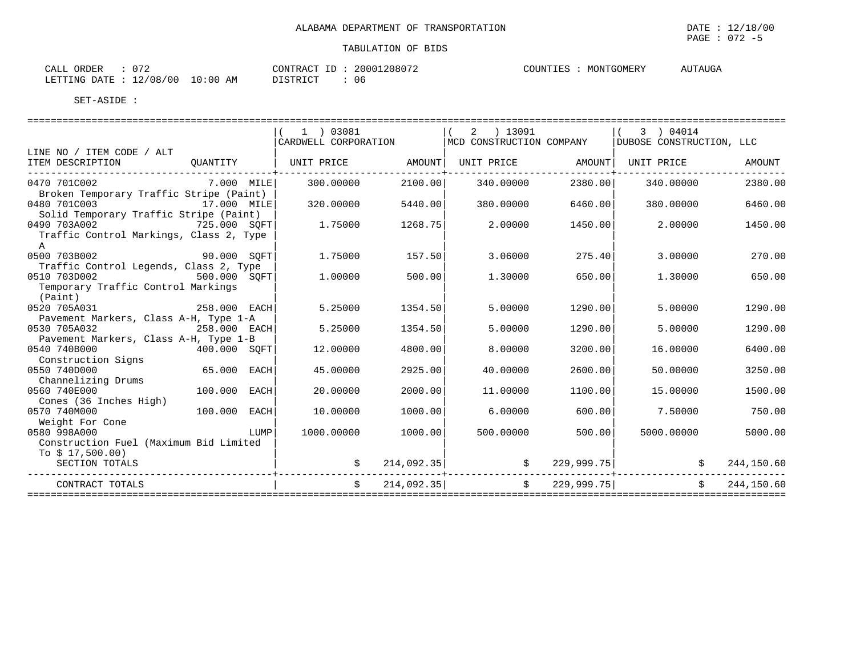AUTAUGA

#### TABULATION OF BIDS

| $\sim$ $\sim$ $\sim$<br>ORDER<br>CALL |                      | CONTRAC'       | 208072<br>.20007 | COUNTIES<br>ە تىلا بىلە | MONTGOMERY | AUTAUGA<br>$\Delta$ I I |
|---------------------------------------|----------------------|----------------|------------------|-------------------------|------------|-------------------------|
| LETTING DATE<br>ᆂᅎ<br>_____           | 10:00 AM<br>12/08/00 | די הדי אידי את | -06              |                         |            |                         |

|                                         |                                                                                                                      | 1 ) 03081            |            | ) 13091<br>2<br>MCD CONSTRUCTION COMPANY |               | 3 ) 04014                |            |
|-----------------------------------------|----------------------------------------------------------------------------------------------------------------------|----------------------|------------|------------------------------------------|---------------|--------------------------|------------|
| LINE NO / ITEM CODE / ALT               |                                                                                                                      | CARDWELL CORPORATION |            |                                          |               | DUBOSE CONSTRUCTION, LLC |            |
| ITEM DESCRIPTION                        | OUANTITY                                                                                                             | UNIT PRICE           | AMOUNT     | UNIT PRICE                               | AMOUNT        | UNIT PRICE               | AMOUNT     |
|                                         |                                                                                                                      |                      |            |                                          |               |                          |            |
| 0470 701C002                            | 7.000 MILE                                                                                                           | 300,00000            | 2100.00    | 340.00000                                | 2380.00       | 340.00000                | 2380.00    |
| Broken Temporary Traffic Stripe (Paint) |                                                                                                                      |                      |            |                                          |               |                          |            |
| 0480 701C003                            | 17.000 MILE                                                                                                          | 320.00000            | 5440.00    | 380.00000                                | 6460.00       | 380,00000                | 6460.00    |
| Solid Temporary Traffic Stripe (Paint)  |                                                                                                                      |                      |            |                                          |               |                          |            |
| 0490 703A002                            | 725.000 SQFT                                                                                                         | 1.75000              | 1268.75    | 2,00000                                  | 1450.00       | 2.00000                  | 1450.00    |
| Traffic Control Markings, Class 2, Type |                                                                                                                      |                      |            |                                          |               |                          |            |
| $\mathbb A$                             |                                                                                                                      |                      |            |                                          |               |                          |            |
| 0500 703B002                            | 90.000 SOFT                                                                                                          | 1.75000              | 157.50     | 3.06000                                  | 275.40        | 3,00000                  | 270.00     |
| Traffic Control Legends, Class 2, Type  |                                                                                                                      |                      |            |                                          |               |                          |            |
| 0510 703D002                            | 500.000 SOFT                                                                                                         | 1,00000              | 500.00     | 1,30000                                  | 650.00        | 1,30000                  | 650.00     |
| Temporary Traffic Control Markings      |                                                                                                                      |                      |            |                                          |               |                          |            |
| (Paint)                                 |                                                                                                                      |                      |            |                                          |               |                          |            |
| 0520 705A031                            | 258.000 EACH                                                                                                         | 5.25000              | 1354.50    | 5.00000                                  | 1290.00       | 5.00000                  | 1290.00    |
| Pavement Markers, Class A-H, Type 1-A   |                                                                                                                      |                      |            |                                          |               |                          |            |
| 0530 705A032                            | 258.000 EACH                                                                                                         | 5.25000              | 1354.50    | 5.00000                                  | 1290.00       | 5.00000                  | 1290.00    |
| Pavement Markers, Class A-H, Type 1-B   |                                                                                                                      |                      |            |                                          |               |                          |            |
| 0540 740B000                            | 400.000 SOFT                                                                                                         | 12.00000             | 4800.00    | 8.00000                                  | 3200.00       | 16.00000                 | 6400.00    |
| Construction Signs                      |                                                                                                                      |                      |            |                                          |               |                          |            |
| 0550 740D000                            | 65.000 EACH                                                                                                          | 45.00000             | 2925.00    | 40.00000                                 | 2600.00       | 50.00000                 | 3250.00    |
| Channelizing Drums                      |                                                                                                                      |                      |            |                                          |               |                          |            |
| 0560 740E000                            | 100.000 EACH                                                                                                         | 20.00000             | 2000.00    | 11,00000                                 | 1100.00       | 15,00000                 | 1500.00    |
| Cones (36 Inches High)                  |                                                                                                                      |                      |            |                                          |               |                          |            |
| 0570 740M000                            | 100.000 EACH                                                                                                         | 10.00000             | 1000.00    | 6.00000                                  | 600.00        | 7.50000                  | 750.00     |
| Weight For Cone                         |                                                                                                                      |                      |            |                                          |               |                          |            |
| 0580 998A000                            | <b>EXECUTE IN THE EXECUTIVE IN THE EXECUTIVE IN THE EXECUTIVE IN THE EXECUTIVE IN THE EXECUTIVE IN THE EXECUTIVE</b> | 1000.00000           | 1000.00    | 500.00000                                | 500.00        | 5000.00000               | 5000.00    |
| Construction Fuel (Maximum Bid Limited  |                                                                                                                      |                      |            |                                          |               |                          |            |
| To $$17,500.00)$                        |                                                                                                                      |                      |            |                                          |               |                          |            |
| SECTION TOTALS                          |                                                                                                                      |                      | 214,092.35 |                                          | 229,999.75    | \$                       | 244,150.60 |
| CONTRACT TOTALS                         |                                                                                                                      |                      | 214,092.35 |                                          | \$229,999.75] | \$                       | 244,150.60 |
|                                         |                                                                                                                      |                      |            |                                          |               |                          |            |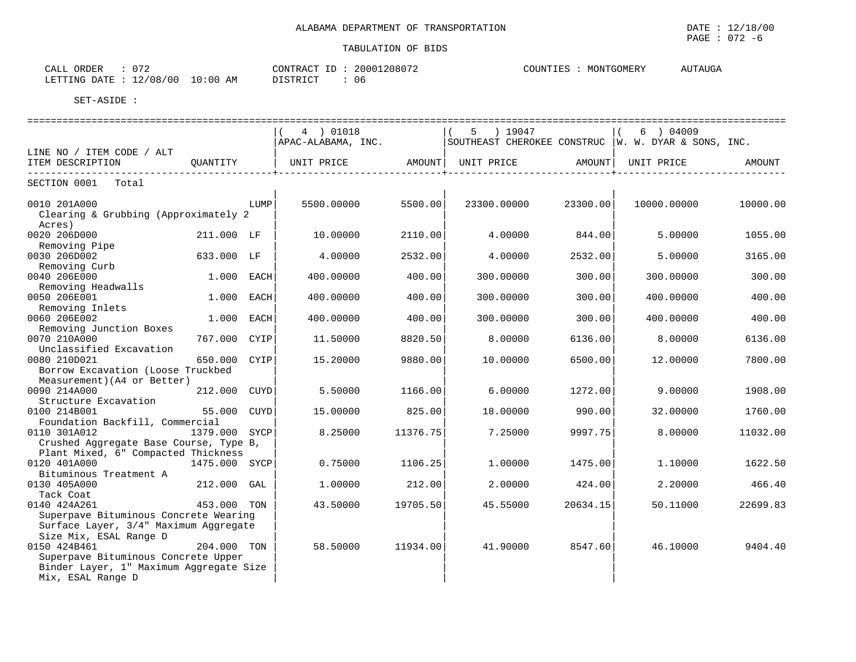| $\sim$ $ \sim$<br>ORDER<br>CALL                                          | 20001208072<br>CONTRACT                            | AUTAUGA<br>COUNTIES<br>MONTGOMERY |
|--------------------------------------------------------------------------|----------------------------------------------------|-----------------------------------|
| /08/00<br>10:00<br>$\sim$<br>LETTING<br><b>DATE</b><br>AΜ<br>⊥∠ ′<br>UU. | <b>DICTRICT</b><br>-06<br>ו או<br><b>レエレエエ៶エ</b> ぃ |                                   |

|                                                                                                                          |               |      | 4 ) 01018          |          | $5 \t) 19047$     |          | $6$ ) 04009                                           |          |
|--------------------------------------------------------------------------------------------------------------------------|---------------|------|--------------------|----------|-------------------|----------|-------------------------------------------------------|----------|
|                                                                                                                          |               |      | APAC-ALABAMA, INC. |          |                   |          | SOUTHEAST CHEROKEE CONSTRUC   W. W. DYAR & SONS, INC. |          |
| LINE NO / ITEM CODE / ALT<br>ITEM DESCRIPTION<br>------------------                                                      | QUANTITY      |      | UNIT PRICE         |          | AMOUNT UNIT PRICE | AMOUNT   | UNIT PRICE                                            | AMOUNT   |
| SECTION 0001<br>Total                                                                                                    |               |      |                    |          |                   |          |                                                       |          |
| 0010 201A000<br>Clearing & Grubbing (Approximately 2                                                                     |               | LUMP | 5500.00000         | 5500.00  | 23300.00000       | 23300.00 | 10000.00000                                           | 10000.00 |
| Acres)<br>0020 206D000<br>Removing Pipe                                                                                  | 211.000 LF    |      | 10.00000           | 2110.00  | 4.00000           | 844.00   | 5.00000                                               | 1055.00  |
| 0030 206D002<br>Removing Curb                                                                                            | 633.000 LF    |      | 4.00000            | 2532.00  | 4.00000           | 2532.00  | 5.00000                                               | 3165.00  |
| 0040 206E000<br>Removing Headwalls                                                                                       | 1.000         | EACH | 400.00000          | 400.00   | 300.00000         | 300.00   | 300.00000                                             | 300.00   |
| 0050 206E001<br>Removing Inlets                                                                                          | 1.000 EACH    |      | 400.00000          | 400.00   | 300,00000         | 300.00   | 400.00000                                             | 400.00   |
| 0060 206E002<br>Removing Junction Boxes                                                                                  | 1,000         | EACH | 400.00000          | 400.00   | 300,00000         | 300.00   | 400.00000                                             | 400.00   |
| 0070 210A000<br>Unclassified Excavation                                                                                  | 767.000 CYIP  |      | 11.50000           | 8820.50  | 8.00000           | 6136.00  | 8.00000                                               | 6136.00  |
| 0080 210D021<br>Borrow Excavation (Loose Truckbed<br>Measurement) (A4 or Better)                                         | 650.000       | CYIP | 15,20000           | 9880.00  | 10,00000          | 6500.00  | 12,00000                                              | 7800.00  |
| 0090 214A000<br>Structure Excavation                                                                                     | 212.000       | CUYD | 5.50000            | 1166.00  | 6.00000           | 1272.00  | 9.00000                                               | 1908.00  |
| 0100 214B001<br>Foundation Backfill, Commercial                                                                          | 55.000 CUYD   |      | 15,00000           | 825.00   | 18,00000          | 990.00   | 32.00000                                              | 1760.00  |
| 0110 301A012<br>Crushed Aggregate Base Course, Type B,<br>Plant Mixed, 6" Compacted Thickness                            | 1379.000 SYCP |      | 8.25000            | 11376.75 | 7.25000           | 9997.75  | 8,00000                                               | 11032.00 |
| 0120 401A000<br>Bituminous Treatment A                                                                                   | 1475.000 SYCP |      | 0.75000            | 1106.25  | 1.00000           | 1475.00  | 1,10000                                               | 1622.50  |
| 0130 405A000<br>Tack Coat                                                                                                | 212.000 GAL   |      | 1,00000            | 212.00   | 2.00000           | 424.00   | 2.20000                                               | 466.40   |
| 0140 424A261<br>Superpave Bituminous Concrete Wearing<br>Surface Layer, 3/4" Maximum Aggregate<br>Size Mix, ESAL Range D | 453.000 TON   |      | 43.50000           | 19705.50 | 45.55000          | 20634.15 | 50.11000                                              | 22699.83 |
| 0150 424B461<br>Superpave Bituminous Concrete Upper<br>Binder Layer, 1" Maximum Aggregate Size<br>Mix, ESAL Range D      | 204.000 TON   |      | 58.50000           | 11934.00 | 41.90000          | 8547.60  | 46.10000                                              | 9404.40  |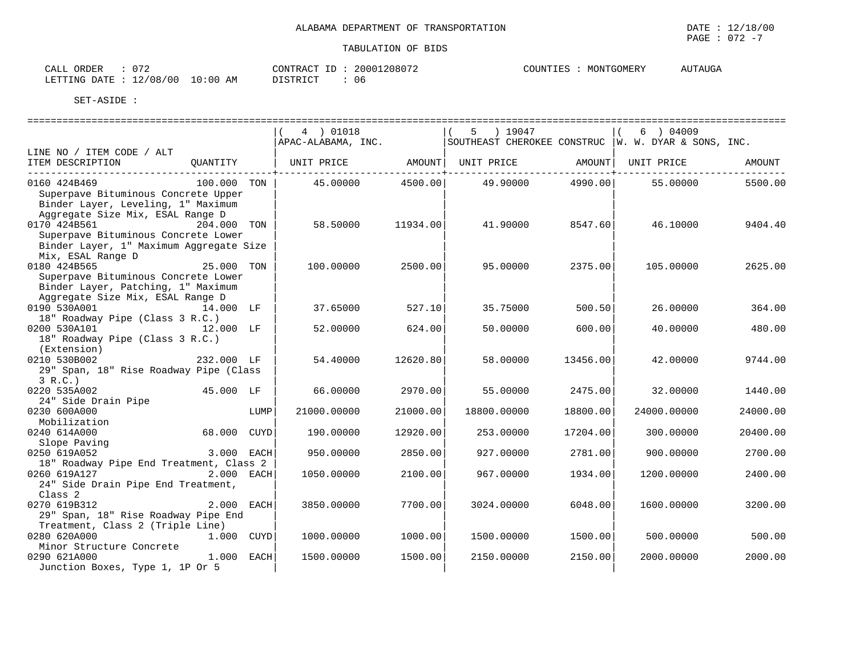| $\cap$<br>CALL ORDER             | CONTRACT ID: | 20001208072 | COUNTIES : | MONTGOMERY | AUTAUGA |
|----------------------------------|--------------|-------------|------------|------------|---------|
| LETTING DATE : 12/08/00 10:00 AM | DISTRICT     | 06          |            |            |         |

|                                                                                                                                 |              | 4 ) 01018           |                                                                            | 5 ) 19047   |          | $6 \rightarrow 04009$                                                              |          |
|---------------------------------------------------------------------------------------------------------------------------------|--------------|---------------------|----------------------------------------------------------------------------|-------------|----------|------------------------------------------------------------------------------------|----------|
|                                                                                                                                 |              |                     |                                                                            |             |          | $ $ APAC-ALABAMA, INC. $ $ SOUTHEAST CHEROKEE CONSTRUC $ $ W. W. DYAR & SONS, INC. |          |
| LINE NO / ITEM CODE / ALT<br>ITEM DESCRIPTION                                                                                   | OUANTITY     |                     | UNIT PRICE AMOUNT  UNIT PRICE AMOUNT  UNIT PRICE<br>---------------+------ |             |          |                                                                                    | AMOUNT   |
| 0160 424B469<br>Superpave Bituminous Concrete Upper<br>Binder Layer, Leveling, 1" Maximum<br>Aggregate Size Mix, ESAL Range D   | 100.000 TON  |                     | 45.00000 4500.00 49.90000 4990.00                                          |             |          | 55.00000                                                                           | 5500.00  |
| 0170 424B561 204.000 TON<br>Superpave Bituminous Concrete Lower<br>Binder Layer, 1" Maximum Aggregate Size<br>Mix, ESAL Range D |              | 58.50000            | 11934.00                                                                   | 41.90000    | 8547.60  | 46.10000                                                                           | 9404.40  |
| 0180 424B565<br>Superpave Bituminous Concrete Lower<br>Binder Layer, Patching, 1" Maximum<br>Aggregate Size Mix, ESAL Range D   | 25.000 TON   | 100.00000           | 2500.00                                                                    | 95.00000    | 2375.00  | 105,00000                                                                          | 2625.00  |
| 0190 530A001<br>18" Roadway Pipe (Class 3 R.C.)                                                                                 | 14.000 LF    | 37.65000            | 527.10                                                                     | 35.75000    | 500.50   | 26.00000                                                                           | 364.00   |
| 0200 530A101<br>18" Roadway Pipe (Class 3 R.C.)<br>(Extension)                                                                  | 12.000 LF    | 52.00000            | 624.00                                                                     | 50.00000    | 600.00   | 40.00000                                                                           | 480.00   |
| 0210 530B002<br>29" Span, 18" Rise Roadway Pipe (Class<br>3 R.C.                                                                | 232.000 LF   | 54.40000            | 12620.80                                                                   | 58.00000    | 13456.00 | 42.00000                                                                           | 9744.00  |
| 0220 535A002<br>24" Side Drain Pipe                                                                                             | 45.000 LF    | 66.00000            | 2970.00                                                                    | 55.00000    | 2475.00  | 32.00000                                                                           | 1440.00  |
| 0230 600A000<br>Mobilization                                                                                                    |              | LUMP<br>21000.00000 | 21000.00                                                                   | 18800.00000 | 18800.00 | 24000.00000                                                                        | 24000.00 |
| 0240 614A000<br>Slope Paving                                                                                                    | 68.000 CUYD  | 190.00000           | 12920.00                                                                   | 253.00000   | 17204.00 | 300.00000                                                                          | 20400.00 |
| 0250 619A052<br>18" Roadway Pipe End Treatment, Class 2                                                                         | $3.000$ EACH | 950.00000           | 2850.00                                                                    | 927.00000   | 2781.00  | 900.00000                                                                          | 2700.00  |
| 0260 619A127 2.000 EACH<br>24" Side Drain Pipe End Treatment,<br>Class <sub>2</sub>                                             |              | 1050.00000          | 2100.00                                                                    | 967.00000   | 1934.00  | 1200.00000                                                                         | 2400.00  |
| 0270 619B312<br>29" Span, 18" Rise Roadway Pipe End<br>Treatment, Class 2 (Triple Line)                                         | 2.000 EACH   | 3850.00000          | 7700.00                                                                    | 3024.00000  | 6048.00  | 1600.00000                                                                         | 3200.00  |
| 0280 620A000<br>Minor Structure Concrete                                                                                        | 1.000 CUYD   | 1000.00000          | 1000.00                                                                    | 1500.00000  | 1500.00  | 500.00000                                                                          | 500.00   |
| 0290 621A000<br>Junction Boxes, Type 1, 1P Or 5                                                                                 | 1.000 EACH   | 1500.00000          | 1500.00                                                                    | 2150.00000  | 2150.00  | 2000.00000                                                                         | 2000.00  |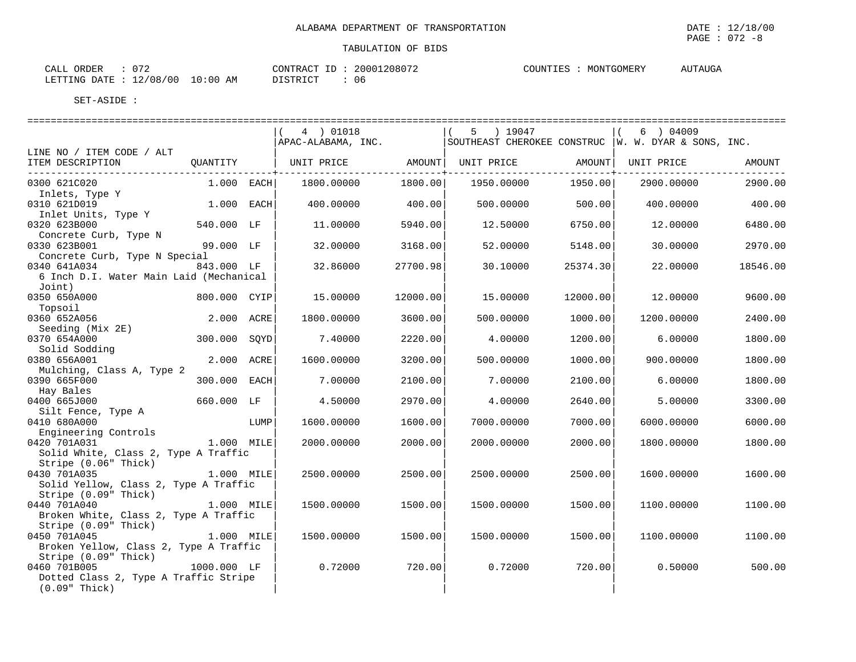| CALL ORDER                       | 072 | CONTRACT ID: | 20001208072 | COUNTIES : | MONTGOMERY | <b>AUTAUGA</b> |
|----------------------------------|-----|--------------|-------------|------------|------------|----------------|
| LETTING DATE : 12/08/00 10:00 AM |     | DISTRICT     | -06         |            |            |                |

|                                                                                                  |              |      | 4 ) 01018                                                                  |                    | 5 ) 19047  |                                         | 6 ) 04009  |          |
|--------------------------------------------------------------------------------------------------|--------------|------|----------------------------------------------------------------------------|--------------------|------------|-----------------------------------------|------------|----------|
| LINE NO / ITEM CODE / ALT                                                                        |              |      | APAC-ALABAMA, INC. SOUTHEAST CHEROKEE CONSTRUC   W. W. DYAR & SONS, INC.   |                    |            |                                         |            |          |
| ITEM DESCRIPTION                                                                                 | QUANTITY     |      | UNIT PRICE                  AMOUNT     UNIT PRICE                   AMOUNT | -------------+---- |            | . _ _ _ _ _ _ _ _ _ _ _ _ _ _ _ _ _ _ + | UNIT PRICE | AMOUNT   |
| 0300 621C020                                                                                     | 1.000 EACH   |      | 1800.00000                                                                 | 1800.00            | 1950.00000 | 1950.00                                 | 2900.00000 | 2900.00  |
| Inlets, Type Y<br>0310 621D019                                                                   | 1.000 EACH   |      | 400.00000                                                                  | 400.00             | 500.00000  | 500.00                                  | 400.00000  | 400.00   |
| Inlet Units, Type Y<br>0320 623B000                                                              | 540.000 LF   |      | 11.00000                                                                   | 5940.00            | 12.50000   | 6750.00                                 | 12.00000   | 6480.00  |
| Concrete Curb, Type N<br>0330 623B001                                                            | 99.000 LF    |      | 32.00000                                                                   | 3168.00            | 52.00000   | 5148.00                                 | 30,00000   | 2970.00  |
| Concrete Curb, Type N Special<br>0340 641A034                                                    | 843.000 LF   |      | 32.86000                                                                   | 27700.98           | 30.10000   | 25374.30                                | 22.00000   | 18546.00 |
| 6 Inch D.I. Water Main Laid (Mechanical<br>Joint)                                                |              |      |                                                                            |                    |            |                                         |            |          |
| 0350 650A000<br>Topsoil                                                                          | 800.000 CYIP |      | 15.00000                                                                   | 12000.00           | 15.00000   | 12000.00                                | 12.00000   | 9600.00  |
| 0360 652A056                                                                                     | 2.000 ACRE   |      | 1800.00000                                                                 | 3600.00            | 500.00000  | 1000.00                                 | 1200.00000 | 2400.00  |
| Seeding (Mix 2E)<br>0370 654A000                                                                 | 300.000      | SOYD | 7.40000                                                                    | 2220.00            | 4.00000    | 1200.00                                 | 6.00000    | 1800.00  |
| Solid Sodding<br>0380 656A001                                                                    | 2.000 ACRE   |      | 1600.00000                                                                 | 3200.00            | 500.00000  | 1000.00                                 | 900.00000  | 1800.00  |
| Mulching, Class A, Type 2<br>0390 665F000                                                        | 300.000 EACH |      | 7.00000                                                                    | 2100.00            | 7.00000    | 2100.00                                 | 6.00000    | 1800.00  |
| Hay Bales<br>0400 665J000                                                                        | 660.000 LF   |      | 4.50000                                                                    | 2970.00            | 4.00000    | 2640.00                                 | 5.00000    | 3300.00  |
| Silt Fence, Type A<br>0410 680A000                                                               |              | LUMP | 1600.00000                                                                 | 1600.00            | 7000.00000 | 7000.00                                 | 6000.00000 | 6000.00  |
| Engineering Controls<br>0420 701A031                                                             | 1.000 MILE   |      | 2000.00000                                                                 | 2000.00            | 2000.00000 | 2000.00                                 | 1800.00000 | 1800.00  |
| Solid White, Class 2, Type A Traffic<br>Stripe (0.06" Thick)                                     |              |      |                                                                            |                    |            |                                         |            |          |
| 0430 701A035<br>Solid Yellow, Class 2, Type A Traffic                                            | 1.000 MILE   |      | 2500.00000                                                                 | 2500.00            | 2500.00000 | 2500.00                                 | 1600.00000 | 1600.00  |
| Stripe (0.09" Thick)<br>0440 701A040                                                             | $1.000$ MILE |      |                                                                            |                    |            |                                         |            |          |
| Broken White, Class 2, Type A Traffic<br>Stripe (0.09" Thick)                                    |              |      | 1500.00000                                                                 | 1500.00            | 1500.00000 | 1500.00                                 | 1100.00000 | 1100.00  |
| 0450 701A045<br>Broken Yellow, Class 2, Type A Traffic                                           | 1.000 MILE   |      | 1500.00000                                                                 | 1500.00            | 1500.00000 | 1500.00                                 | 1100.00000 | 1100.00  |
| Stripe (0.09" Thick)<br>0460 701B005<br>Dotted Class 2, Type A Traffic Stripe<br>$(0.09"$ Thick) | 1000.000 LF  |      | 0.72000                                                                    | 720.00             | 0.72000    | 720.00                                  | 0.50000    | 500.00   |
|                                                                                                  |              |      |                                                                            |                    |            |                                         |            |          |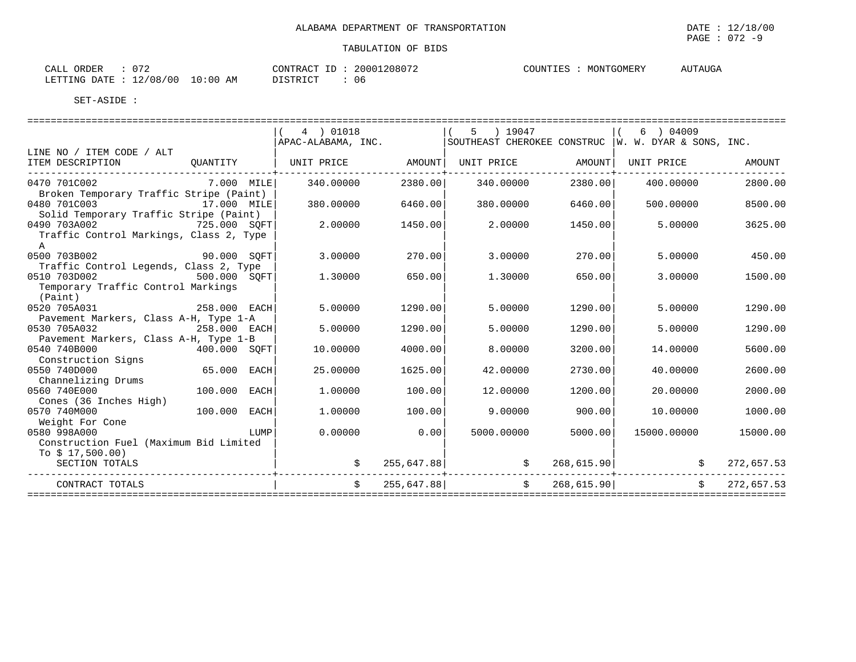| $\therefore$ 072<br>CALL ORDER   |  |          | CONTRACT ID: 20001208072 | COUNTIES : | MONTGOMERY | <b>AUTAUGA</b> |
|----------------------------------|--|----------|--------------------------|------------|------------|----------------|
| LETTING DATE : 12/08/00 10:00 AM |  | DISTRICT | : 06                     |            |            |                |

|                                              |                                                                                                                                                                                                                                      | 4 ) 01018<br>APAC-ALABAMA, INC. |         | 5 ) 19047                                         |         | 6 ) 04009<br>SOUTHEAST CHEROKEE CONSTRUC   W. W. DYAR & SONS, INC. |            |
|----------------------------------------------|--------------------------------------------------------------------------------------------------------------------------------------------------------------------------------------------------------------------------------------|---------------------------------|---------|---------------------------------------------------|---------|--------------------------------------------------------------------|------------|
| LINE NO / ITEM CODE / ALT                    |                                                                                                                                                                                                                                      |                                 |         |                                                   |         |                                                                    |            |
| ITEM DESCRIPTION<br>------------------------ | OUANTITY                                                                                                                                                                                                                             |                                 |         | UNIT PRICE AMOUNT                                 |         | UNIT PRICE                                                         | AMOUNT     |
| 0470 701C002                                 | $7.000$ MILE                                                                                                                                                                                                                         | 340.00000                       | 2380.00 | 340.00000                                         | 2380.00 | 400.00000                                                          | 2800.00    |
| Broken Temporary Traffic Stripe (Paint)      |                                                                                                                                                                                                                                      |                                 |         |                                                   |         |                                                                    |            |
| 0480 701C003                                 | 17.000 MILE                                                                                                                                                                                                                          | 380,00000                       | 6460.00 | 380.00000                                         | 6460.00 | 500,00000                                                          | 8500.00    |
| Solid Temporary Traffic Stripe (Paint)       |                                                                                                                                                                                                                                      |                                 |         |                                                   |         |                                                                    |            |
| 0490 703A002                                 | 725.000 SOFT                                                                                                                                                                                                                         | 2.00000                         | 1450.00 | 2.00000                                           | 1450.00 | 5,00000                                                            | 3625.00    |
| Traffic Control Markings, Class 2, Type      |                                                                                                                                                                                                                                      |                                 |         |                                                   |         |                                                                    |            |
| $\mathbb{A}$                                 |                                                                                                                                                                                                                                      |                                 |         |                                                   |         |                                                                    |            |
| 0500 703B002                                 | 90.000 SQFT                                                                                                                                                                                                                          | 3.00000                         | 270.00  | 3,00000                                           | 270.00  | 5,00000                                                            | 450.00     |
| Traffic Control Legends, Class 2, Type       |                                                                                                                                                                                                                                      |                                 |         |                                                   |         |                                                                    |            |
| 0510 703D002                                 | $500.000$ SQFT                                                                                                                                                                                                                       | 1.30000                         | 650.00  | 1.30000                                           | 650.00  | 3.00000                                                            | 1500.00    |
| Temporary Traffic Control Markings           |                                                                                                                                                                                                                                      |                                 |         |                                                   |         |                                                                    |            |
| (Paint)                                      |                                                                                                                                                                                                                                      |                                 |         |                                                   |         |                                                                    |            |
| 0520 705A031                                 | 258.000 EACH                                                                                                                                                                                                                         | 5.00000                         | 1290.00 | 5.00000                                           | 1290.00 | 5.00000                                                            | 1290.00    |
| Pavement Markers, Class A-H, Type 1-A        |                                                                                                                                                                                                                                      |                                 |         |                                                   |         |                                                                    |            |
| 0530 705A032                                 | 258.000 EACH                                                                                                                                                                                                                         | 5.00000                         | 1290.00 | 5.00000                                           | 1290.00 | 5.00000                                                            | 1290.00    |
| Pavement Markers, Class A-H, Type 1-B        |                                                                                                                                                                                                                                      |                                 |         |                                                   |         |                                                                    |            |
| 0540 740B000                                 | 400.000 SOFT                                                                                                                                                                                                                         | 10.00000                        | 4000.00 | 8,00000                                           | 3200.00 | 14,00000                                                           | 5600.00    |
| Construction Signs                           |                                                                                                                                                                                                                                      |                                 |         |                                                   |         |                                                                    |            |
| 0550 740D000                                 | 65.000 EACH                                                                                                                                                                                                                          | 25.00000                        | 1625.00 | 42.00000                                          | 2730.00 | 40.00000                                                           | 2600.00    |
| Channelizing Drums                           |                                                                                                                                                                                                                                      |                                 |         |                                                   |         |                                                                    |            |
| 0560 740E000                                 | 100.000 EACH                                                                                                                                                                                                                         | 1.00000                         | 100.00  | 12.00000                                          | 1200.00 | 20.00000                                                           | 2000.00    |
| Cones (36 Inches High)                       |                                                                                                                                                                                                                                      |                                 |         |                                                   |         |                                                                    |            |
| 0570 740M000                                 | 100.000 EACH                                                                                                                                                                                                                         | 1,00000                         | 100.00  | 9.00000                                           | 900.00  | 10.00000                                                           | 1000.00    |
| Weight For Cone                              |                                                                                                                                                                                                                                      |                                 |         |                                                   |         |                                                                    |            |
| 0580 998A000                                 | <b>EXAMPLE THE EXAMPLE THE EXAMPLE THE EXAMPLE THE EXAMPLE THE EXAMPLE THE EXAMPLE THE EXAMPLE THE EXAMPLE THE EXAMPLE THE EXAMPLE THE EXAMPLE THE EXAMPLE THE EXAMPLE THE EXAMPLE THE EXAMPLE THE EXAMPLE THE EXAMPLE THE EXAMP</b> | 0.00000                         | 0.00    | 5000.00000                                        | 5000.00 | 15000.00000                                                        | 15000.00   |
| Construction Fuel (Maximum Bid Limited       |                                                                                                                                                                                                                                      |                                 |         |                                                   |         |                                                                    |            |
| To $$17,500.00)$                             |                                                                                                                                                                                                                                      |                                 |         |                                                   |         |                                                                    |            |
| SECTION TOTALS                               |                                                                                                                                                                                                                                      |                                 |         | $255,647.88$ \$                                   |         | $268,615.90$ \$                                                    | 272,657.53 |
| CONTRACT TOTALS                              |                                                                                                                                                                                                                                      |                                 |         | $255,647.88$ $\frac{1}{5}$ $\frac{268,615.90}{1}$ |         | $\ddot{s}$                                                         | 272,657.53 |
|                                              |                                                                                                                                                                                                                                      |                                 |         |                                                   |         | ============================                                       |            |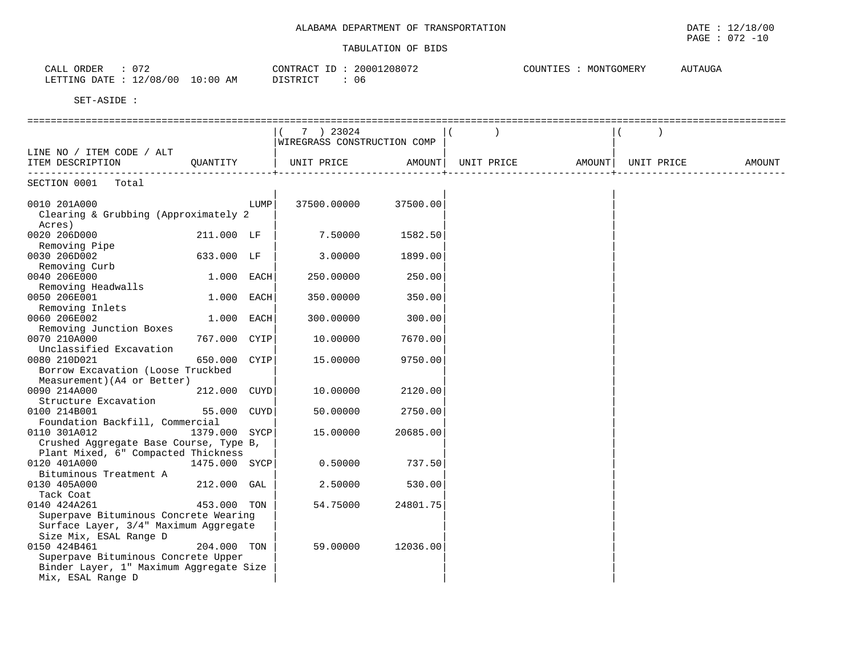| 072<br>ORDER<br>$\bigcap \mathcal{R}$<br>ىلىلىك         | 208072<br>CONTRACT<br>2000 | <b>AUTAUGA</b><br>MONTGOMERY<br>COUNTI |
|---------------------------------------------------------|----------------------------|----------------------------------------|
| 10:00<br>2/08/00<br><b>ETTING</b><br>DATE<br>AΜ<br>____ | -06<br>$\n  7$             |                                        |

|                                         |               |      | 7 ) 23024                   |          |            |        |            |        |
|-----------------------------------------|---------------|------|-----------------------------|----------|------------|--------|------------|--------|
|                                         |               |      | WIREGRASS CONSTRUCTION COMP |          |            |        |            |        |
| LINE NO / ITEM CODE / ALT               |               |      |                             |          |            |        |            |        |
| ITEM DESCRIPTION                        | OUANTITY      |      | UNIT PRICE                  | AMOUNT   | UNIT PRICE | AMOUNT | UNIT PRICE | AMOUNT |
| ---------------<br>-------------        |               |      |                             |          |            |        |            |        |
| SECTION 0001 Total                      |               |      |                             |          |            |        |            |        |
|                                         |               |      |                             |          |            |        |            |        |
| 0010 201A000                            |               | LUMP | 37500.00000                 | 37500.00 |            |        |            |        |
| Clearing & Grubbing (Approximately 2    |               |      |                             |          |            |        |            |        |
| Acres)                                  |               |      |                             |          |            |        |            |        |
| 0020 206D000                            | 211.000 LF    |      | 7.50000                     | 1582.50  |            |        |            |        |
| Removing Pipe                           |               |      |                             |          |            |        |            |        |
| 0030 206D002                            | 633.000 LF    |      | 3.00000                     | 1899.00  |            |        |            |        |
| Removing Curb                           |               |      |                             |          |            |        |            |        |
| 0040 206E000                            | 1.000 EACH    |      | 250.00000                   | 250.00   |            |        |            |        |
| Removing Headwalls                      |               |      |                             |          |            |        |            |        |
| 0050 206E001                            | 1.000 EACH    |      | 350.00000                   | 350.00   |            |        |            |        |
| Removing Inlets                         |               |      |                             |          |            |        |            |        |
| 0060 206E002                            | 1.000         | EACH | 300.00000                   | 300.00   |            |        |            |        |
| Removing Junction Boxes                 |               |      |                             |          |            |        |            |        |
| 0070 210A000                            | 767.000 CYIP  |      | 10.00000                    | 7670.00  |            |        |            |        |
| Unclassified Excavation                 |               |      |                             |          |            |        |            |        |
| 0080 210D021                            | 650.000 CYIP  |      | 15,00000                    | 9750.00  |            |        |            |        |
| Borrow Excavation (Loose Truckbed       |               |      |                             |          |            |        |            |        |
| Measurement) (A4 or Better)             |               |      |                             |          |            |        |            |        |
| 0090 214A000                            | 212.000 CUYD  |      | 10.00000                    | 2120.00  |            |        |            |        |
| Structure Excavation                    |               |      |                             |          |            |        |            |        |
| 0100 214B001                            | 55.000 CUYD   |      | 50.00000                    | 2750.00  |            |        |            |        |
| Foundation Backfill, Commercial         |               |      |                             |          |            |        |            |        |
| 0110 301A012                            | 1379.000 SYCP |      | 15.00000                    | 20685.00 |            |        |            |        |
| Crushed Aggregate Base Course, Type B,  |               |      |                             |          |            |        |            |        |
| Plant Mixed, 6" Compacted Thickness     |               |      |                             |          |            |        |            |        |
| 0120 401A000                            | 1475.000 SYCP |      | 0.50000                     | 737.50   |            |        |            |        |
| Bituminous Treatment A                  |               |      |                             |          |            |        |            |        |
| 0130 405A000                            | 212.000       | GAL  | 2.50000                     | 530.00   |            |        |            |        |
| Tack Coat                               |               |      |                             |          |            |        |            |        |
| 0140 424A261                            | 453.000 TON   |      | 54.75000                    | 24801.75 |            |        |            |        |
| Superpave Bituminous Concrete Wearing   |               |      |                             |          |            |        |            |        |
| Surface Layer, 3/4" Maximum Aggregate   |               |      |                             |          |            |        |            |        |
| Size Mix, ESAL Range D                  |               |      |                             |          |            |        |            |        |
| 0150 424B461                            | 204.000 TON   |      | 59.00000                    | 12036.00 |            |        |            |        |
| Superpave Bituminous Concrete Upper     |               |      |                             |          |            |        |            |        |
| Binder Layer, 1" Maximum Aggregate Size |               |      |                             |          |            |        |            |        |
| Mix, ESAL Range D                       |               |      |                             |          |            |        |            |        |
|                                         |               |      |                             |          |            |        |            |        |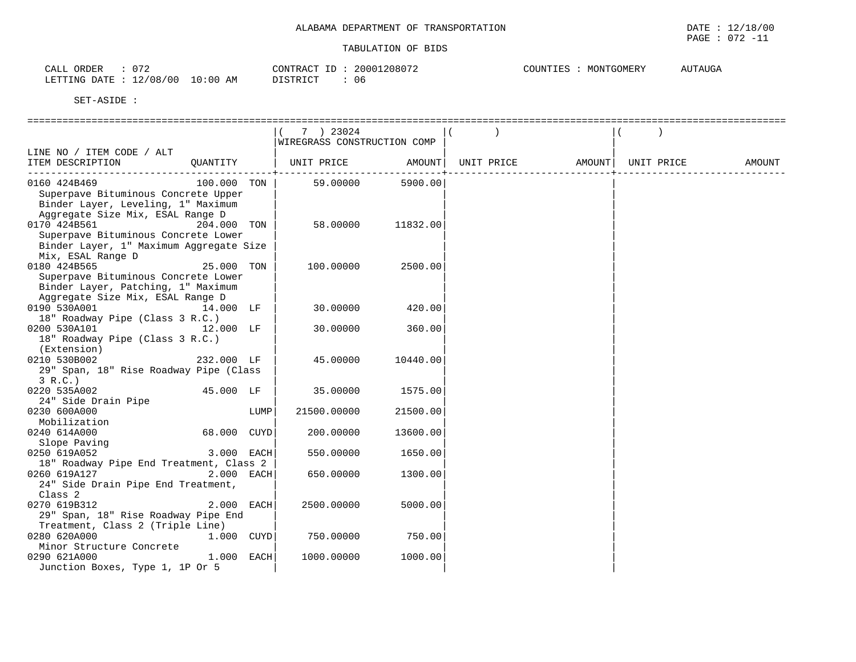| $07^{\circ}$<br>CALL<br>ORDER                        | 20001208072<br>CONTRACT ID | COUNTIES<br>MONTGOMERY<br>T GOMETZ T | <b>UTAUGA</b><br>$\sim$ |
|------------------------------------------------------|----------------------------|--------------------------------------|-------------------------|
| 12/08/<br>/00<br>ETTING<br><b>DATE</b><br>10:00<br>. | DISTRICT<br>06             |                                      |                         |

SET-ASIDE :

# ================================================================================================================================== $|( 7 \t ) 23024$   $| ( )$  |WIREGRASS CONSTRUCTION COMP | | LINE NO / ITEM CODE / ALT | | | ITEM DESCRIPTION QUANTITY | UNIT PRICE AMOUNT| UNIT PRICE AMOUNT| UNIT PRICE AMOUNT ------------------------------------------+----------------------------+----------------------------+----------------------------- 0160 424B469 100.000 TON | 59.00000 5900.00| | Superpave Bituminous Concrete Upper Binder Layer, Leveling, 1" Maximum Aggregate Size Mix, ESAL Range D | | | 0170 424B561 204.000 TON | 58.00000 11832.00| | Superpave Bituminous Concrete Lower Binder Layer, 1" Maximum Aggregate Size Mix, ESAL Range D | | | 25.000 TON | 100.00000 2500.00| Superpave Bituminous Concrete Lower Binder Layer, Patching, 1" Maximum Aggregate Size Mix, ESAL Range D | | | 0190 530A001 14.000 LF | 30.00000 420.00| 18" Roadway Pipe (Class 3 R.C.) |<br>200 530A101 | 12.000 LF | 30.00000 | 360.00 0200 530A101 12.000 LF | 18" Roadway Pipe (Class 3 R.C.)<br>(Extension)  $(Extension)$  $0210$  530B002  $232.000$  LF  $\vert$  45.00000 10440.00 $\vert$  29" Span, 18" Rise Roadway Pipe (Class | | |  $3 \text{ R.C.}$ ) 0220 535A002 45.000 LF | 35.00000 1575.00| | 24" Side Drain Pipe | | | 0230 600A000 **1UMP** 21500.00000 21500.00 Mobilization | | |  $0240$  614A000 Slope Paving | | | 0250 619A052 3.000 EACH| 550.00000 1650.00| | 18" Roadway Pipe End Treatment, Class 2  $0260$  619A127  $^{-1}$  2.000 EACH 650.00000 1300.00 24" Side Drain Pipe End Treatment,<br>Class 2  $\frac{1}{2}$   $\frac{1}{2}$   $\frac{1}{2}$   $\frac{1}{2}$   $\frac{1}{2}$   $\frac{1}{2}$   $\frac{1}{2}$   $\frac{1}{2}$   $\frac{1}{2}$   $\frac{1}{2}$   $\frac{1}{2}$   $\frac{1}{2}$   $\frac{1}{2}$   $\frac{1}{2}$   $\frac{1}{2}$   $\frac{1}{2}$   $\frac{1}{2}$   $\frac{1}{2}$   $\frac{1}{2}$   $\frac{1}{2}$   $\frac{1}{2}$   $\frac{1}{2}$  0270 619B312 2.000 EACH 2500.00000 5000.00| 29" Span, 18" Rise Roadway Pipe End | | | Treatment, Class 2 (Triple Line) | | | 1.000 CUYD Minor Structure Concrete | | | 0290 621A000 1.000 EACH Junction Boxes, Type 1, 1P Or 5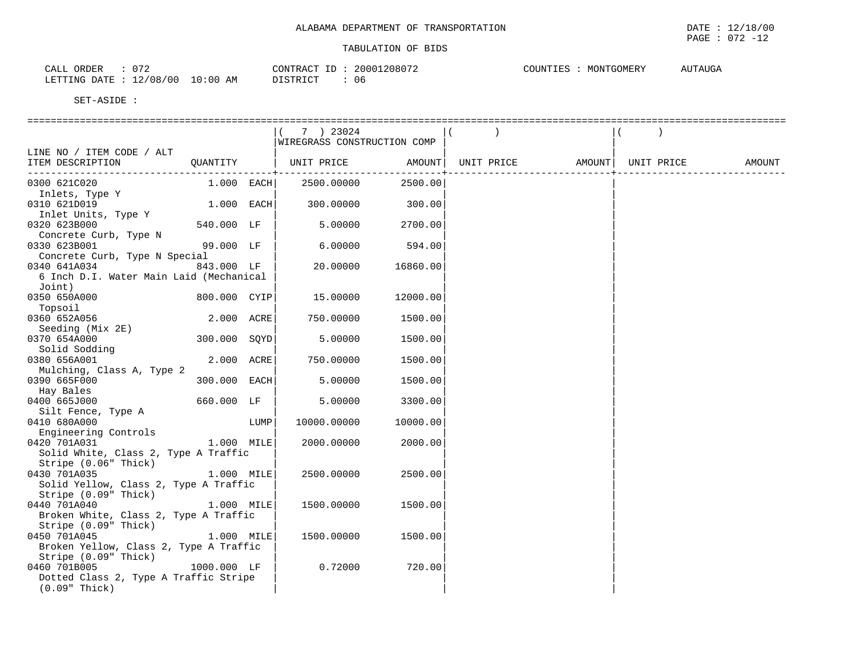| $07^{\circ}$<br>ORDER<br>CALL                                          | 20001208072<br>CONTRACT<br><u>، ب</u> | MONTGOMERY<br>COUNTIES<br>۔ دستہ | AUTAUGA |
|------------------------------------------------------------------------|---------------------------------------|----------------------------------|---------|
| /08/00<br>0:00<br>$\sim$<br>ETTING<br>7.55<br><b>DATE</b><br>AM<br>- ∠ | <b>DISTRICT</b><br>Ub                 |                                  |         |

|                                         |              |      | 7 ) 23024                   |          |                                           |  |        |
|-----------------------------------------|--------------|------|-----------------------------|----------|-------------------------------------------|--|--------|
|                                         |              |      | WIREGRASS CONSTRUCTION COMP |          |                                           |  |        |
| LINE NO / ITEM CODE / ALT               |              |      |                             |          |                                           |  |        |
| ITEM DESCRIPTION                        | OUANTITY     |      | UNIT PRICE                  |          | AMOUNT   UNIT PRICE   AMOUNT   UNIT PRICE |  | AMOUNT |
| 0300 621C020                            | $1.000$ EACH |      | 2500.00000                  | 2500.00  |                                           |  |        |
| Inlets, Type Y                          |              |      |                             |          |                                           |  |        |
| 0310 621D019<br>Inlet Units, Type Y     | 1.000 EACH   |      | 300.00000                   | 300.00   |                                           |  |        |
| 0320 623B000                            | 540.000 LF   |      | 5.00000                     | 2700.00  |                                           |  |        |
| Concrete Curb, Type N<br>0330 623B001   | 99.000 LF    |      | 6.00000                     | 594.00   |                                           |  |        |
| Concrete Curb, Type N Special           |              |      |                             |          |                                           |  |        |
| 0340 641A034                            | 843.000 LF   |      | 20.00000                    | 16860.00 |                                           |  |        |
| 6 Inch D.I. Water Main Laid (Mechanical |              |      |                             |          |                                           |  |        |
| Joint)                                  |              |      |                             |          |                                           |  |        |
| 0350 650A000                            | 800.000 CYIP |      | 15.00000                    | 12000.00 |                                           |  |        |
| Topsoil<br>0360 652A056                 | 2.000 ACRE   |      | 750.00000                   | 1500.00  |                                           |  |        |
| Seeding (Mix 2E)                        |              |      |                             |          |                                           |  |        |
| 0370 654A000                            | 300.000 SOYD |      | 5.00000                     | 1500.00  |                                           |  |        |
| Solid Sodding                           |              |      |                             |          |                                           |  |        |
| 0380 656A001                            | 2.000 ACRE   |      | 750.00000                   | 1500.00  |                                           |  |        |
| Mulching, Class A, Type 2               |              |      |                             |          |                                           |  |        |
| 0390 665F000                            | 300.000 EACH |      | 5.00000                     | 1500.00  |                                           |  |        |
| Hay Bales                               |              |      |                             |          |                                           |  |        |
| 0400 665J000                            | 660.000 LF   |      | 5.00000                     | 3300.00  |                                           |  |        |
| Silt Fence, Type A                      |              |      |                             |          |                                           |  |        |
| 0410 680A000                            |              | LUMP | 10000.00000                 | 10000.00 |                                           |  |        |
| Engineering Controls                    |              |      |                             |          |                                           |  |        |
| 0420 701A031                            | 1.000 MILE   |      | 2000.00000                  | 2000.00  |                                           |  |        |
| Solid White, Class 2, Type A Traffic    |              |      |                             |          |                                           |  |        |
| Stripe (0.06" Thick)                    |              |      |                             |          |                                           |  |        |
| 0430 701A035                            | 1.000 MILE   |      | 2500.00000                  | 2500.00  |                                           |  |        |
| Solid Yellow, Class 2, Type A Traffic   |              |      |                             |          |                                           |  |        |
| Stripe (0.09" Thick)                    |              |      |                             |          |                                           |  |        |
| 0440 701A040                            | 1.000 MILE   |      | 1500.00000                  | 1500.00  |                                           |  |        |
| Broken White, Class 2, Type A Traffic   |              |      |                             |          |                                           |  |        |
| Stripe (0.09" Thick)<br>0450 701A045    | 1.000 MILE   |      |                             |          |                                           |  |        |
| Broken Yellow, Class 2, Type A Traffic  |              |      | 1500.00000                  | 1500.00  |                                           |  |        |
| Stripe (0.09" Thick)                    |              |      |                             |          |                                           |  |        |
| 0460 701B005                            | 1000.000 LF  |      | 0.72000                     | 720.00   |                                           |  |        |
| Dotted Class 2, Type A Traffic Stripe   |              |      |                             |          |                                           |  |        |
| $(0.09"$ Thick)                         |              |      |                             |          |                                           |  |        |
|                                         |              |      |                             |          |                                           |  |        |